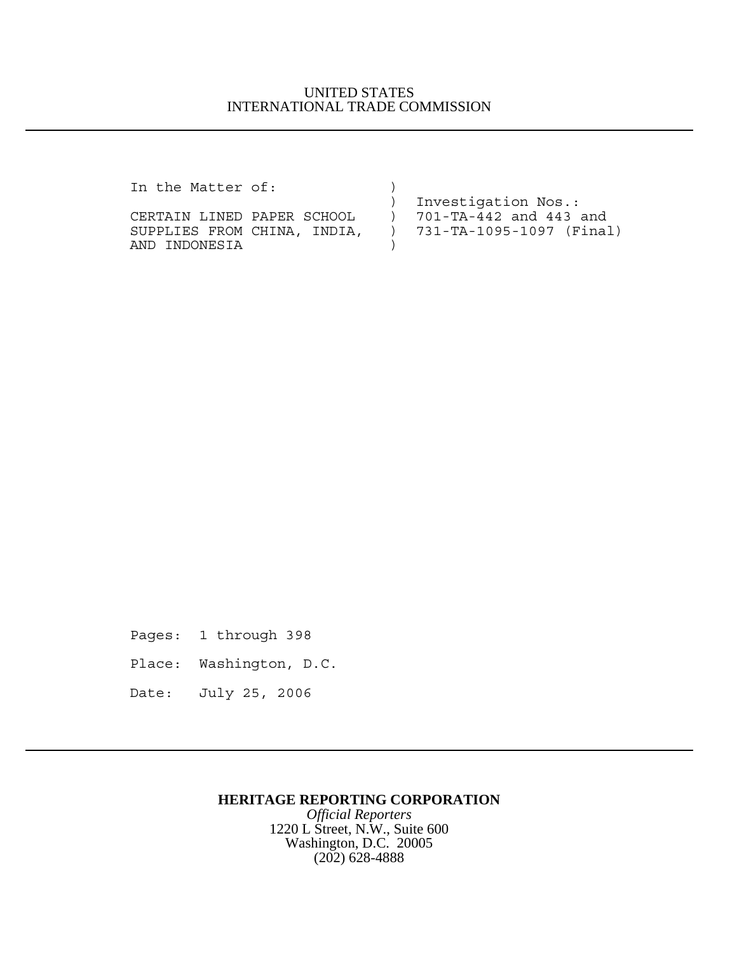### UNITED STATES INTERNATIONAL TRADE COMMISSION

In the Matter of:  $\overrightarrow{ }$ 

|                             | ) Investigation Nos.:      |
|-----------------------------|----------------------------|
| CERTAIN LINED PAPER SCHOOL  | ) 701-TA-442 and 443 and   |
| SUPPLIES FROM CHINA, INDIA, | ) 731-TA-1095-1097 (Final) |
| AND INDONESIA               |                            |

Pages: 1 through 398

- Place: Washington, D.C.
- Date: July 25, 2006

## **HERITAGE REPORTING CORPORATION**

*Official Reporters* 1220 L Street, N.W., Suite 600 Washington, D.C. 20005 (202) 628-4888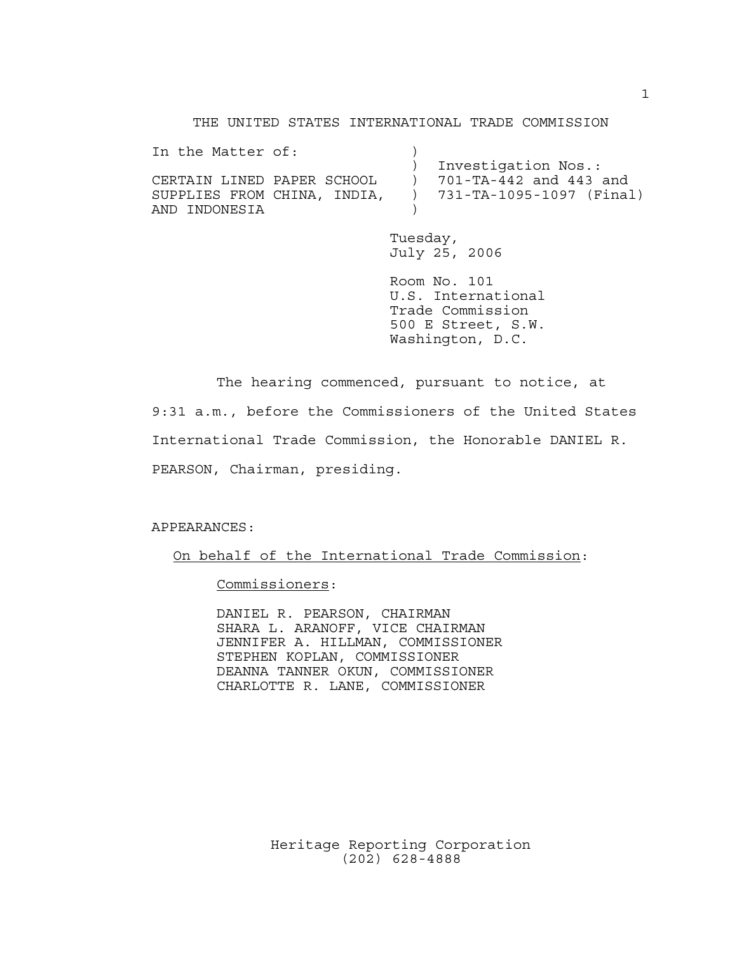THE UNITED STATES INTERNATIONAL TRADE COMMISSION In the Matter of:  $)$  ) Investigation Nos.: CERTAIN LINED PAPER SCHOOL ) 701-TA-442 and 443 and SUPPLIES FROM CHINA, INDIA, ) 731-TA-1095-1097 (Final) AND INDONESIA )

> Tuesday, July 25, 2006

Room No. 101 U.S. International Trade Commission 500 E Street, S.W. Washington, D.C.

The hearing commenced, pursuant to notice, at 9:31 a.m., before the Commissioners of the United States International Trade Commission, the Honorable DANIEL R. PEARSON, Chairman, presiding.

APPEARANCES:

On behalf of the International Trade Commission:

Commissioners:

DANIEL R. PEARSON, CHAIRMAN SHARA L. ARANOFF, VICE CHAIRMAN JENNIFER A. HILLMAN, COMMISSIONER STEPHEN KOPLAN, COMMISSIONER DEANNA TANNER OKUN, COMMISSIONER CHARLOTTE R. LANE, COMMISSIONER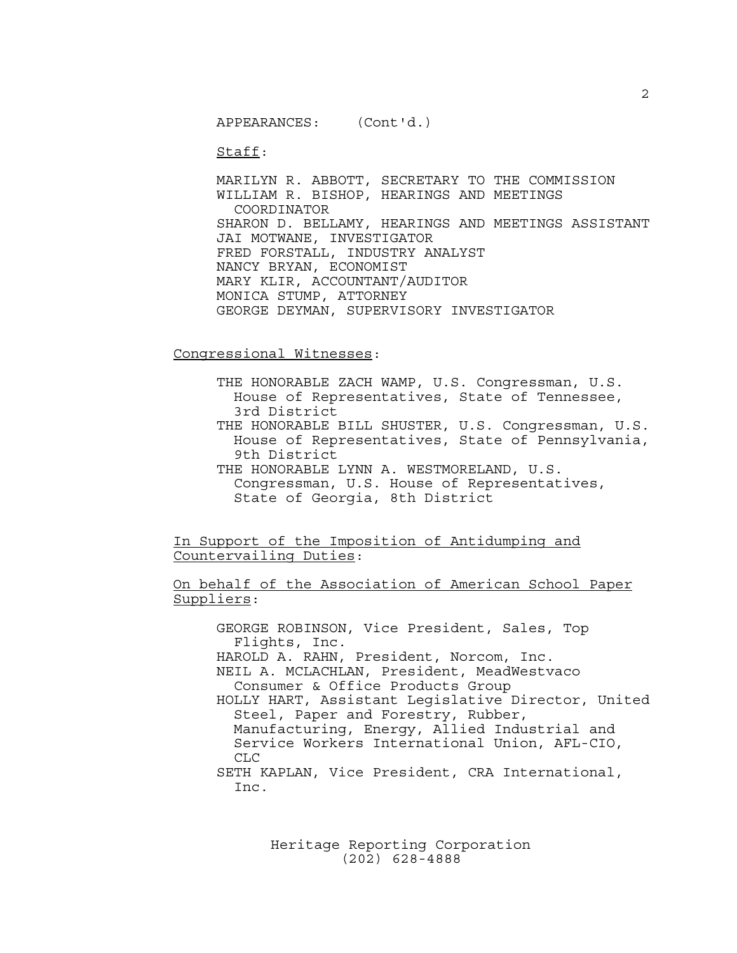APPEARANCES: (Cont'd.)

Staff:

MARILYN R. ABBOTT, SECRETARY TO THE COMMISSION WILLIAM R. BISHOP, HEARINGS AND MEETINGS COORDINATOR SHARON D. BELLAMY, HEARINGS AND MEETINGS ASSISTANT JAI MOTWANE, INVESTIGATOR FRED FORSTALL, INDUSTRY ANALYST NANCY BRYAN, ECONOMIST MARY KLIR, ACCOUNTANT/AUDITOR MONICA STUMP, ATTORNEY GEORGE DEYMAN, SUPERVISORY INVESTIGATOR

Congressional Witnesses:

THE HONORABLE ZACH WAMP, U.S. Congressman, U.S. House of Representatives, State of Tennessee, 3rd District

THE HONORABLE BILL SHUSTER, U.S. Congressman, U.S. House of Representatives, State of Pennsylvania, 9th District

THE HONORABLE LYNN A. WESTMORELAND, U.S. Congressman, U.S. House of Representatives, State of Georgia, 8th District

In Support of the Imposition of Antidumping and Countervailing Duties:

On behalf of the Association of American School Paper Suppliers:

GEORGE ROBINSON, Vice President, Sales, Top Flights, Inc. HAROLD A. RAHN, President, Norcom, Inc. NEIL A. MCLACHLAN, President, MeadWestvaco Consumer & Office Products Group HOLLY HART, Assistant Legislative Director, United Steel, Paper and Forestry, Rubber, Manufacturing, Energy, Allied Industrial and Service Workers International Union, AFL-CIO, CLC SETH KAPLAN, Vice President, CRA International, Inc.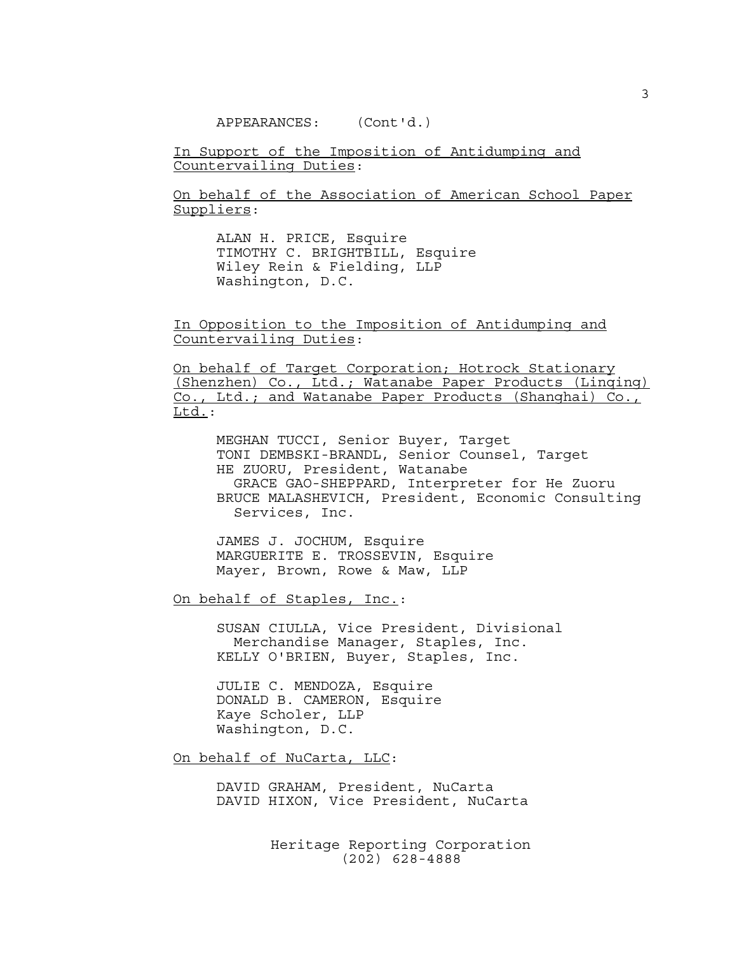APPEARANCES: (Cont'd.)

In Support of the Imposition of Antidumping and Countervailing Duties:

On behalf of the Association of American School Paper Suppliers:

ALAN H. PRICE, Esquire TIMOTHY C. BRIGHTBILL, Esquire Wiley Rein & Fielding, LLP Washington, D.C.

In Opposition to the Imposition of Antidumping and Countervailing Duties:

On behalf of Target Corporation; Hotrock Stationary (Shenzhen) Co., Ltd.; Watanabe Paper Products (Linqing) Co., Ltd.; and Watanabe Paper Products (Shanghai) Co., Ltd.:

MEGHAN TUCCI, Senior Buyer, Target TONI DEMBSKI-BRANDL, Senior Counsel, Target HE ZUORU, President, Watanabe GRACE GAO-SHEPPARD, Interpreter for He Zuoru BRUCE MALASHEVICH, President, Economic Consulting Services, Inc.

JAMES J. JOCHUM, Esquire MARGUERITE E. TROSSEVIN, Esquire Mayer, Brown, Rowe & Maw, LLP

On behalf of Staples, Inc.:

SUSAN CIULLA, Vice President, Divisional Merchandise Manager, Staples, Inc. KELLY O'BRIEN, Buyer, Staples, Inc.

JULIE C. MENDOZA, Esquire DONALD B. CAMERON, Esquire Kaye Scholer, LLP Washington, D.C.

On behalf of NuCarta, LLC:

DAVID GRAHAM, President, NuCarta DAVID HIXON, Vice President, NuCarta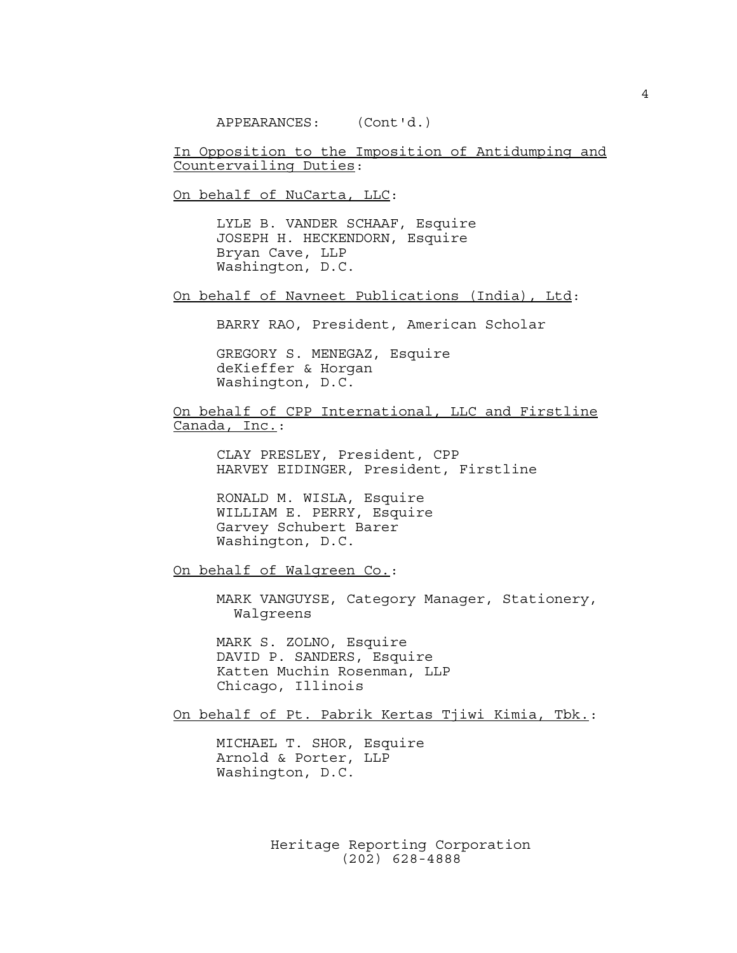APPEARANCES: (Cont'd.)

In Opposition to the Imposition of Antidumping and Countervailing Duties:

On behalf of NuCarta, LLC:

LYLE B. VANDER SCHAAF, Esquire JOSEPH H. HECKENDORN, Esquire Bryan Cave, LLP Washington, D.C.

On behalf of Navneet Publications (India), Ltd:

BARRY RAO, President, American Scholar

GREGORY S. MENEGAZ, Esquire deKieffer & Horgan Washington, D.C.

On behalf of CPP International, LLC and Firstline Canada, Inc.:

> CLAY PRESLEY, President, CPP HARVEY EIDINGER, President, Firstline

RONALD M. WISLA, Esquire WILLIAM E. PERRY, Esquire Garvey Schubert Barer Washington, D.C.

On behalf of Walgreen Co.:

MARK VANGUYSE, Category Manager, Stationery, Walgreens

MARK S. ZOLNO, Esquire DAVID P. SANDERS, Esquire Katten Muchin Rosenman, LLP Chicago, Illinois

On behalf of Pt. Pabrik Kertas Tjiwi Kimia, Tbk.:

MICHAEL T. SHOR, Esquire Arnold & Porter, LLP Washington, D.C.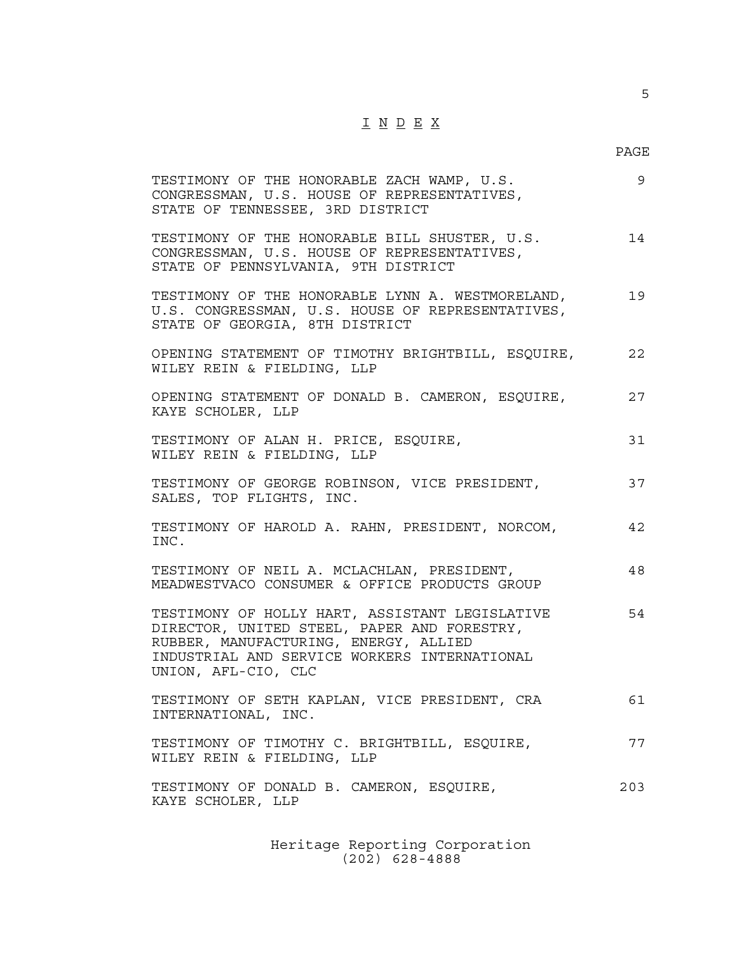# $\underline{\texttt{I}} \underline{\texttt{N}} \underline{\texttt{D}} \underline{\texttt{E}} \underline{\texttt{X}}$

PAGE

5

| TESTIMONY OF THE HONORABLE ZACH WAMP, U.S.<br>CONGRESSMAN, U.S. HOUSE OF REPRESENTATIVES,<br>STATE OF TENNESSEE, 3RD DISTRICT                                                                                 | 9   |
|---------------------------------------------------------------------------------------------------------------------------------------------------------------------------------------------------------------|-----|
| TESTIMONY OF THE HONORABLE BILL SHUSTER, U.S.<br>CONGRESSMAN, U.S. HOUSE OF REPRESENTATIVES,<br>STATE OF PENNSYLVANIA, 9TH DISTRICT                                                                           | 14  |
| TESTIMONY OF THE HONORABLE LYNN A. WESTMORELAND,<br>U.S. CONGRESSMAN, U.S. HOUSE OF REPRESENTATIVES,<br>STATE OF GEORGIA, 8TH DISTRICT                                                                        | 19  |
| OPENING STATEMENT OF TIMOTHY BRIGHTBILL, ESQUIRE,<br>WILEY REIN & FIELDING, LLP                                                                                                                               | 22  |
| OPENING STATEMENT OF DONALD B. CAMERON, ESQUIRE,<br>KAYE SCHOLER, LLP                                                                                                                                         | 27  |
| TESTIMONY OF ALAN H. PRICE, ESQUIRE,<br>WILEY REIN & FIELDING, LLP                                                                                                                                            | 31  |
| TESTIMONY OF GEORGE ROBINSON, VICE PRESIDENT,<br>SALES, TOP FLIGHTS, INC.                                                                                                                                     | 37  |
| TESTIMONY OF HAROLD A. RAHN, PRESIDENT, NORCOM,<br>INC.                                                                                                                                                       | 42  |
| TESTIMONY OF NEIL A. MCLACHLAN, PRESIDENT,<br>MEADWESTVACO CONSUMER & OFFICE PRODUCTS GROUP                                                                                                                   | 48  |
| TESTIMONY OF HOLLY HART, ASSISTANT LEGISLATIVE<br>DIRECTOR, UNITED STEEL, PAPER AND FORESTRY,<br>RUBBER, MANUFACTURING, ENERGY, ALLIED<br>INDUSTRIAL AND SERVICE WORKERS INTERNATIONAL<br>UNION, AFL-CIO, CLC | 54  |
| TESTIMONY OF SETH KAPLAN, VICE PRESIDENT, CRA<br>INTERNATIONAL, INC.                                                                                                                                          | 61  |
| TESTIMONY OF TIMOTHY C. BRIGHTBILL, ESQUIRE,<br>WILEY REIN & FIELDING, LLP                                                                                                                                    | 77  |
| TESTIMONY OF DONALD B. CAMERON, ESQUIRE,<br>KAYE SCHOLER, LLP                                                                                                                                                 | 203 |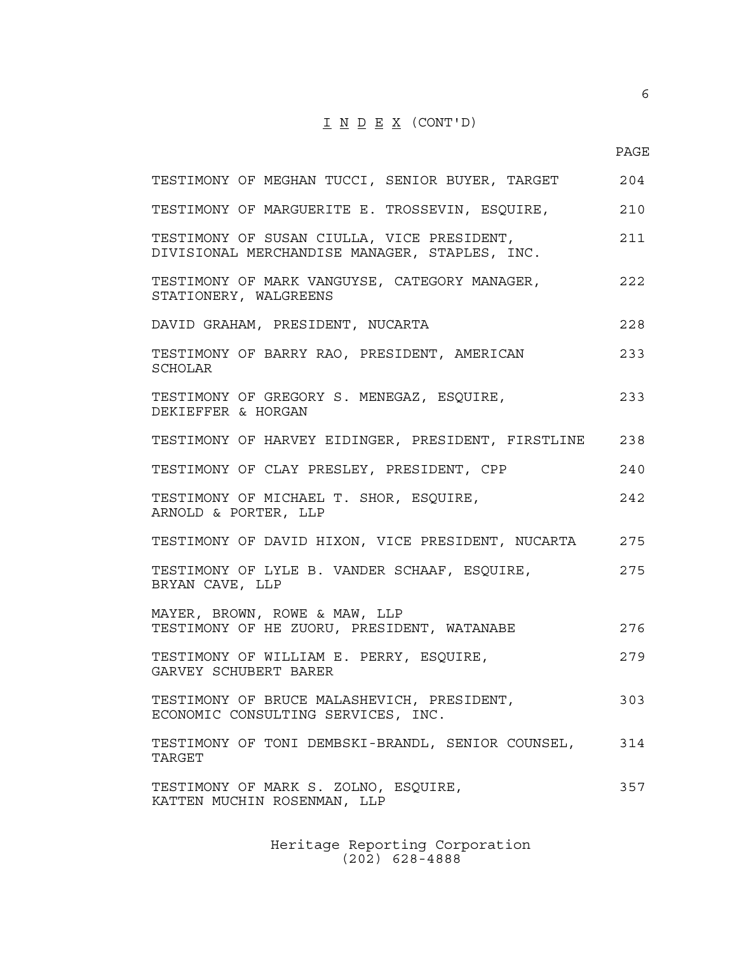## $I N D E X (CONT'D)$

6

| TESTIMONY OF MEGHAN TUCCI, SENIOR BUYER, TARGET                                             | 204 |
|---------------------------------------------------------------------------------------------|-----|
| TESTIMONY OF MARGUERITE E. TROSSEVIN, ESQUIRE,                                              | 210 |
| TESTIMONY OF SUSAN CIULLA, VICE PRESIDENT,<br>DIVISIONAL MERCHANDISE MANAGER, STAPLES, INC. | 211 |
| TESTIMONY OF MARK VANGUYSE, CATEGORY MANAGER,<br>STATIONERY, WALGREENS                      | 222 |
| DAVID GRAHAM, PRESIDENT, NUCARTA                                                            | 228 |
| TESTIMONY OF BARRY RAO, PRESIDENT, AMERICAN<br>SCHOLAR                                      | 233 |
| TESTIMONY OF GREGORY S. MENEGAZ, ESQUIRE,<br>DEKIEFFER & HORGAN                             | 233 |
| TESTIMONY OF HARVEY EIDINGER, PRESIDENT, FIRSTLINE                                          | 238 |
| TESTIMONY OF CLAY PRESLEY, PRESIDENT, CPP                                                   | 240 |
| TESTIMONY OF MICHAEL T. SHOR, ESQUIRE,<br>ARNOLD & PORTER, LLP                              | 242 |
| TESTIMONY OF DAVID HIXON, VICE PRESIDENT, NUCARTA                                           | 275 |
| TESTIMONY OF LYLE B. VANDER SCHAAF, ESQUIRE,<br>BRYAN CAVE, LLP                             | 275 |
| MAYER, BROWN, ROWE & MAW, LLP<br>TESTIMONY OF HE ZUORU, PRESIDENT, WATANABE                 | 276 |
| TESTIMONY OF WILLIAM E. PERRY, ESQUIRE,<br>GARVEY SCHUBERT BARER                            | 279 |
| TESTIMONY OF BRUCE MALASHEVICH, PRESIDENT,<br>ECONOMIC CONSULTING SERVICES, INC.            | 303 |
| TESTIMONY OF TONI DEMBSKI-BRANDL, SENIOR COUNSEL,<br>TARGET                                 | 314 |
| TESTIMONY OF MARK S. ZOLNO, ESQUIRE,<br>KATTEN MUCHIN ROSENMAN, LLP                         | 357 |
|                                                                                             |     |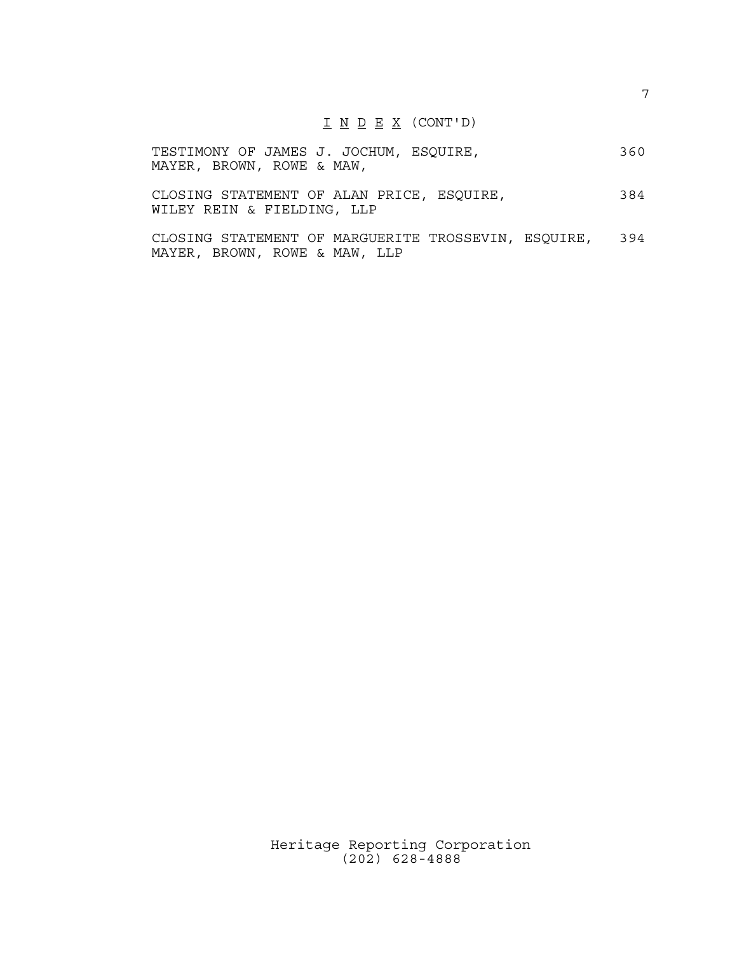#### I <u>N D E X</u> (CONT'D)

|                           |  |  | TESTIMONY OF JAMES J. JOCHUM, ESQUIRE, | 360 |
|---------------------------|--|--|----------------------------------------|-----|
| MAYER, BROWN, ROWE & MAW, |  |  |                                        |     |

CLOSING STATEMENT OF ALAN PRICE, ESQUIRE, 384 WILEY REIN & FIELDING, LLP

CLOSING STATEMENT OF MARGUERITE TROSSEVIN, ESQUIRE, 394 MAYER, BROWN, ROWE & MAW, LLP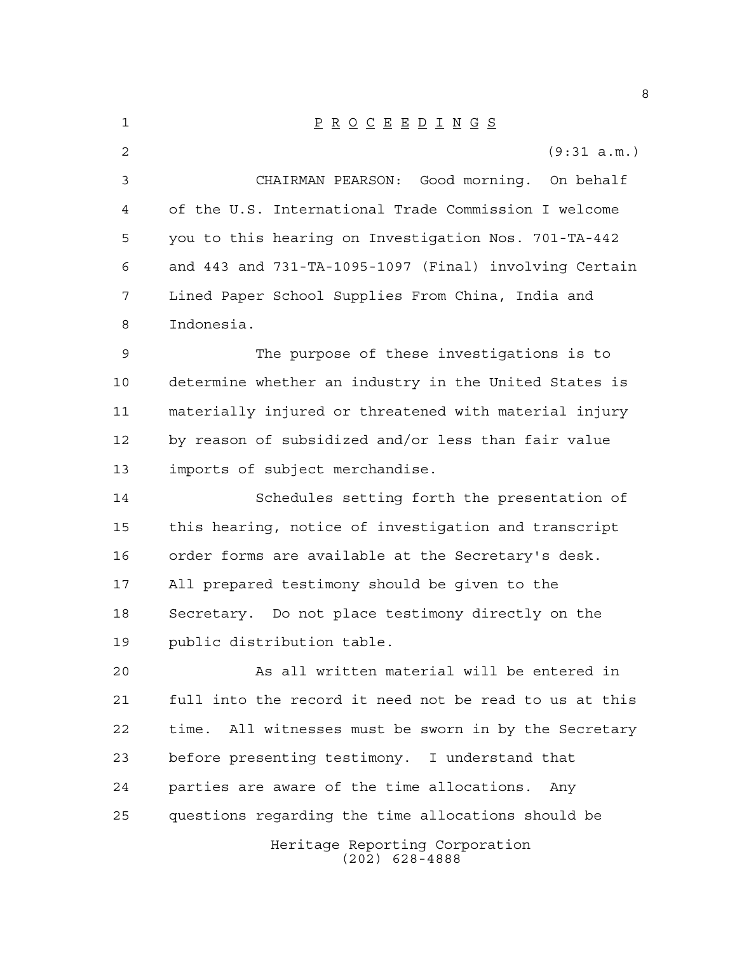| 1  | $\underline{P} \underline{R} \underline{O} \underline{C} \underline{E} \underline{E} \underline{D} \underline{I} \underline{N} \underline{G} \underline{S}$ |
|----|-------------------------------------------------------------------------------------------------------------------------------------------------------------|
| 2  | (9:31 a.m.)                                                                                                                                                 |
| 3  | CHAIRMAN PEARSON: Good morning. On behalf                                                                                                                   |
| 4  | of the U.S. International Trade Commission I welcome                                                                                                        |
| 5  | you to this hearing on Investigation Nos. 701-TA-442                                                                                                        |
| 6  | and 443 and 731-TA-1095-1097 (Final) involving Certain                                                                                                      |
| 7  | Lined Paper School Supplies From China, India and                                                                                                           |
| 8  | Indonesia.                                                                                                                                                  |
| 9  | The purpose of these investigations is to                                                                                                                   |
| 10 | determine whether an industry in the United States is                                                                                                       |
| 11 | materially injured or threatened with material injury                                                                                                       |
| 12 | by reason of subsidized and/or less than fair value                                                                                                         |
| 13 | imports of subject merchandise.                                                                                                                             |
| 14 | Schedules setting forth the presentation of                                                                                                                 |
| 15 | this hearing, notice of investigation and transcript                                                                                                        |
| 16 | order forms are available at the Secretary's desk.                                                                                                          |
| 17 | All prepared testimony should be given to the                                                                                                               |
| 18 | Secretary. Do not place testimony directly on the                                                                                                           |
| 19 | public distribution table.                                                                                                                                  |
| 20 | As all written material will be entered in                                                                                                                  |
| 21 | full into the record it need not be read to us at this                                                                                                      |
| 22 | time. All witnesses must be sworn in by the Secretary                                                                                                       |
| 23 | before presenting testimony. I understand that                                                                                                              |
| 24 | parties are aware of the time allocations.<br>Anv                                                                                                           |
| 25 | questions regarding the time allocations should be                                                                                                          |
|    | Heritage Reporting Corporation<br>$(202)$ 628-4888                                                                                                          |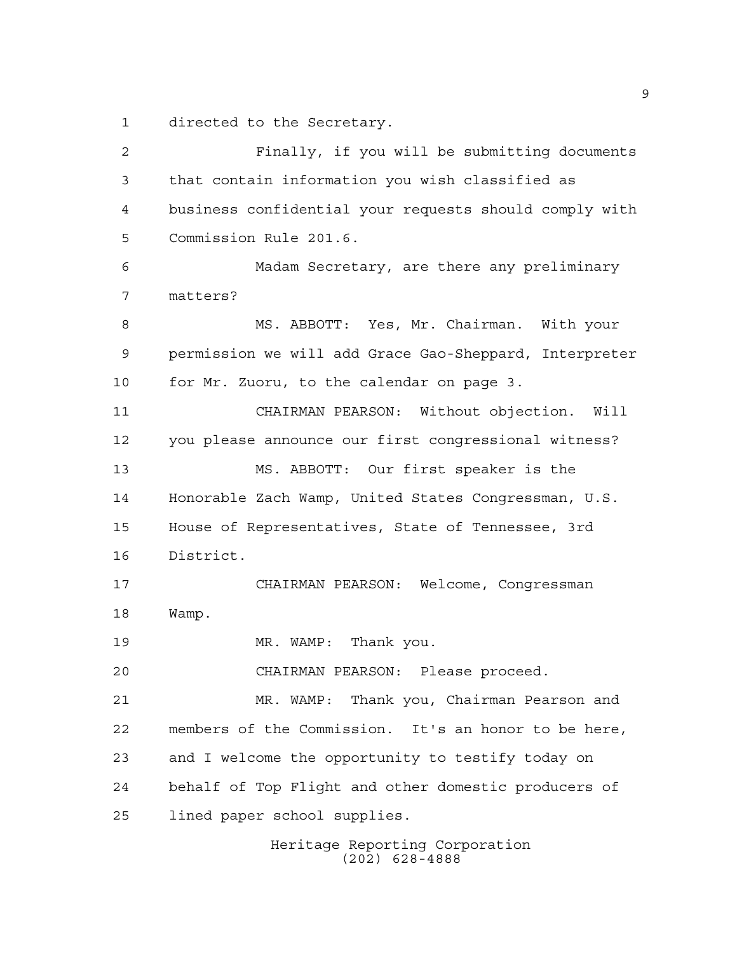directed to the Secretary.

 Finally, if you will be submitting documents that contain information you wish classified as business confidential your requests should comply with Commission Rule 201.6. Madam Secretary, are there any preliminary matters? MS. ABBOTT: Yes, Mr. Chairman. With your permission we will add Grace Gao-Sheppard, Interpreter for Mr. Zuoru, to the calendar on page 3. CHAIRMAN PEARSON: Without objection. Will you please announce our first congressional witness? MS. ABBOTT: Our first speaker is the Honorable Zach Wamp, United States Congressman, U.S. House of Representatives, State of Tennessee, 3rd District. CHAIRMAN PEARSON: Welcome, Congressman Wamp. 19 MR. WAMP: Thank you. CHAIRMAN PEARSON: Please proceed. MR. WAMP: Thank you, Chairman Pearson and members of the Commission. It's an honor to be here, and I welcome the opportunity to testify today on behalf of Top Flight and other domestic producers of lined paper school supplies.

Heritage Reporting Corporation (202) 628-4888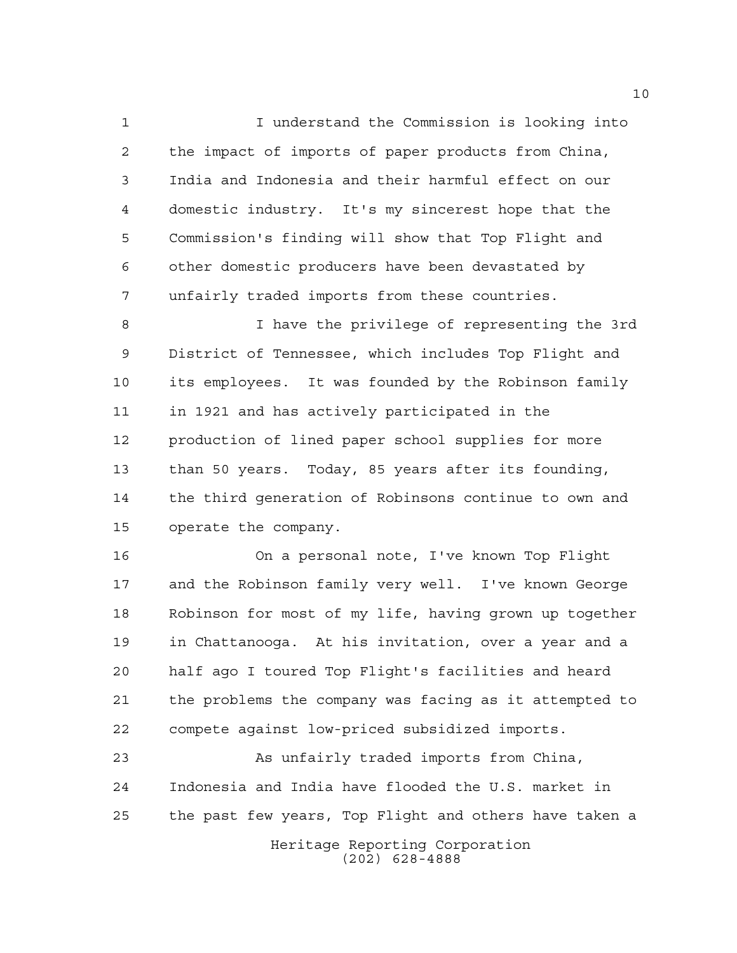I understand the Commission is looking into the impact of imports of paper products from China, India and Indonesia and their harmful effect on our domestic industry. It's my sincerest hope that the Commission's finding will show that Top Flight and other domestic producers have been devastated by unfairly traded imports from these countries.

 I have the privilege of representing the 3rd District of Tennessee, which includes Top Flight and its employees. It was founded by the Robinson family in 1921 and has actively participated in the production of lined paper school supplies for more than 50 years. Today, 85 years after its founding, the third generation of Robinsons continue to own and operate the company.

 On a personal note, I've known Top Flight and the Robinson family very well. I've known George Robinson for most of my life, having grown up together in Chattanooga. At his invitation, over a year and a half ago I toured Top Flight's facilities and heard the problems the company was facing as it attempted to compete against low-priced subsidized imports.

 As unfairly traded imports from China, Indonesia and India have flooded the U.S. market in the past few years, Top Flight and others have taken a

Heritage Reporting Corporation (202) 628-4888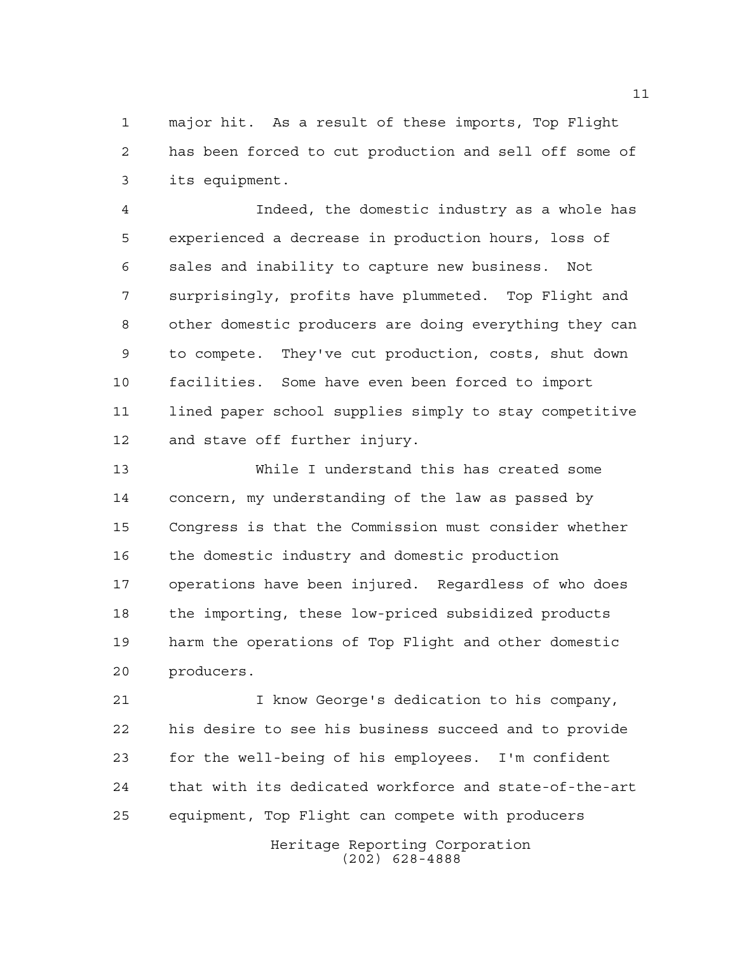major hit. As a result of these imports, Top Flight has been forced to cut production and sell off some of its equipment.

 Indeed, the domestic industry as a whole has experienced a decrease in production hours, loss of sales and inability to capture new business. Not surprisingly, profits have plummeted. Top Flight and other domestic producers are doing everything they can to compete. They've cut production, costs, shut down facilities. Some have even been forced to import lined paper school supplies simply to stay competitive and stave off further injury.

 While I understand this has created some concern, my understanding of the law as passed by Congress is that the Commission must consider whether the domestic industry and domestic production operations have been injured. Regardless of who does the importing, these low-priced subsidized products harm the operations of Top Flight and other domestic producers.

 I know George's dedication to his company, his desire to see his business succeed and to provide for the well-being of his employees. I'm confident that with its dedicated workforce and state-of-the-art equipment, Top Flight can compete with producers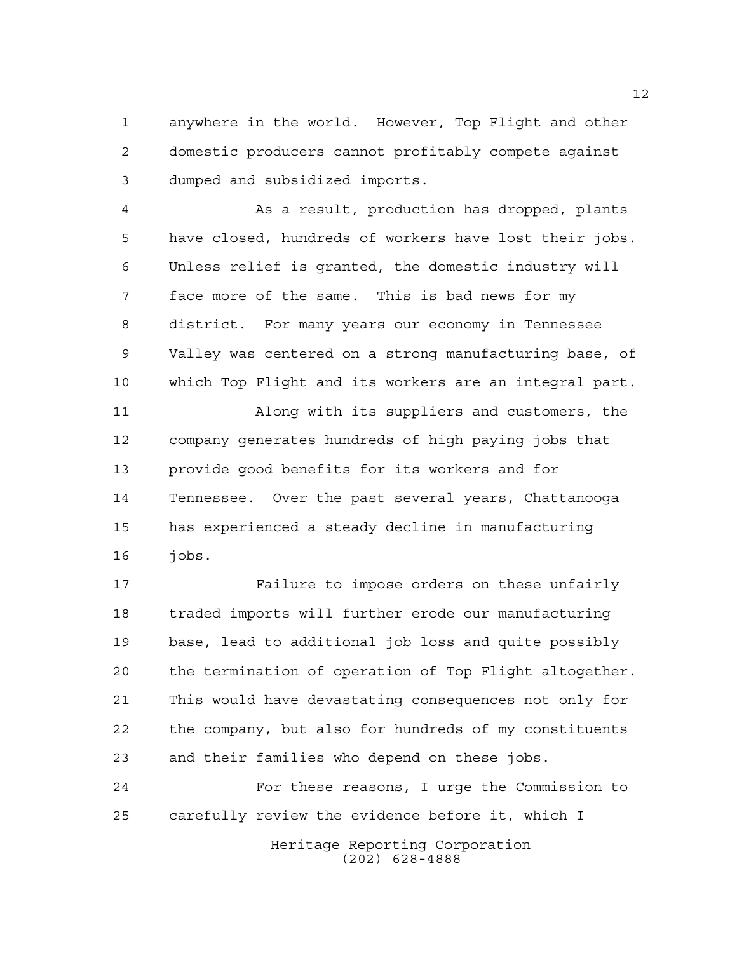anywhere in the world. However, Top Flight and other domestic producers cannot profitably compete against dumped and subsidized imports.

 As a result, production has dropped, plants have closed, hundreds of workers have lost their jobs. Unless relief is granted, the domestic industry will face more of the same. This is bad news for my district. For many years our economy in Tennessee Valley was centered on a strong manufacturing base, of which Top Flight and its workers are an integral part.

 Along with its suppliers and customers, the company generates hundreds of high paying jobs that provide good benefits for its workers and for Tennessee. Over the past several years, Chattanooga has experienced a steady decline in manufacturing jobs.

 Failure to impose orders on these unfairly traded imports will further erode our manufacturing base, lead to additional job loss and quite possibly the termination of operation of Top Flight altogether. This would have devastating consequences not only for the company, but also for hundreds of my constituents and their families who depend on these jobs.

 For these reasons, I urge the Commission to carefully review the evidence before it, which I

> Heritage Reporting Corporation (202) 628-4888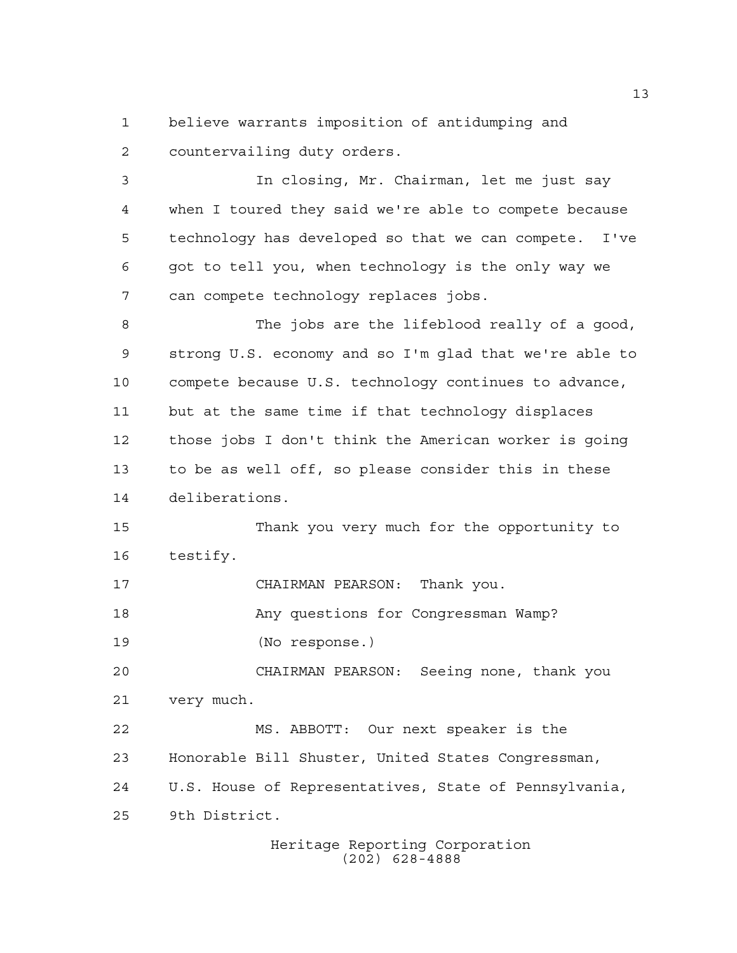believe warrants imposition of antidumping and countervailing duty orders.

 In closing, Mr. Chairman, let me just say when I toured they said we're able to compete because technology has developed so that we can compete. I've got to tell you, when technology is the only way we can compete technology replaces jobs.

 The jobs are the lifeblood really of a good, strong U.S. economy and so I'm glad that we're able to compete because U.S. technology continues to advance, but at the same time if that technology displaces those jobs I don't think the American worker is going to be as well off, so please consider this in these deliberations.

 Thank you very much for the opportunity to testify.

CHAIRMAN PEARSON: Thank you.

18 Any questions for Congressman Wamp?

(No response.)

 CHAIRMAN PEARSON: Seeing none, thank you very much.

 MS. ABBOTT: Our next speaker is the Honorable Bill Shuster, United States Congressman, U.S. House of Representatives, State of Pennsylvania, 9th District.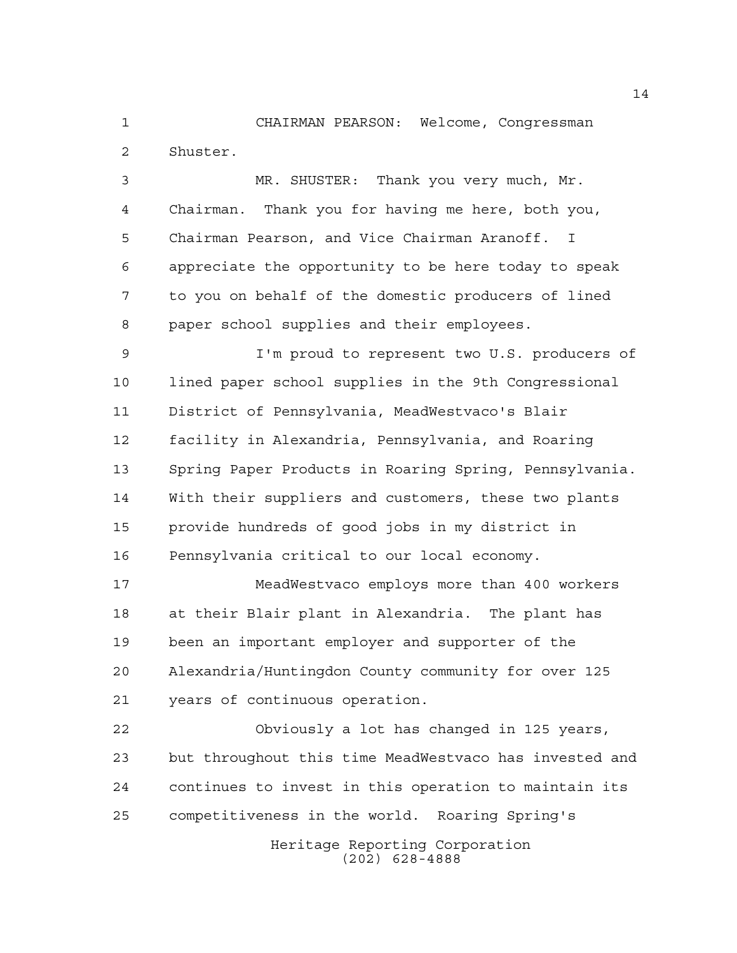CHAIRMAN PEARSON: Welcome, Congressman Shuster.

 MR. SHUSTER: Thank you very much, Mr. Chairman. Thank you for having me here, both you, Chairman Pearson, and Vice Chairman Aranoff. I appreciate the opportunity to be here today to speak to you on behalf of the domestic producers of lined paper school supplies and their employees.

 I'm proud to represent two U.S. producers of lined paper school supplies in the 9th Congressional District of Pennsylvania, MeadWestvaco's Blair facility in Alexandria, Pennsylvania, and Roaring Spring Paper Products in Roaring Spring, Pennsylvania. With their suppliers and customers, these two plants provide hundreds of good jobs in my district in Pennsylvania critical to our local economy.

 MeadWestvaco employs more than 400 workers at their Blair plant in Alexandria. The plant has been an important employer and supporter of the Alexandria/Huntingdon County community for over 125 years of continuous operation.

 Obviously a lot has changed in 125 years, but throughout this time MeadWestvaco has invested and continues to invest in this operation to maintain its competitiveness in the world. Roaring Spring's

> Heritage Reporting Corporation (202) 628-4888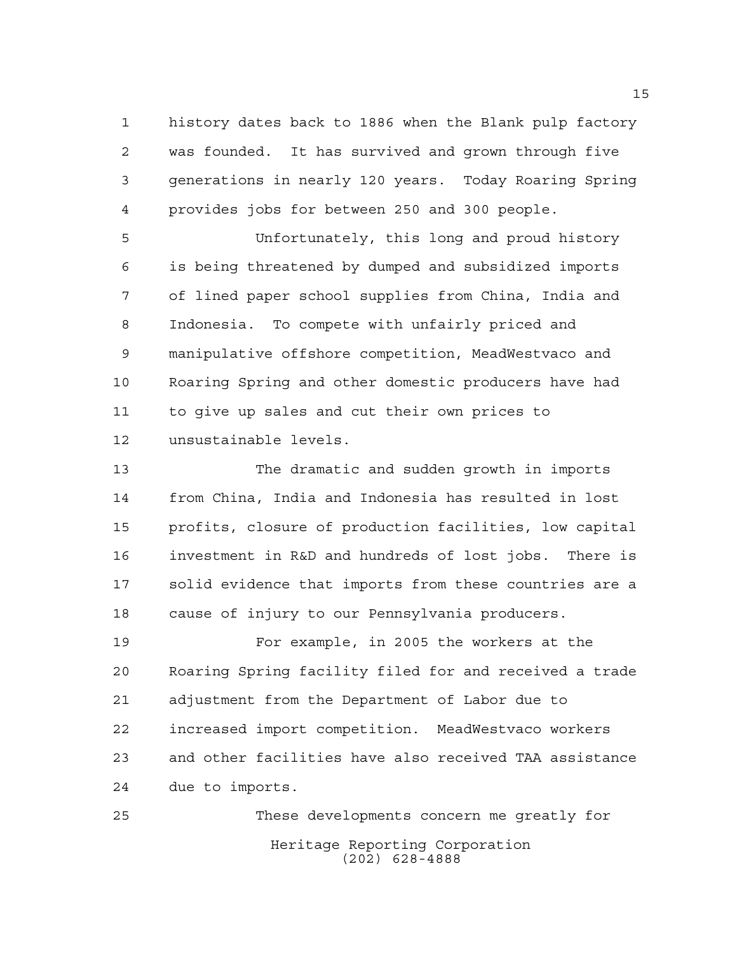history dates back to 1886 when the Blank pulp factory was founded. It has survived and grown through five generations in nearly 120 years. Today Roaring Spring provides jobs for between 250 and 300 people.

 Unfortunately, this long and proud history is being threatened by dumped and subsidized imports of lined paper school supplies from China, India and Indonesia. To compete with unfairly priced and manipulative offshore competition, MeadWestvaco and Roaring Spring and other domestic producers have had to give up sales and cut their own prices to unsustainable levels.

 The dramatic and sudden growth in imports from China, India and Indonesia has resulted in lost profits, closure of production facilities, low capital investment in R&D and hundreds of lost jobs. There is solid evidence that imports from these countries are a cause of injury to our Pennsylvania producers.

 For example, in 2005 the workers at the Roaring Spring facility filed for and received a trade adjustment from the Department of Labor due to increased import competition. MeadWestvaco workers and other facilities have also received TAA assistance due to imports.

Heritage Reporting Corporation (202) 628-4888 These developments concern me greatly for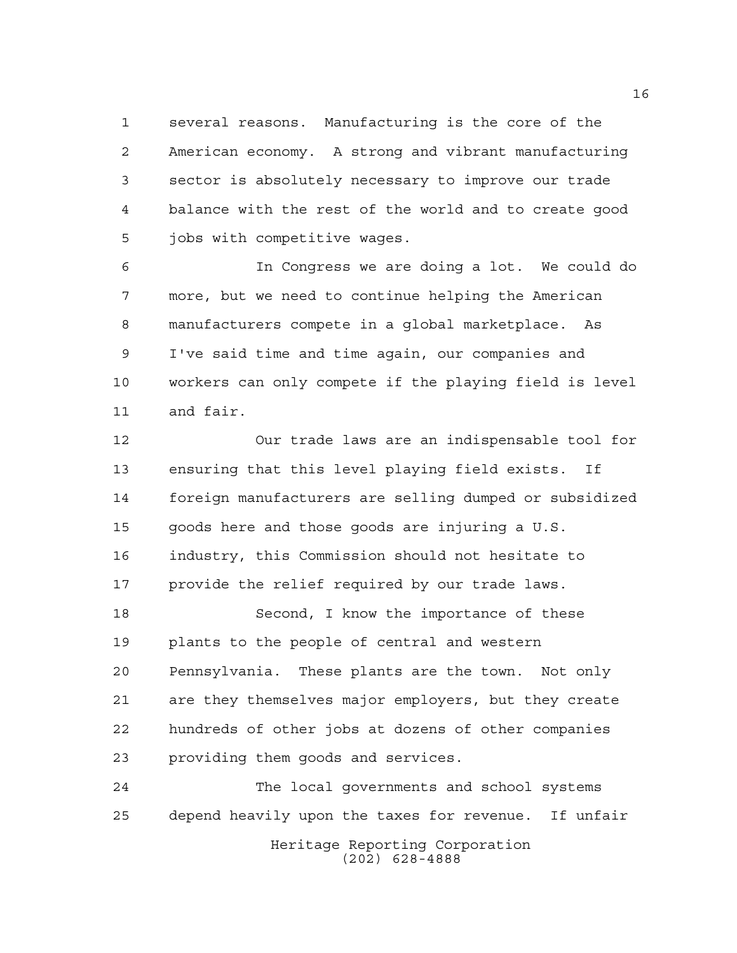several reasons. Manufacturing is the core of the American economy. A strong and vibrant manufacturing sector is absolutely necessary to improve our trade balance with the rest of the world and to create good jobs with competitive wages.

 In Congress we are doing a lot. We could do more, but we need to continue helping the American manufacturers compete in a global marketplace. As I've said time and time again, our companies and workers can only compete if the playing field is level and fair.

 Our trade laws are an indispensable tool for ensuring that this level playing field exists. If foreign manufacturers are selling dumped or subsidized goods here and those goods are injuring a U.S. industry, this Commission should not hesitate to provide the relief required by our trade laws.

 Second, I know the importance of these plants to the people of central and western Pennsylvania. These plants are the town. Not only are they themselves major employers, but they create hundreds of other jobs at dozens of other companies providing them goods and services.

Heritage Reporting Corporation (202) 628-4888 The local governments and school systems depend heavily upon the taxes for revenue. If unfair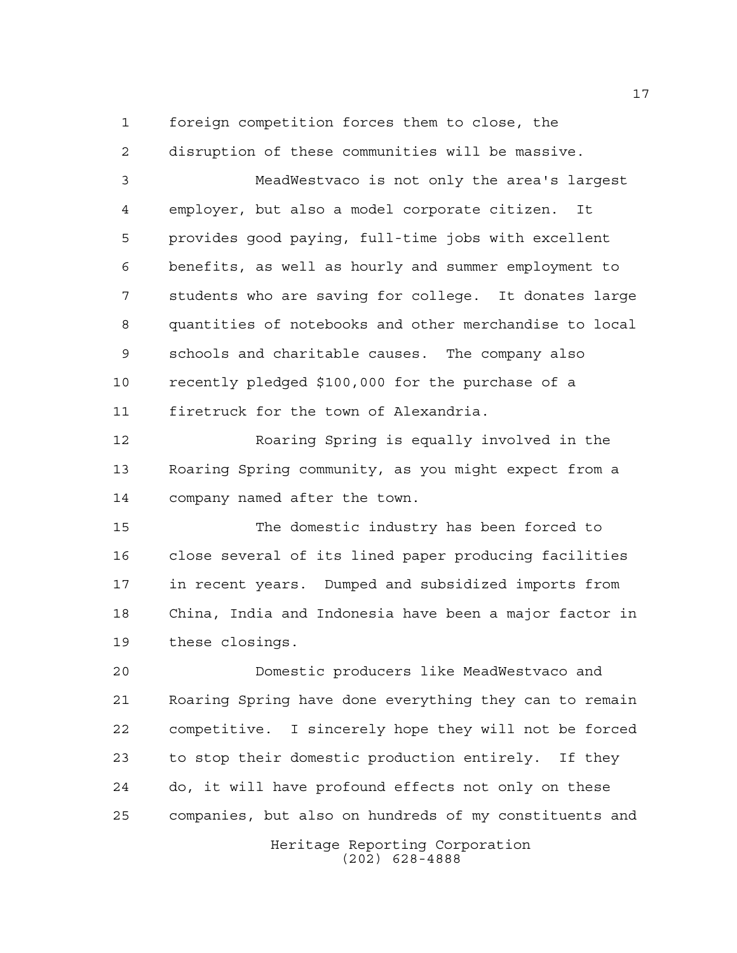foreign competition forces them to close, the

disruption of these communities will be massive.

 MeadWestvaco is not only the area's largest employer, but also a model corporate citizen. It provides good paying, full-time jobs with excellent benefits, as well as hourly and summer employment to students who are saving for college. It donates large quantities of notebooks and other merchandise to local schools and charitable causes. The company also recently pledged \$100,000 for the purchase of a firetruck for the town of Alexandria.

 Roaring Spring is equally involved in the Roaring Spring community, as you might expect from a company named after the town.

 The domestic industry has been forced to close several of its lined paper producing facilities in recent years. Dumped and subsidized imports from China, India and Indonesia have been a major factor in these closings.

 Domestic producers like MeadWestvaco and Roaring Spring have done everything they can to remain competitive. I sincerely hope they will not be forced to stop their domestic production entirely. If they do, it will have profound effects not only on these companies, but also on hundreds of my constituents and

> Heritage Reporting Corporation (202) 628-4888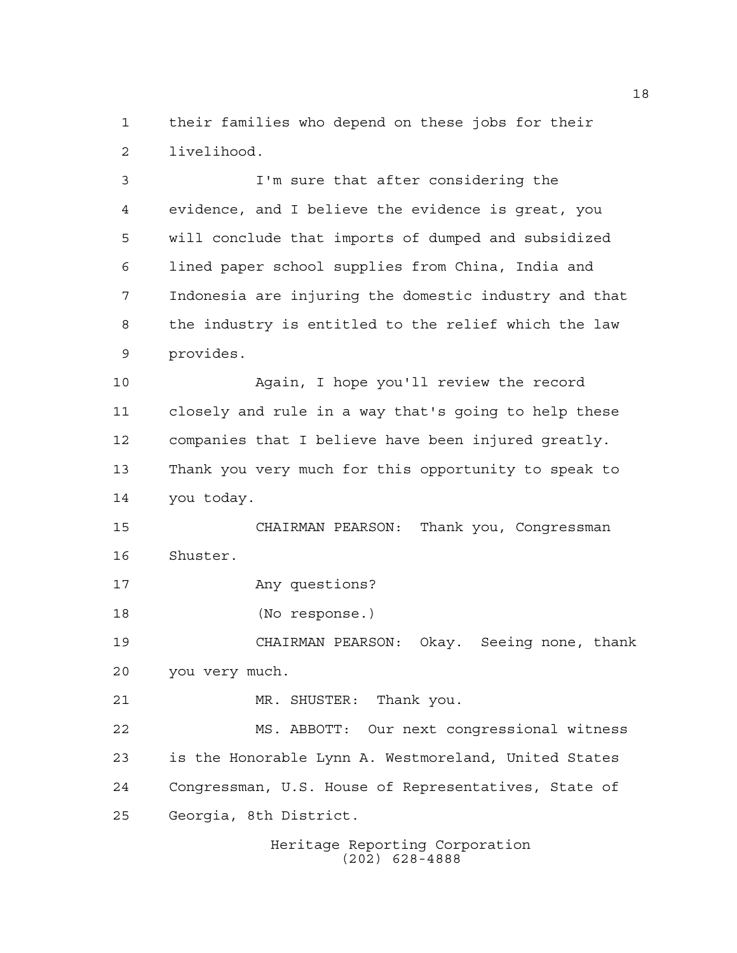their families who depend on these jobs for their livelihood.

 I'm sure that after considering the evidence, and I believe the evidence is great, you will conclude that imports of dumped and subsidized lined paper school supplies from China, India and Indonesia are injuring the domestic industry and that the industry is entitled to the relief which the law provides.

 Again, I hope you'll review the record closely and rule in a way that's going to help these companies that I believe have been injured greatly. Thank you very much for this opportunity to speak to you today.

 CHAIRMAN PEARSON: Thank you, Congressman Shuster.

Any questions?

(No response.)

 CHAIRMAN PEARSON: Okay. Seeing none, thank you very much.

MR. SHUSTER: Thank you.

 MS. ABBOTT: Our next congressional witness is the Honorable Lynn A. Westmoreland, United States Congressman, U.S. House of Representatives, State of Georgia, 8th District.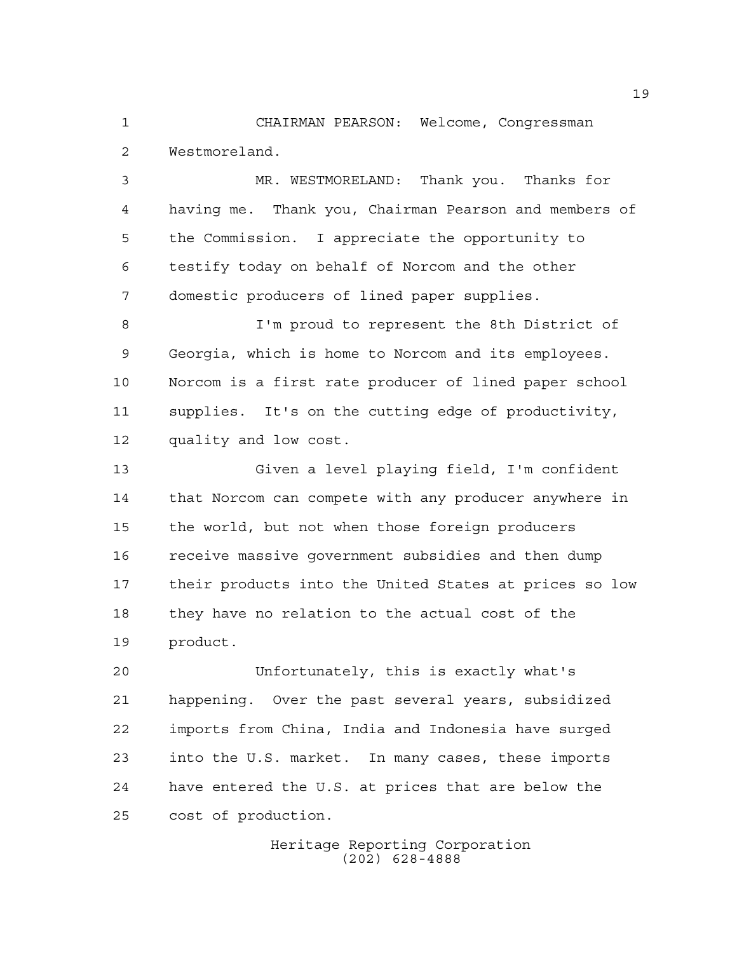CHAIRMAN PEARSON: Welcome, Congressman Westmoreland.

 MR. WESTMORELAND: Thank you. Thanks for having me. Thank you, Chairman Pearson and members of the Commission. I appreciate the opportunity to testify today on behalf of Norcom and the other domestic producers of lined paper supplies.

 I'm proud to represent the 8th District of Georgia, which is home to Norcom and its employees. Norcom is a first rate producer of lined paper school supplies. It's on the cutting edge of productivity, quality and low cost.

 Given a level playing field, I'm confident 14 that Norcom can compete with any producer anywhere in the world, but not when those foreign producers receive massive government subsidies and then dump their products into the United States at prices so low they have no relation to the actual cost of the product.

 Unfortunately, this is exactly what's happening. Over the past several years, subsidized imports from China, India and Indonesia have surged into the U.S. market. In many cases, these imports have entered the U.S. at prices that are below the cost of production.

> Heritage Reporting Corporation (202) 628-4888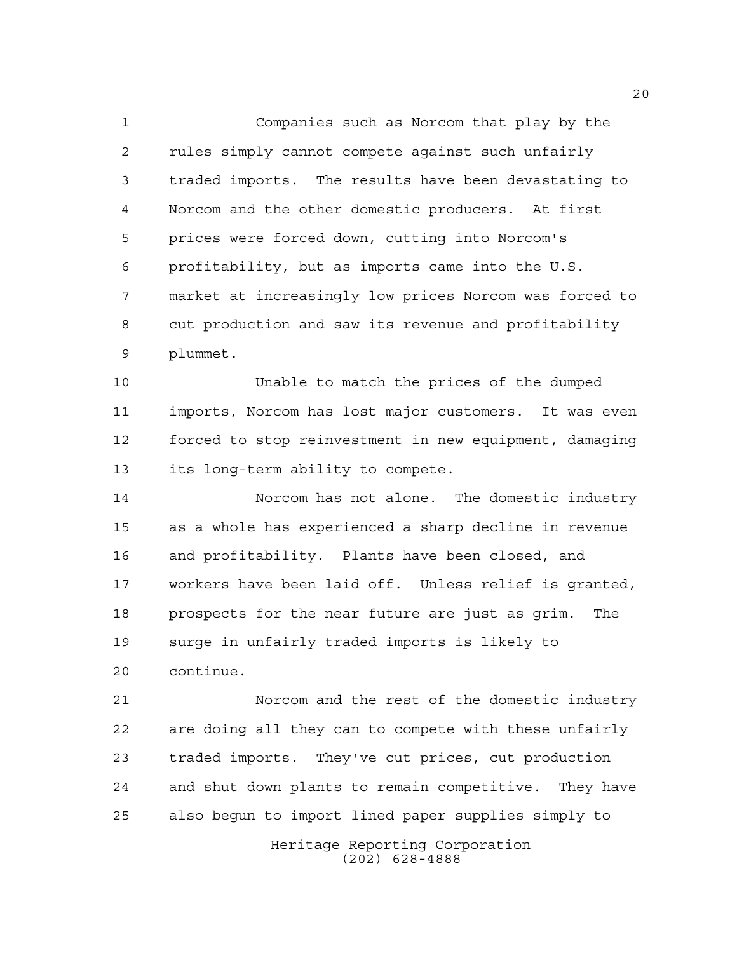Companies such as Norcom that play by the rules simply cannot compete against such unfairly traded imports. The results have been devastating to Norcom and the other domestic producers. At first prices were forced down, cutting into Norcom's profitability, but as imports came into the U.S. market at increasingly low prices Norcom was forced to cut production and saw its revenue and profitability plummet.

 Unable to match the prices of the dumped imports, Norcom has lost major customers. It was even forced to stop reinvestment in new equipment, damaging its long-term ability to compete.

 Norcom has not alone. The domestic industry as a whole has experienced a sharp decline in revenue and profitability. Plants have been closed, and workers have been laid off. Unless relief is granted, prospects for the near future are just as grim. The surge in unfairly traded imports is likely to continue.

 Norcom and the rest of the domestic industry are doing all they can to compete with these unfairly traded imports. They've cut prices, cut production and shut down plants to remain competitive. They have also begun to import lined paper supplies simply to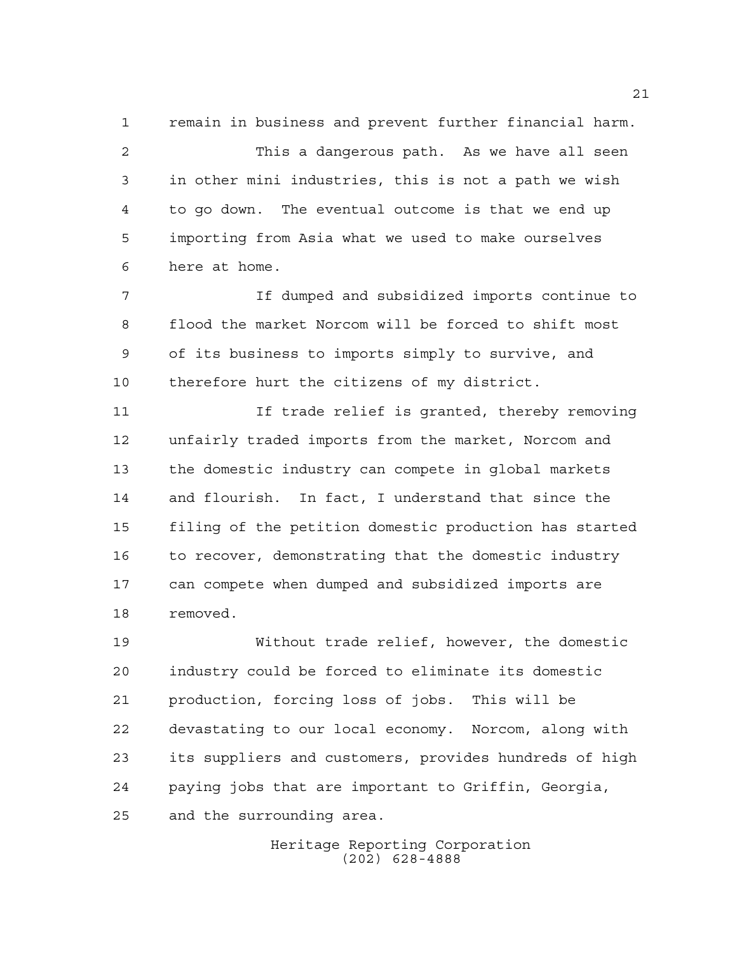remain in business and prevent further financial harm. This a dangerous path. As we have all seen in other mini industries, this is not a path we wish to go down. The eventual outcome is that we end up importing from Asia what we used to make ourselves here at home.

 If dumped and subsidized imports continue to flood the market Norcom will be forced to shift most of its business to imports simply to survive, and therefore hurt the citizens of my district.

 If trade relief is granted, thereby removing unfairly traded imports from the market, Norcom and the domestic industry can compete in global markets and flourish. In fact, I understand that since the filing of the petition domestic production has started 16 to recover, demonstrating that the domestic industry can compete when dumped and subsidized imports are removed.

 Without trade relief, however, the domestic industry could be forced to eliminate its domestic production, forcing loss of jobs. This will be devastating to our local economy. Norcom, along with its suppliers and customers, provides hundreds of high paying jobs that are important to Griffin, Georgia, and the surrounding area.

> Heritage Reporting Corporation (202) 628-4888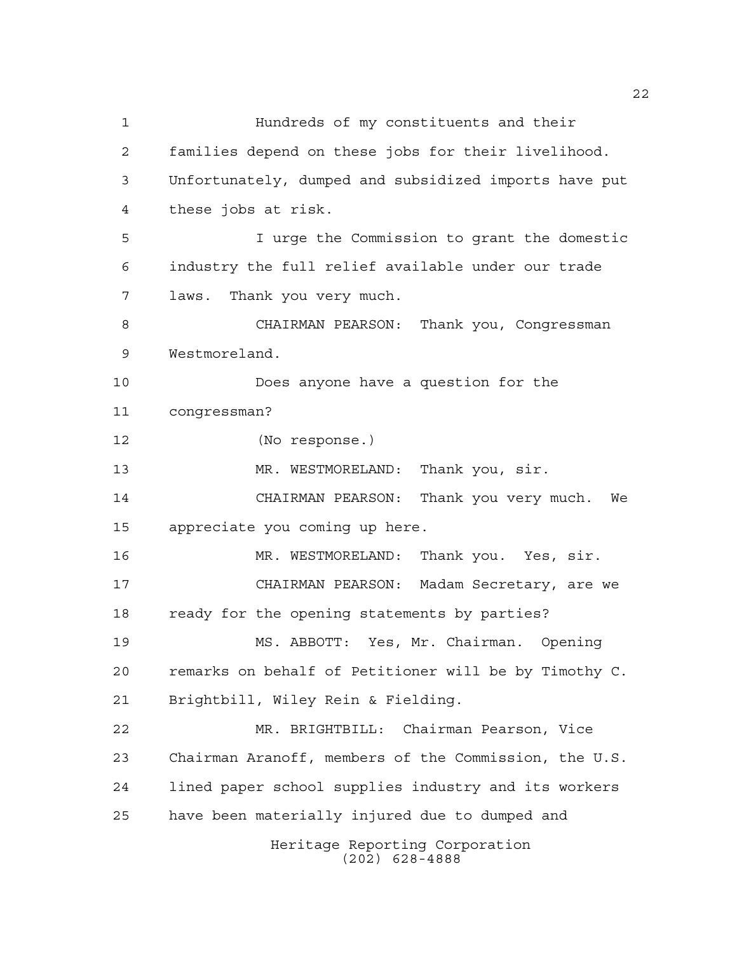Heritage Reporting Corporation (202) 628-4888 Hundreds of my constituents and their families depend on these jobs for their livelihood. Unfortunately, dumped and subsidized imports have put these jobs at risk. I urge the Commission to grant the domestic industry the full relief available under our trade laws. Thank you very much. CHAIRMAN PEARSON: Thank you, Congressman Westmoreland. Does anyone have a question for the congressman? (No response.) 13 MR. WESTMORELAND: Thank you, sir. CHAIRMAN PEARSON: Thank you very much. We appreciate you coming up here. MR. WESTMORELAND: Thank you. Yes, sir. CHAIRMAN PEARSON: Madam Secretary, are we ready for the opening statements by parties? MS. ABBOTT: Yes, Mr. Chairman. Opening remarks on behalf of Petitioner will be by Timothy C. Brightbill, Wiley Rein & Fielding. MR. BRIGHTBILL: Chairman Pearson, Vice Chairman Aranoff, members of the Commission, the U.S. lined paper school supplies industry and its workers have been materially injured due to dumped and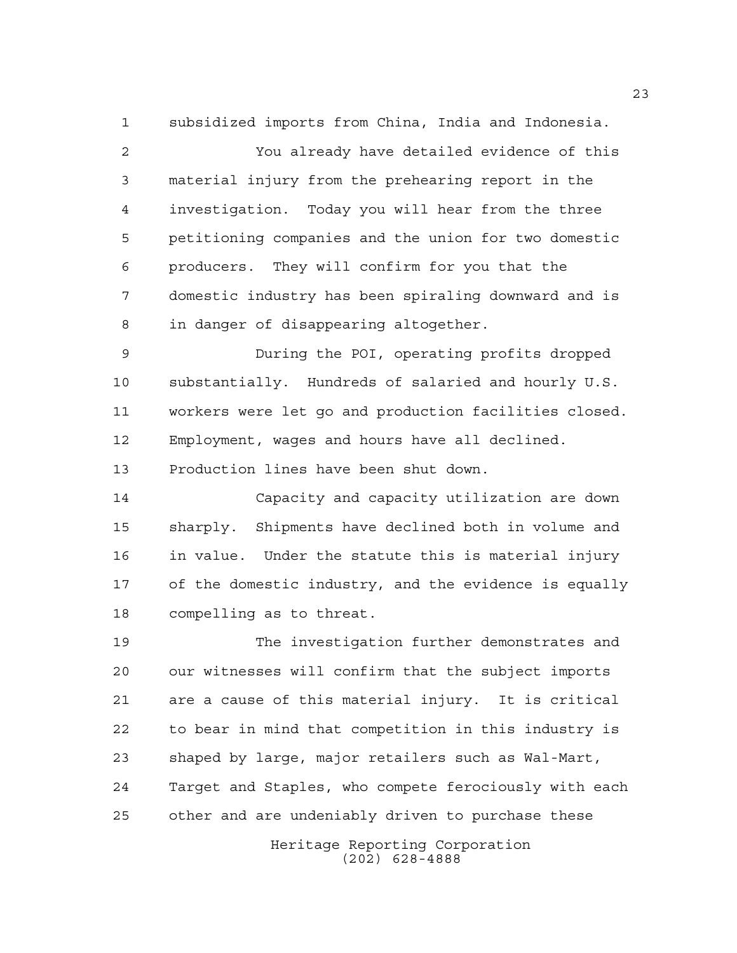subsidized imports from China, India and Indonesia.

 You already have detailed evidence of this material injury from the prehearing report in the investigation. Today you will hear from the three petitioning companies and the union for two domestic producers. They will confirm for you that the domestic industry has been spiraling downward and is in danger of disappearing altogether.

 During the POI, operating profits dropped substantially. Hundreds of salaried and hourly U.S. workers were let go and production facilities closed. Employment, wages and hours have all declined. Production lines have been shut down.

 Capacity and capacity utilization are down sharply. Shipments have declined both in volume and in value. Under the statute this is material injury of the domestic industry, and the evidence is equally compelling as to threat.

 The investigation further demonstrates and our witnesses will confirm that the subject imports are a cause of this material injury. It is critical to bear in mind that competition in this industry is shaped by large, major retailers such as Wal-Mart, Target and Staples, who compete ferociously with each other and are undeniably driven to purchase these

> Heritage Reporting Corporation (202) 628-4888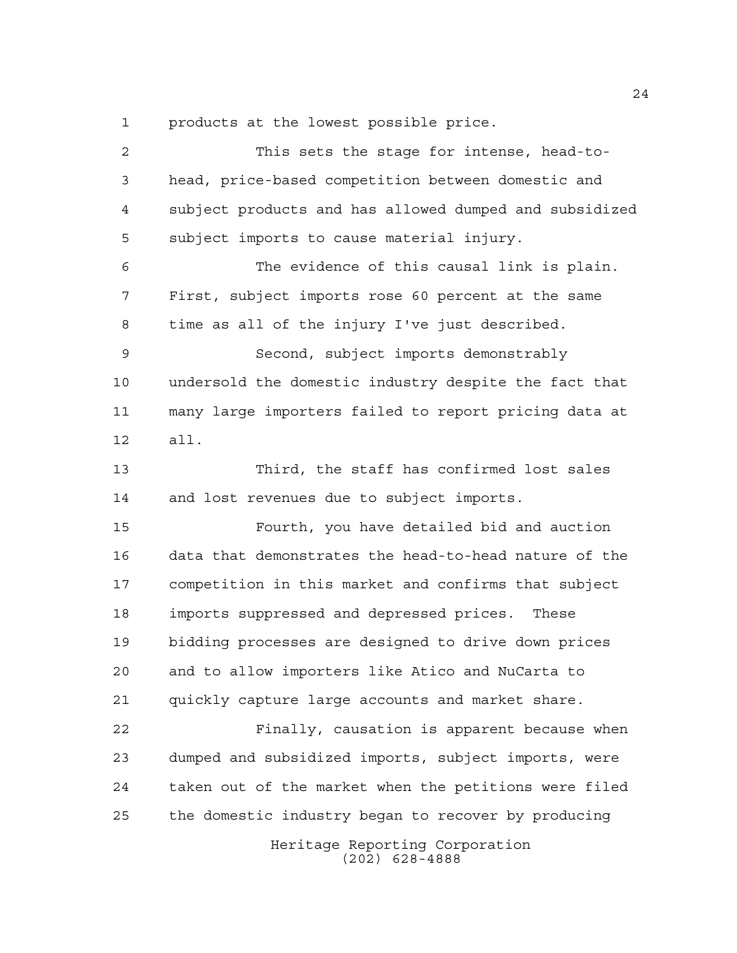products at the lowest possible price.

Heritage Reporting Corporation (202) 628-4888 This sets the stage for intense, head-to- head, price-based competition between domestic and subject products and has allowed dumped and subsidized subject imports to cause material injury. The evidence of this causal link is plain. First, subject imports rose 60 percent at the same time as all of the injury I've just described. Second, subject imports demonstrably undersold the domestic industry despite the fact that many large importers failed to report pricing data at all. Third, the staff has confirmed lost sales and lost revenues due to subject imports. Fourth, you have detailed bid and auction data that demonstrates the head-to-head nature of the competition in this market and confirms that subject imports suppressed and depressed prices. These bidding processes are designed to drive down prices and to allow importers like Atico and NuCarta to quickly capture large accounts and market share. Finally, causation is apparent because when dumped and subsidized imports, subject imports, were taken out of the market when the petitions were filed the domestic industry began to recover by producing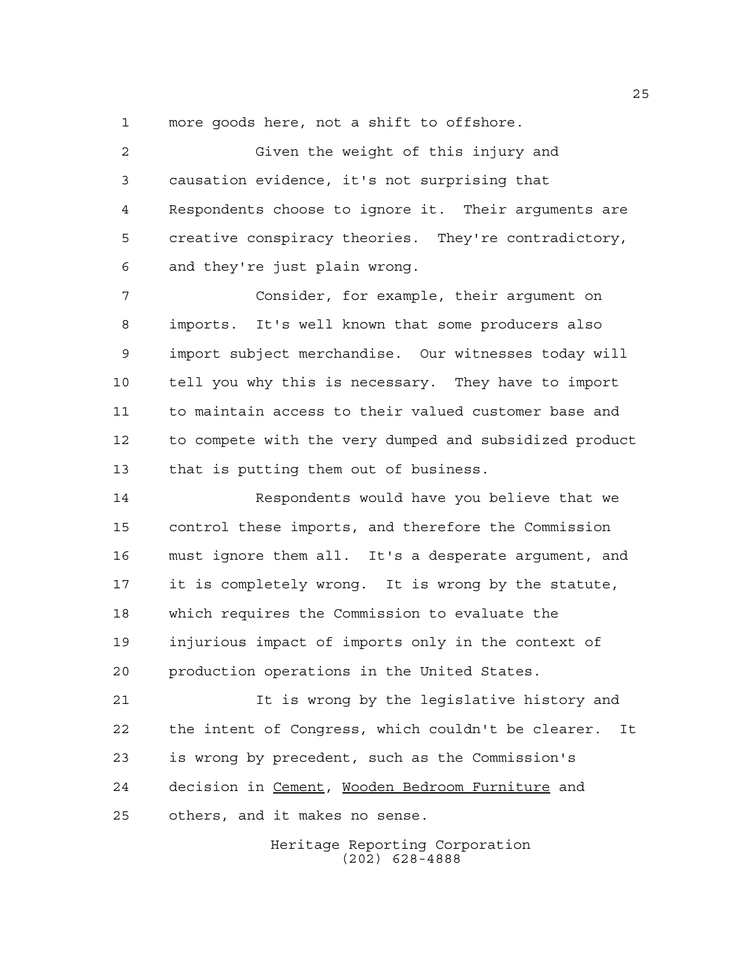more goods here, not a shift to offshore.

 Given the weight of this injury and causation evidence, it's not surprising that Respondents choose to ignore it. Their arguments are creative conspiracy theories. They're contradictory, and they're just plain wrong.

 Consider, for example, their argument on imports. It's well known that some producers also import subject merchandise. Our witnesses today will tell you why this is necessary. They have to import to maintain access to their valued customer base and to compete with the very dumped and subsidized product that is putting them out of business.

 Respondents would have you believe that we control these imports, and therefore the Commission must ignore them all. It's a desperate argument, and it is completely wrong. It is wrong by the statute, which requires the Commission to evaluate the injurious impact of imports only in the context of production operations in the United States.

 It is wrong by the legislative history and the intent of Congress, which couldn't be clearer. It is wrong by precedent, such as the Commission's decision in Cement, Wooden Bedroom Furniture and others, and it makes no sense.

> Heritage Reporting Corporation (202) 628-4888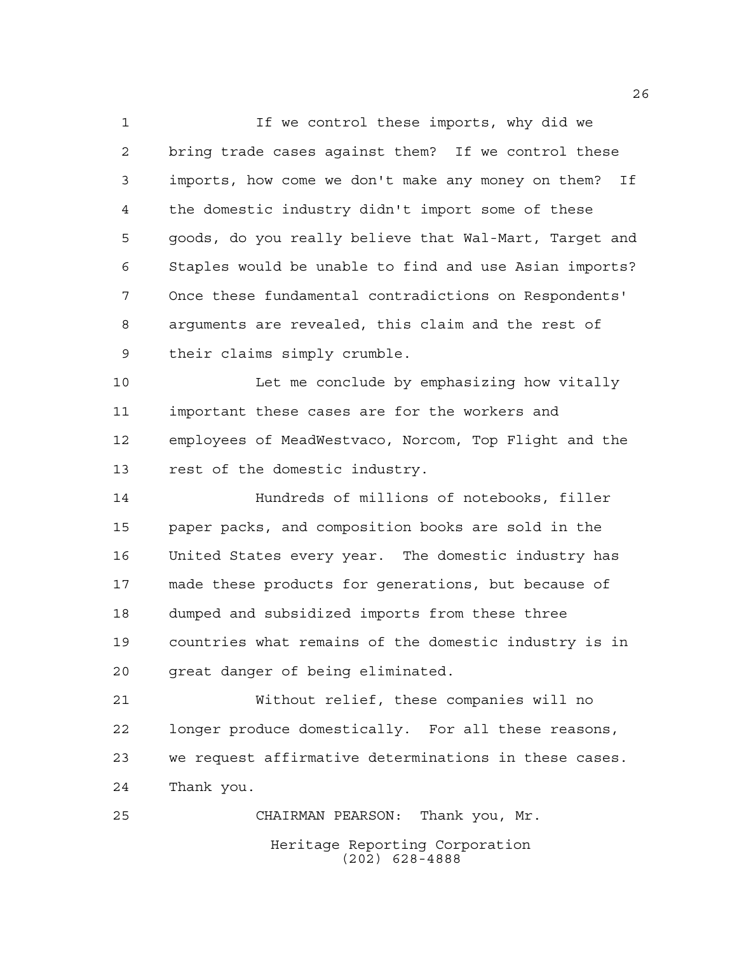If we control these imports, why did we bring trade cases against them? If we control these imports, how come we don't make any money on them? If the domestic industry didn't import some of these goods, do you really believe that Wal-Mart, Target and Staples would be unable to find and use Asian imports? Once these fundamental contradictions on Respondents' arguments are revealed, this claim and the rest of their claims simply crumble.

 Let me conclude by emphasizing how vitally important these cases are for the workers and employees of MeadWestvaco, Norcom, Top Flight and the rest of the domestic industry.

 Hundreds of millions of notebooks, filler paper packs, and composition books are sold in the United States every year. The domestic industry has made these products for generations, but because of dumped and subsidized imports from these three countries what remains of the domestic industry is in great danger of being eliminated.

 Without relief, these companies will no longer produce domestically. For all these reasons, we request affirmative determinations in these cases. Thank you.

Heritage Reporting Corporation (202) 628-4888 CHAIRMAN PEARSON: Thank you, Mr.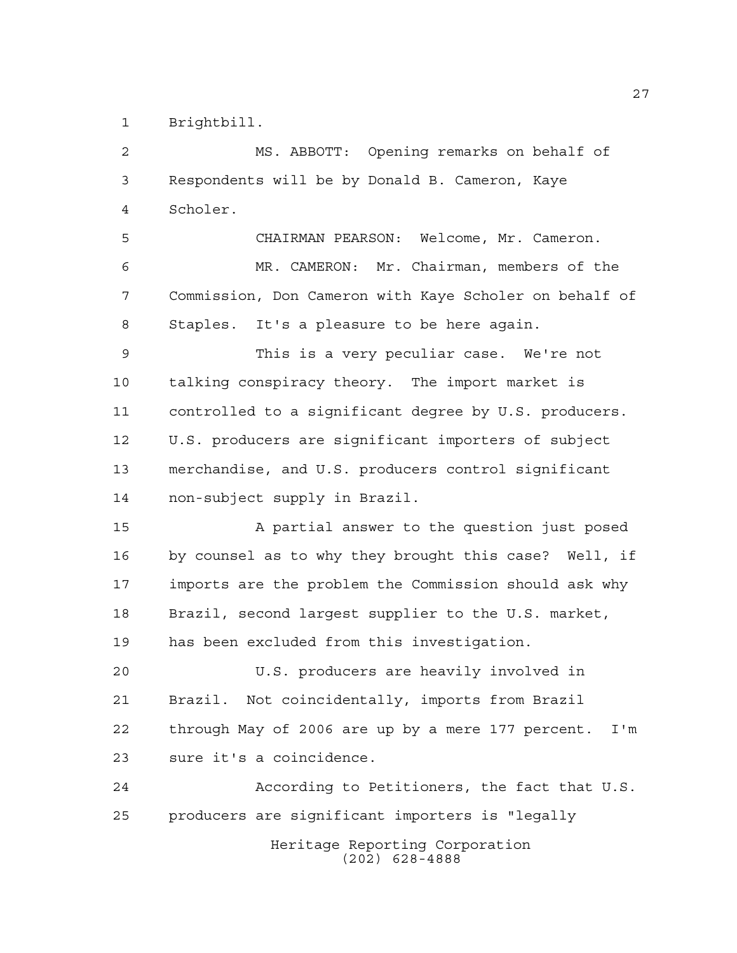Brightbill.

 MS. ABBOTT: Opening remarks on behalf of Respondents will be by Donald B. Cameron, Kaye Scholer.

 CHAIRMAN PEARSON: Welcome, Mr. Cameron. MR. CAMERON: Mr. Chairman, members of the Commission, Don Cameron with Kaye Scholer on behalf of Staples. It's a pleasure to be here again.

 This is a very peculiar case. We're not talking conspiracy theory. The import market is controlled to a significant degree by U.S. producers. U.S. producers are significant importers of subject merchandise, and U.S. producers control significant non-subject supply in Brazil.

 A partial answer to the question just posed by counsel as to why they brought this case? Well, if imports are the problem the Commission should ask why Brazil, second largest supplier to the U.S. market, has been excluded from this investigation.

 U.S. producers are heavily involved in Brazil. Not coincidentally, imports from Brazil through May of 2006 are up by a mere 177 percent. I'm sure it's a coincidence.

Heritage Reporting Corporation According to Petitioners, the fact that U.S. producers are significant importers is "legally

(202) 628-4888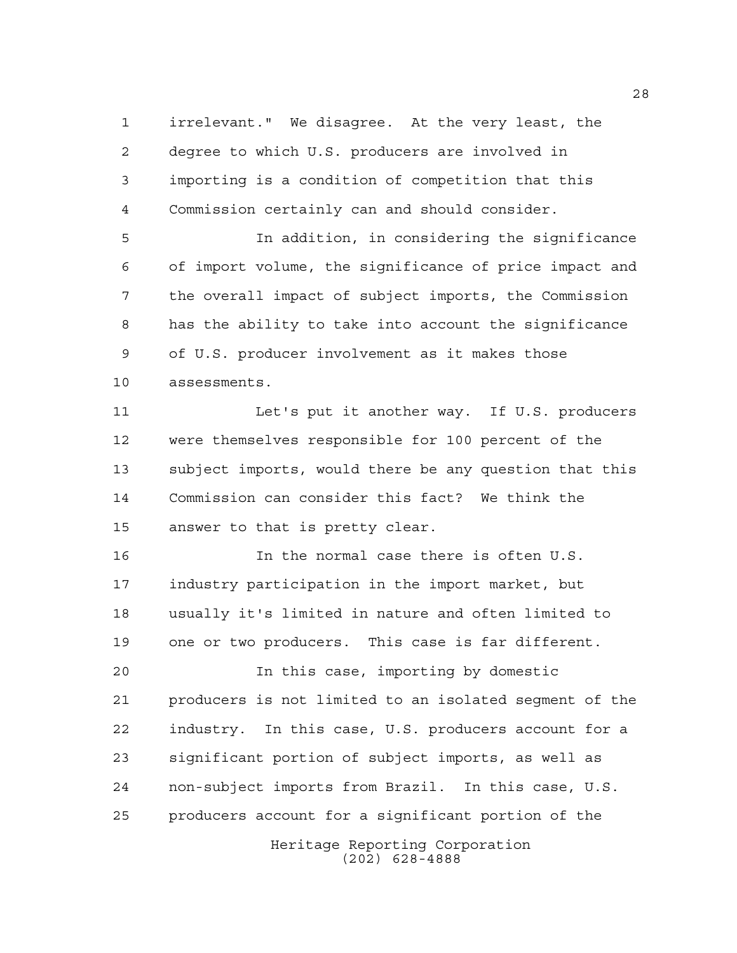irrelevant." We disagree. At the very least, the degree to which U.S. producers are involved in importing is a condition of competition that this Commission certainly can and should consider.

 In addition, in considering the significance of import volume, the significance of price impact and the overall impact of subject imports, the Commission has the ability to take into account the significance of U.S. producer involvement as it makes those assessments.

 Let's put it another way. If U.S. producers were themselves responsible for 100 percent of the subject imports, would there be any question that this Commission can consider this fact? We think the answer to that is pretty clear.

 In the normal case there is often U.S. industry participation in the import market, but usually it's limited in nature and often limited to one or two producers. This case is far different.

 In this case, importing by domestic producers is not limited to an isolated segment of the industry. In this case, U.S. producers account for a significant portion of subject imports, as well as non-subject imports from Brazil. In this case, U.S. producers account for a significant portion of the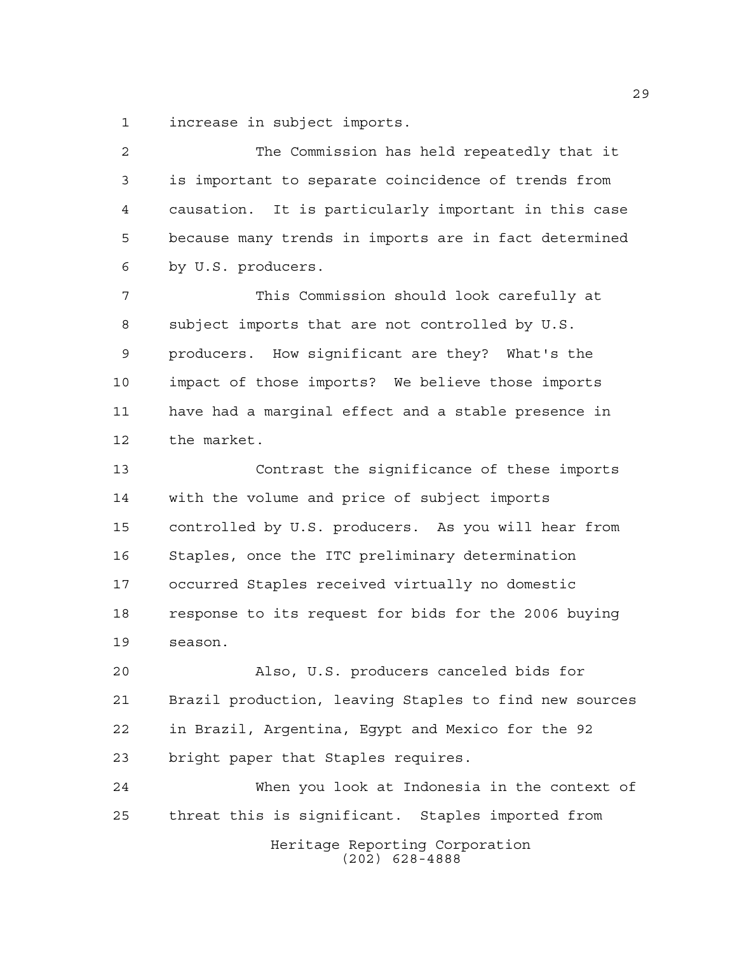increase in subject imports.

Heritage Reporting Corporation (202) 628-4888 The Commission has held repeatedly that it is important to separate coincidence of trends from causation. It is particularly important in this case because many trends in imports are in fact determined by U.S. producers. This Commission should look carefully at subject imports that are not controlled by U.S. producers. How significant are they? What's the impact of those imports? We believe those imports have had a marginal effect and a stable presence in the market. Contrast the significance of these imports with the volume and price of subject imports controlled by U.S. producers. As you will hear from Staples, once the ITC preliminary determination occurred Staples received virtually no domestic response to its request for bids for the 2006 buying season. Also, U.S. producers canceled bids for Brazil production, leaving Staples to find new sources in Brazil, Argentina, Egypt and Mexico for the 92 bright paper that Staples requires. When you look at Indonesia in the context of threat this is significant. Staples imported from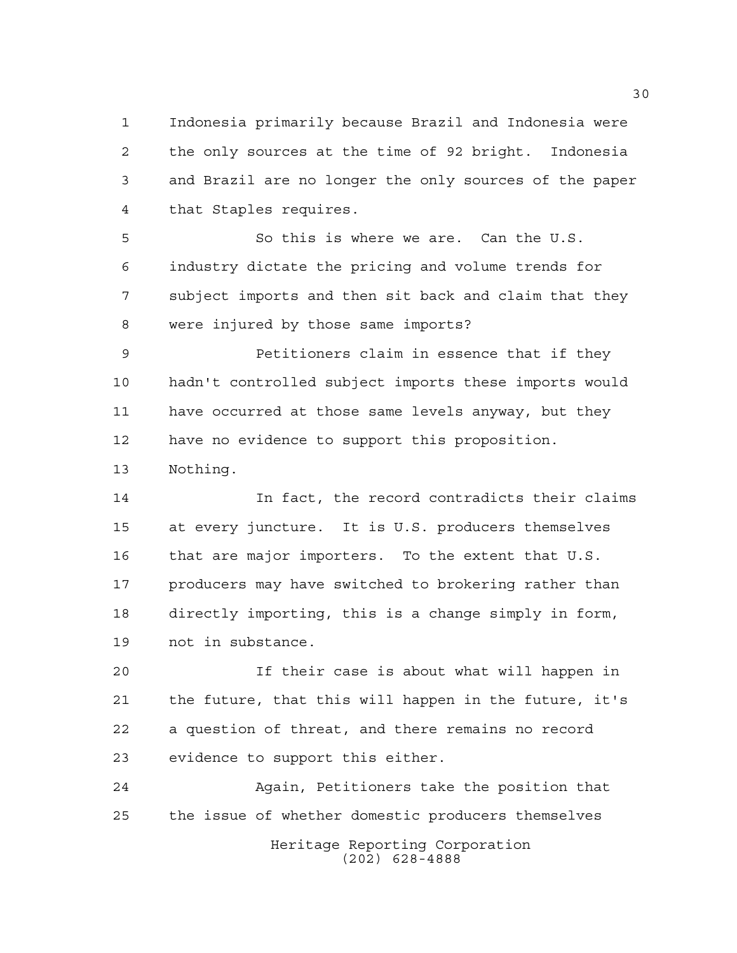Indonesia primarily because Brazil and Indonesia were the only sources at the time of 92 bright. Indonesia and Brazil are no longer the only sources of the paper that Staples requires.

 So this is where we are. Can the U.S. industry dictate the pricing and volume trends for subject imports and then sit back and claim that they were injured by those same imports?

 Petitioners claim in essence that if they hadn't controlled subject imports these imports would have occurred at those same levels anyway, but they have no evidence to support this proposition. Nothing.

 In fact, the record contradicts their claims at every juncture. It is U.S. producers themselves that are major importers. To the extent that U.S. 17 producers may have switched to brokering rather than directly importing, this is a change simply in form, not in substance.

 If their case is about what will happen in the future, that this will happen in the future, it's a question of threat, and there remains no record evidence to support this either.

Heritage Reporting Corporation (202) 628-4888 Again, Petitioners take the position that the issue of whether domestic producers themselves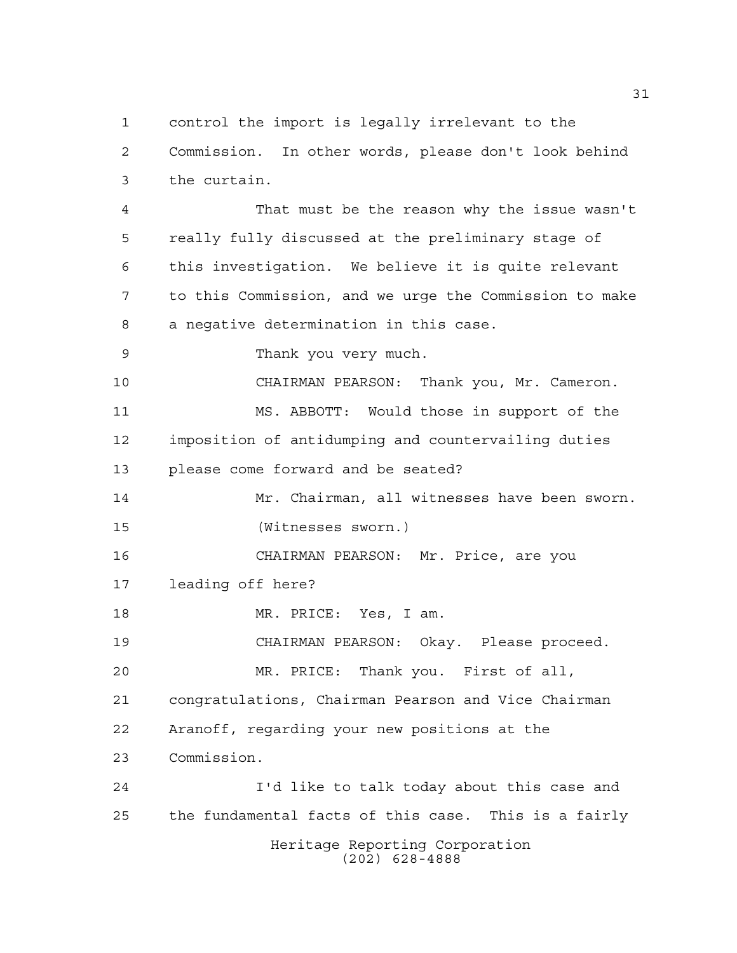control the import is legally irrelevant to the Commission. In other words, please don't look behind the curtain.

 That must be the reason why the issue wasn't really fully discussed at the preliminary stage of this investigation. We believe it is quite relevant to this Commission, and we urge the Commission to make a negative determination in this case.

Thank you very much.

 CHAIRMAN PEARSON: Thank you, Mr. Cameron. MS. ABBOTT: Would those in support of the imposition of antidumping and countervailing duties please come forward and be seated?

 Mr. Chairman, all witnesses have been sworn. (Witnesses sworn.)

 CHAIRMAN PEARSON: Mr. Price, are you leading off here?

MR. PRICE: Yes, I am.

CHAIRMAN PEARSON: Okay. Please proceed.

 MR. PRICE: Thank you. First of all, congratulations, Chairman Pearson and Vice Chairman Aranoff, regarding your new positions at the Commission.

Heritage Reporting Corporation (202) 628-4888 I'd like to talk today about this case and the fundamental facts of this case. This is a fairly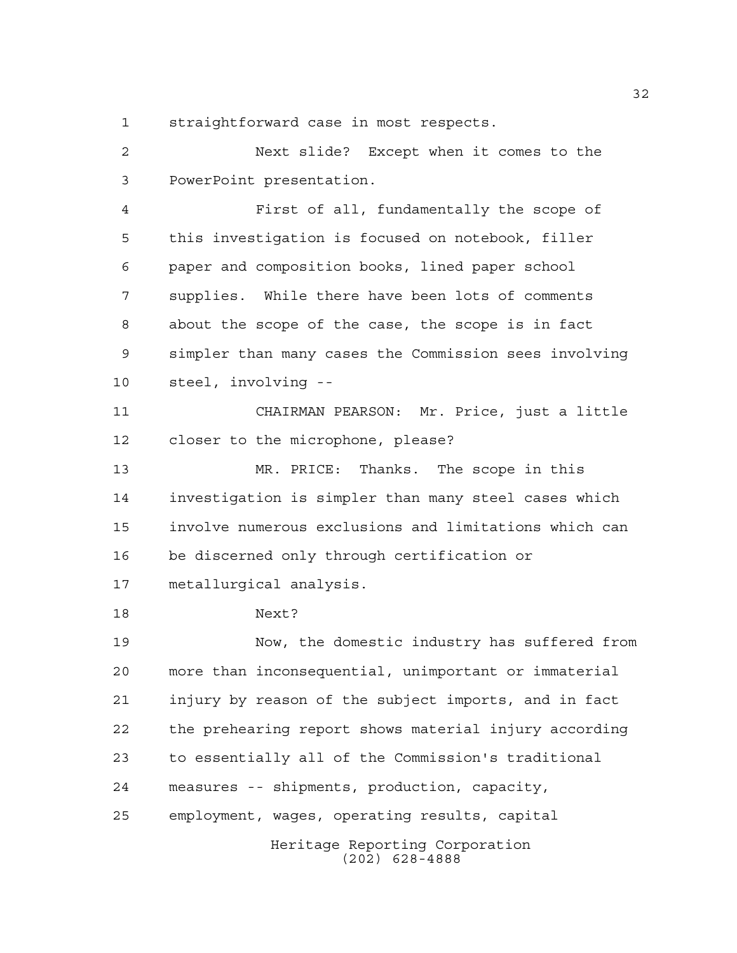straightforward case in most respects.

 Next slide? Except when it comes to the PowerPoint presentation.

 First of all, fundamentally the scope of this investigation is focused on notebook, filler paper and composition books, lined paper school supplies. While there have been lots of comments about the scope of the case, the scope is in fact simpler than many cases the Commission sees involving steel, involving --

 CHAIRMAN PEARSON: Mr. Price, just a little closer to the microphone, please?

 MR. PRICE: Thanks. The scope in this investigation is simpler than many steel cases which involve numerous exclusions and limitations which can be discerned only through certification or

metallurgical analysis.

Next?

 Now, the domestic industry has suffered from more than inconsequential, unimportant or immaterial injury by reason of the subject imports, and in fact the prehearing report shows material injury according to essentially all of the Commission's traditional measures -- shipments, production, capacity, employment, wages, operating results, capital

Heritage Reporting Corporation (202) 628-4888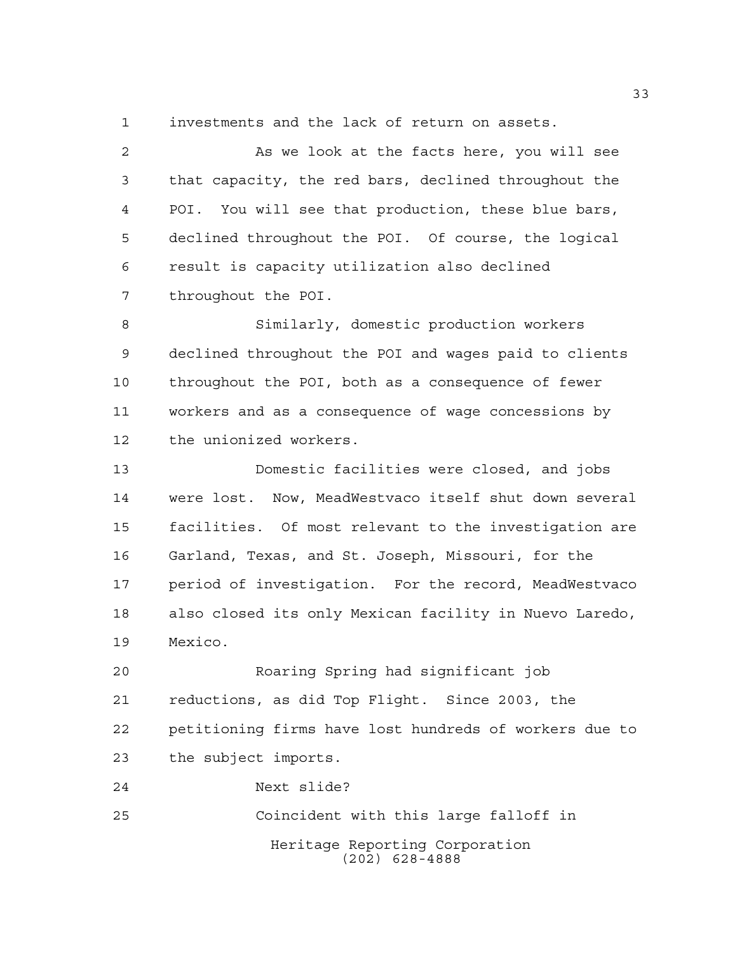investments and the lack of return on assets.

 As we look at the facts here, you will see that capacity, the red bars, declined throughout the POI. You will see that production, these blue bars, declined throughout the POI. Of course, the logical result is capacity utilization also declined throughout the POI.

 Similarly, domestic production workers declined throughout the POI and wages paid to clients throughout the POI, both as a consequence of fewer workers and as a consequence of wage concessions by the unionized workers.

 Domestic facilities were closed, and jobs were lost. Now, MeadWestvaco itself shut down several facilities. Of most relevant to the investigation are Garland, Texas, and St. Joseph, Missouri, for the period of investigation. For the record, MeadWestvaco also closed its only Mexican facility in Nuevo Laredo, Mexico.

 Roaring Spring had significant job reductions, as did Top Flight. Since 2003, the petitioning firms have lost hundreds of workers due to the subject imports.

Heritage Reporting Corporation (202) 628-4888 Next slide? Coincident with this large falloff in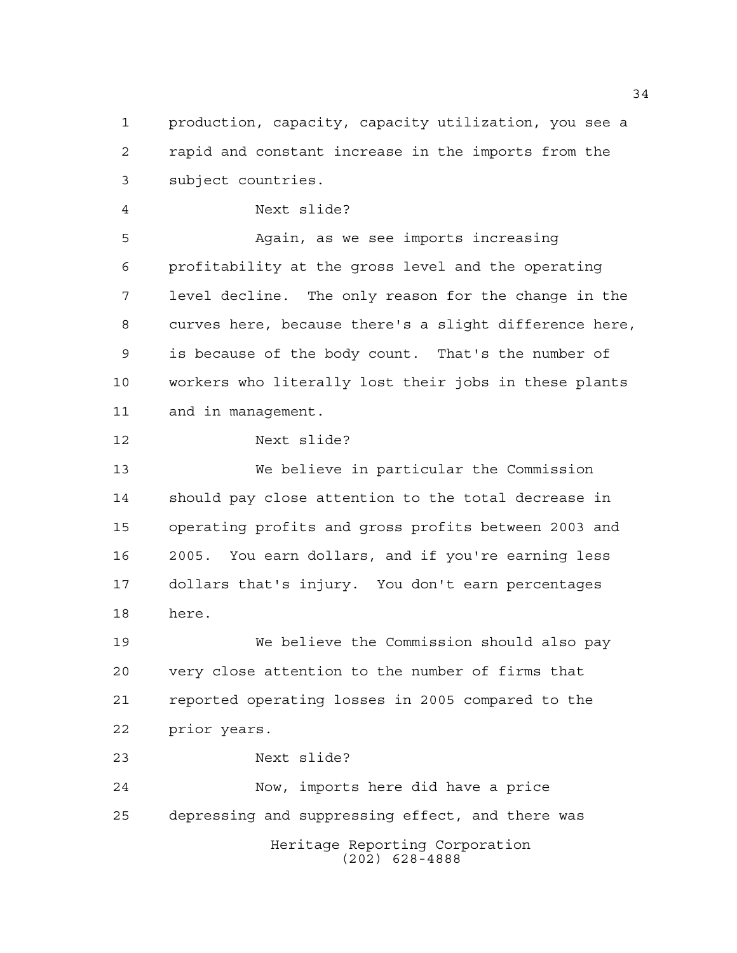production, capacity, capacity utilization, you see a rapid and constant increase in the imports from the subject countries.

Next slide?

 Again, as we see imports increasing profitability at the gross level and the operating level decline. The only reason for the change in the curves here, because there's a slight difference here, is because of the body count. That's the number of workers who literally lost their jobs in these plants and in management.

Next slide?

 We believe in particular the Commission should pay close attention to the total decrease in operating profits and gross profits between 2003 and 2005. You earn dollars, and if you're earning less dollars that's injury. You don't earn percentages here.

 We believe the Commission should also pay very close attention to the number of firms that reported operating losses in 2005 compared to the prior years.

Next slide?

Heritage Reporting Corporation (202) 628-4888 Now, imports here did have a price depressing and suppressing effect, and there was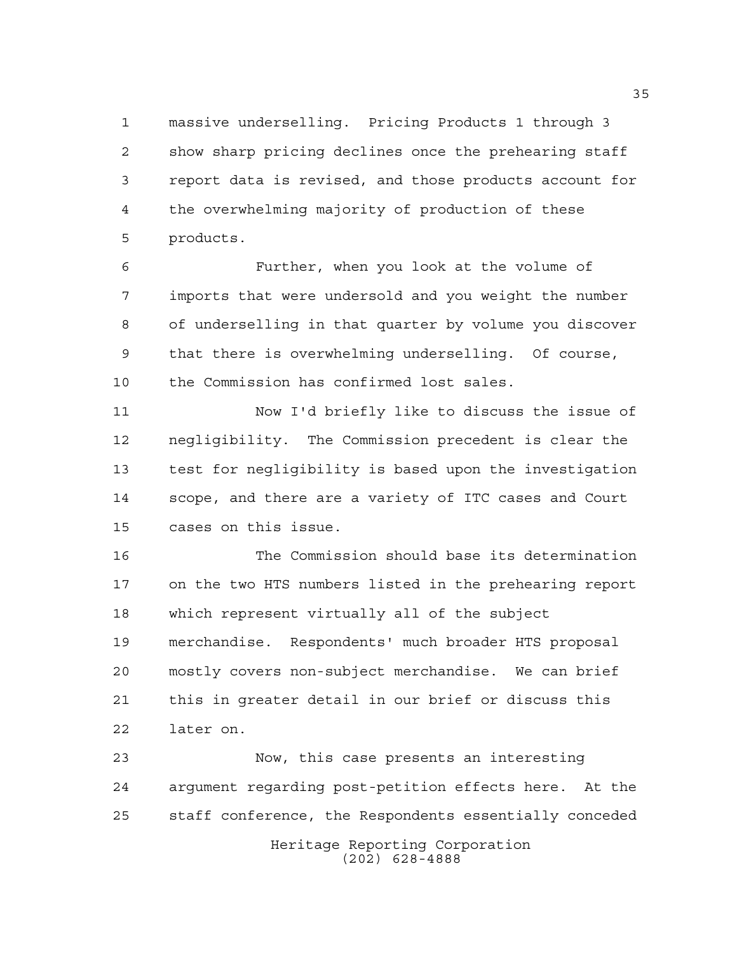massive underselling. Pricing Products 1 through 3 show sharp pricing declines once the prehearing staff report data is revised, and those products account for the overwhelming majority of production of these products.

 Further, when you look at the volume of imports that were undersold and you weight the number of underselling in that quarter by volume you discover that there is overwhelming underselling. Of course, the Commission has confirmed lost sales.

 Now I'd briefly like to discuss the issue of negligibility. The Commission precedent is clear the test for negligibility is based upon the investigation scope, and there are a variety of ITC cases and Court cases on this issue.

 The Commission should base its determination on the two HTS numbers listed in the prehearing report which represent virtually all of the subject merchandise. Respondents' much broader HTS proposal mostly covers non-subject merchandise. We can brief this in greater detail in our brief or discuss this later on.

Heritage Reporting Corporation Now, this case presents an interesting argument regarding post-petition effects here. At the staff conference, the Respondents essentially conceded

(202) 628-4888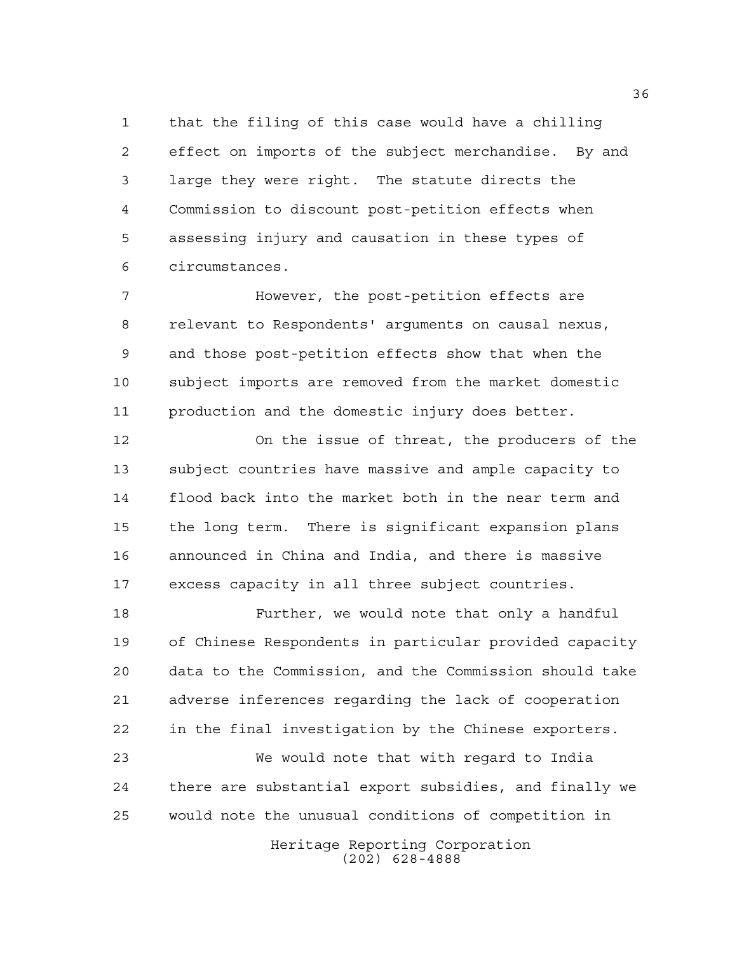that the filing of this case would have a chilling effect on imports of the subject merchandise. By and large they were right. The statute directs the Commission to discount post-petition effects when assessing injury and causation in these types of circumstances.

 However, the post-petition effects are relevant to Respondents' arguments on causal nexus, and those post-petition effects show that when the subject imports are removed from the market domestic production and the domestic injury does better.

 On the issue of threat, the producers of the subject countries have massive and ample capacity to flood back into the market both in the near term and the long term. There is significant expansion plans announced in China and India, and there is massive excess capacity in all three subject countries.

 Further, we would note that only a handful of Chinese Respondents in particular provided capacity data to the Commission, and the Commission should take adverse inferences regarding the lack of cooperation in the final investigation by the Chinese exporters.

 We would note that with regard to India there are substantial export subsidies, and finally we would note the unusual conditions of competition in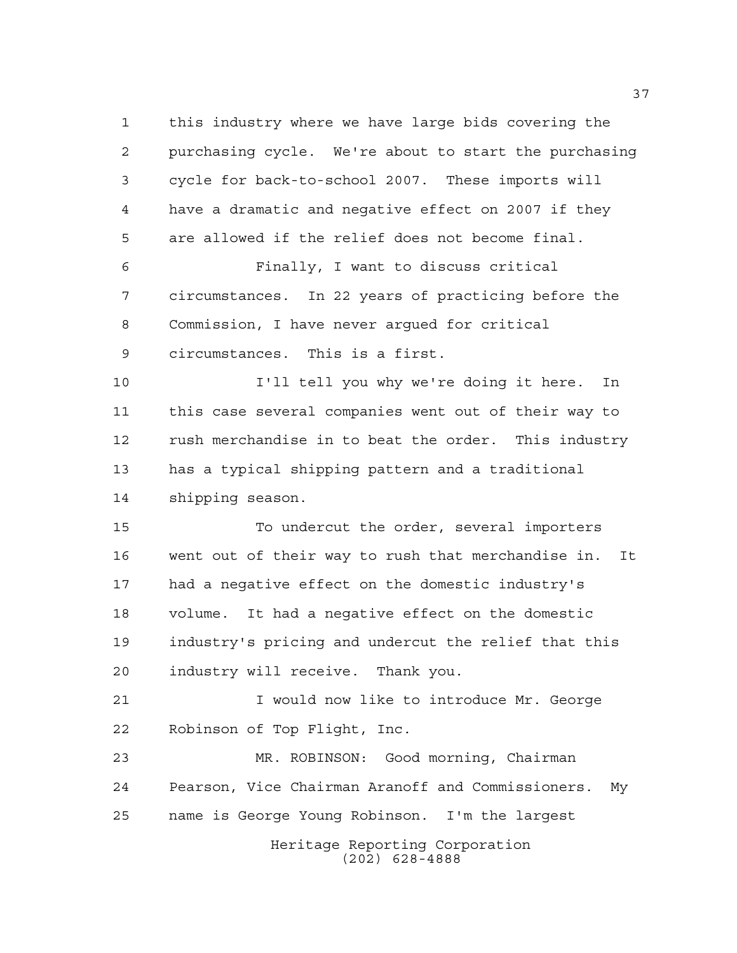Heritage Reporting Corporation (202) 628-4888 this industry where we have large bids covering the purchasing cycle. We're about to start the purchasing cycle for back-to-school 2007. These imports will have a dramatic and negative effect on 2007 if they are allowed if the relief does not become final. Finally, I want to discuss critical circumstances. In 22 years of practicing before the Commission, I have never argued for critical circumstances. This is a first. I'll tell you why we're doing it here. In this case several companies went out of their way to rush merchandise in to beat the order. This industry has a typical shipping pattern and a traditional shipping season. To undercut the order, several importers went out of their way to rush that merchandise in. It had a negative effect on the domestic industry's volume. It had a negative effect on the domestic industry's pricing and undercut the relief that this industry will receive. Thank you. I would now like to introduce Mr. George Robinson of Top Flight, Inc. MR. ROBINSON: Good morning, Chairman Pearson, Vice Chairman Aranoff and Commissioners. My name is George Young Robinson. I'm the largest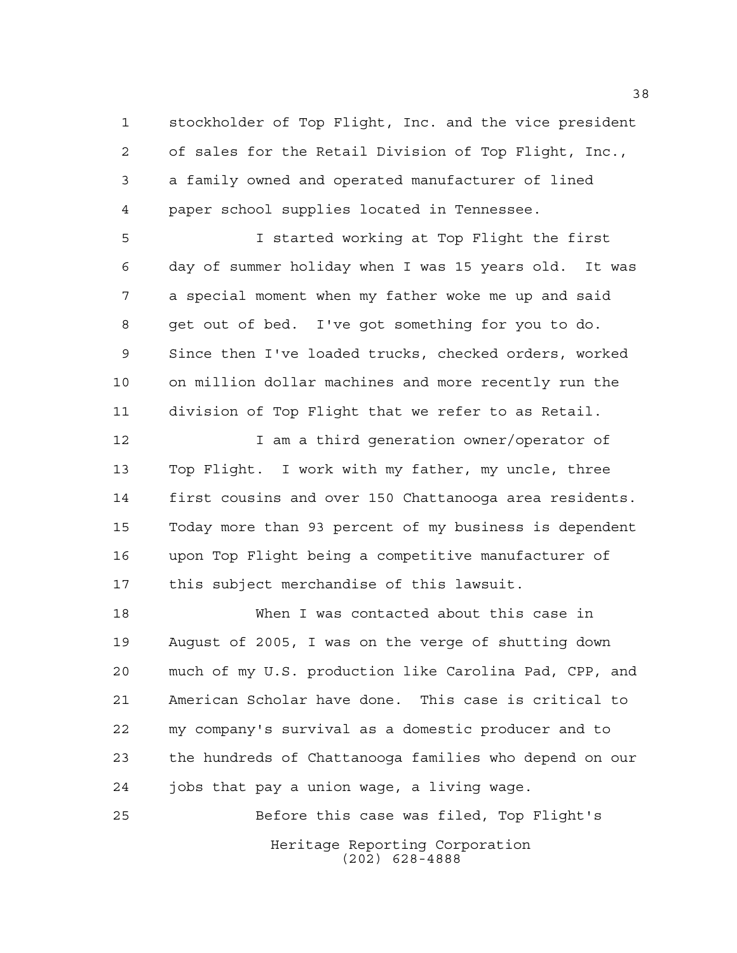stockholder of Top Flight, Inc. and the vice president of sales for the Retail Division of Top Flight, Inc., a family owned and operated manufacturer of lined paper school supplies located in Tennessee.

 I started working at Top Flight the first day of summer holiday when I was 15 years old. It was a special moment when my father woke me up and said get out of bed. I've got something for you to do. Since then I've loaded trucks, checked orders, worked on million dollar machines and more recently run the division of Top Flight that we refer to as Retail.

**I** am a third generation owner/operator of Top Flight. I work with my father, my uncle, three first cousins and over 150 Chattanooga area residents. Today more than 93 percent of my business is dependent upon Top Flight being a competitive manufacturer of this subject merchandise of this lawsuit.

 When I was contacted about this case in August of 2005, I was on the verge of shutting down much of my U.S. production like Carolina Pad, CPP, and American Scholar have done. This case is critical to my company's survival as a domestic producer and to the hundreds of Chattanooga families who depend on our jobs that pay a union wage, a living wage.

Heritage Reporting Corporation (202) 628-4888 Before this case was filed, Top Flight's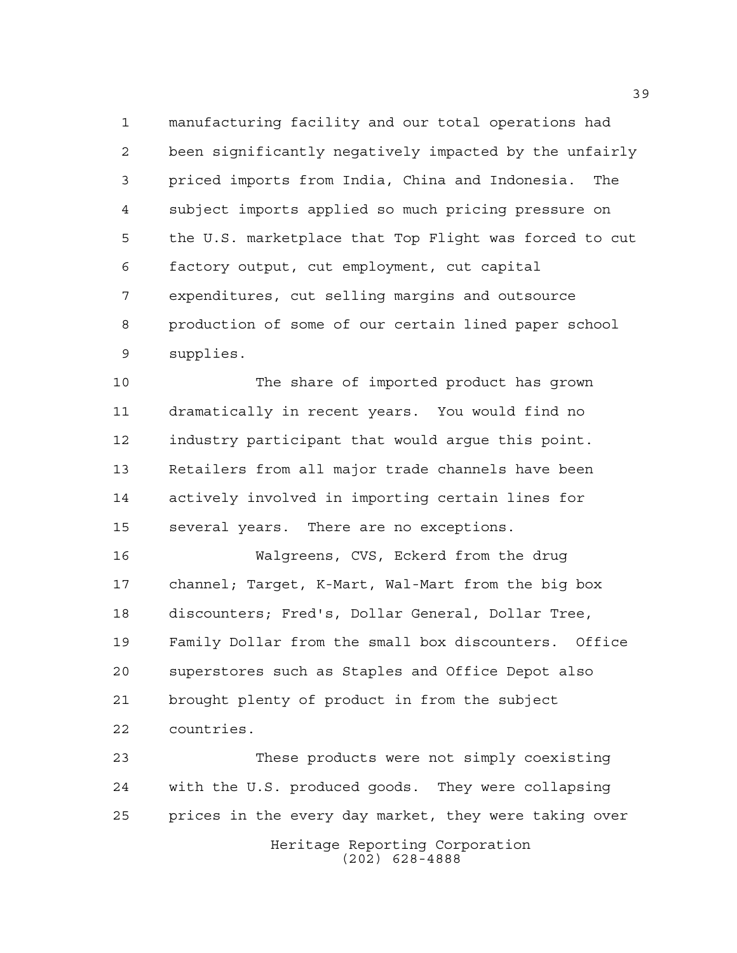manufacturing facility and our total operations had been significantly negatively impacted by the unfairly priced imports from India, China and Indonesia. The subject imports applied so much pricing pressure on the U.S. marketplace that Top Flight was forced to cut factory output, cut employment, cut capital expenditures, cut selling margins and outsource production of some of our certain lined paper school supplies.

 The share of imported product has grown dramatically in recent years. You would find no industry participant that would argue this point. Retailers from all major trade channels have been actively involved in importing certain lines for several years. There are no exceptions.

 Walgreens, CVS, Eckerd from the drug channel; Target, K-Mart, Wal-Mart from the big box discounters; Fred's, Dollar General, Dollar Tree, Family Dollar from the small box discounters. Office superstores such as Staples and Office Depot also brought plenty of product in from the subject countries.

Heritage Reporting Corporation These products were not simply coexisting with the U.S. produced goods. They were collapsing prices in the every day market, they were taking over

(202) 628-4888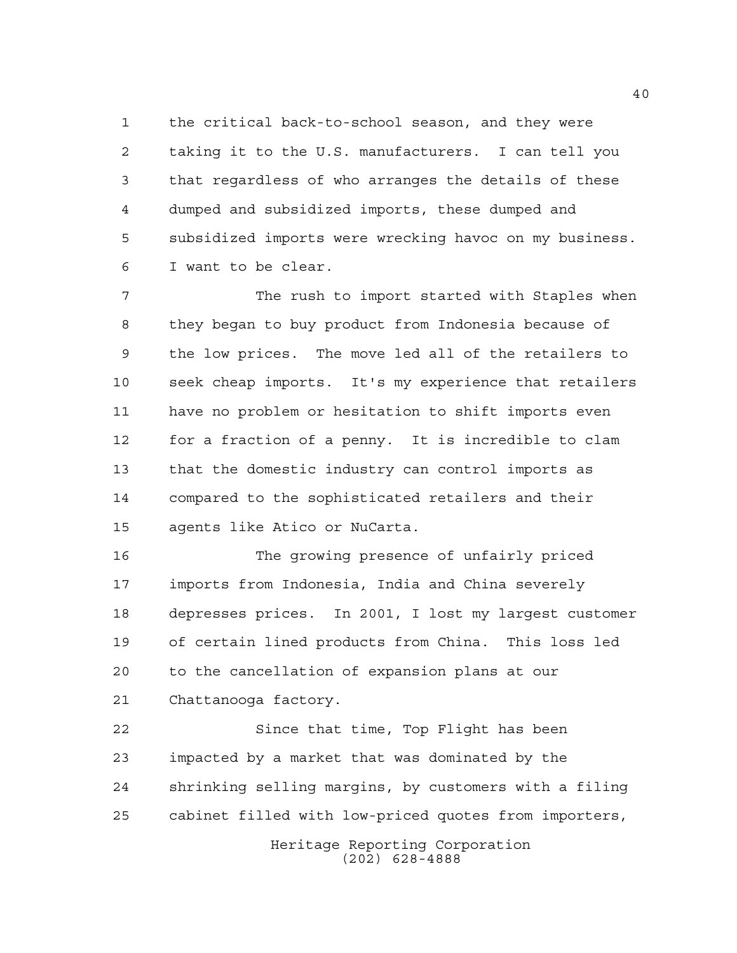the critical back-to-school season, and they were taking it to the U.S. manufacturers. I can tell you that regardless of who arranges the details of these dumped and subsidized imports, these dumped and subsidized imports were wrecking havoc on my business. I want to be clear.

 The rush to import started with Staples when they began to buy product from Indonesia because of the low prices. The move led all of the retailers to seek cheap imports. It's my experience that retailers have no problem or hesitation to shift imports even for a fraction of a penny. It is incredible to clam that the domestic industry can control imports as compared to the sophisticated retailers and their agents like Atico or NuCarta.

 The growing presence of unfairly priced imports from Indonesia, India and China severely depresses prices. In 2001, I lost my largest customer of certain lined products from China. This loss led to the cancellation of expansion plans at our Chattanooga factory.

 Since that time, Top Flight has been impacted by a market that was dominated by the shrinking selling margins, by customers with a filing cabinet filled with low-priced quotes from importers,

> Heritage Reporting Corporation (202) 628-4888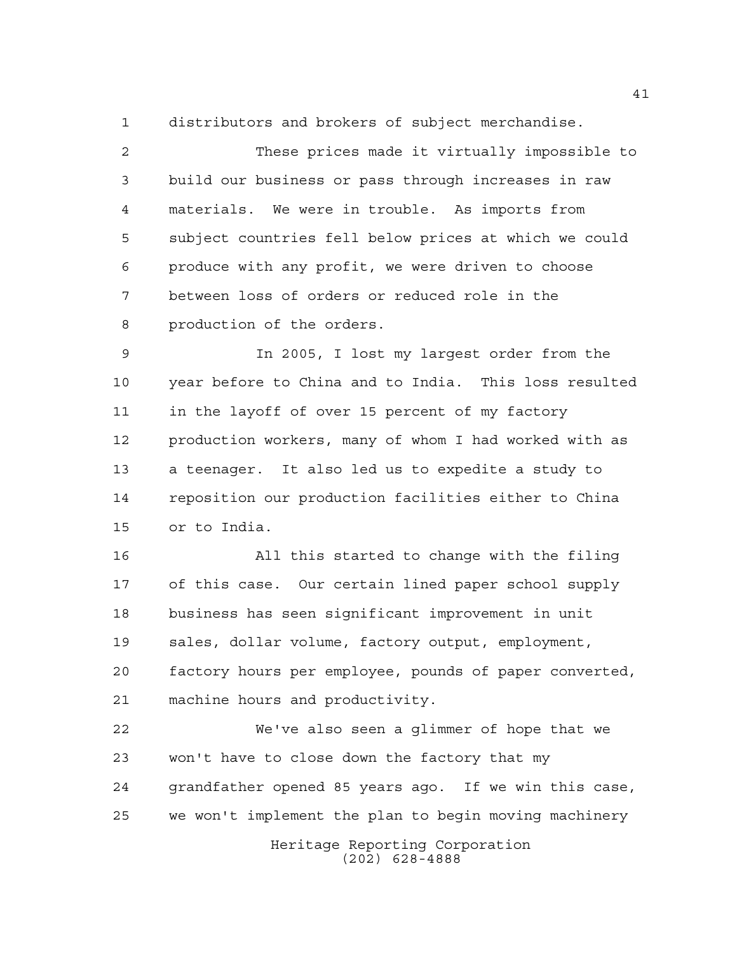distributors and brokers of subject merchandise.

 These prices made it virtually impossible to build our business or pass through increases in raw materials. We were in trouble. As imports from subject countries fell below prices at which we could produce with any profit, we were driven to choose between loss of orders or reduced role in the production of the orders.

 In 2005, I lost my largest order from the year before to China and to India. This loss resulted in the layoff of over 15 percent of my factory production workers, many of whom I had worked with as a teenager. It also led us to expedite a study to reposition our production facilities either to China or to India.

 All this started to change with the filing of this case. Our certain lined paper school supply business has seen significant improvement in unit sales, dollar volume, factory output, employment, factory hours per employee, pounds of paper converted, machine hours and productivity.

 We've also seen a glimmer of hope that we won't have to close down the factory that my grandfather opened 85 years ago. If we win this case, we won't implement the plan to begin moving machinery

Heritage Reporting Corporation (202) 628-4888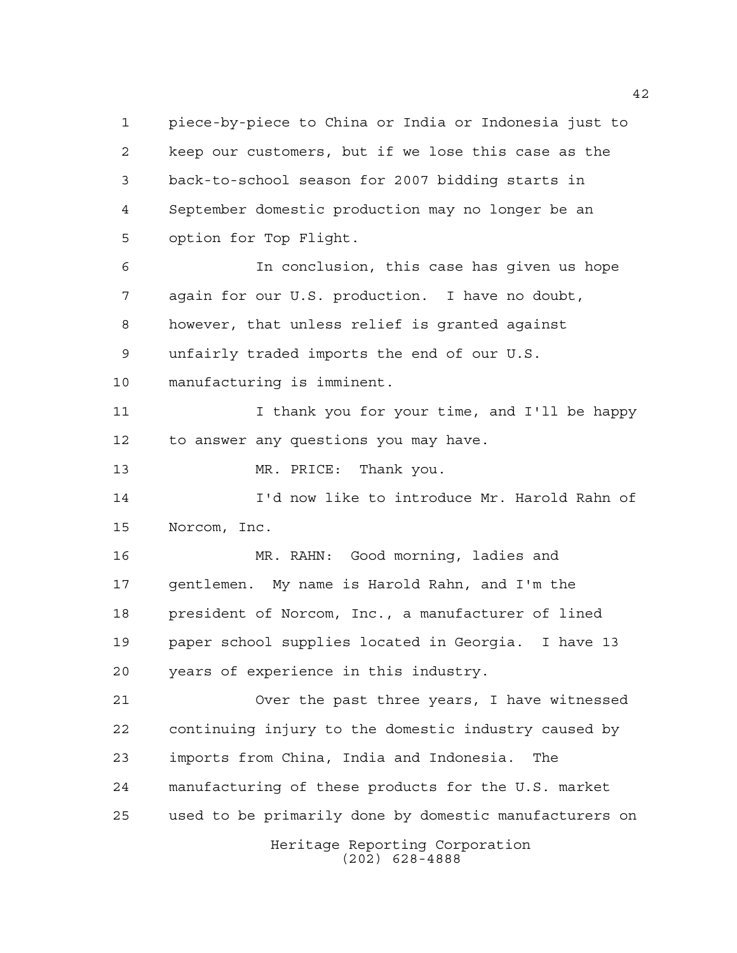Heritage Reporting Corporation (202) 628-4888 piece-by-piece to China or India or Indonesia just to keep our customers, but if we lose this case as the back-to-school season for 2007 bidding starts in September domestic production may no longer be an option for Top Flight. In conclusion, this case has given us hope again for our U.S. production. I have no doubt, however, that unless relief is granted against unfairly traded imports the end of our U.S. manufacturing is imminent. 11 I I thank you for your time, and I'll be happy to answer any questions you may have. 13 MR. PRICE: Thank you. I'd now like to introduce Mr. Harold Rahn of Norcom, Inc. MR. RAHN: Good morning, ladies and gentlemen. My name is Harold Rahn, and I'm the president of Norcom, Inc., a manufacturer of lined paper school supplies located in Georgia. I have 13 years of experience in this industry. Over the past three years, I have witnessed continuing injury to the domestic industry caused by imports from China, India and Indonesia. The manufacturing of these products for the U.S. market used to be primarily done by domestic manufacturers on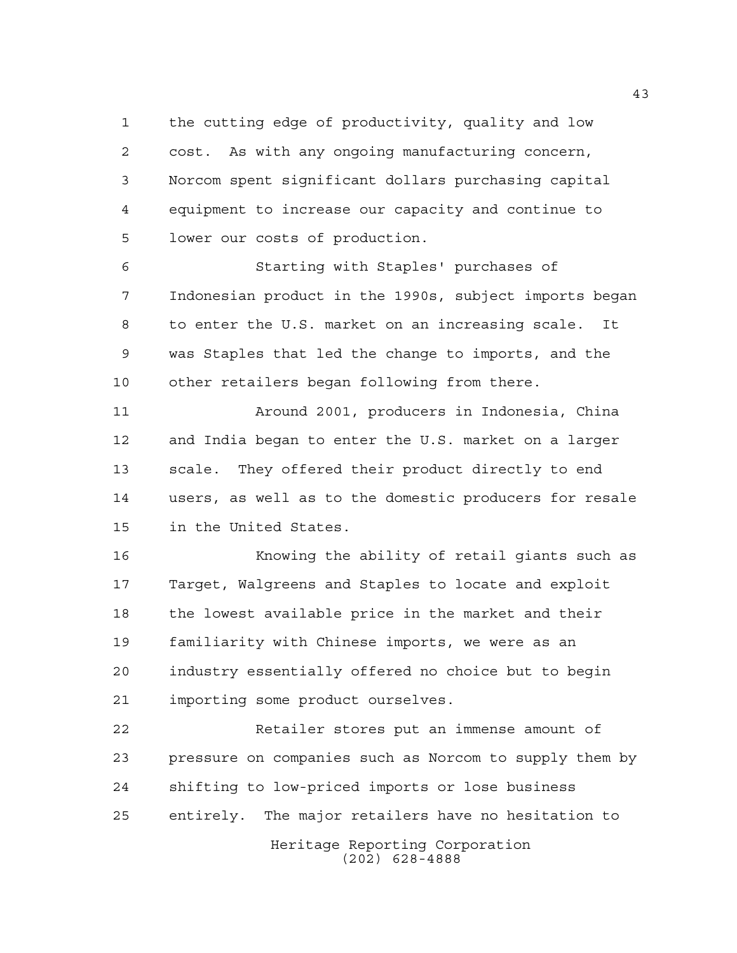the cutting edge of productivity, quality and low cost. As with any ongoing manufacturing concern, Norcom spent significant dollars purchasing capital equipment to increase our capacity and continue to lower our costs of production.

 Starting with Staples' purchases of Indonesian product in the 1990s, subject imports began to enter the U.S. market on an increasing scale. It was Staples that led the change to imports, and the other retailers began following from there.

 Around 2001, producers in Indonesia, China and India began to enter the U.S. market on a larger scale. They offered their product directly to end users, as well as to the domestic producers for resale in the United States.

 Knowing the ability of retail giants such as Target, Walgreens and Staples to locate and exploit the lowest available price in the market and their familiarity with Chinese imports, we were as an industry essentially offered no choice but to begin importing some product ourselves.

 Retailer stores put an immense amount of pressure on companies such as Norcom to supply them by shifting to low-priced imports or lose business entirely. The major retailers have no hesitation to

> Heritage Reporting Corporation (202) 628-4888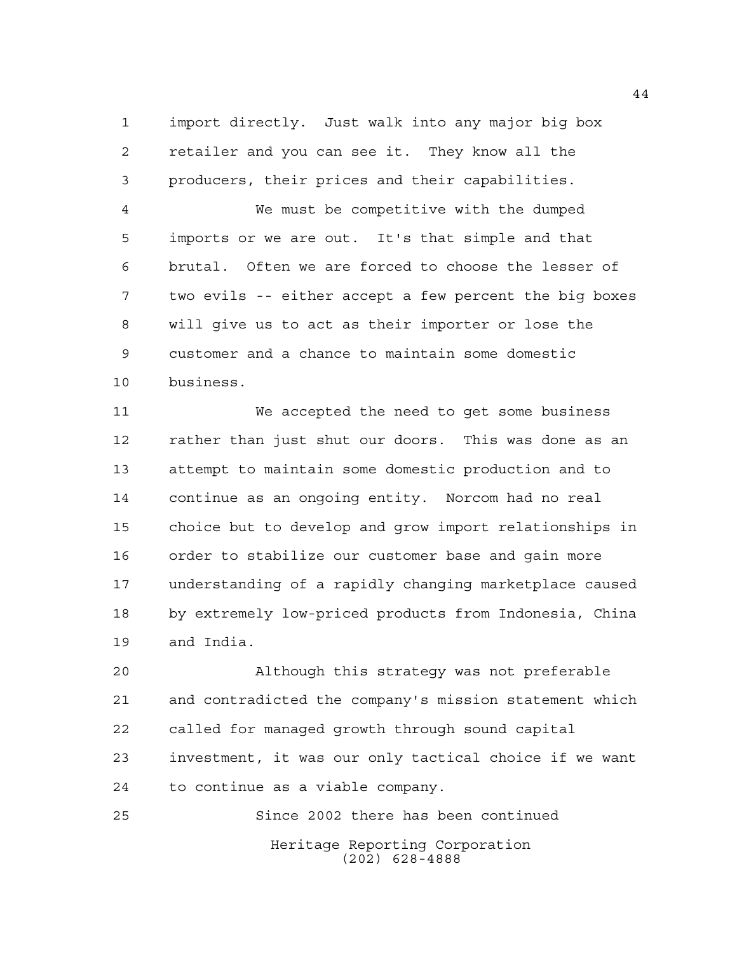import directly. Just walk into any major big box retailer and you can see it. They know all the producers, their prices and their capabilities.

 We must be competitive with the dumped imports or we are out. It's that simple and that brutal. Often we are forced to choose the lesser of two evils -- either accept a few percent the big boxes will give us to act as their importer or lose the customer and a chance to maintain some domestic business.

 We accepted the need to get some business rather than just shut our doors. This was done as an attempt to maintain some domestic production and to continue as an ongoing entity. Norcom had no real choice but to develop and grow import relationships in order to stabilize our customer base and gain more understanding of a rapidly changing marketplace caused by extremely low-priced products from Indonesia, China and India.

 Although this strategy was not preferable and contradicted the company's mission statement which called for managed growth through sound capital investment, it was our only tactical choice if we want to continue as a viable company.

Heritage Reporting Corporation (202) 628-4888 Since 2002 there has been continued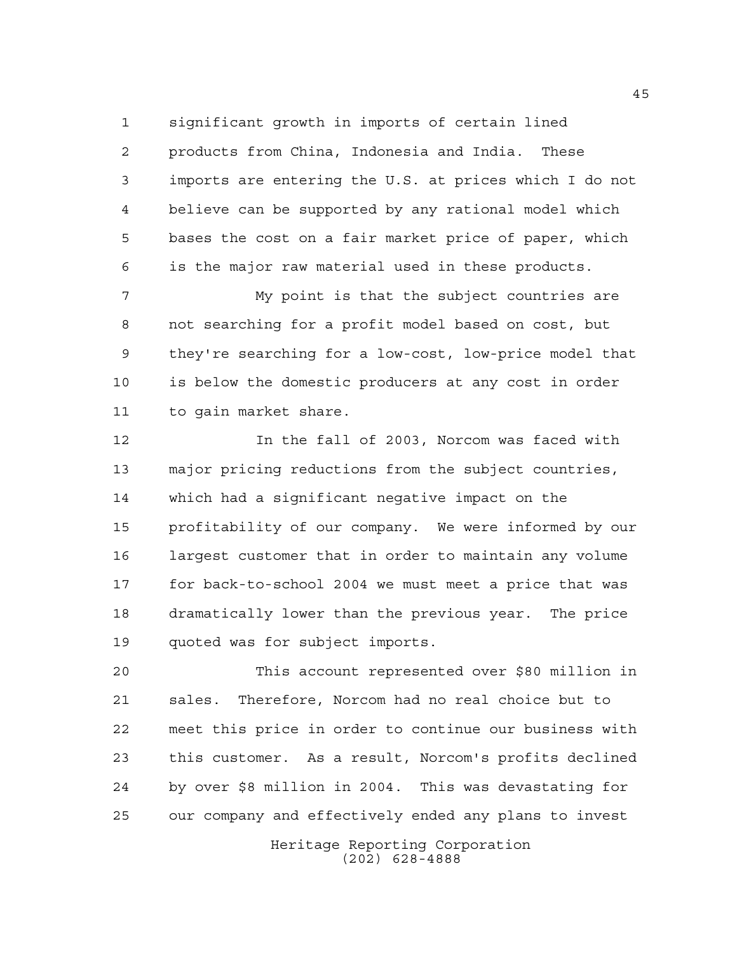significant growth in imports of certain lined products from China, Indonesia and India. These imports are entering the U.S. at prices which I do not believe can be supported by any rational model which bases the cost on a fair market price of paper, which

is the major raw material used in these products.

 My point is that the subject countries are not searching for a profit model based on cost, but they're searching for a low-cost, low-price model that is below the domestic producers at any cost in order to gain market share.

 In the fall of 2003, Norcom was faced with major pricing reductions from the subject countries, which had a significant negative impact on the profitability of our company. We were informed by our largest customer that in order to maintain any volume for back-to-school 2004 we must meet a price that was dramatically lower than the previous year. The price quoted was for subject imports.

 This account represented over \$80 million in sales. Therefore, Norcom had no real choice but to meet this price in order to continue our business with this customer. As a result, Norcom's profits declined by over \$8 million in 2004. This was devastating for our company and effectively ended any plans to invest

> Heritage Reporting Corporation (202) 628-4888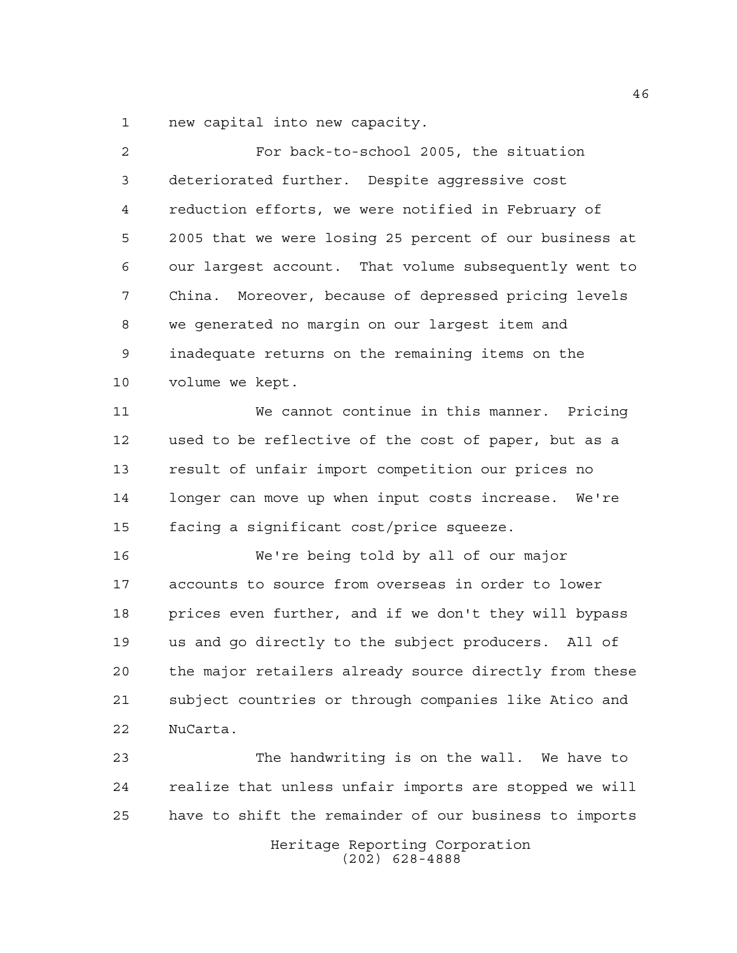new capital into new capacity.

 For back-to-school 2005, the situation deteriorated further. Despite aggressive cost reduction efforts, we were notified in February of 2005 that we were losing 25 percent of our business at our largest account. That volume subsequently went to China. Moreover, because of depressed pricing levels we generated no margin on our largest item and inadequate returns on the remaining items on the volume we kept. We cannot continue in this manner. Pricing used to be reflective of the cost of paper, but as a result of unfair import competition our prices no longer can move up when input costs increase. We're facing a significant cost/price squeeze. We're being told by all of our major accounts to source from overseas in order to lower prices even further, and if we don't they will bypass us and go directly to the subject producers. All of the major retailers already source directly from these subject countries or through companies like Atico and NuCarta. The handwriting is on the wall. We have to

 realize that unless unfair imports are stopped we will have to shift the remainder of our business to imports

> Heritage Reporting Corporation (202) 628-4888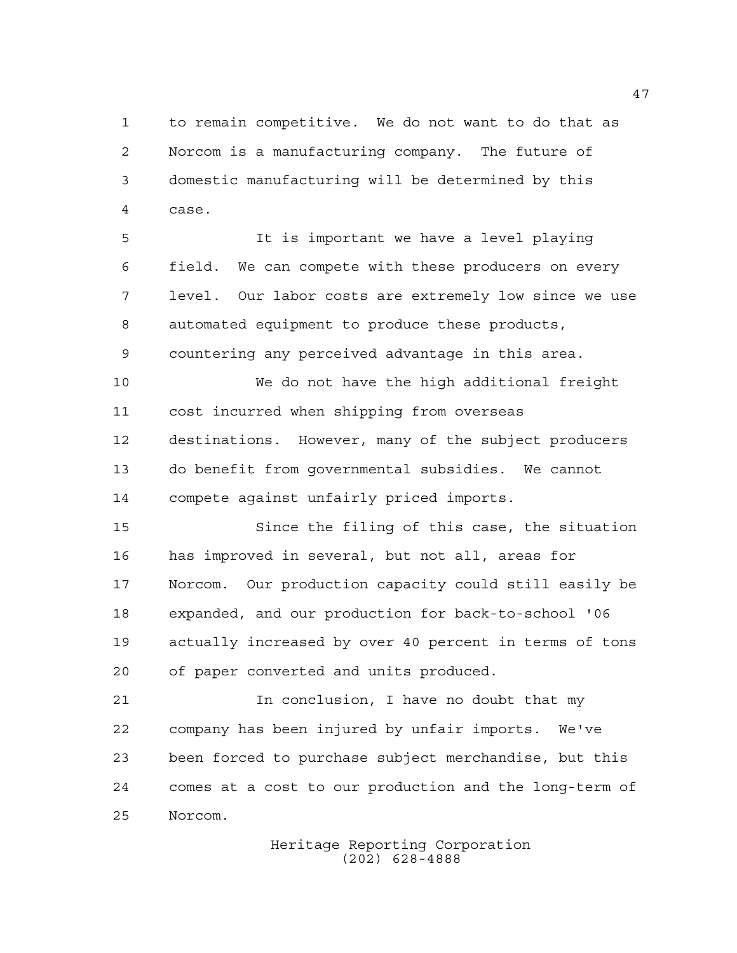to remain competitive. We do not want to do that as Norcom is a manufacturing company. The future of domestic manufacturing will be determined by this case.

 It is important we have a level playing field. We can compete with these producers on every level. Our labor costs are extremely low since we use automated equipment to produce these products, countering any perceived advantage in this area.

 We do not have the high additional freight cost incurred when shipping from overseas destinations. However, many of the subject producers do benefit from governmental subsidies. We cannot compete against unfairly priced imports.

 Since the filing of this case, the situation has improved in several, but not all, areas for Norcom. Our production capacity could still easily be expanded, and our production for back-to-school '06 actually increased by over 40 percent in terms of tons of paper converted and units produced.

 In conclusion, I have no doubt that my company has been injured by unfair imports. We've been forced to purchase subject merchandise, but this comes at a cost to our production and the long-term of Norcom.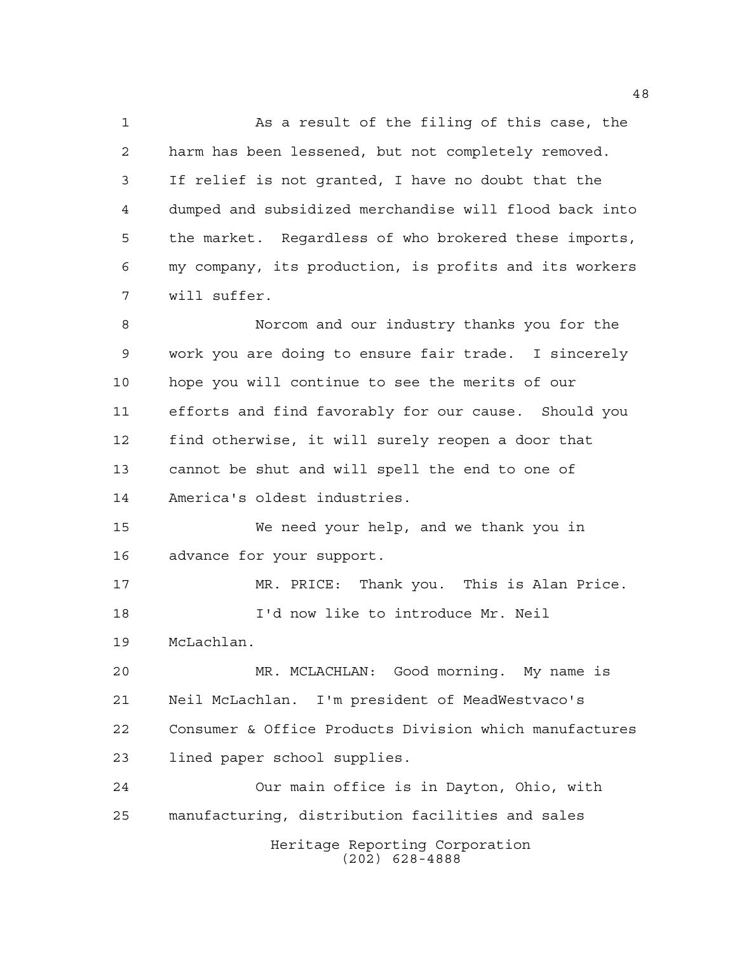As a result of the filing of this case, the harm has been lessened, but not completely removed. If relief is not granted, I have no doubt that the dumped and subsidized merchandise will flood back into the market. Regardless of who brokered these imports, my company, its production, is profits and its workers will suffer.

 Norcom and our industry thanks you for the work you are doing to ensure fair trade. I sincerely hope you will continue to see the merits of our efforts and find favorably for our cause. Should you find otherwise, it will surely reopen a door that cannot be shut and will spell the end to one of America's oldest industries.

 We need your help, and we thank you in advance for your support.

 MR. PRICE: Thank you. This is Alan Price. I'd now like to introduce Mr. Neil McLachlan.

 MR. MCLACHLAN: Good morning. My name is Neil McLachlan. I'm president of MeadWestvaco's Consumer & Office Products Division which manufactures lined paper school supplies.

Heritage Reporting Corporation (202) 628-4888 Our main office is in Dayton, Ohio, with manufacturing, distribution facilities and sales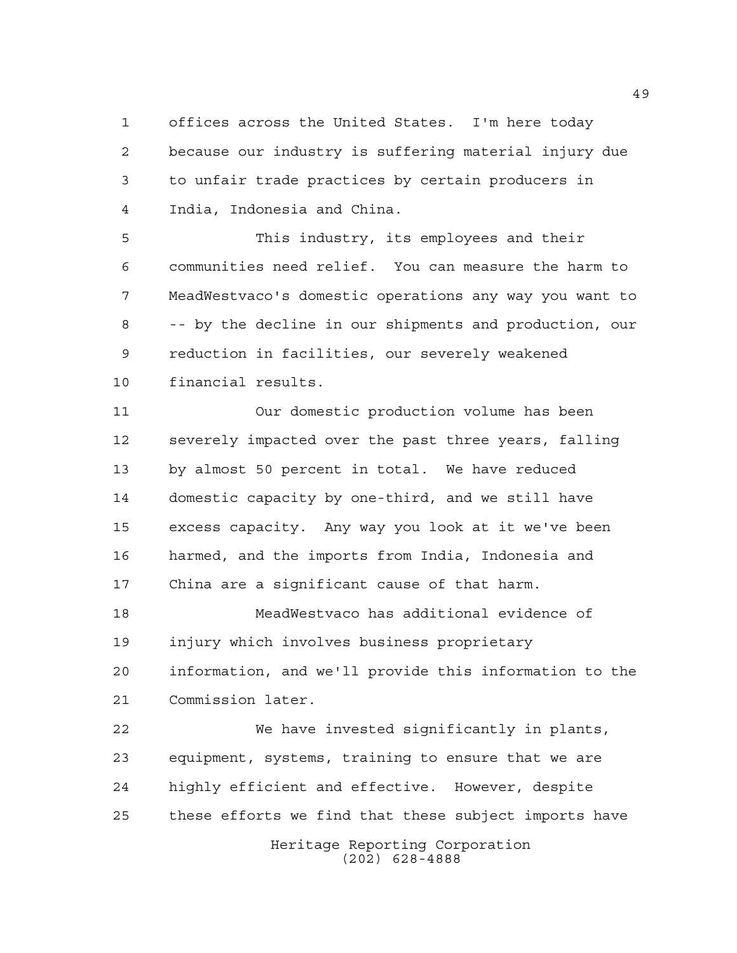offices across the United States. I'm here today because our industry is suffering material injury due to unfair trade practices by certain producers in India, Indonesia and China.

 This industry, its employees and their communities need relief. You can measure the harm to MeadWestvaco's domestic operations any way you want to -- by the decline in our shipments and production, our reduction in facilities, our severely weakened financial results.

 Our domestic production volume has been severely impacted over the past three years, falling by almost 50 percent in total. We have reduced domestic capacity by one-third, and we still have excess capacity. Any way you look at it we've been harmed, and the imports from India, Indonesia and China are a significant cause of that harm.

 MeadWestvaco has additional evidence of injury which involves business proprietary information, and we'll provide this information to the Commission later.

Heritage Reporting Corporation We have invested significantly in plants, equipment, systems, training to ensure that we are highly efficient and effective. However, despite these efforts we find that these subject imports have

(202) 628-4888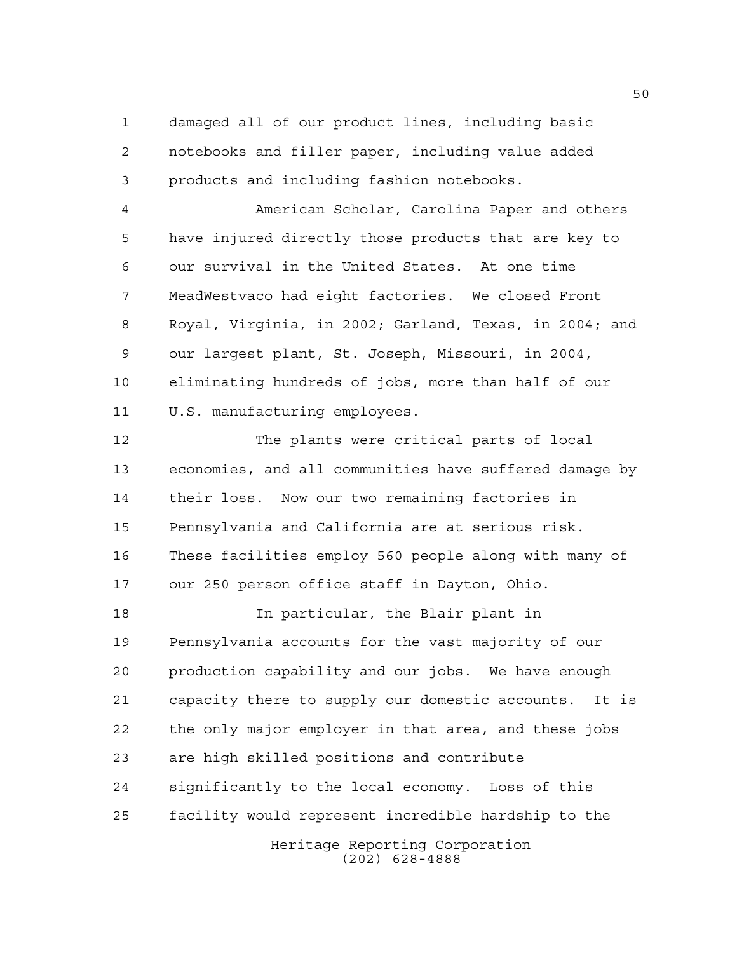damaged all of our product lines, including basic notebooks and filler paper, including value added products and including fashion notebooks.

 American Scholar, Carolina Paper and others have injured directly those products that are key to our survival in the United States. At one time MeadWestvaco had eight factories. We closed Front Royal, Virginia, in 2002; Garland, Texas, in 2004; and our largest plant, St. Joseph, Missouri, in 2004, eliminating hundreds of jobs, more than half of our U.S. manufacturing employees.

 The plants were critical parts of local economies, and all communities have suffered damage by their loss. Now our two remaining factories in Pennsylvania and California are at serious risk. These facilities employ 560 people along with many of our 250 person office staff in Dayton, Ohio.

Heritage Reporting Corporation In particular, the Blair plant in Pennsylvania accounts for the vast majority of our production capability and our jobs. We have enough capacity there to supply our domestic accounts. It is the only major employer in that area, and these jobs are high skilled positions and contribute significantly to the local economy. Loss of this facility would represent incredible hardship to the

(202) 628-4888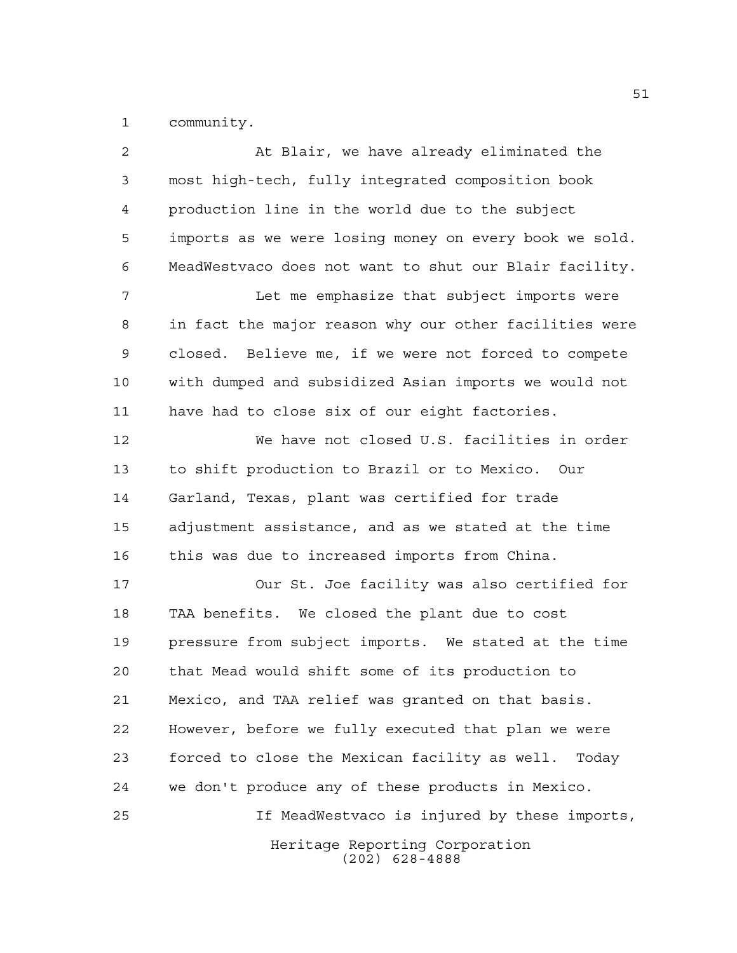community.

Heritage Reporting Corporation (202) 628-4888 At Blair, we have already eliminated the most high-tech, fully integrated composition book production line in the world due to the subject imports as we were losing money on every book we sold. MeadWestvaco does not want to shut our Blair facility. Let me emphasize that subject imports were in fact the major reason why our other facilities were closed. Believe me, if we were not forced to compete with dumped and subsidized Asian imports we would not have had to close six of our eight factories. We have not closed U.S. facilities in order to shift production to Brazil or to Mexico. Our Garland, Texas, plant was certified for trade adjustment assistance, and as we stated at the time this was due to increased imports from China. Our St. Joe facility was also certified for TAA benefits. We closed the plant due to cost pressure from subject imports. We stated at the time that Mead would shift some of its production to Mexico, and TAA relief was granted on that basis. However, before we fully executed that plan we were forced to close the Mexican facility as well. Today we don't produce any of these products in Mexico. If MeadWestvaco is injured by these imports,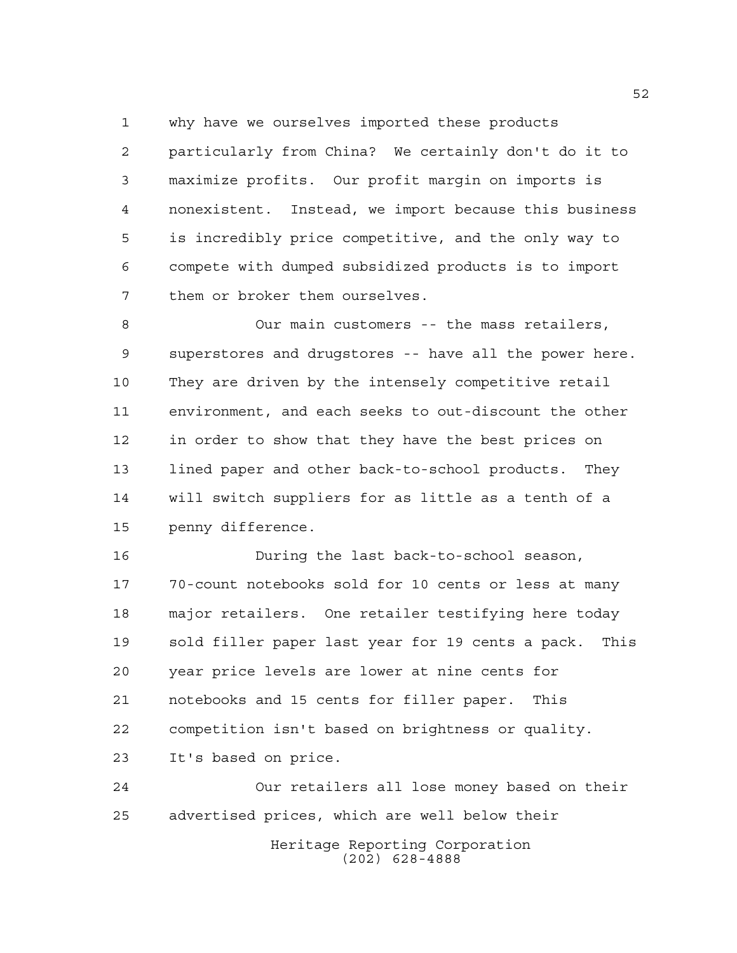why have we ourselves imported these products

 particularly from China? We certainly don't do it to maximize profits. Our profit margin on imports is nonexistent. Instead, we import because this business is incredibly price competitive, and the only way to compete with dumped subsidized products is to import them or broker them ourselves.

 Our main customers -- the mass retailers, superstores and drugstores -- have all the power here. They are driven by the intensely competitive retail environment, and each seeks to out-discount the other in order to show that they have the best prices on lined paper and other back-to-school products. They will switch suppliers for as little as a tenth of a penny difference.

 During the last back-to-school season, 70-count notebooks sold for 10 cents or less at many major retailers. One retailer testifying here today sold filler paper last year for 19 cents a pack. This year price levels are lower at nine cents for notebooks and 15 cents for filler paper. This competition isn't based on brightness or quality. It's based on price.

 Our retailers all lose money based on their advertised prices, which are well below their

Heritage Reporting Corporation (202) 628-4888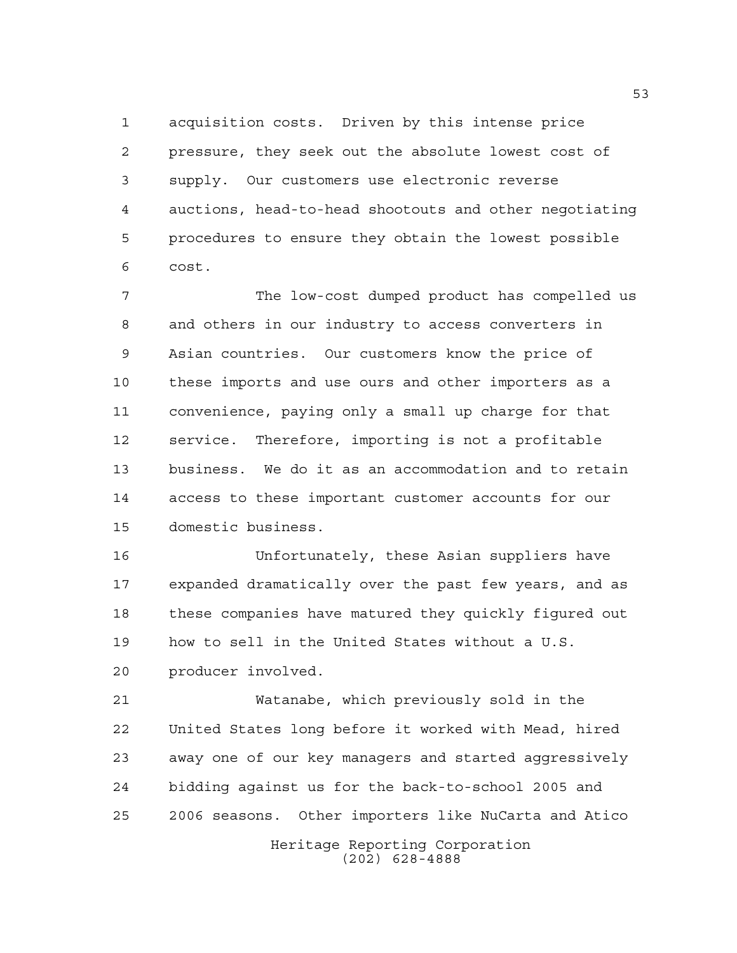acquisition costs. Driven by this intense price pressure, they seek out the absolute lowest cost of supply. Our customers use electronic reverse auctions, head-to-head shootouts and other negotiating procedures to ensure they obtain the lowest possible cost.

 The low-cost dumped product has compelled us and others in our industry to access converters in Asian countries. Our customers know the price of these imports and use ours and other importers as a convenience, paying only a small up charge for that service. Therefore, importing is not a profitable business. We do it as an accommodation and to retain access to these important customer accounts for our domestic business.

 Unfortunately, these Asian suppliers have expanded dramatically over the past few years, and as these companies have matured they quickly figured out how to sell in the United States without a U.S. producer involved.

 Watanabe, which previously sold in the United States long before it worked with Mead, hired away one of our key managers and started aggressively bidding against us for the back-to-school 2005 and 2006 seasons. Other importers like NuCarta and Atico

Heritage Reporting Corporation (202) 628-4888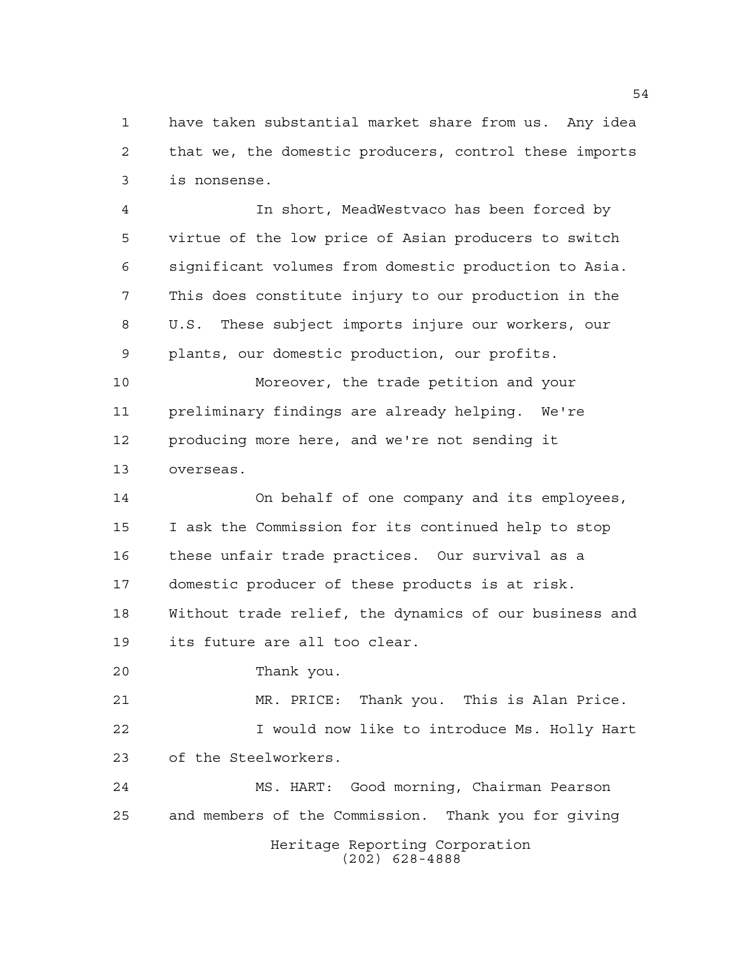have taken substantial market share from us. Any idea that we, the domestic producers, control these imports is nonsense.

 In short, MeadWestvaco has been forced by virtue of the low price of Asian producers to switch significant volumes from domestic production to Asia. This does constitute injury to our production in the U.S. These subject imports injure our workers, our plants, our domestic production, our profits.

 Moreover, the trade petition and your preliminary findings are already helping. We're producing more here, and we're not sending it overseas.

 On behalf of one company and its employees, I ask the Commission for its continued help to stop these unfair trade practices. Our survival as a domestic producer of these products is at risk. Without trade relief, the dynamics of our business and its future are all too clear.

Thank you.

 MR. PRICE: Thank you. This is Alan Price. I would now like to introduce Ms. Holly Hart of the Steelworkers.

Heritage Reporting Corporation (202) 628-4888 MS. HART: Good morning, Chairman Pearson and members of the Commission. Thank you for giving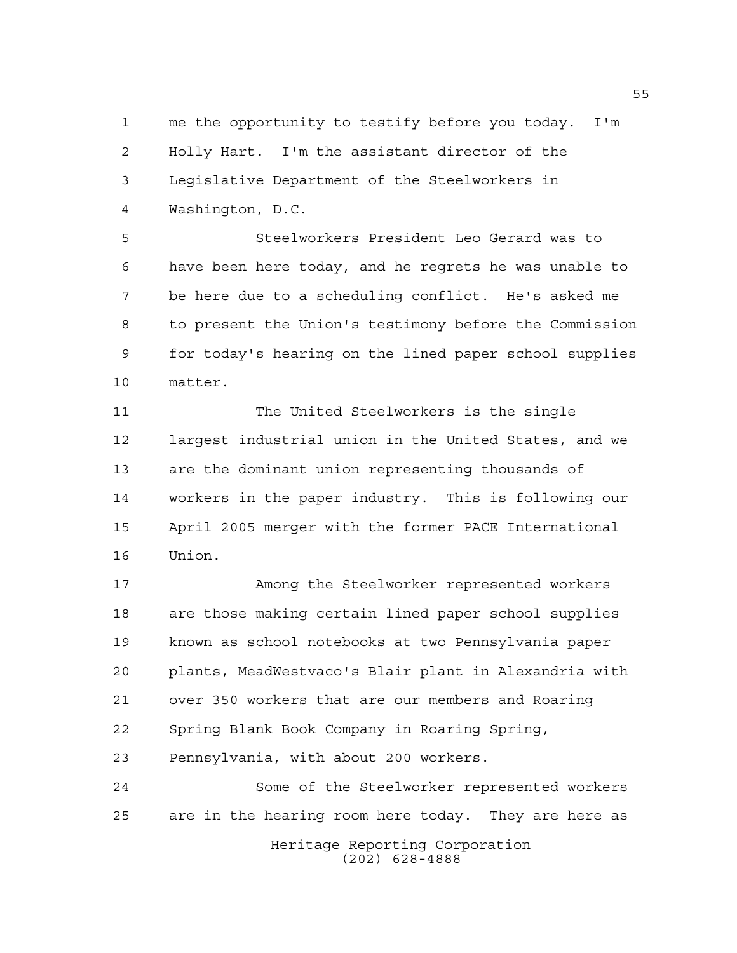me the opportunity to testify before you today. I'm Holly Hart. I'm the assistant director of the Legislative Department of the Steelworkers in Washington, D.C.

 Steelworkers President Leo Gerard was to have been here today, and he regrets he was unable to be here due to a scheduling conflict. He's asked me to present the Union's testimony before the Commission for today's hearing on the lined paper school supplies matter.

 The United Steelworkers is the single largest industrial union in the United States, and we are the dominant union representing thousands of workers in the paper industry. This is following our April 2005 merger with the former PACE International Union.

 Among the Steelworker represented workers are those making certain lined paper school supplies known as school notebooks at two Pennsylvania paper plants, MeadWestvaco's Blair plant in Alexandria with over 350 workers that are our members and Roaring Spring Blank Book Company in Roaring Spring, Pennsylvania, with about 200 workers.

Heritage Reporting Corporation Some of the Steelworker represented workers are in the hearing room here today. They are here as

(202) 628-4888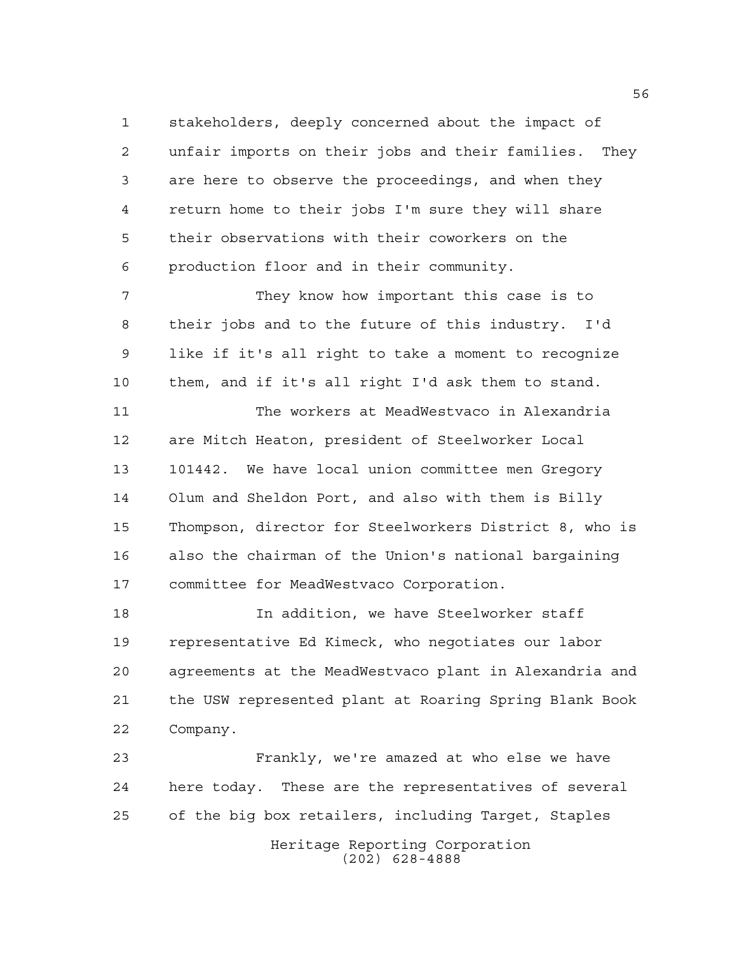stakeholders, deeply concerned about the impact of unfair imports on their jobs and their families. They are here to observe the proceedings, and when they return home to their jobs I'm sure they will share their observations with their coworkers on the production floor and in their community.

 They know how important this case is to their jobs and to the future of this industry. I'd like if it's all right to take a moment to recognize them, and if it's all right I'd ask them to stand.

 The workers at MeadWestvaco in Alexandria are Mitch Heaton, president of Steelworker Local 101442. We have local union committee men Gregory Olum and Sheldon Port, and also with them is Billy Thompson, director for Steelworkers District 8, who is also the chairman of the Union's national bargaining committee for MeadWestvaco Corporation.

 In addition, we have Steelworker staff representative Ed Kimeck, who negotiates our labor agreements at the MeadWestvaco plant in Alexandria and the USW represented plant at Roaring Spring Blank Book Company.

 Frankly, we're amazed at who else we have here today. These are the representatives of several of the big box retailers, including Target, Staples

Heritage Reporting Corporation (202) 628-4888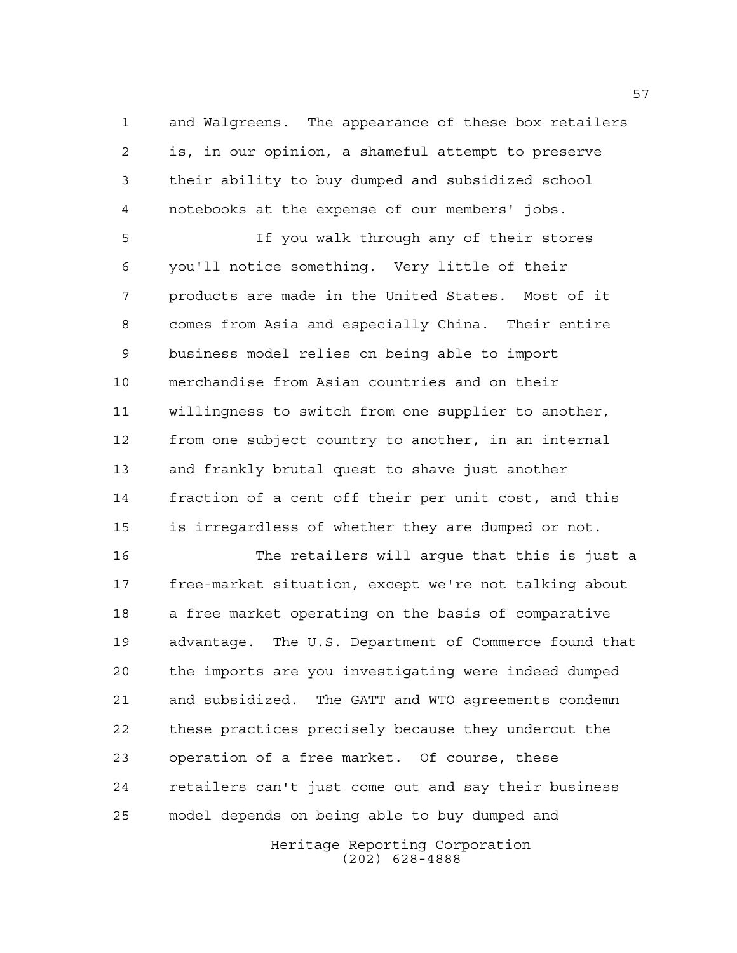and Walgreens. The appearance of these box retailers is, in our opinion, a shameful attempt to preserve their ability to buy dumped and subsidized school notebooks at the expense of our members' jobs.

 If you walk through any of their stores you'll notice something. Very little of their products are made in the United States. Most of it comes from Asia and especially China. Their entire business model relies on being able to import merchandise from Asian countries and on their willingness to switch from one supplier to another, from one subject country to another, in an internal and frankly brutal quest to shave just another fraction of a cent off their per unit cost, and this is irregardless of whether they are dumped or not.

 The retailers will argue that this is just a free-market situation, except we're not talking about a free market operating on the basis of comparative advantage. The U.S. Department of Commerce found that the imports are you investigating were indeed dumped and subsidized. The GATT and WTO agreements condemn these practices precisely because they undercut the operation of a free market. Of course, these retailers can't just come out and say their business model depends on being able to buy dumped and

> Heritage Reporting Corporation (202) 628-4888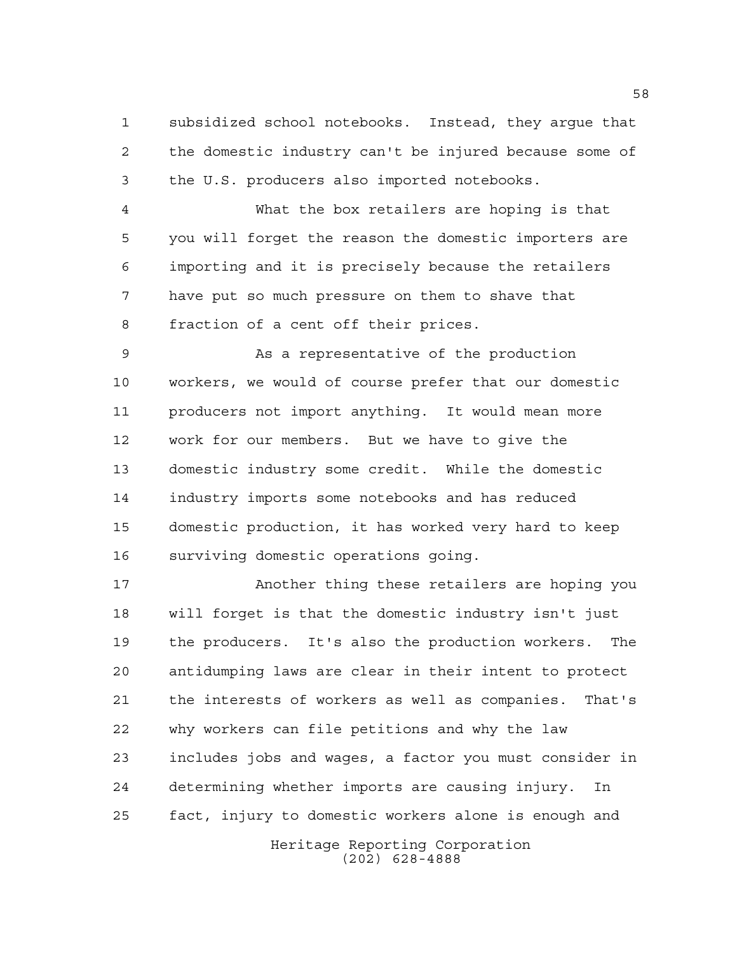subsidized school notebooks. Instead, they argue that the domestic industry can't be injured because some of the U.S. producers also imported notebooks.

 What the box retailers are hoping is that you will forget the reason the domestic importers are importing and it is precisely because the retailers have put so much pressure on them to shave that fraction of a cent off their prices.

 As a representative of the production workers, we would of course prefer that our domestic producers not import anything. It would mean more work for our members. But we have to give the domestic industry some credit. While the domestic industry imports some notebooks and has reduced domestic production, it has worked very hard to keep surviving domestic operations going.

 Another thing these retailers are hoping you will forget is that the domestic industry isn't just the producers. It's also the production workers. The antidumping laws are clear in their intent to protect the interests of workers as well as companies. That's why workers can file petitions and why the law includes jobs and wages, a factor you must consider in determining whether imports are causing injury. In fact, injury to domestic workers alone is enough and

Heritage Reporting Corporation (202) 628-4888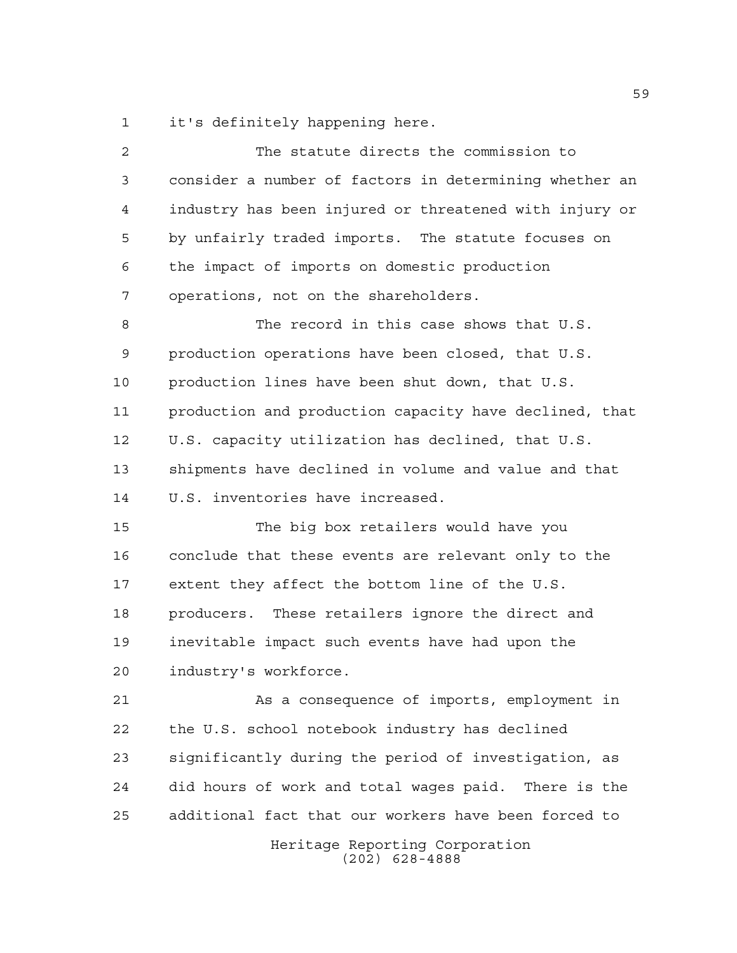it's definitely happening here.

| 2  | The statute directs the commission to                  |
|----|--------------------------------------------------------|
| 3  | consider a number of factors in determining whether an |
| 4  | industry has been injured or threatened with injury or |
| 5  | by unfairly traded imports. The statute focuses on     |
| 6  | the impact of imports on domestic production           |
| 7  | operations, not on the shareholders.                   |
| 8  | The record in this case shows that U.S.                |
| 9  | production operations have been closed, that U.S.      |
| 10 | production lines have been shut down, that U.S.        |
| 11 | production and production capacity have declined, that |
| 12 | U.S. capacity utilization has declined, that U.S.      |
| 13 | shipments have declined in volume and value and that   |
| 14 | U.S. inventories have increased.                       |
| 15 | The big box retailers would have you                   |
| 16 | conclude that these events are relevant only to the    |
| 17 | extent they affect the bottom line of the U.S.         |
| 18 | producers. These retailers ignore the direct and       |
| 19 | inevitable impact such events have had upon the        |
| 20 | industry's workforce.                                  |
| 21 | As a consequence of imports, employment in             |
| 22 | the U.S. school notebook industry has declined         |
| 23 | significantly during the period of investigation, as   |
| 24 | did hours of work and total waqes paid. There is the   |
| 25 | additional fact that our workers have been forced to   |
|    | Heritage Reporting Corporation<br>$(202)$ 628-4888     |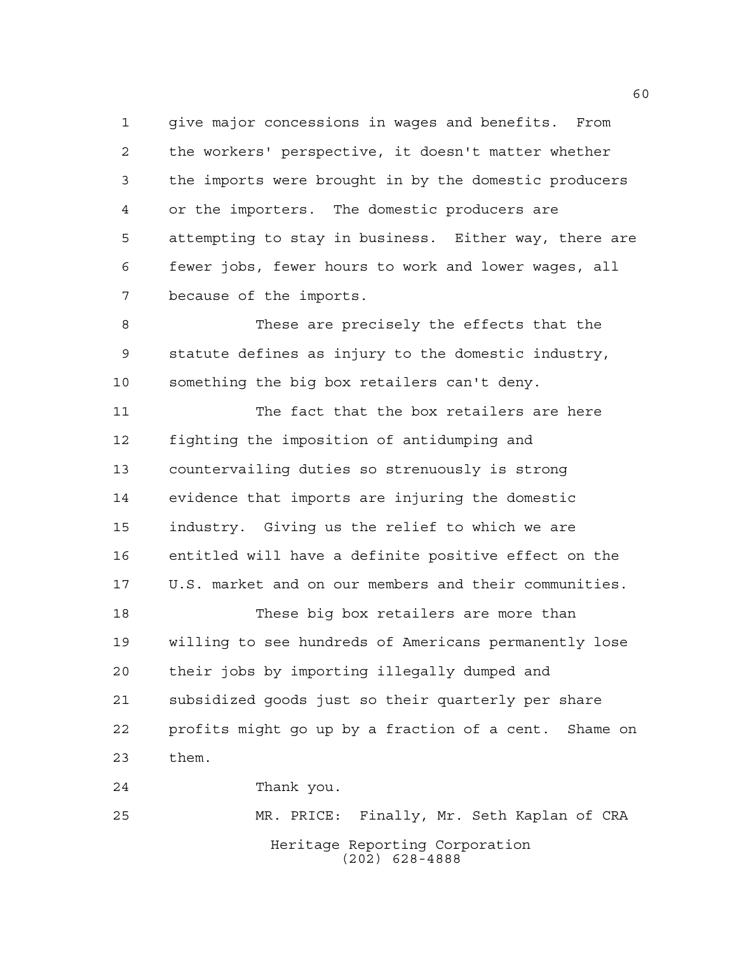give major concessions in wages and benefits. From the workers' perspective, it doesn't matter whether the imports were brought in by the domestic producers or the importers. The domestic producers are attempting to stay in business. Either way, there are fewer jobs, fewer hours to work and lower wages, all because of the imports.

 These are precisely the effects that the statute defines as injury to the domestic industry, something the big box retailers can't deny.

 The fact that the box retailers are here fighting the imposition of antidumping and countervailing duties so strenuously is strong evidence that imports are injuring the domestic industry. Giving us the relief to which we are entitled will have a definite positive effect on the U.S. market and on our members and their communities. These big box retailers are more than willing to see hundreds of Americans permanently lose their jobs by importing illegally dumped and subsidized goods just so their quarterly per share profits might go up by a fraction of a cent. Shame on them. Thank you.

Heritage Reporting Corporation (202) 628-4888 MR. PRICE: Finally, Mr. Seth Kaplan of CRA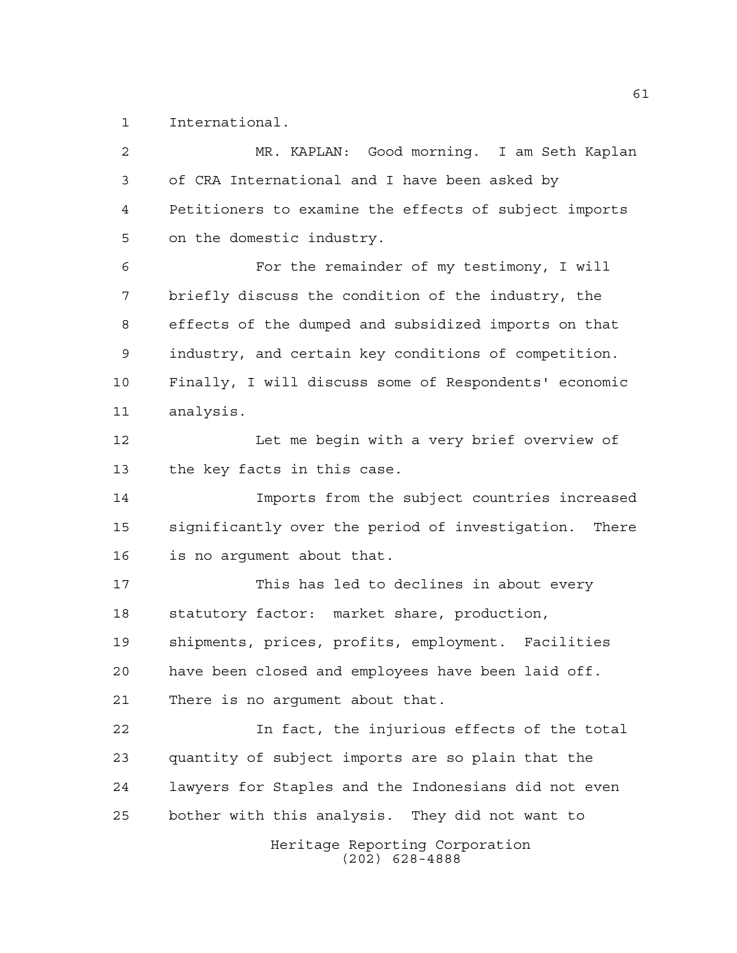International.

Heritage Reporting Corporation (202) 628-4888 MR. KAPLAN: Good morning. I am Seth Kaplan of CRA International and I have been asked by Petitioners to examine the effects of subject imports on the domestic industry. For the remainder of my testimony, I will briefly discuss the condition of the industry, the effects of the dumped and subsidized imports on that industry, and certain key conditions of competition. Finally, I will discuss some of Respondents' economic analysis. 12 Let me begin with a very brief overview of the key facts in this case. Imports from the subject countries increased significantly over the period of investigation. There is no argument about that. This has led to declines in about every statutory factor: market share, production, shipments, prices, profits, employment. Facilities have been closed and employees have been laid off. There is no argument about that. In fact, the injurious effects of the total quantity of subject imports are so plain that the lawyers for Staples and the Indonesians did not even bother with this analysis. They did not want to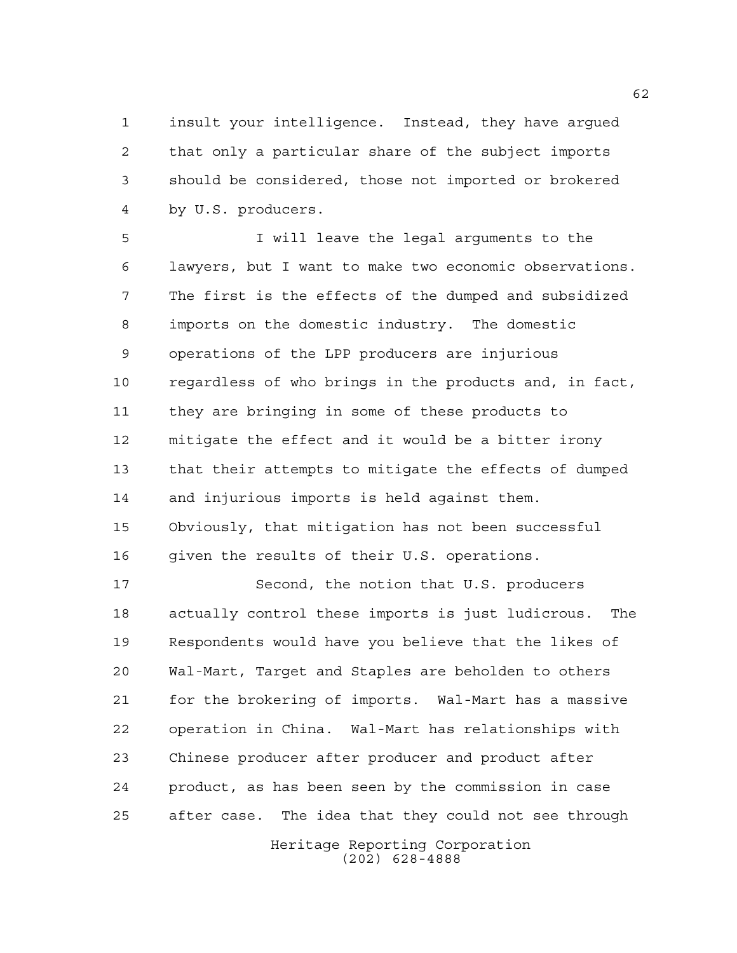insult your intelligence. Instead, they have argued that only a particular share of the subject imports should be considered, those not imported or brokered by U.S. producers.

 I will leave the legal arguments to the lawyers, but I want to make two economic observations. The first is the effects of the dumped and subsidized imports on the domestic industry. The domestic operations of the LPP producers are injurious regardless of who brings in the products and, in fact, they are bringing in some of these products to mitigate the effect and it would be a bitter irony that their attempts to mitigate the effects of dumped and injurious imports is held against them. Obviously, that mitigation has not been successful given the results of their U.S. operations.

 Second, the notion that U.S. producers actually control these imports is just ludicrous. The Respondents would have you believe that the likes of Wal-Mart, Target and Staples are beholden to others for the brokering of imports. Wal-Mart has a massive operation in China. Wal-Mart has relationships with Chinese producer after producer and product after product, as has been seen by the commission in case after case. The idea that they could not see through

> Heritage Reporting Corporation (202) 628-4888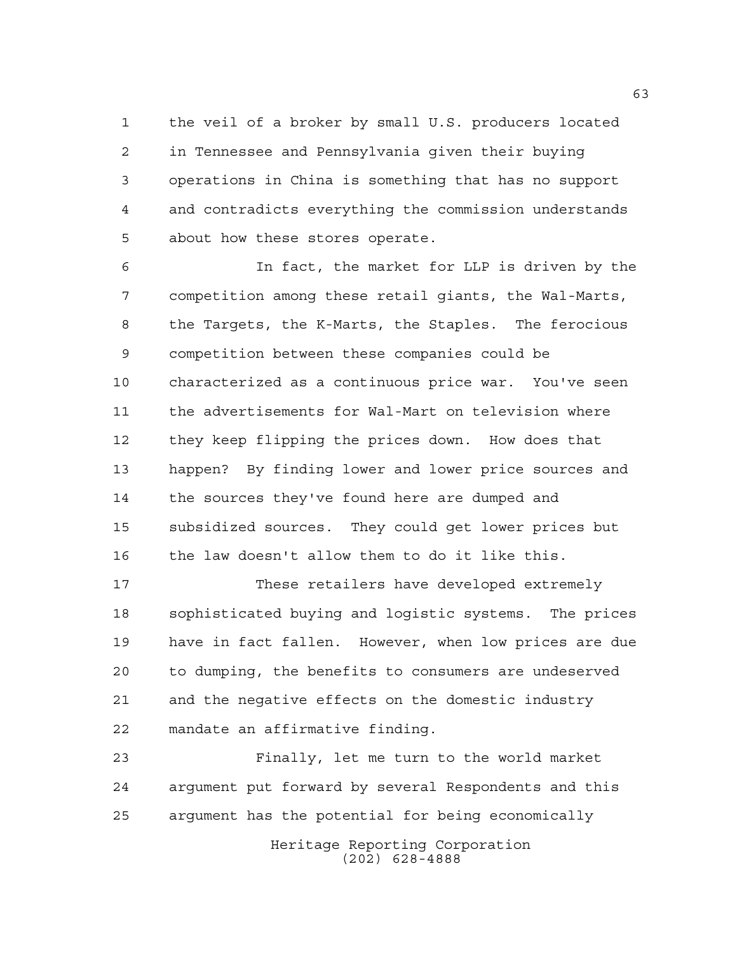the veil of a broker by small U.S. producers located in Tennessee and Pennsylvania given their buying operations in China is something that has no support and contradicts everything the commission understands about how these stores operate.

 In fact, the market for LLP is driven by the competition among these retail giants, the Wal-Marts, the Targets, the K-Marts, the Staples. The ferocious competition between these companies could be characterized as a continuous price war. You've seen the advertisements for Wal-Mart on television where they keep flipping the prices down. How does that happen? By finding lower and lower price sources and the sources they've found here are dumped and subsidized sources. They could get lower prices but the law doesn't allow them to do it like this.

 These retailers have developed extremely sophisticated buying and logistic systems. The prices have in fact fallen. However, when low prices are due to dumping, the benefits to consumers are undeserved and the negative effects on the domestic industry mandate an affirmative finding.

 Finally, let me turn to the world market argument put forward by several Respondents and this argument has the potential for being economically

Heritage Reporting Corporation (202) 628-4888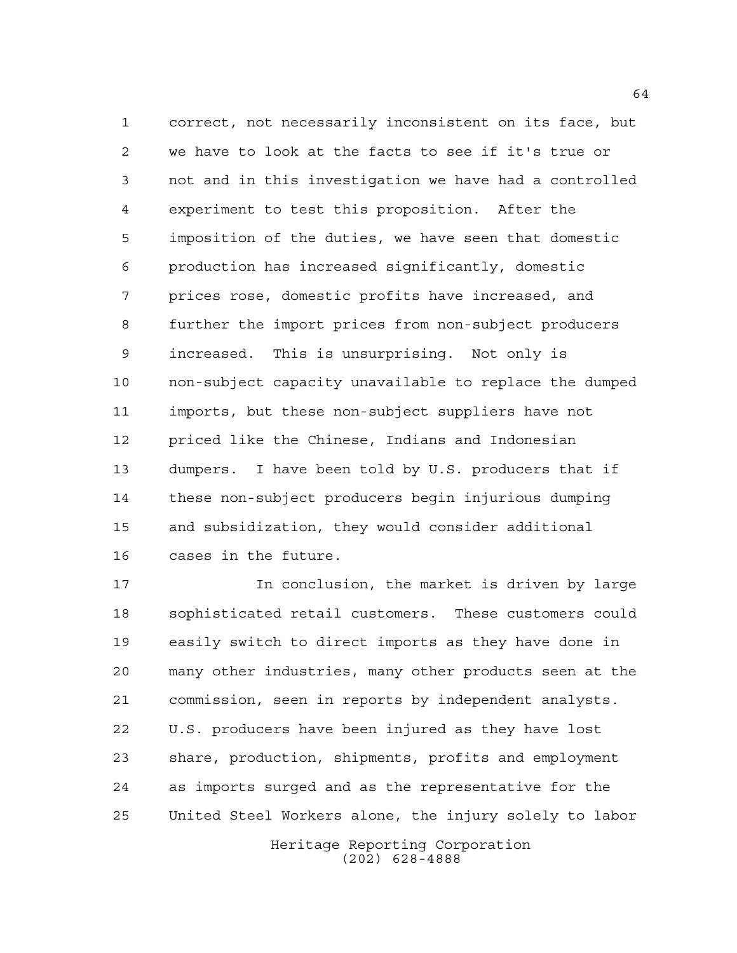correct, not necessarily inconsistent on its face, but we have to look at the facts to see if it's true or not and in this investigation we have had a controlled experiment to test this proposition. After the imposition of the duties, we have seen that domestic production has increased significantly, domestic prices rose, domestic profits have increased, and further the import prices from non-subject producers increased. This is unsurprising. Not only is non-subject capacity unavailable to replace the dumped imports, but these non-subject suppliers have not priced like the Chinese, Indians and Indonesian dumpers. I have been told by U.S. producers that if these non-subject producers begin injurious dumping and subsidization, they would consider additional cases in the future.

 In conclusion, the market is driven by large sophisticated retail customers. These customers could easily switch to direct imports as they have done in many other industries, many other products seen at the commission, seen in reports by independent analysts. U.S. producers have been injured as they have lost share, production, shipments, profits and employment as imports surged and as the representative for the United Steel Workers alone, the injury solely to labor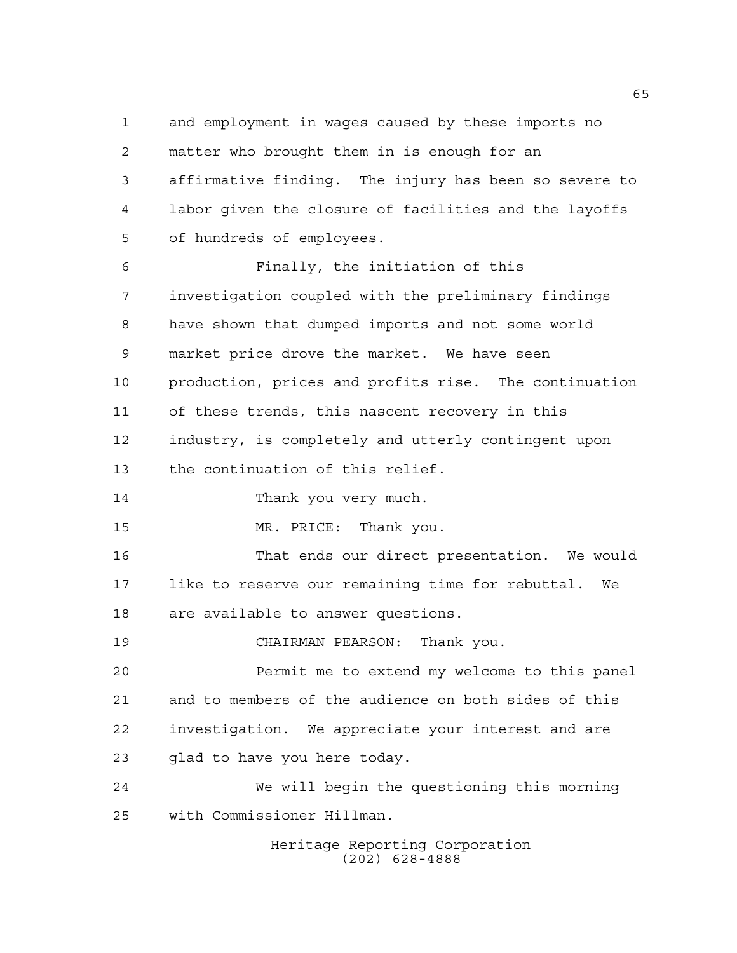and employment in wages caused by these imports no matter who brought them in is enough for an affirmative finding. The injury has been so severe to labor given the closure of facilities and the layoffs of hundreds of employees. Finally, the initiation of this investigation coupled with the preliminary findings have shown that dumped imports and not some world market price drove the market. We have seen production, prices and profits rise. The continuation of these trends, this nascent recovery in this industry, is completely and utterly contingent upon the continuation of this relief. 14 Thank you very much. MR. PRICE: Thank you. That ends our direct presentation. We would like to reserve our remaining time for rebuttal. We are available to answer questions. CHAIRMAN PEARSON: Thank you. Permit me to extend my welcome to this panel and to members of the audience on both sides of this investigation. We appreciate your interest and are glad to have you here today. We will begin the questioning this morning with Commissioner Hillman.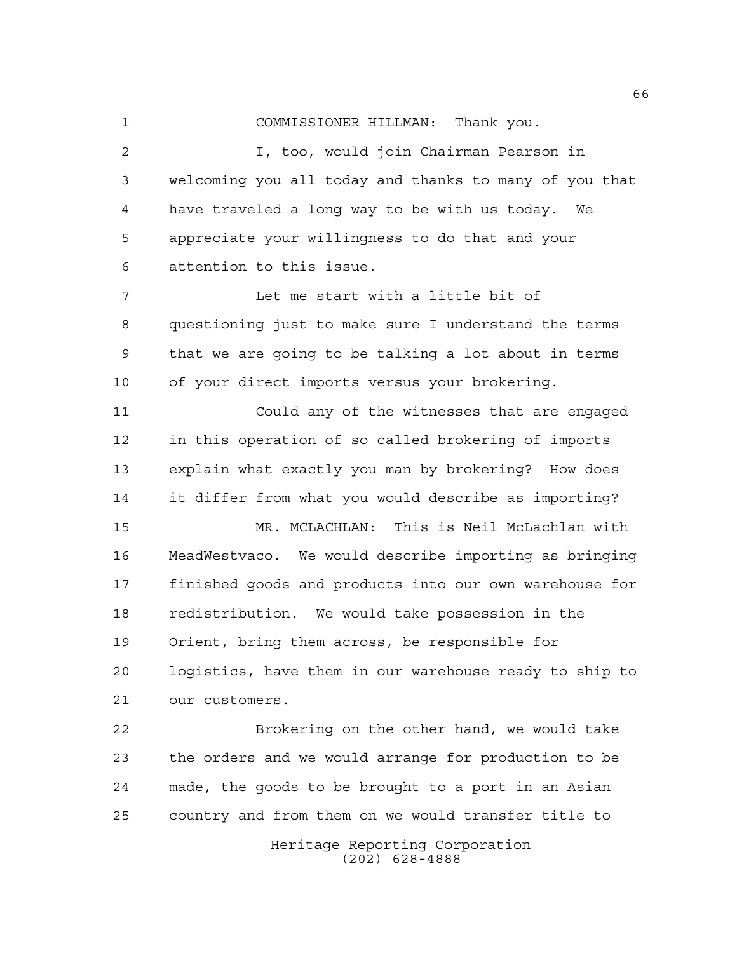COMMISSIONER HILLMAN: Thank you.

 I, too, would join Chairman Pearson in welcoming you all today and thanks to many of you that have traveled a long way to be with us today. We appreciate your willingness to do that and your attention to this issue.

 Let me start with a little bit of questioning just to make sure I understand the terms that we are going to be talking a lot about in terms of your direct imports versus your brokering.

 Could any of the witnesses that are engaged in this operation of so called brokering of imports explain what exactly you man by brokering? How does it differ from what you would describe as importing?

 MR. MCLACHLAN: This is Neil McLachlan with MeadWestvaco. We would describe importing as bringing finished goods and products into our own warehouse for redistribution. We would take possession in the Orient, bring them across, be responsible for logistics, have them in our warehouse ready to ship to our customers.

 Brokering on the other hand, we would take the orders and we would arrange for production to be made, the goods to be brought to a port in an Asian country and from them on we would transfer title to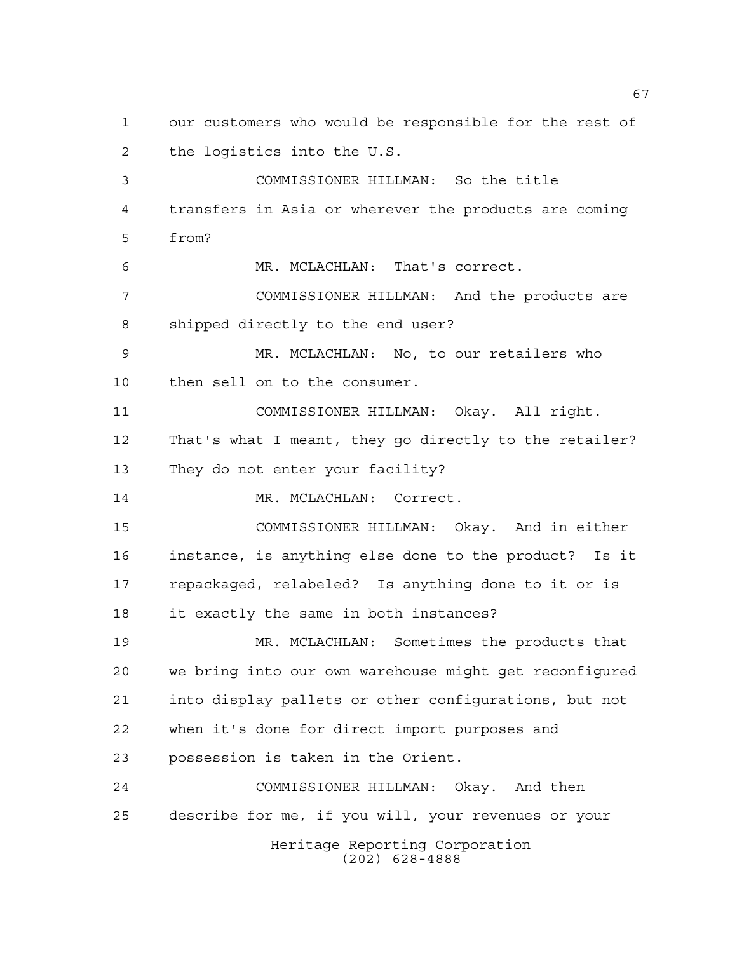Heritage Reporting Corporation (202) 628-4888 our customers who would be responsible for the rest of the logistics into the U.S. COMMISSIONER HILLMAN: So the title transfers in Asia or wherever the products are coming from? MR. MCLACHLAN: That's correct. COMMISSIONER HILLMAN: And the products are shipped directly to the end user? MR. MCLACHLAN: No, to our retailers who then sell on to the consumer. COMMISSIONER HILLMAN: Okay. All right. That's what I meant, they go directly to the retailer? They do not enter your facility? 14 MR. MCLACHLAN: Correct. COMMISSIONER HILLMAN: Okay. And in either instance, is anything else done to the product? Is it repackaged, relabeled? Is anything done to it or is it exactly the same in both instances? MR. MCLACHLAN: Sometimes the products that we bring into our own warehouse might get reconfigured into display pallets or other configurations, but not when it's done for direct import purposes and possession is taken in the Orient. COMMISSIONER HILLMAN: Okay. And then describe for me, if you will, your revenues or your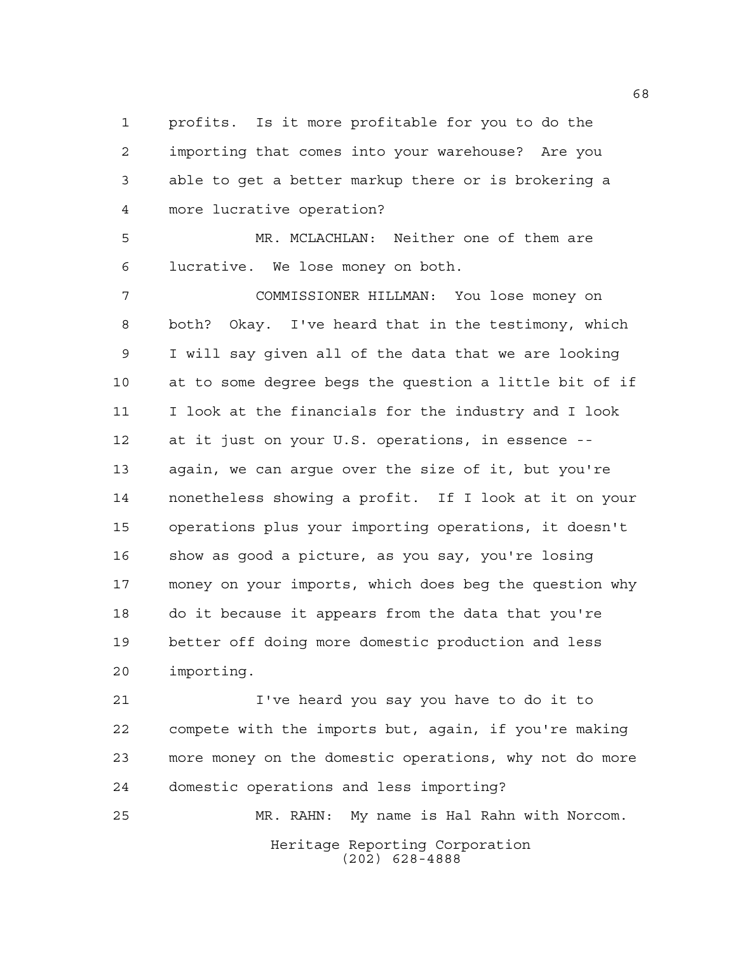profits. Is it more profitable for you to do the importing that comes into your warehouse? Are you able to get a better markup there or is brokering a more lucrative operation?

 MR. MCLACHLAN: Neither one of them are lucrative. We lose money on both.

 COMMISSIONER HILLMAN: You lose money on both? Okay. I've heard that in the testimony, which I will say given all of the data that we are looking at to some degree begs the question a little bit of if I look at the financials for the industry and I look at it just on your U.S. operations, in essence -- again, we can argue over the size of it, but you're nonetheless showing a profit. If I look at it on your operations plus your importing operations, it doesn't show as good a picture, as you say, you're losing money on your imports, which does beg the question why do it because it appears from the data that you're better off doing more domestic production and less importing.

 I've heard you say you have to do it to compete with the imports but, again, if you're making more money on the domestic operations, why not do more domestic operations and less importing?

Heritage Reporting Corporation (202) 628-4888 MR. RAHN: My name is Hal Rahn with Norcom.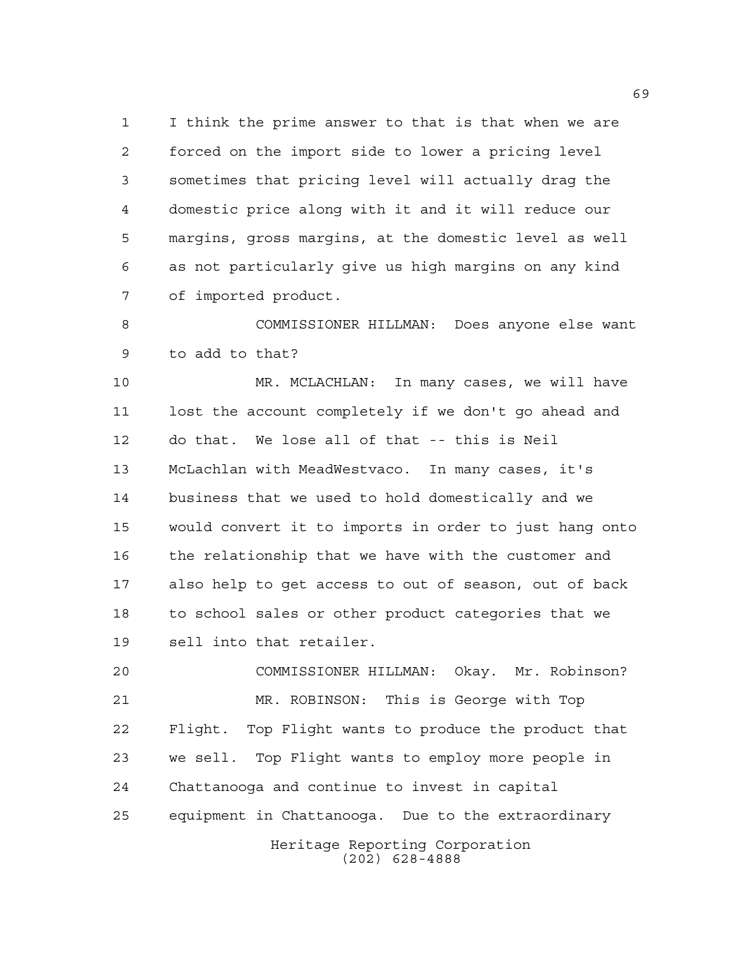I think the prime answer to that is that when we are forced on the import side to lower a pricing level sometimes that pricing level will actually drag the domestic price along with it and it will reduce our margins, gross margins, at the domestic level as well as not particularly give us high margins on any kind of imported product.

 COMMISSIONER HILLMAN: Does anyone else want to add to that?

 MR. MCLACHLAN: In many cases, we will have lost the account completely if we don't go ahead and do that. We lose all of that -- this is Neil McLachlan with MeadWestvaco. In many cases, it's business that we used to hold domestically and we would convert it to imports in order to just hang onto the relationship that we have with the customer and also help to get access to out of season, out of back to school sales or other product categories that we sell into that retailer.

 COMMISSIONER HILLMAN: Okay. Mr. Robinson? MR. ROBINSON: This is George with Top Flight. Top Flight wants to produce the product that we sell. Top Flight wants to employ more people in Chattanooga and continue to invest in capital equipment in Chattanooga. Due to the extraordinary

Heritage Reporting Corporation (202) 628-4888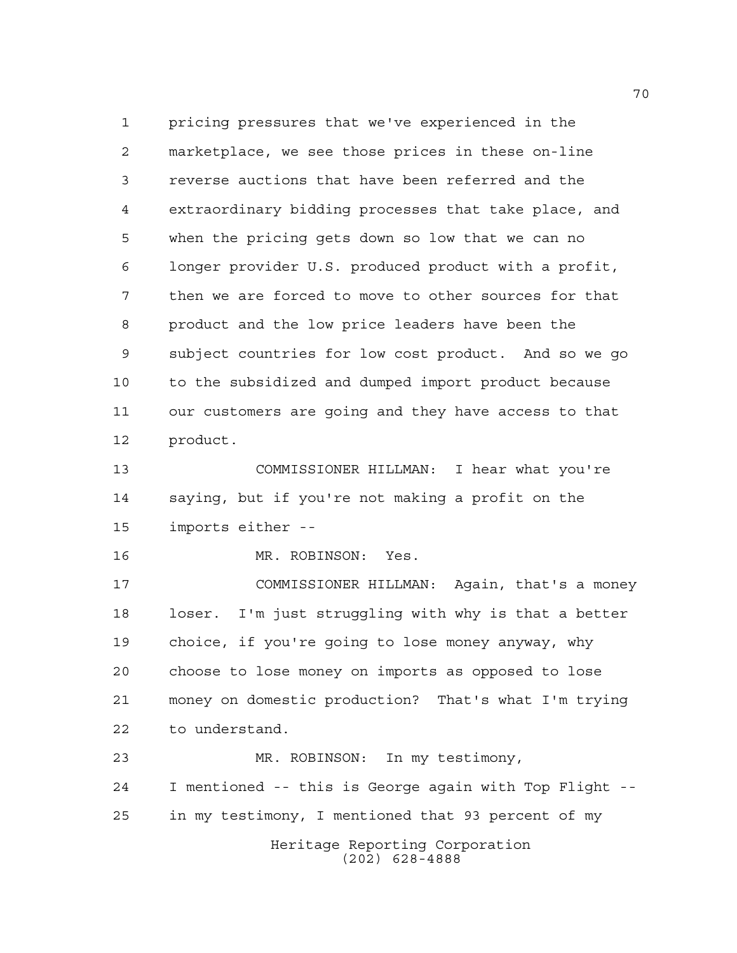pricing pressures that we've experienced in the marketplace, we see those prices in these on-line reverse auctions that have been referred and the extraordinary bidding processes that take place, and when the pricing gets down so low that we can no longer provider U.S. produced product with a profit, then we are forced to move to other sources for that product and the low price leaders have been the subject countries for low cost product. And so we go to the subsidized and dumped import product because our customers are going and they have access to that product.

 COMMISSIONER HILLMAN: I hear what you're saying, but if you're not making a profit on the imports either --

MR. ROBINSON: Yes.

 COMMISSIONER HILLMAN: Again, that's a money loser. I'm just struggling with why is that a better choice, if you're going to lose money anyway, why choose to lose money on imports as opposed to lose money on domestic production? That's what I'm trying to understand.

Heritage Reporting Corporation (202) 628-4888 MR. ROBINSON: In my testimony, I mentioned -- this is George again with Top Flight -- in my testimony, I mentioned that 93 percent of my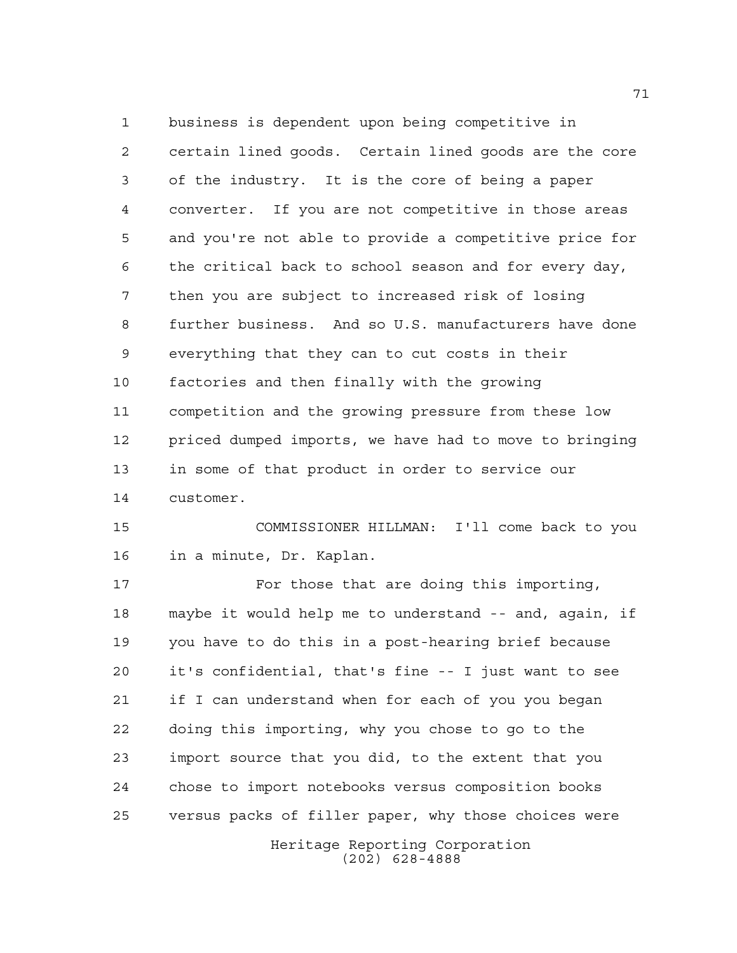business is dependent upon being competitive in certain lined goods. Certain lined goods are the core of the industry. It is the core of being a paper converter. If you are not competitive in those areas and you're not able to provide a competitive price for the critical back to school season and for every day, then you are subject to increased risk of losing further business. And so U.S. manufacturers have done everything that they can to cut costs in their factories and then finally with the growing competition and the growing pressure from these low priced dumped imports, we have had to move to bringing in some of that product in order to service our customer.

 COMMISSIONER HILLMAN: I'll come back to you in a minute, Dr. Kaplan.

Heritage Reporting Corporation 17 For those that are doing this importing, maybe it would help me to understand -- and, again, if you have to do this in a post-hearing brief because it's confidential, that's fine -- I just want to see if I can understand when for each of you you began doing this importing, why you chose to go to the import source that you did, to the extent that you chose to import notebooks versus composition books versus packs of filler paper, why those choices were

(202) 628-4888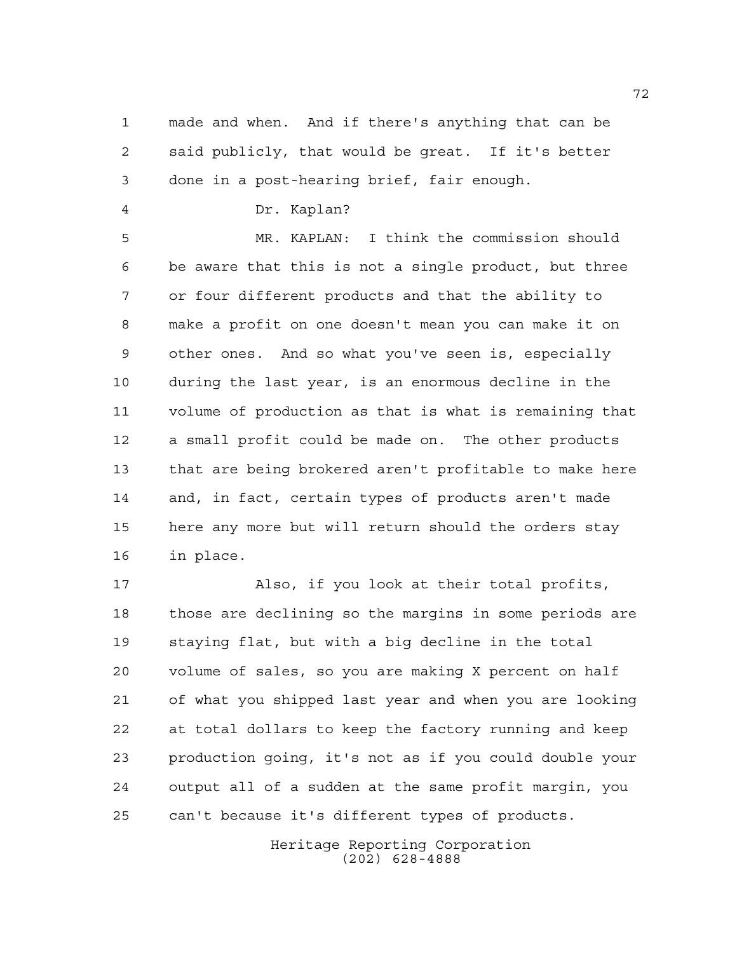made and when. And if there's anything that can be said publicly, that would be great. If it's better done in a post-hearing brief, fair enough.

Dr. Kaplan?

 MR. KAPLAN: I think the commission should be aware that this is not a single product, but three or four different products and that the ability to make a profit on one doesn't mean you can make it on other ones. And so what you've seen is, especially during the last year, is an enormous decline in the volume of production as that is what is remaining that a small profit could be made on. The other products that are being brokered aren't profitable to make here and, in fact, certain types of products aren't made here any more but will return should the orders stay in place.

 Also, if you look at their total profits, those are declining so the margins in some periods are staying flat, but with a big decline in the total volume of sales, so you are making X percent on half of what you shipped last year and when you are looking at total dollars to keep the factory running and keep production going, it's not as if you could double your output all of a sudden at the same profit margin, you can't because it's different types of products.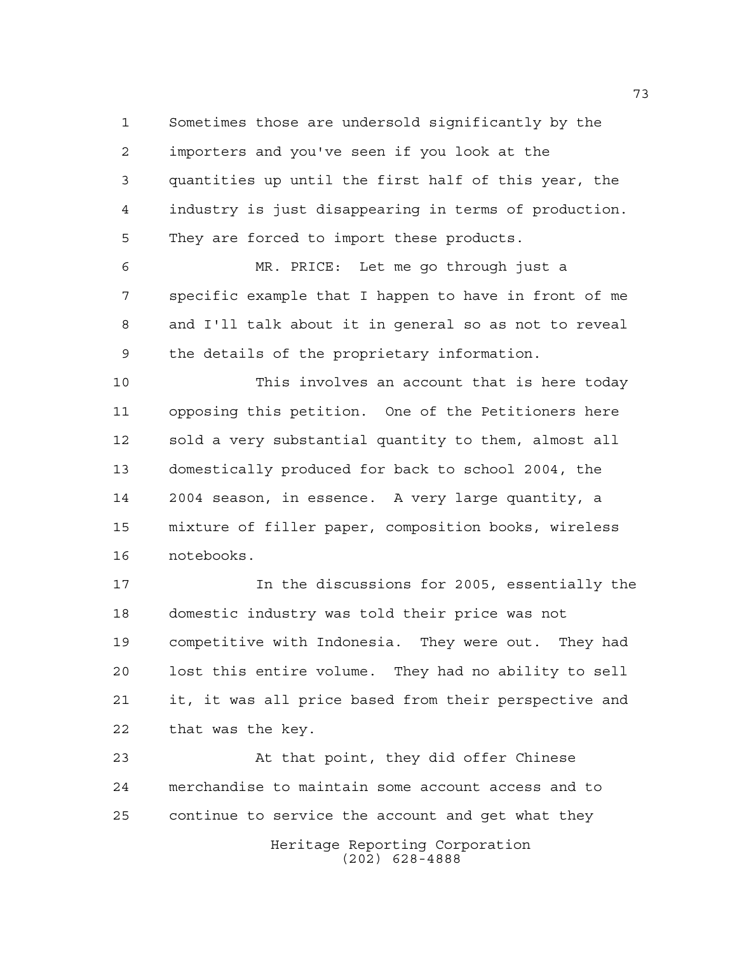Sometimes those are undersold significantly by the importers and you've seen if you look at the quantities up until the first half of this year, the industry is just disappearing in terms of production. They are forced to import these products.

 MR. PRICE: Let me go through just a specific example that I happen to have in front of me and I'll talk about it in general so as not to reveal the details of the proprietary information.

 This involves an account that is here today opposing this petition. One of the Petitioners here sold a very substantial quantity to them, almost all domestically produced for back to school 2004, the 2004 season, in essence. A very large quantity, a mixture of filler paper, composition books, wireless notebooks.

 In the discussions for 2005, essentially the domestic industry was told their price was not competitive with Indonesia. They were out. They had lost this entire volume. They had no ability to sell it, it was all price based from their perspective and that was the key.

 At that point, they did offer Chinese merchandise to maintain some account access and to continue to service the account and get what they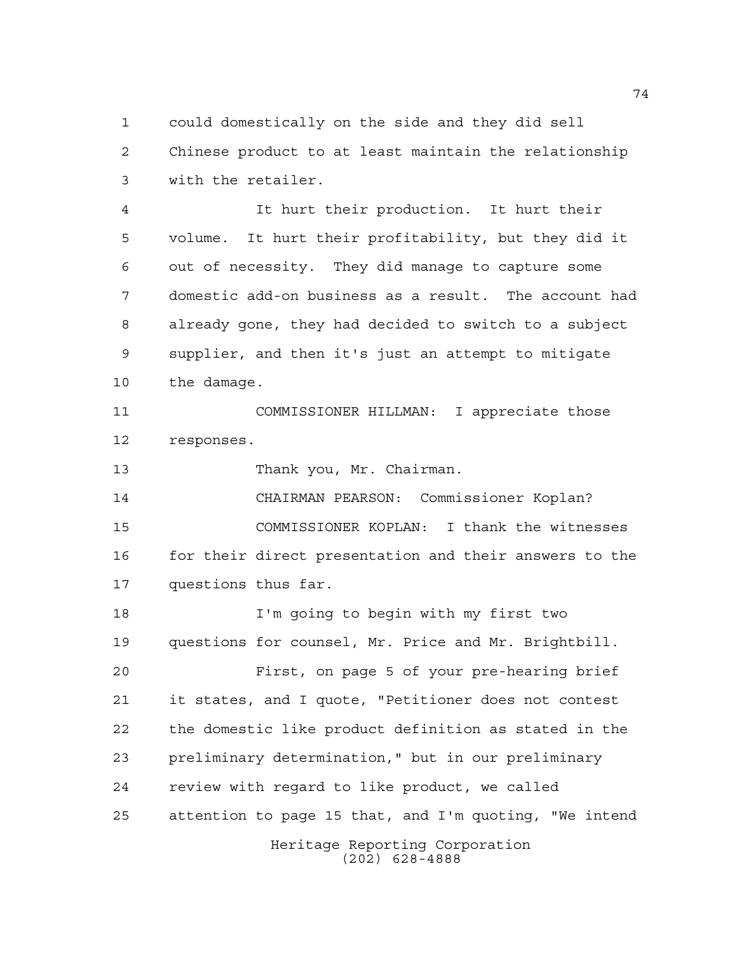could domestically on the side and they did sell Chinese product to at least maintain the relationship with the retailer.

 It hurt their production. It hurt their volume. It hurt their profitability, but they did it out of necessity. They did manage to capture some domestic add-on business as a result. The account had already gone, they had decided to switch to a subject supplier, and then it's just an attempt to mitigate the damage.

 COMMISSIONER HILLMAN: I appreciate those responses.

13 Thank you, Mr. Chairman.

 CHAIRMAN PEARSON: Commissioner Koplan? COMMISSIONER KOPLAN: I thank the witnesses 16 for their direct presentation and their answers to the questions thus far.

Heritage Reporting Corporation I'm going to begin with my first two questions for counsel, Mr. Price and Mr. Brightbill. First, on page 5 of your pre-hearing brief it states, and I quote, "Petitioner does not contest the domestic like product definition as stated in the preliminary determination," but in our preliminary review with regard to like product, we called attention to page 15 that, and I'm quoting, "We intend

(202) 628-4888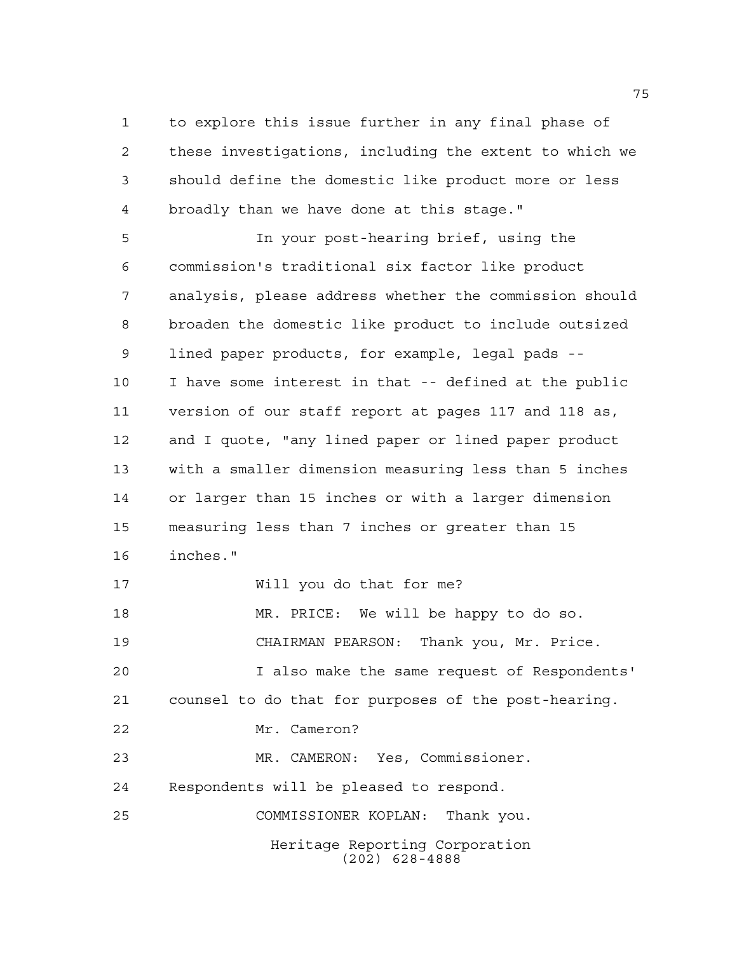to explore this issue further in any final phase of these investigations, including the extent to which we should define the domestic like product more or less broadly than we have done at this stage."

 In your post-hearing brief, using the commission's traditional six factor like product analysis, please address whether the commission should broaden the domestic like product to include outsized lined paper products, for example, legal pads -- I have some interest in that -- defined at the public version of our staff report at pages 117 and 118 as, and I quote, "any lined paper or lined paper product with a smaller dimension measuring less than 5 inches or larger than 15 inches or with a larger dimension measuring less than 7 inches or greater than 15 inches." Will you do that for me? MR. PRICE: We will be happy to do so. CHAIRMAN PEARSON: Thank you, Mr. Price. I also make the same request of Respondents' counsel to do that for purposes of the post-hearing.

Mr. Cameron?

Heritage Reporting Corporation MR. CAMERON: Yes, Commissioner. Respondents will be pleased to respond. COMMISSIONER KOPLAN: Thank you.

(202) 628-4888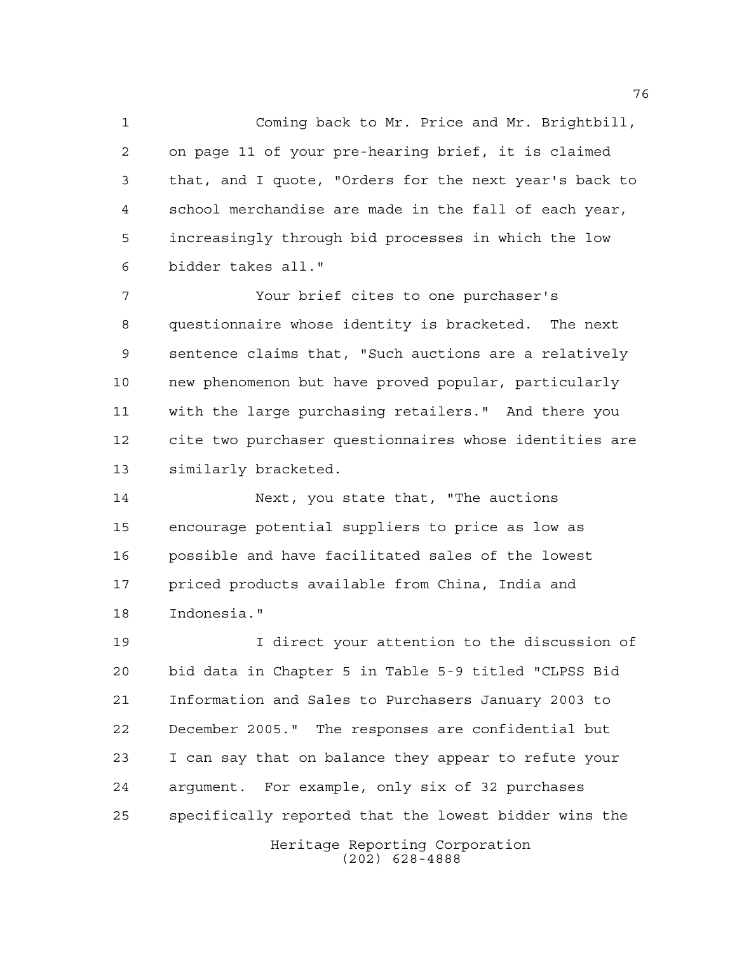Coming back to Mr. Price and Mr. Brightbill, on page 11 of your pre-hearing brief, it is claimed that, and I quote, "Orders for the next year's back to school merchandise are made in the fall of each year, increasingly through bid processes in which the low bidder takes all."

 Your brief cites to one purchaser's questionnaire whose identity is bracketed. The next sentence claims that, "Such auctions are a relatively new phenomenon but have proved popular, particularly with the large purchasing retailers." And there you cite two purchaser questionnaires whose identities are similarly bracketed.

 Next, you state that, "The auctions encourage potential suppliers to price as low as possible and have facilitated sales of the lowest priced products available from China, India and Indonesia."

 I direct your attention to the discussion of bid data in Chapter 5 in Table 5-9 titled "CLPSS Bid Information and Sales to Purchasers January 2003 to December 2005." The responses are confidential but I can say that on balance they appear to refute your argument. For example, only six of 32 purchases specifically reported that the lowest bidder wins the

Heritage Reporting Corporation (202) 628-4888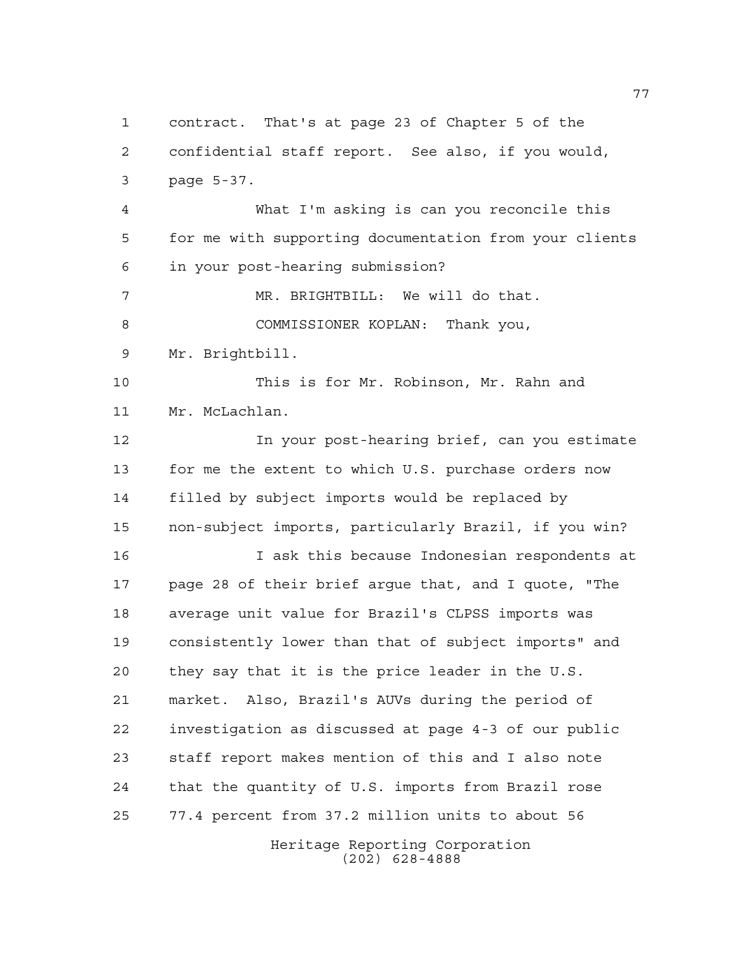Heritage Reporting Corporation (202) 628-4888 contract. That's at page 23 of Chapter 5 of the confidential staff report. See also, if you would, page 5-37. What I'm asking is can you reconcile this for me with supporting documentation from your clients in your post-hearing submission? MR. BRIGHTBILL: We will do that. COMMISSIONER KOPLAN: Thank you, Mr. Brightbill. This is for Mr. Robinson, Mr. Rahn and Mr. McLachlan. In your post-hearing brief, can you estimate for me the extent to which U.S. purchase orders now filled by subject imports would be replaced by non-subject imports, particularly Brazil, if you win? I ask this because Indonesian respondents at page 28 of their brief argue that, and I quote, "The average unit value for Brazil's CLPSS imports was consistently lower than that of subject imports" and they say that it is the price leader in the U.S. market. Also, Brazil's AUVs during the period of investigation as discussed at page 4-3 of our public staff report makes mention of this and I also note that the quantity of U.S. imports from Brazil rose 77.4 percent from 37.2 million units to about 56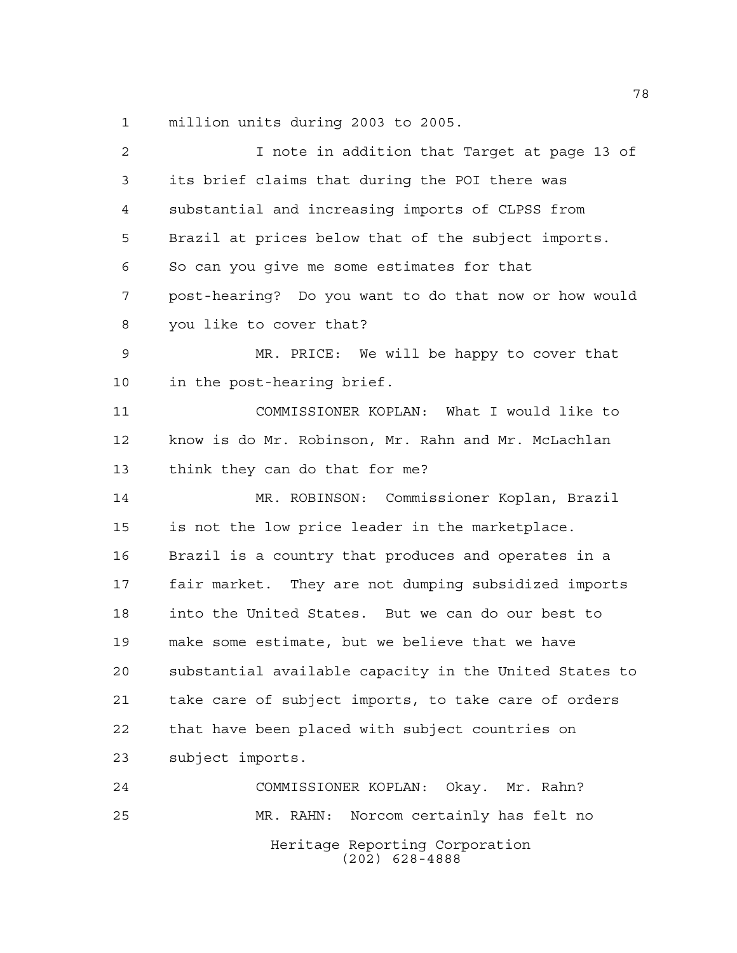million units during 2003 to 2005.

| $\overline{c}$ | I note in addition that Target at page 13 of           |
|----------------|--------------------------------------------------------|
| 3              | its brief claims that during the POI there was         |
| 4              | substantial and increasing imports of CLPSS from       |
| 5              | Brazil at prices below that of the subject imports.    |
| 6              | So can you give me some estimates for that             |
| 7              | post-hearing? Do you want to do that now or how would  |
| 8              | you like to cover that?                                |
| 9              | MR. PRICE: We will be happy to cover that              |
| 10             | in the post-hearing brief.                             |
| 11             | COMMISSIONER KOPLAN: What I would like to              |
| 12             | know is do Mr. Robinson, Mr. Rahn and Mr. McLachlan    |
| 13             | think they can do that for me?                         |
| 14             | MR. ROBINSON: Commissioner Koplan, Brazil              |
| 15             | is not the low price leader in the marketplace.        |
| 16             | Brazil is a country that produces and operates in a    |
| 17             | fair market. They are not dumping subsidized imports   |
| 18             | into the United States. But we can do our best to      |
| 19             | make some estimate, but we believe that we have        |
| 20             | substantial available capacity in the United States to |
| 21             | take care of subject imports, to take care of orders   |
| 22             | that have been placed with subject countries on        |
| 23             | subject imports.                                       |
| 24             | COMMISSIONER KOPLAN: Okay. Mr. Rahn?                   |
| 25             | MR. RAHN: Norcom certainly has felt no                 |
|                | Heritage Reporting Corporation<br>$(202)$ 628-4888     |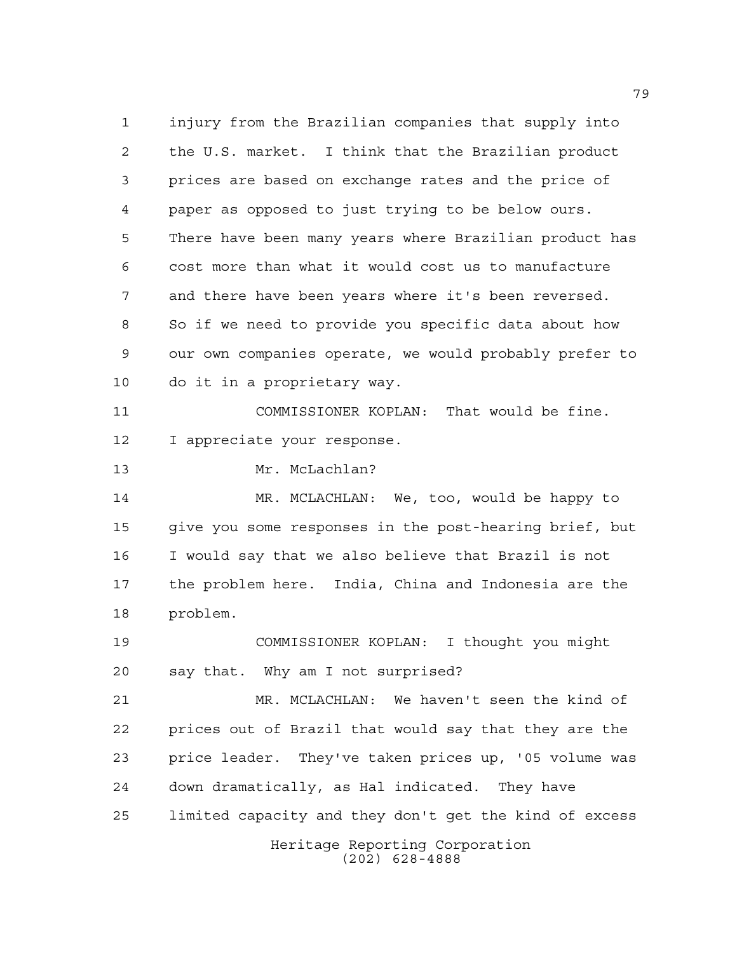injury from the Brazilian companies that supply into the U.S. market. I think that the Brazilian product prices are based on exchange rates and the price of paper as opposed to just trying to be below ours. There have been many years where Brazilian product has cost more than what it would cost us to manufacture and there have been years where it's been reversed. So if we need to provide you specific data about how our own companies operate, we would probably prefer to do it in a proprietary way. COMMISSIONER KOPLAN: That would be fine. I appreciate your response. Mr. McLachlan? MR. MCLACHLAN: We, too, would be happy to give you some responses in the post-hearing brief, but I would say that we also believe that Brazil is not the problem here. India, China and Indonesia are the problem. COMMISSIONER KOPLAN: I thought you might say that. Why am I not surprised?

Heritage Reporting Corporation (202) 628-4888 MR. MCLACHLAN: We haven't seen the kind of prices out of Brazil that would say that they are the price leader. They've taken prices up, '05 volume was down dramatically, as Hal indicated. They have limited capacity and they don't get the kind of excess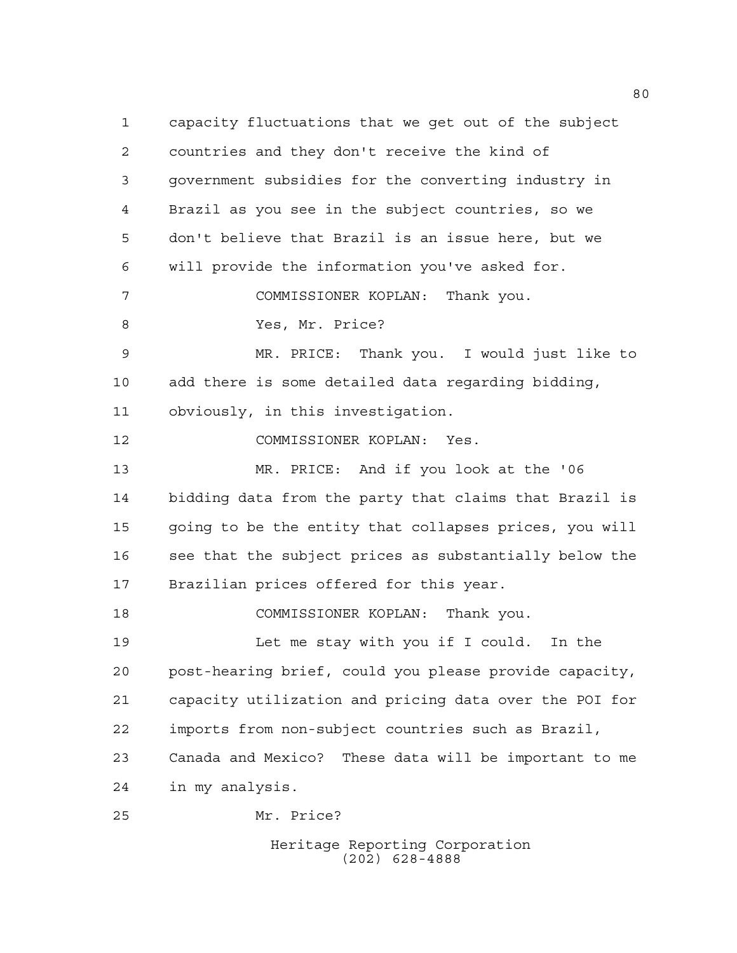capacity fluctuations that we get out of the subject countries and they don't receive the kind of government subsidies for the converting industry in Brazil as you see in the subject countries, so we don't believe that Brazil is an issue here, but we will provide the information you've asked for. COMMISSIONER KOPLAN: Thank you. Yes, Mr. Price? MR. PRICE: Thank you. I would just like to add there is some detailed data regarding bidding, obviously, in this investigation. COMMISSIONER KOPLAN: Yes. MR. PRICE: And if you look at the '06 bidding data from the party that claims that Brazil is going to be the entity that collapses prices, you will see that the subject prices as substantially below the Brazilian prices offered for this year. COMMISSIONER KOPLAN: Thank you. Let me stay with you if I could. In the post-hearing brief, could you please provide capacity, capacity utilization and pricing data over the POI for imports from non-subject countries such as Brazil, Canada and Mexico? These data will be important to me in my analysis. Mr. Price?

Heritage Reporting Corporation (202) 628-4888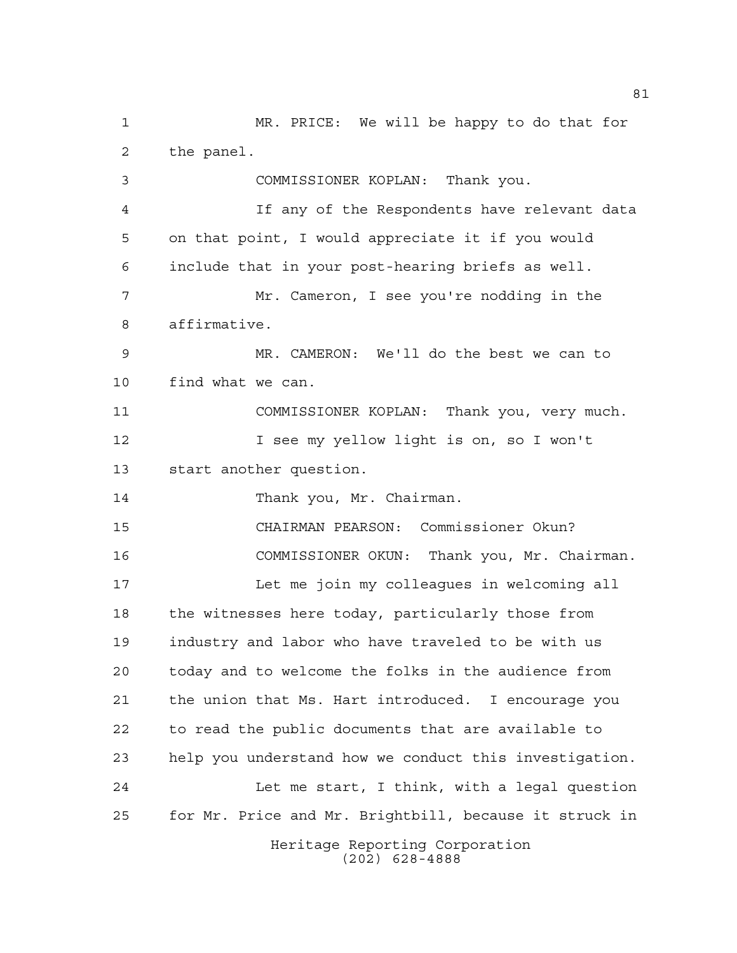Heritage Reporting Corporation MR. PRICE: We will be happy to do that for the panel. COMMISSIONER KOPLAN: Thank you. If any of the Respondents have relevant data on that point, I would appreciate it if you would include that in your post-hearing briefs as well. Mr. Cameron, I see you're nodding in the affirmative. MR. CAMERON: We'll do the best we can to find what we can. COMMISSIONER KOPLAN: Thank you, very much. I see my yellow light is on, so I won't start another question. 14 Thank you, Mr. Chairman. CHAIRMAN PEARSON: Commissioner Okun? COMMISSIONER OKUN: Thank you, Mr. Chairman. Let me join my colleagues in welcoming all 18 the witnesses here today, particularly those from industry and labor who have traveled to be with us today and to welcome the folks in the audience from the union that Ms. Hart introduced. I encourage you to read the public documents that are available to help you understand how we conduct this investigation. Let me start, I think, with a legal question for Mr. Price and Mr. Brightbill, because it struck in

(202) 628-4888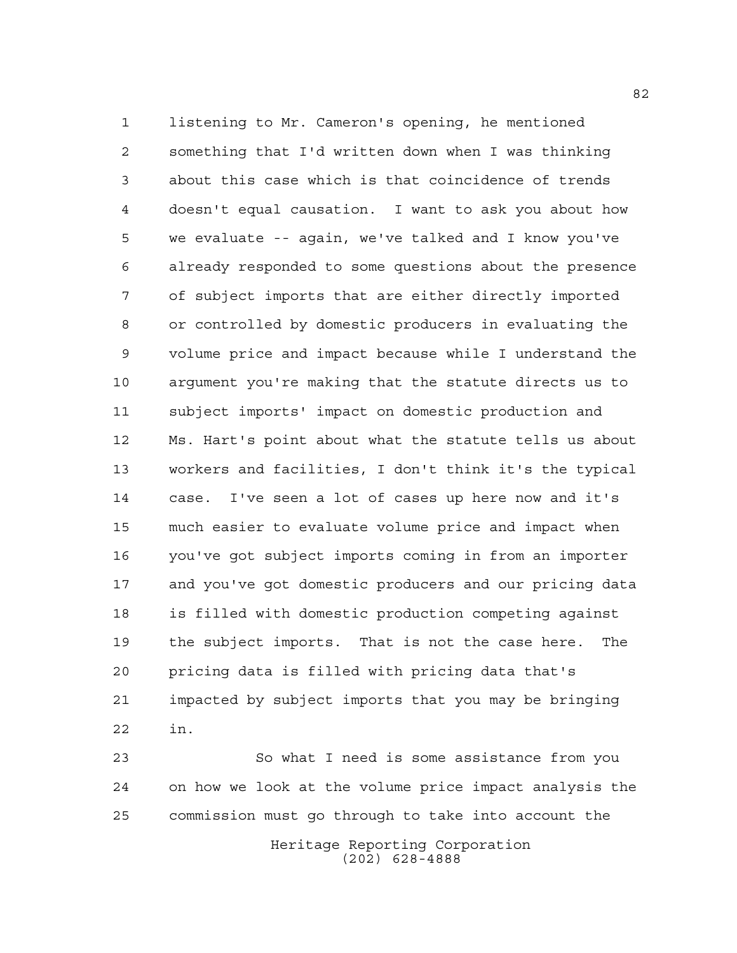listening to Mr. Cameron's opening, he mentioned something that I'd written down when I was thinking about this case which is that coincidence of trends doesn't equal causation. I want to ask you about how we evaluate -- again, we've talked and I know you've already responded to some questions about the presence of subject imports that are either directly imported or controlled by domestic producers in evaluating the volume price and impact because while I understand the argument you're making that the statute directs us to subject imports' impact on domestic production and Ms. Hart's point about what the statute tells us about workers and facilities, I don't think it's the typical case. I've seen a lot of cases up here now and it's much easier to evaluate volume price and impact when you've got subject imports coming in from an importer and you've got domestic producers and our pricing data is filled with domestic production competing against the subject imports. That is not the case here. The pricing data is filled with pricing data that's impacted by subject imports that you may be bringing in.

 So what I need is some assistance from you on how we look at the volume price impact analysis the commission must go through to take into account the

> Heritage Reporting Corporation (202) 628-4888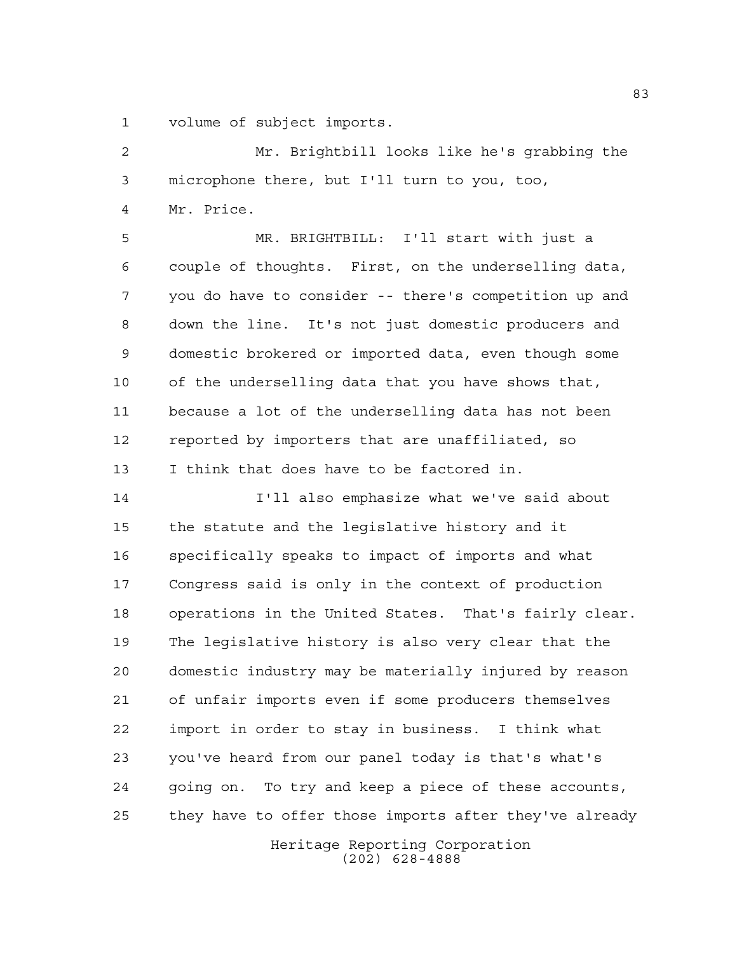volume of subject imports.

 Mr. Brightbill looks like he's grabbing the microphone there, but I'll turn to you, too, Mr. Price. MR. BRIGHTBILL: I'll start with just a couple of thoughts. First, on the underselling data, you do have to consider -- there's competition up and down the line. It's not just domestic producers and domestic brokered or imported data, even though some of the underselling data that you have shows that, because a lot of the underselling data has not been reported by importers that are unaffiliated, so I think that does have to be factored in.

 I'll also emphasize what we've said about the statute and the legislative history and it specifically speaks to impact of imports and what Congress said is only in the context of production operations in the United States. That's fairly clear. The legislative history is also very clear that the domestic industry may be materially injured by reason of unfair imports even if some producers themselves import in order to stay in business. I think what you've heard from our panel today is that's what's going on. To try and keep a piece of these accounts, they have to offer those imports after they've already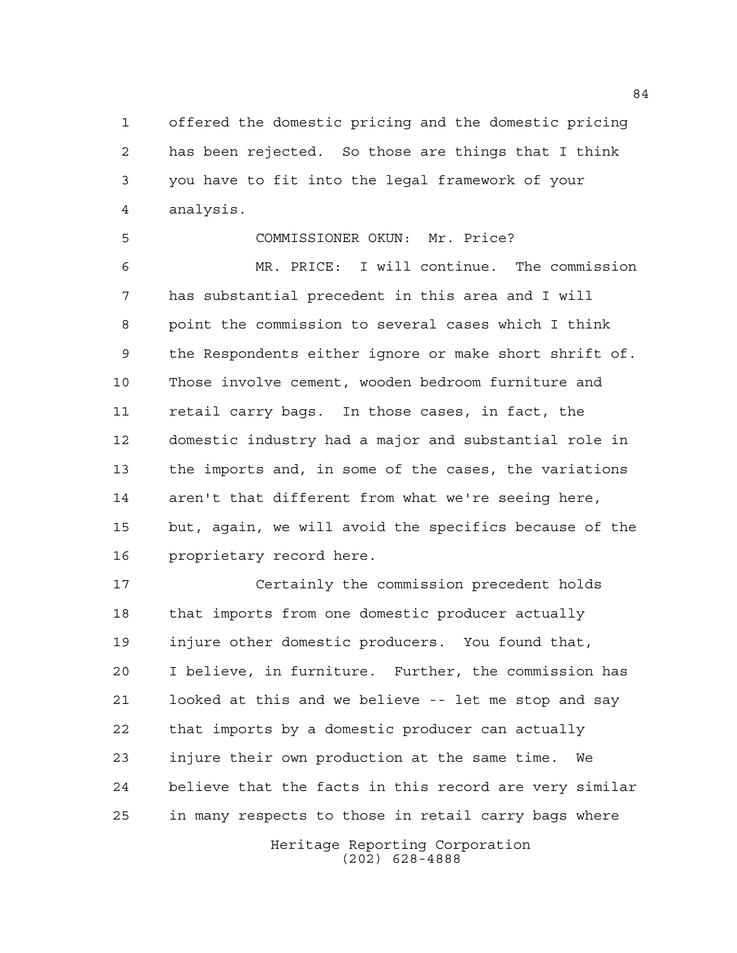offered the domestic pricing and the domestic pricing has been rejected. So those are things that I think you have to fit into the legal framework of your analysis.

 COMMISSIONER OKUN: Mr. Price? MR. PRICE: I will continue. The commission has substantial precedent in this area and I will point the commission to several cases which I think the Respondents either ignore or make short shrift of. Those involve cement, wooden bedroom furniture and retail carry bags. In those cases, in fact, the domestic industry had a major and substantial role in the imports and, in some of the cases, the variations aren't that different from what we're seeing here, but, again, we will avoid the specifics because of the proprietary record here.

 Certainly the commission precedent holds that imports from one domestic producer actually injure other domestic producers. You found that, I believe, in furniture. Further, the commission has looked at this and we believe -- let me stop and say that imports by a domestic producer can actually injure their own production at the same time. We believe that the facts in this record are very similar in many respects to those in retail carry bags where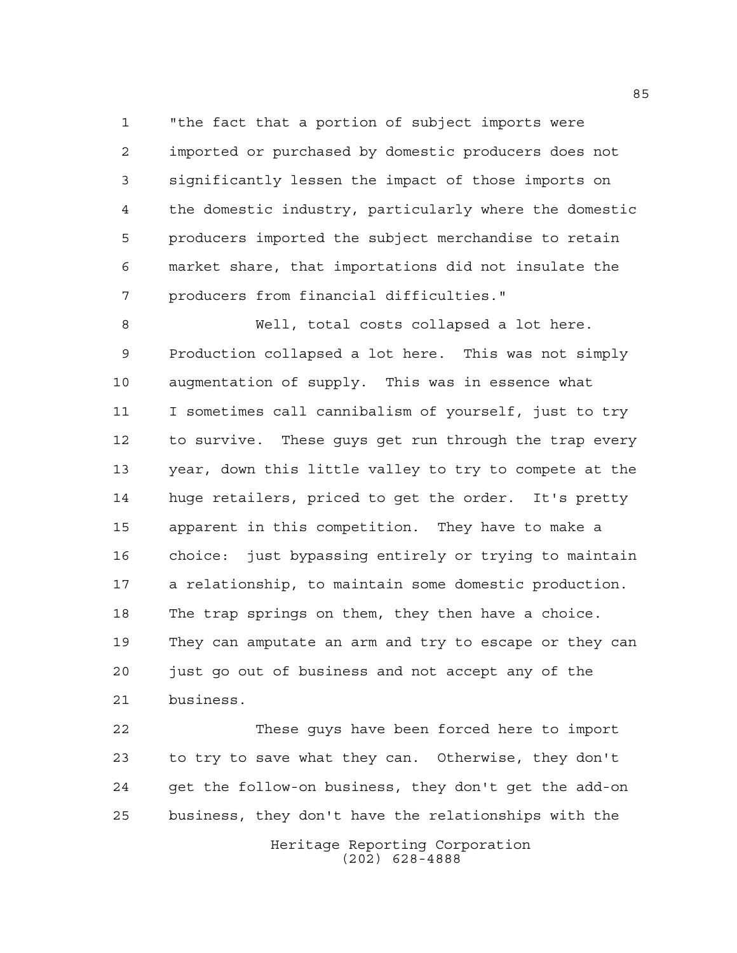"the fact that a portion of subject imports were imported or purchased by domestic producers does not significantly lessen the impact of those imports on the domestic industry, particularly where the domestic producers imported the subject merchandise to retain market share, that importations did not insulate the producers from financial difficulties."

 Well, total costs collapsed a lot here. Production collapsed a lot here. This was not simply augmentation of supply. This was in essence what I sometimes call cannibalism of yourself, just to try to survive. These guys get run through the trap every year, down this little valley to try to compete at the huge retailers, priced to get the order. It's pretty apparent in this competition. They have to make a choice: just bypassing entirely or trying to maintain a relationship, to maintain some domestic production. The trap springs on them, they then have a choice. They can amputate an arm and try to escape or they can just go out of business and not accept any of the business.

 These guys have been forced here to import to try to save what they can. Otherwise, they don't get the follow-on business, they don't get the add-on business, they don't have the relationships with the

> Heritage Reporting Corporation (202) 628-4888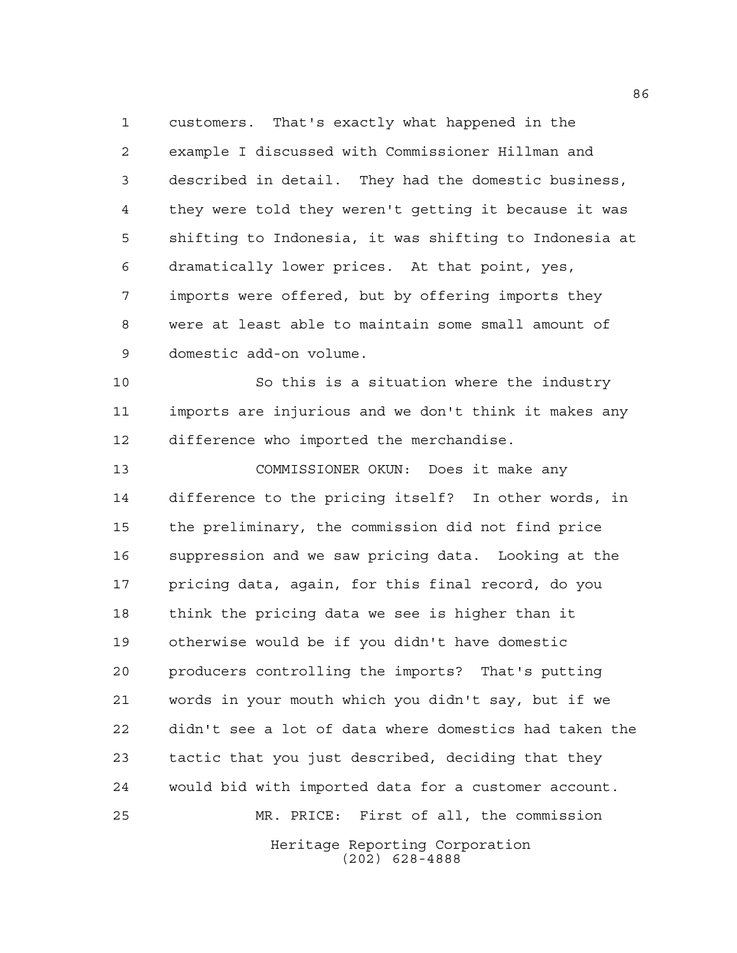customers. That's exactly what happened in the example I discussed with Commissioner Hillman and described in detail. They had the domestic business, they were told they weren't getting it because it was shifting to Indonesia, it was shifting to Indonesia at dramatically lower prices. At that point, yes, imports were offered, but by offering imports they were at least able to maintain some small amount of domestic add-on volume.

 So this is a situation where the industry imports are injurious and we don't think it makes any difference who imported the merchandise.

Heritage Reporting Corporation COMMISSIONER OKUN: Does it make any difference to the pricing itself? In other words, in the preliminary, the commission did not find price suppression and we saw pricing data. Looking at the pricing data, again, for this final record, do you think the pricing data we see is higher than it otherwise would be if you didn't have domestic producers controlling the imports? That's putting words in your mouth which you didn't say, but if we didn't see a lot of data where domestics had taken the tactic that you just described, deciding that they would bid with imported data for a customer account. MR. PRICE: First of all, the commission

(202) 628-4888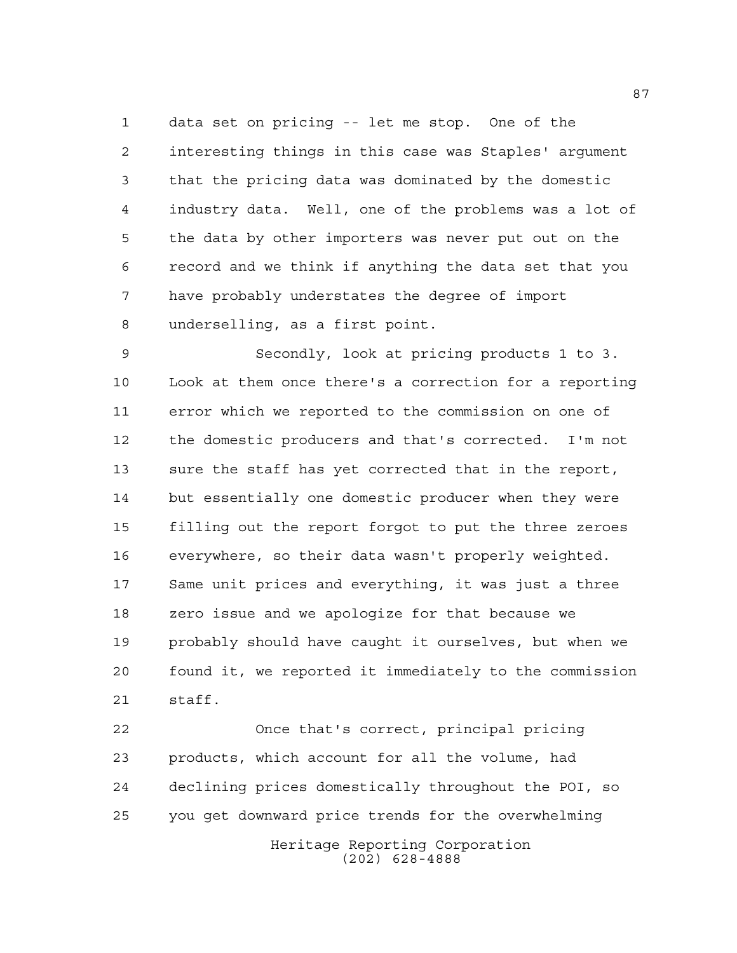data set on pricing -- let me stop. One of the interesting things in this case was Staples' argument that the pricing data was dominated by the domestic industry data. Well, one of the problems was a lot of the data by other importers was never put out on the record and we think if anything the data set that you have probably understates the degree of import underselling, as a first point.

 Secondly, look at pricing products 1 to 3. Look at them once there's a correction for a reporting error which we reported to the commission on one of the domestic producers and that's corrected. I'm not sure the staff has yet corrected that in the report, but essentially one domestic producer when they were filling out the report forgot to put the three zeroes everywhere, so their data wasn't properly weighted. Same unit prices and everything, it was just a three zero issue and we apologize for that because we probably should have caught it ourselves, but when we found it, we reported it immediately to the commission staff.

Heritage Reporting Corporation Once that's correct, principal pricing products, which account for all the volume, had declining prices domestically throughout the POI, so you get downward price trends for the overwhelming

(202) 628-4888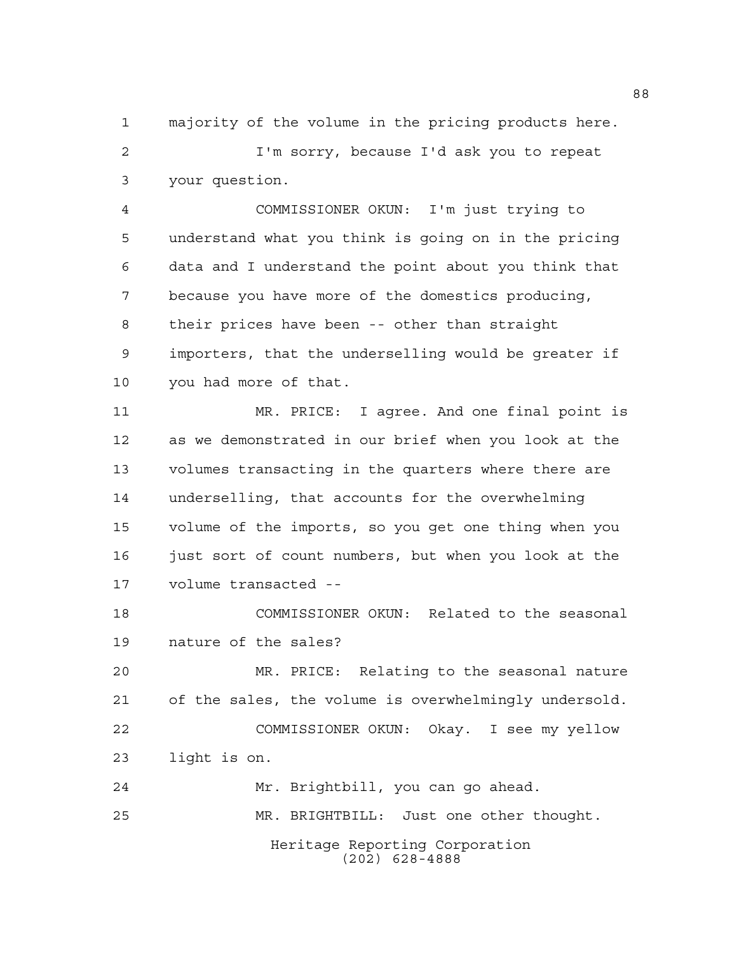majority of the volume in the pricing products here. I'm sorry, because I'd ask you to repeat your question.

 COMMISSIONER OKUN: I'm just trying to understand what you think is going on in the pricing data and I understand the point about you think that because you have more of the domestics producing, their prices have been -- other than straight importers, that the underselling would be greater if you had more of that.

 MR. PRICE: I agree. And one final point is as we demonstrated in our brief when you look at the volumes transacting in the quarters where there are underselling, that accounts for the overwhelming volume of the imports, so you get one thing when you 16 just sort of count numbers, but when you look at the volume transacted --

 COMMISSIONER OKUN: Related to the seasonal nature of the sales?

 MR. PRICE: Relating to the seasonal nature of the sales, the volume is overwhelmingly undersold. COMMISSIONER OKUN: Okay. I see my yellow light is on.

Heritage Reporting Corporation (202) 628-4888 Mr. Brightbill, you can go ahead. MR. BRIGHTBILL: Just one other thought.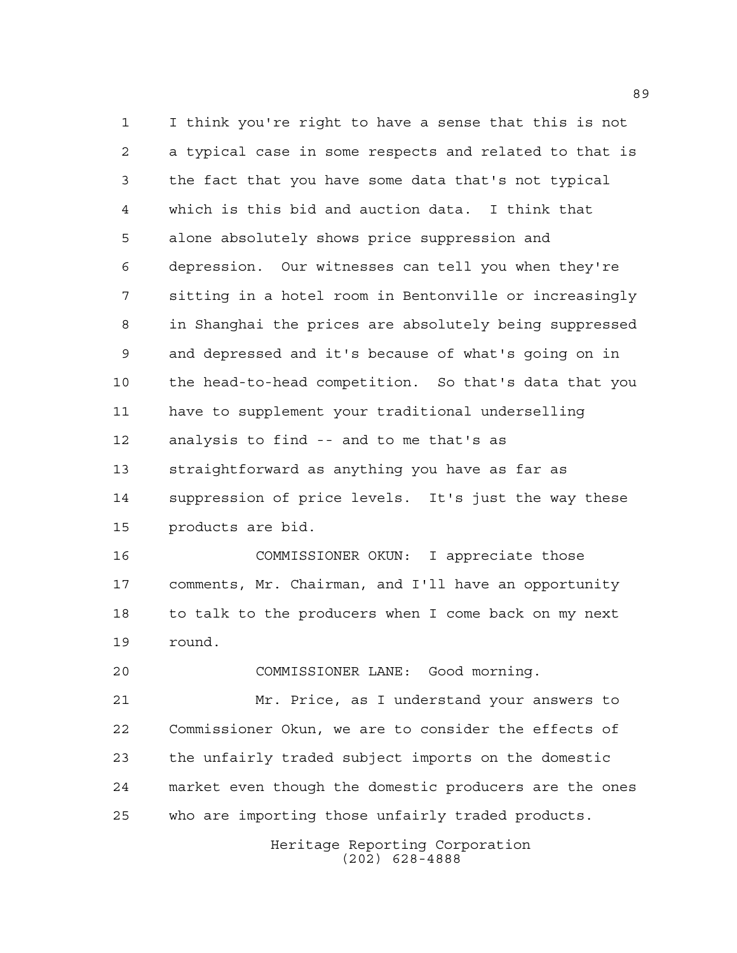I think you're right to have a sense that this is not a typical case in some respects and related to that is the fact that you have some data that's not typical which is this bid and auction data. I think that alone absolutely shows price suppression and depression. Our witnesses can tell you when they're sitting in a hotel room in Bentonville or increasingly in Shanghai the prices are absolutely being suppressed and depressed and it's because of what's going on in the head-to-head competition. So that's data that you have to supplement your traditional underselling analysis to find -- and to me that's as straightforward as anything you have as far as suppression of price levels. It's just the way these products are bid.

 COMMISSIONER OKUN: I appreciate those comments, Mr. Chairman, and I'll have an opportunity to talk to the producers when I come back on my next round.

COMMISSIONER LANE: Good morning.

 Mr. Price, as I understand your answers to Commissioner Okun, we are to consider the effects of the unfairly traded subject imports on the domestic market even though the domestic producers are the ones who are importing those unfairly traded products.

> Heritage Reporting Corporation (202) 628-4888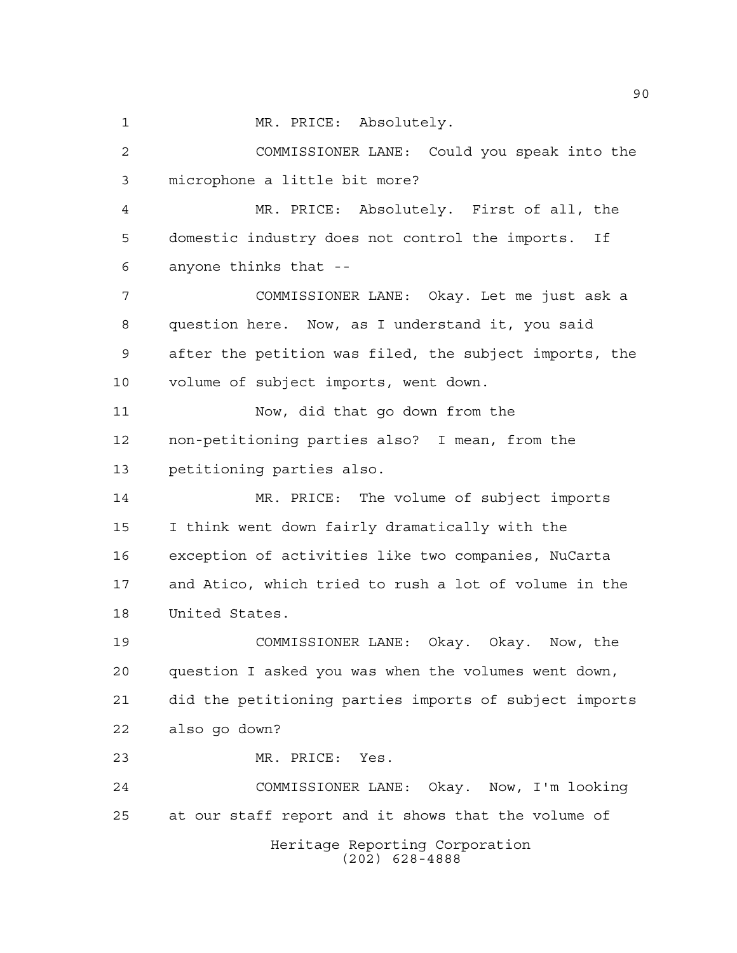1 MR. PRICE: Absolutely. COMMISSIONER LANE: Could you speak into the microphone a little bit more? MR. PRICE: Absolutely. First of all, the domestic industry does not control the imports. If anyone thinks that -- COMMISSIONER LANE: Okay. Let me just ask a question here. Now, as I understand it, you said after the petition was filed, the subject imports, the volume of subject imports, went down. Now, did that go down from the non-petitioning parties also? I mean, from the petitioning parties also. MR. PRICE: The volume of subject imports I think went down fairly dramatically with the exception of activities like two companies, NuCarta and Atico, which tried to rush a lot of volume in the United States. COMMISSIONER LANE: Okay. Okay. Now, the question I asked you was when the volumes went down, did the petitioning parties imports of subject imports also go down? MR. PRICE: Yes. COMMISSIONER LANE: Okay. Now, I'm looking at our staff report and it shows that the volume of

Heritage Reporting Corporation (202) 628-4888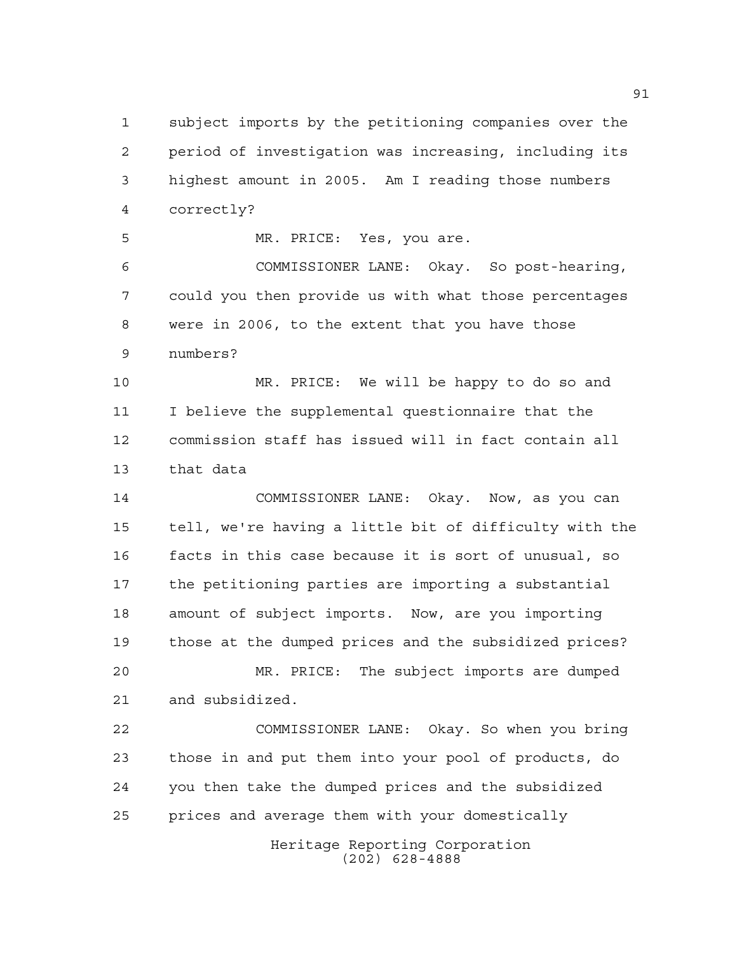subject imports by the petitioning companies over the period of investigation was increasing, including its highest amount in 2005. Am I reading those numbers correctly?

MR. PRICE: Yes, you are.

 COMMISSIONER LANE: Okay. So post-hearing, could you then provide us with what those percentages were in 2006, to the extent that you have those numbers?

 MR. PRICE: We will be happy to do so and I believe the supplemental questionnaire that the commission staff has issued will in fact contain all that data

 COMMISSIONER LANE: Okay. Now, as you can tell, we're having a little bit of difficulty with the facts in this case because it is sort of unusual, so the petitioning parties are importing a substantial amount of subject imports. Now, are you importing those at the dumped prices and the subsidized prices?

 MR. PRICE: The subject imports are dumped and subsidized.

 COMMISSIONER LANE: Okay. So when you bring those in and put them into your pool of products, do you then take the dumped prices and the subsidized prices and average them with your domestically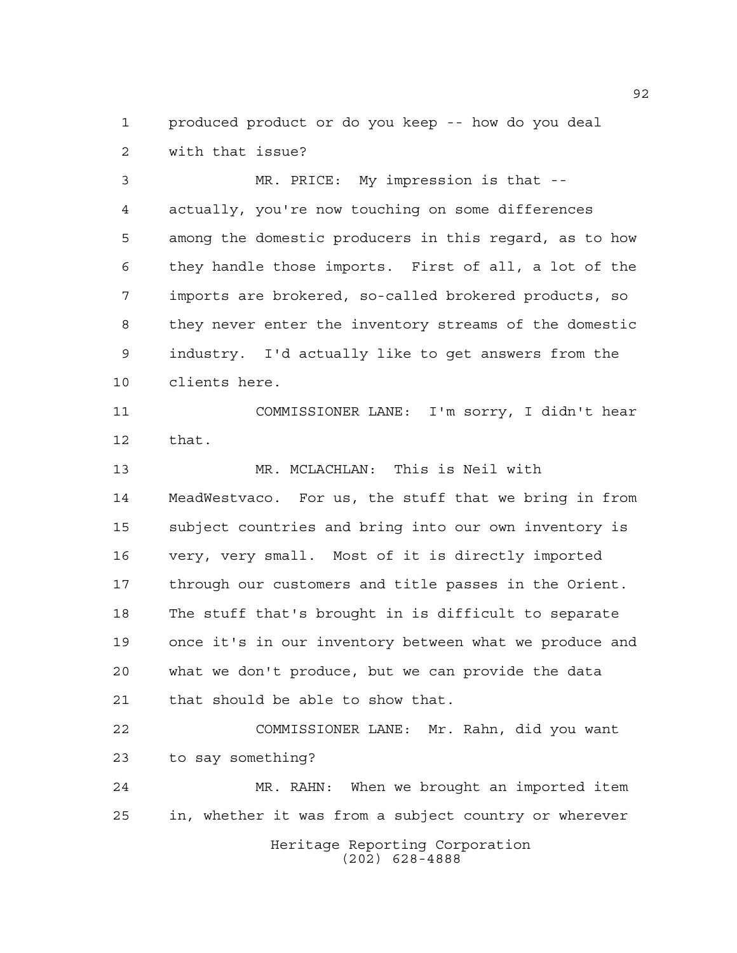produced product or do you keep -- how do you deal with that issue?

 MR. PRICE: My impression is that -- actually, you're now touching on some differences among the domestic producers in this regard, as to how they handle those imports. First of all, a lot of the imports are brokered, so-called brokered products, so they never enter the inventory streams of the domestic industry. I'd actually like to get answers from the clients here.

 COMMISSIONER LANE: I'm sorry, I didn't hear that.

 MR. MCLACHLAN: This is Neil with MeadWestvaco. For us, the stuff that we bring in from subject countries and bring into our own inventory is very, very small. Most of it is directly imported through our customers and title passes in the Orient. The stuff that's brought in is difficult to separate once it's in our inventory between what we produce and what we don't produce, but we can provide the data that should be able to show that.

 COMMISSIONER LANE: Mr. Rahn, did you want to say something?

Heritage Reporting Corporation (202) 628-4888 MR. RAHN: When we brought an imported item in, whether it was from a subject country or wherever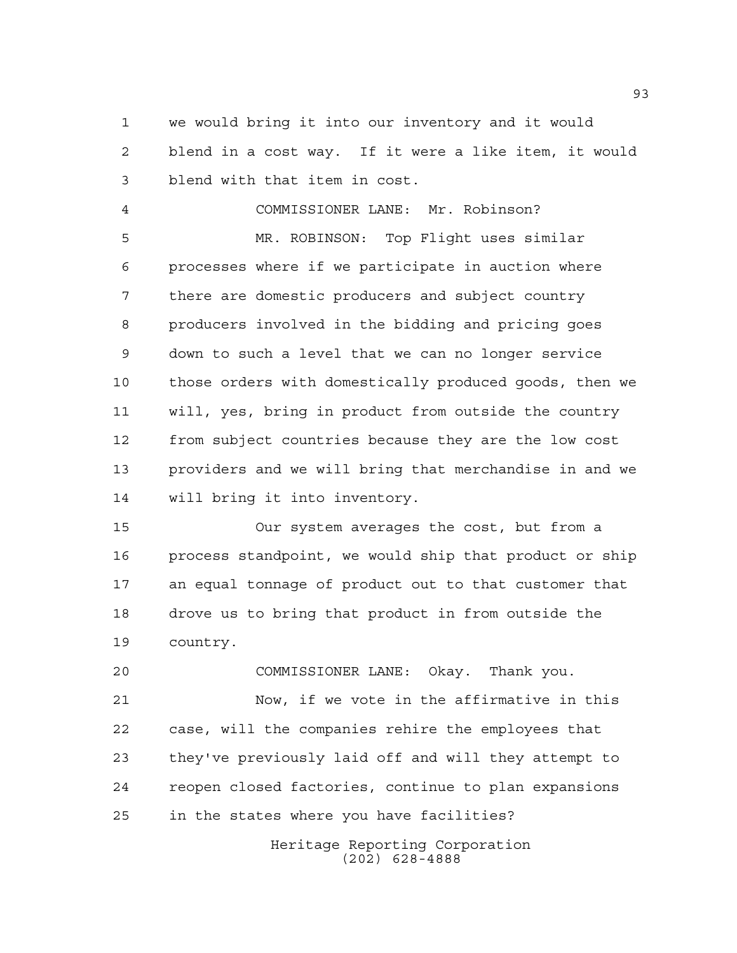we would bring it into our inventory and it would blend in a cost way. If it were a like item, it would blend with that item in cost.

 COMMISSIONER LANE: Mr. Robinson? MR. ROBINSON: Top Flight uses similar processes where if we participate in auction where there are domestic producers and subject country producers involved in the bidding and pricing goes down to such a level that we can no longer service those orders with domestically produced goods, then we will, yes, bring in product from outside the country from subject countries because they are the low cost providers and we will bring that merchandise in and we will bring it into inventory.

 Our system averages the cost, but from a process standpoint, we would ship that product or ship an equal tonnage of product out to that customer that drove us to bring that product in from outside the country.

 COMMISSIONER LANE: Okay. Thank you. Now, if we vote in the affirmative in this case, will the companies rehire the employees that they've previously laid off and will they attempt to reopen closed factories, continue to plan expansions in the states where you have facilities?

> Heritage Reporting Corporation (202) 628-4888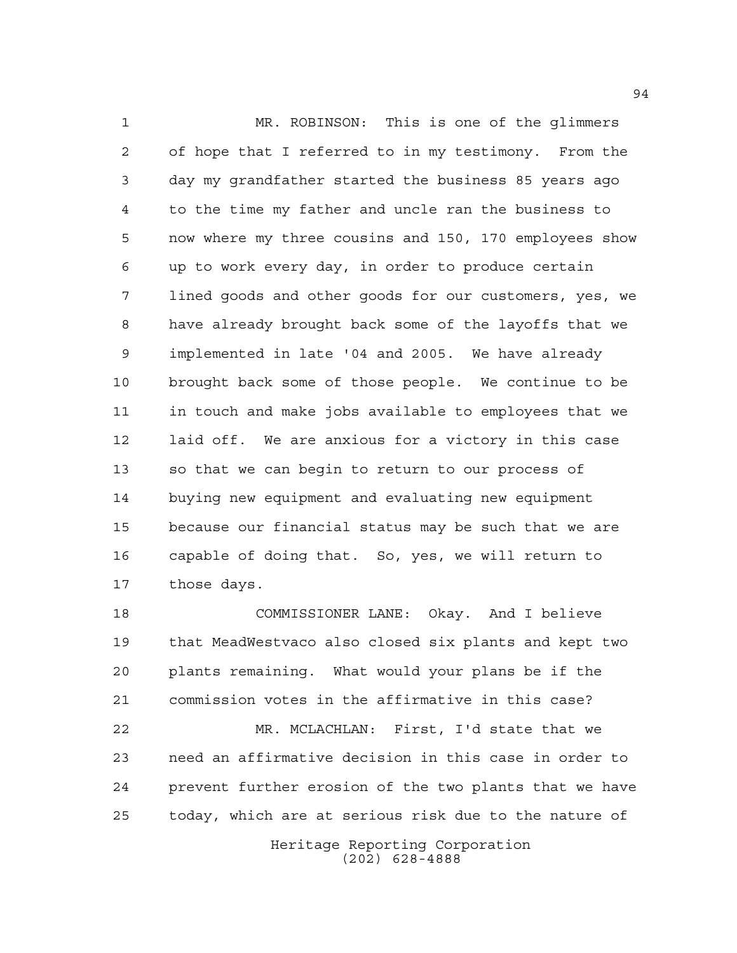MR. ROBINSON: This is one of the glimmers of hope that I referred to in my testimony. From the day my grandfather started the business 85 years ago to the time my father and uncle ran the business to now where my three cousins and 150, 170 employees show up to work every day, in order to produce certain lined goods and other goods for our customers, yes, we have already brought back some of the layoffs that we implemented in late '04 and 2005. We have already brought back some of those people. We continue to be in touch and make jobs available to employees that we laid off. We are anxious for a victory in this case so that we can begin to return to our process of buying new equipment and evaluating new equipment because our financial status may be such that we are capable of doing that. So, yes, we will return to those days.

 COMMISSIONER LANE: Okay. And I believe that MeadWestvaco also closed six plants and kept two plants remaining. What would your plans be if the commission votes in the affirmative in this case? MR. MCLACHLAN: First, I'd state that we need an affirmative decision in this case in order to prevent further erosion of the two plants that we have today, which are at serious risk due to the nature of

Heritage Reporting Corporation (202) 628-4888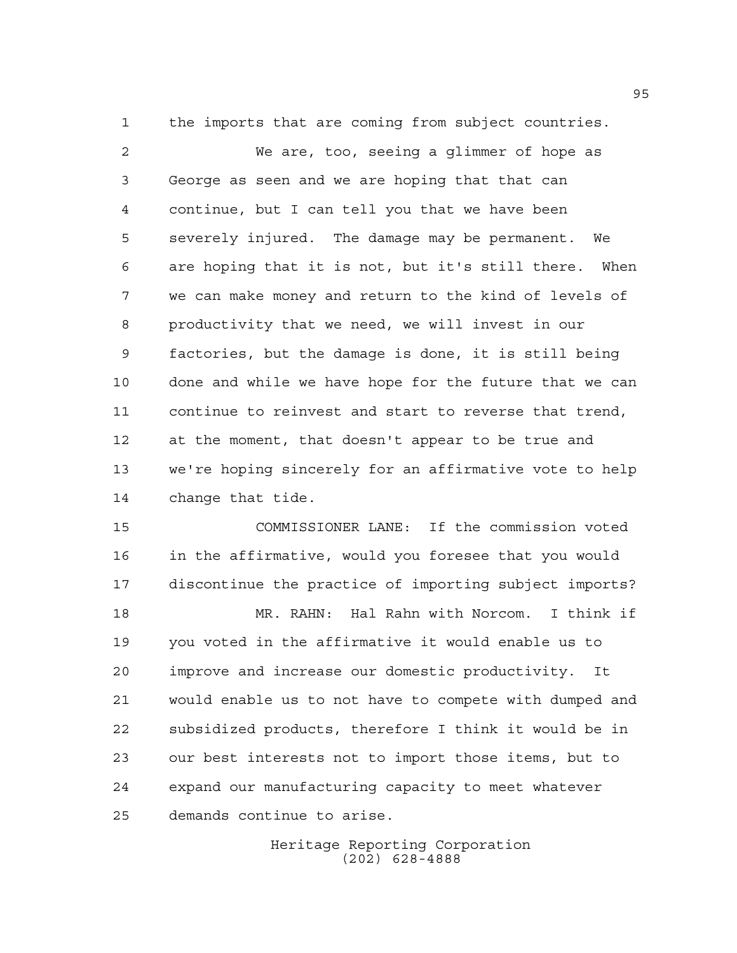the imports that are coming from subject countries.

 We are, too, seeing a glimmer of hope as George as seen and we are hoping that that can continue, but I can tell you that we have been severely injured. The damage may be permanent. We are hoping that it is not, but it's still there. When we can make money and return to the kind of levels of productivity that we need, we will invest in our factories, but the damage is done, it is still being done and while we have hope for the future that we can continue to reinvest and start to reverse that trend, at the moment, that doesn't appear to be true and we're hoping sincerely for an affirmative vote to help change that tide.

 COMMISSIONER LANE: If the commission voted in the affirmative, would you foresee that you would discontinue the practice of importing subject imports?

 MR. RAHN: Hal Rahn with Norcom. I think if you voted in the affirmative it would enable us to improve and increase our domestic productivity. It would enable us to not have to compete with dumped and subsidized products, therefore I think it would be in our best interests not to import those items, but to expand our manufacturing capacity to meet whatever demands continue to arise.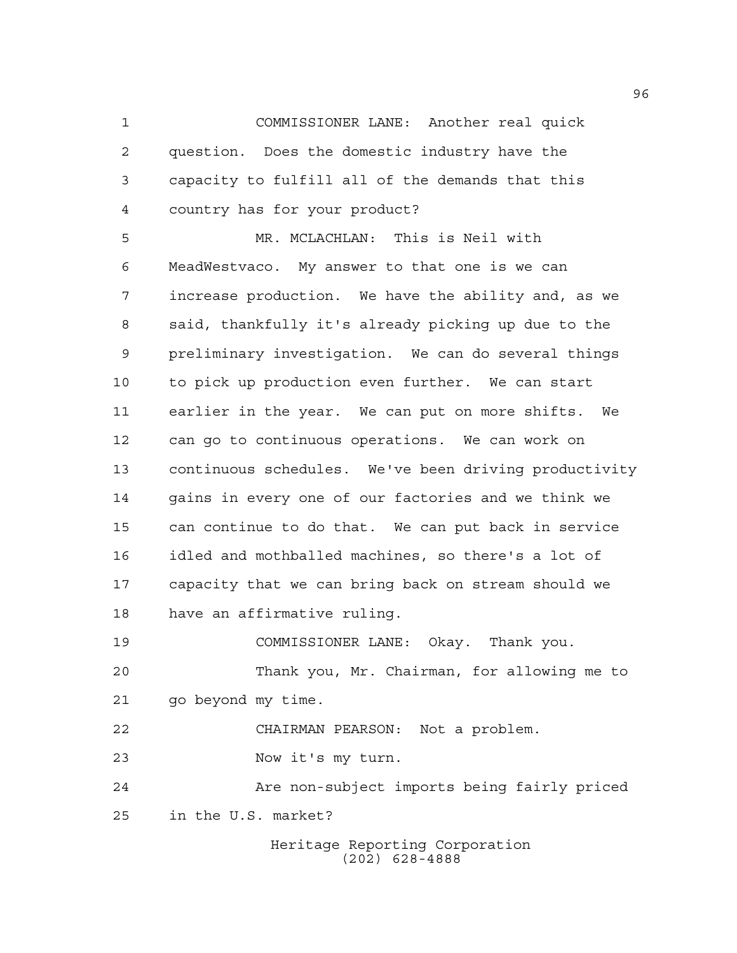COMMISSIONER LANE: Another real quick question. Does the domestic industry have the capacity to fulfill all of the demands that this country has for your product?

 MR. MCLACHLAN: This is Neil with MeadWestvaco. My answer to that one is we can increase production. We have the ability and, as we said, thankfully it's already picking up due to the preliminary investigation. We can do several things to pick up production even further. We can start earlier in the year. We can put on more shifts. We can go to continuous operations. We can work on continuous schedules. We've been driving productivity gains in every one of our factories and we think we can continue to do that. We can put back in service idled and mothballed machines, so there's a lot of capacity that we can bring back on stream should we have an affirmative ruling.

 COMMISSIONER LANE: Okay. Thank you. Thank you, Mr. Chairman, for allowing me to go beyond my time. CHAIRMAN PEARSON: Not a problem. Now it's my turn.

 Are non-subject imports being fairly priced in the U.S. market?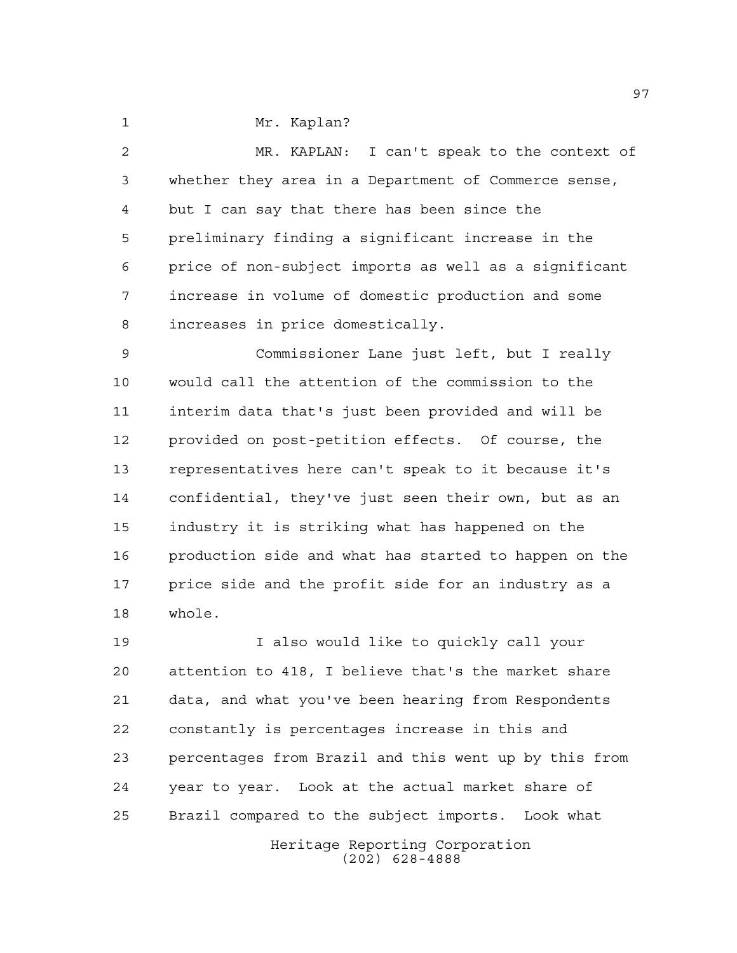1 Mr. Kaplan?

 MR. KAPLAN: I can't speak to the context of whether they area in a Department of Commerce sense, but I can say that there has been since the preliminary finding a significant increase in the price of non-subject imports as well as a significant increase in volume of domestic production and some increases in price domestically.

 Commissioner Lane just left, but I really would call the attention of the commission to the interim data that's just been provided and will be provided on post-petition effects. Of course, the representatives here can't speak to it because it's confidential, they've just seen their own, but as an industry it is striking what has happened on the production side and what has started to happen on the 17 price side and the profit side for an industry as a whole.

Heritage Reporting Corporation I also would like to quickly call your attention to 418, I believe that's the market share data, and what you've been hearing from Respondents constantly is percentages increase in this and percentages from Brazil and this went up by this from year to year. Look at the actual market share of Brazil compared to the subject imports. Look what

(202) 628-4888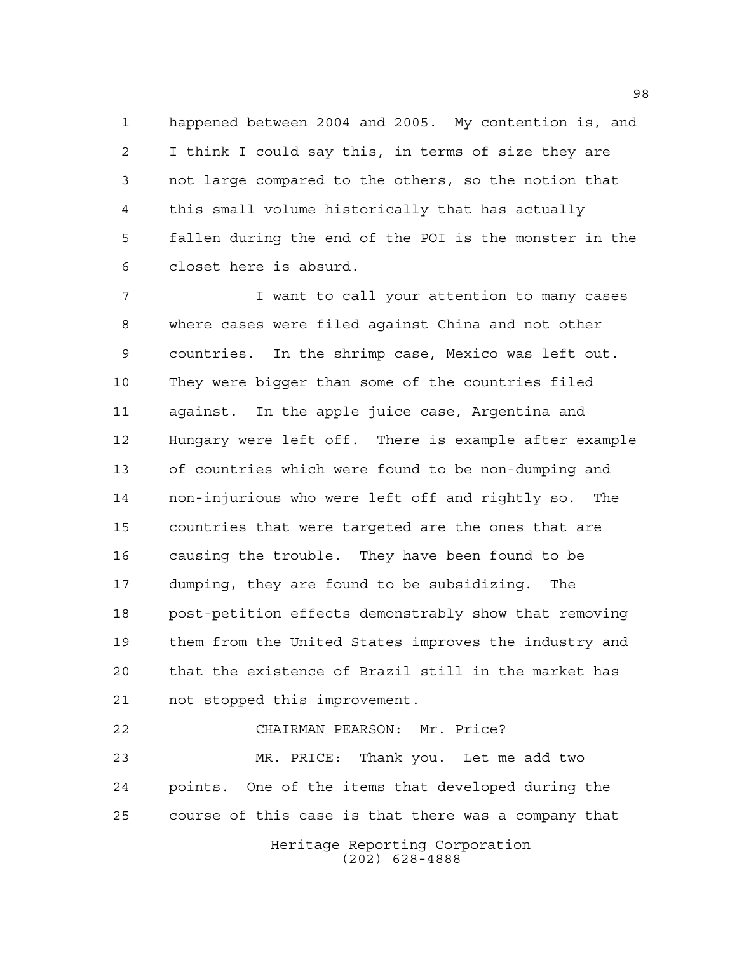happened between 2004 and 2005. My contention is, and I think I could say this, in terms of size they are not large compared to the others, so the notion that this small volume historically that has actually fallen during the end of the POI is the monster in the closet here is absurd.

7 T I want to call your attention to many cases where cases were filed against China and not other countries. In the shrimp case, Mexico was left out. They were bigger than some of the countries filed against. In the apple juice case, Argentina and Hungary were left off. There is example after example of countries which were found to be non-dumping and non-injurious who were left off and rightly so. The countries that were targeted are the ones that are causing the trouble. They have been found to be dumping, they are found to be subsidizing. The post-petition effects demonstrably show that removing them from the United States improves the industry and that the existence of Brazil still in the market has not stopped this improvement.

 CHAIRMAN PEARSON: Mr. Price? MR. PRICE: Thank you. Let me add two points. One of the items that developed during the course of this case is that there was a company that

Heritage Reporting Corporation (202) 628-4888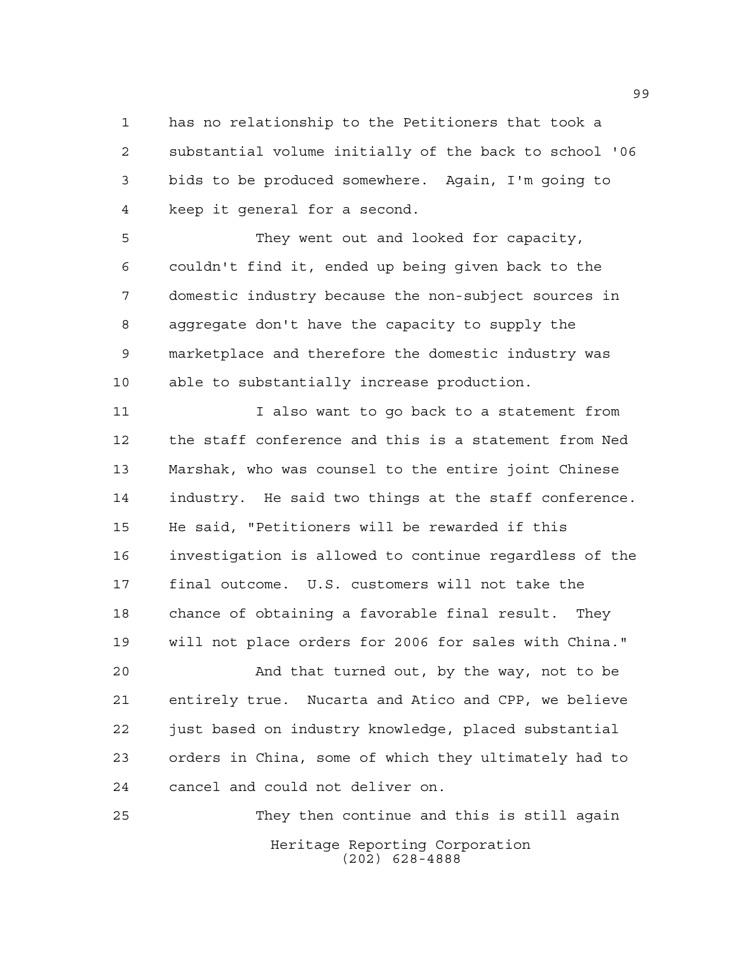has no relationship to the Petitioners that took a substantial volume initially of the back to school '06 bids to be produced somewhere. Again, I'm going to keep it general for a second.

 They went out and looked for capacity, couldn't find it, ended up being given back to the domestic industry because the non-subject sources in aggregate don't have the capacity to supply the marketplace and therefore the domestic industry was able to substantially increase production.

11 I also want to go back to a statement from the staff conference and this is a statement from Ned Marshak, who was counsel to the entire joint Chinese industry. He said two things at the staff conference. He said, "Petitioners will be rewarded if this investigation is allowed to continue regardless of the final outcome. U.S. customers will not take the chance of obtaining a favorable final result. They will not place orders for 2006 for sales with China."

 And that turned out, by the way, not to be entirely true. Nucarta and Atico and CPP, we believe just based on industry knowledge, placed substantial orders in China, some of which they ultimately had to cancel and could not deliver on.

Heritage Reporting Corporation (202) 628-4888 They then continue and this is still again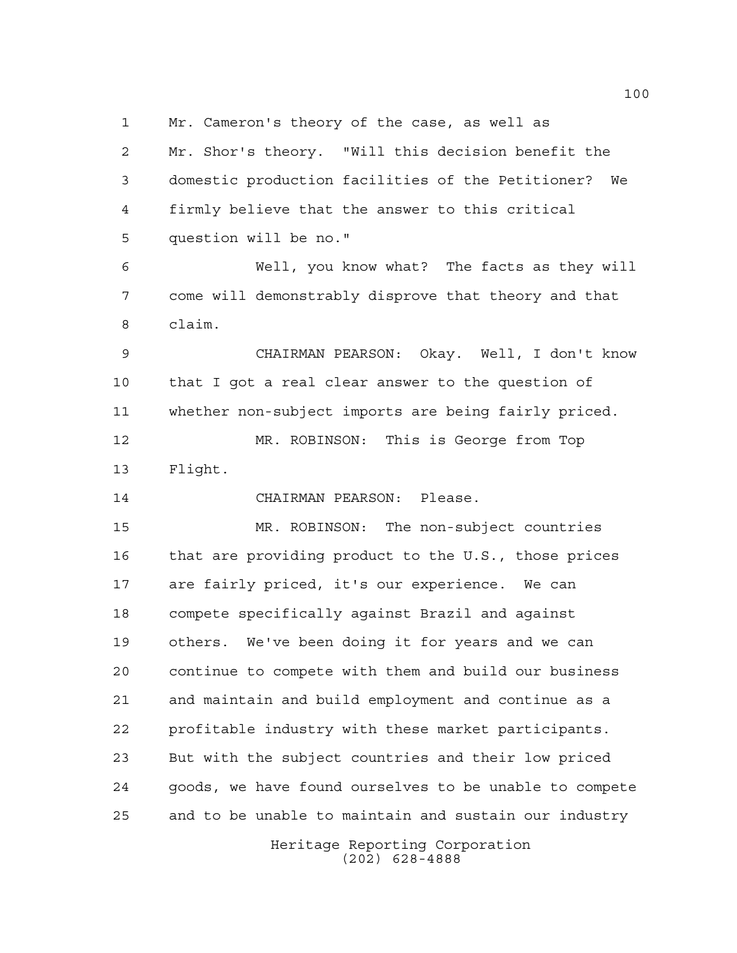Mr. Cameron's theory of the case, as well as

 Mr. Shor's theory. "Will this decision benefit the domestic production facilities of the Petitioner? We firmly believe that the answer to this critical question will be no."

 Well, you know what? The facts as they will come will demonstrably disprove that theory and that claim.

 CHAIRMAN PEARSON: Okay. Well, I don't know that I got a real clear answer to the question of whether non-subject imports are being fairly priced.

 MR. ROBINSON: This is George from Top Flight.

CHAIRMAN PEARSON: Please.

 MR. ROBINSON: The non-subject countries that are providing product to the U.S., those prices are fairly priced, it's our experience. We can compete specifically against Brazil and against others. We've been doing it for years and we can continue to compete with them and build our business and maintain and build employment and continue as a profitable industry with these market participants. But with the subject countries and their low priced goods, we have found ourselves to be unable to compete and to be unable to maintain and sustain our industry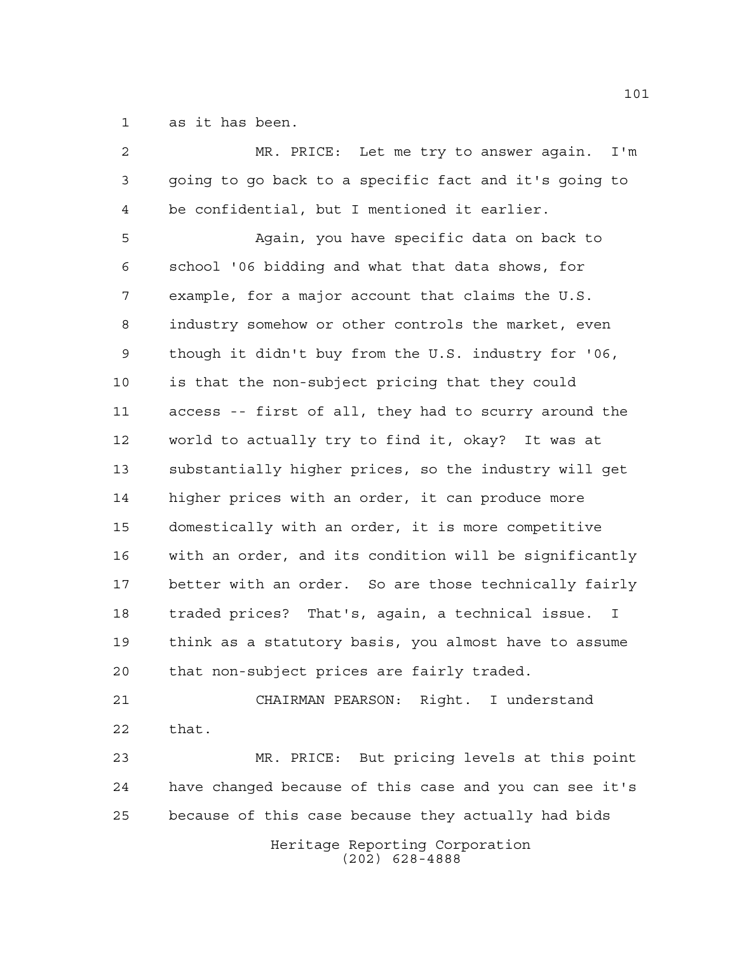as it has been.

| 2  | MR. PRICE: Let me try to answer again.<br>I'm                    |
|----|------------------------------------------------------------------|
| 3  | going to go back to a specific fact and it's going to            |
| 4  | be confidential, but I mentioned it earlier.                     |
| 5  | Again, you have specific data on back to                         |
| 6  | school '06 bidding and what that data shows, for                 |
| 7  | example, for a major account that claims the U.S.                |
| 8  | industry somehow or other controls the market, even              |
| 9  | though it didn't buy from the U.S. industry for '06,             |
| 10 | is that the non-subject pricing that they could                  |
| 11 | access -- first of all, they had to scurry around the            |
| 12 | world to actually try to find it, okay? It was at                |
| 13 | substantially higher prices, so the industry will get            |
| 14 | higher prices with an order, it can produce more                 |
| 15 | domestically with an order, it is more competitive               |
| 16 | with an order, and its condition will be significantly           |
| 17 | better with an order. So are those technically fairly            |
| 18 | traded prices? That's, again, a technical issue.<br>$\mathbf{I}$ |
| 19 | think as a statutory basis, you almost have to assume            |
| 20 | that non-subject prices are fairly traded.                       |
| 21 | CHAIRMAN PEARSON: Right. I understand                            |
| 22 | that.                                                            |
| 23 | MR. PRICE: But pricing levels at this point                      |
| 24 | have changed because of this case and you can see it's           |
| 25 | because of this case because they actually had bids              |
|    | Heritage Reporting Corporation<br>$(202)$ 628-4888               |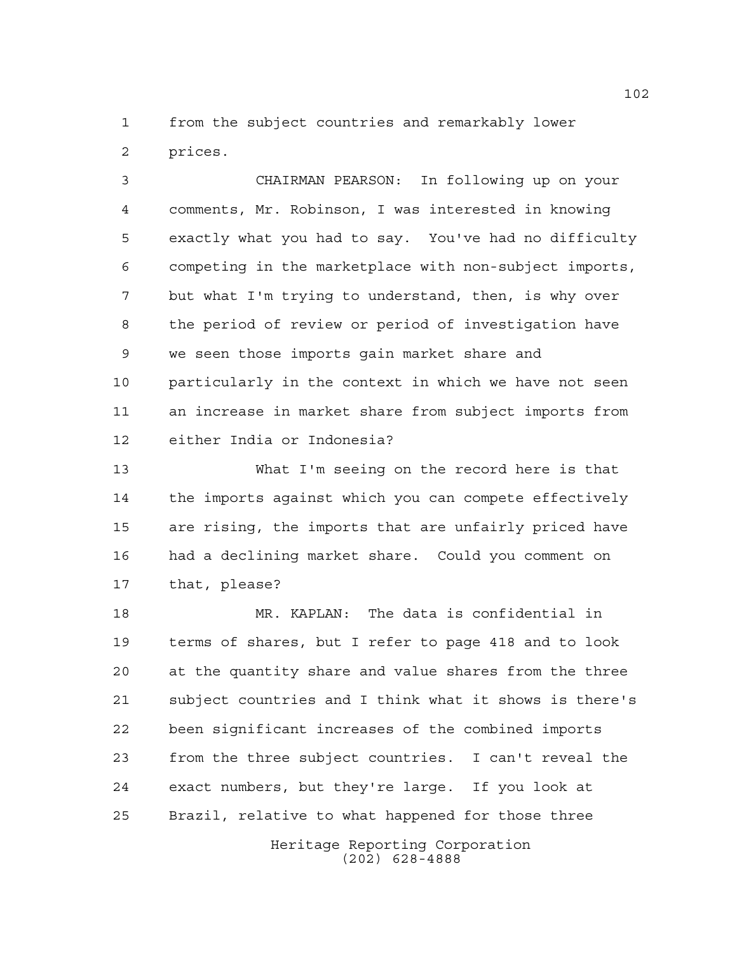from the subject countries and remarkably lower prices.

 CHAIRMAN PEARSON: In following up on your comments, Mr. Robinson, I was interested in knowing exactly what you had to say. You've had no difficulty competing in the marketplace with non-subject imports, but what I'm trying to understand, then, is why over the period of review or period of investigation have we seen those imports gain market share and particularly in the context in which we have not seen an increase in market share from subject imports from either India or Indonesia?

 What I'm seeing on the record here is that the imports against which you can compete effectively are rising, the imports that are unfairly priced have had a declining market share. Could you comment on that, please?

 MR. KAPLAN: The data is confidential in terms of shares, but I refer to page 418 and to look at the quantity share and value shares from the three subject countries and I think what it shows is there's been significant increases of the combined imports from the three subject countries. I can't reveal the exact numbers, but they're large. If you look at Brazil, relative to what happened for those three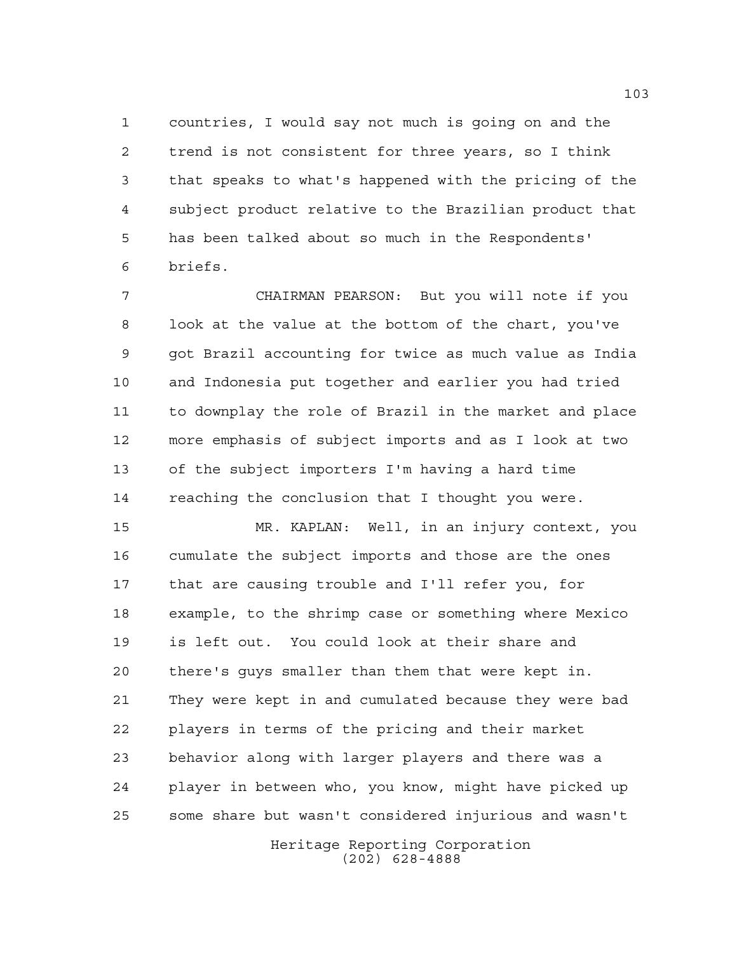countries, I would say not much is going on and the trend is not consistent for three years, so I think that speaks to what's happened with the pricing of the subject product relative to the Brazilian product that has been talked about so much in the Respondents' briefs.

 CHAIRMAN PEARSON: But you will note if you look at the value at the bottom of the chart, you've got Brazil accounting for twice as much value as India and Indonesia put together and earlier you had tried to downplay the role of Brazil in the market and place more emphasis of subject imports and as I look at two of the subject importers I'm having a hard time reaching the conclusion that I thought you were.

 MR. KAPLAN: Well, in an injury context, you cumulate the subject imports and those are the ones that are causing trouble and I'll refer you, for example, to the shrimp case or something where Mexico is left out. You could look at their share and there's guys smaller than them that were kept in. They were kept in and cumulated because they were bad players in terms of the pricing and their market behavior along with larger players and there was a player in between who, you know, might have picked up some share but wasn't considered injurious and wasn't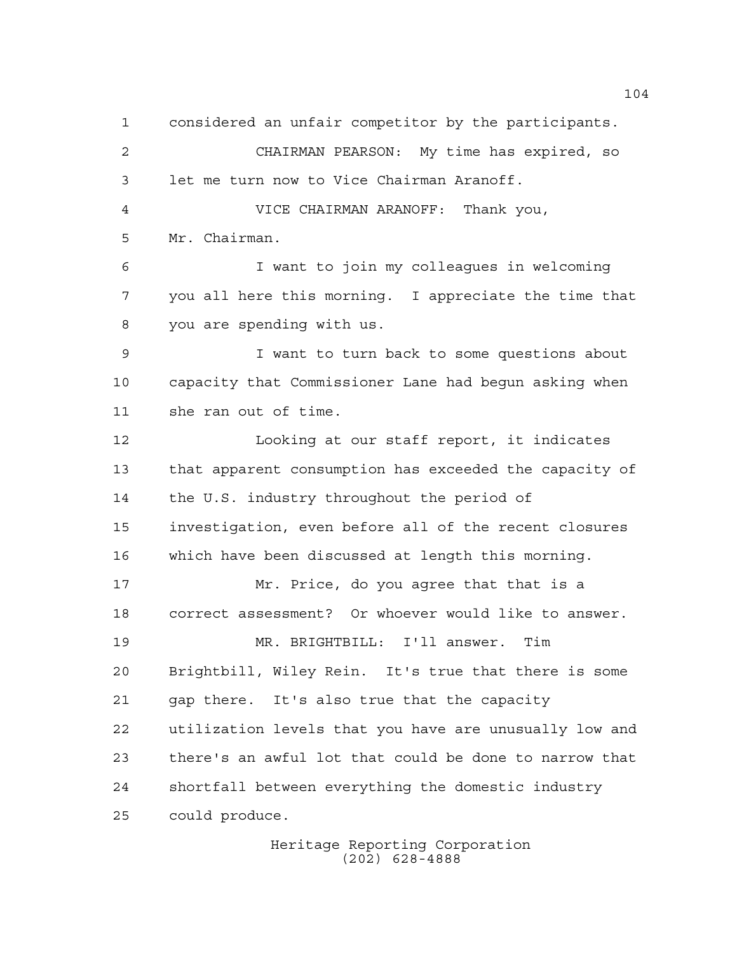considered an unfair competitor by the participants. CHAIRMAN PEARSON: My time has expired, so let me turn now to Vice Chairman Aranoff. VICE CHAIRMAN ARANOFF: Thank you, Mr. Chairman. I want to join my colleagues in welcoming you all here this morning. I appreciate the time that you are spending with us. I want to turn back to some questions about capacity that Commissioner Lane had begun asking when she ran out of time. Looking at our staff report, it indicates that apparent consumption has exceeded the capacity of the U.S. industry throughout the period of investigation, even before all of the recent closures which have been discussed at length this morning. Mr. Price, do you agree that that is a correct assessment? Or whoever would like to answer. MR. BRIGHTBILL: I'll answer. Tim Brightbill, Wiley Rein. It's true that there is some gap there. It's also true that the capacity utilization levels that you have are unusually low and there's an awful lot that could be done to narrow that shortfall between everything the domestic industry could produce.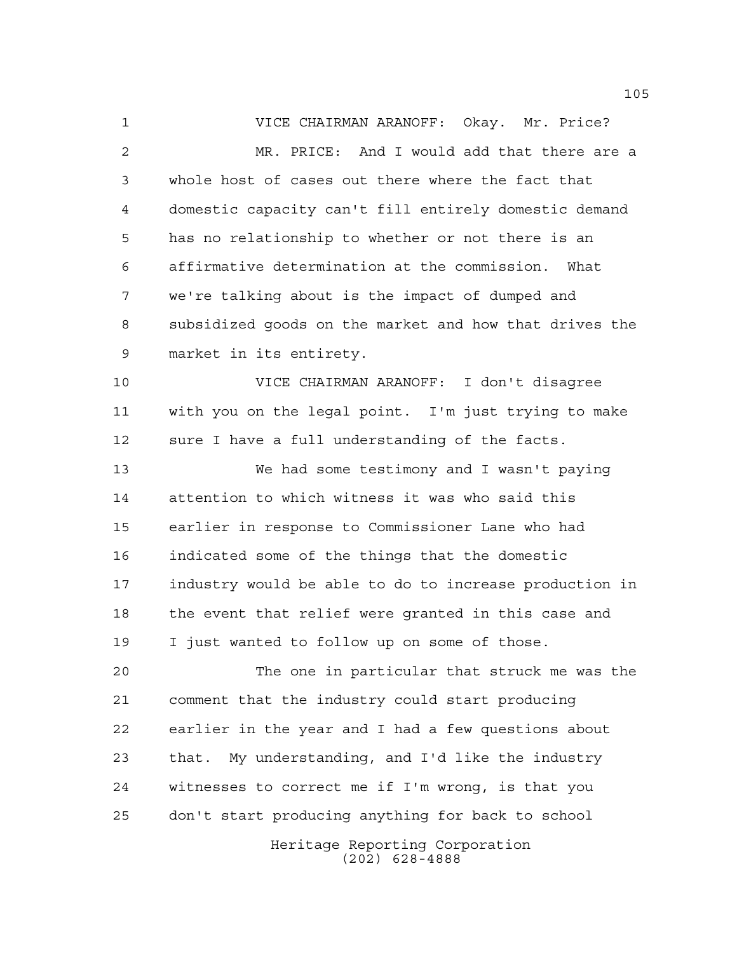VICE CHAIRMAN ARANOFF: Okay. Mr. Price? MR. PRICE: And I would add that there are a whole host of cases out there where the fact that domestic capacity can't fill entirely domestic demand has no relationship to whether or not there is an affirmative determination at the commission. What we're talking about is the impact of dumped and subsidized goods on the market and how that drives the market in its entirety. VICE CHAIRMAN ARANOFF: I don't disagree with you on the legal point. I'm just trying to make sure I have a full understanding of the facts. We had some testimony and I wasn't paying attention to which witness it was who said this earlier in response to Commissioner Lane who had indicated some of the things that the domestic industry would be able to do to increase production in the event that relief were granted in this case and I just wanted to follow up on some of those. The one in particular that struck me was the comment that the industry could start producing earlier in the year and I had a few questions about that. My understanding, and I'd like the industry

don't start producing anything for back to school

witnesses to correct me if I'm wrong, is that you

Heritage Reporting Corporation (202) 628-4888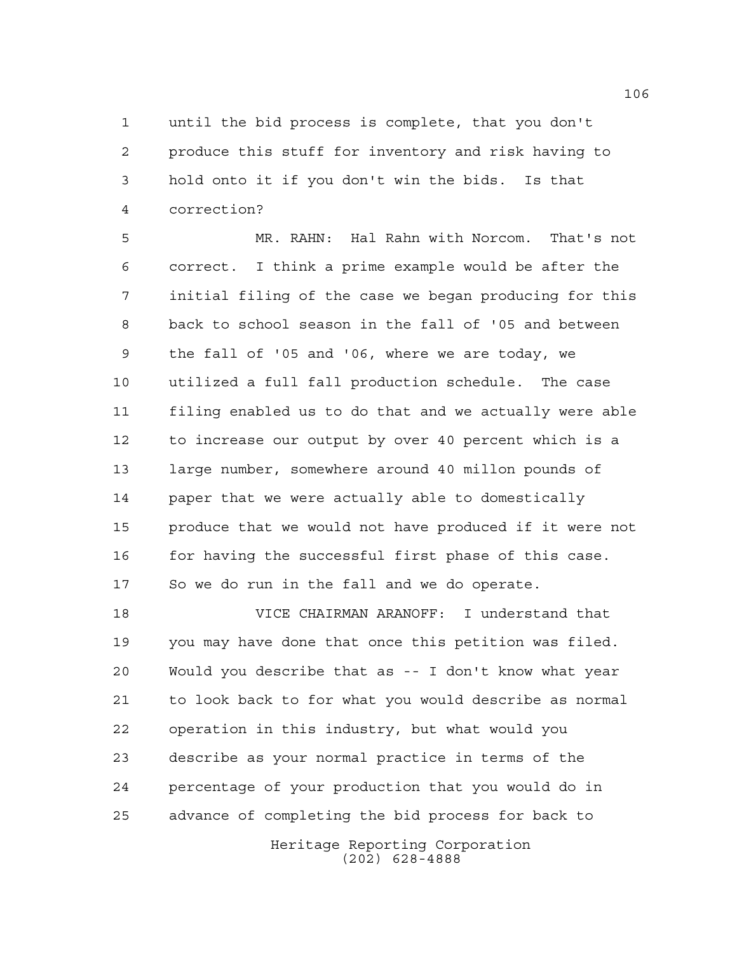until the bid process is complete, that you don't produce this stuff for inventory and risk having to hold onto it if you don't win the bids. Is that correction?

 MR. RAHN: Hal Rahn with Norcom. That's not correct. I think a prime example would be after the initial filing of the case we began producing for this back to school season in the fall of '05 and between the fall of '05 and '06, where we are today, we utilized a full fall production schedule. The case filing enabled us to do that and we actually were able to increase our output by over 40 percent which is a large number, somewhere around 40 millon pounds of paper that we were actually able to domestically produce that we would not have produced if it were not 16 for having the successful first phase of this case. So we do run in the fall and we do operate.

 VICE CHAIRMAN ARANOFF: I understand that you may have done that once this petition was filed. Would you describe that as -- I don't know what year to look back to for what you would describe as normal operation in this industry, but what would you describe as your normal practice in terms of the percentage of your production that you would do in advance of completing the bid process for back to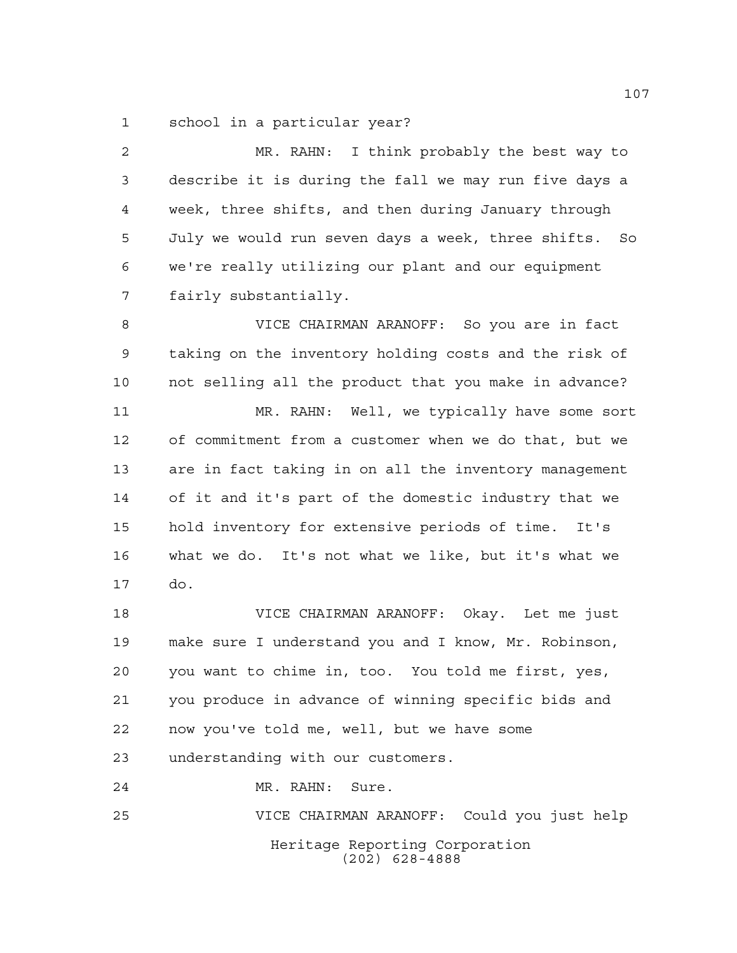school in a particular year?

 MR. RAHN: I think probably the best way to describe it is during the fall we may run five days a week, three shifts, and then during January through July we would run seven days a week, three shifts. So we're really utilizing our plant and our equipment fairly substantially. VICE CHAIRMAN ARANOFF: So you are in fact taking on the inventory holding costs and the risk of not selling all the product that you make in advance? MR. RAHN: Well, we typically have some sort of commitment from a customer when we do that, but we are in fact taking in on all the inventory management of it and it's part of the domestic industry that we hold inventory for extensive periods of time. It's what we do. It's not what we like, but it's what we do. VICE CHAIRMAN ARANOFF: Okay. Let me just make sure I understand you and I know, Mr. Robinson, you want to chime in, too. You told me first, yes, you produce in advance of winning specific bids and now you've told me, well, but we have some understanding with our customers.

MR. RAHN: Sure.

Heritage Reporting Corporation (202) 628-4888 VICE CHAIRMAN ARANOFF: Could you just help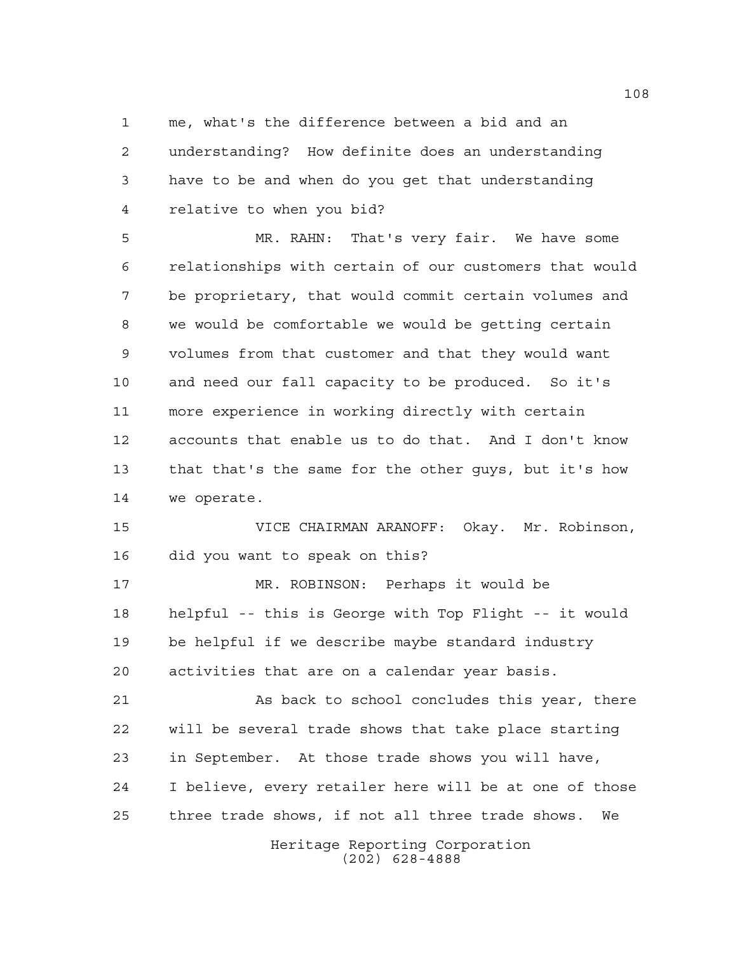me, what's the difference between a bid and an understanding? How definite does an understanding have to be and when do you get that understanding relative to when you bid?

 MR. RAHN: That's very fair. We have some relationships with certain of our customers that would be proprietary, that would commit certain volumes and we would be comfortable we would be getting certain volumes from that customer and that they would want and need our fall capacity to be produced. So it's more experience in working directly with certain accounts that enable us to do that. And I don't know that that's the same for the other guys, but it's how we operate.

 VICE CHAIRMAN ARANOFF: Okay. Mr. Robinson, did you want to speak on this?

 MR. ROBINSON: Perhaps it would be helpful -- this is George with Top Flight -- it would be helpful if we describe maybe standard industry activities that are on a calendar year basis.

 As back to school concludes this year, there will be several trade shows that take place starting in September. At those trade shows you will have, I believe, every retailer here will be at one of those three trade shows, if not all three trade shows. We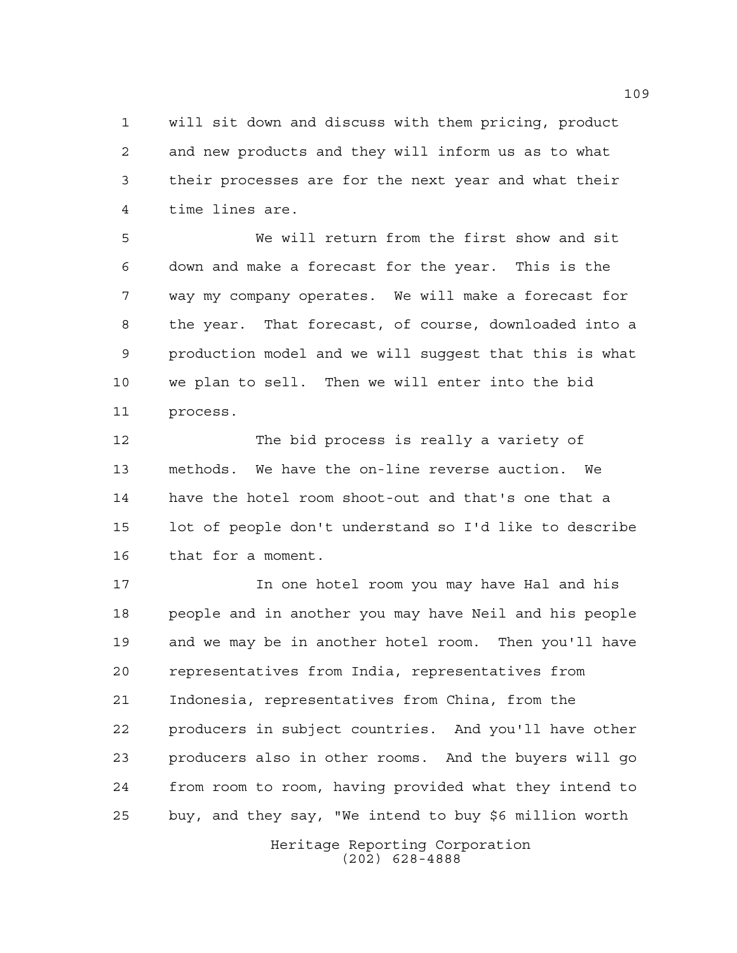will sit down and discuss with them pricing, product and new products and they will inform us as to what their processes are for the next year and what their time lines are.

 We will return from the first show and sit down and make a forecast for the year. This is the way my company operates. We will make a forecast for the year. That forecast, of course, downloaded into a production model and we will suggest that this is what we plan to sell. Then we will enter into the bid process.

 The bid process is really a variety of methods. We have the on-line reverse auction. We have the hotel room shoot-out and that's one that a lot of people don't understand so I'd like to describe that for a moment.

 In one hotel room you may have Hal and his people and in another you may have Neil and his people and we may be in another hotel room. Then you'll have representatives from India, representatives from Indonesia, representatives from China, from the producers in subject countries. And you'll have other producers also in other rooms. And the buyers will go from room to room, having provided what they intend to buy, and they say, "We intend to buy \$6 million worth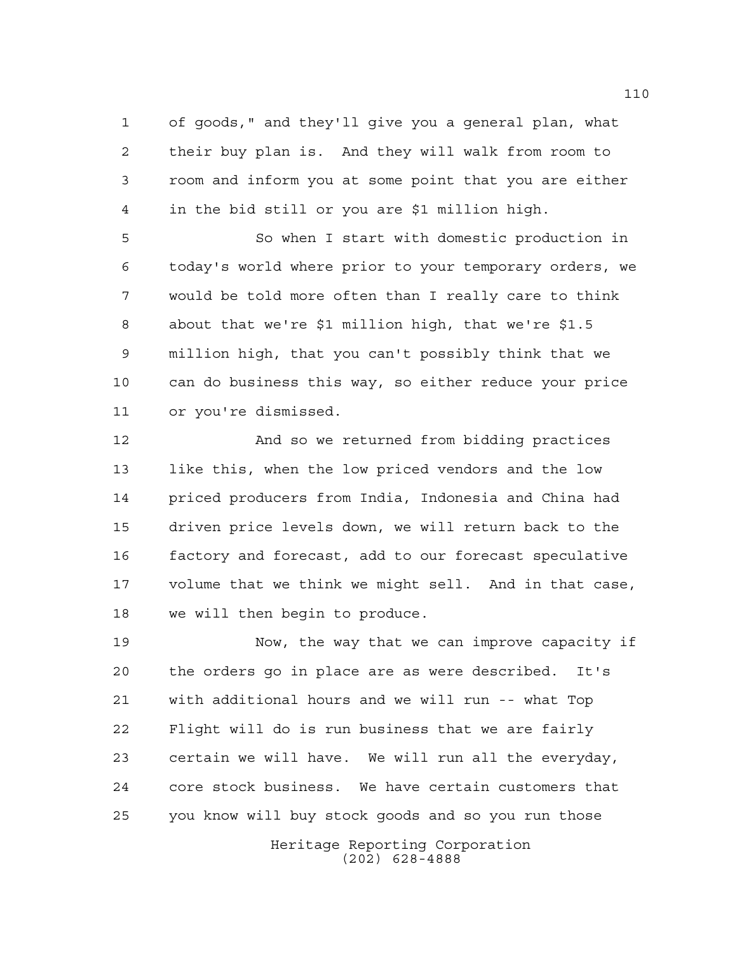of goods," and they'll give you a general plan, what their buy plan is. And they will walk from room to room and inform you at some point that you are either in the bid still or you are \$1 million high.

 So when I start with domestic production in today's world where prior to your temporary orders, we would be told more often than I really care to think about that we're \$1 million high, that we're \$1.5 million high, that you can't possibly think that we can do business this way, so either reduce your price or you're dismissed.

 And so we returned from bidding practices like this, when the low priced vendors and the low priced producers from India, Indonesia and China had driven price levels down, we will return back to the factory and forecast, add to our forecast speculative volume that we think we might sell. And in that case, we will then begin to produce.

 Now, the way that we can improve capacity if the orders go in place are as were described. It's with additional hours and we will run -- what Top Flight will do is run business that we are fairly certain we will have. We will run all the everyday, core stock business. We have certain customers that you know will buy stock goods and so you run those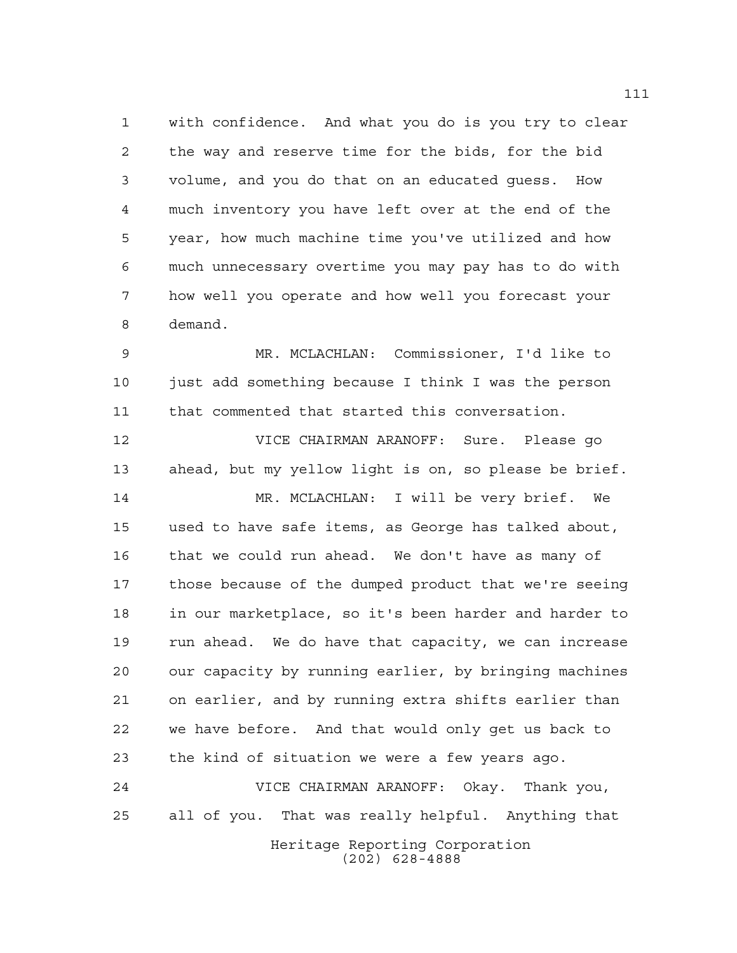with confidence. And what you do is you try to clear the way and reserve time for the bids, for the bid volume, and you do that on an educated guess. How much inventory you have left over at the end of the year, how much machine time you've utilized and how much unnecessary overtime you may pay has to do with how well you operate and how well you forecast your demand.

 MR. MCLACHLAN: Commissioner, I'd like to just add something because I think I was the person that commented that started this conversation.

 VICE CHAIRMAN ARANOFF: Sure. Please go ahead, but my yellow light is on, so please be brief. MR. MCLACHLAN: I will be very brief. We used to have safe items, as George has talked about, that we could run ahead. We don't have as many of those because of the dumped product that we're seeing in our marketplace, so it's been harder and harder to run ahead. We do have that capacity, we can increase our capacity by running earlier, by bringing machines on earlier, and by running extra shifts earlier than we have before. And that would only get us back to the kind of situation we were a few years ago.

 VICE CHAIRMAN ARANOFF: Okay. Thank you, all of you. That was really helpful. Anything that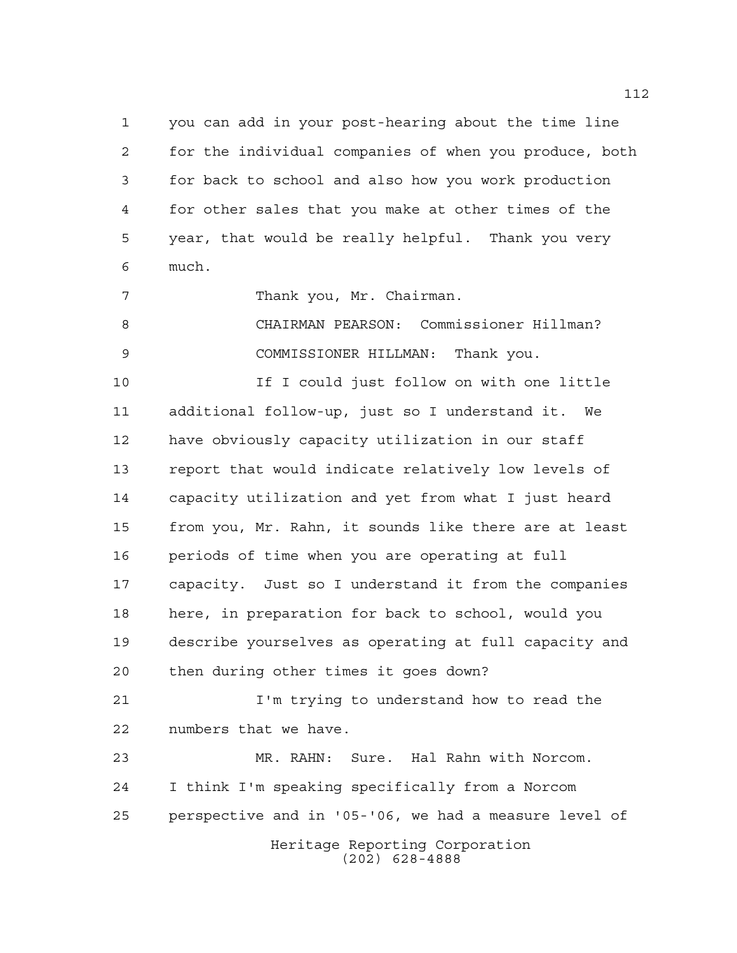you can add in your post-hearing about the time line for the individual companies of when you produce, both for back to school and also how you work production for other sales that you make at other times of the year, that would be really helpful. Thank you very much.

7 Thank you, Mr. Chairman.

 CHAIRMAN PEARSON: Commissioner Hillman? COMMISSIONER HILLMAN: Thank you.

 If I could just follow on with one little additional follow-up, just so I understand it. We have obviously capacity utilization in our staff report that would indicate relatively low levels of capacity utilization and yet from what I just heard from you, Mr. Rahn, it sounds like there are at least periods of time when you are operating at full capacity. Just so I understand it from the companies here, in preparation for back to school, would you describe yourselves as operating at full capacity and then during other times it goes down?

 I'm trying to understand how to read the numbers that we have.

Heritage Reporting Corporation MR. RAHN: Sure. Hal Rahn with Norcom. I think I'm speaking specifically from a Norcom perspective and in '05-'06, we had a measure level of

(202) 628-4888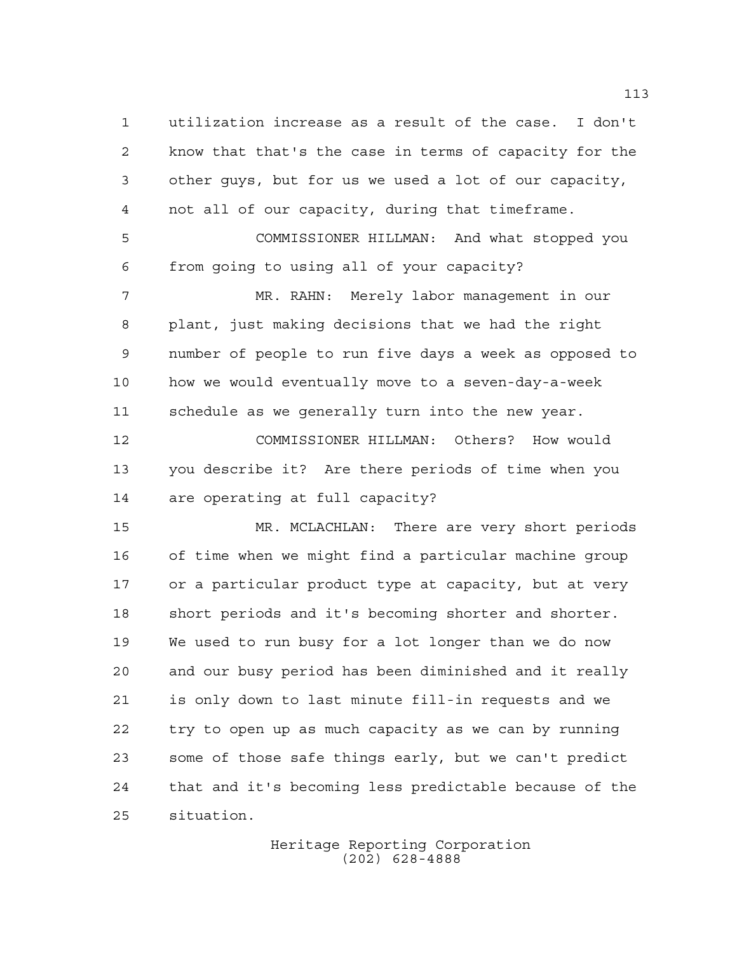utilization increase as a result of the case. I don't know that that's the case in terms of capacity for the other guys, but for us we used a lot of our capacity, not all of our capacity, during that timeframe. COMMISSIONER HILLMAN: And what stopped you from going to using all of your capacity? MR. RAHN: Merely labor management in our plant, just making decisions that we had the right number of people to run five days a week as opposed to how we would eventually move to a seven-day-a-week schedule as we generally turn into the new year. COMMISSIONER HILLMAN: Others? How would you describe it? Are there periods of time when you are operating at full capacity? MR. MCLACHLAN: There are very short periods of time when we might find a particular machine group or a particular product type at capacity, but at very short periods and it's becoming shorter and shorter. We used to run busy for a lot longer than we do now and our busy period has been diminished and it really is only down to last minute fill-in requests and we try to open up as much capacity as we can by running some of those safe things early, but we can't predict that and it's becoming less predictable because of the situation.

> Heritage Reporting Corporation (202) 628-4888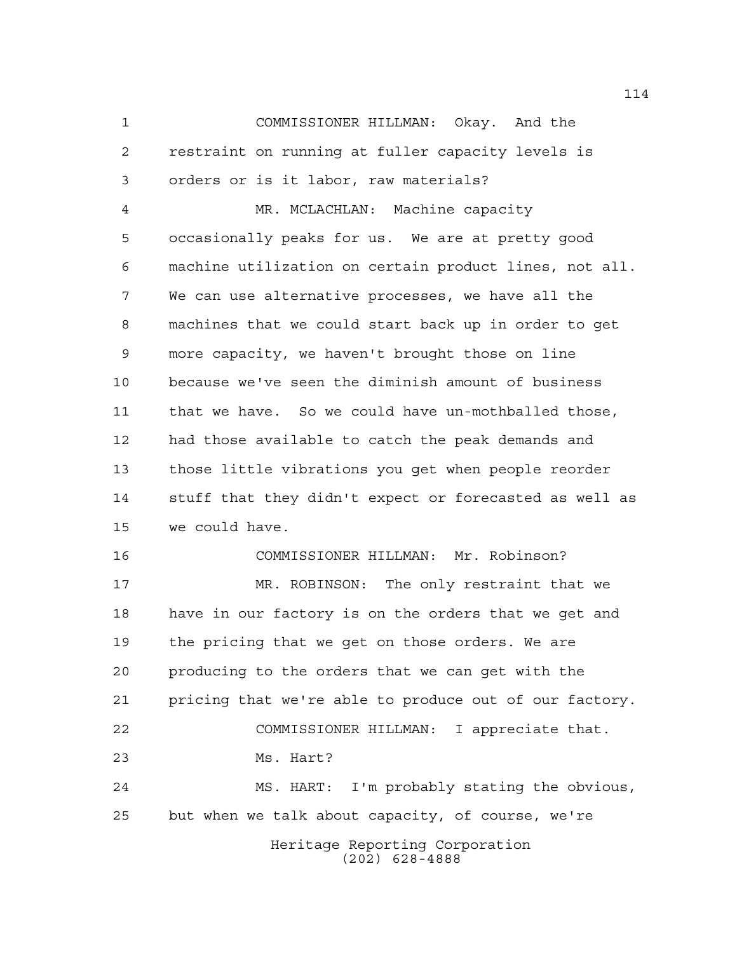COMMISSIONER HILLMAN: Okay. And the restraint on running at fuller capacity levels is orders or is it labor, raw materials?

 MR. MCLACHLAN: Machine capacity occasionally peaks for us. We are at pretty good machine utilization on certain product lines, not all. We can use alternative processes, we have all the machines that we could start back up in order to get more capacity, we haven't brought those on line because we've seen the diminish amount of business that we have. So we could have un-mothballed those, had those available to catch the peak demands and those little vibrations you get when people reorder stuff that they didn't expect or forecasted as well as we could have.

 COMMISSIONER HILLMAN: Mr. Robinson? MR. ROBINSON: The only restraint that we have in our factory is on the orders that we get and the pricing that we get on those orders. We are producing to the orders that we can get with the pricing that we're able to produce out of our factory. COMMISSIONER HILLMAN: I appreciate that. Ms. Hart? MS. HART: I'm probably stating the obvious, but when we talk about capacity, of course, we're

Heritage Reporting Corporation (202) 628-4888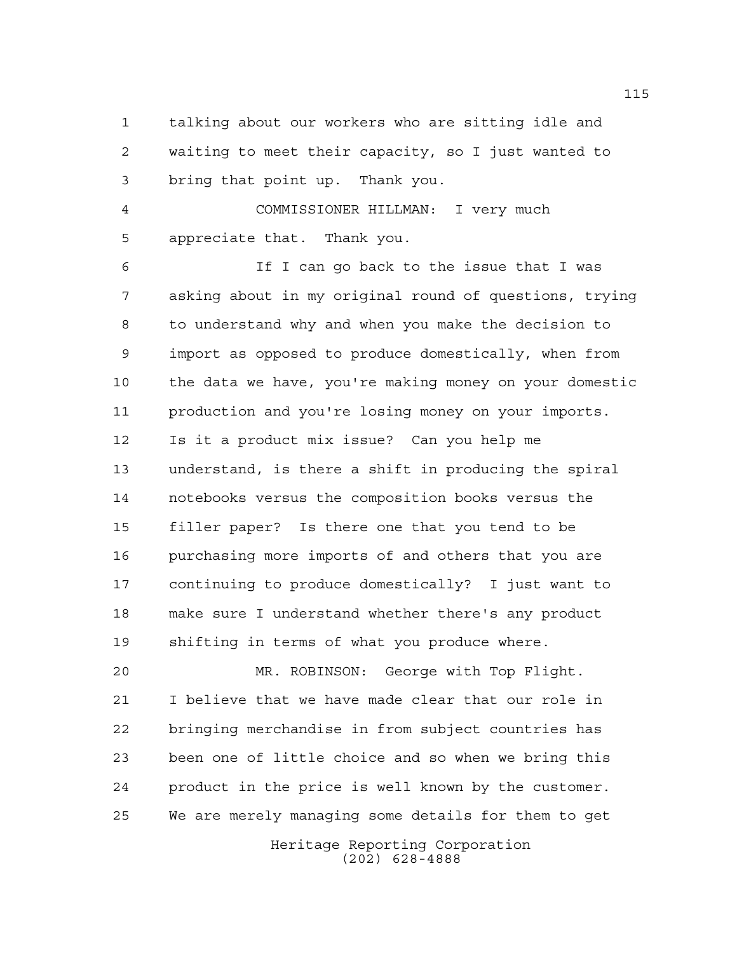talking about our workers who are sitting idle and waiting to meet their capacity, so I just wanted to bring that point up. Thank you.

 COMMISSIONER HILLMAN: I very much appreciate that. Thank you.

 If I can go back to the issue that I was asking about in my original round of questions, trying to understand why and when you make the decision to import as opposed to produce domestically, when from the data we have, you're making money on your domestic production and you're losing money on your imports. Is it a product mix issue? Can you help me understand, is there a shift in producing the spiral notebooks versus the composition books versus the filler paper? Is there one that you tend to be purchasing more imports of and others that you are continuing to produce domestically? I just want to make sure I understand whether there's any product shifting in terms of what you produce where.

 MR. ROBINSON: George with Top Flight. I believe that we have made clear that our role in bringing merchandise in from subject countries has been one of little choice and so when we bring this product in the price is well known by the customer. We are merely managing some details for them to get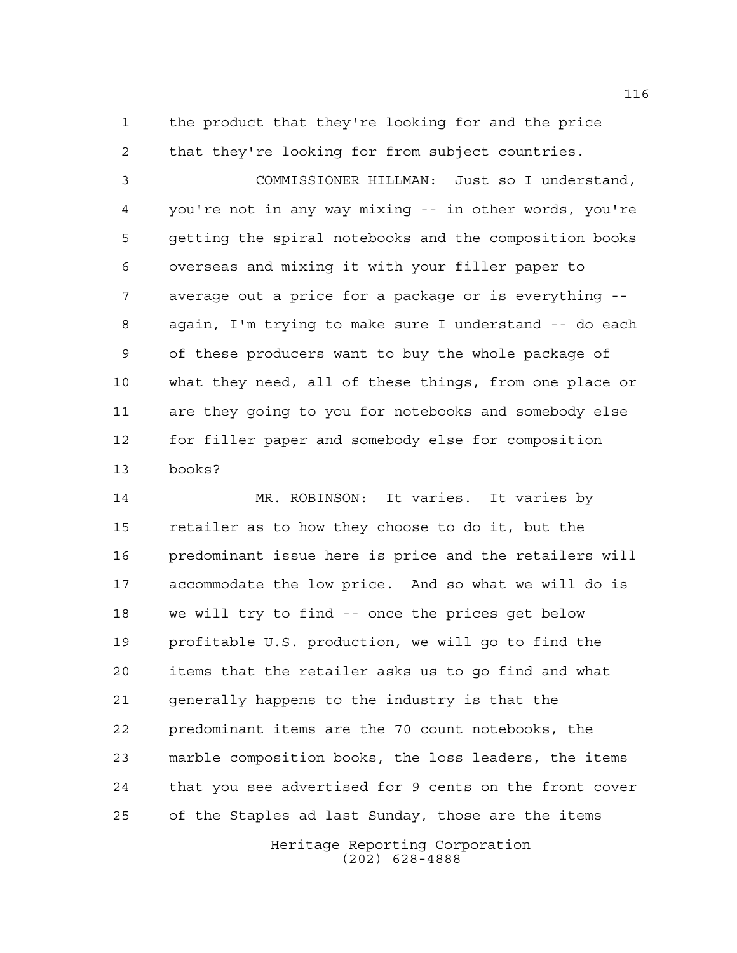the product that they're looking for and the price that they're looking for from subject countries.

 COMMISSIONER HILLMAN: Just so I understand, you're not in any way mixing -- in other words, you're getting the spiral notebooks and the composition books overseas and mixing it with your filler paper to average out a price for a package or is everything -- again, I'm trying to make sure I understand -- do each of these producers want to buy the whole package of what they need, all of these things, from one place or are they going to you for notebooks and somebody else for filler paper and somebody else for composition books?

 MR. ROBINSON: It varies. It varies by retailer as to how they choose to do it, but the predominant issue here is price and the retailers will accommodate the low price. And so what we will do is we will try to find -- once the prices get below profitable U.S. production, we will go to find the items that the retailer asks us to go find and what generally happens to the industry is that the predominant items are the 70 count notebooks, the marble composition books, the loss leaders, the items that you see advertised for 9 cents on the front cover of the Staples ad last Sunday, those are the items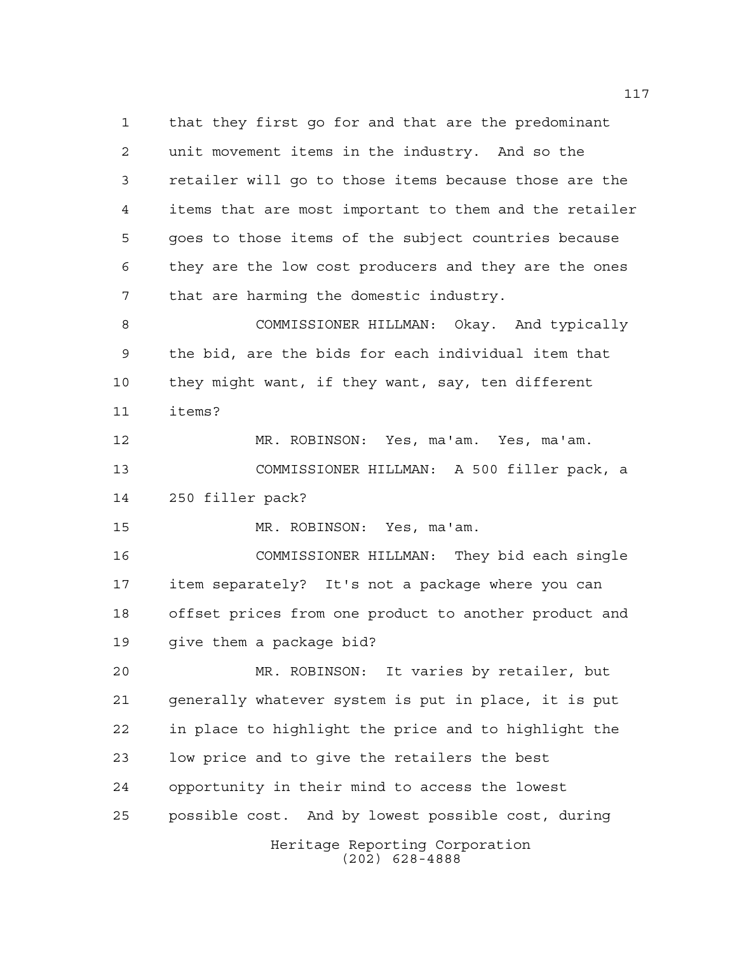Heritage Reporting Corporation that they first go for and that are the predominant unit movement items in the industry. And so the retailer will go to those items because those are the items that are most important to them and the retailer goes to those items of the subject countries because they are the low cost producers and they are the ones that are harming the domestic industry. COMMISSIONER HILLMAN: Okay. And typically the bid, are the bids for each individual item that they might want, if they want, say, ten different items? MR. ROBINSON: Yes, ma'am. Yes, ma'am. COMMISSIONER HILLMAN: A 500 filler pack, a 250 filler pack? MR. ROBINSON: Yes, ma'am. COMMISSIONER HILLMAN: They bid each single item separately? It's not a package where you can offset prices from one product to another product and give them a package bid? MR. ROBINSON: It varies by retailer, but generally whatever system is put in place, it is put in place to highlight the price and to highlight the low price and to give the retailers the best opportunity in their mind to access the lowest possible cost. And by lowest possible cost, during

(202) 628-4888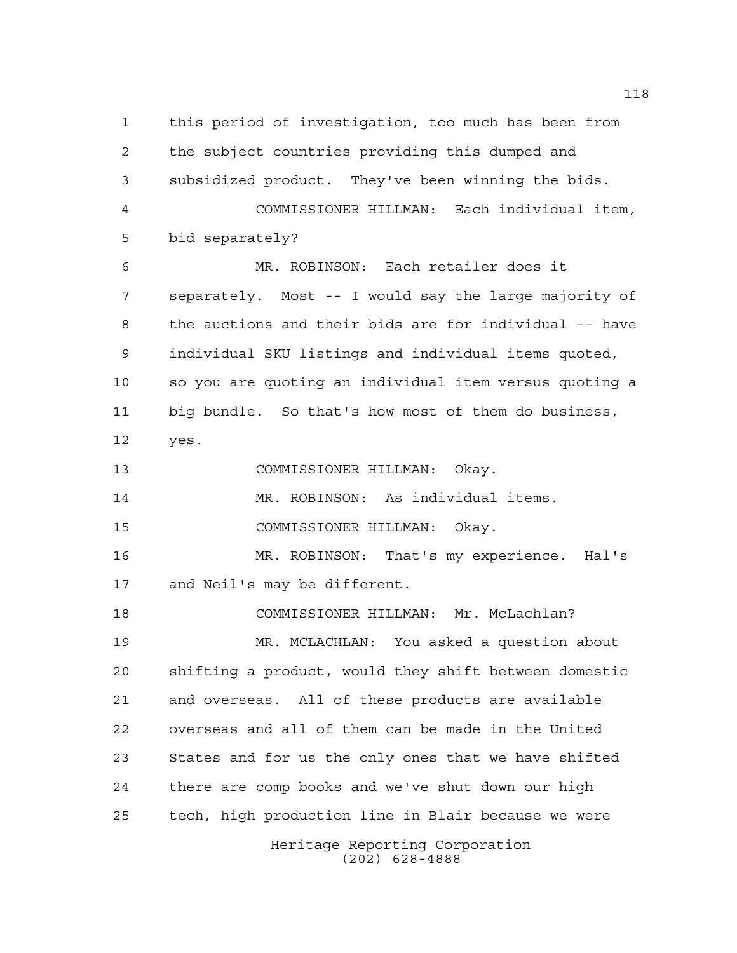Heritage Reporting Corporation this period of investigation, too much has been from the subject countries providing this dumped and subsidized product. They've been winning the bids. COMMISSIONER HILLMAN: Each individual item, bid separately? MR. ROBINSON: Each retailer does it separately. Most -- I would say the large majority of the auctions and their bids are for individual -- have individual SKU listings and individual items quoted, so you are quoting an individual item versus quoting a big bundle. So that's how most of them do business, yes. COMMISSIONER HILLMAN: Okay. MR. ROBINSON: As individual items. COMMISSIONER HILLMAN: Okay. MR. ROBINSON: That's my experience. Hal's and Neil's may be different. COMMISSIONER HILLMAN: Mr. McLachlan? MR. MCLACHLAN: You asked a question about shifting a product, would they shift between domestic and overseas. All of these products are available overseas and all of them can be made in the United States and for us the only ones that we have shifted there are comp books and we've shut down our high tech, high production line in Blair because we were

(202) 628-4888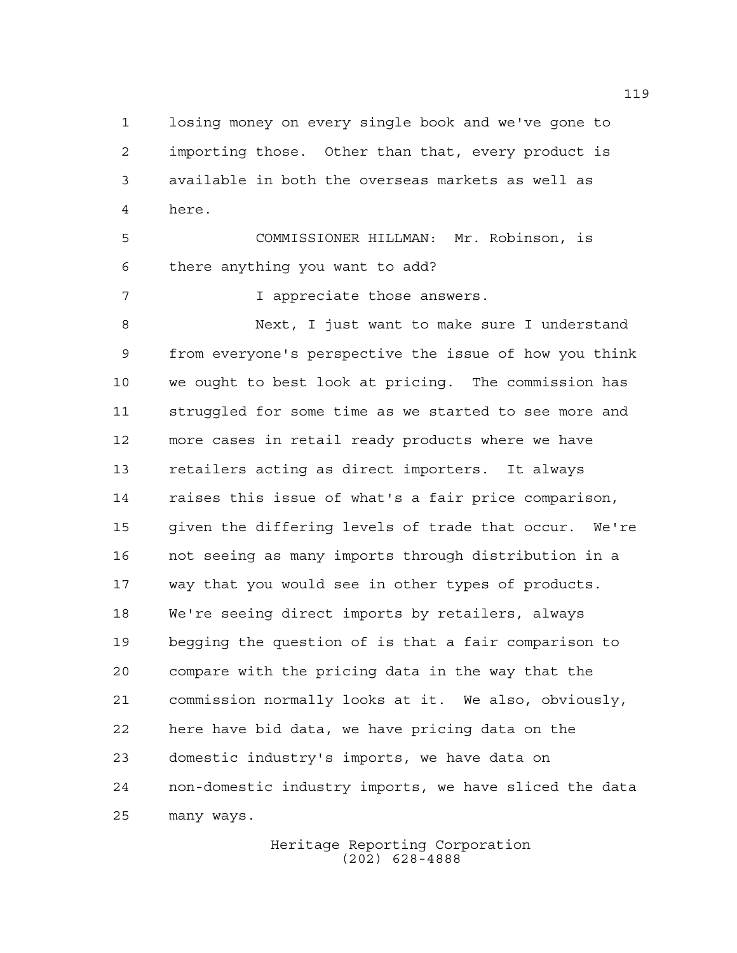losing money on every single book and we've gone to importing those. Other than that, every product is available in both the overseas markets as well as here.

 COMMISSIONER HILLMAN: Mr. Robinson, is there anything you want to add?

**I** appreciate those answers.

 Next, I just want to make sure I understand from everyone's perspective the issue of how you think we ought to best look at pricing. The commission has struggled for some time as we started to see more and more cases in retail ready products where we have retailers acting as direct importers. It always raises this issue of what's a fair price comparison, given the differing levels of trade that occur. We're not seeing as many imports through distribution in a way that you would see in other types of products. We're seeing direct imports by retailers, always begging the question of is that a fair comparison to compare with the pricing data in the way that the commission normally looks at it. We also, obviously, here have bid data, we have pricing data on the domestic industry's imports, we have data on non-domestic industry imports, we have sliced the data many ways.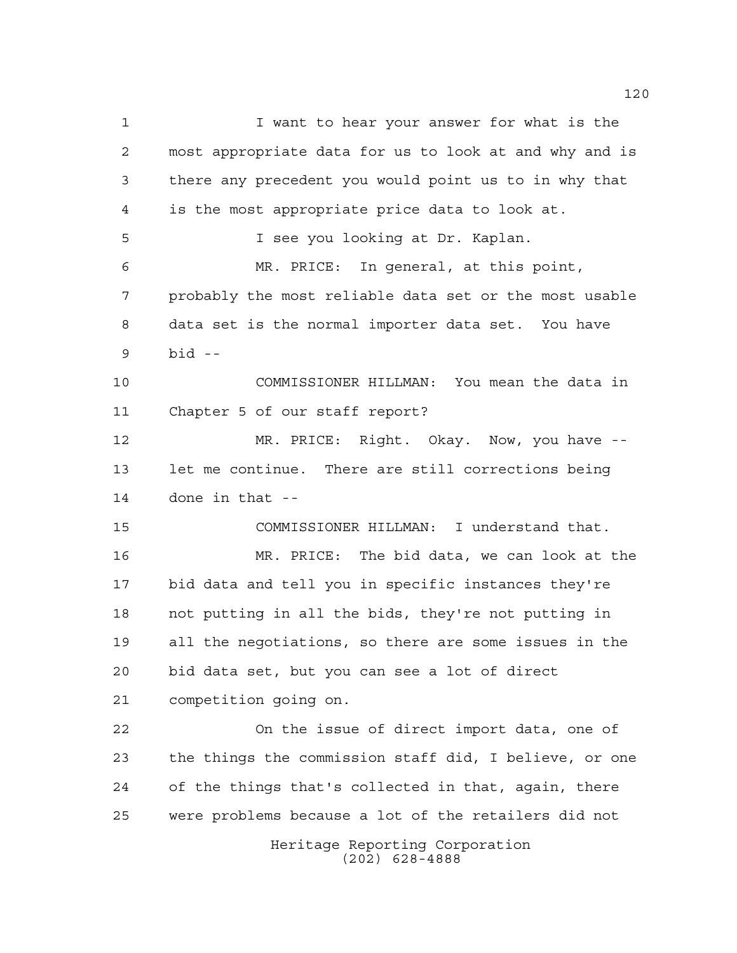Heritage Reporting Corporation (202) 628-4888 I want to hear your answer for what is the most appropriate data for us to look at and why and is there any precedent you would point us to in why that is the most appropriate price data to look at. I see you looking at Dr. Kaplan. MR. PRICE: In general, at this point, probably the most reliable data set or the most usable data set is the normal importer data set. You have bid -- COMMISSIONER HILLMAN: You mean the data in Chapter 5 of our staff report? MR. PRICE: Right. Okay. Now, you have -- let me continue. There are still corrections being done in that -- COMMISSIONER HILLMAN: I understand that. MR. PRICE: The bid data, we can look at the bid data and tell you in specific instances they're not putting in all the bids, they're not putting in all the negotiations, so there are some issues in the bid data set, but you can see a lot of direct competition going on. On the issue of direct import data, one of the things the commission staff did, I believe, or one of the things that's collected in that, again, there were problems because a lot of the retailers did not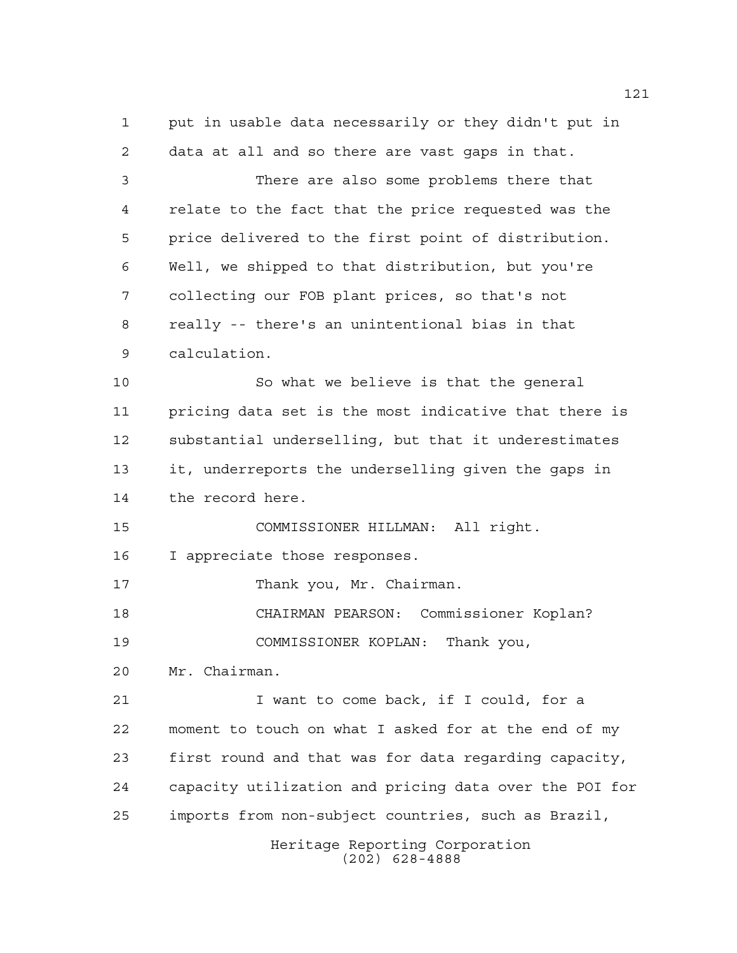Heritage Reporting Corporation put in usable data necessarily or they didn't put in data at all and so there are vast gaps in that. There are also some problems there that relate to the fact that the price requested was the price delivered to the first point of distribution. Well, we shipped to that distribution, but you're collecting our FOB plant prices, so that's not really -- there's an unintentional bias in that calculation. So what we believe is that the general pricing data set is the most indicative that there is substantial underselling, but that it underestimates it, underreports the underselling given the gaps in the record here. COMMISSIONER HILLMAN: All right. I appreciate those responses. 17 Thank you, Mr. Chairman. CHAIRMAN PEARSON: Commissioner Koplan? COMMISSIONER KOPLAN: Thank you, Mr. Chairman. I want to come back, if I could, for a moment to touch on what I asked for at the end of my first round and that was for data regarding capacity, capacity utilization and pricing data over the POI for imports from non-subject countries, such as Brazil,

(202) 628-4888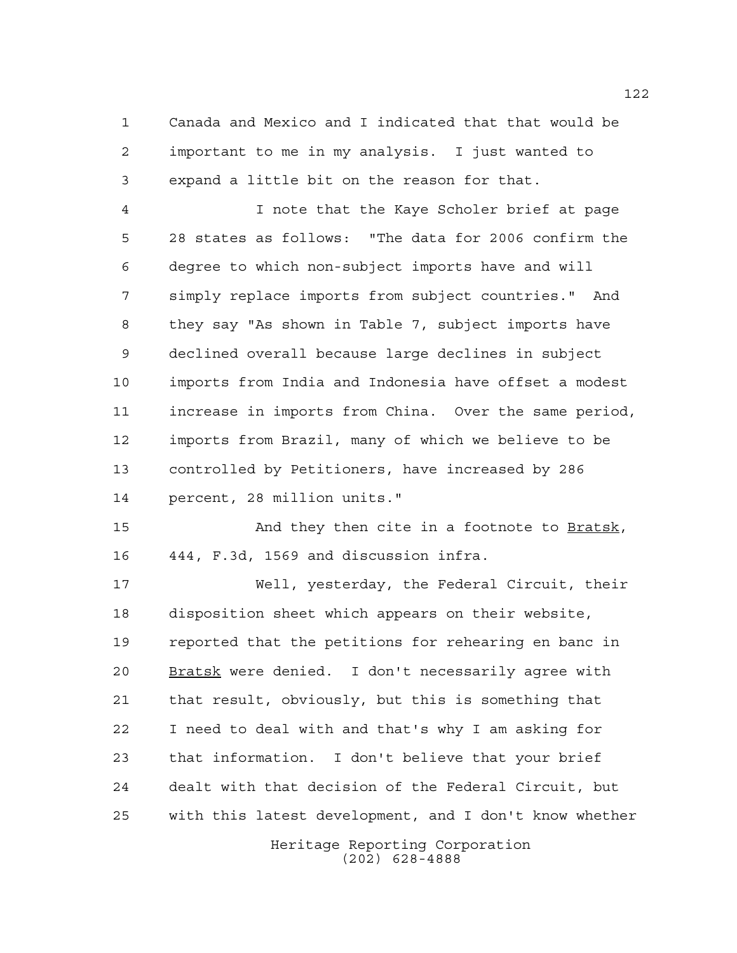Canada and Mexico and I indicated that that would be important to me in my analysis. I just wanted to expand a little bit on the reason for that.

 I note that the Kaye Scholer brief at page 28 states as follows: "The data for 2006 confirm the degree to which non-subject imports have and will simply replace imports from subject countries." And they say "As shown in Table 7, subject imports have declined overall because large declines in subject imports from India and Indonesia have offset a modest increase in imports from China. Over the same period, imports from Brazil, many of which we believe to be controlled by Petitioners, have increased by 286 percent, 28 million units."

 And they then cite in a footnote to Bratsk, 444, F.3d, 1569 and discussion infra.

 Well, yesterday, the Federal Circuit, their disposition sheet which appears on their website, reported that the petitions for rehearing en banc in 20 Bratsk were denied. I don't necessarily agree with that result, obviously, but this is something that I need to deal with and that's why I am asking for that information. I don't believe that your brief dealt with that decision of the Federal Circuit, but with this latest development, and I don't know whether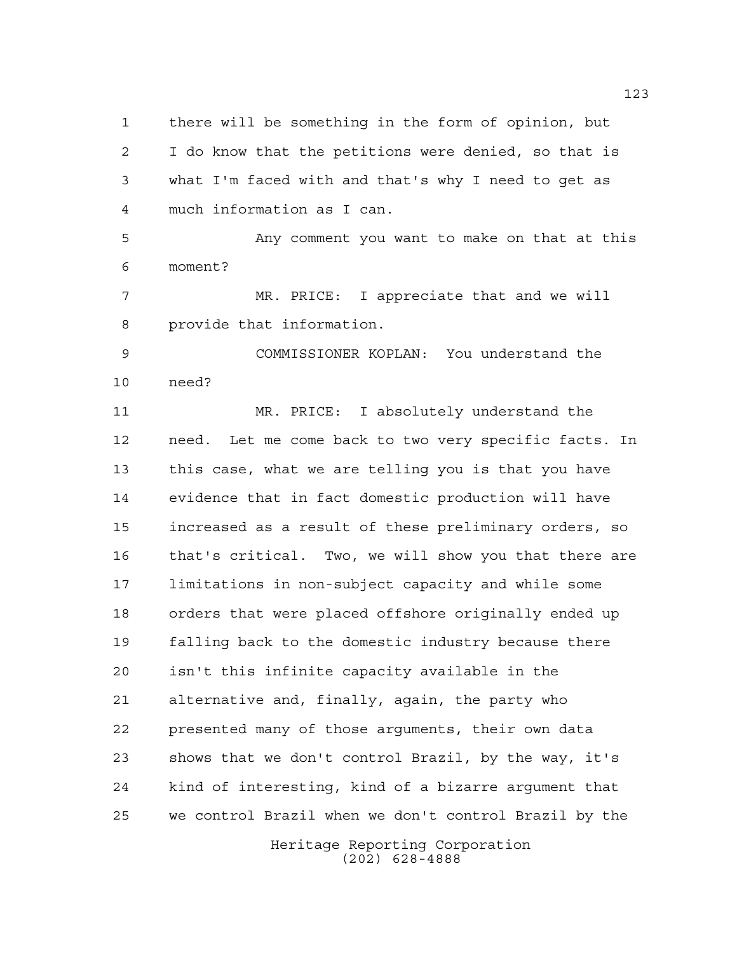there will be something in the form of opinion, but I do know that the petitions were denied, so that is what I'm faced with and that's why I need to get as much information as I can.

 Any comment you want to make on that at this moment?

 MR. PRICE: I appreciate that and we will provide that information.

 COMMISSIONER KOPLAN: You understand the need?

 MR. PRICE: I absolutely understand the need. Let me come back to two very specific facts. In this case, what we are telling you is that you have evidence that in fact domestic production will have increased as a result of these preliminary orders, so that's critical. Two, we will show you that there are limitations in non-subject capacity and while some orders that were placed offshore originally ended up falling back to the domestic industry because there isn't this infinite capacity available in the alternative and, finally, again, the party who presented many of those arguments, their own data shows that we don't control Brazil, by the way, it's kind of interesting, kind of a bizarre argument that we control Brazil when we don't control Brazil by the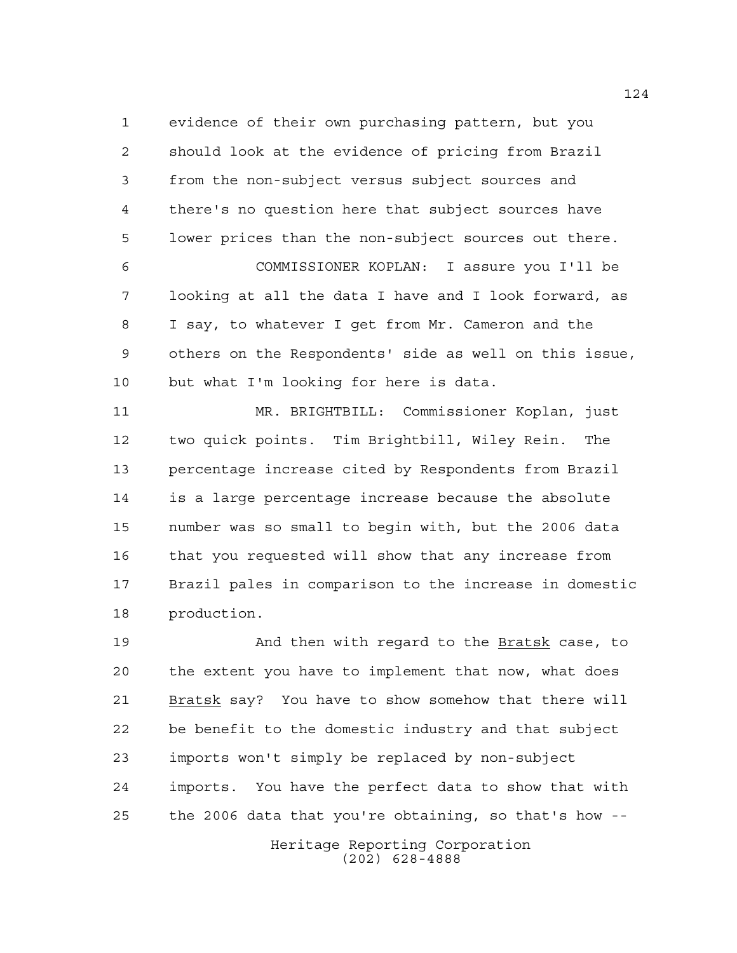evidence of their own purchasing pattern, but you should look at the evidence of pricing from Brazil from the non-subject versus subject sources and there's no question here that subject sources have lower prices than the non-subject sources out there. COMMISSIONER KOPLAN: I assure you I'll be looking at all the data I have and I look forward, as I say, to whatever I get from Mr. Cameron and the others on the Respondents' side as well on this issue, but what I'm looking for here is data.

 MR. BRIGHTBILL: Commissioner Koplan, just two quick points. Tim Brightbill, Wiley Rein. The percentage increase cited by Respondents from Brazil is a large percentage increase because the absolute number was so small to begin with, but the 2006 data that you requested will show that any increase from Brazil pales in comparison to the increase in domestic production.

 And then with regard to the Bratsk case, to the extent you have to implement that now, what does 21 Bratsk say? You have to show somehow that there will be benefit to the domestic industry and that subject imports won't simply be replaced by non-subject imports. You have the perfect data to show that with the 2006 data that you're obtaining, so that's how --

> Heritage Reporting Corporation (202) 628-4888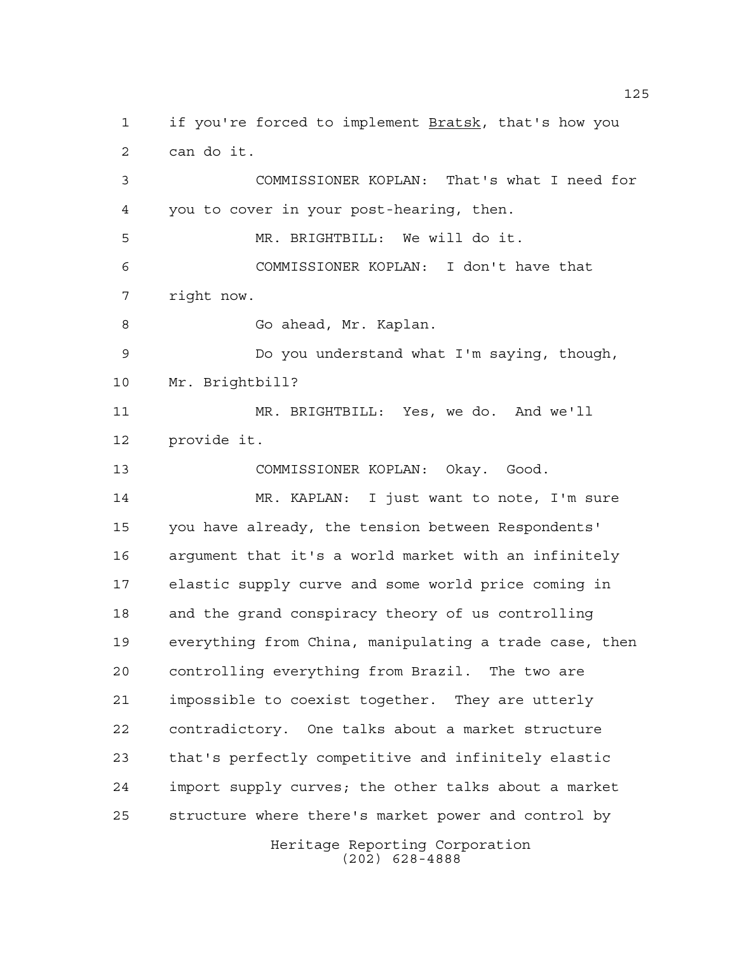Heritage Reporting Corporation 1 if you're forced to implement Bratsk, that's how you can do it. COMMISSIONER KOPLAN: That's what I need for you to cover in your post-hearing, then. MR. BRIGHTBILL: We will do it. COMMISSIONER KOPLAN: I don't have that right now. 8 Go ahead, Mr. Kaplan. Do you understand what I'm saying, though, Mr. Brightbill? MR. BRIGHTBILL: Yes, we do. And we'll provide it. COMMISSIONER KOPLAN: Okay. Good. MR. KAPLAN: I just want to note, I'm sure you have already, the tension between Respondents' argument that it's a world market with an infinitely elastic supply curve and some world price coming in and the grand conspiracy theory of us controlling everything from China, manipulating a trade case, then controlling everything from Brazil. The two are impossible to coexist together. They are utterly contradictory. One talks about a market structure that's perfectly competitive and infinitely elastic import supply curves; the other talks about a market structure where there's market power and control by

(202) 628-4888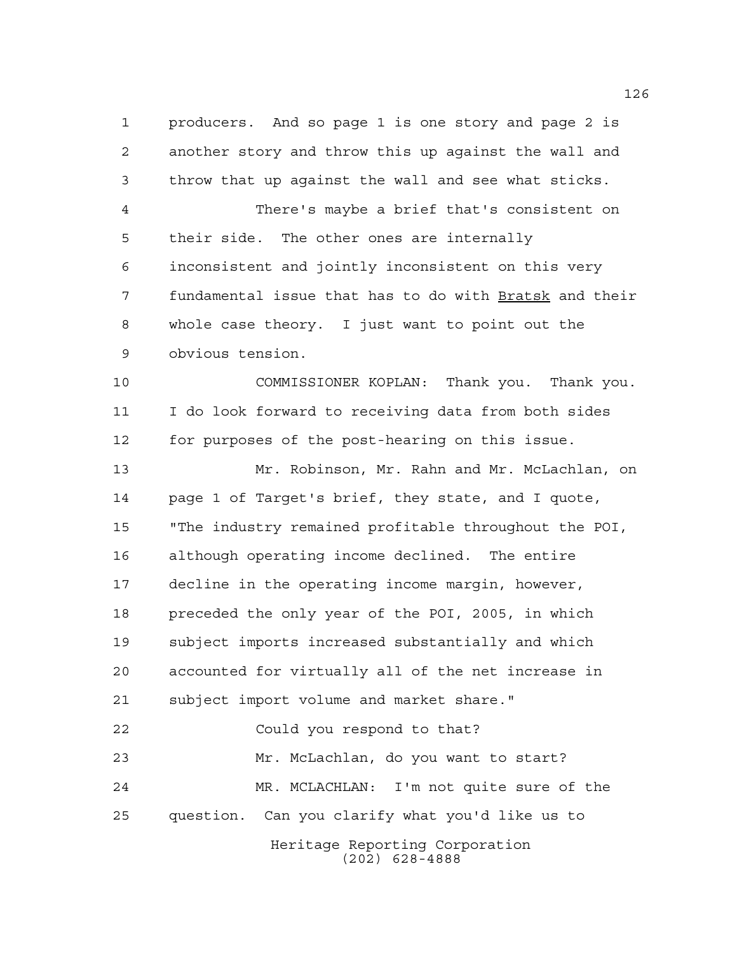producers. And so page 1 is one story and page 2 is another story and throw this up against the wall and throw that up against the wall and see what sticks.

 There's maybe a brief that's consistent on their side. The other ones are internally inconsistent and jointly inconsistent on this very fundamental issue that has to do with Bratsk and their whole case theory. I just want to point out the obvious tension.

 COMMISSIONER KOPLAN: Thank you. Thank you. I do look forward to receiving data from both sides for purposes of the post-hearing on this issue.

Heritage Reporting Corporation Mr. Robinson, Mr. Rahn and Mr. McLachlan, on page 1 of Target's brief, they state, and I quote, "The industry remained profitable throughout the POI, although operating income declined. The entire decline in the operating income margin, however, preceded the only year of the POI, 2005, in which subject imports increased substantially and which accounted for virtually all of the net increase in subject import volume and market share." Could you respond to that? Mr. McLachlan, do you want to start? MR. MCLACHLAN: I'm not quite sure of the question. Can you clarify what you'd like us to

(202) 628-4888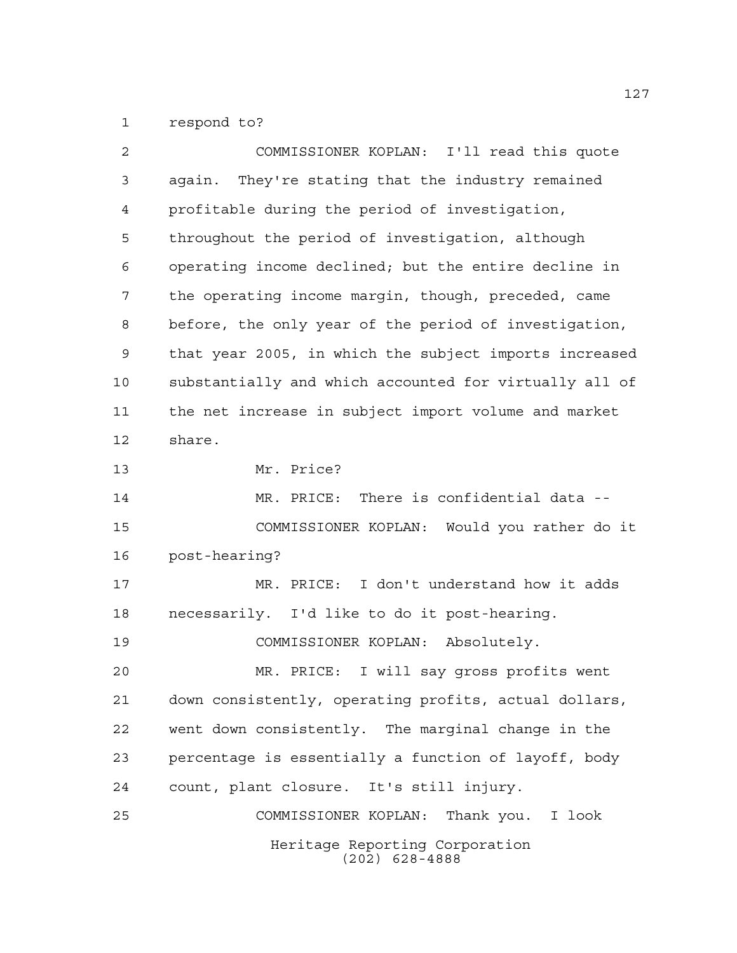respond to?

| 2  | COMMISSIONER KOPLAN: I'll read this quote              |
|----|--------------------------------------------------------|
| 3  | again. They're stating that the industry remained      |
| 4  | profitable during the period of investigation,         |
| 5  | throughout the period of investigation, although       |
| 6  | operating income declined; but the entire decline in   |
| 7  | the operating income margin, though, preceded, came    |
| 8  | before, the only year of the period of investigation,  |
| 9  | that year 2005, in which the subject imports increased |
| 10 | substantially and which accounted for virtually all of |
| 11 | the net increase in subject import volume and market   |
| 12 | share.                                                 |
| 13 | Mr. Price?                                             |
| 14 | MR. PRICE: There is confidential data --               |
| 15 | COMMISSIONER KOPLAN: Would you rather do it            |
| 16 | post-hearing?                                          |
| 17 | MR. PRICE: I don't understand how it adds              |
| 18 | necessarily. I'd like to do it post-hearing.           |
| 19 | COMMISSIONER KOPLAN: Absolutely.                       |
| 20 | MR. PRICE: I will say gross profits went               |
| 21 | down consistently, operating profits, actual dollars,  |
| 22 | went down consistently. The marginal change in the     |
| 23 | percentage is essentially a function of layoff, body   |
| 24 | count, plant closure. It's still injury.               |
| 25 | COMMISSIONER KOPLAN: Thank you. I look                 |
|    | Heritage Reporting Corporation<br>$(202)$ 628-4888     |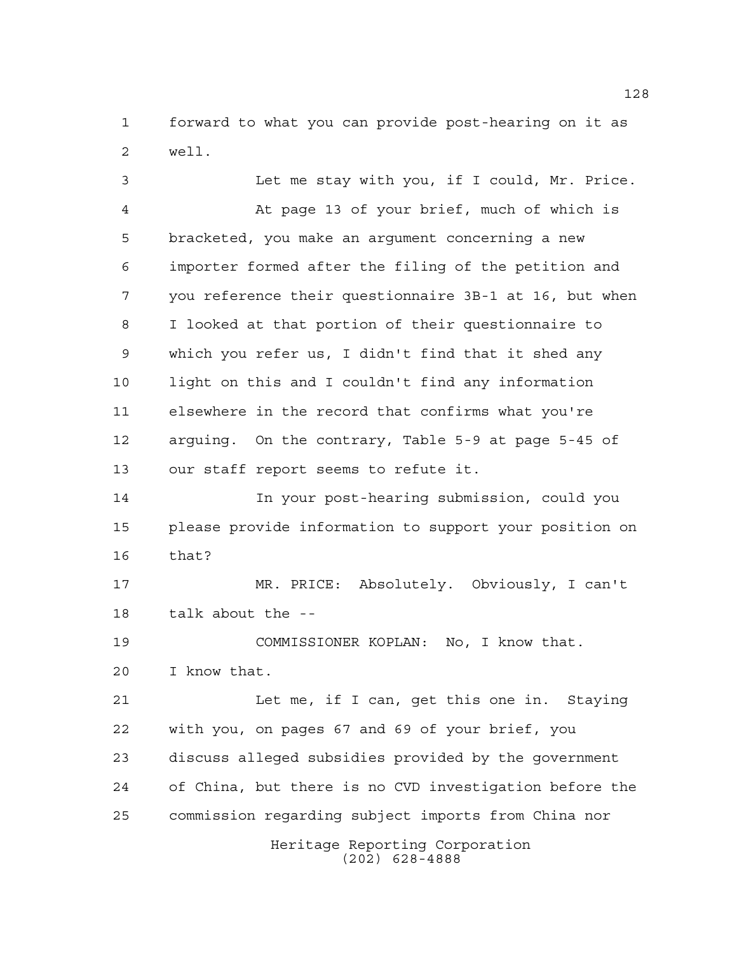forward to what you can provide post-hearing on it as well.

Heritage Reporting Corporation (202) 628-4888 Let me stay with you, if I could, Mr. Price. At page 13 of your brief, much of which is bracketed, you make an argument concerning a new importer formed after the filing of the petition and you reference their questionnaire 3B-1 at 16, but when I looked at that portion of their questionnaire to which you refer us, I didn't find that it shed any light on this and I couldn't find any information elsewhere in the record that confirms what you're arguing. On the contrary, Table 5-9 at page 5-45 of our staff report seems to refute it. In your post-hearing submission, could you please provide information to support your position on that? MR. PRICE: Absolutely. Obviously, I can't talk about the -- COMMISSIONER KOPLAN: No, I know that. I know that. 21 Let me, if I can, get this one in. Staying with you, on pages 67 and 69 of your brief, you discuss alleged subsidies provided by the government of China, but there is no CVD investigation before the commission regarding subject imports from China nor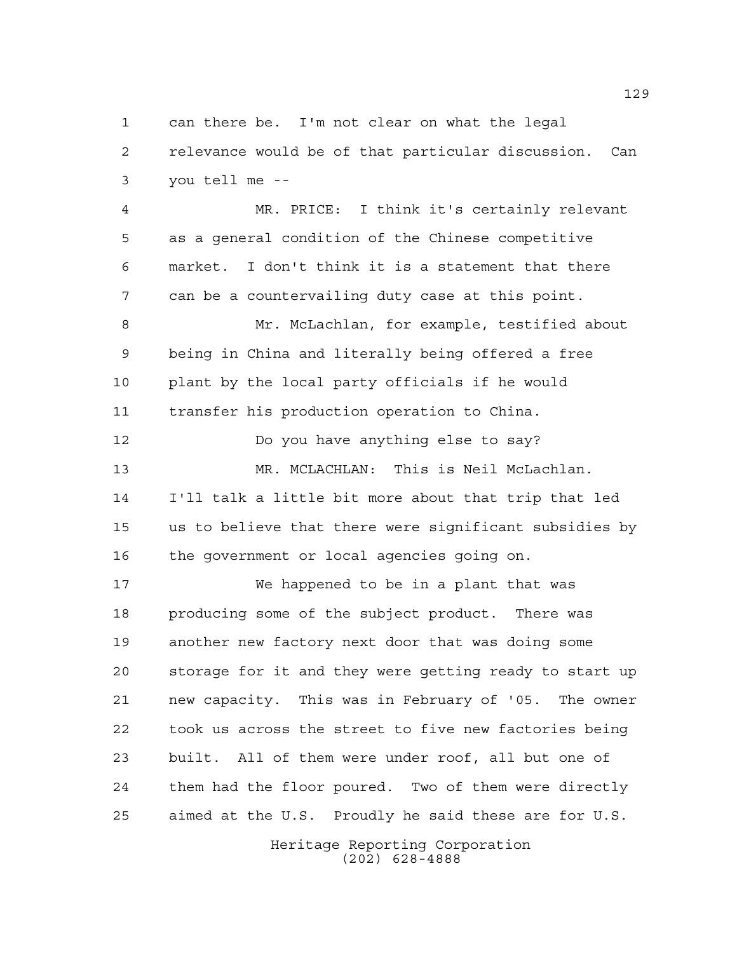can there be. I'm not clear on what the legal relevance would be of that particular discussion. Can you tell me --

 MR. PRICE: I think it's certainly relevant as a general condition of the Chinese competitive market. I don't think it is a statement that there can be a countervailing duty case at this point.

 Mr. McLachlan, for example, testified about being in China and literally being offered a free plant by the local party officials if he would transfer his production operation to China.

 Do you have anything else to say? MR. MCLACHLAN: This is Neil McLachlan. I'll talk a little bit more about that trip that led us to believe that there were significant subsidies by the government or local agencies going on.

 We happened to be in a plant that was producing some of the subject product. There was another new factory next door that was doing some storage for it and they were getting ready to start up new capacity. This was in February of '05. The owner took us across the street to five new factories being built. All of them were under roof, all but one of them had the floor poured. Two of them were directly aimed at the U.S. Proudly he said these are for U.S.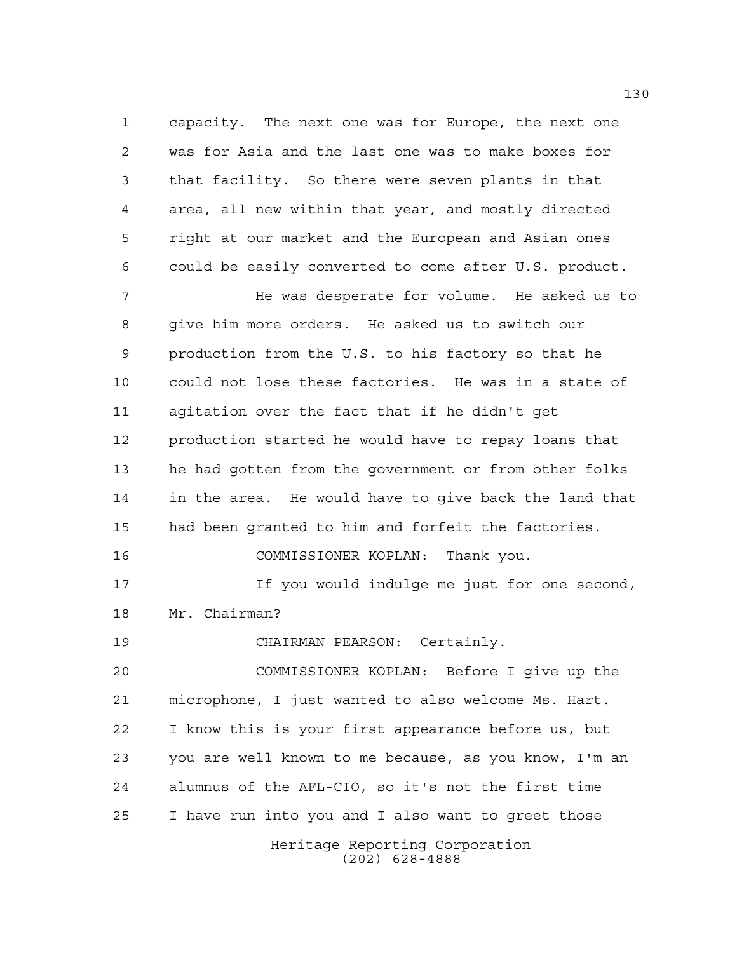capacity. The next one was for Europe, the next one was for Asia and the last one was to make boxes for that facility. So there were seven plants in that area, all new within that year, and mostly directed right at our market and the European and Asian ones could be easily converted to come after U.S. product.

7 The was desperate for volume. He asked us to give him more orders. He asked us to switch our production from the U.S. to his factory so that he could not lose these factories. He was in a state of agitation over the fact that if he didn't get production started he would have to repay loans that he had gotten from the government or from other folks in the area. He would have to give back the land that had been granted to him and forfeit the factories. COMMISSIONER KOPLAN: Thank you. If you would indulge me just for one second, Mr. Chairman? CHAIRMAN PEARSON: Certainly.

Heritage Reporting Corporation (202) 628-4888 COMMISSIONER KOPLAN: Before I give up the microphone, I just wanted to also welcome Ms. Hart. I know this is your first appearance before us, but you are well known to me because, as you know, I'm an alumnus of the AFL-CIO, so it's not the first time I have run into you and I also want to greet those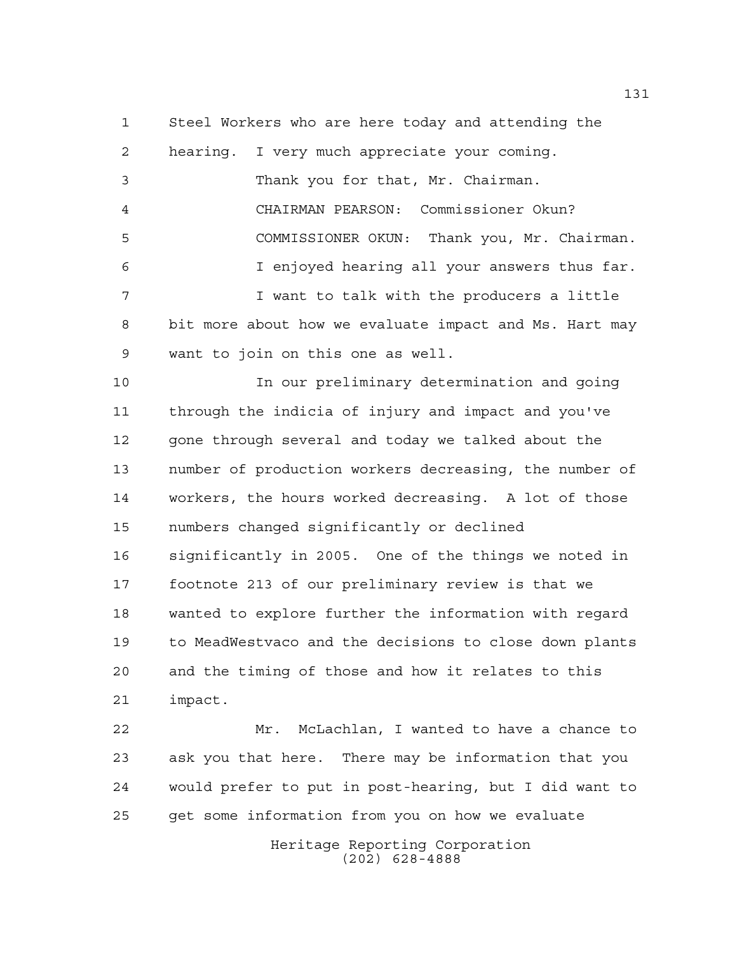Steel Workers who are here today and attending the hearing. I very much appreciate your coming. Thank you for that, Mr. Chairman. CHAIRMAN PEARSON: Commissioner Okun? COMMISSIONER OKUN: Thank you, Mr. Chairman. I enjoyed hearing all your answers thus far. 7 T I want to talk with the producers a little bit more about how we evaluate impact and Ms. Hart may want to join on this one as well.

 In our preliminary determination and going through the indicia of injury and impact and you've 12 gone through several and today we talked about the number of production workers decreasing, the number of workers, the hours worked decreasing. A lot of those numbers changed significantly or declined significantly in 2005. One of the things we noted in footnote 213 of our preliminary review is that we wanted to explore further the information with regard to MeadWestvaco and the decisions to close down plants and the timing of those and how it relates to this impact.

 Mr. McLachlan, I wanted to have a chance to ask you that here. There may be information that you would prefer to put in post-hearing, but I did want to get some information from you on how we evaluate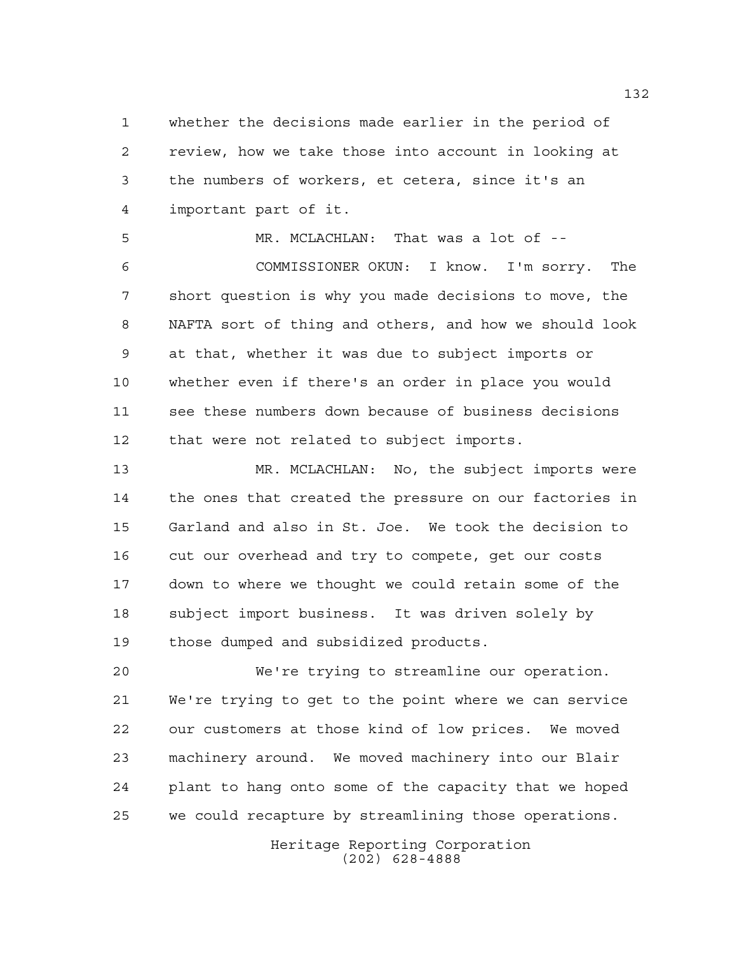whether the decisions made earlier in the period of review, how we take those into account in looking at the numbers of workers, et cetera, since it's an important part of it.

 MR. MCLACHLAN: That was a lot of -- COMMISSIONER OKUN: I know. I'm sorry. The short question is why you made decisions to move, the NAFTA sort of thing and others, and how we should look at that, whether it was due to subject imports or whether even if there's an order in place you would see these numbers down because of business decisions that were not related to subject imports.

 MR. MCLACHLAN: No, the subject imports were the ones that created the pressure on our factories in Garland and also in St. Joe. We took the decision to cut our overhead and try to compete, get our costs down to where we thought we could retain some of the subject import business. It was driven solely by those dumped and subsidized products.

 We're trying to streamline our operation. We're trying to get to the point where we can service our customers at those kind of low prices. We moved machinery around. We moved machinery into our Blair plant to hang onto some of the capacity that we hoped we could recapture by streamlining those operations.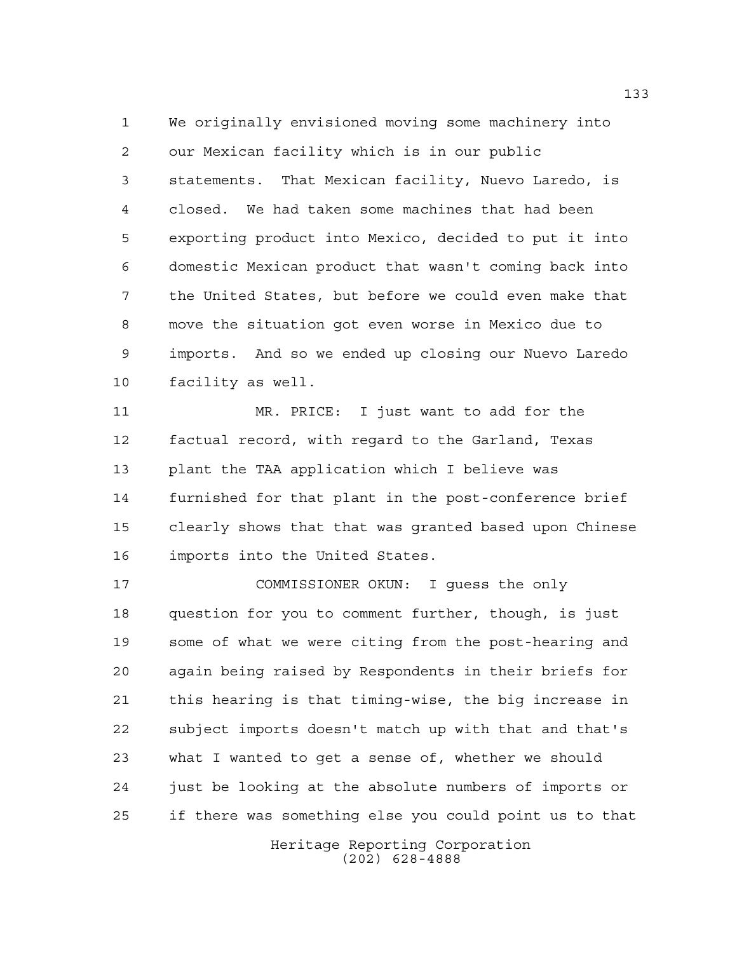We originally envisioned moving some machinery into our Mexican facility which is in our public statements. That Mexican facility, Nuevo Laredo, is closed. We had taken some machines that had been exporting product into Mexico, decided to put it into domestic Mexican product that wasn't coming back into the United States, but before we could even make that move the situation got even worse in Mexico due to imports. And so we ended up closing our Nuevo Laredo facility as well.

 MR. PRICE: I just want to add for the factual record, with regard to the Garland, Texas plant the TAA application which I believe was furnished for that plant in the post-conference brief clearly shows that that was granted based upon Chinese imports into the United States.

 COMMISSIONER OKUN: I guess the only question for you to comment further, though, is just some of what we were citing from the post-hearing and again being raised by Respondents in their briefs for this hearing is that timing-wise, the big increase in subject imports doesn't match up with that and that's what I wanted to get a sense of, whether we should just be looking at the absolute numbers of imports or if there was something else you could point us to that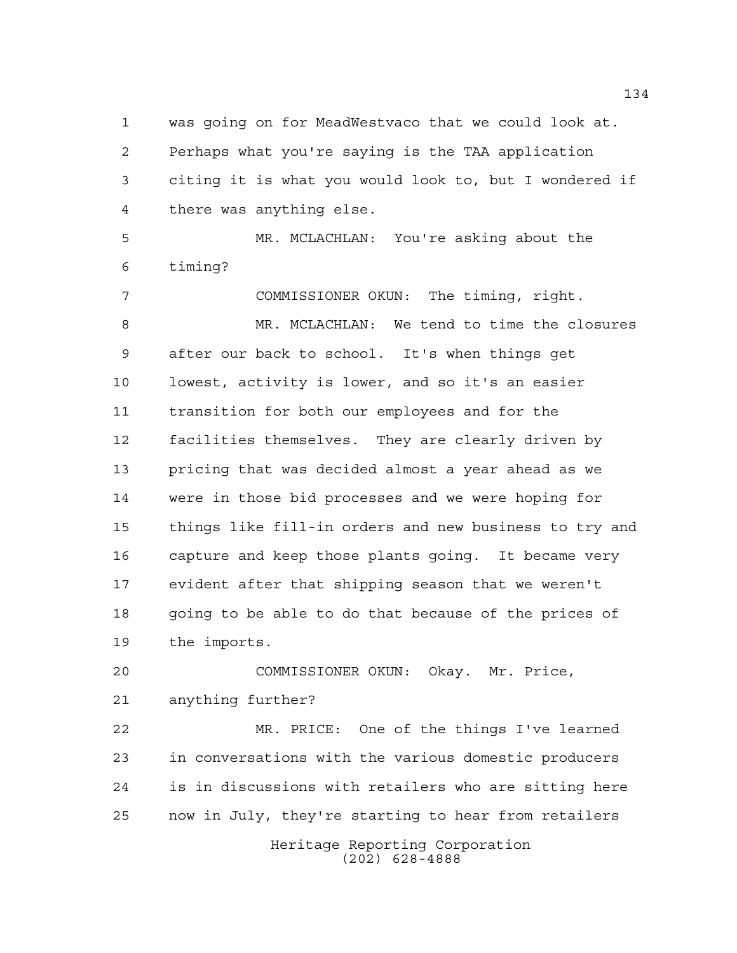was going on for MeadWestvaco that we could look at. Perhaps what you're saying is the TAA application citing it is what you would look to, but I wondered if there was anything else.

 MR. MCLACHLAN: You're asking about the timing?

 COMMISSIONER OKUN: The timing, right. MR. MCLACHLAN: We tend to time the closures after our back to school. It's when things get lowest, activity is lower, and so it's an easier transition for both our employees and for the facilities themselves. They are clearly driven by pricing that was decided almost a year ahead as we were in those bid processes and we were hoping for things like fill-in orders and new business to try and capture and keep those plants going. It became very evident after that shipping season that we weren't going to be able to do that because of the prices of the imports.

 COMMISSIONER OKUN: Okay. Mr. Price, anything further?

 MR. PRICE: One of the things I've learned in conversations with the various domestic producers is in discussions with retailers who are sitting here now in July, they're starting to hear from retailers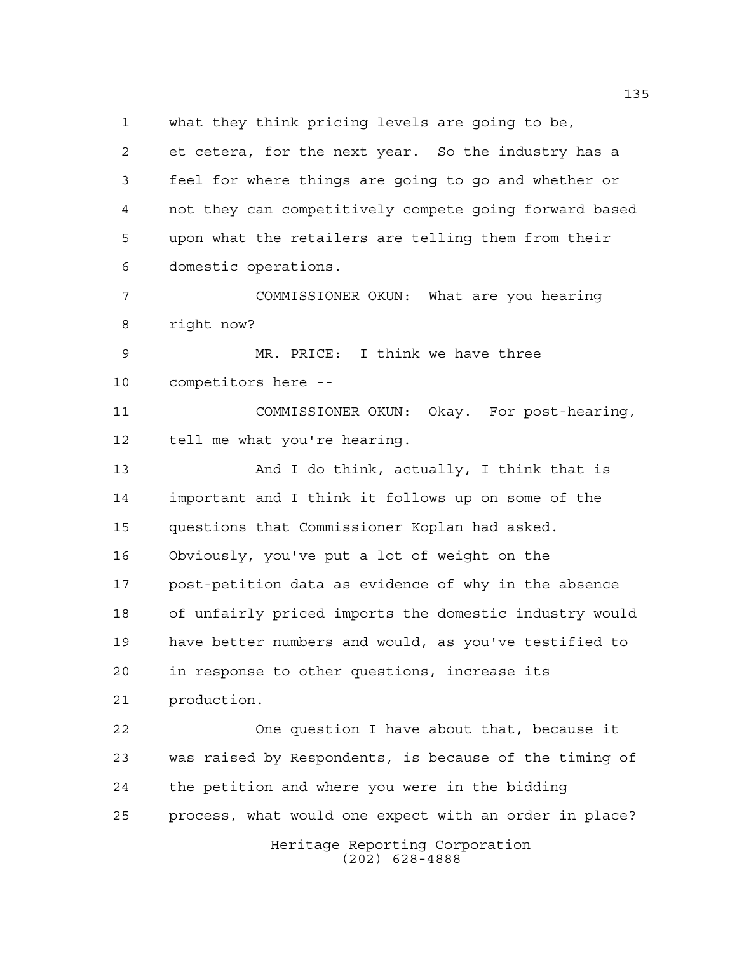what they think pricing levels are going to be,

 et cetera, for the next year. So the industry has a feel for where things are going to go and whether or not they can competitively compete going forward based upon what the retailers are telling them from their domestic operations.

 COMMISSIONER OKUN: What are you hearing right now?

 MR. PRICE: I think we have three competitors here --

 COMMISSIONER OKUN: Okay. For post-hearing, tell me what you're hearing.

13 And I do think, actually, I think that is important and I think it follows up on some of the questions that Commissioner Koplan had asked. Obviously, you've put a lot of weight on the post-petition data as evidence of why in the absence of unfairly priced imports the domestic industry would have better numbers and would, as you've testified to in response to other questions, increase its production.

 One question I have about that, because it was raised by Respondents, is because of the timing of the petition and where you were in the bidding process, what would one expect with an order in place?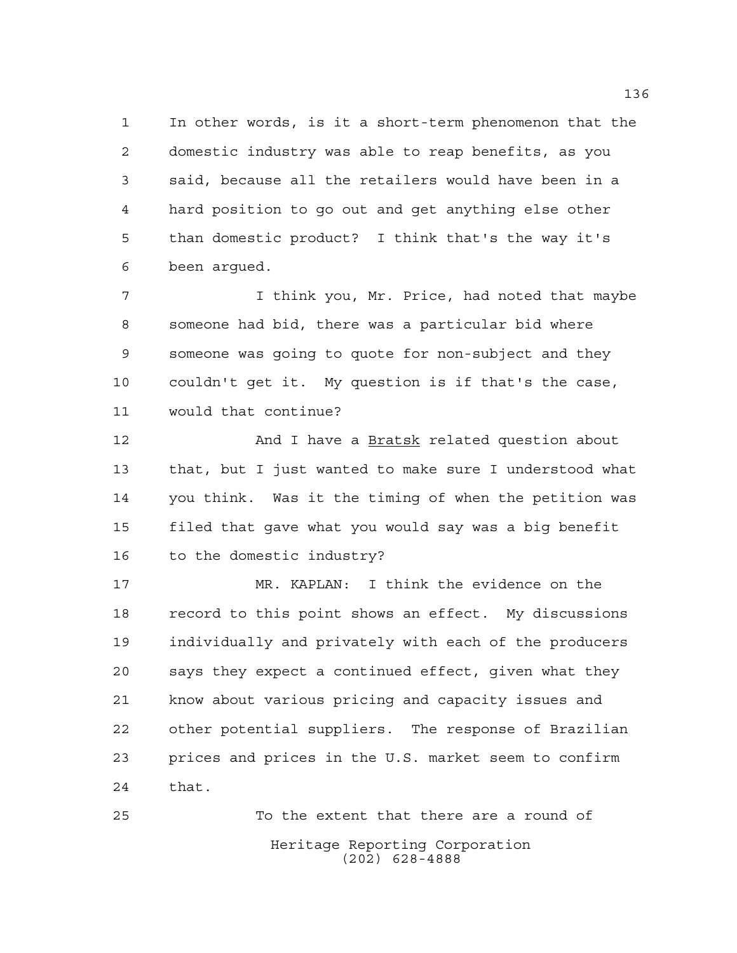In other words, is it a short-term phenomenon that the domestic industry was able to reap benefits, as you said, because all the retailers would have been in a hard position to go out and get anything else other than domestic product? I think that's the way it's been argued.

 I think you, Mr. Price, had noted that maybe someone had bid, there was a particular bid where someone was going to quote for non-subject and they couldn't get it. My question is if that's the case, would that continue?

 And I have a Bratsk related question about that, but I just wanted to make sure I understood what you think. Was it the timing of when the petition was filed that gave what you would say was a big benefit to the domestic industry?

 MR. KAPLAN: I think the evidence on the record to this point shows an effect. My discussions individually and privately with each of the producers says they expect a continued effect, given what they know about various pricing and capacity issues and other potential suppliers. The response of Brazilian prices and prices in the U.S. market seem to confirm that.

Heritage Reporting Corporation (202) 628-4888 To the extent that there are a round of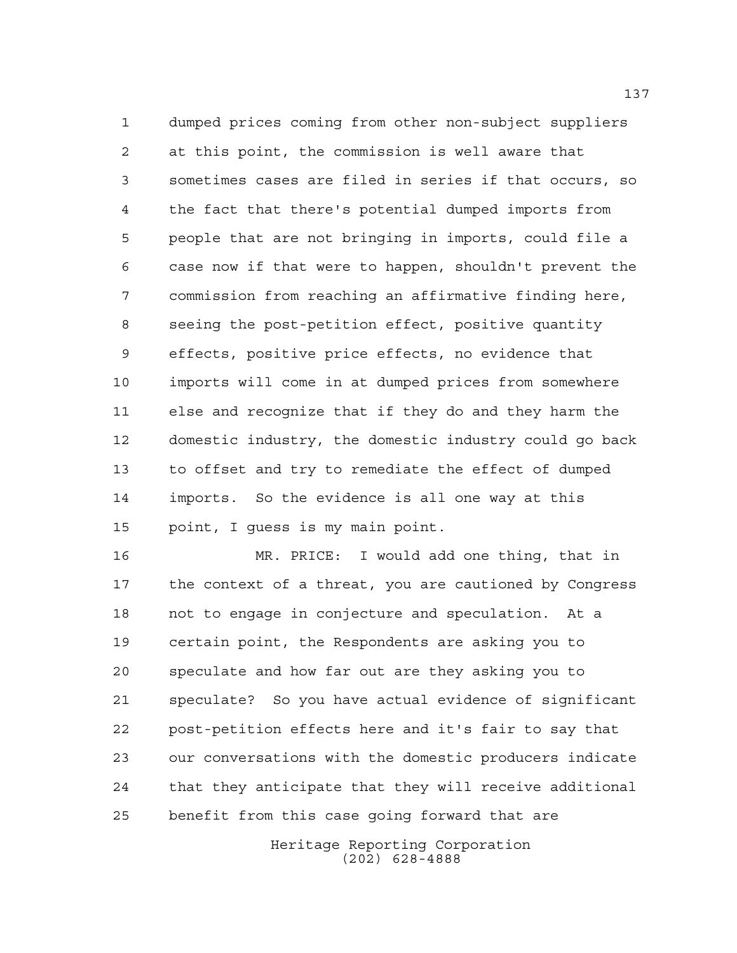dumped prices coming from other non-subject suppliers at this point, the commission is well aware that sometimes cases are filed in series if that occurs, so the fact that there's potential dumped imports from people that are not bringing in imports, could file a case now if that were to happen, shouldn't prevent the commission from reaching an affirmative finding here, seeing the post-petition effect, positive quantity effects, positive price effects, no evidence that imports will come in at dumped prices from somewhere else and recognize that if they do and they harm the domestic industry, the domestic industry could go back to offset and try to remediate the effect of dumped imports. So the evidence is all one way at this point, I guess is my main point.

 MR. PRICE: I would add one thing, that in the context of a threat, you are cautioned by Congress not to engage in conjecture and speculation. At a certain point, the Respondents are asking you to speculate and how far out are they asking you to speculate? So you have actual evidence of significant post-petition effects here and it's fair to say that our conversations with the domestic producers indicate that they anticipate that they will receive additional benefit from this case going forward that are

> Heritage Reporting Corporation (202) 628-4888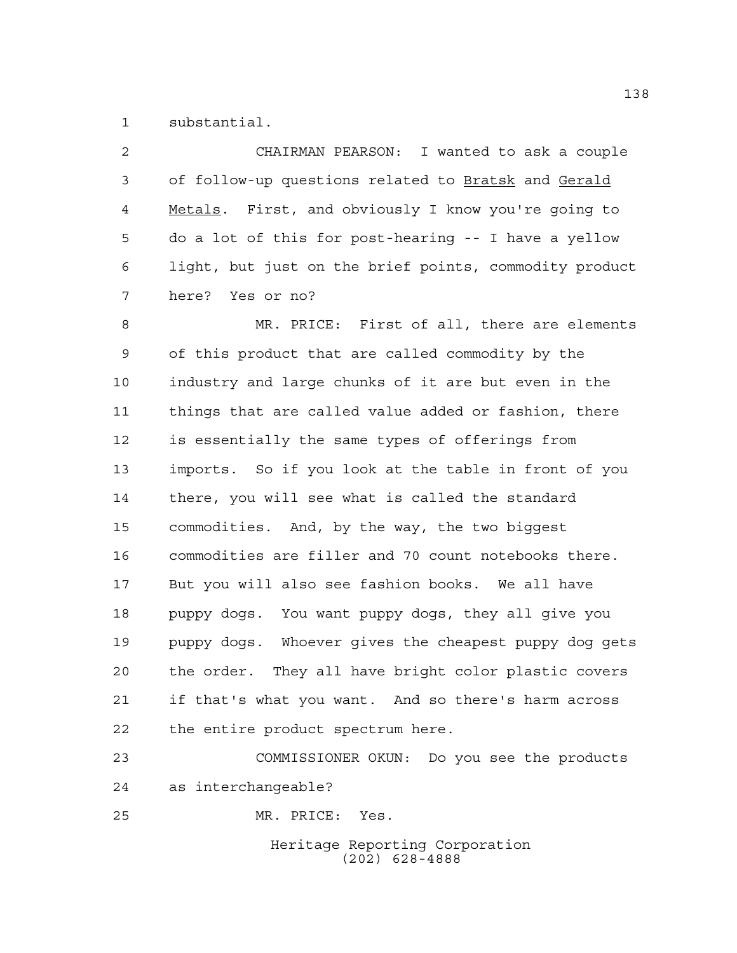substantial.

| $\mathcal{L}$  | CHAIRMAN PEARSON: I wanted to ask a couple             |
|----------------|--------------------------------------------------------|
| 3              | of follow-up questions related to Bratsk and Gerald    |
| $\overline{4}$ | Metals. First, and obviously I know you're going to    |
| 5              | do a lot of this for post-hearing -- I have a yellow   |
| 6              | light, but just on the brief points, commodity product |
|                | here? Yes or no?                                       |

 MR. PRICE: First of all, there are elements of this product that are called commodity by the industry and large chunks of it are but even in the things that are called value added or fashion, there is essentially the same types of offerings from imports. So if you look at the table in front of you there, you will see what is called the standard commodities. And, by the way, the two biggest commodities are filler and 70 count notebooks there. But you will also see fashion books. We all have puppy dogs. You want puppy dogs, they all give you puppy dogs. Whoever gives the cheapest puppy dog gets the order. They all have bright color plastic covers if that's what you want. And so there's harm across the entire product spectrum here.

 COMMISSIONER OKUN: Do you see the products as interchangeable?

MR. PRICE: Yes.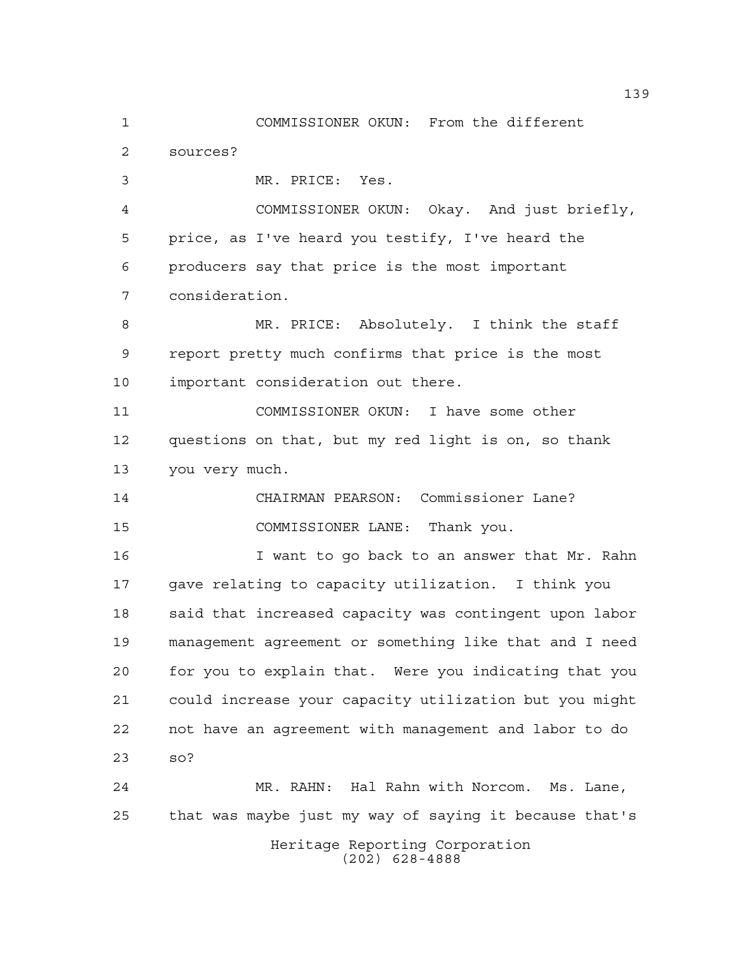Heritage Reporting Corporation COMMISSIONER OKUN: From the different sources? MR. PRICE: Yes. COMMISSIONER OKUN: Okay. And just briefly, price, as I've heard you testify, I've heard the producers say that price is the most important consideration. MR. PRICE: Absolutely. I think the staff report pretty much confirms that price is the most important consideration out there. COMMISSIONER OKUN: I have some other questions on that, but my red light is on, so thank you very much. CHAIRMAN PEARSON: Commissioner Lane? COMMISSIONER LANE: Thank you. I want to go back to an answer that Mr. Rahn gave relating to capacity utilization. I think you 18 said that increased capacity was contingent upon labor management agreement or something like that and I need for you to explain that. Were you indicating that you could increase your capacity utilization but you might not have an agreement with management and labor to do so? MR. RAHN: Hal Rahn with Norcom. Ms. Lane, that was maybe just my way of saying it because that's

(202) 628-4888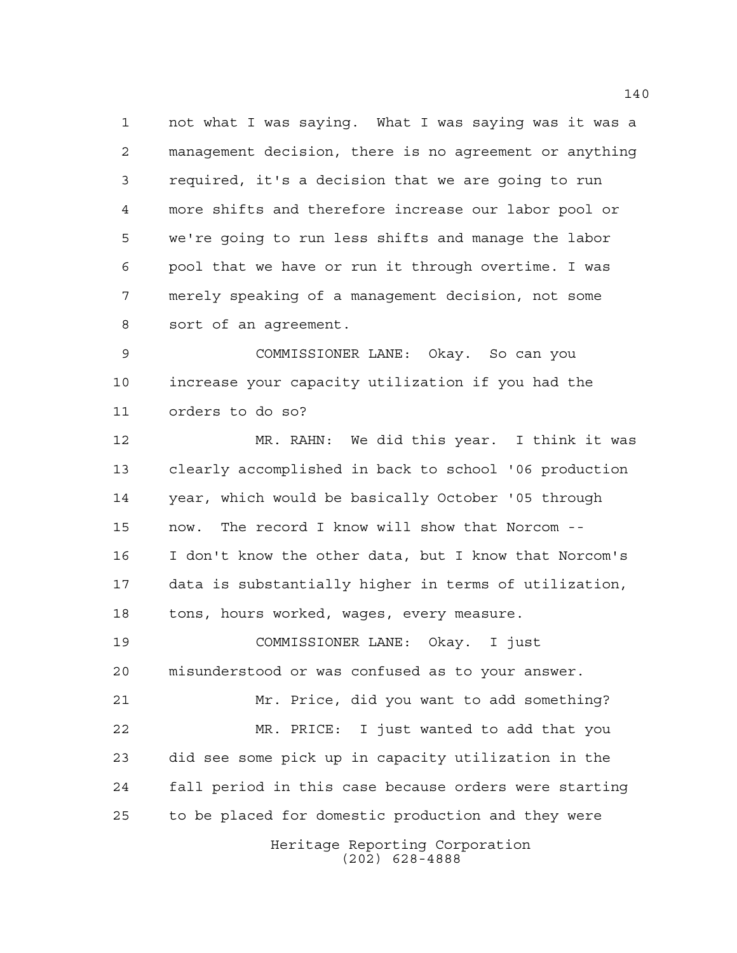not what I was saying. What I was saying was it was a management decision, there is no agreement or anything required, it's a decision that we are going to run more shifts and therefore increase our labor pool or we're going to run less shifts and manage the labor pool that we have or run it through overtime. I was merely speaking of a management decision, not some sort of an agreement.

 COMMISSIONER LANE: Okay. So can you increase your capacity utilization if you had the orders to do so?

 MR. RAHN: We did this year. I think it was clearly accomplished in back to school '06 production year, which would be basically October '05 through now. The record I know will show that Norcom -- I don't know the other data, but I know that Norcom's data is substantially higher in terms of utilization, tons, hours worked, wages, every measure.

 COMMISSIONER LANE: Okay. I just misunderstood or was confused as to your answer.

 Mr. Price, did you want to add something? MR. PRICE: I just wanted to add that you did see some pick up in capacity utilization in the fall period in this case because orders were starting to be placed for domestic production and they were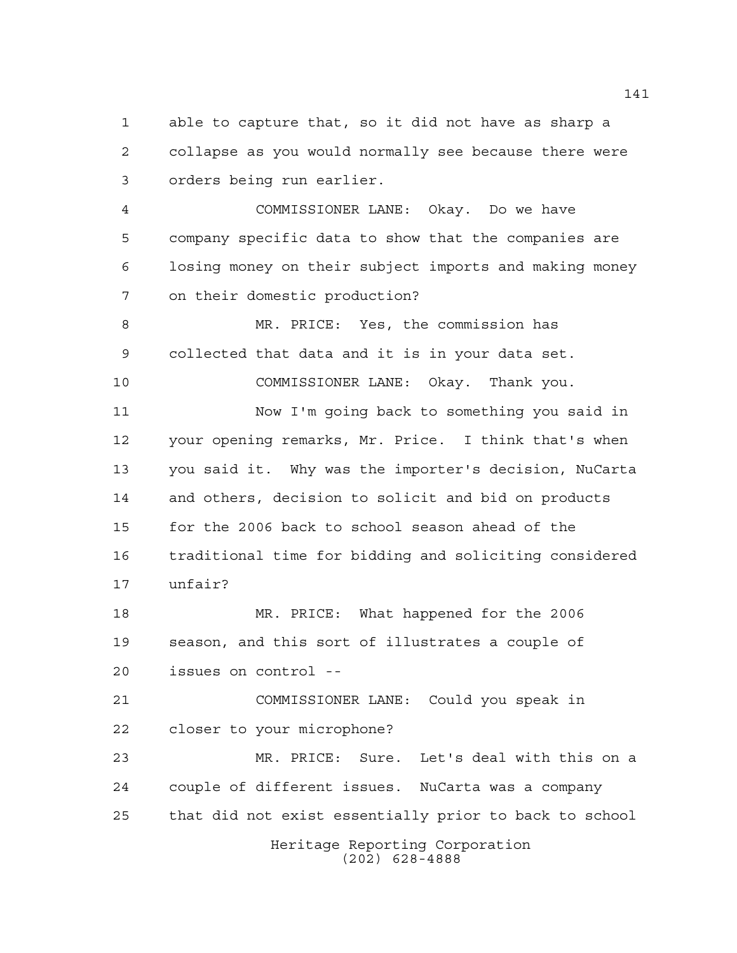able to capture that, so it did not have as sharp a collapse as you would normally see because there were orders being run earlier.

 COMMISSIONER LANE: Okay. Do we have company specific data to show that the companies are losing money on their subject imports and making money on their domestic production?

 MR. PRICE: Yes, the commission has collected that data and it is in your data set.

COMMISSIONER LANE: Okay. Thank you.

 Now I'm going back to something you said in your opening remarks, Mr. Price. I think that's when you said it. Why was the importer's decision, NuCarta and others, decision to solicit and bid on products for the 2006 back to school season ahead of the traditional time for bidding and soliciting considered unfair?

 MR. PRICE: What happened for the 2006 season, and this sort of illustrates a couple of issues on control --

 COMMISSIONER LANE: Could you speak in closer to your microphone?

 MR. PRICE: Sure. Let's deal with this on a couple of different issues. NuCarta was a company that did not exist essentially prior to back to school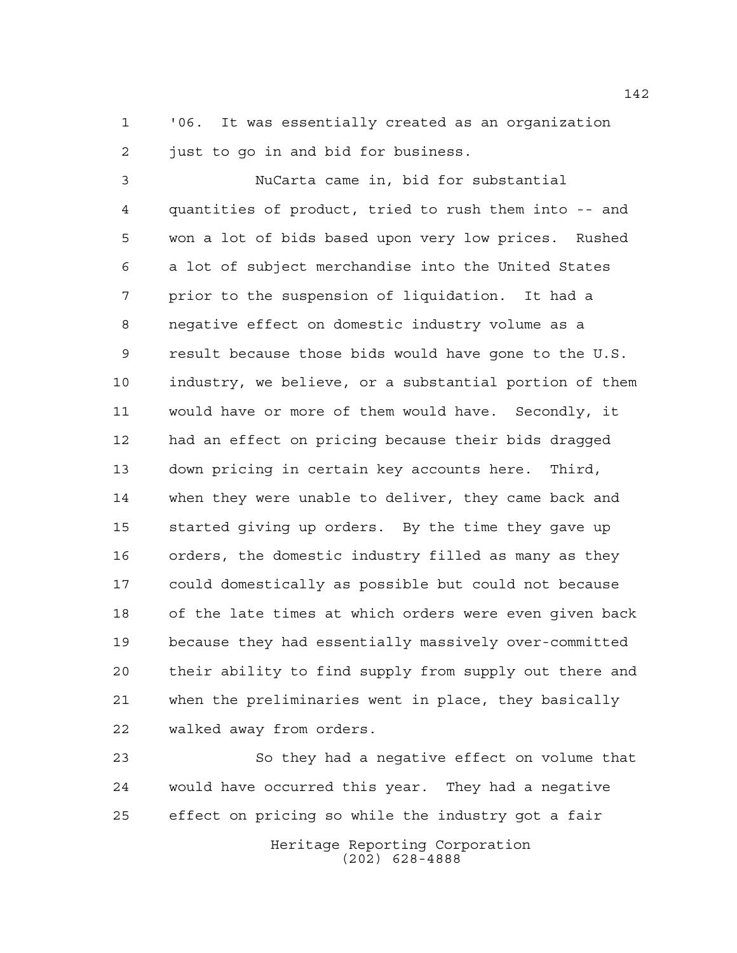'06. It was essentially created as an organization 2 just to go in and bid for business.

 NuCarta came in, bid for substantial quantities of product, tried to rush them into -- and won a lot of bids based upon very low prices. Rushed a lot of subject merchandise into the United States prior to the suspension of liquidation. It had a negative effect on domestic industry volume as a result because those bids would have gone to the U.S. industry, we believe, or a substantial portion of them would have or more of them would have. Secondly, it had an effect on pricing because their bids dragged down pricing in certain key accounts here. Third, when they were unable to deliver, they came back and started giving up orders. By the time they gave up orders, the domestic industry filled as many as they could domestically as possible but could not because of the late times at which orders were even given back because they had essentially massively over-committed their ability to find supply from supply out there and when the preliminaries went in place, they basically walked away from orders.

 So they had a negative effect on volume that would have occurred this year. They had a negative effect on pricing so while the industry got a fair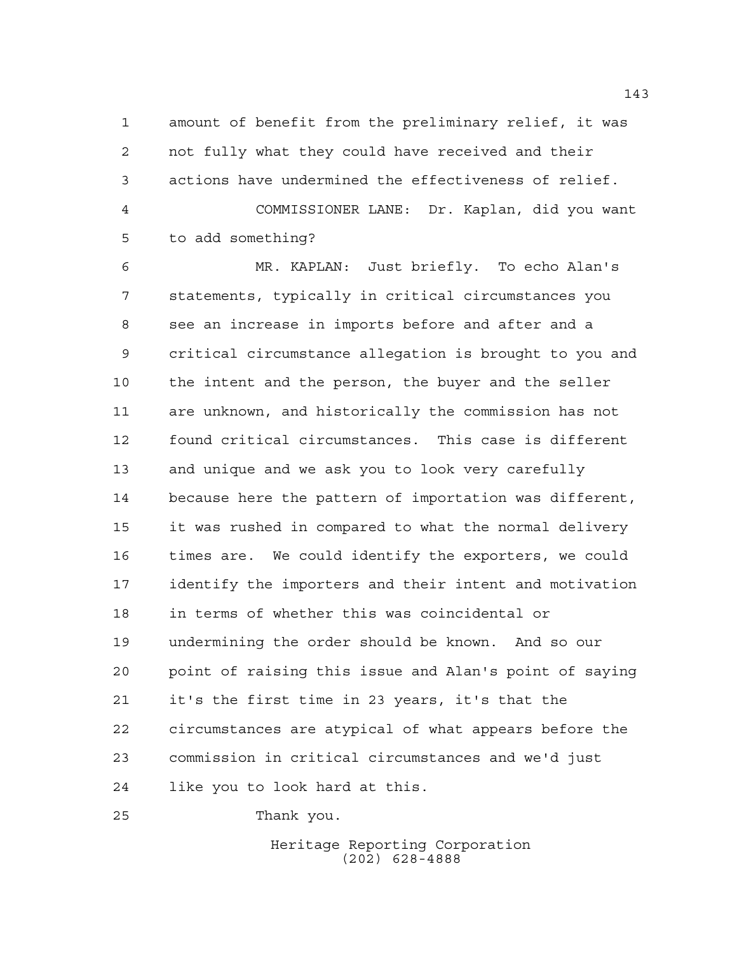amount of benefit from the preliminary relief, it was not fully what they could have received and their actions have undermined the effectiveness of relief. COMMISSIONER LANE: Dr. Kaplan, did you want to add something?

 MR. KAPLAN: Just briefly. To echo Alan's statements, typically in critical circumstances you see an increase in imports before and after and a critical circumstance allegation is brought to you and the intent and the person, the buyer and the seller are unknown, and historically the commission has not found critical circumstances. This case is different and unique and we ask you to look very carefully because here the pattern of importation was different, it was rushed in compared to what the normal delivery times are. We could identify the exporters, we could identify the importers and their intent and motivation in terms of whether this was coincidental or undermining the order should be known. And so our point of raising this issue and Alan's point of saying it's the first time in 23 years, it's that the circumstances are atypical of what appears before the commission in critical circumstances and we'd just like you to look hard at this.

Thank you.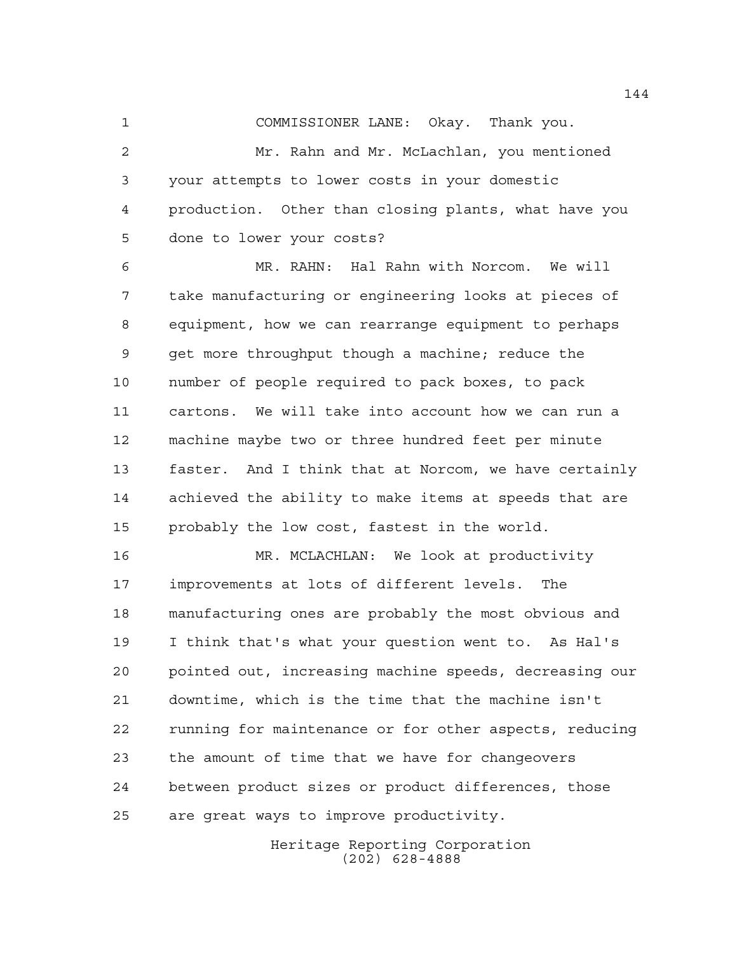COMMISSIONER LANE: Okay. Thank you.

 Mr. Rahn and Mr. McLachlan, you mentioned your attempts to lower costs in your domestic production. Other than closing plants, what have you done to lower your costs?

 MR. RAHN: Hal Rahn with Norcom. We will take manufacturing or engineering looks at pieces of equipment, how we can rearrange equipment to perhaps get more throughput though a machine; reduce the number of people required to pack boxes, to pack cartons. We will take into account how we can run a machine maybe two or three hundred feet per minute faster. And I think that at Norcom, we have certainly achieved the ability to make items at speeds that are probably the low cost, fastest in the world.

 MR. MCLACHLAN: We look at productivity improvements at lots of different levels. The manufacturing ones are probably the most obvious and I think that's what your question went to. As Hal's pointed out, increasing machine speeds, decreasing our downtime, which is the time that the machine isn't running for maintenance or for other aspects, reducing the amount of time that we have for changeovers between product sizes or product differences, those are great ways to improve productivity.

> Heritage Reporting Corporation (202) 628-4888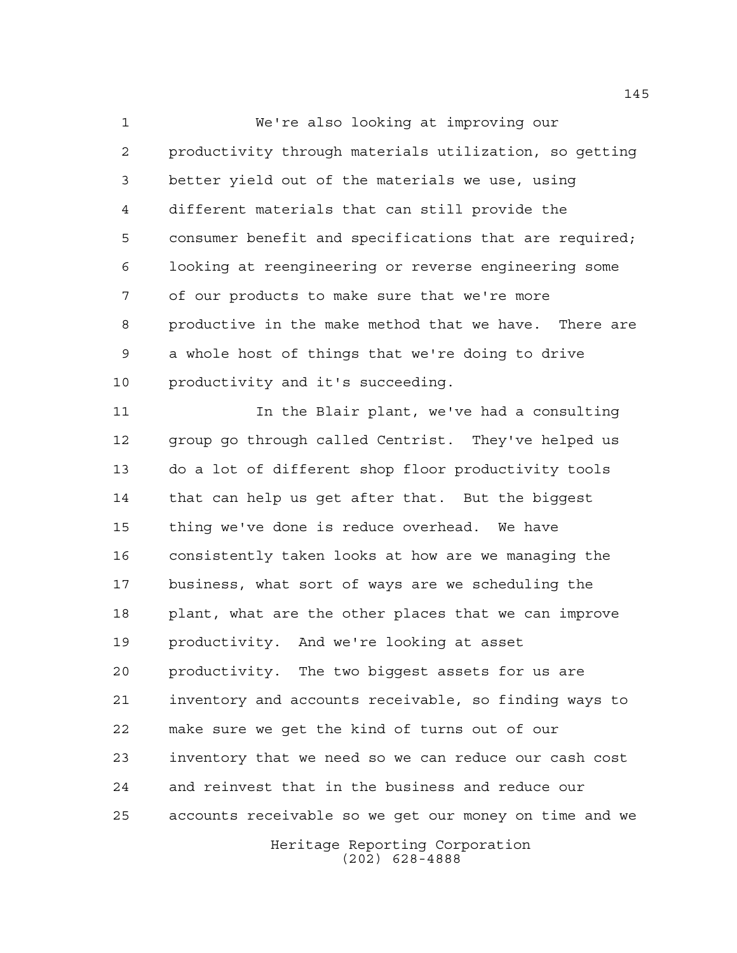We're also looking at improving our productivity through materials utilization, so getting better yield out of the materials we use, using different materials that can still provide the consumer benefit and specifications that are required; looking at reengineering or reverse engineering some of our products to make sure that we're more productive in the make method that we have. There are a whole host of things that we're doing to drive productivity and it's succeeding.

 In the Blair plant, we've had a consulting group go through called Centrist. They've helped us do a lot of different shop floor productivity tools that can help us get after that. But the biggest thing we've done is reduce overhead. We have consistently taken looks at how are we managing the business, what sort of ways are we scheduling the plant, what are the other places that we can improve productivity. And we're looking at asset productivity. The two biggest assets for us are inventory and accounts receivable, so finding ways to make sure we get the kind of turns out of our inventory that we need so we can reduce our cash cost and reinvest that in the business and reduce our accounts receivable so we get our money on time and we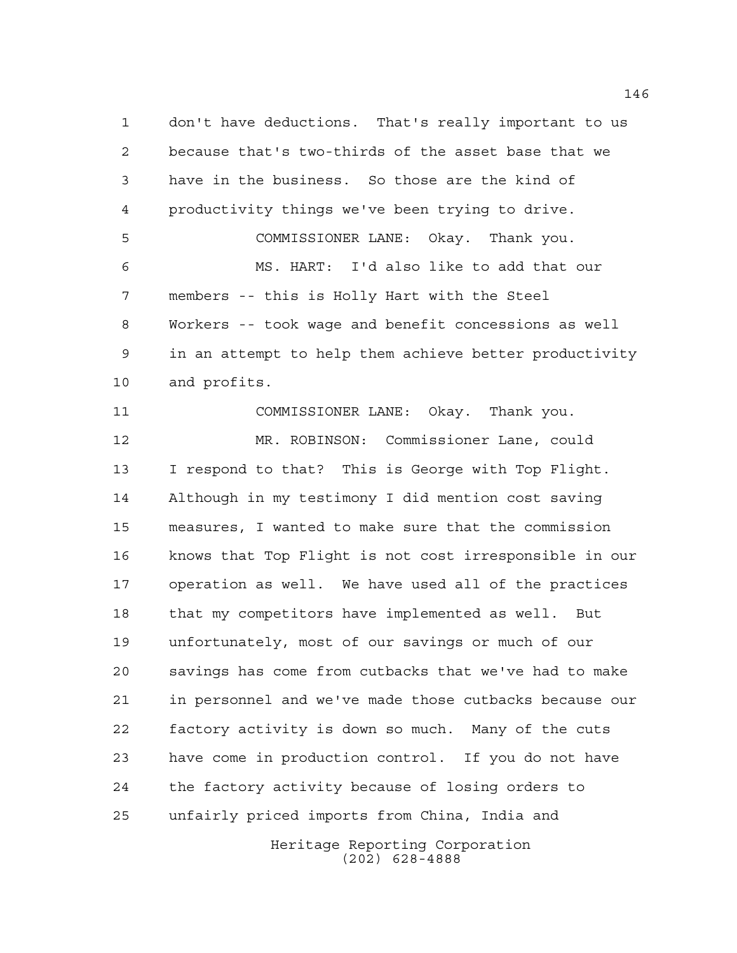don't have deductions. That's really important to us because that's two-thirds of the asset base that we have in the business. So those are the kind of productivity things we've been trying to drive. COMMISSIONER LANE: Okay. Thank you. MS. HART: I'd also like to add that our members -- this is Holly Hart with the Steel Workers -- took wage and benefit concessions as well in an attempt to help them achieve better productivity and profits. COMMISSIONER LANE: Okay. Thank you. MR. ROBINSON: Commissioner Lane, could I respond to that? This is George with Top Flight. Although in my testimony I did mention cost saving measures, I wanted to make sure that the commission knows that Top Flight is not cost irresponsible in our operation as well. We have used all of the practices that my competitors have implemented as well. But unfortunately, most of our savings or much of our savings has come from cutbacks that we've had to make in personnel and we've made those cutbacks because our factory activity is down so much. Many of the cuts have come in production control. If you do not have the factory activity because of losing orders to unfairly priced imports from China, India and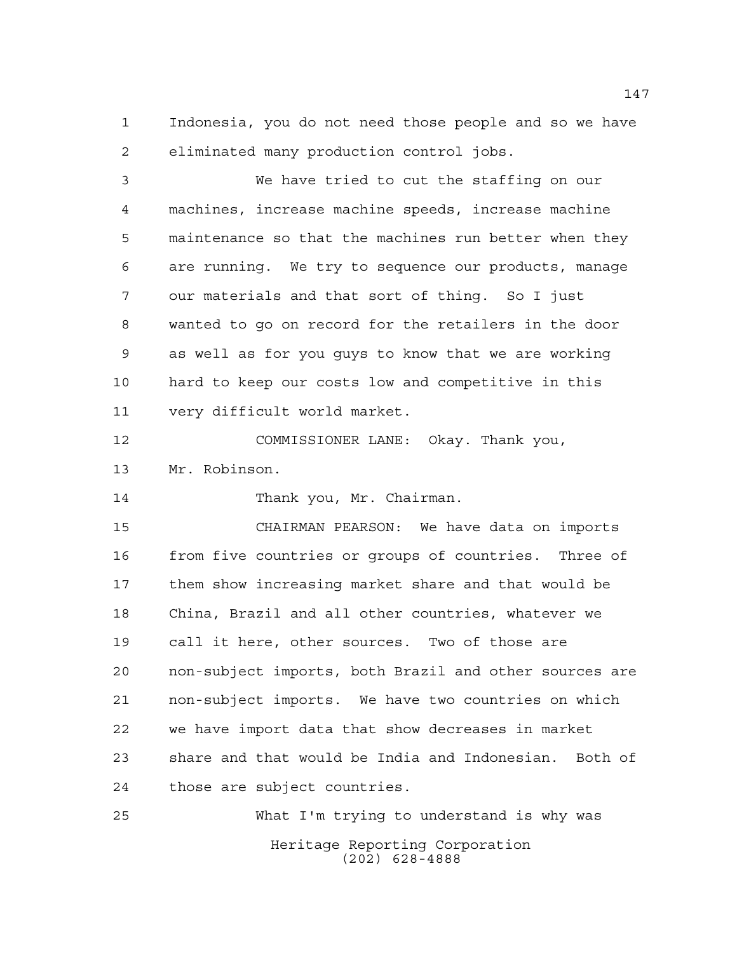Indonesia, you do not need those people and so we have eliminated many production control jobs.

 We have tried to cut the staffing on our machines, increase machine speeds, increase machine maintenance so that the machines run better when they are running. We try to sequence our products, manage our materials and that sort of thing. So I just wanted to go on record for the retailers in the door as well as for you guys to know that we are working hard to keep our costs low and competitive in this very difficult world market.

 COMMISSIONER LANE: Okay. Thank you, Mr. Robinson.

14 Thank you, Mr. Chairman.

 CHAIRMAN PEARSON: We have data on imports from five countries or groups of countries. Three of them show increasing market share and that would be China, Brazil and all other countries, whatever we call it here, other sources. Two of those are non-subject imports, both Brazil and other sources are non-subject imports. We have two countries on which we have import data that show decreases in market share and that would be India and Indonesian. Both of those are subject countries.

Heritage Reporting Corporation (202) 628-4888 What I'm trying to understand is why was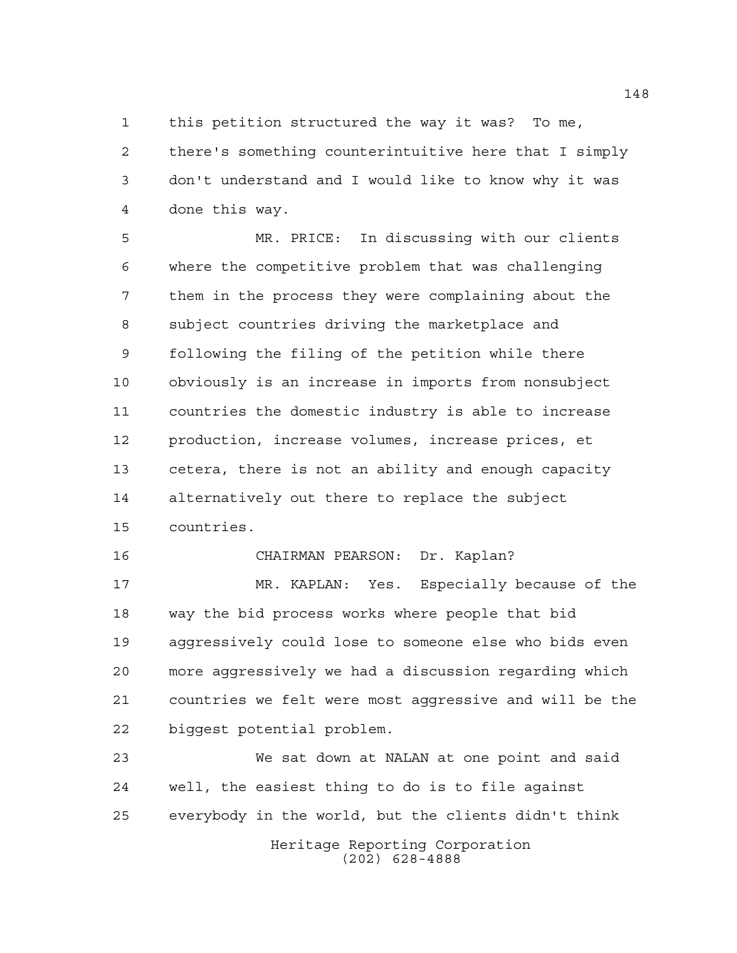this petition structured the way it was? To me,

 there's something counterintuitive here that I simply don't understand and I would like to know why it was done this way.

 MR. PRICE: In discussing with our clients where the competitive problem that was challenging them in the process they were complaining about the subject countries driving the marketplace and following the filing of the petition while there obviously is an increase in imports from nonsubject countries the domestic industry is able to increase production, increase volumes, increase prices, et cetera, there is not an ability and enough capacity alternatively out there to replace the subject countries.

CHAIRMAN PEARSON: Dr. Kaplan?

 MR. KAPLAN: Yes. Especially because of the way the bid process works where people that bid aggressively could lose to someone else who bids even more aggressively we had a discussion regarding which countries we felt were most aggressive and will be the biggest potential problem.

 We sat down at NALAN at one point and said well, the easiest thing to do is to file against everybody in the world, but the clients didn't think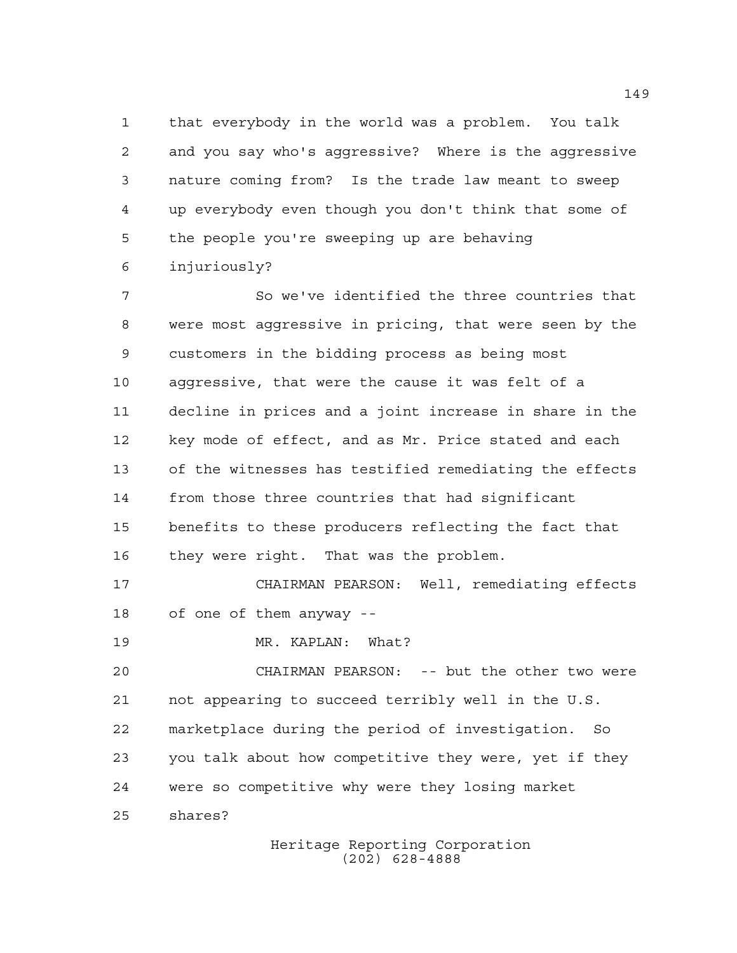that everybody in the world was a problem. You talk and you say who's aggressive? Where is the aggressive nature coming from? Is the trade law meant to sweep up everybody even though you don't think that some of the people you're sweeping up are behaving injuriously?

 So we've identified the three countries that were most aggressive in pricing, that were seen by the customers in the bidding process as being most aggressive, that were the cause it was felt of a decline in prices and a joint increase in share in the key mode of effect, and as Mr. Price stated and each of the witnesses has testified remediating the effects from those three countries that had significant benefits to these producers reflecting the fact that they were right. That was the problem.

 CHAIRMAN PEARSON: Well, remediating effects of one of them anyway --

19 MR. KAPLAN: What?

 CHAIRMAN PEARSON: -- but the other two were not appearing to succeed terribly well in the U.S. marketplace during the period of investigation. So you talk about how competitive they were, yet if they were so competitive why were they losing market shares?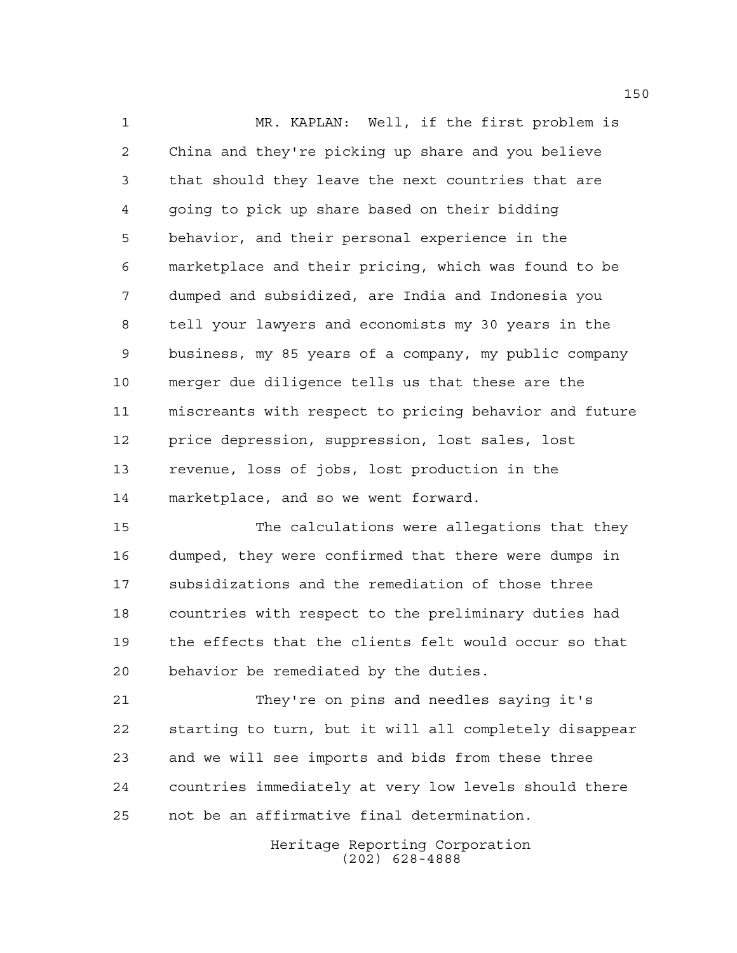MR. KAPLAN: Well, if the first problem is China and they're picking up share and you believe that should they leave the next countries that are going to pick up share based on their bidding behavior, and their personal experience in the marketplace and their pricing, which was found to be dumped and subsidized, are India and Indonesia you tell your lawyers and economists my 30 years in the business, my 85 years of a company, my public company merger due diligence tells us that these are the miscreants with respect to pricing behavior and future price depression, suppression, lost sales, lost revenue, loss of jobs, lost production in the marketplace, and so we went forward.

 The calculations were allegations that they dumped, they were confirmed that there were dumps in subsidizations and the remediation of those three countries with respect to the preliminary duties had the effects that the clients felt would occur so that behavior be remediated by the duties.

 They're on pins and needles saying it's starting to turn, but it will all completely disappear and we will see imports and bids from these three countries immediately at very low levels should there not be an affirmative final determination.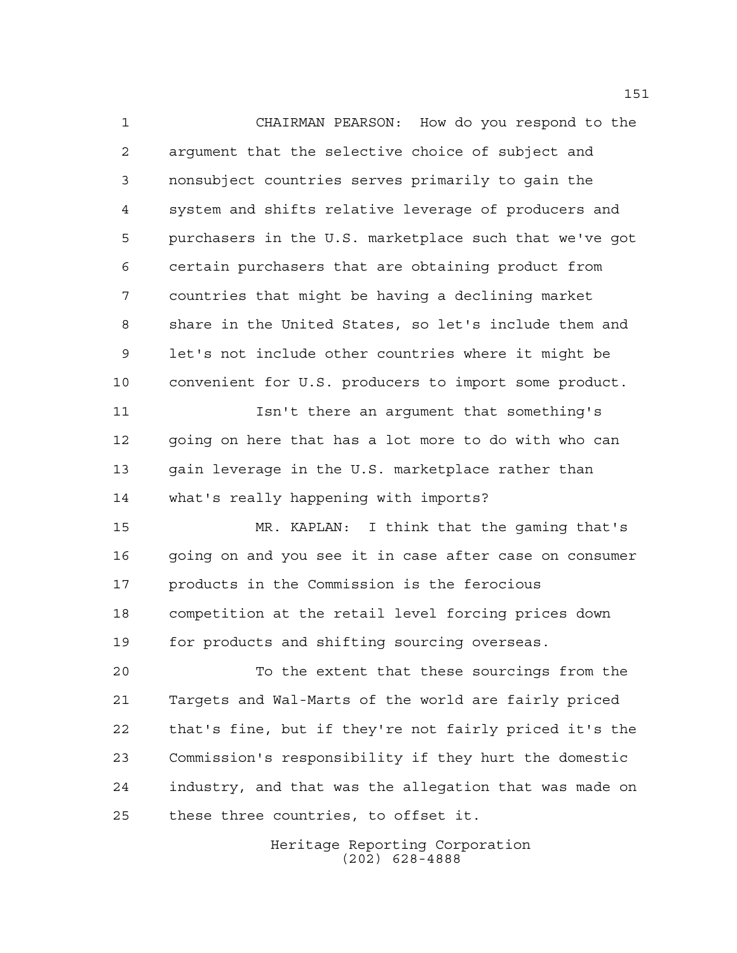CHAIRMAN PEARSON: How do you respond to the argument that the selective choice of subject and nonsubject countries serves primarily to gain the system and shifts relative leverage of producers and purchasers in the U.S. marketplace such that we've got certain purchasers that are obtaining product from countries that might be having a declining market share in the United States, so let's include them and let's not include other countries where it might be convenient for U.S. producers to import some product. Isn't there an argument that something's going on here that has a lot more to do with who can gain leverage in the U.S. marketplace rather than what's really happening with imports? MR. KAPLAN: I think that the gaming that's going on and you see it in case after case on consumer products in the Commission is the ferocious competition at the retail level forcing prices down for products and shifting sourcing overseas. To the extent that these sourcings from the Targets and Wal-Marts of the world are fairly priced that's fine, but if they're not fairly priced it's the Commission's responsibility if they hurt the domestic industry, and that was the allegation that was made on these three countries, to offset it.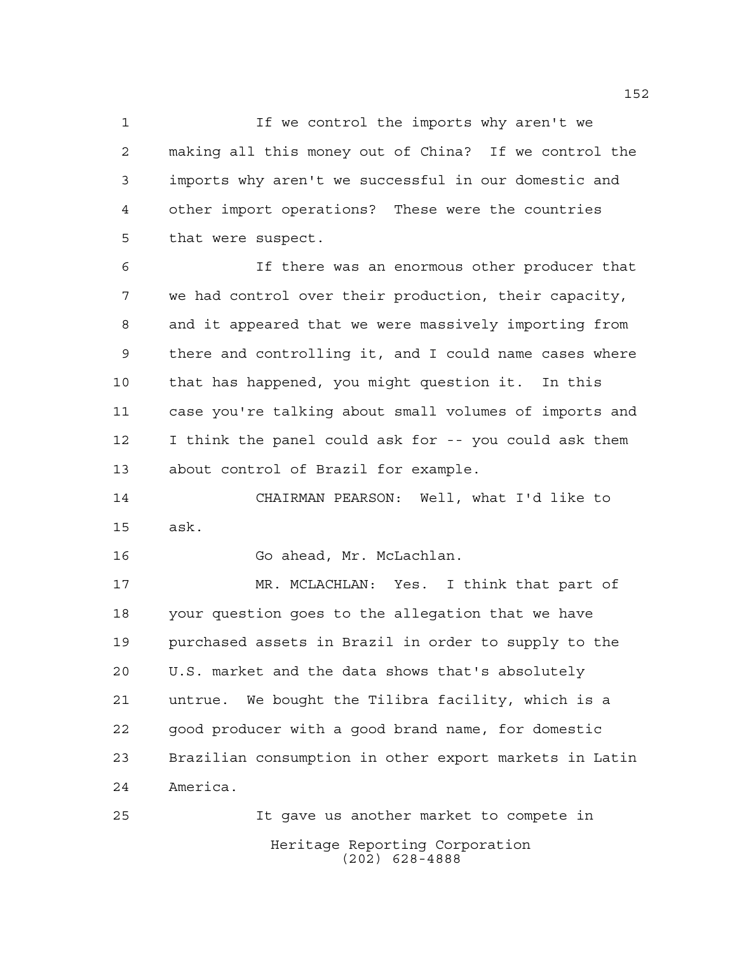If we control the imports why aren't we making all this money out of China? If we control the imports why aren't we successful in our domestic and other import operations? These were the countries that were suspect.

 If there was an enormous other producer that we had control over their production, their capacity, and it appeared that we were massively importing from there and controlling it, and I could name cases where that has happened, you might question it. In this case you're talking about small volumes of imports and I think the panel could ask for -- you could ask them about control of Brazil for example.

 CHAIRMAN PEARSON: Well, what I'd like to ask.

Go ahead, Mr. McLachlan.

 MR. MCLACHLAN: Yes. I think that part of your question goes to the allegation that we have purchased assets in Brazil in order to supply to the U.S. market and the data shows that's absolutely untrue. We bought the Tilibra facility, which is a good producer with a good brand name, for domestic Brazilian consumption in other export markets in Latin America.

Heritage Reporting Corporation (202) 628-4888 It gave us another market to compete in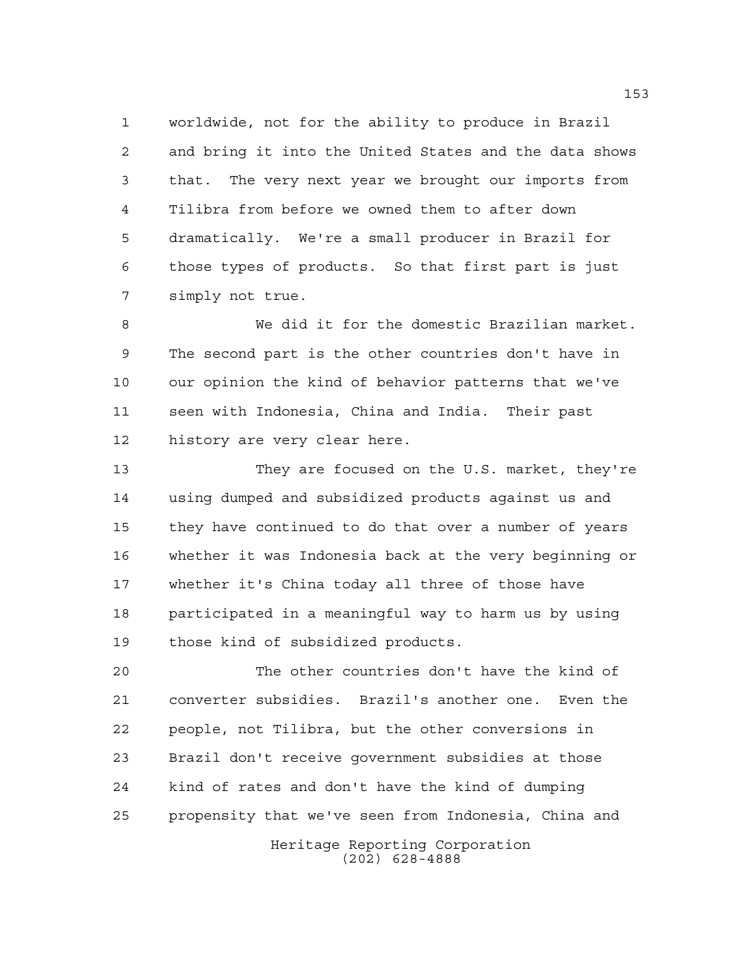worldwide, not for the ability to produce in Brazil and bring it into the United States and the data shows that. The very next year we brought our imports from Tilibra from before we owned them to after down dramatically. We're a small producer in Brazil for those types of products. So that first part is just simply not true.

 We did it for the domestic Brazilian market. The second part is the other countries don't have in our opinion the kind of behavior patterns that we've seen with Indonesia, China and India. Their past history are very clear here.

 They are focused on the U.S. market, they're using dumped and subsidized products against us and they have continued to do that over a number of years whether it was Indonesia back at the very beginning or whether it's China today all three of those have participated in a meaningful way to harm us by using those kind of subsidized products.

 The other countries don't have the kind of converter subsidies. Brazil's another one. Even the people, not Tilibra, but the other conversions in Brazil don't receive government subsidies at those kind of rates and don't have the kind of dumping propensity that we've seen from Indonesia, China and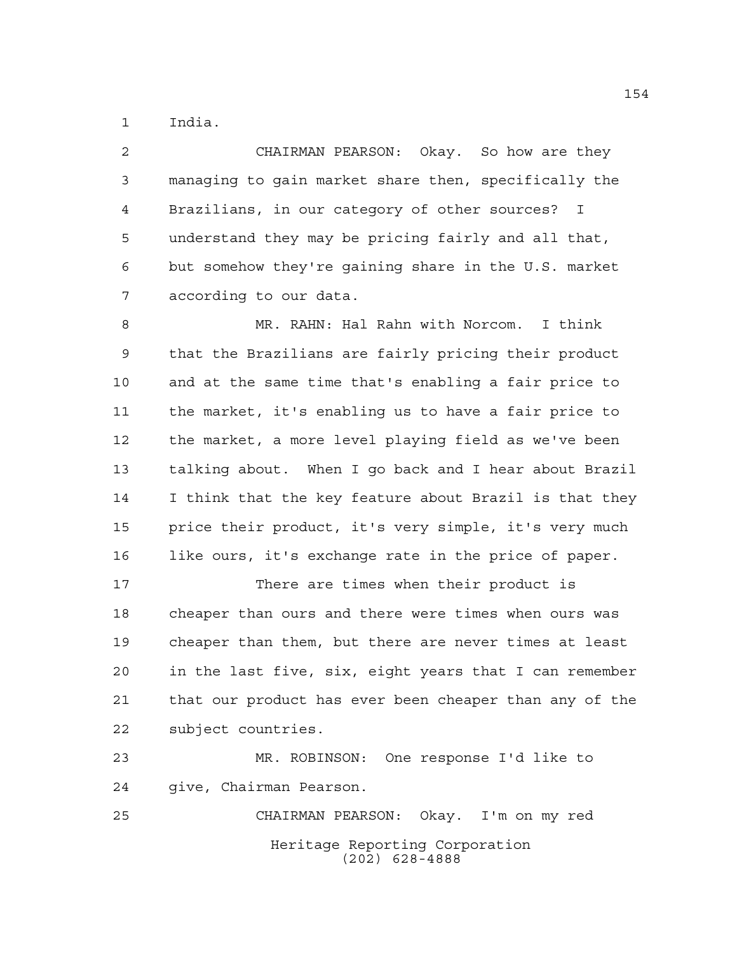India.

 CHAIRMAN PEARSON: Okay. So how are they managing to gain market share then, specifically the Brazilians, in our category of other sources? I understand they may be pricing fairly and all that, but somehow they're gaining share in the U.S. market according to our data.

 MR. RAHN: Hal Rahn with Norcom. I think that the Brazilians are fairly pricing their product and at the same time that's enabling a fair price to the market, it's enabling us to have a fair price to the market, a more level playing field as we've been talking about. When I go back and I hear about Brazil I think that the key feature about Brazil is that they price their product, it's very simple, it's very much like ours, it's exchange rate in the price of paper.

 There are times when their product is cheaper than ours and there were times when ours was cheaper than them, but there are never times at least in the last five, six, eight years that I can remember that our product has ever been cheaper than any of the subject countries.

 MR. ROBINSON: One response I'd like to give, Chairman Pearson. CHAIRMAN PEARSON: Okay. I'm on my red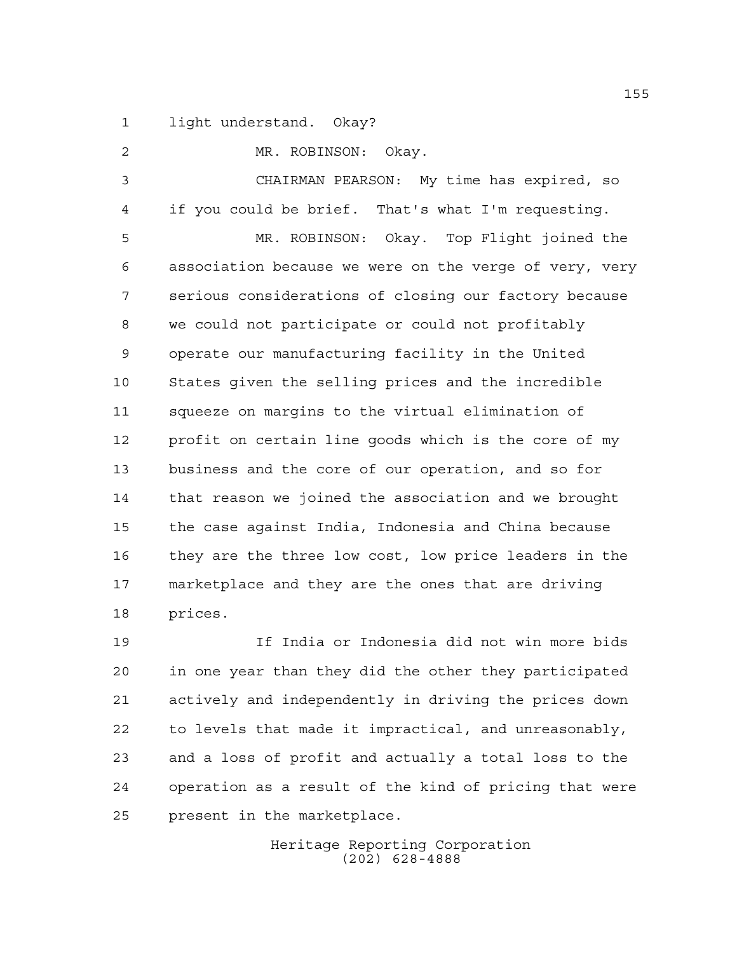light understand. Okay?

 MR. ROBINSON: Okay. CHAIRMAN PEARSON: My time has expired, so if you could be brief. That's what I'm requesting. MR. ROBINSON: Okay. Top Flight joined the association because we were on the verge of very, very serious considerations of closing our factory because we could not participate or could not profitably operate our manufacturing facility in the United States given the selling prices and the incredible squeeze on margins to the virtual elimination of profit on certain line goods which is the core of my business and the core of our operation, and so for that reason we joined the association and we brought the case against India, Indonesia and China because they are the three low cost, low price leaders in the

prices.

 If India or Indonesia did not win more bids in one year than they did the other they participated actively and independently in driving the prices down to levels that made it impractical, and unreasonably, and a loss of profit and actually a total loss to the operation as a result of the kind of pricing that were present in the marketplace.

marketplace and they are the ones that are driving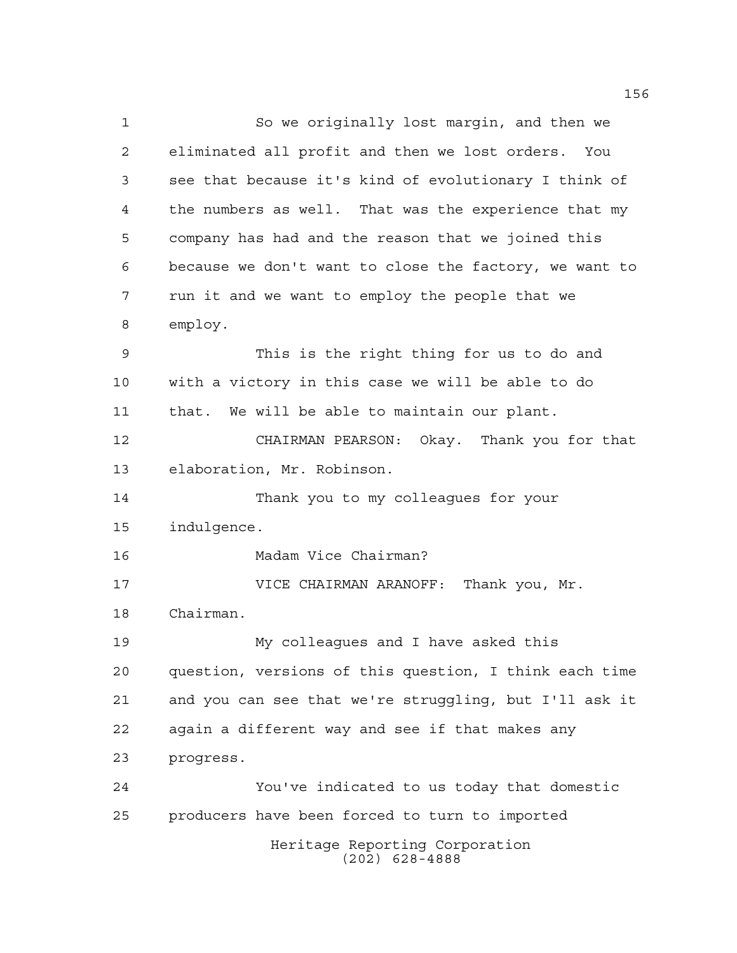Heritage Reporting Corporation (202) 628-4888 So we originally lost margin, and then we eliminated all profit and then we lost orders. You see that because it's kind of evolutionary I think of the numbers as well. That was the experience that my company has had and the reason that we joined this because we don't want to close the factory, we want to run it and we want to employ the people that we employ. This is the right thing for us to do and with a victory in this case we will be able to do that. We will be able to maintain our plant. CHAIRMAN PEARSON: Okay. Thank you for that elaboration, Mr. Robinson. Thank you to my colleagues for your indulgence. Madam Vice Chairman? VICE CHAIRMAN ARANOFF: Thank you, Mr. Chairman. My colleagues and I have asked this question, versions of this question, I think each time and you can see that we're struggling, but I'll ask it again a different way and see if that makes any progress. You've indicated to us today that domestic producers have been forced to turn to imported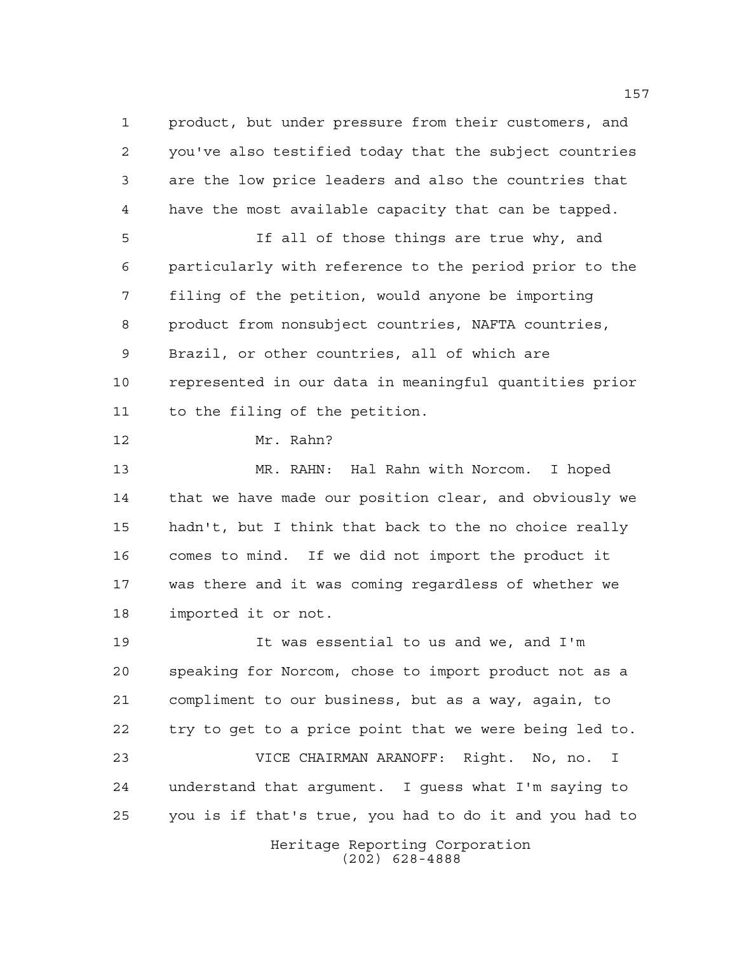product, but under pressure from their customers, and you've also testified today that the subject countries are the low price leaders and also the countries that have the most available capacity that can be tapped. If all of those things are true why, and

 particularly with reference to the period prior to the filing of the petition, would anyone be importing product from nonsubject countries, NAFTA countries, Brazil, or other countries, all of which are represented in our data in meaningful quantities prior to the filing of the petition.

Mr. Rahn?

 MR. RAHN: Hal Rahn with Norcom. I hoped that we have made our position clear, and obviously we hadn't, but I think that back to the no choice really comes to mind. If we did not import the product it was there and it was coming regardless of whether we imported it or not.

 It was essential to us and we, and I'm speaking for Norcom, chose to import product not as a compliment to our business, but as a way, again, to try to get to a price point that we were being led to. VICE CHAIRMAN ARANOFF: Right. No, no. I understand that argument. I guess what I'm saying to you is if that's true, you had to do it and you had to

> Heritage Reporting Corporation (202) 628-4888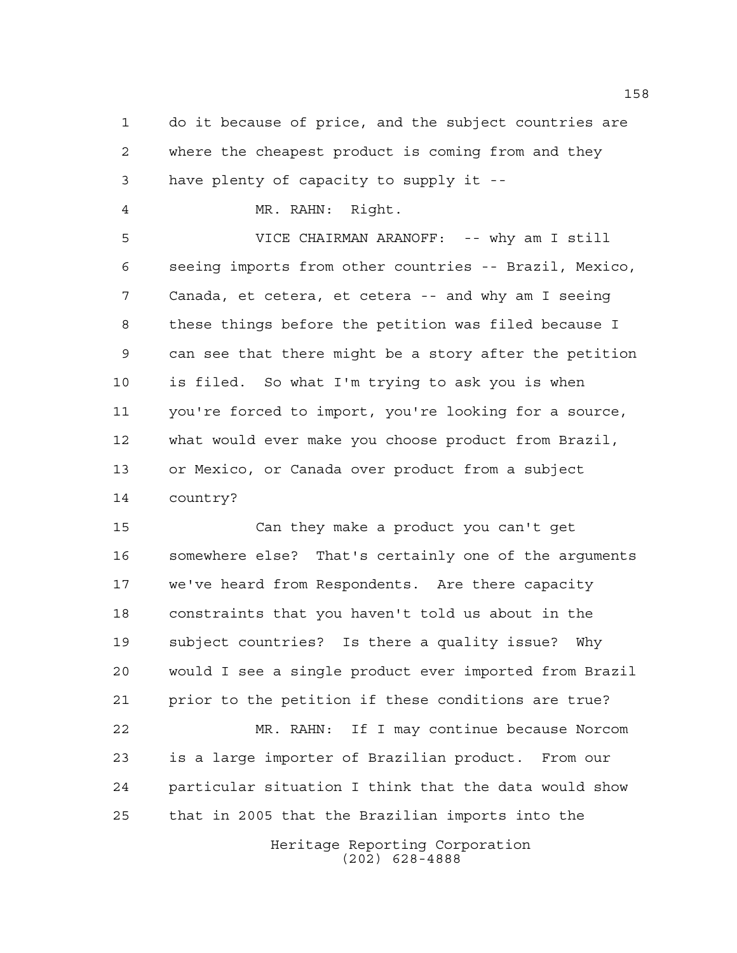do it because of price, and the subject countries are where the cheapest product is coming from and they have plenty of capacity to supply it --

MR. RAHN: Right.

 VICE CHAIRMAN ARANOFF: -- why am I still seeing imports from other countries -- Brazil, Mexico, Canada, et cetera, et cetera -- and why am I seeing these things before the petition was filed because I can see that there might be a story after the petition is filed. So what I'm trying to ask you is when you're forced to import, you're looking for a source, what would ever make you choose product from Brazil, or Mexico, or Canada over product from a subject country?

 Can they make a product you can't get somewhere else? That's certainly one of the arguments we've heard from Respondents. Are there capacity constraints that you haven't told us about in the subject countries? Is there a quality issue? Why would I see a single product ever imported from Brazil prior to the petition if these conditions are true? MR. RAHN: If I may continue because Norcom is a large importer of Brazilian product. From our particular situation I think that the data would show that in 2005 that the Brazilian imports into the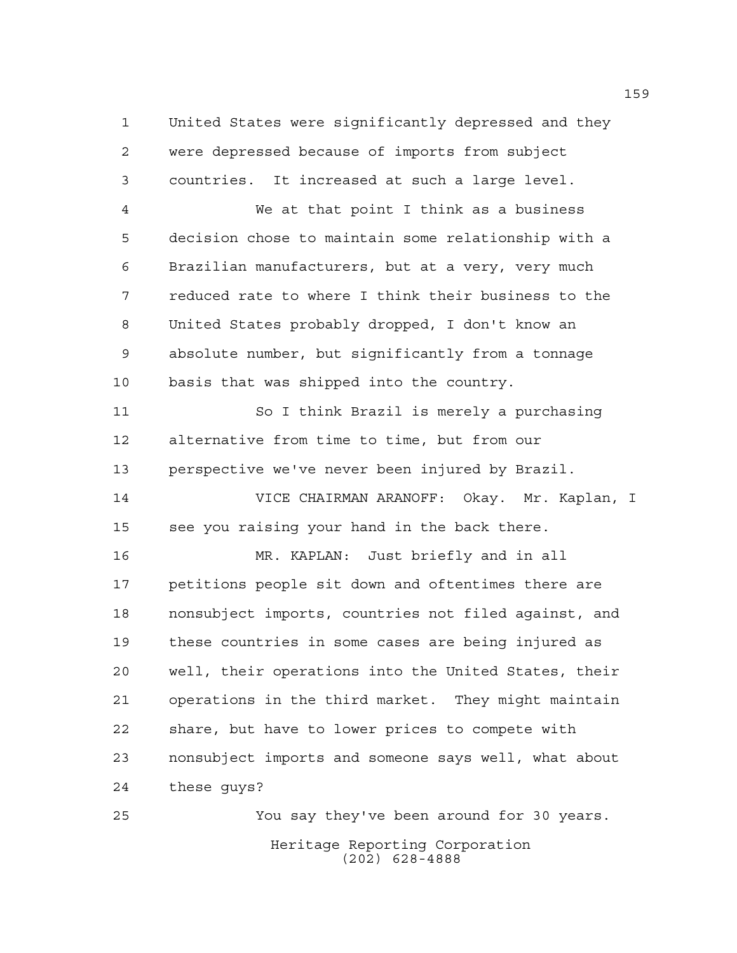United States were significantly depressed and they were depressed because of imports from subject countries. It increased at such a large level.

 We at that point I think as a business decision chose to maintain some relationship with a Brazilian manufacturers, but at a very, very much reduced rate to where I think their business to the United States probably dropped, I don't know an absolute number, but significantly from a tonnage basis that was shipped into the country.

 So I think Brazil is merely a purchasing alternative from time to time, but from our perspective we've never been injured by Brazil.

 VICE CHAIRMAN ARANOFF: Okay. Mr. Kaplan, I see you raising your hand in the back there.

 MR. KAPLAN: Just briefly and in all petitions people sit down and oftentimes there are nonsubject imports, countries not filed against, and these countries in some cases are being injured as well, their operations into the United States, their operations in the third market. They might maintain share, but have to lower prices to compete with nonsubject imports and someone says well, what about these guys?

Heritage Reporting Corporation (202) 628-4888 You say they've been around for 30 years.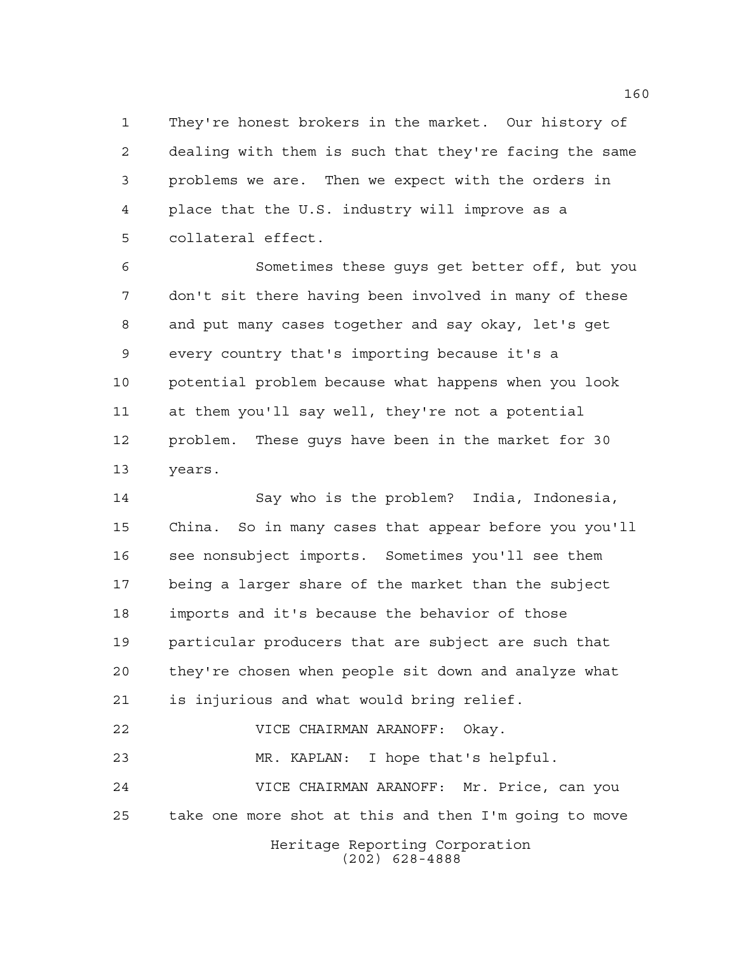They're honest brokers in the market. Our history of dealing with them is such that they're facing the same problems we are. Then we expect with the orders in place that the U.S. industry will improve as a collateral effect.

 Sometimes these guys get better off, but you don't sit there having been involved in many of these and put many cases together and say okay, let's get every country that's importing because it's a potential problem because what happens when you look at them you'll say well, they're not a potential problem. These guys have been in the market for 30 years.

 Say who is the problem? India, Indonesia, China. So in many cases that appear before you you'll see nonsubject imports. Sometimes you'll see them being a larger share of the market than the subject imports and it's because the behavior of those particular producers that are subject are such that they're chosen when people sit down and analyze what is injurious and what would bring relief. VICE CHAIRMAN ARANOFF: Okay.

Heritage Reporting Corporation (202) 628-4888 VICE CHAIRMAN ARANOFF: Mr. Price, can you take one more shot at this and then I'm going to move

MR. KAPLAN: I hope that's helpful.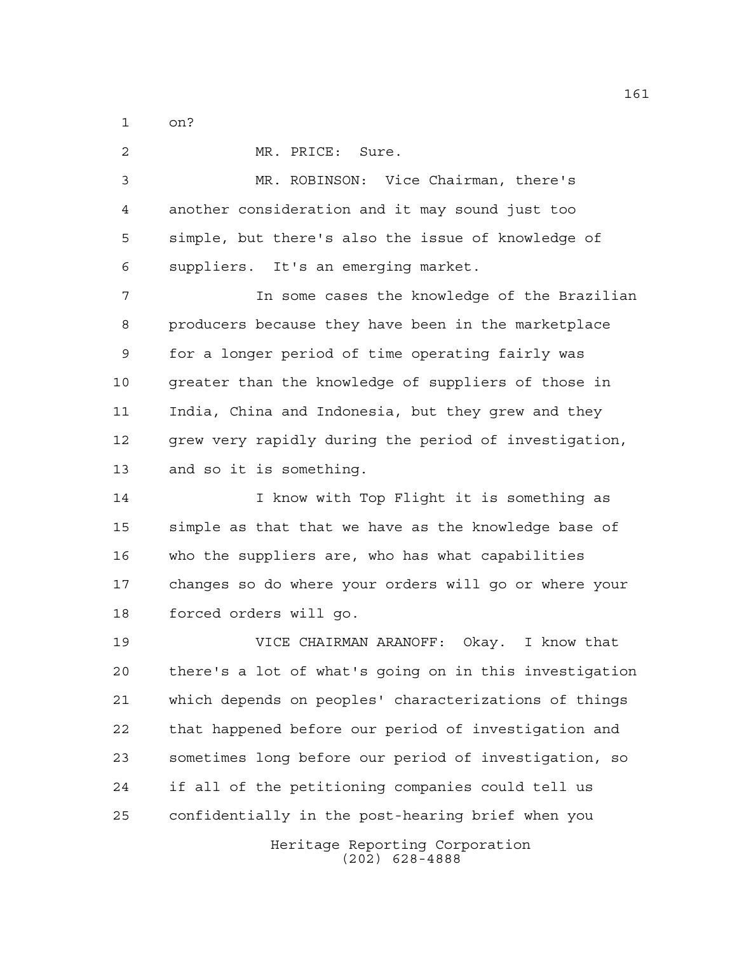on?

Heritage Reporting Corporation (202) 628-4888 MR. PRICE: Sure. MR. ROBINSON: Vice Chairman, there's another consideration and it may sound just too simple, but there's also the issue of knowledge of suppliers. It's an emerging market. In some cases the knowledge of the Brazilian producers because they have been in the marketplace for a longer period of time operating fairly was greater than the knowledge of suppliers of those in India, China and Indonesia, but they grew and they grew very rapidly during the period of investigation, and so it is something. 14 I know with Top Flight it is something as simple as that that we have as the knowledge base of who the suppliers are, who has what capabilities changes so do where your orders will go or where your forced orders will go. VICE CHAIRMAN ARANOFF: Okay. I know that there's a lot of what's going on in this investigation which depends on peoples' characterizations of things that happened before our period of investigation and sometimes long before our period of investigation, so if all of the petitioning companies could tell us confidentially in the post-hearing brief when you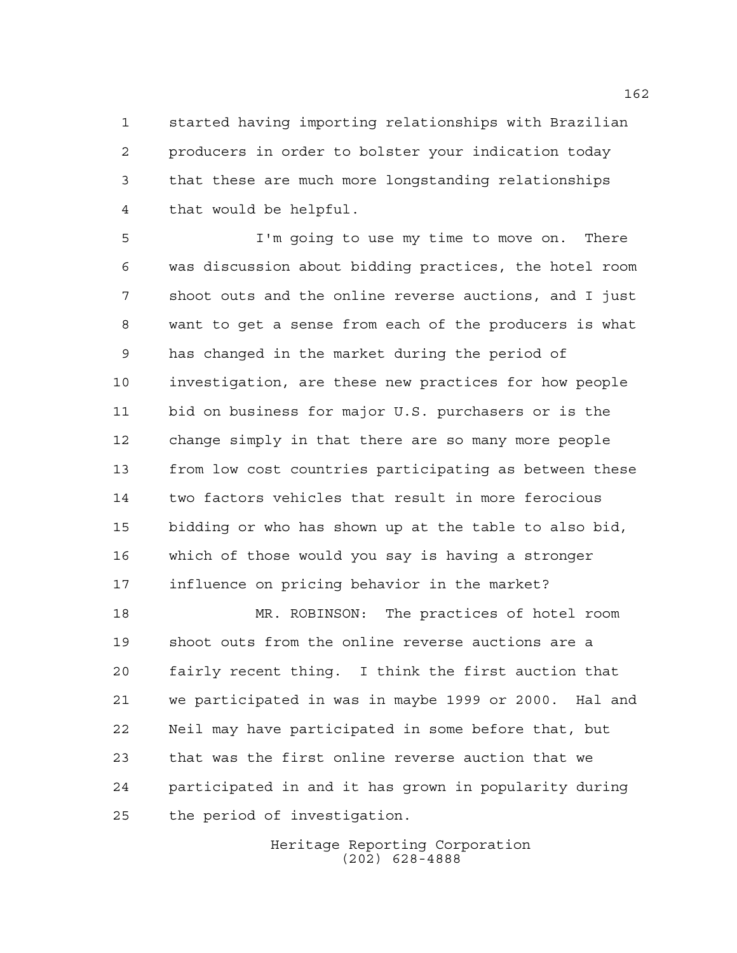started having importing relationships with Brazilian producers in order to bolster your indication today that these are much more longstanding relationships that would be helpful.

 I'm going to use my time to move on. There was discussion about bidding practices, the hotel room shoot outs and the online reverse auctions, and I just want to get a sense from each of the producers is what has changed in the market during the period of investigation, are these new practices for how people bid on business for major U.S. purchasers or is the change simply in that there are so many more people from low cost countries participating as between these two factors vehicles that result in more ferocious bidding or who has shown up at the table to also bid, which of those would you say is having a stronger influence on pricing behavior in the market?

 MR. ROBINSON: The practices of hotel room shoot outs from the online reverse auctions are a fairly recent thing. I think the first auction that we participated in was in maybe 1999 or 2000. Hal and Neil may have participated in some before that, but that was the first online reverse auction that we participated in and it has grown in popularity during the period of investigation.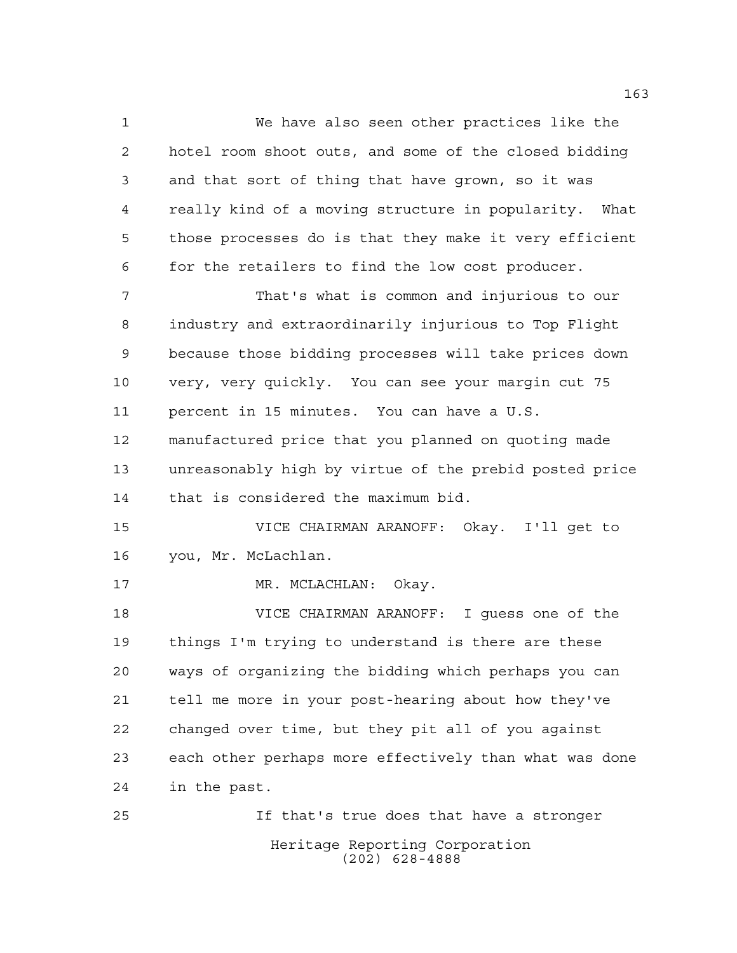We have also seen other practices like the hotel room shoot outs, and some of the closed bidding and that sort of thing that have grown, so it was really kind of a moving structure in popularity. What those processes do is that they make it very efficient for the retailers to find the low cost producer. That's what is common and injurious to our industry and extraordinarily injurious to Top Flight because those bidding processes will take prices down very, very quickly. You can see your margin cut 75 percent in 15 minutes. You can have a U.S. manufactured price that you planned on quoting made unreasonably high by virtue of the prebid posted price

that is considered the maximum bid.

 VICE CHAIRMAN ARANOFF: Okay. I'll get to you, Mr. McLachlan.

17 MR. MCLACHLAN: Okay.

 VICE CHAIRMAN ARANOFF: I guess one of the things I'm trying to understand is there are these ways of organizing the bidding which perhaps you can tell me more in your post-hearing about how they've changed over time, but they pit all of you against each other perhaps more effectively than what was done in the past.

Heritage Reporting Corporation (202) 628-4888 If that's true does that have a stronger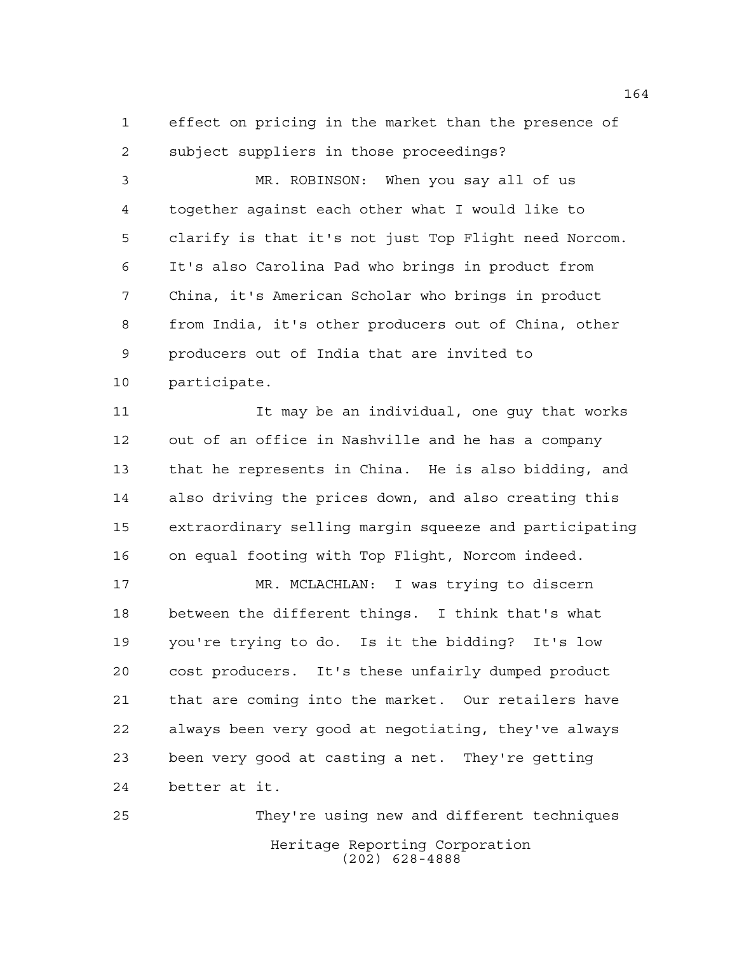effect on pricing in the market than the presence of subject suppliers in those proceedings?

 MR. ROBINSON: When you say all of us together against each other what I would like to clarify is that it's not just Top Flight need Norcom. It's also Carolina Pad who brings in product from China, it's American Scholar who brings in product from India, it's other producers out of China, other producers out of India that are invited to participate.

 It may be an individual, one guy that works out of an office in Nashville and he has a company that he represents in China. He is also bidding, and also driving the prices down, and also creating this extraordinary selling margin squeeze and participating on equal footing with Top Flight, Norcom indeed.

 MR. MCLACHLAN: I was trying to discern between the different things. I think that's what you're trying to do. Is it the bidding? It's low cost producers. It's these unfairly dumped product that are coming into the market. Our retailers have always been very good at negotiating, they've always been very good at casting a net. They're getting better at it.

Heritage Reporting Corporation (202) 628-4888 They're using new and different techniques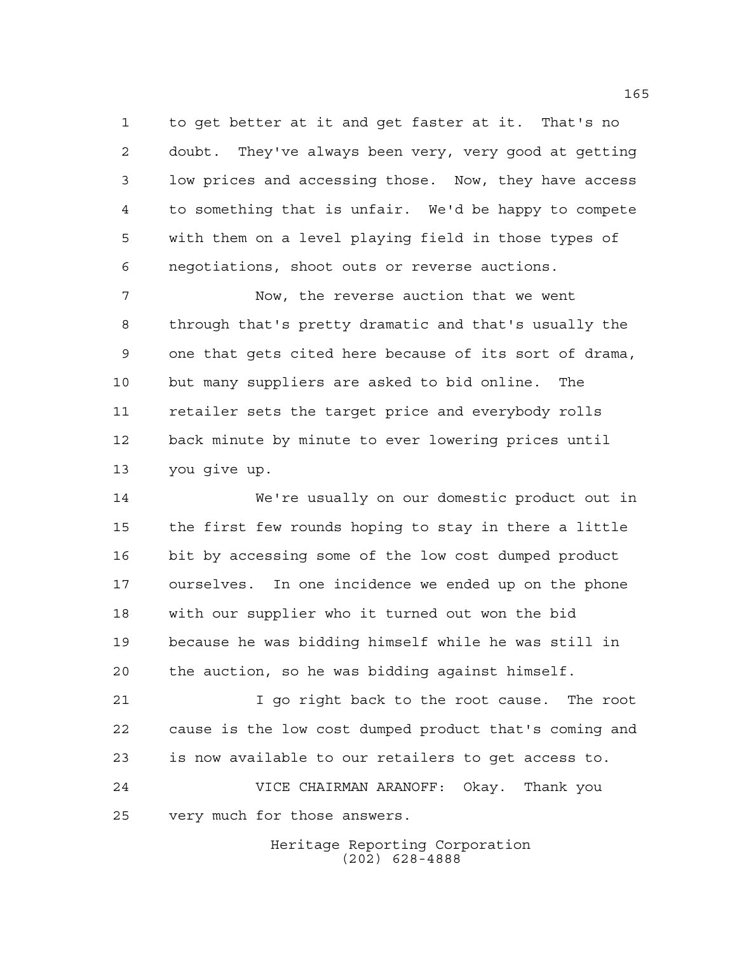to get better at it and get faster at it. That's no doubt. They've always been very, very good at getting low prices and accessing those. Now, they have access to something that is unfair. We'd be happy to compete with them on a level playing field in those types of negotiations, shoot outs or reverse auctions.

 Now, the reverse auction that we went through that's pretty dramatic and that's usually the one that gets cited here because of its sort of drama, but many suppliers are asked to bid online. The retailer sets the target price and everybody rolls back minute by minute to ever lowering prices until you give up.

 We're usually on our domestic product out in the first few rounds hoping to stay in there a little bit by accessing some of the low cost dumped product ourselves. In one incidence we ended up on the phone with our supplier who it turned out won the bid because he was bidding himself while he was still in the auction, so he was bidding against himself.

 I go right back to the root cause. The root cause is the low cost dumped product that's coming and is now available to our retailers to get access to.

 VICE CHAIRMAN ARANOFF: Okay. Thank you very much for those answers.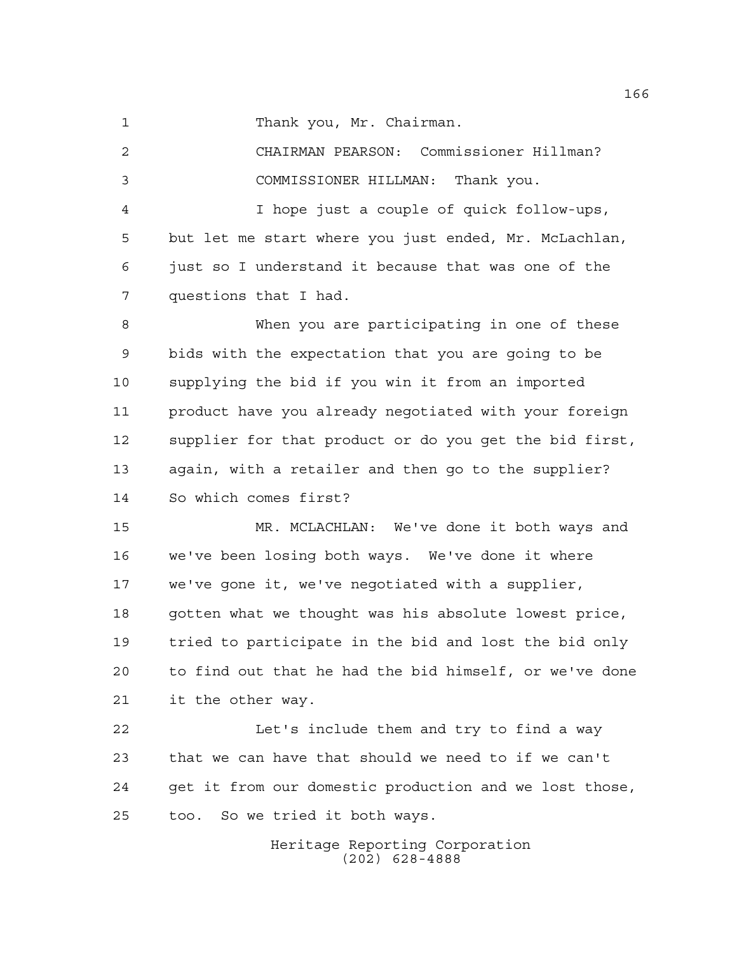1 Thank you, Mr. Chairman.

 CHAIRMAN PEARSON: Commissioner Hillman? COMMISSIONER HILLMAN: Thank you. I hope just a couple of quick follow-ups, but let me start where you just ended, Mr. McLachlan, just so I understand it because that was one of the questions that I had. When you are participating in one of these bids with the expectation that you are going to be supplying the bid if you win it from an imported product have you already negotiated with your foreign supplier for that product or do you get the bid first, again, with a retailer and then go to the supplier? So which comes first? MR. MCLACHLAN: We've done it both ways and we've been losing both ways. We've done it where we've gone it, we've negotiated with a supplier, gotten what we thought was his absolute lowest price, tried to participate in the bid and lost the bid only to find out that he had the bid himself, or we've done it the other way.

 Let's include them and try to find a way that we can have that should we need to if we can't get it from our domestic production and we lost those, too. So we tried it both ways.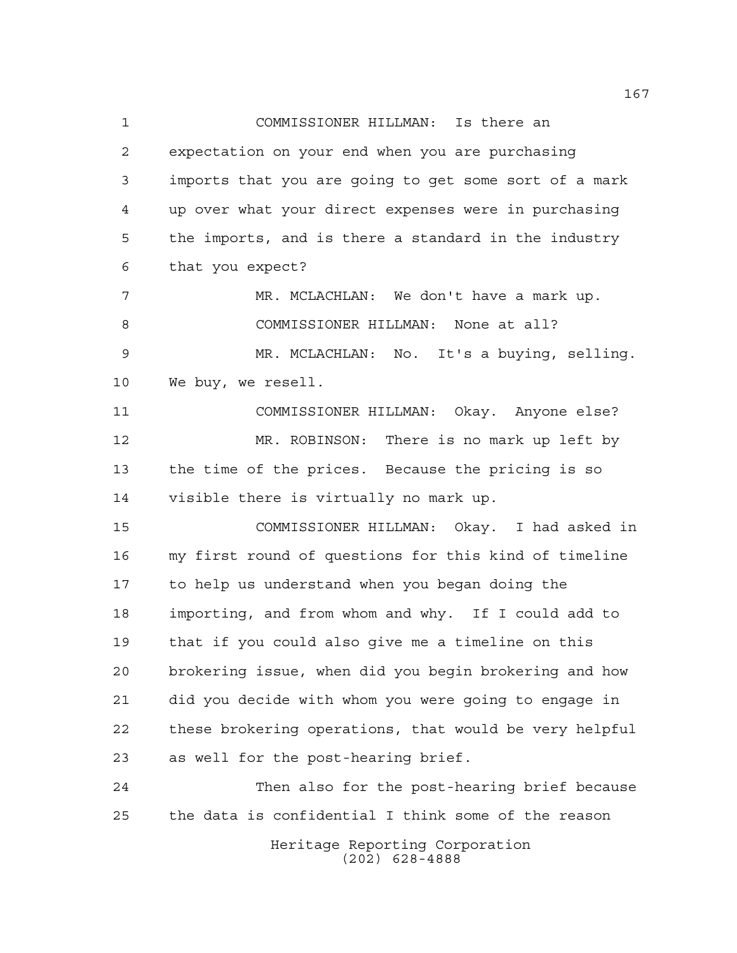COMMISSIONER HILLMAN: Is there an expectation on your end when you are purchasing imports that you are going to get some sort of a mark up over what your direct expenses were in purchasing the imports, and is there a standard in the industry that you expect? MR. MCLACHLAN: We don't have a mark up. COMMISSIONER HILLMAN: None at all? MR. MCLACHLAN: No. It's a buying, selling. We buy, we resell. COMMISSIONER HILLMAN: Okay. Anyone else? MR. ROBINSON: There is no mark up left by the time of the prices. Because the pricing is so visible there is virtually no mark up. COMMISSIONER HILLMAN: Okay. I had asked in my first round of questions for this kind of timeline to help us understand when you began doing the importing, and from whom and why. If I could add to that if you could also give me a timeline on this brokering issue, when did you begin brokering and how did you decide with whom you were going to engage in these brokering operations, that would be very helpful as well for the post-hearing brief. Then also for the post-hearing brief because the data is confidential I think some of the reason

> Heritage Reporting Corporation (202) 628-4888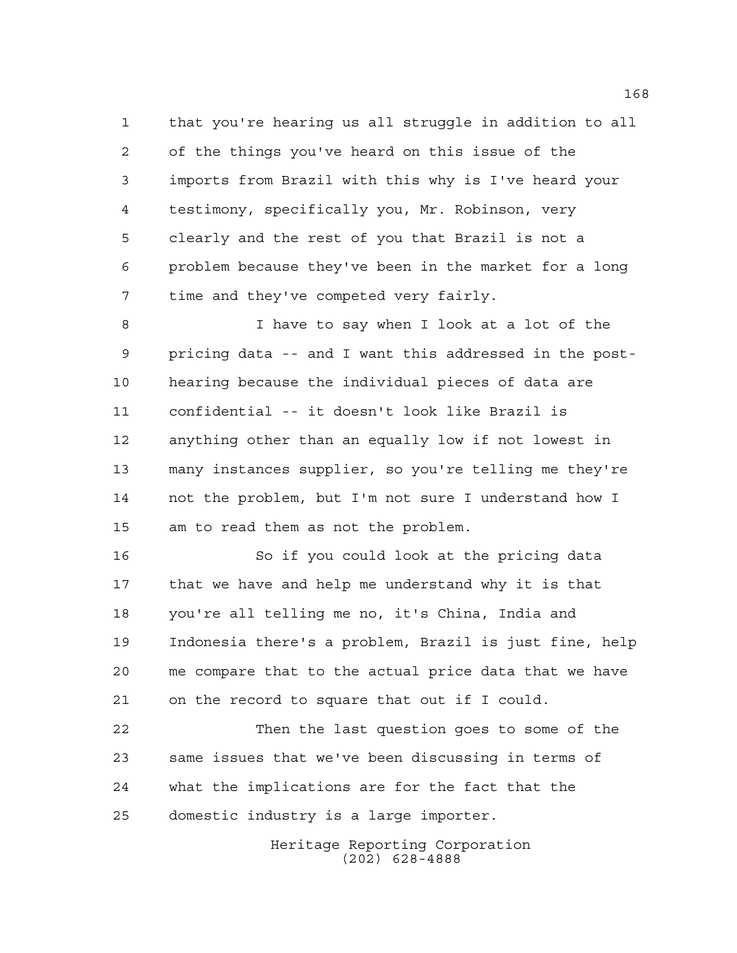that you're hearing us all struggle in addition to all of the things you've heard on this issue of the imports from Brazil with this why is I've heard your testimony, specifically you, Mr. Robinson, very clearly and the rest of you that Brazil is not a problem because they've been in the market for a long time and they've competed very fairly.

 I have to say when I look at a lot of the pricing data -- and I want this addressed in the post- hearing because the individual pieces of data are confidential -- it doesn't look like Brazil is anything other than an equally low if not lowest in many instances supplier, so you're telling me they're not the problem, but I'm not sure I understand how I am to read them as not the problem.

 So if you could look at the pricing data that we have and help me understand why it is that you're all telling me no, it's China, India and Indonesia there's a problem, Brazil is just fine, help me compare that to the actual price data that we have on the record to square that out if I could.

 Then the last question goes to some of the same issues that we've been discussing in terms of what the implications are for the fact that the domestic industry is a large importer.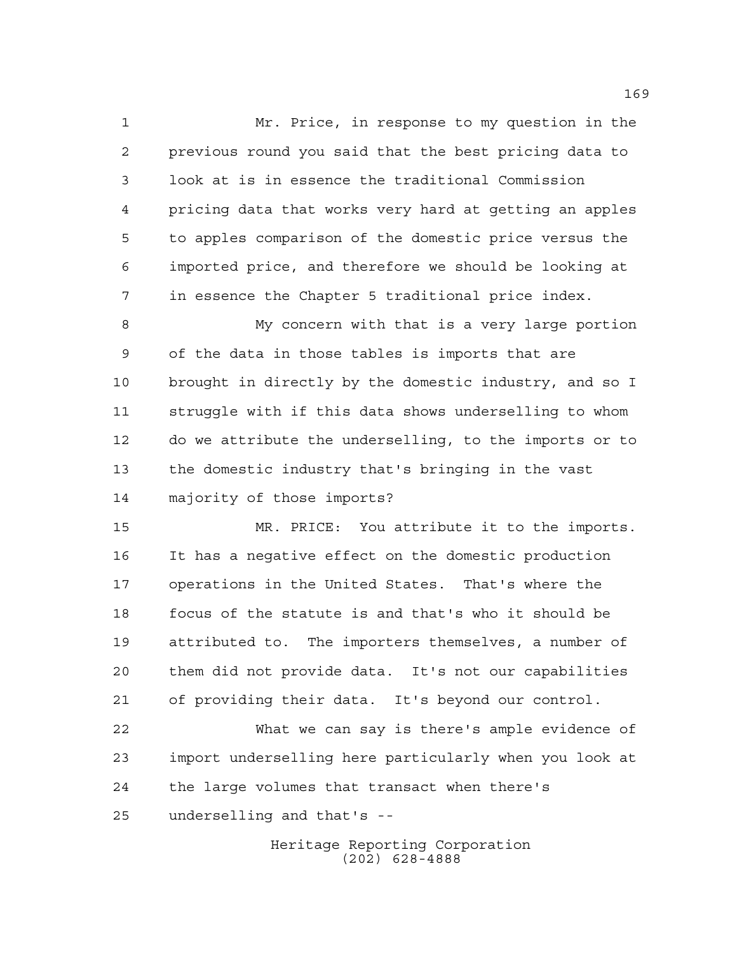Mr. Price, in response to my question in the previous round you said that the best pricing data to look at is in essence the traditional Commission pricing data that works very hard at getting an apples to apples comparison of the domestic price versus the imported price, and therefore we should be looking at in essence the Chapter 5 traditional price index.

 My concern with that is a very large portion of the data in those tables is imports that are brought in directly by the domestic industry, and so I struggle with if this data shows underselling to whom do we attribute the underselling, to the imports or to the domestic industry that's bringing in the vast majority of those imports?

 MR. PRICE: You attribute it to the imports. It has a negative effect on the domestic production operations in the United States. That's where the focus of the statute is and that's who it should be attributed to. The importers themselves, a number of them did not provide data. It's not our capabilities of providing their data. It's beyond our control.

 What we can say is there's ample evidence of import underselling here particularly when you look at the large volumes that transact when there's underselling and that's --

> Heritage Reporting Corporation (202) 628-4888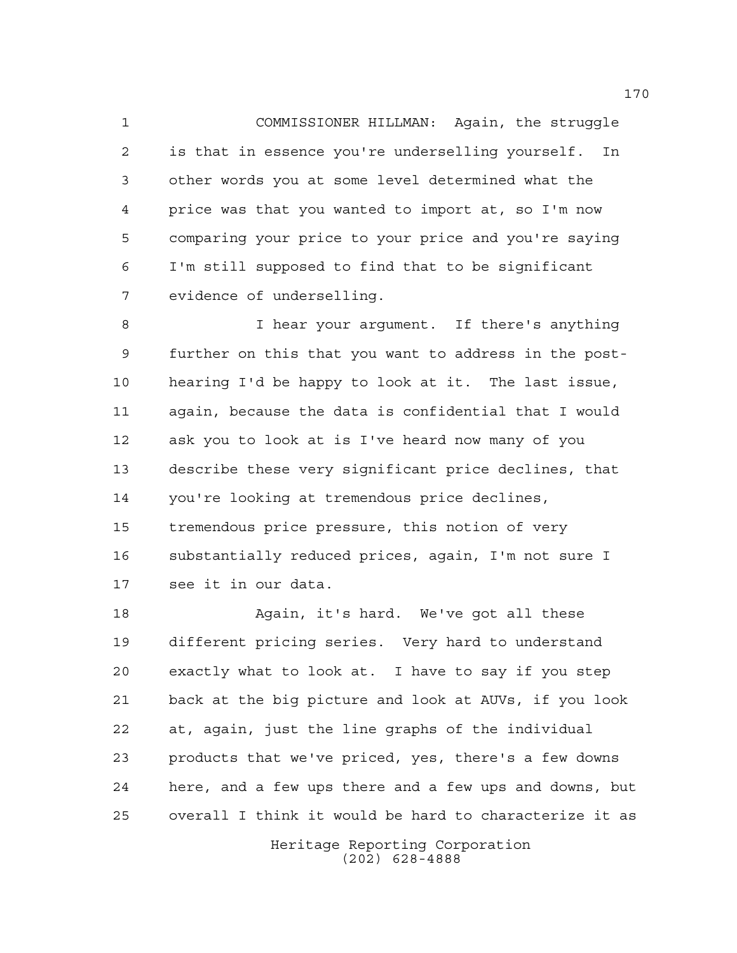COMMISSIONER HILLMAN: Again, the struggle is that in essence you're underselling yourself. In other words you at some level determined what the price was that you wanted to import at, so I'm now comparing your price to your price and you're saying I'm still supposed to find that to be significant evidence of underselling.

 I hear your argument. If there's anything further on this that you want to address in the post- hearing I'd be happy to look at it. The last issue, again, because the data is confidential that I would ask you to look at is I've heard now many of you describe these very significant price declines, that you're looking at tremendous price declines, tremendous price pressure, this notion of very substantially reduced prices, again, I'm not sure I see it in our data.

 Again, it's hard. We've got all these different pricing series. Very hard to understand exactly what to look at. I have to say if you step back at the big picture and look at AUVs, if you look at, again, just the line graphs of the individual products that we've priced, yes, there's a few downs here, and a few ups there and a few ups and downs, but overall I think it would be hard to characterize it as

> Heritage Reporting Corporation (202) 628-4888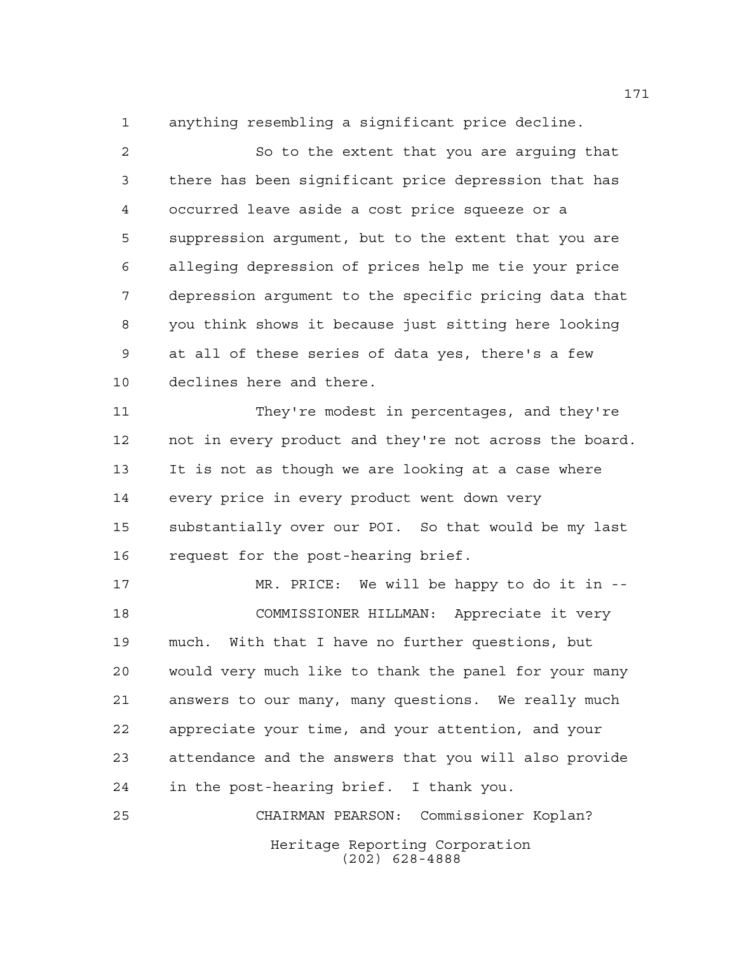anything resembling a significant price decline.

 So to the extent that you are arguing that there has been significant price depression that has occurred leave aside a cost price squeeze or a suppression argument, but to the extent that you are alleging depression of prices help me tie your price depression argument to the specific pricing data that you think shows it because just sitting here looking at all of these series of data yes, there's a few declines here and there.

 They're modest in percentages, and they're not in every product and they're not across the board. It is not as though we are looking at a case where every price in every product went down very substantially over our POI. So that would be my last request for the post-hearing brief.

 MR. PRICE: We will be happy to do it in -- COMMISSIONER HILLMAN: Appreciate it very much. With that I have no further questions, but would very much like to thank the panel for your many answers to our many, many questions. We really much appreciate your time, and your attention, and your attendance and the answers that you will also provide in the post-hearing brief. I thank you.

Heritage Reporting Corporation (202) 628-4888 CHAIRMAN PEARSON: Commissioner Koplan?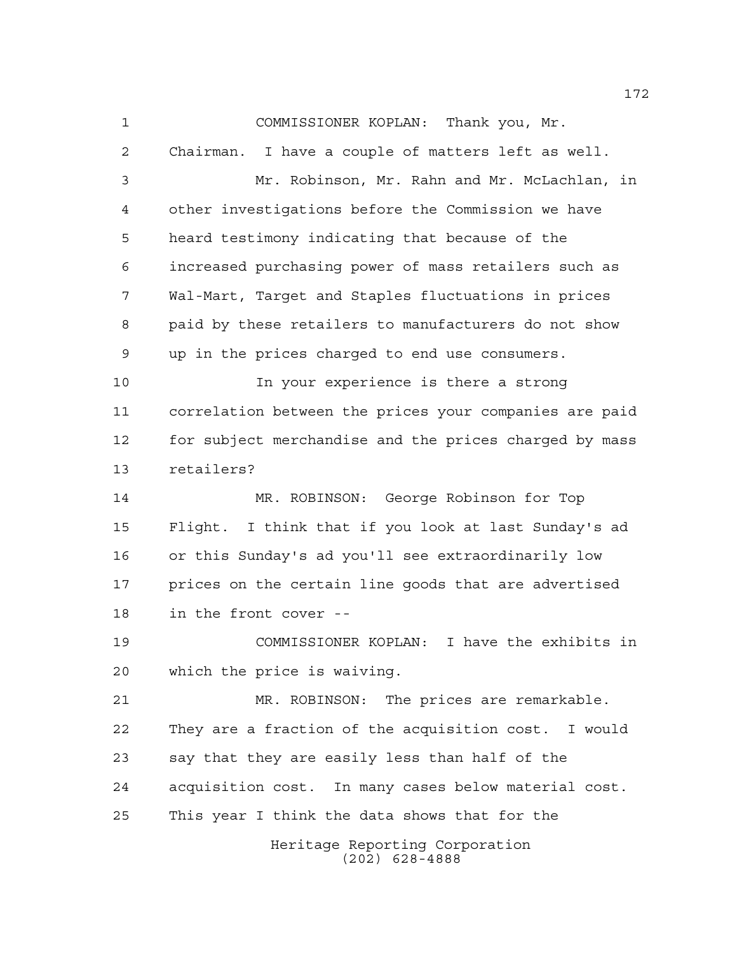COMMISSIONER KOPLAN: Thank you, Mr.

 Chairman. I have a couple of matters left as well. Mr. Robinson, Mr. Rahn and Mr. McLachlan, in other investigations before the Commission we have heard testimony indicating that because of the increased purchasing power of mass retailers such as Wal-Mart, Target and Staples fluctuations in prices paid by these retailers to manufacturers do not show up in the prices charged to end use consumers.

 In your experience is there a strong correlation between the prices your companies are paid for subject merchandise and the prices charged by mass retailers?

 MR. ROBINSON: George Robinson for Top Flight. I think that if you look at last Sunday's ad or this Sunday's ad you'll see extraordinarily low prices on the certain line goods that are advertised in the front cover --

 COMMISSIONER KOPLAN: I have the exhibits in which the price is waiving.

 MR. ROBINSON: The prices are remarkable. They are a fraction of the acquisition cost. I would say that they are easily less than half of the acquisition cost. In many cases below material cost. This year I think the data shows that for the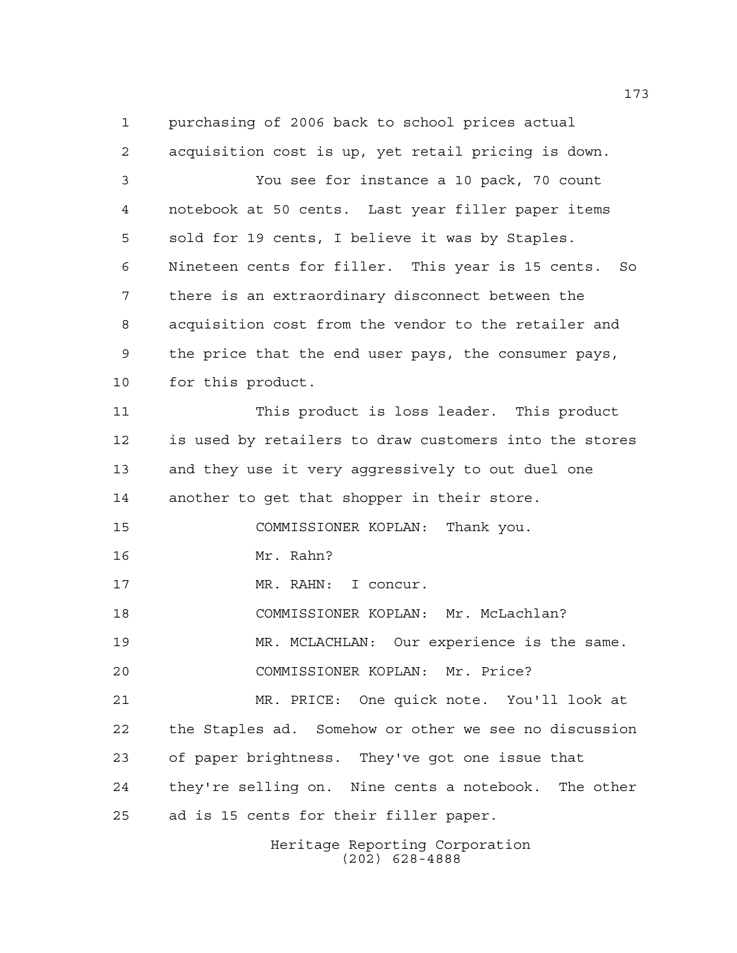purchasing of 2006 back to school prices actual acquisition cost is up, yet retail pricing is down. You see for instance a 10 pack, 70 count notebook at 50 cents. Last year filler paper items sold for 19 cents, I believe it was by Staples. Nineteen cents for filler. This year is 15 cents. So there is an extraordinary disconnect between the acquisition cost from the vendor to the retailer and the price that the end user pays, the consumer pays, for this product. This product is loss leader. This product is used by retailers to draw customers into the stores and they use it very aggressively to out duel one another to get that shopper in their store. COMMISSIONER KOPLAN: Thank you. Mr. Rahn? MR. RAHN: I concur. COMMISSIONER KOPLAN: Mr. McLachlan? MR. MCLACHLAN: Our experience is the same. COMMISSIONER KOPLAN: Mr. Price? MR. PRICE: One quick note. You'll look at the Staples ad. Somehow or other we see no discussion of paper brightness. They've got one issue that they're selling on. Nine cents a notebook. The other ad is 15 cents for their filler paper.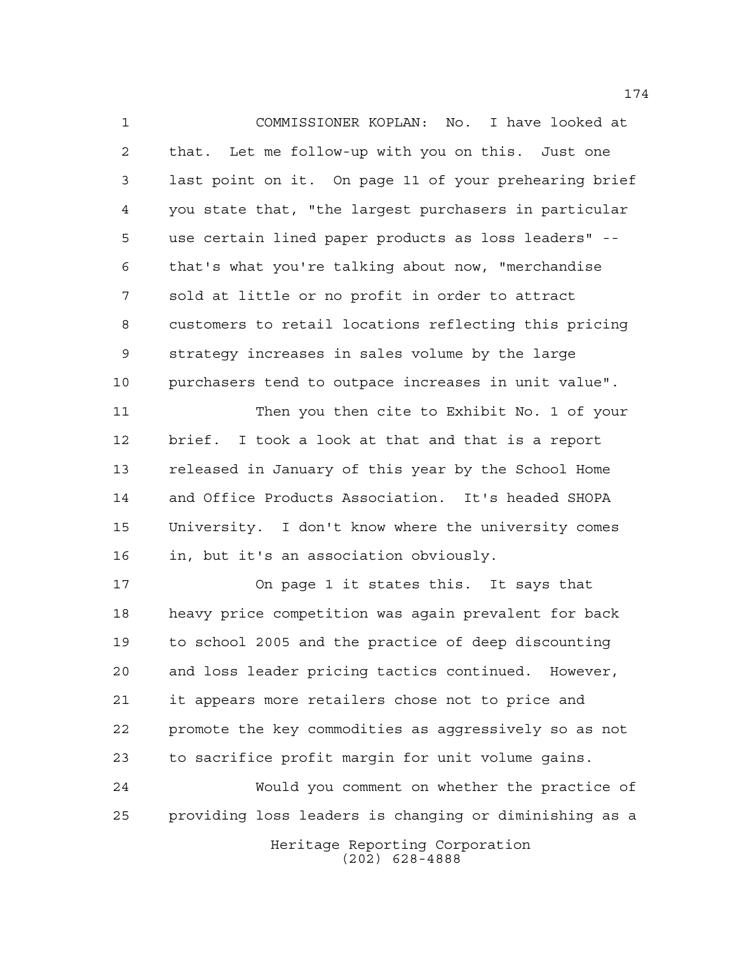COMMISSIONER KOPLAN: No. I have looked at that. Let me follow-up with you on this. Just one last point on it. On page 11 of your prehearing brief you state that, "the largest purchasers in particular use certain lined paper products as loss leaders" -- that's what you're talking about now, "merchandise sold at little or no profit in order to attract customers to retail locations reflecting this pricing strategy increases in sales volume by the large purchasers tend to outpace increases in unit value". Then you then cite to Exhibit No. 1 of your brief. I took a look at that and that is a report released in January of this year by the School Home and Office Products Association. It's headed SHOPA University. I don't know where the university comes in, but it's an association obviously. On page 1 it states this. It says that

 heavy price competition was again prevalent for back to school 2005 and the practice of deep discounting and loss leader pricing tactics continued. However, it appears more retailers chose not to price and promote the key commodities as aggressively so as not to sacrifice profit margin for unit volume gains.

 Would you comment on whether the practice of providing loss leaders is changing or diminishing as a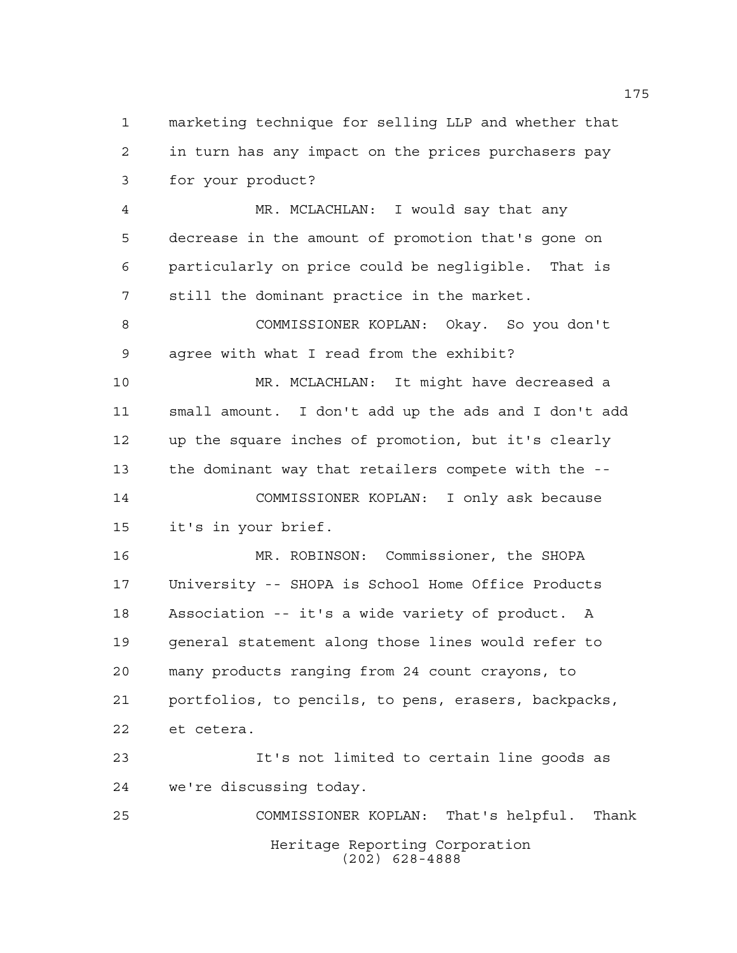marketing technique for selling LLP and whether that in turn has any impact on the prices purchasers pay for your product?

 MR. MCLACHLAN: I would say that any decrease in the amount of promotion that's gone on particularly on price could be negligible. That is still the dominant practice in the market.

 COMMISSIONER KOPLAN: Okay. So you don't agree with what I read from the exhibit?

 MR. MCLACHLAN: It might have decreased a small amount. I don't add up the ads and I don't add up the square inches of promotion, but it's clearly the dominant way that retailers compete with the -- COMMISSIONER KOPLAN: I only ask because

it's in your brief.

 MR. ROBINSON: Commissioner, the SHOPA University -- SHOPA is School Home Office Products Association -- it's a wide variety of product. A general statement along those lines would refer to many products ranging from 24 count crayons, to portfolios, to pencils, to pens, erasers, backpacks, et cetera.

 It's not limited to certain line goods as we're discussing today.

Heritage Reporting Corporation (202) 628-4888 COMMISSIONER KOPLAN: That's helpful. Thank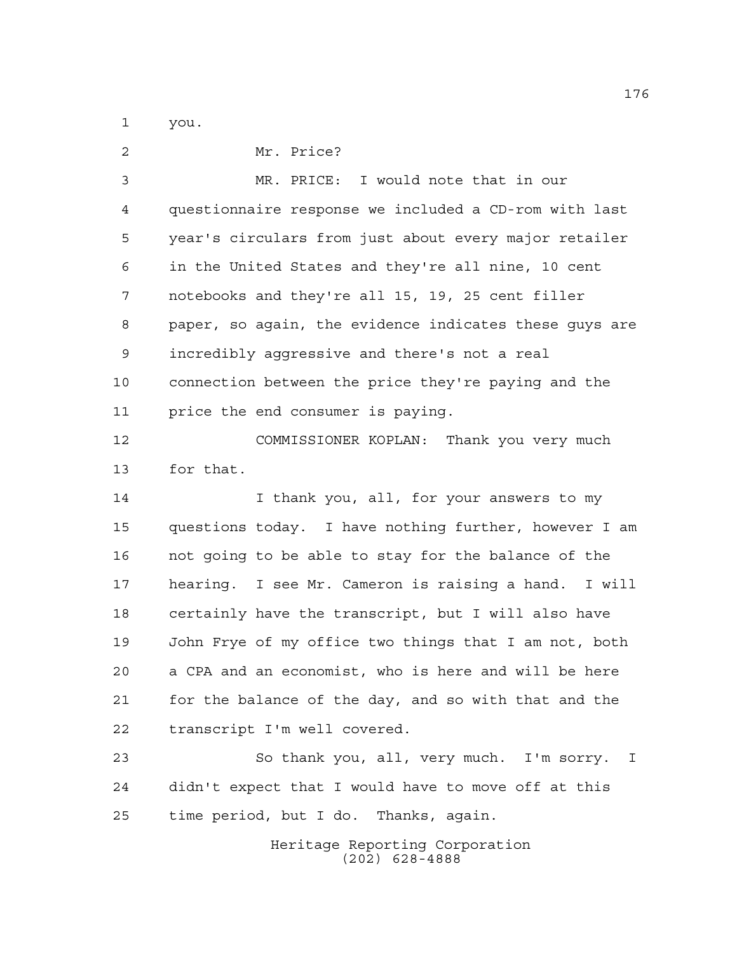you.

| 2           | Mr. Price?                                             |
|-------------|--------------------------------------------------------|
| 3           | MR. PRICE: I would note that in our                    |
| 4           | questionnaire response we included a CD-rom with last  |
| 5           | year's circulars from just about every major retailer  |
| 6           | in the United States and they're all nine, 10 cent     |
| 7           | notebooks and they're all 15, 19, 25 cent filler       |
| 8           | paper, so again, the evidence indicates these guys are |
| $\mathsf 9$ | incredibly aggressive and there's not a real           |
| 10          | connection between the price they're paying and the    |
| 11          | price the end consumer is paying.                      |
| 12          | COMMISSIONER KOPLAN: Thank you very much               |
| 13          | for that.                                              |
| 14          | I thank you, all, for your answers to my               |
| 15          | questions today. I have nothing further, however I am  |
| 16          | not going to be able to stay for the balance of the    |
| 17          | hearing. I see Mr. Cameron is raising a hand. I will   |
| 18          | certainly have the transcript, but I will also have    |
| 19          | John Frye of my office two things that I am not, both  |
| 20          | a CPA and an economist, who is here and will be here   |
| 21          | for the balance of the day, and so with that and the   |
| 22          | transcript I'm well covered.                           |
| 23          | So thank you, all, very much. I'm sorry. I             |
| 24          | didn't expect that I would have to move off at this    |
| 25          | time period, but I do. Thanks, again.                  |
|             |                                                        |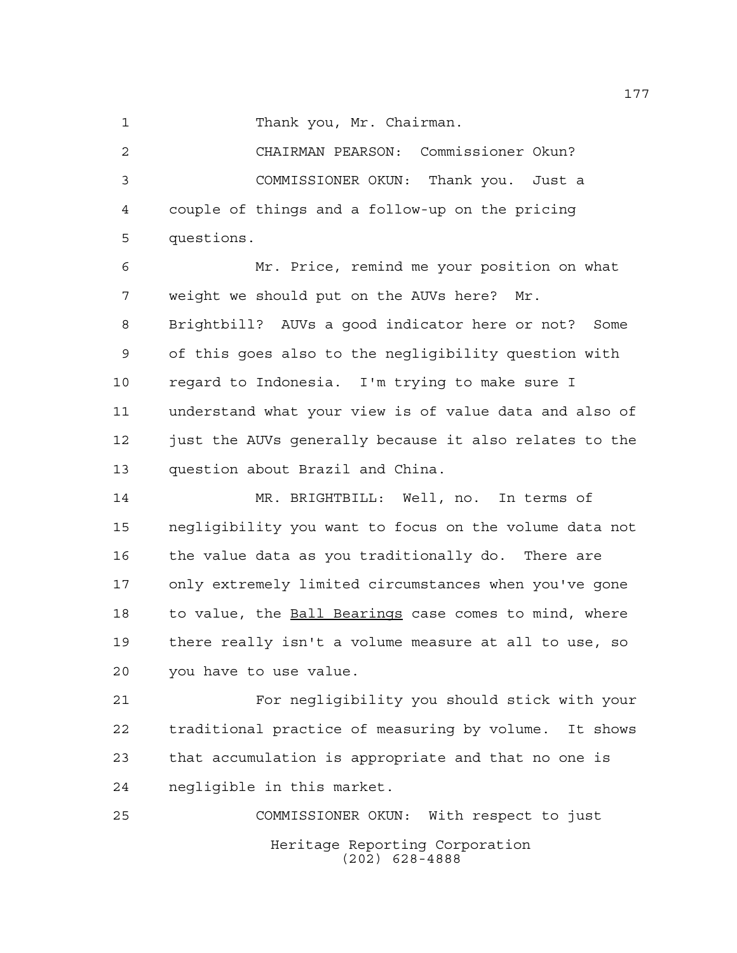1 Thank you, Mr. Chairman.

 CHAIRMAN PEARSON: Commissioner Okun? COMMISSIONER OKUN: Thank you. Just a couple of things and a follow-up on the pricing questions.

 Mr. Price, remind me your position on what weight we should put on the AUVs here? Mr. Brightbill? AUVs a good indicator here or not? Some of this goes also to the negligibility question with regard to Indonesia. I'm trying to make sure I understand what your view is of value data and also of 12 just the AUVs generally because it also relates to the question about Brazil and China.

 MR. BRIGHTBILL: Well, no. In terms of negligibility you want to focus on the volume data not the value data as you traditionally do. There are only extremely limited circumstances when you've gone 18 to value, the **Ball Bearings** case comes to mind, where there really isn't a volume measure at all to use, so you have to use value.

 For negligibility you should stick with your traditional practice of measuring by volume. It shows that accumulation is appropriate and that no one is negligible in this market.

Heritage Reporting Corporation (202) 628-4888 COMMISSIONER OKUN: With respect to just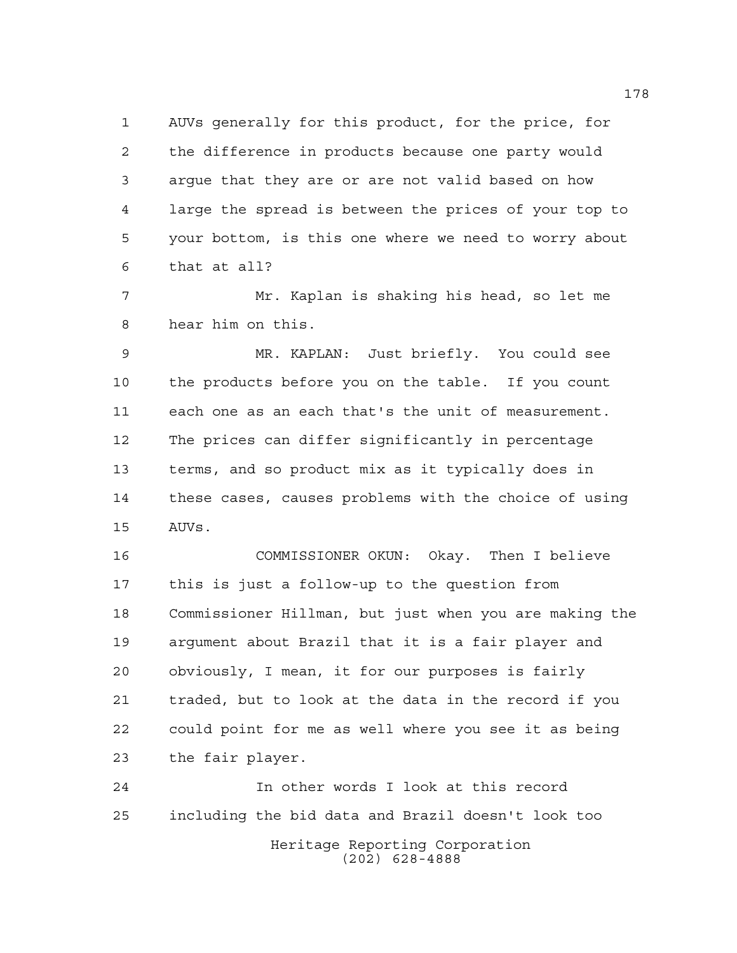AUVs generally for this product, for the price, for the difference in products because one party would argue that they are or are not valid based on how large the spread is between the prices of your top to your bottom, is this one where we need to worry about that at all?

 Mr. Kaplan is shaking his head, so let me hear him on this.

 MR. KAPLAN: Just briefly. You could see the products before you on the table. If you count each one as an each that's the unit of measurement. The prices can differ significantly in percentage terms, and so product mix as it typically does in these cases, causes problems with the choice of using AUVs.

 COMMISSIONER OKUN: Okay. Then I believe this is just a follow-up to the question from Commissioner Hillman, but just when you are making the argument about Brazil that it is a fair player and obviously, I mean, it for our purposes is fairly traded, but to look at the data in the record if you could point for me as well where you see it as being the fair player.

Heritage Reporting Corporation (202) 628-4888 In other words I look at this record including the bid data and Brazil doesn't look too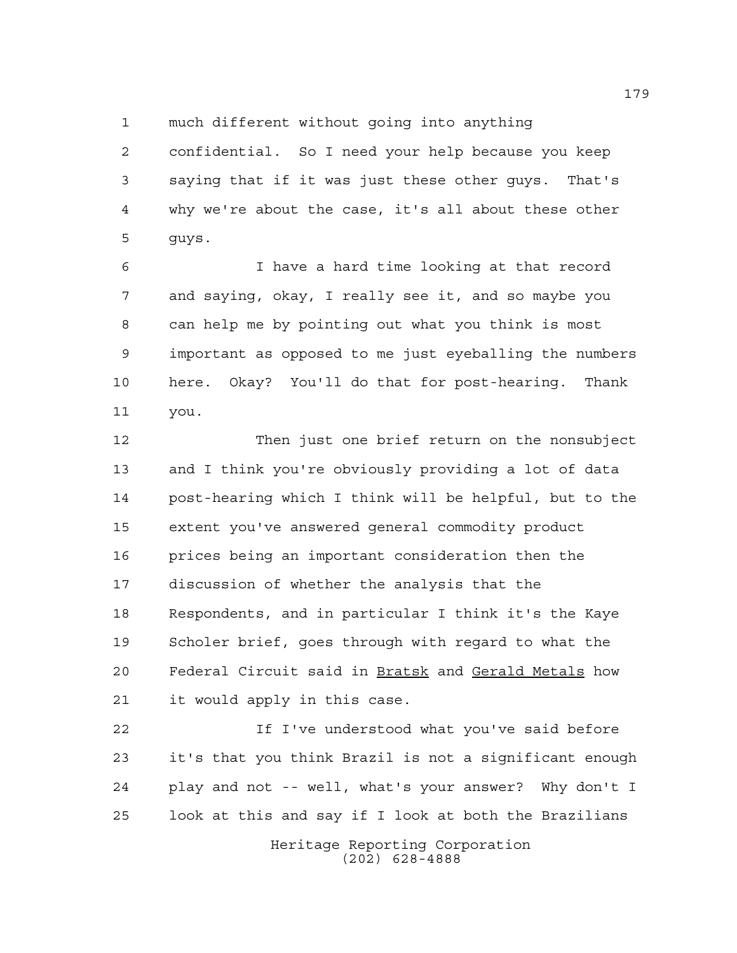much different without going into anything

 confidential. So I need your help because you keep saying that if it was just these other guys. That's why we're about the case, it's all about these other guys.

 I have a hard time looking at that record and saying, okay, I really see it, and so maybe you can help me by pointing out what you think is most important as opposed to me just eyeballing the numbers here. Okay? You'll do that for post-hearing. Thank you.

 Then just one brief return on the nonsubject and I think you're obviously providing a lot of data post-hearing which I think will be helpful, but to the extent you've answered general commodity product prices being an important consideration then the discussion of whether the analysis that the Respondents, and in particular I think it's the Kaye Scholer brief, goes through with regard to what the Federal Circuit said in Bratsk and Gerald Metals how it would apply in this case.

 If I've understood what you've said before it's that you think Brazil is not a significant enough play and not -- well, what's your answer? Why don't I look at this and say if I look at both the Brazilians

> Heritage Reporting Corporation (202) 628-4888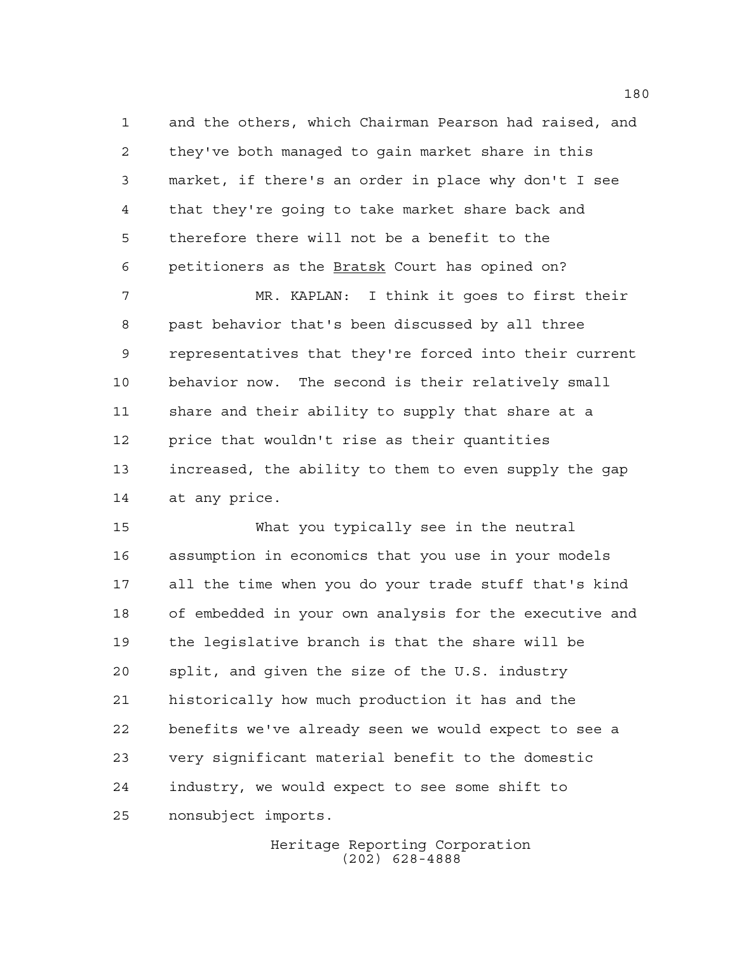and the others, which Chairman Pearson had raised, and they've both managed to gain market share in this market, if there's an order in place why don't I see that they're going to take market share back and therefore there will not be a benefit to the petitioners as the Bratsk Court has opined on?

 MR. KAPLAN: I think it goes to first their past behavior that's been discussed by all three representatives that they're forced into their current behavior now. The second is their relatively small share and their ability to supply that share at a price that wouldn't rise as their quantities increased, the ability to them to even supply the gap at any price.

 What you typically see in the neutral assumption in economics that you use in your models all the time when you do your trade stuff that's kind of embedded in your own analysis for the executive and the legislative branch is that the share will be split, and given the size of the U.S. industry historically how much production it has and the benefits we've already seen we would expect to see a very significant material benefit to the domestic industry, we would expect to see some shift to nonsubject imports.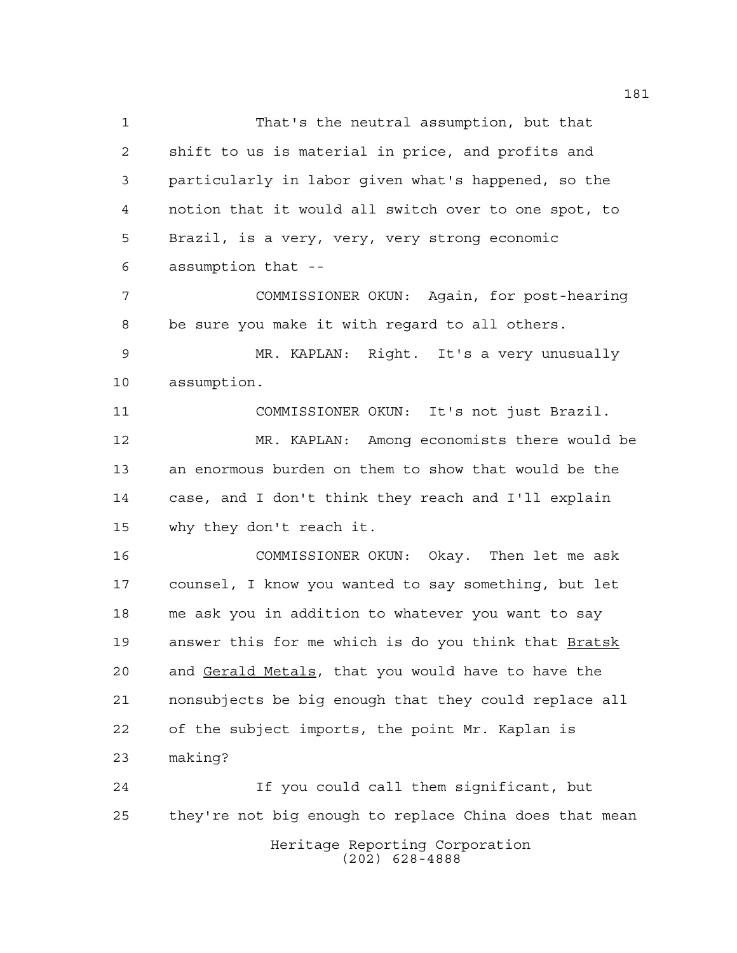That's the neutral assumption, but that shift to us is material in price, and profits and particularly in labor given what's happened, so the notion that it would all switch over to one spot, to Brazil, is a very, very, very strong economic assumption that -- COMMISSIONER OKUN: Again, for post-hearing be sure you make it with regard to all others. MR. KAPLAN: Right. It's a very unusually assumption. COMMISSIONER OKUN: It's not just Brazil. MR. KAPLAN: Among economists there would be an enormous burden on them to show that would be the case, and I don't think they reach and I'll explain why they don't reach it. COMMISSIONER OKUN: Okay. Then let me ask counsel, I know you wanted to say something, but let me ask you in addition to whatever you want to say answer this for me which is do you think that Bratsk and Gerald Metals, that you would have to have the nonsubjects be big enough that they could replace all of the subject imports, the point Mr. Kaplan is making? If you could call them significant, but they're not big enough to replace China does that mean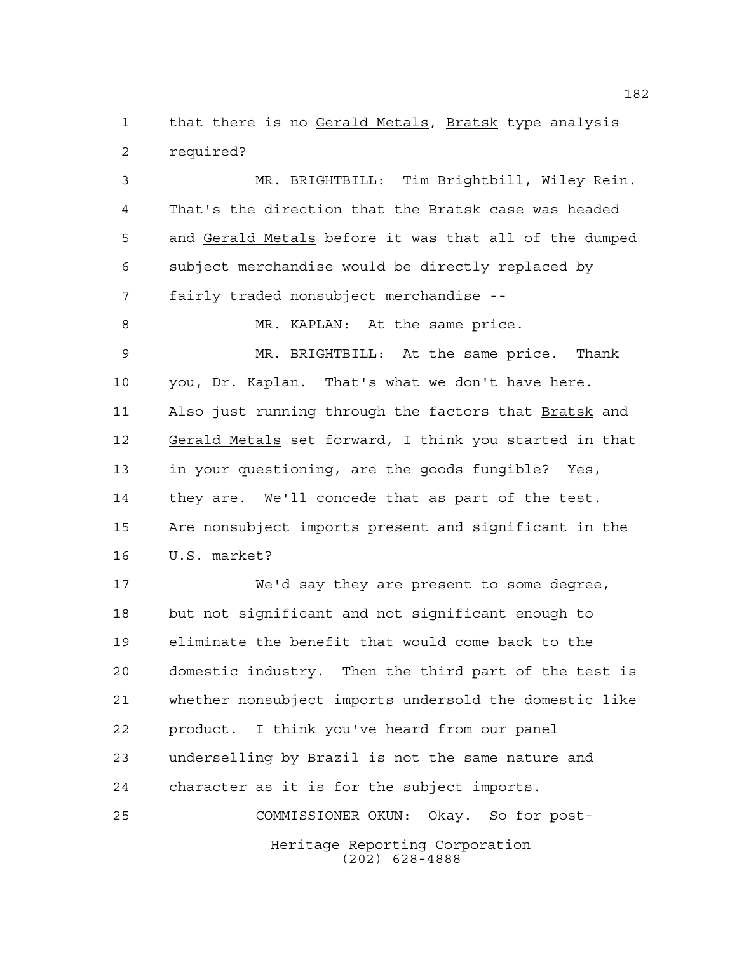that there is no Gerald Metals, Bratsk type analysis required?

 MR. BRIGHTBILL: Tim Brightbill, Wiley Rein. That's the direction that the Bratsk case was headed 5 and Gerald Metals before it was that all of the dumped subject merchandise would be directly replaced by fairly traded nonsubject merchandise --

8 MR. KAPLAN: At the same price.

 MR. BRIGHTBILL: At the same price. Thank you, Dr. Kaplan. That's what we don't have here. Also just running through the factors that Bratsk and Gerald Metals set forward, I think you started in that in your questioning, are the goods fungible? Yes, they are. We'll concede that as part of the test. Are nonsubject imports present and significant in the U.S. market?

 We'd say they are present to some degree, but not significant and not significant enough to eliminate the benefit that would come back to the domestic industry. Then the third part of the test is whether nonsubject imports undersold the domestic like product. I think you've heard from our panel underselling by Brazil is not the same nature and character as it is for the subject imports. COMMISSIONER OKUN: Okay. So for post-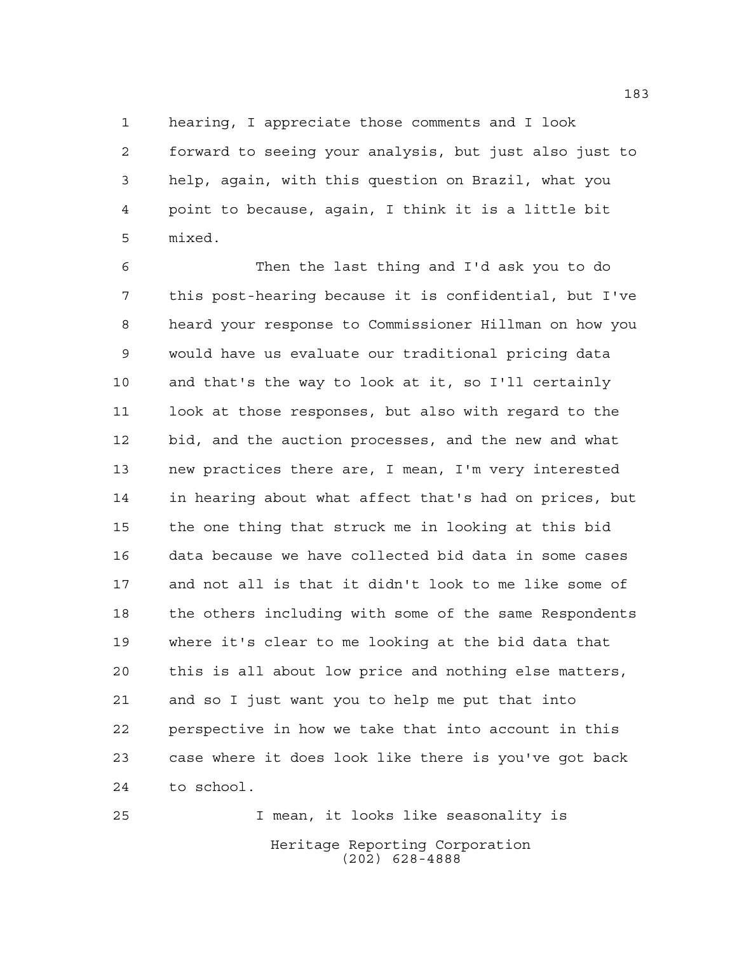hearing, I appreciate those comments and I look forward to seeing your analysis, but just also just to help, again, with this question on Brazil, what you point to because, again, I think it is a little bit mixed.

 Then the last thing and I'd ask you to do this post-hearing because it is confidential, but I've heard your response to Commissioner Hillman on how you would have us evaluate our traditional pricing data and that's the way to look at it, so I'll certainly look at those responses, but also with regard to the bid, and the auction processes, and the new and what new practices there are, I mean, I'm very interested in hearing about what affect that's had on prices, but the one thing that struck me in looking at this bid data because we have collected bid data in some cases and not all is that it didn't look to me like some of the others including with some of the same Respondents where it's clear to me looking at the bid data that this is all about low price and nothing else matters, and so I just want you to help me put that into perspective in how we take that into account in this case where it does look like there is you've got back to school.

Heritage Reporting Corporation (202) 628-4888 I mean, it looks like seasonality is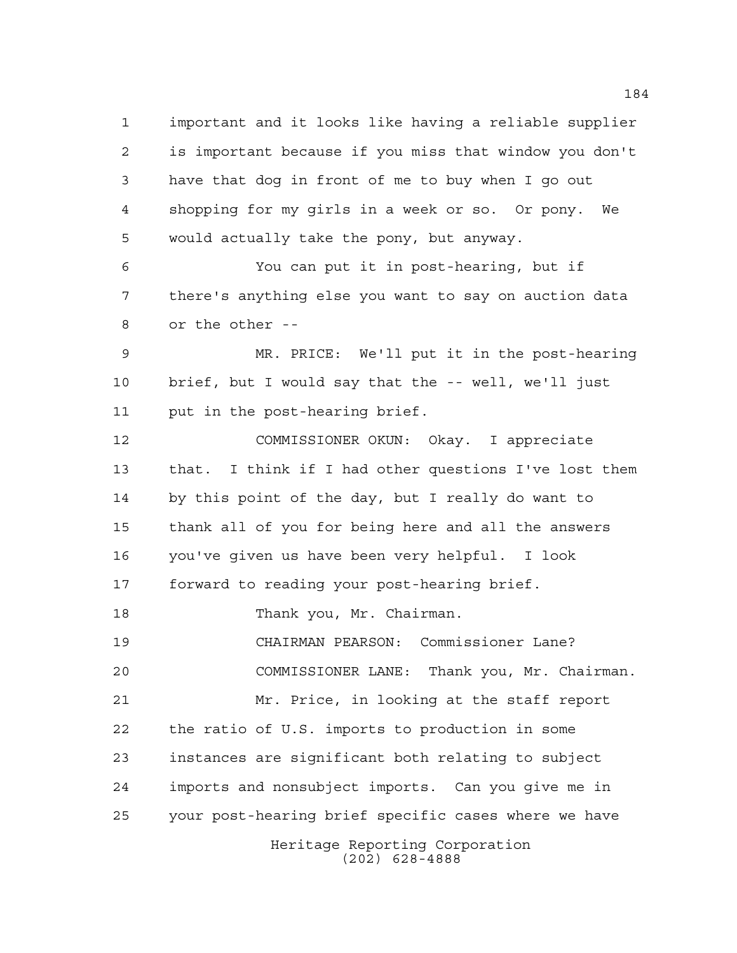Heritage Reporting Corporation (202) 628-4888 important and it looks like having a reliable supplier is important because if you miss that window you don't have that dog in front of me to buy when I go out shopping for my girls in a week or so. Or pony. We would actually take the pony, but anyway. You can put it in post-hearing, but if there's anything else you want to say on auction data or the other -- MR. PRICE: We'll put it in the post-hearing brief, but I would say that the -- well, we'll just put in the post-hearing brief. COMMISSIONER OKUN: Okay. I appreciate that. I think if I had other questions I've lost them by this point of the day, but I really do want to thank all of you for being here and all the answers you've given us have been very helpful. I look forward to reading your post-hearing brief. Thank you, Mr. Chairman. CHAIRMAN PEARSON: Commissioner Lane? COMMISSIONER LANE: Thank you, Mr. Chairman. Mr. Price, in looking at the staff report the ratio of U.S. imports to production in some instances are significant both relating to subject imports and nonsubject imports. Can you give me in your post-hearing brief specific cases where we have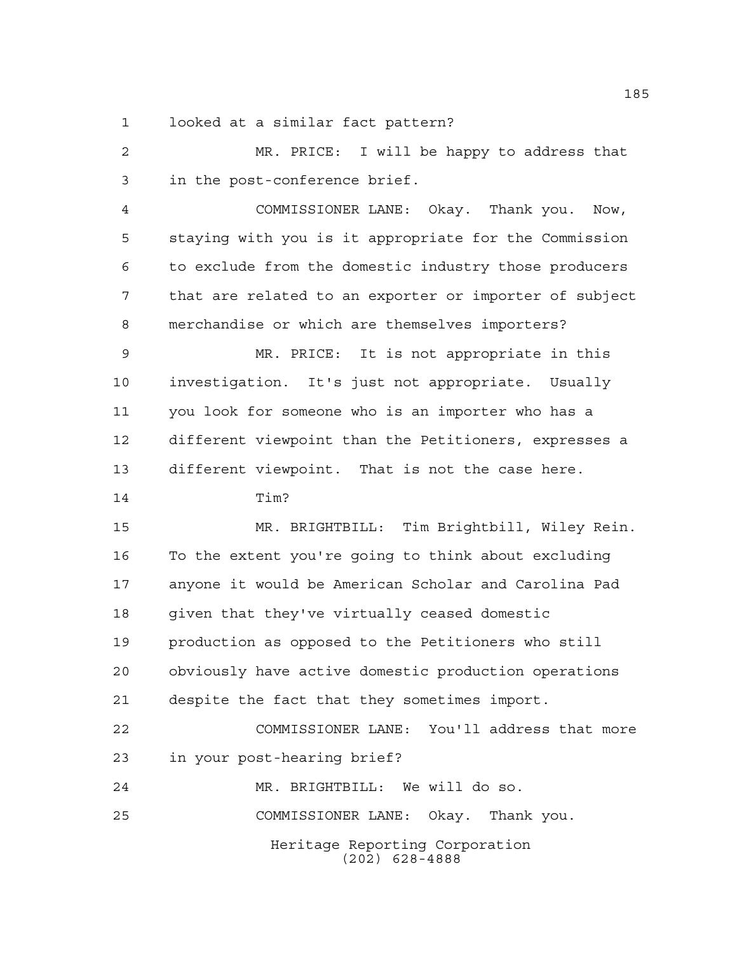looked at a similar fact pattern?

Heritage Reporting Corporation (202) 628-4888 MR. PRICE: I will be happy to address that in the post-conference brief. COMMISSIONER LANE: Okay. Thank you. Now, staying with you is it appropriate for the Commission to exclude from the domestic industry those producers that are related to an exporter or importer of subject merchandise or which are themselves importers? MR. PRICE: It is not appropriate in this investigation. It's just not appropriate. Usually you look for someone who is an importer who has a different viewpoint than the Petitioners, expresses a different viewpoint. That is not the case here. Tim? MR. BRIGHTBILL: Tim Brightbill, Wiley Rein. To the extent you're going to think about excluding anyone it would be American Scholar and Carolina Pad given that they've virtually ceased domestic production as opposed to the Petitioners who still obviously have active domestic production operations despite the fact that they sometimes import. COMMISSIONER LANE: You'll address that more in your post-hearing brief? MR. BRIGHTBILL: We will do so. COMMISSIONER LANE: Okay. Thank you.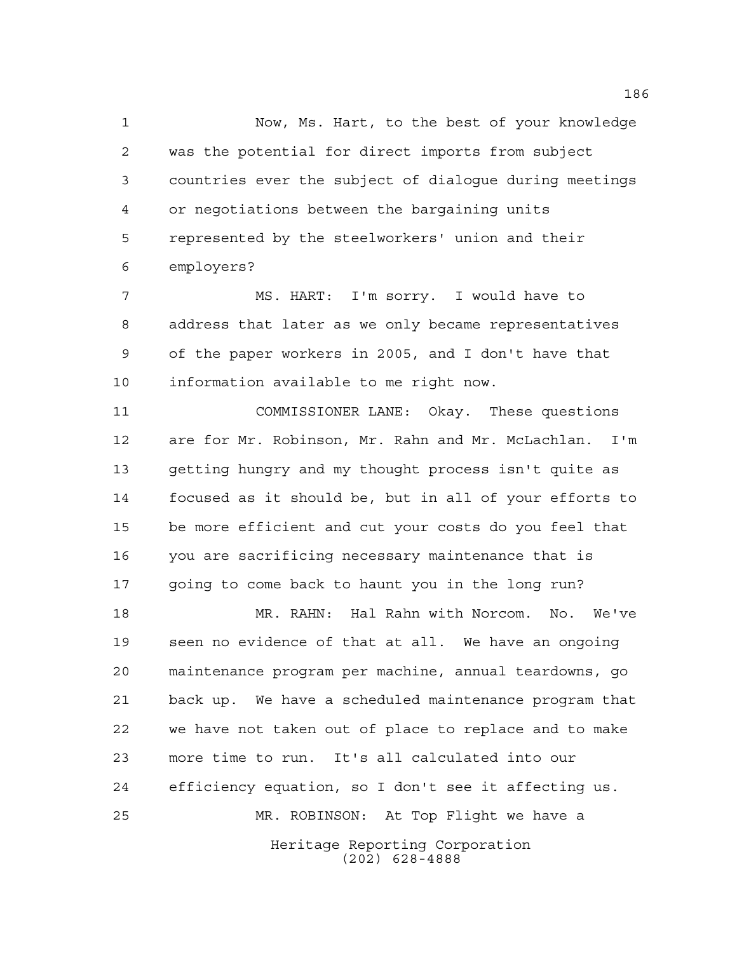Now, Ms. Hart, to the best of your knowledge was the potential for direct imports from subject countries ever the subject of dialogue during meetings or negotiations between the bargaining units represented by the steelworkers' union and their employers?

 MS. HART: I'm sorry. I would have to address that later as we only became representatives of the paper workers in 2005, and I don't have that information available to me right now.

 COMMISSIONER LANE: Okay. These questions are for Mr. Robinson, Mr. Rahn and Mr. McLachlan. I'm getting hungry and my thought process isn't quite as focused as it should be, but in all of your efforts to be more efficient and cut your costs do you feel that you are sacrificing necessary maintenance that is going to come back to haunt you in the long run?

Heritage Reporting Corporation (202) 628-4888 MR. RAHN: Hal Rahn with Norcom. No. We've seen no evidence of that at all. We have an ongoing maintenance program per machine, annual teardowns, go back up. We have a scheduled maintenance program that we have not taken out of place to replace and to make more time to run. It's all calculated into our efficiency equation, so I don't see it affecting us. MR. ROBINSON: At Top Flight we have a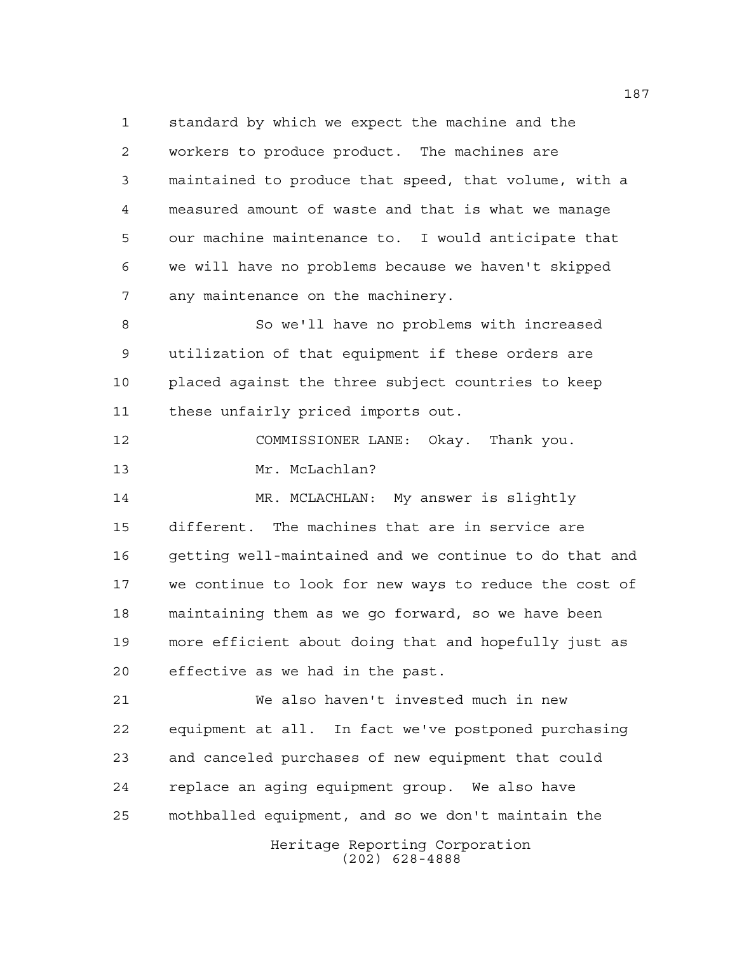standard by which we expect the machine and the workers to produce product. The machines are maintained to produce that speed, that volume, with a measured amount of waste and that is what we manage our machine maintenance to. I would anticipate that we will have no problems because we haven't skipped any maintenance on the machinery.

 So we'll have no problems with increased utilization of that equipment if these orders are placed against the three subject countries to keep these unfairly priced imports out.

 COMMISSIONER LANE: Okay. Thank you. Mr. McLachlan?

 MR. MCLACHLAN: My answer is slightly different. The machines that are in service are getting well-maintained and we continue to do that and we continue to look for new ways to reduce the cost of maintaining them as we go forward, so we have been more efficient about doing that and hopefully just as effective as we had in the past.

Heritage Reporting Corporation We also haven't invested much in new equipment at all. In fact we've postponed purchasing and canceled purchases of new equipment that could replace an aging equipment group. We also have mothballed equipment, and so we don't maintain the

(202) 628-4888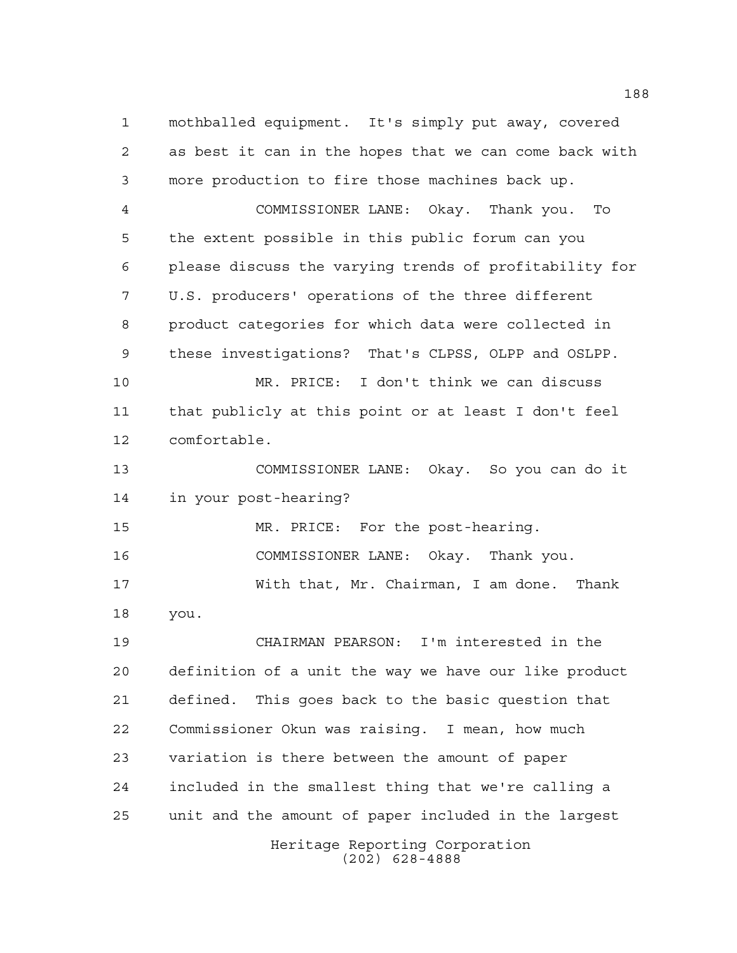Heritage Reporting Corporation mothballed equipment. It's simply put away, covered as best it can in the hopes that we can come back with more production to fire those machines back up. COMMISSIONER LANE: Okay. Thank you. To the extent possible in this public forum can you please discuss the varying trends of profitability for U.S. producers' operations of the three different product categories for which data were collected in these investigations? That's CLPSS, OLPP and OSLPP. MR. PRICE: I don't think we can discuss that publicly at this point or at least I don't feel comfortable. COMMISSIONER LANE: Okay. So you can do it in your post-hearing? MR. PRICE: For the post-hearing. COMMISSIONER LANE: Okay. Thank you. With that, Mr. Chairman, I am done. Thank you. CHAIRMAN PEARSON: I'm interested in the definition of a unit the way we have our like product defined. This goes back to the basic question that Commissioner Okun was raising. I mean, how much variation is there between the amount of paper included in the smallest thing that we're calling a unit and the amount of paper included in the largest

(202) 628-4888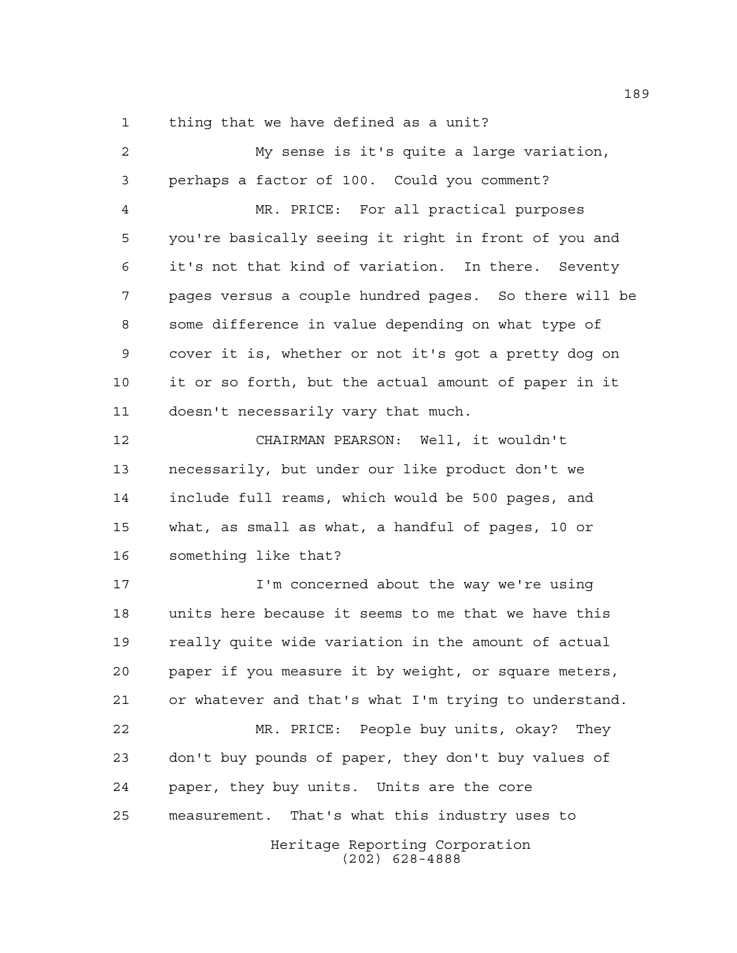thing that we have defined as a unit?

 My sense is it's quite a large variation, perhaps a factor of 100. Could you comment? MR. PRICE: For all practical purposes you're basically seeing it right in front of you and it's not that kind of variation. In there. Seventy pages versus a couple hundred pages. So there will be some difference in value depending on what type of cover it is, whether or not it's got a pretty dog on it or so forth, but the actual amount of paper in it doesn't necessarily vary that much. CHAIRMAN PEARSON: Well, it wouldn't necessarily, but under our like product don't we include full reams, which would be 500 pages, and what, as small as what, a handful of pages, 10 or

something like that?

 I'm concerned about the way we're using units here because it seems to me that we have this really quite wide variation in the amount of actual paper if you measure it by weight, or square meters, or whatever and that's what I'm trying to understand. MR. PRICE: People buy units, okay? They don't buy pounds of paper, they don't buy values of paper, they buy units. Units are the core

measurement. That's what this industry uses to

Heritage Reporting Corporation (202) 628-4888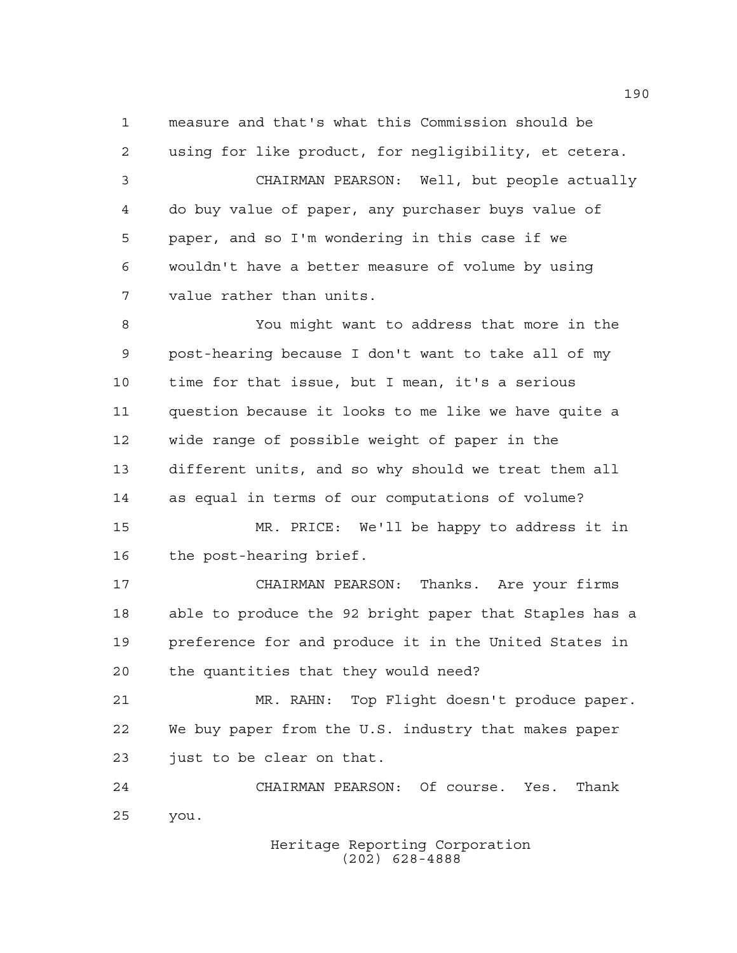measure and that's what this Commission should be using for like product, for negligibility, et cetera. CHAIRMAN PEARSON: Well, but people actually do buy value of paper, any purchaser buys value of paper, and so I'm wondering in this case if we wouldn't have a better measure of volume by using value rather than units.

 You might want to address that more in the post-hearing because I don't want to take all of my time for that issue, but I mean, it's a serious question because it looks to me like we have quite a wide range of possible weight of paper in the different units, and so why should we treat them all as equal in terms of our computations of volume?

 MR. PRICE: We'll be happy to address it in the post-hearing brief.

 CHAIRMAN PEARSON: Thanks. Are your firms able to produce the 92 bright paper that Staples has a preference for and produce it in the United States in the quantities that they would need?

 MR. RAHN: Top Flight doesn't produce paper. We buy paper from the U.S. industry that makes paper just to be clear on that.

 CHAIRMAN PEARSON: Of course. Yes. Thank you.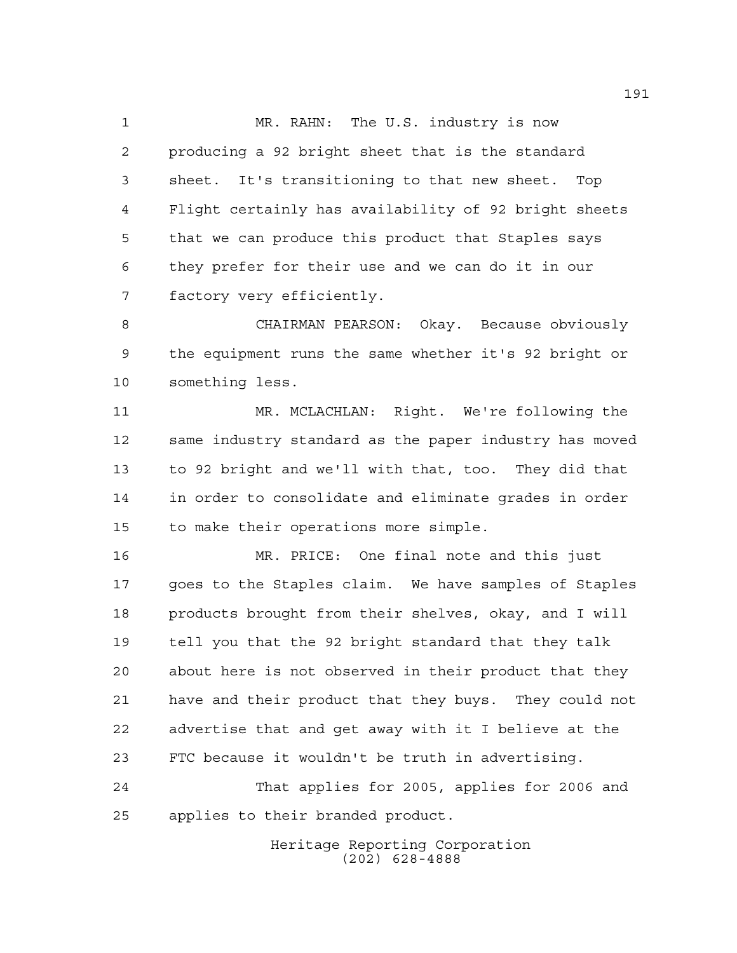MR. RAHN: The U.S. industry is now producing a 92 bright sheet that is the standard sheet. It's transitioning to that new sheet. Top Flight certainly has availability of 92 bright sheets that we can produce this product that Staples says they prefer for their use and we can do it in our factory very efficiently.

 CHAIRMAN PEARSON: Okay. Because obviously the equipment runs the same whether it's 92 bright or something less.

 MR. MCLACHLAN: Right. We're following the same industry standard as the paper industry has moved to 92 bright and we'll with that, too. They did that in order to consolidate and eliminate grades in order to make their operations more simple.

 MR. PRICE: One final note and this just goes to the Staples claim. We have samples of Staples products brought from their shelves, okay, and I will tell you that the 92 bright standard that they talk about here is not observed in their product that they have and their product that they buys. They could not advertise that and get away with it I believe at the FTC because it wouldn't be truth in advertising.

 That applies for 2005, applies for 2006 and applies to their branded product.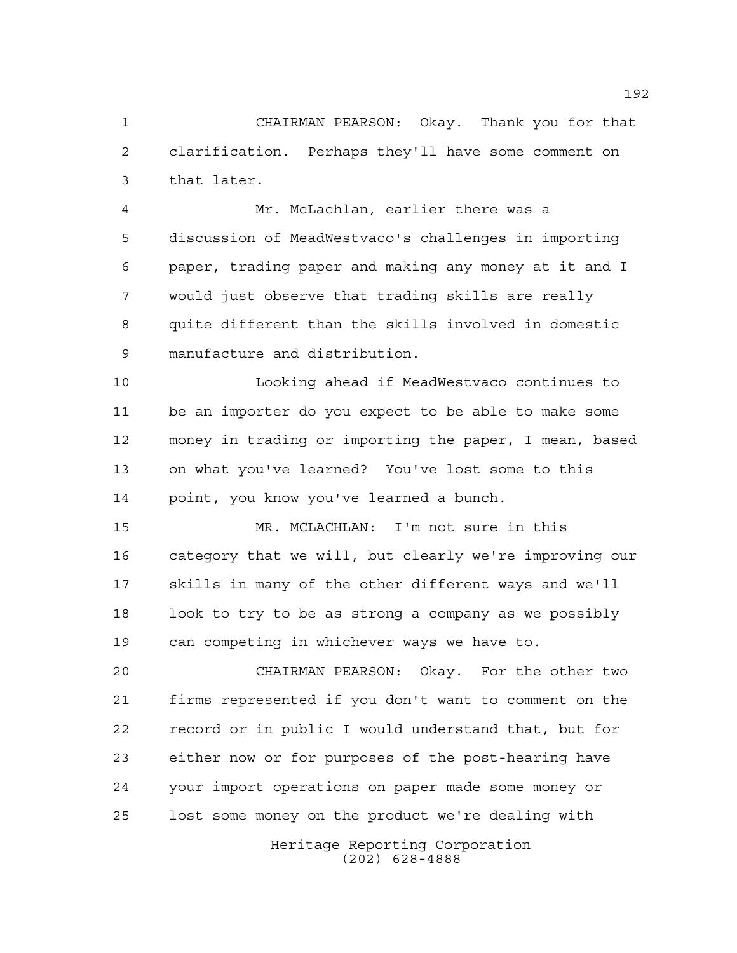CHAIRMAN PEARSON: Okay. Thank you for that clarification. Perhaps they'll have some comment on that later.

 Mr. McLachlan, earlier there was a discussion of MeadWestvaco's challenges in importing paper, trading paper and making any money at it and I would just observe that trading skills are really quite different than the skills involved in domestic manufacture and distribution.

 Looking ahead if MeadWestvaco continues to be an importer do you expect to be able to make some money in trading or importing the paper, I mean, based on what you've learned? You've lost some to this point, you know you've learned a bunch.

 MR. MCLACHLAN: I'm not sure in this category that we will, but clearly we're improving our skills in many of the other different ways and we'll look to try to be as strong a company as we possibly can competing in whichever ways we have to.

 CHAIRMAN PEARSON: Okay. For the other two firms represented if you don't want to comment on the record or in public I would understand that, but for either now or for purposes of the post-hearing have your import operations on paper made some money or lost some money on the product we're dealing with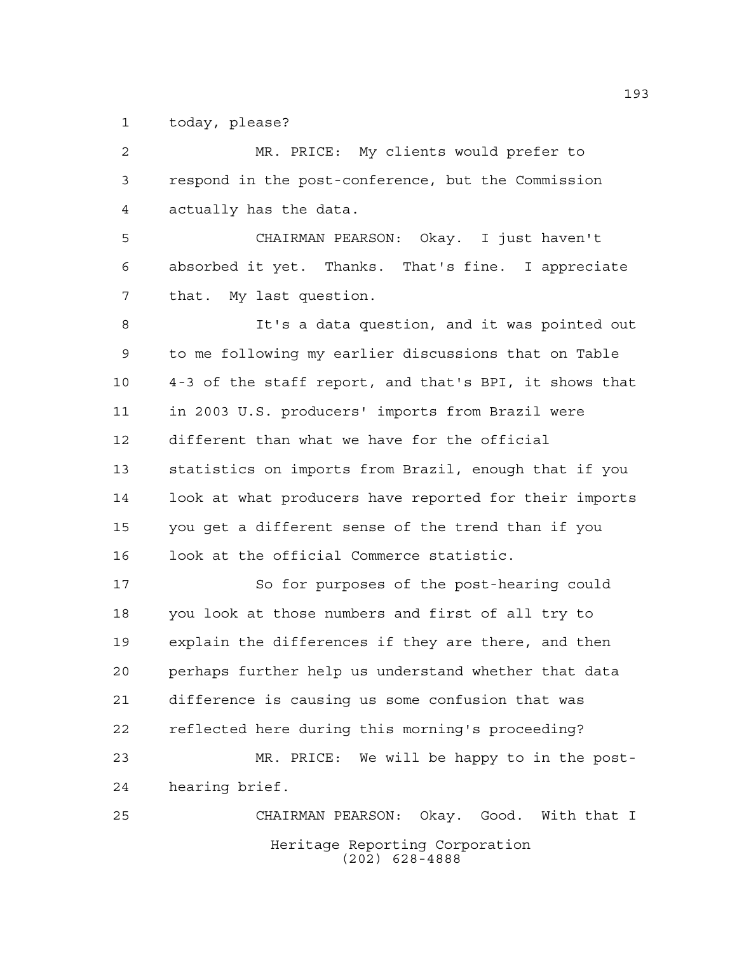today, please?

Heritage Reporting Corporation (202) 628-4888 MR. PRICE: My clients would prefer to respond in the post-conference, but the Commission actually has the data. CHAIRMAN PEARSON: Okay. I just haven't absorbed it yet. Thanks. That's fine. I appreciate that. My last question. It's a data question, and it was pointed out to me following my earlier discussions that on Table 4-3 of the staff report, and that's BPI, it shows that in 2003 U.S. producers' imports from Brazil were different than what we have for the official statistics on imports from Brazil, enough that if you look at what producers have reported for their imports you get a different sense of the trend than if you look at the official Commerce statistic. So for purposes of the post-hearing could you look at those numbers and first of all try to explain the differences if they are there, and then perhaps further help us understand whether that data difference is causing us some confusion that was reflected here during this morning's proceeding? MR. PRICE: We will be happy to in the post- hearing brief. CHAIRMAN PEARSON: Okay. Good. With that I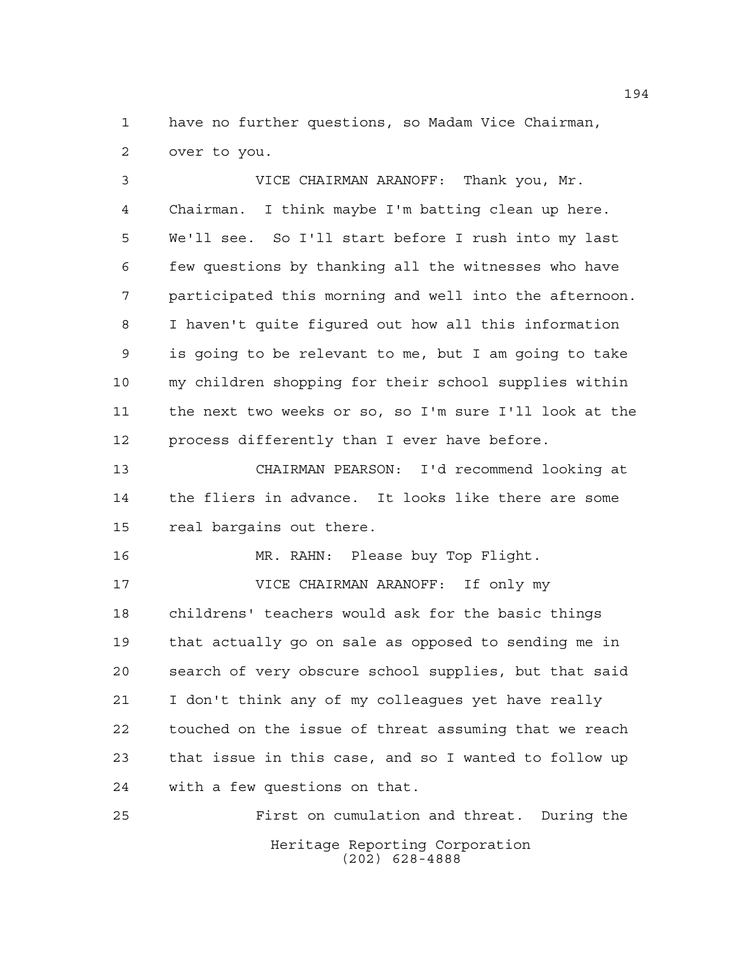have no further questions, so Madam Vice Chairman, over to you.

 VICE CHAIRMAN ARANOFF: Thank you, Mr. Chairman. I think maybe I'm batting clean up here. We'll see. So I'll start before I rush into my last few questions by thanking all the witnesses who have participated this morning and well into the afternoon. I haven't quite figured out how all this information is going to be relevant to me, but I am going to take my children shopping for their school supplies within the next two weeks or so, so I'm sure I'll look at the process differently than I ever have before.

 CHAIRMAN PEARSON: I'd recommend looking at the fliers in advance. It looks like there are some real bargains out there.

 MR. RAHN: Please buy Top Flight. VICE CHAIRMAN ARANOFF: If only my childrens' teachers would ask for the basic things that actually go on sale as opposed to sending me in search of very obscure school supplies, but that said I don't think any of my colleagues yet have really touched on the issue of threat assuming that we reach that issue in this case, and so I wanted to follow up with a few questions on that.

Heritage Reporting Corporation (202) 628-4888 First on cumulation and threat. During the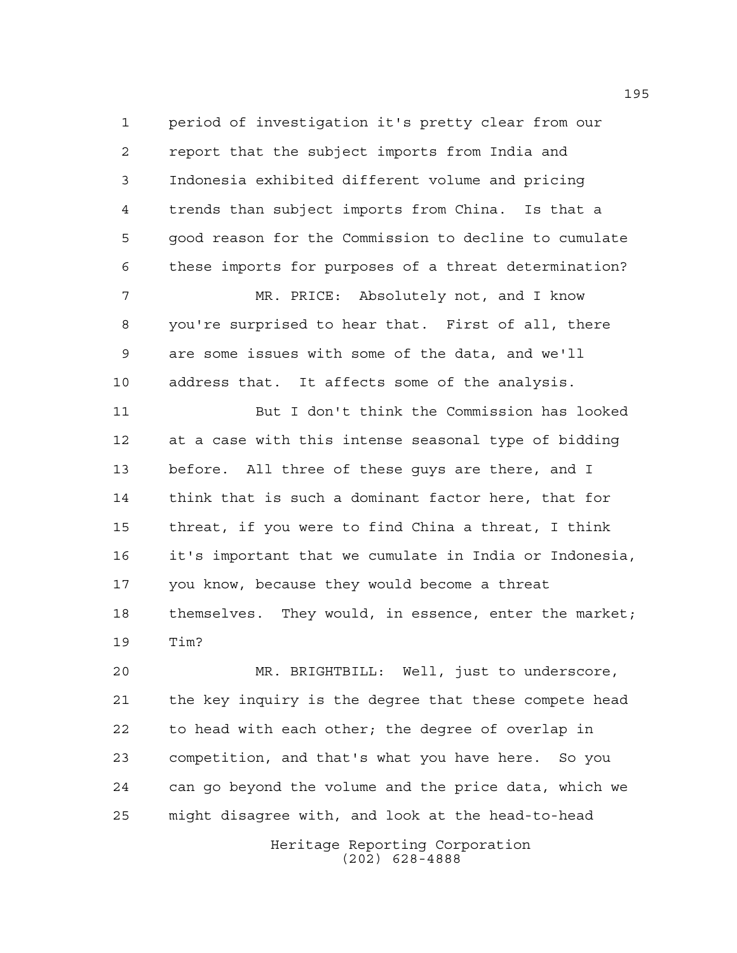period of investigation it's pretty clear from our report that the subject imports from India and Indonesia exhibited different volume and pricing trends than subject imports from China. Is that a good reason for the Commission to decline to cumulate these imports for purposes of a threat determination?

 MR. PRICE: Absolutely not, and I know you're surprised to hear that. First of all, there are some issues with some of the data, and we'll address that. It affects some of the analysis.

 But I don't think the Commission has looked at a case with this intense seasonal type of bidding before. All three of these guys are there, and I think that is such a dominant factor here, that for threat, if you were to find China a threat, I think it's important that we cumulate in India or Indonesia, you know, because they would become a threat themselves. They would, in essence, enter the market; Tim?

 MR. BRIGHTBILL: Well, just to underscore, the key inquiry is the degree that these compete head to head with each other; the degree of overlap in competition, and that's what you have here. So you can go beyond the volume and the price data, which we might disagree with, and look at the head-to-head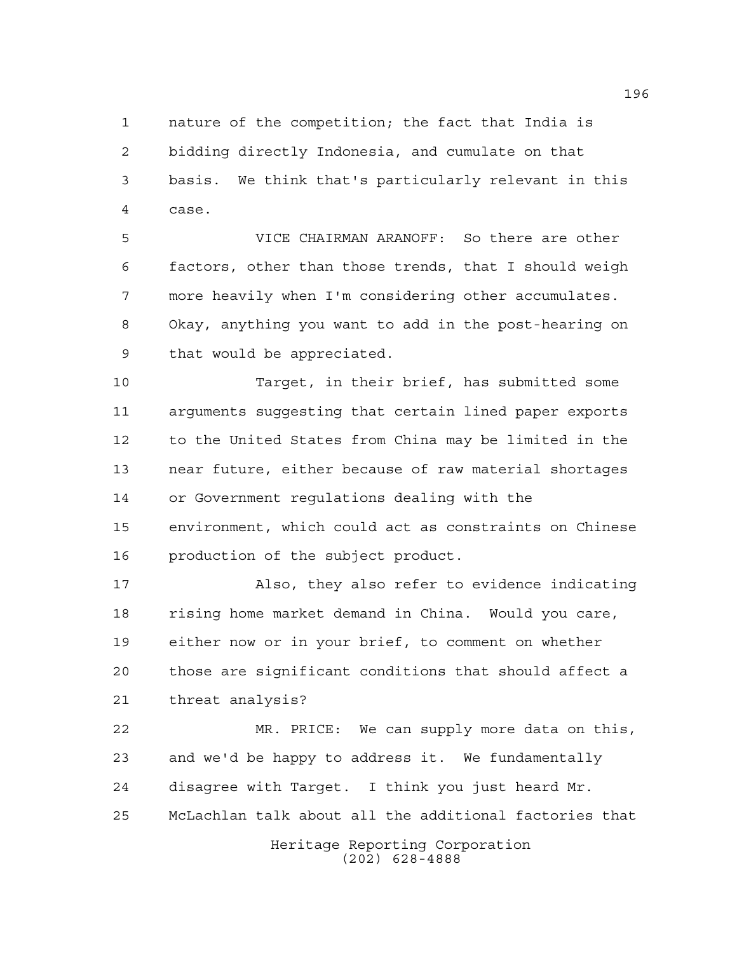nature of the competition; the fact that India is bidding directly Indonesia, and cumulate on that basis. We think that's particularly relevant in this case.

 VICE CHAIRMAN ARANOFF: So there are other factors, other than those trends, that I should weigh more heavily when I'm considering other accumulates. Okay, anything you want to add in the post-hearing on that would be appreciated.

 Target, in their brief, has submitted some arguments suggesting that certain lined paper exports to the United States from China may be limited in the near future, either because of raw material shortages or Government regulations dealing with the environment, which could act as constraints on Chinese production of the subject product.

 Also, they also refer to evidence indicating rising home market demand in China. Would you care, either now or in your brief, to comment on whether those are significant conditions that should affect a threat analysis?

 MR. PRICE: We can supply more data on this, and we'd be happy to address it. We fundamentally disagree with Target. I think you just heard Mr. McLachlan talk about all the additional factories that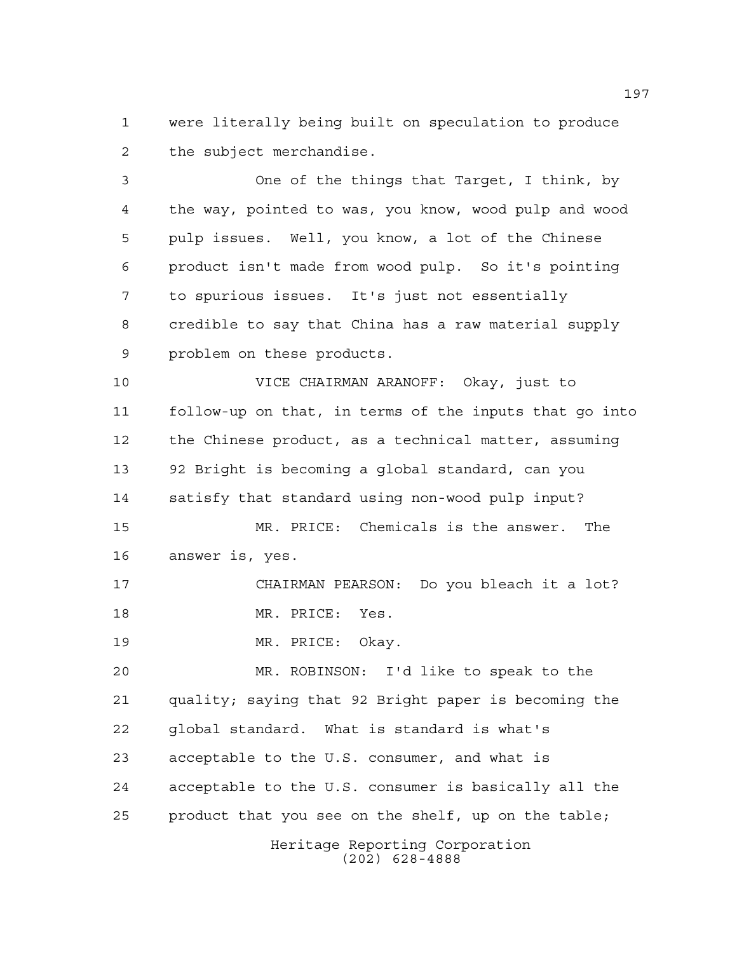were literally being built on speculation to produce the subject merchandise.

 One of the things that Target, I think, by the way, pointed to was, you know, wood pulp and wood pulp issues. Well, you know, a lot of the Chinese product isn't made from wood pulp. So it's pointing to spurious issues. It's just not essentially credible to say that China has a raw material supply problem on these products.

 VICE CHAIRMAN ARANOFF: Okay, just to follow-up on that, in terms of the inputs that go into the Chinese product, as a technical matter, assuming 92 Bright is becoming a global standard, can you satisfy that standard using non-wood pulp input? MR. PRICE: Chemicals is the answer. The

answer is, yes.

 CHAIRMAN PEARSON: Do you bleach it a lot? MR. PRICE: Yes.

19 MR. PRICE: Okay.

 MR. ROBINSON: I'd like to speak to the quality; saying that 92 Bright paper is becoming the global standard. What is standard is what's acceptable to the U.S. consumer, and what is acceptable to the U.S. consumer is basically all the product that you see on the shelf, up on the table;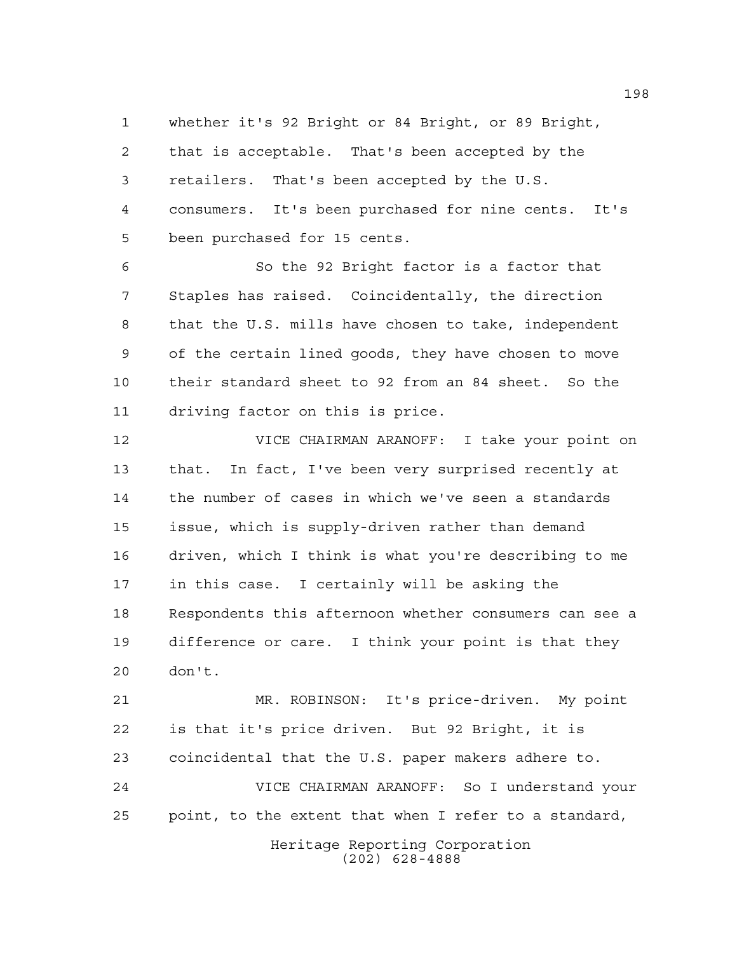whether it's 92 Bright or 84 Bright, or 89 Bright, that is acceptable. That's been accepted by the retailers. That's been accepted by the U.S. consumers. It's been purchased for nine cents. It's been purchased for 15 cents.

 So the 92 Bright factor is a factor that Staples has raised. Coincidentally, the direction that the U.S. mills have chosen to take, independent of the certain lined goods, they have chosen to move their standard sheet to 92 from an 84 sheet. So the driving factor on this is price.

 VICE CHAIRMAN ARANOFF: I take your point on that. In fact, I've been very surprised recently at the number of cases in which we've seen a standards issue, which is supply-driven rather than demand driven, which I think is what you're describing to me in this case. I certainly will be asking the Respondents this afternoon whether consumers can see a difference or care. I think your point is that they don't.

 MR. ROBINSON: It's price-driven. My point is that it's price driven. But 92 Bright, it is coincidental that the U.S. paper makers adhere to. VICE CHAIRMAN ARANOFF: So I understand your

point, to the extent that when I refer to a standard,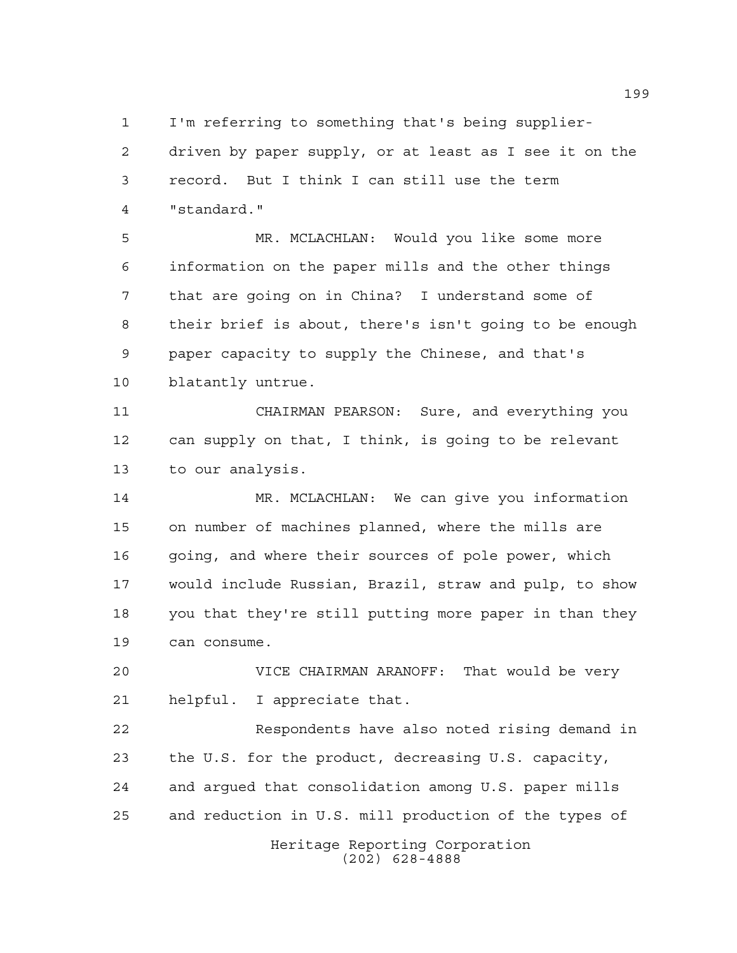I'm referring to something that's being supplier-

 driven by paper supply, or at least as I see it on the record. But I think I can still use the term "standard."

 MR. MCLACHLAN: Would you like some more information on the paper mills and the other things that are going on in China? I understand some of their brief is about, there's isn't going to be enough paper capacity to supply the Chinese, and that's blatantly untrue.

 CHAIRMAN PEARSON: Sure, and everything you can supply on that, I think, is going to be relevant to our analysis.

 MR. MCLACHLAN: We can give you information on number of machines planned, where the mills are 16 going, and where their sources of pole power, which would include Russian, Brazil, straw and pulp, to show you that they're still putting more paper in than they can consume.

 VICE CHAIRMAN ARANOFF: That would be very helpful. I appreciate that.

 Respondents have also noted rising demand in the U.S. for the product, decreasing U.S. capacity, and argued that consolidation among U.S. paper mills and reduction in U.S. mill production of the types of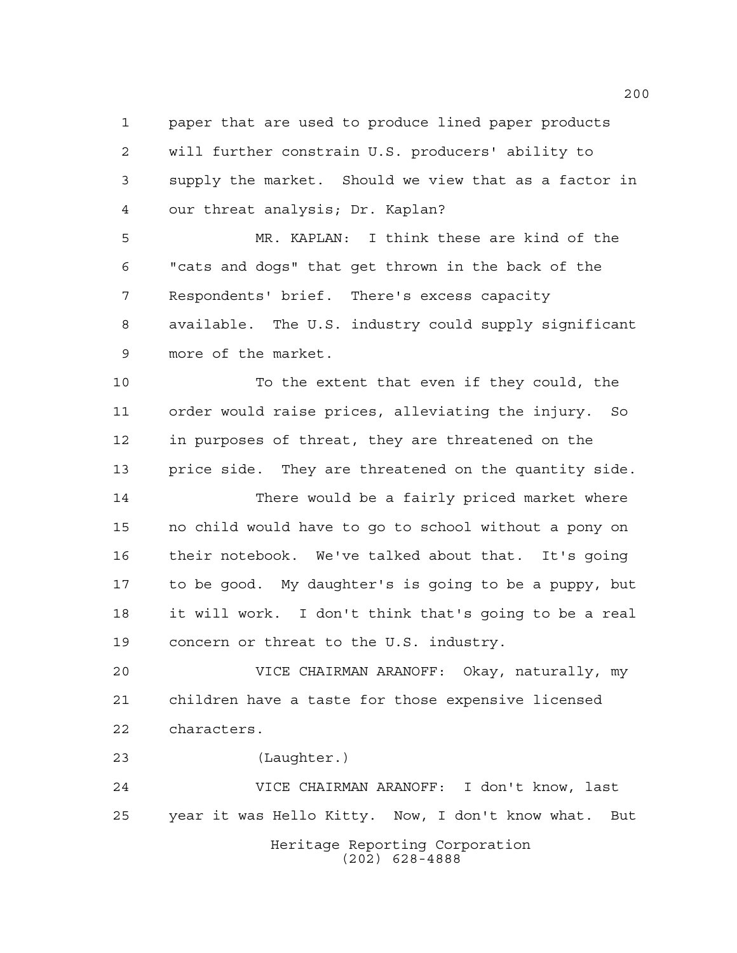paper that are used to produce lined paper products will further constrain U.S. producers' ability to supply the market. Should we view that as a factor in our threat analysis; Dr. Kaplan?

 MR. KAPLAN: I think these are kind of the "cats and dogs" that get thrown in the back of the Respondents' brief. There's excess capacity available. The U.S. industry could supply significant more of the market.

 To the extent that even if they could, the order would raise prices, alleviating the injury. So in purposes of threat, they are threatened on the price side. They are threatened on the quantity side.

 There would be a fairly priced market where no child would have to go to school without a pony on their notebook. We've talked about that. It's going to be good. My daughter's is going to be a puppy, but it will work. I don't think that's going to be a real concern or threat to the U.S. industry.

 VICE CHAIRMAN ARANOFF: Okay, naturally, my children have a taste for those expensive licensed characters.

(Laughter.)

Heritage Reporting Corporation (202) 628-4888 VICE CHAIRMAN ARANOFF: I don't know, last year it was Hello Kitty. Now, I don't know what. But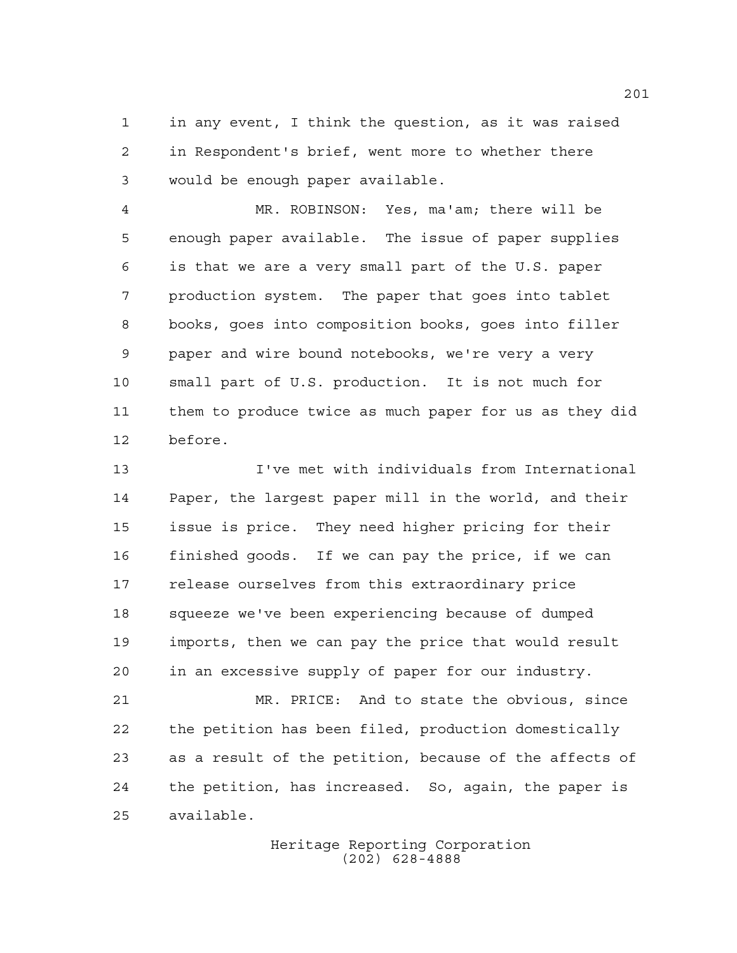in any event, I think the question, as it was raised in Respondent's brief, went more to whether there would be enough paper available.

 MR. ROBINSON: Yes, ma'am; there will be enough paper available. The issue of paper supplies is that we are a very small part of the U.S. paper production system. The paper that goes into tablet books, goes into composition books, goes into filler paper and wire bound notebooks, we're very a very small part of U.S. production. It is not much for them to produce twice as much paper for us as they did before.

 I've met with individuals from International Paper, the largest paper mill in the world, and their issue is price. They need higher pricing for their finished goods. If we can pay the price, if we can release ourselves from this extraordinary price squeeze we've been experiencing because of dumped imports, then we can pay the price that would result in an excessive supply of paper for our industry.

 MR. PRICE: And to state the obvious, since the petition has been filed, production domestically as a result of the petition, because of the affects of the petition, has increased. So, again, the paper is available.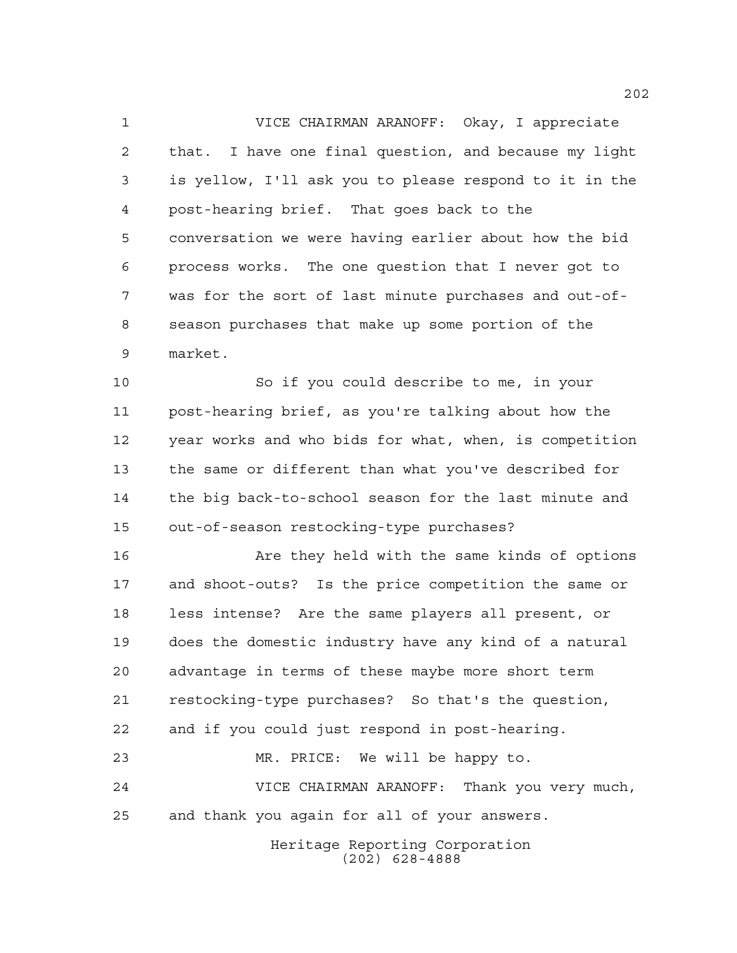VICE CHAIRMAN ARANOFF: Okay, I appreciate that. I have one final question, and because my light is yellow, I'll ask you to please respond to it in the post-hearing brief. That goes back to the conversation we were having earlier about how the bid process works. The one question that I never got to was for the sort of last minute purchases and out-of- season purchases that make up some portion of the market.

 So if you could describe to me, in your post-hearing brief, as you're talking about how the year works and who bids for what, when, is competition the same or different than what you've described for the big back-to-school season for the last minute and out-of-season restocking-type purchases?

 Are they held with the same kinds of options and shoot-outs? Is the price competition the same or less intense? Are the same players all present, or does the domestic industry have any kind of a natural advantage in terms of these maybe more short term restocking-type purchases? So that's the question, and if you could just respond in post-hearing. MR. PRICE: We will be happy to. VICE CHAIRMAN ARANOFF: Thank you very much,

and thank you again for all of your answers.

Heritage Reporting Corporation (202) 628-4888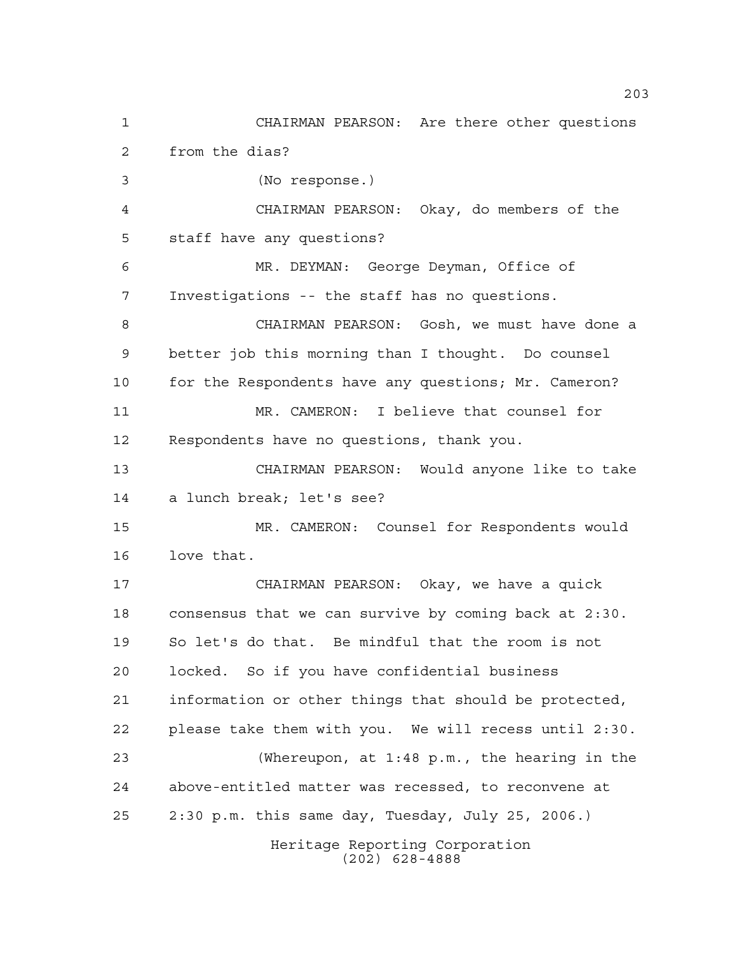Heritage Reporting Corporation (202) 628-4888 CHAIRMAN PEARSON: Are there other questions from the dias? (No response.) CHAIRMAN PEARSON: Okay, do members of the staff have any questions? MR. DEYMAN: George Deyman, Office of Investigations -- the staff has no questions. CHAIRMAN PEARSON: Gosh, we must have done a better job this morning than I thought. Do counsel 10 for the Respondents have any questions; Mr. Cameron? MR. CAMERON: I believe that counsel for Respondents have no questions, thank you. CHAIRMAN PEARSON: Would anyone like to take a lunch break; let's see? MR. CAMERON: Counsel for Respondents would love that. CHAIRMAN PEARSON: Okay, we have a quick consensus that we can survive by coming back at 2:30. So let's do that. Be mindful that the room is not locked. So if you have confidential business information or other things that should be protected, please take them with you. We will recess until 2:30. (Whereupon, at 1:48 p.m., the hearing in the above-entitled matter was recessed, to reconvene at 2:30 p.m. this same day, Tuesday, July 25, 2006.)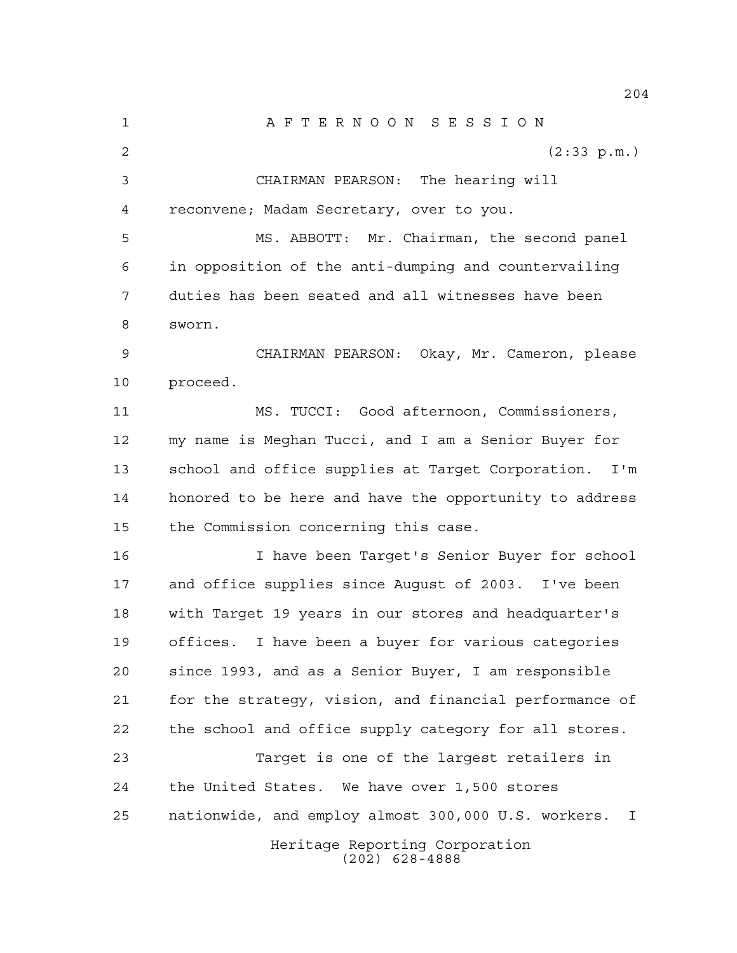Heritage Reporting Corporation (202) 628-4888 A F T E R N O O N S E S S I O N 2 (2:33 p.m.) CHAIRMAN PEARSON: The hearing will reconvene; Madam Secretary, over to you. MS. ABBOTT: Mr. Chairman, the second panel in opposition of the anti-dumping and countervailing duties has been seated and all witnesses have been sworn. CHAIRMAN PEARSON: Okay, Mr. Cameron, please proceed. MS. TUCCI: Good afternoon, Commissioners, my name is Meghan Tucci, and I am a Senior Buyer for school and office supplies at Target Corporation. I'm honored to be here and have the opportunity to address the Commission concerning this case. I have been Target's Senior Buyer for school and office supplies since August of 2003. I've been with Target 19 years in our stores and headquarter's offices. I have been a buyer for various categories since 1993, and as a Senior Buyer, I am responsible for the strategy, vision, and financial performance of the school and office supply category for all stores. Target is one of the largest retailers in the United States. We have over 1,500 stores nationwide, and employ almost 300,000 U.S. workers. I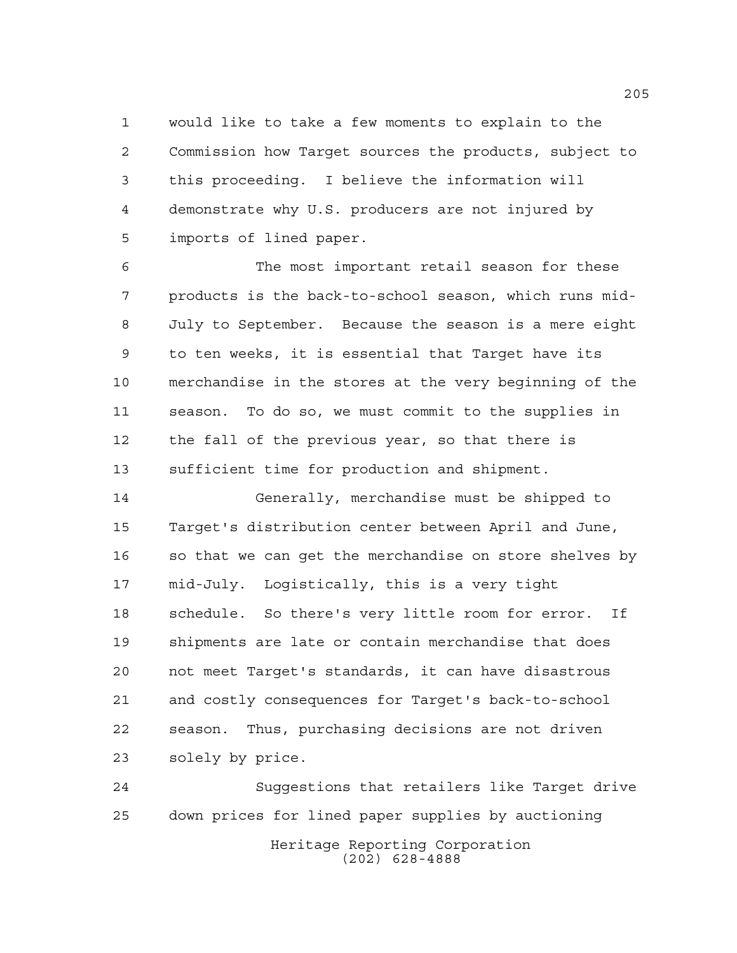would like to take a few moments to explain to the Commission how Target sources the products, subject to this proceeding. I believe the information will demonstrate why U.S. producers are not injured by imports of lined paper.

 The most important retail season for these products is the back-to-school season, which runs mid- July to September. Because the season is a mere eight to ten weeks, it is essential that Target have its merchandise in the stores at the very beginning of the season. To do so, we must commit to the supplies in the fall of the previous year, so that there is sufficient time for production and shipment.

 Generally, merchandise must be shipped to Target's distribution center between April and June, so that we can get the merchandise on store shelves by mid-July. Logistically, this is a very tight schedule. So there's very little room for error. If shipments are late or contain merchandise that does not meet Target's standards, it can have disastrous and costly consequences for Target's back-to-school season. Thus, purchasing decisions are not driven solely by price.

Heritage Reporting Corporation (202) 628-4888 Suggestions that retailers like Target drive down prices for lined paper supplies by auctioning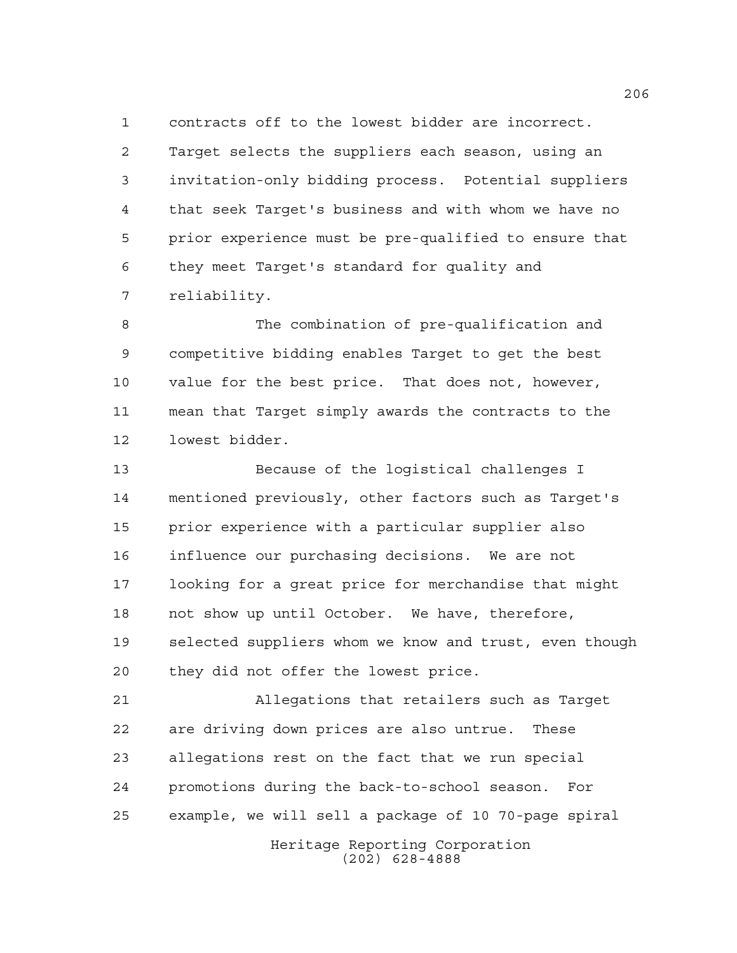contracts off to the lowest bidder are incorrect.

 Target selects the suppliers each season, using an invitation-only bidding process. Potential suppliers that seek Target's business and with whom we have no prior experience must be pre-qualified to ensure that they meet Target's standard for quality and reliability.

 The combination of pre-qualification and competitive bidding enables Target to get the best value for the best price. That does not, however, mean that Target simply awards the contracts to the lowest bidder.

 Because of the logistical challenges I mentioned previously, other factors such as Target's prior experience with a particular supplier also influence our purchasing decisions. We are not looking for a great price for merchandise that might not show up until October. We have, therefore, selected suppliers whom we know and trust, even though they did not offer the lowest price.

 Allegations that retailers such as Target are driving down prices are also untrue. These allegations rest on the fact that we run special promotions during the back-to-school season. For example, we will sell a package of 10 70-page spiral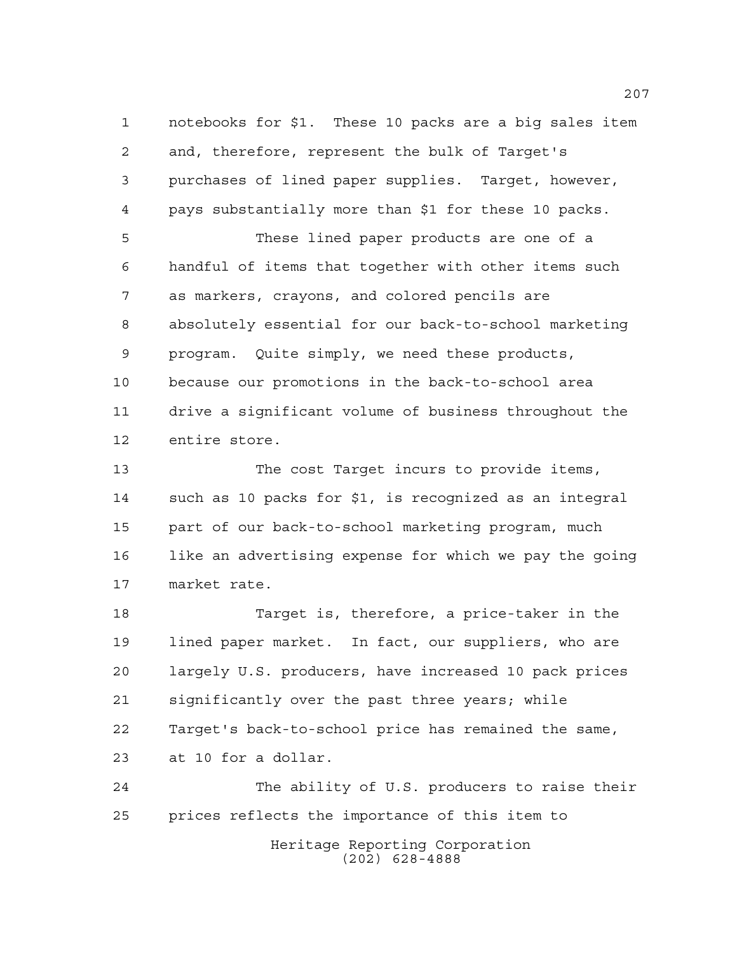notebooks for \$1. These 10 packs are a big sales item and, therefore, represent the bulk of Target's purchases of lined paper supplies. Target, however, pays substantially more than \$1 for these 10 packs. These lined paper products are one of a handful of items that together with other items such as markers, crayons, and colored pencils are absolutely essential for our back-to-school marketing program. Quite simply, we need these products, because our promotions in the back-to-school area drive a significant volume of business throughout the entire store.

 The cost Target incurs to provide items, such as 10 packs for \$1, is recognized as an integral part of our back-to-school marketing program, much like an advertising expense for which we pay the going market rate.

 Target is, therefore, a price-taker in the lined paper market. In fact, our suppliers, who are largely U.S. producers, have increased 10 pack prices significantly over the past three years; while Target's back-to-school price has remained the same, at 10 for a dollar.

Heritage Reporting Corporation (202) 628-4888 The ability of U.S. producers to raise their prices reflects the importance of this item to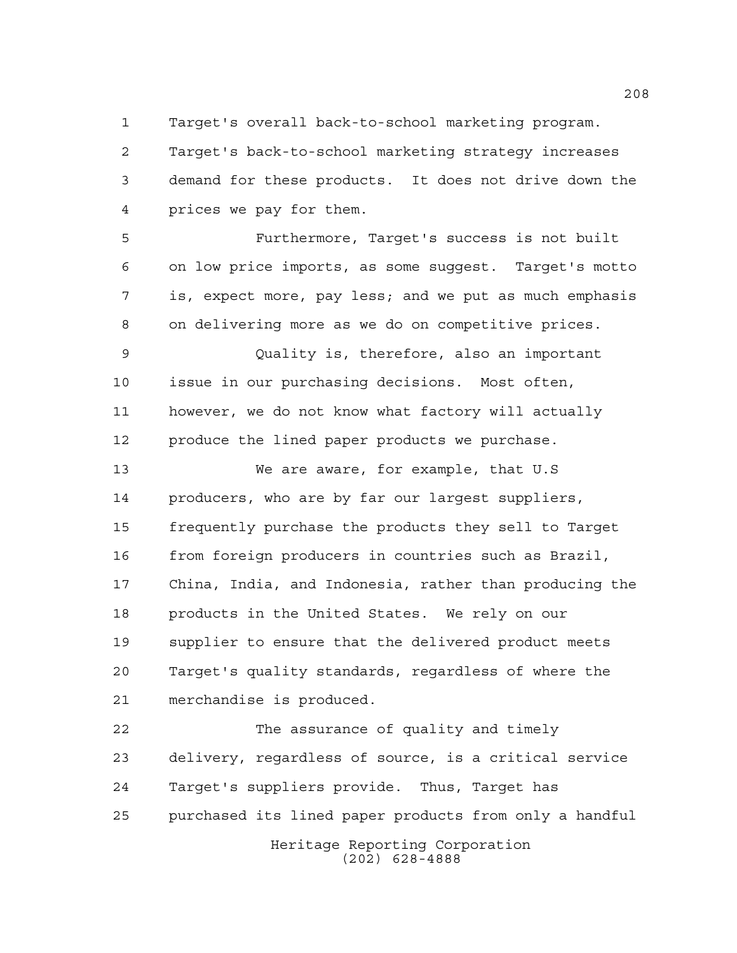Target's overall back-to-school marketing program.

 Target's back-to-school marketing strategy increases demand for these products. It does not drive down the prices we pay for them.

 Furthermore, Target's success is not built on low price imports, as some suggest. Target's motto is, expect more, pay less; and we put as much emphasis on delivering more as we do on competitive prices.

 Quality is, therefore, also an important issue in our purchasing decisions. Most often, however, we do not know what factory will actually produce the lined paper products we purchase.

 We are aware, for example, that U.S producers, who are by far our largest suppliers, frequently purchase the products they sell to Target from foreign producers in countries such as Brazil, China, India, and Indonesia, rather than producing the products in the United States. We rely on our supplier to ensure that the delivered product meets Target's quality standards, regardless of where the merchandise is produced.

Heritage Reporting Corporation (202) 628-4888 The assurance of quality and timely delivery, regardless of source, is a critical service Target's suppliers provide. Thus, Target has purchased its lined paper products from only a handful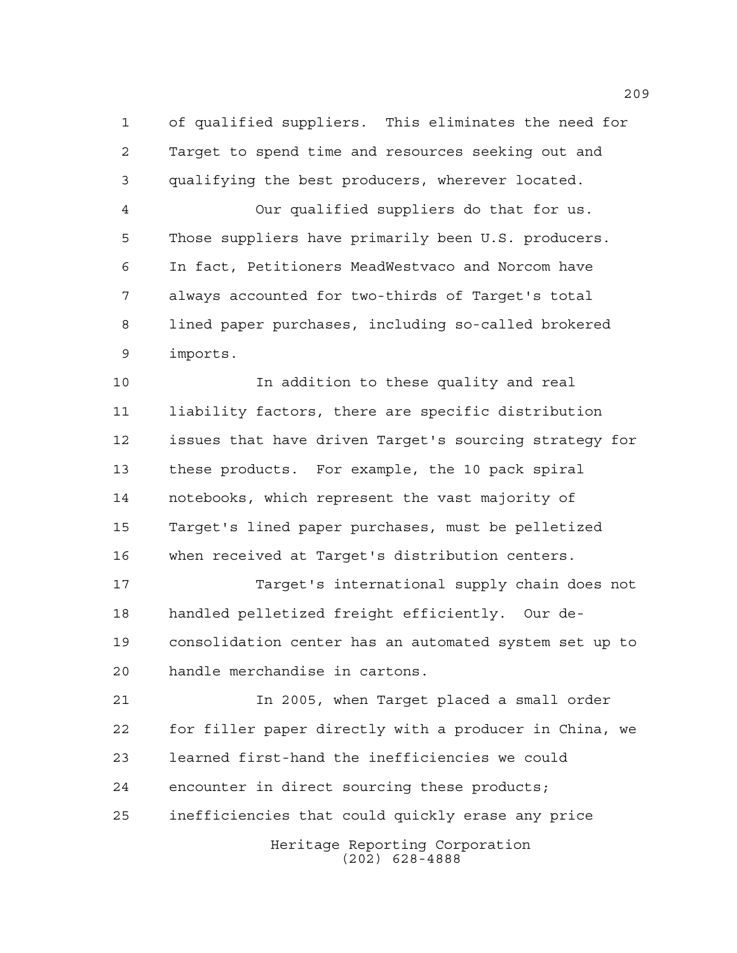of qualified suppliers. This eliminates the need for Target to spend time and resources seeking out and qualifying the best producers, wherever located. Our qualified suppliers do that for us. Those suppliers have primarily been U.S. producers. In fact, Petitioners MeadWestvaco and Norcom have always accounted for two-thirds of Target's total lined paper purchases, including so-called brokered imports.

 In addition to these quality and real liability factors, there are specific distribution issues that have driven Target's sourcing strategy for these products. For example, the 10 pack spiral notebooks, which represent the vast majority of Target's lined paper purchases, must be pelletized when received at Target's distribution centers.

 Target's international supply chain does not handled pelletized freight efficiently. Our de- consolidation center has an automated system set up to handle merchandise in cartons.

 In 2005, when Target placed a small order for filler paper directly with a producer in China, we learned first-hand the inefficiencies we could encounter in direct sourcing these products; inefficiencies that could quickly erase any price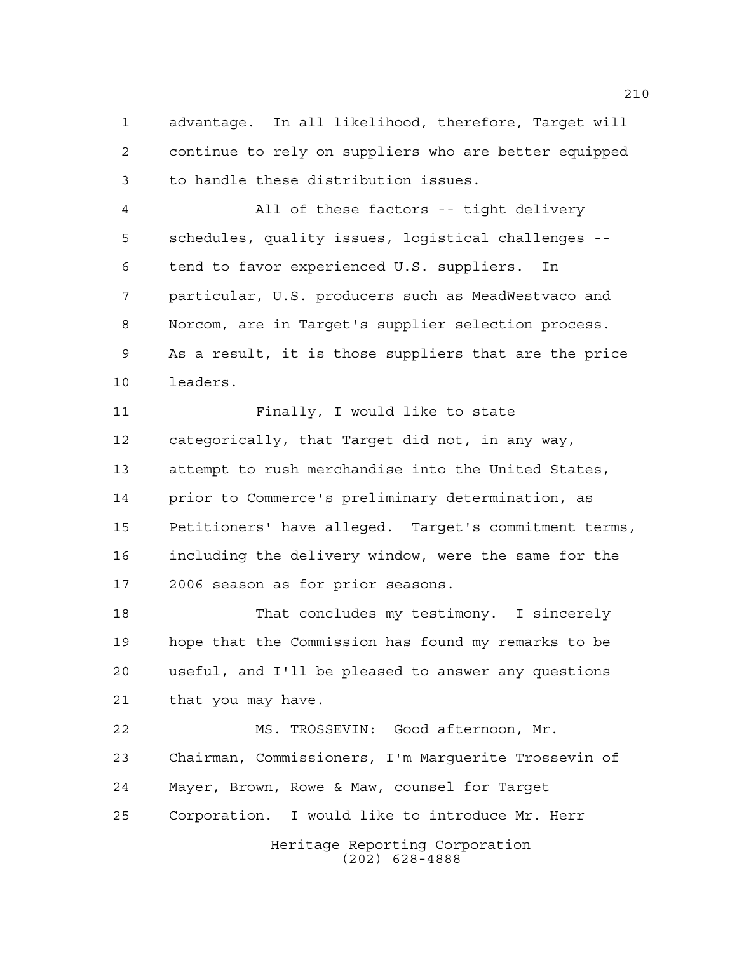advantage. In all likelihood, therefore, Target will continue to rely on suppliers who are better equipped to handle these distribution issues.

 All of these factors -- tight delivery schedules, quality issues, logistical challenges -- tend to favor experienced U.S. suppliers. In particular, U.S. producers such as MeadWestvaco and Norcom, are in Target's supplier selection process. As a result, it is those suppliers that are the price leaders.

 Finally, I would like to state categorically, that Target did not, in any way, attempt to rush merchandise into the United States, prior to Commerce's preliminary determination, as Petitioners' have alleged. Target's commitment terms, including the delivery window, were the same for the 2006 season as for prior seasons.

 That concludes my testimony. I sincerely hope that the Commission has found my remarks to be useful, and I'll be pleased to answer any questions that you may have.

 MS. TROSSEVIN: Good afternoon, Mr. Chairman, Commissioners, I'm Marguerite Trossevin of Mayer, Brown, Rowe & Maw, counsel for Target Corporation. I would like to introduce Mr. Herr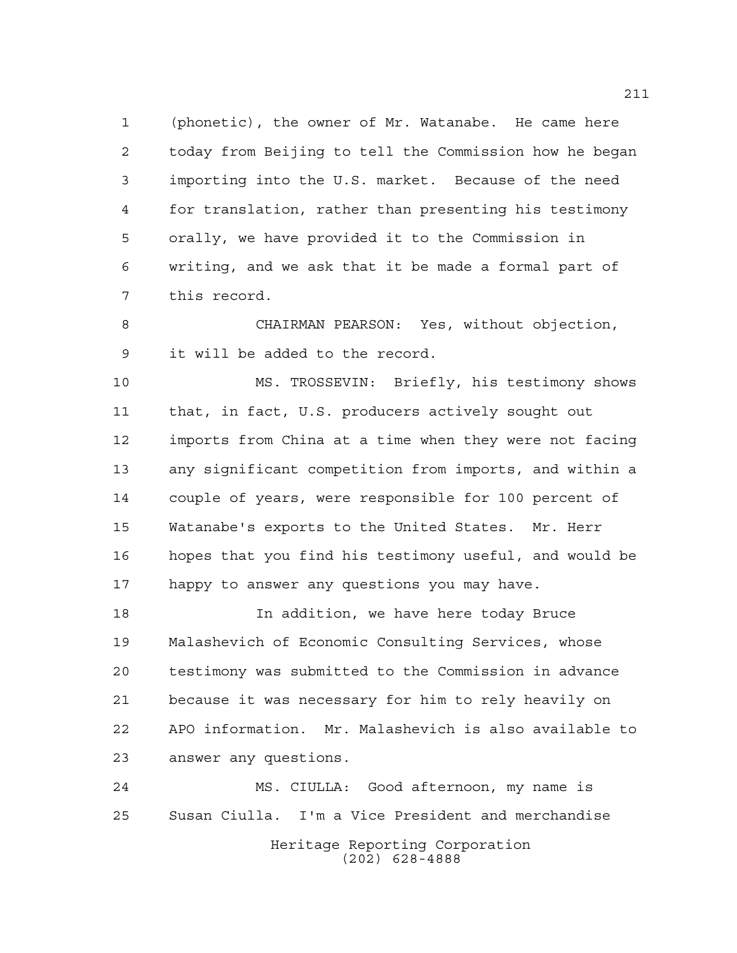(phonetic), the owner of Mr. Watanabe. He came here today from Beijing to tell the Commission how he began importing into the U.S. market. Because of the need for translation, rather than presenting his testimony orally, we have provided it to the Commission in writing, and we ask that it be made a formal part of this record.

 CHAIRMAN PEARSON: Yes, without objection, it will be added to the record.

 MS. TROSSEVIN: Briefly, his testimony shows that, in fact, U.S. producers actively sought out imports from China at a time when they were not facing any significant competition from imports, and within a couple of years, were responsible for 100 percent of Watanabe's exports to the United States. Mr. Herr hopes that you find his testimony useful, and would be happy to answer any questions you may have.

 In addition, we have here today Bruce Malashevich of Economic Consulting Services, whose testimony was submitted to the Commission in advance because it was necessary for him to rely heavily on APO information. Mr. Malashevich is also available to answer any questions.

Heritage Reporting Corporation (202) 628-4888 MS. CIULLA: Good afternoon, my name is Susan Ciulla. I'm a Vice President and merchandise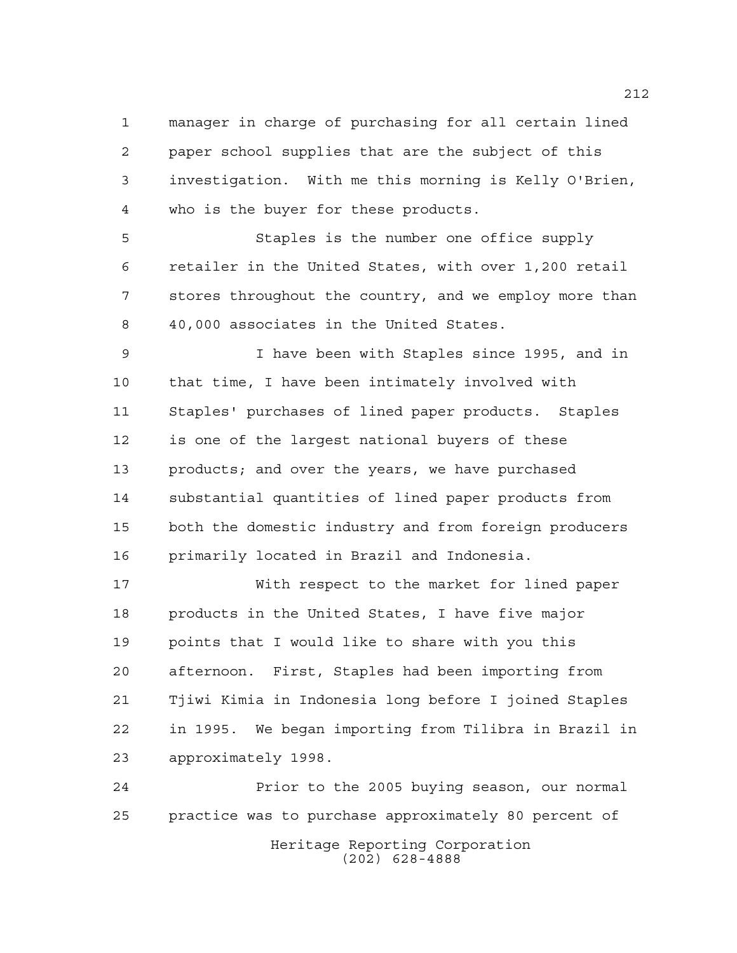manager in charge of purchasing for all certain lined paper school supplies that are the subject of this investigation. With me this morning is Kelly O'Brien, who is the buyer for these products.

 Staples is the number one office supply retailer in the United States, with over 1,200 retail stores throughout the country, and we employ more than 40,000 associates in the United States.

 I have been with Staples since 1995, and in that time, I have been intimately involved with Staples' purchases of lined paper products. Staples is one of the largest national buyers of these products; and over the years, we have purchased substantial quantities of lined paper products from both the domestic industry and from foreign producers primarily located in Brazil and Indonesia.

 With respect to the market for lined paper products in the United States, I have five major points that I would like to share with you this afternoon. First, Staples had been importing from Tjiwi Kimia in Indonesia long before I joined Staples in 1995. We began importing from Tilibra in Brazil in approximately 1998.

Heritage Reporting Corporation (202) 628-4888 Prior to the 2005 buying season, our normal practice was to purchase approximately 80 percent of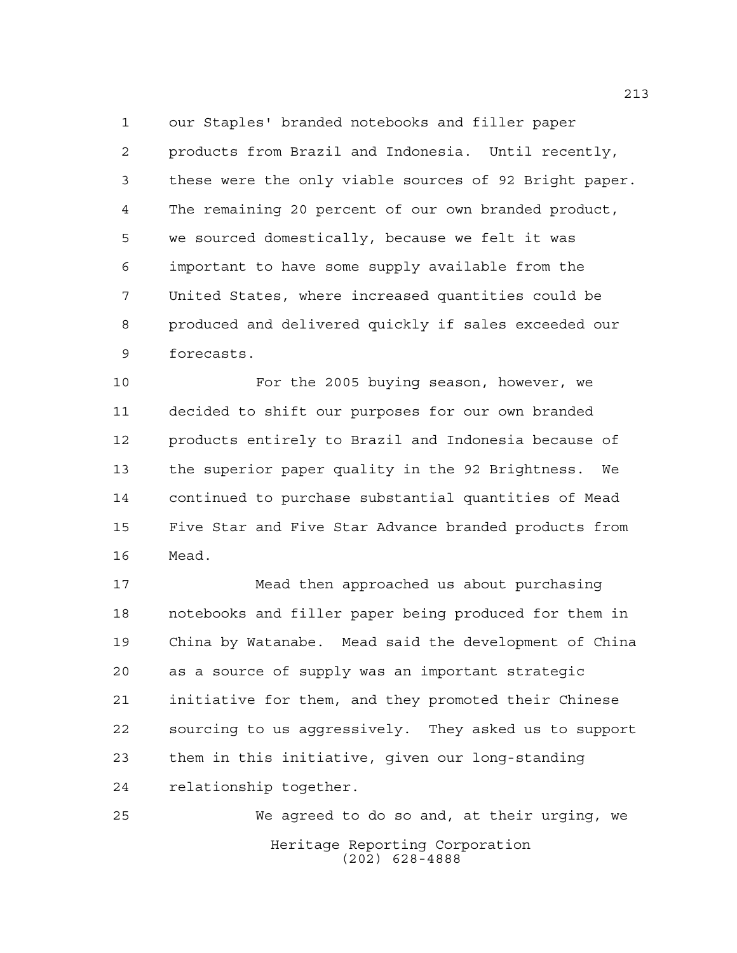our Staples' branded notebooks and filler paper products from Brazil and Indonesia. Until recently, these were the only viable sources of 92 Bright paper. The remaining 20 percent of our own branded product, we sourced domestically, because we felt it was important to have some supply available from the United States, where increased quantities could be produced and delivered quickly if sales exceeded our forecasts.

 For the 2005 buying season, however, we decided to shift our purposes for our own branded products entirely to Brazil and Indonesia because of the superior paper quality in the 92 Brightness. We continued to purchase substantial quantities of Mead Five Star and Five Star Advance branded products from Mead.

 Mead then approached us about purchasing notebooks and filler paper being produced for them in China by Watanabe. Mead said the development of China as a source of supply was an important strategic initiative for them, and they promoted their Chinese sourcing to us aggressively. They asked us to support them in this initiative, given our long-standing relationship together.

Heritage Reporting Corporation (202) 628-4888 We agreed to do so and, at their urging, we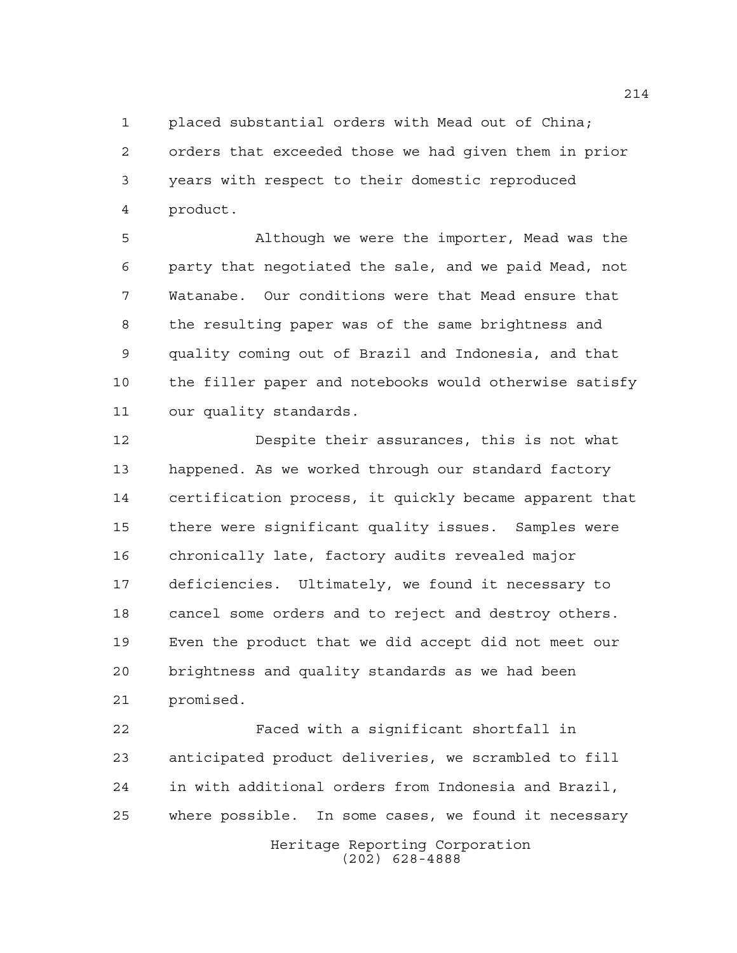placed substantial orders with Mead out of China; orders that exceeded those we had given them in prior years with respect to their domestic reproduced product.

 Although we were the importer, Mead was the party that negotiated the sale, and we paid Mead, not Watanabe. Our conditions were that Mead ensure that the resulting paper was of the same brightness and quality coming out of Brazil and Indonesia, and that the filler paper and notebooks would otherwise satisfy our quality standards.

 Despite their assurances, this is not what happened. As we worked through our standard factory certification process, it quickly became apparent that there were significant quality issues. Samples were chronically late, factory audits revealed major deficiencies. Ultimately, we found it necessary to cancel some orders and to reject and destroy others. Even the product that we did accept did not meet our brightness and quality standards as we had been promised.

 Faced with a significant shortfall in anticipated product deliveries, we scrambled to fill in with additional orders from Indonesia and Brazil, where possible. In some cases, we found it necessary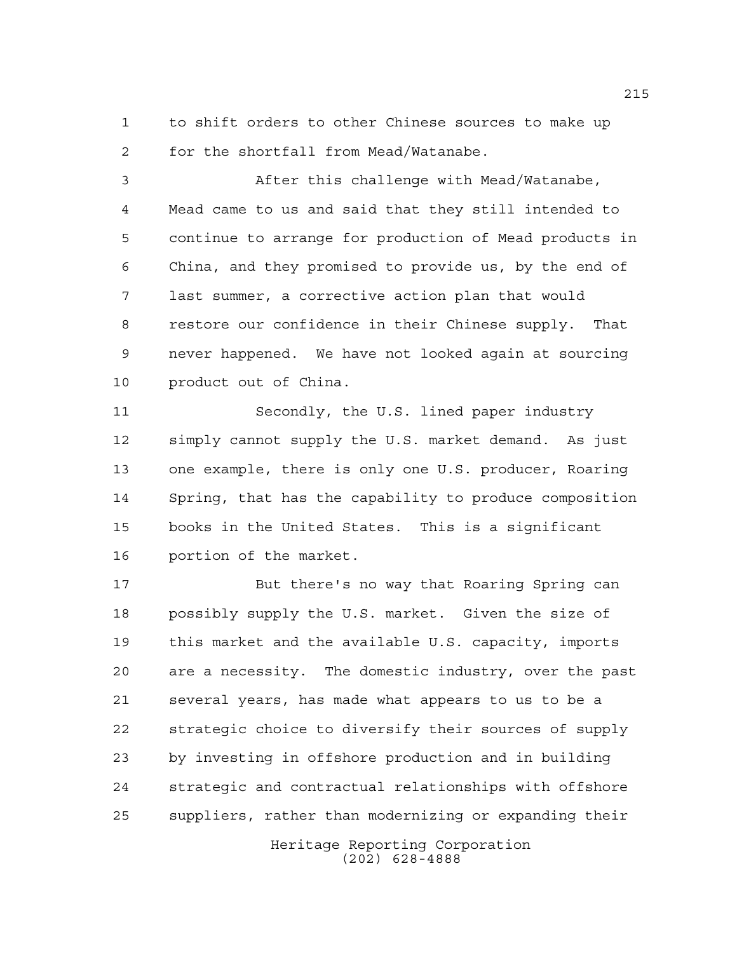to shift orders to other Chinese sources to make up for the shortfall from Mead/Watanabe.

 After this challenge with Mead/Watanabe, Mead came to us and said that they still intended to continue to arrange for production of Mead products in China, and they promised to provide us, by the end of last summer, a corrective action plan that would restore our confidence in their Chinese supply. That never happened. We have not looked again at sourcing product out of China.

 Secondly, the U.S. lined paper industry simply cannot supply the U.S. market demand. As just one example, there is only one U.S. producer, Roaring Spring, that has the capability to produce composition books in the United States. This is a significant portion of the market.

 But there's no way that Roaring Spring can possibly supply the U.S. market. Given the size of this market and the available U.S. capacity, imports are a necessity. The domestic industry, over the past several years, has made what appears to us to be a strategic choice to diversify their sources of supply by investing in offshore production and in building strategic and contractual relationships with offshore suppliers, rather than modernizing or expanding their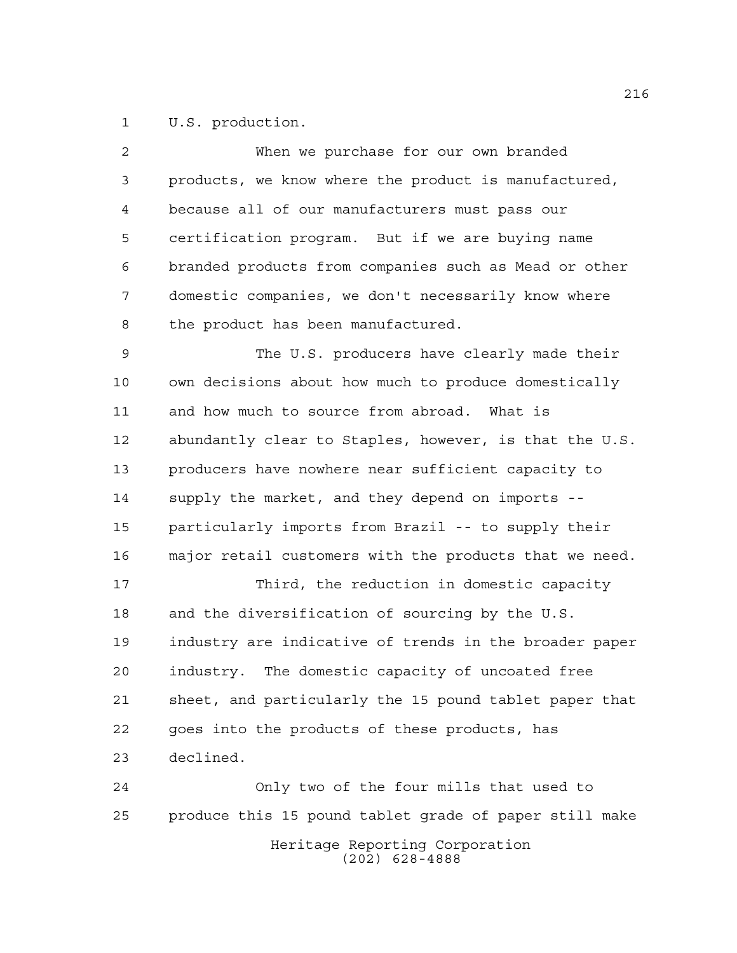U.S. production.

| 2  | When we purchase for our own branded                   |
|----|--------------------------------------------------------|
| 3  | products, we know where the product is manufactured,   |
| 4  | because all of our manufacturers must pass our         |
| 5  | certification program. But if we are buying name       |
| 6  | branded products from companies such as Mead or other  |
| 7  | domestic companies, we don't necessarily know where    |
| 8  | the product has been manufactured.                     |
| 9  | The U.S. producers have clearly made their             |
| 10 | own decisions about how much to produce domestically   |
| 11 | and how much to source from abroad. What is            |
| 12 | abundantly clear to Staples, however, is that the U.S. |
| 13 | producers have nowhere near sufficient capacity to     |
| 14 | supply the market, and they depend on imports --       |
| 15 | particularly imports from Brazil -- to supply their    |
| 16 | major retail customers with the products that we need. |
| 17 | Third, the reduction in domestic capacity              |
| 18 | and the diversification of sourcing by the U.S.        |
| 19 | industry are indicative of trends in the broader paper |
| 20 | industry. The domestic capacity of uncoated free       |
| 21 | sheet, and particularly the 15 pound tablet paper that |
| 22 | goes into the products of these products, has          |
| 23 | declined.                                              |
| 24 | Only two of the four mills that used to                |
| 25 | produce this 15 pound tablet grade of paper still make |
|    |                                                        |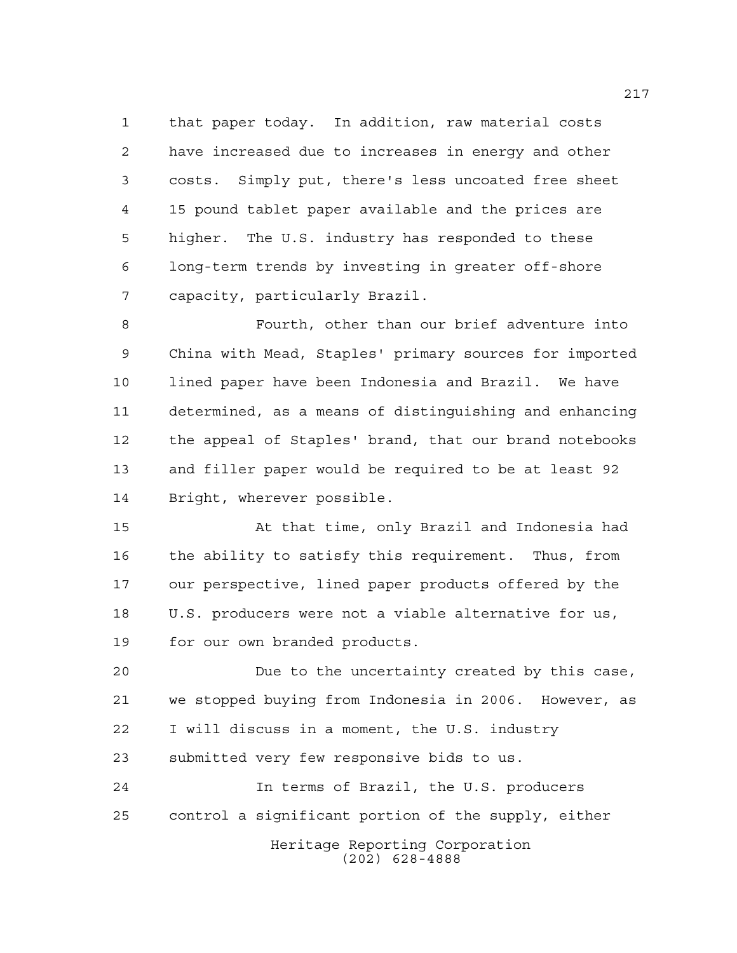that paper today. In addition, raw material costs have increased due to increases in energy and other costs. Simply put, there's less uncoated free sheet 15 pound tablet paper available and the prices are higher. The U.S. industry has responded to these long-term trends by investing in greater off-shore capacity, particularly Brazil.

 Fourth, other than our brief adventure into China with Mead, Staples' primary sources for imported lined paper have been Indonesia and Brazil. We have determined, as a means of distinguishing and enhancing the appeal of Staples' brand, that our brand notebooks and filler paper would be required to be at least 92 Bright, wherever possible.

 At that time, only Brazil and Indonesia had the ability to satisfy this requirement. Thus, from our perspective, lined paper products offered by the U.S. producers were not a viable alternative for us, for our own branded products.

 Due to the uncertainty created by this case, we stopped buying from Indonesia in 2006. However, as I will discuss in a moment, the U.S. industry submitted very few responsive bids to us.

Heritage Reporting Corporation In terms of Brazil, the U.S. producers control a significant portion of the supply, either

(202) 628-4888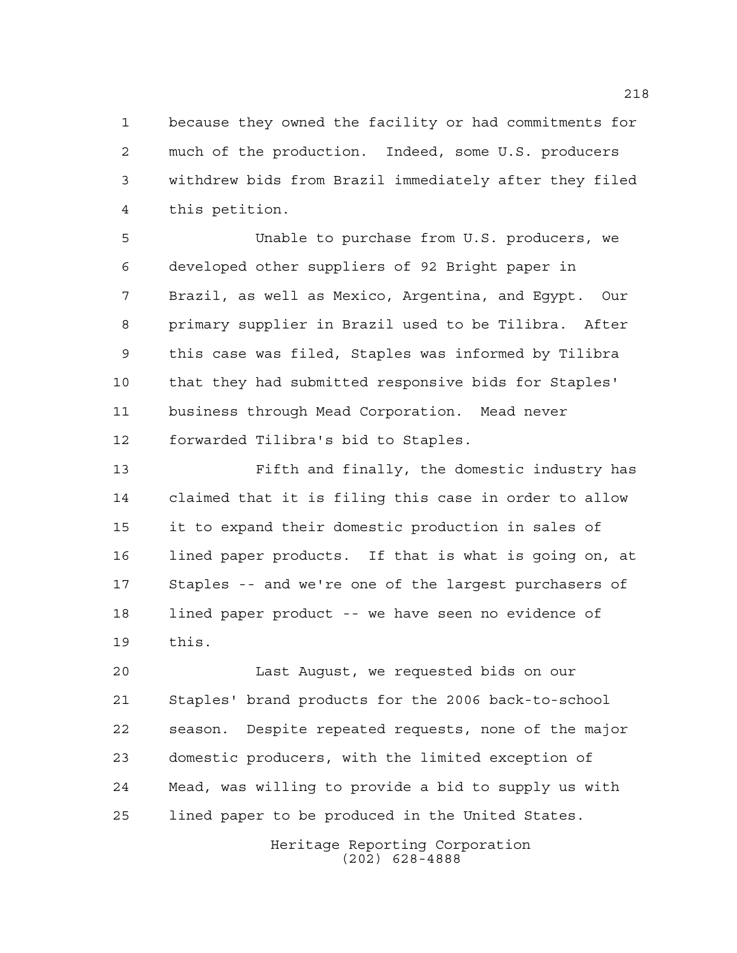because they owned the facility or had commitments for much of the production. Indeed, some U.S. producers withdrew bids from Brazil immediately after they filed this petition.

 Unable to purchase from U.S. producers, we developed other suppliers of 92 Bright paper in Brazil, as well as Mexico, Argentina, and Egypt. Our primary supplier in Brazil used to be Tilibra. After this case was filed, Staples was informed by Tilibra that they had submitted responsive bids for Staples' business through Mead Corporation. Mead never forwarded Tilibra's bid to Staples.

 Fifth and finally, the domestic industry has claimed that it is filing this case in order to allow it to expand their domestic production in sales of lined paper products. If that is what is going on, at Staples -- and we're one of the largest purchasers of lined paper product -- we have seen no evidence of this.

 Last August, we requested bids on our Staples' brand products for the 2006 back-to-school season. Despite repeated requests, none of the major domestic producers, with the limited exception of Mead, was willing to provide a bid to supply us with lined paper to be produced in the United States.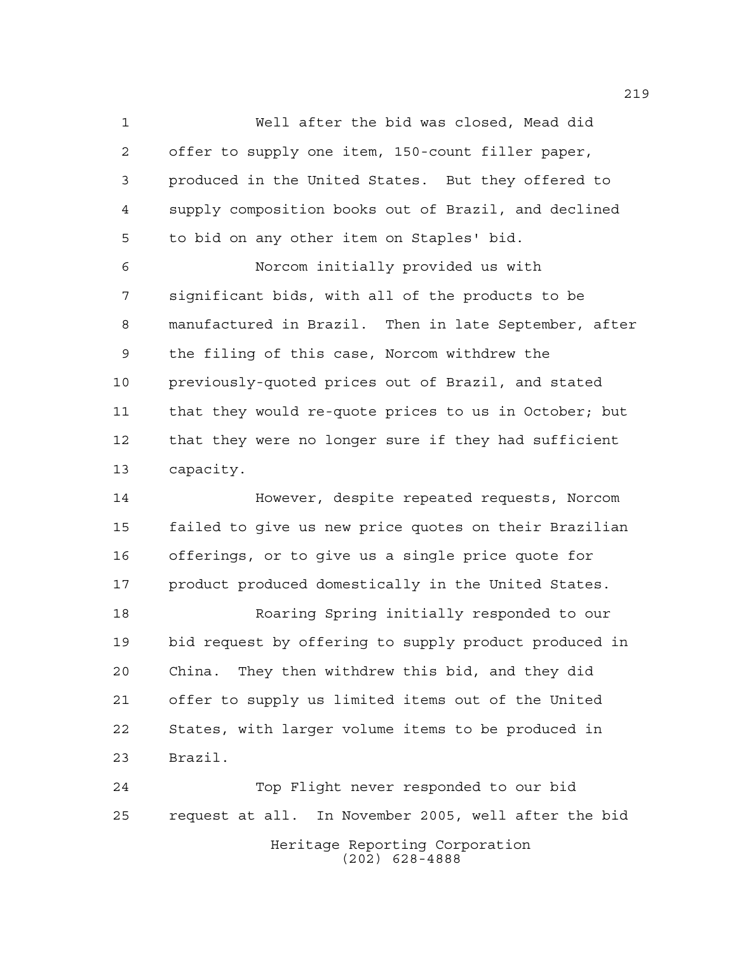Well after the bid was closed, Mead did offer to supply one item, 150-count filler paper, produced in the United States. But they offered to supply composition books out of Brazil, and declined to bid on any other item on Staples' bid. Norcom initially provided us with significant bids, with all of the products to be manufactured in Brazil. Then in late September, after the filing of this case, Norcom withdrew the previously-quoted prices out of Brazil, and stated that they would re-quote prices to us in October; but that they were no longer sure if they had sufficient capacity.

 However, despite repeated requests, Norcom failed to give us new price quotes on their Brazilian offerings, or to give us a single price quote for 17 product produced domestically in the United States.

 Roaring Spring initially responded to our bid request by offering to supply product produced in China. They then withdrew this bid, and they did offer to supply us limited items out of the United States, with larger volume items to be produced in Brazil.

Heritage Reporting Corporation (202) 628-4888 Top Flight never responded to our bid request at all. In November 2005, well after the bid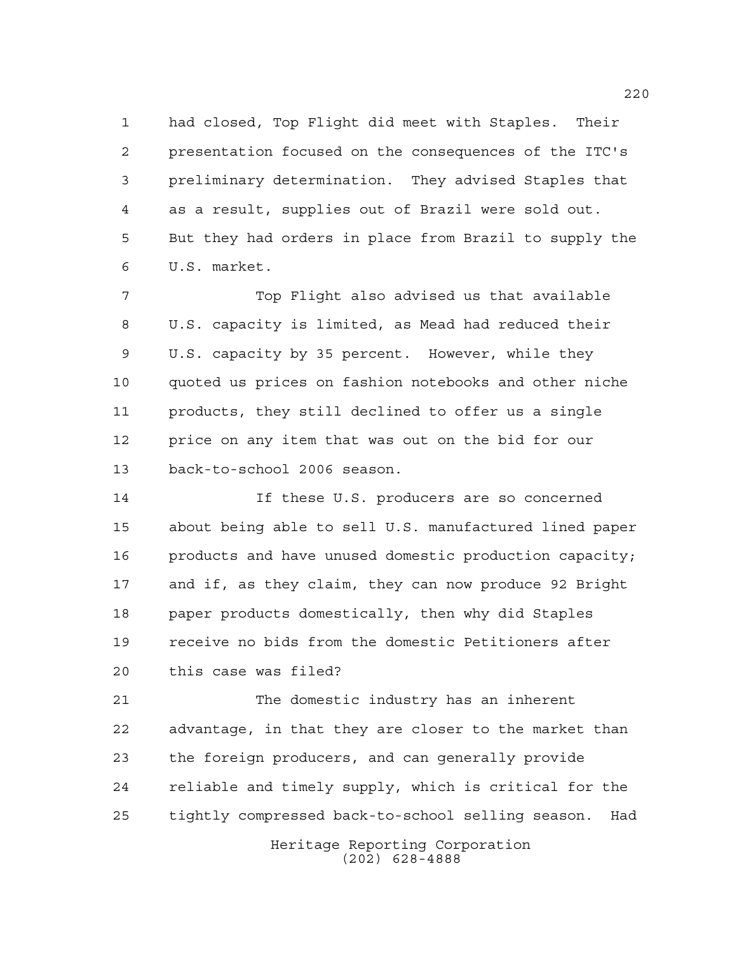had closed, Top Flight did meet with Staples. Their presentation focused on the consequences of the ITC's preliminary determination. They advised Staples that as a result, supplies out of Brazil were sold out. But they had orders in place from Brazil to supply the U.S. market.

 Top Flight also advised us that available U.S. capacity is limited, as Mead had reduced their U.S. capacity by 35 percent. However, while they quoted us prices on fashion notebooks and other niche products, they still declined to offer us a single price on any item that was out on the bid for our back-to-school 2006 season.

 If these U.S. producers are so concerned about being able to sell U.S. manufactured lined paper products and have unused domestic production capacity; and if, as they claim, they can now produce 92 Bright paper products domestically, then why did Staples receive no bids from the domestic Petitioners after this case was filed?

 The domestic industry has an inherent advantage, in that they are closer to the market than the foreign producers, and can generally provide reliable and timely supply, which is critical for the tightly compressed back-to-school selling season. Had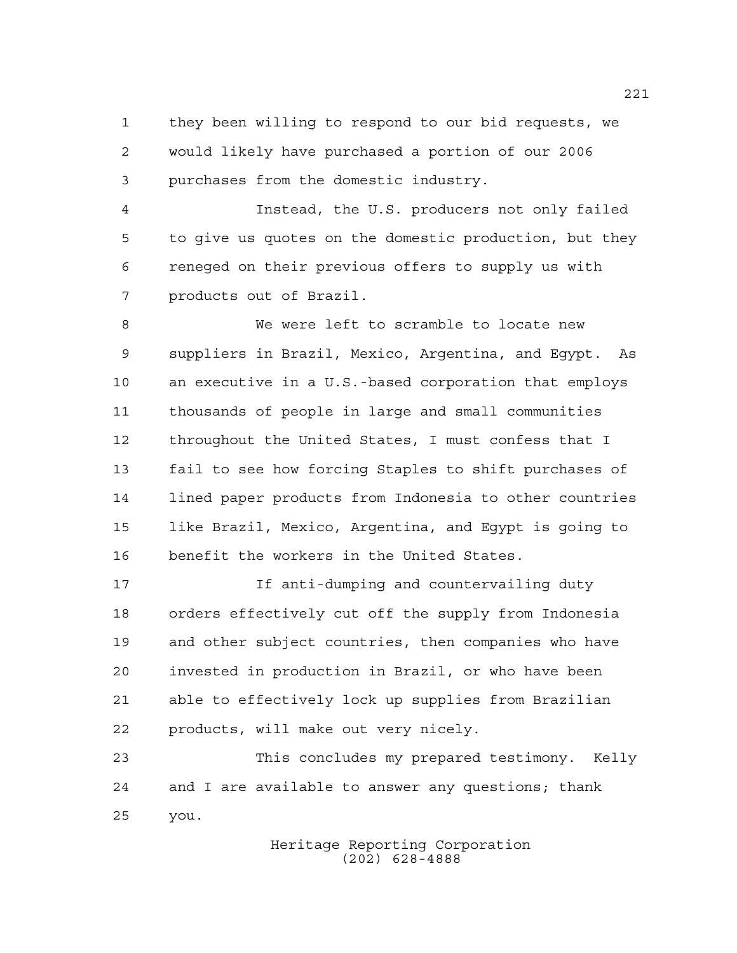they been willing to respond to our bid requests, we would likely have purchased a portion of our 2006 purchases from the domestic industry.

 Instead, the U.S. producers not only failed to give us quotes on the domestic production, but they reneged on their previous offers to supply us with products out of Brazil.

 We were left to scramble to locate new suppliers in Brazil, Mexico, Argentina, and Egypt. As an executive in a U.S.-based corporation that employs thousands of people in large and small communities throughout the United States, I must confess that I fail to see how forcing Staples to shift purchases of lined paper products from Indonesia to other countries like Brazil, Mexico, Argentina, and Egypt is going to benefit the workers in the United States.

 If anti-dumping and countervailing duty orders effectively cut off the supply from Indonesia and other subject countries, then companies who have invested in production in Brazil, or who have been able to effectively lock up supplies from Brazilian products, will make out very nicely.

 This concludes my prepared testimony. Kelly and I are available to answer any questions; thank you.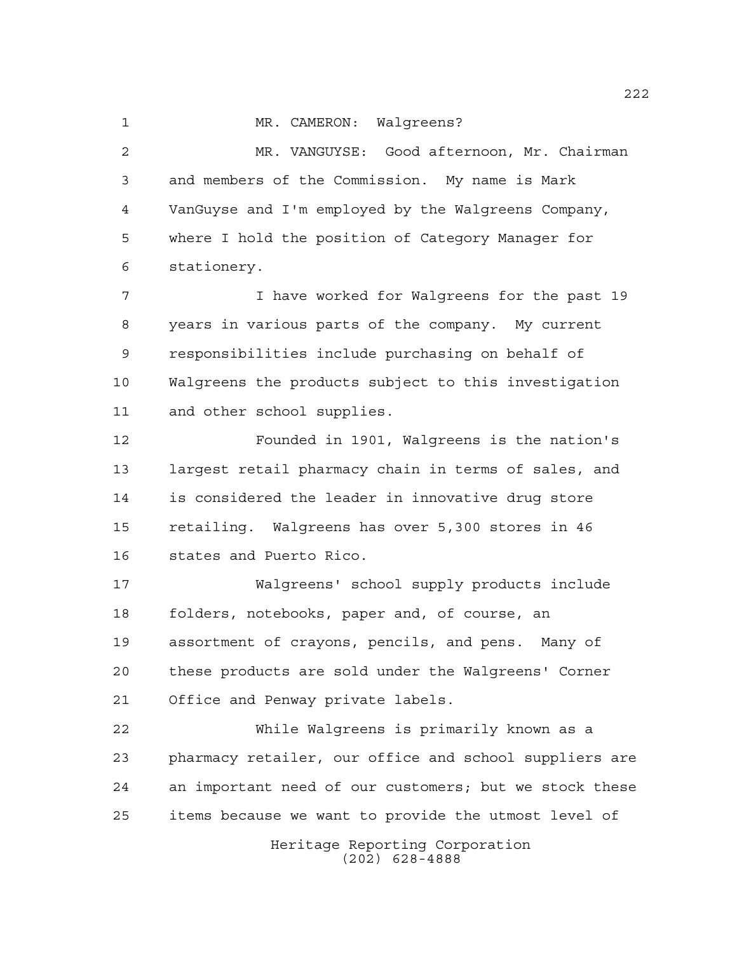1 MR. CAMERON: Walgreens? MR. VANGUYSE: Good afternoon, Mr. Chairman and members of the Commission. My name is Mark VanGuyse and I'm employed by the Walgreens Company, where I hold the position of Category Manager for stationery. I have worked for Walgreens for the past 19 years in various parts of the company. My current responsibilities include purchasing on behalf of Walgreens the products subject to this investigation and other school supplies.

 Founded in 1901, Walgreens is the nation's largest retail pharmacy chain in terms of sales, and is considered the leader in innovative drug store retailing. Walgreens has over 5,300 stores in 46 states and Puerto Rico.

 Walgreens' school supply products include folders, notebooks, paper and, of course, an assortment of crayons, pencils, and pens. Many of these products are sold under the Walgreens' Corner Office and Penway private labels.

 While Walgreens is primarily known as a pharmacy retailer, our office and school suppliers are an important need of our customers; but we stock these items because we want to provide the utmost level of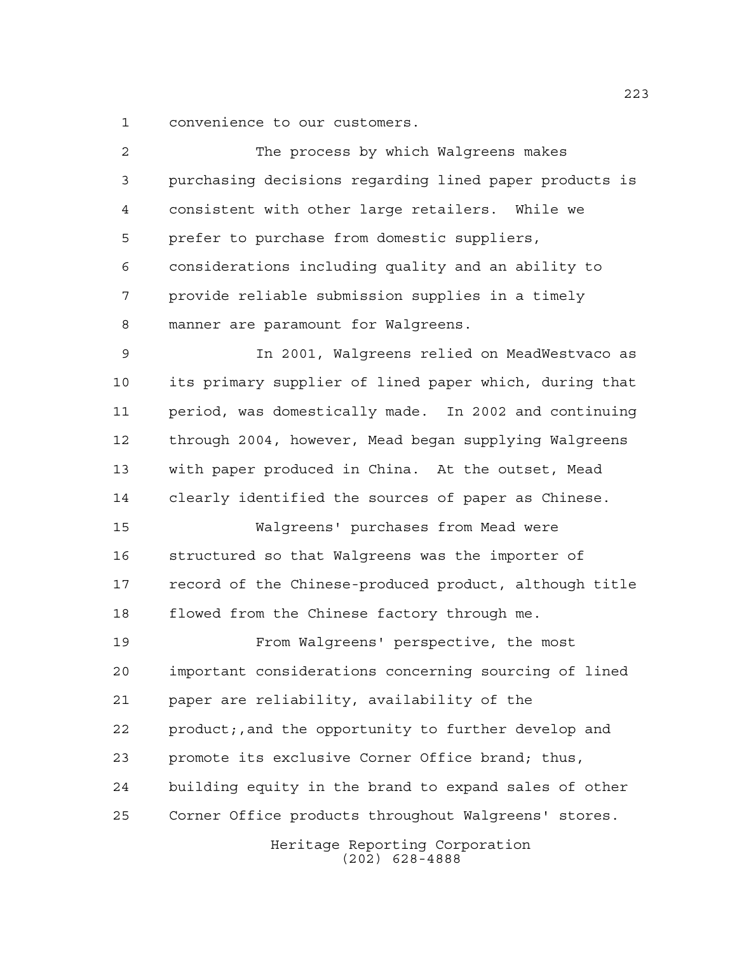convenience to our customers.

| $\overline{2}$ | The process by which Walgreens makes                   |
|----------------|--------------------------------------------------------|
| 3              | purchasing decisions regarding lined paper products is |
| 4              | consistent with other large retailers. While we        |
| 5              | prefer to purchase from domestic suppliers,            |
| 6              | considerations including quality and an ability to     |
| 7              | provide reliable submission supplies in a timely       |
| 8              | manner are paramount for Walgreens.                    |
| 9              | In 2001, Walgreens relied on MeadWestvaco as           |
| 10             | its primary supplier of lined paper which, during that |
| 11             | period, was domestically made. In 2002 and continuing  |
| 12             | through 2004, however, Mead began supplying Walgreens  |
| 13             | with paper produced in China. At the outset, Mead      |
| 14             | clearly identified the sources of paper as Chinese.    |
| 15             | Walgreens' purchases from Mead were                    |
| 16             | structured so that Walgreens was the importer of       |
| 17             | record of the Chinese-produced product, although title |
| 18             | flowed from the Chinese factory through me.            |
| 19             | From Walgreens' perspective, the most                  |
| 20             | important considerations concerning sourcing of lined  |
| 21             | paper are reliability, availability of the             |
| 22             | product;, and the opportunity to further develop and   |
| 23             | promote its exclusive Corner Office brand; thus,       |
| 24             | building equity in the brand to expand sales of other  |
| 25             | Corner Office products throughout Walgreens' stores.   |
|                | Heritage Reporting Corporation<br>$(202)$ 628-4888     |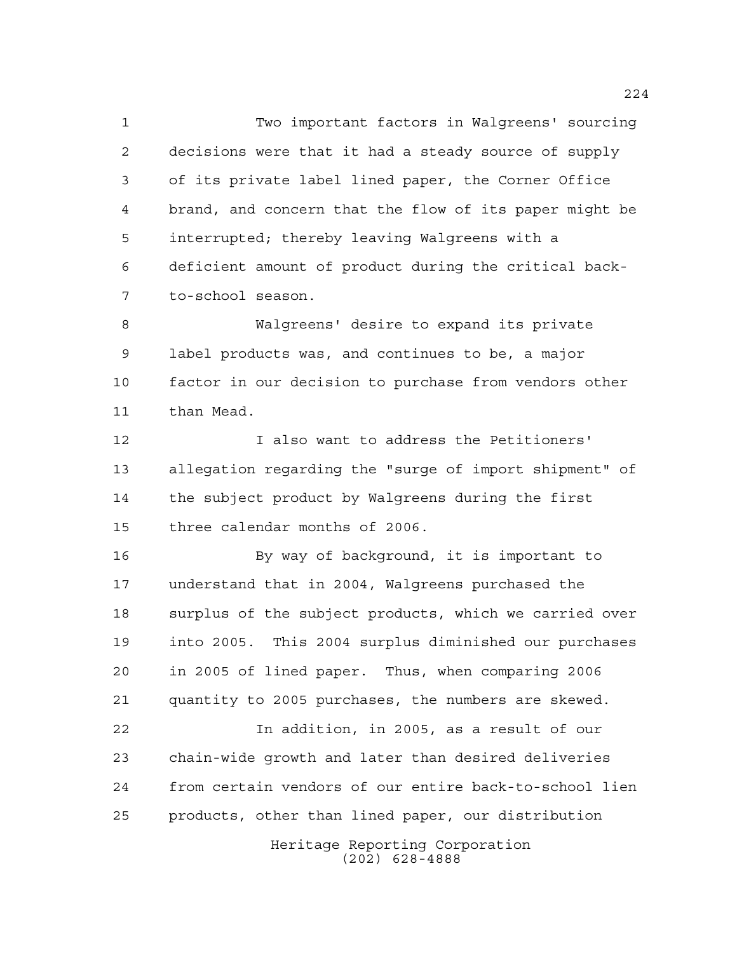Two important factors in Walgreens' sourcing decisions were that it had a steady source of supply of its private label lined paper, the Corner Office brand, and concern that the flow of its paper might be interrupted; thereby leaving Walgreens with a deficient amount of product during the critical back-to-school season.

 Walgreens' desire to expand its private label products was, and continues to be, a major factor in our decision to purchase from vendors other than Mead.

 I also want to address the Petitioners' allegation regarding the "surge of import shipment" of the subject product by Walgreens during the first three calendar months of 2006.

 By way of background, it is important to understand that in 2004, Walgreens purchased the surplus of the subject products, which we carried over into 2005. This 2004 surplus diminished our purchases in 2005 of lined paper. Thus, when comparing 2006 quantity to 2005 purchases, the numbers are skewed.

 In addition, in 2005, as a result of our chain-wide growth and later than desired deliveries from certain vendors of our entire back-to-school lien products, other than lined paper, our distribution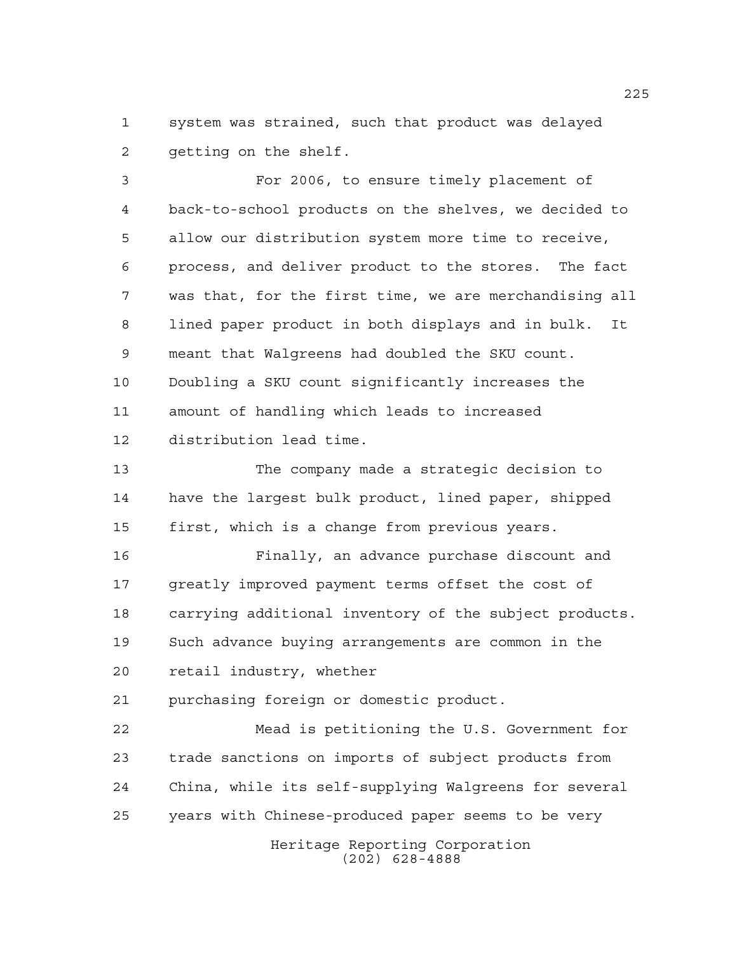system was strained, such that product was delayed getting on the shelf.

 For 2006, to ensure timely placement of back-to-school products on the shelves, we decided to allow our distribution system more time to receive, process, and deliver product to the stores. The fact was that, for the first time, we are merchandising all lined paper product in both displays and in bulk. It meant that Walgreens had doubled the SKU count. Doubling a SKU count significantly increases the amount of handling which leads to increased distribution lead time.

 The company made a strategic decision to have the largest bulk product, lined paper, shipped first, which is a change from previous years.

 Finally, an advance purchase discount and greatly improved payment terms offset the cost of carrying additional inventory of the subject products. Such advance buying arrangements are common in the retail industry, whether

purchasing foreign or domestic product.

 Mead is petitioning the U.S. Government for trade sanctions on imports of subject products from China, while its self-supplying Walgreens for several years with Chinese-produced paper seems to be very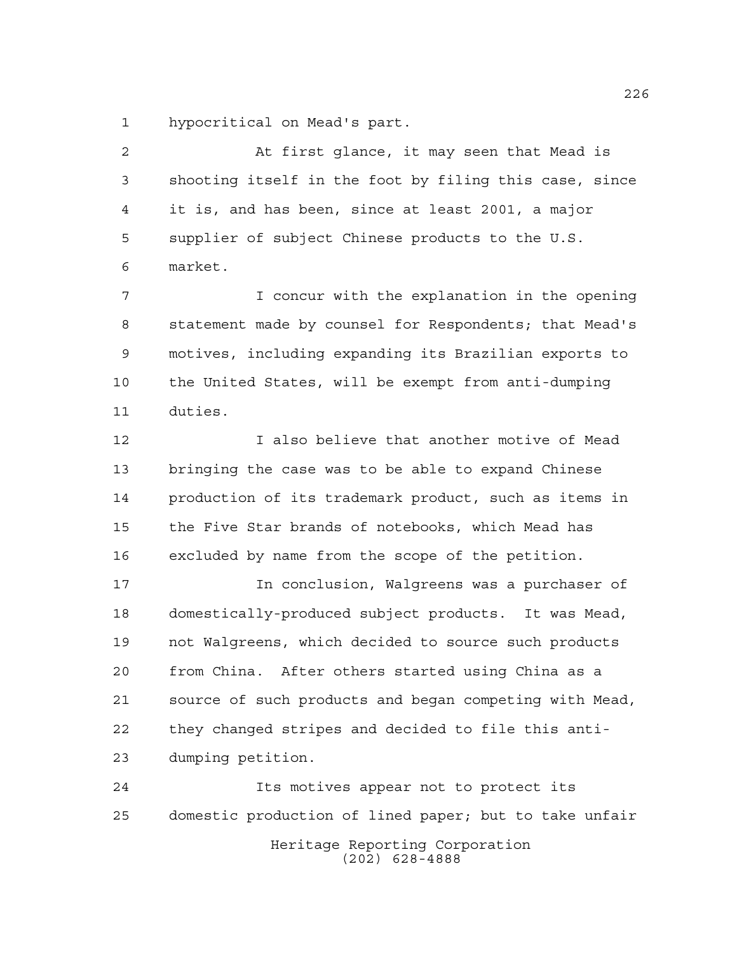hypocritical on Mead's part.

 At first glance, it may seen that Mead is shooting itself in the foot by filing this case, since it is, and has been, since at least 2001, a major supplier of subject Chinese products to the U.S. market.

 I concur with the explanation in the opening statement made by counsel for Respondents; that Mead's motives, including expanding its Brazilian exports to the United States, will be exempt from anti-dumping duties.

 I also believe that another motive of Mead bringing the case was to be able to expand Chinese production of its trademark product, such as items in the Five Star brands of notebooks, which Mead has excluded by name from the scope of the petition.

 In conclusion, Walgreens was a purchaser of domestically-produced subject products. It was Mead, not Walgreens, which decided to source such products from China. After others started using China as a source of such products and began competing with Mead, they changed stripes and decided to file this anti-dumping petition.

Heritage Reporting Corporation (202) 628-4888 Its motives appear not to protect its domestic production of lined paper; but to take unfair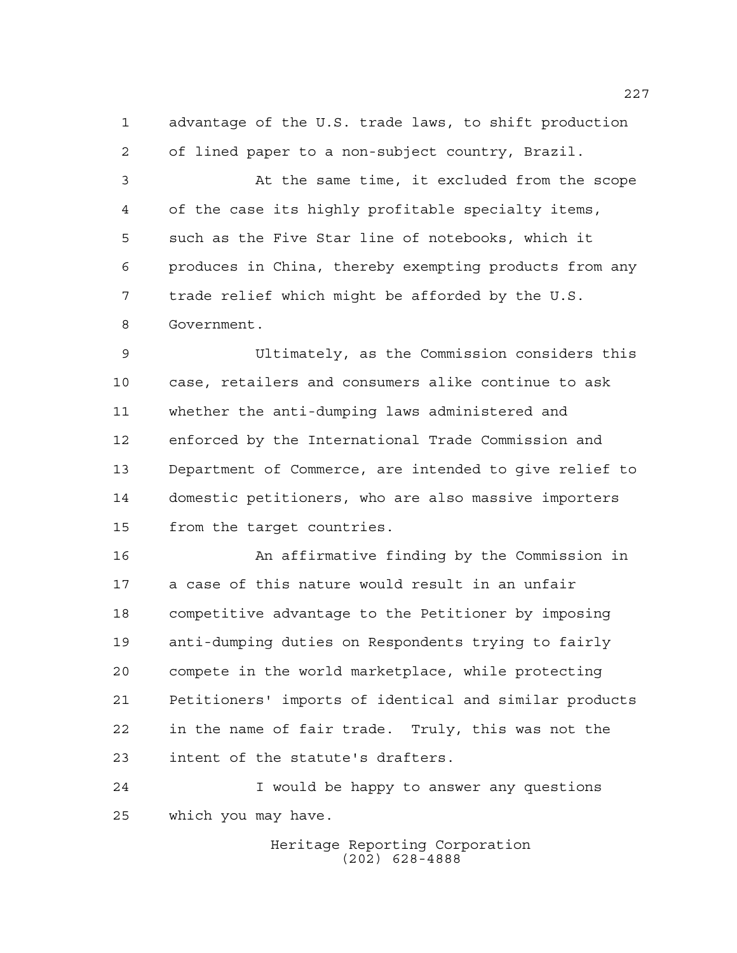advantage of the U.S. trade laws, to shift production of lined paper to a non-subject country, Brazil.

 At the same time, it excluded from the scope of the case its highly profitable specialty items, such as the Five Star line of notebooks, which it produces in China, thereby exempting products from any trade relief which might be afforded by the U.S. Government.

 Ultimately, as the Commission considers this case, retailers and consumers alike continue to ask whether the anti-dumping laws administered and enforced by the International Trade Commission and Department of Commerce, are intended to give relief to domestic petitioners, who are also massive importers from the target countries.

 An affirmative finding by the Commission in a case of this nature would result in an unfair competitive advantage to the Petitioner by imposing anti-dumping duties on Respondents trying to fairly compete in the world marketplace, while protecting Petitioners' imports of identical and similar products in the name of fair trade. Truly, this was not the intent of the statute's drafters.

 I would be happy to answer any questions which you may have.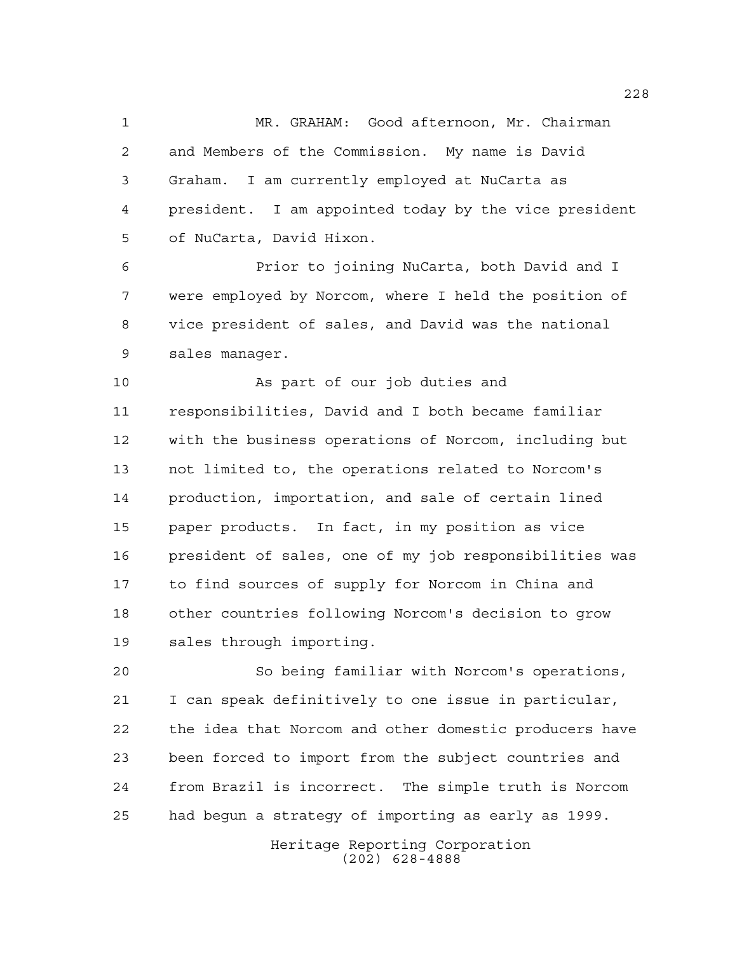MR. GRAHAM: Good afternoon, Mr. Chairman and Members of the Commission. My name is David Graham. I am currently employed at NuCarta as president. I am appointed today by the vice president of NuCarta, David Hixon.

 Prior to joining NuCarta, both David and I were employed by Norcom, where I held the position of vice president of sales, and David was the national sales manager.

 As part of our job duties and responsibilities, David and I both became familiar with the business operations of Norcom, including but not limited to, the operations related to Norcom's production, importation, and sale of certain lined paper products. In fact, in my position as vice president of sales, one of my job responsibilities was to find sources of supply for Norcom in China and other countries following Norcom's decision to grow sales through importing.

 So being familiar with Norcom's operations, I can speak definitively to one issue in particular, the idea that Norcom and other domestic producers have been forced to import from the subject countries and from Brazil is incorrect. The simple truth is Norcom had begun a strategy of importing as early as 1999.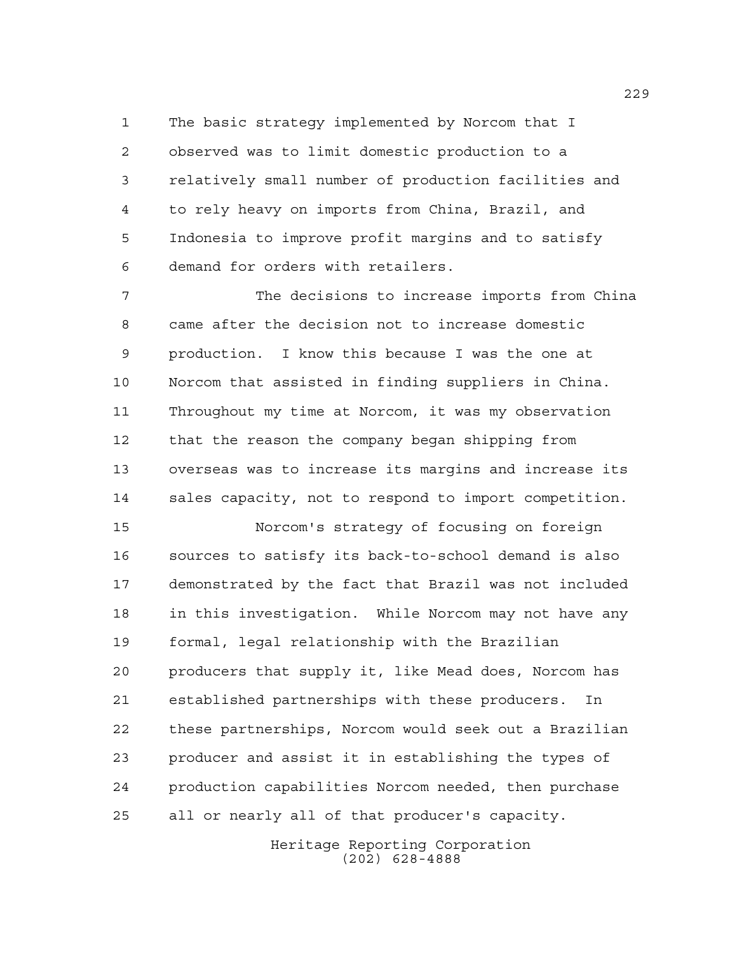The basic strategy implemented by Norcom that I observed was to limit domestic production to a relatively small number of production facilities and to rely heavy on imports from China, Brazil, and Indonesia to improve profit margins and to satisfy demand for orders with retailers.

 The decisions to increase imports from China came after the decision not to increase domestic production. I know this because I was the one at Norcom that assisted in finding suppliers in China. Throughout my time at Norcom, it was my observation that the reason the company began shipping from overseas was to increase its margins and increase its sales capacity, not to respond to import competition.

 Norcom's strategy of focusing on foreign sources to satisfy its back-to-school demand is also demonstrated by the fact that Brazil was not included in this investigation. While Norcom may not have any formal, legal relationship with the Brazilian producers that supply it, like Mead does, Norcom has established partnerships with these producers. In these partnerships, Norcom would seek out a Brazilian producer and assist it in establishing the types of production capabilities Norcom needed, then purchase all or nearly all of that producer's capacity.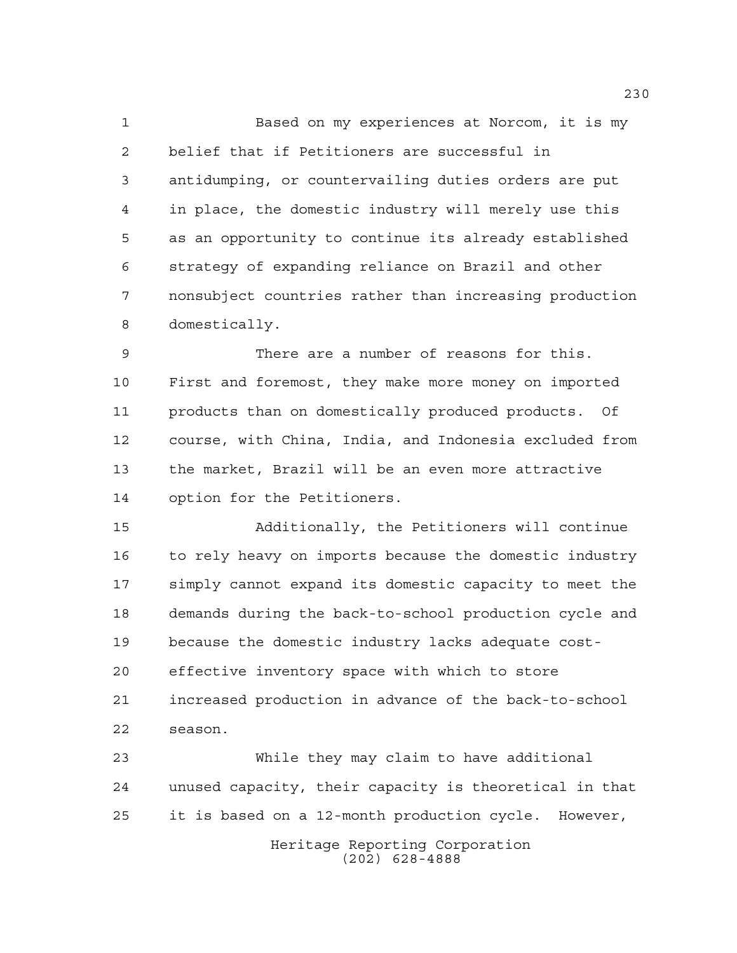Based on my experiences at Norcom, it is my belief that if Petitioners are successful in antidumping, or countervailing duties orders are put in place, the domestic industry will merely use this as an opportunity to continue its already established strategy of expanding reliance on Brazil and other nonsubject countries rather than increasing production domestically.

 There are a number of reasons for this. First and foremost, they make more money on imported products than on domestically produced products. Of course, with China, India, and Indonesia excluded from the market, Brazil will be an even more attractive option for the Petitioners.

 Additionally, the Petitioners will continue to rely heavy on imports because the domestic industry simply cannot expand its domestic capacity to meet the demands during the back-to-school production cycle and because the domestic industry lacks adequate cost- effective inventory space with which to store increased production in advance of the back-to-school season.

 While they may claim to have additional unused capacity, their capacity is theoretical in that it is based on a 12-month production cycle. However,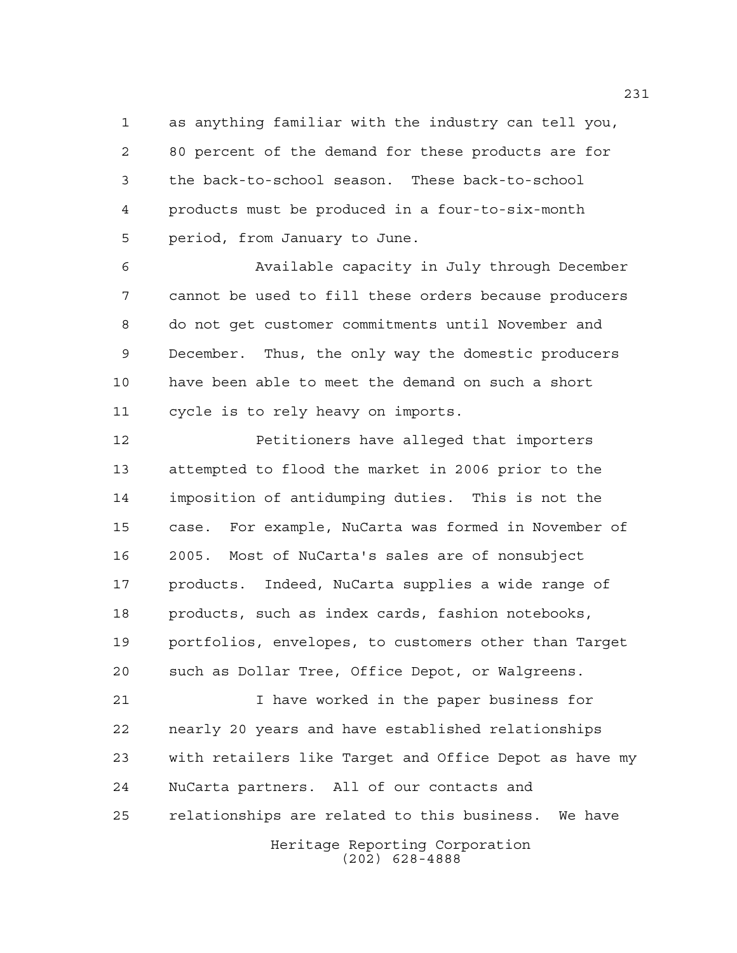as anything familiar with the industry can tell you, 80 percent of the demand for these products are for the back-to-school season. These back-to-school products must be produced in a four-to-six-month period, from January to June.

 Available capacity in July through December cannot be used to fill these orders because producers do not get customer commitments until November and December. Thus, the only way the domestic producers have been able to meet the demand on such a short cycle is to rely heavy on imports.

 Petitioners have alleged that importers attempted to flood the market in 2006 prior to the imposition of antidumping duties. This is not the case. For example, NuCarta was formed in November of 2005. Most of NuCarta's sales are of nonsubject products. Indeed, NuCarta supplies a wide range of products, such as index cards, fashion notebooks, portfolios, envelopes, to customers other than Target such as Dollar Tree, Office Depot, or Walgreens.

Heritage Reporting Corporation (202) 628-4888 I have worked in the paper business for nearly 20 years and have established relationships with retailers like Target and Office Depot as have my NuCarta partners. All of our contacts and relationships are related to this business. We have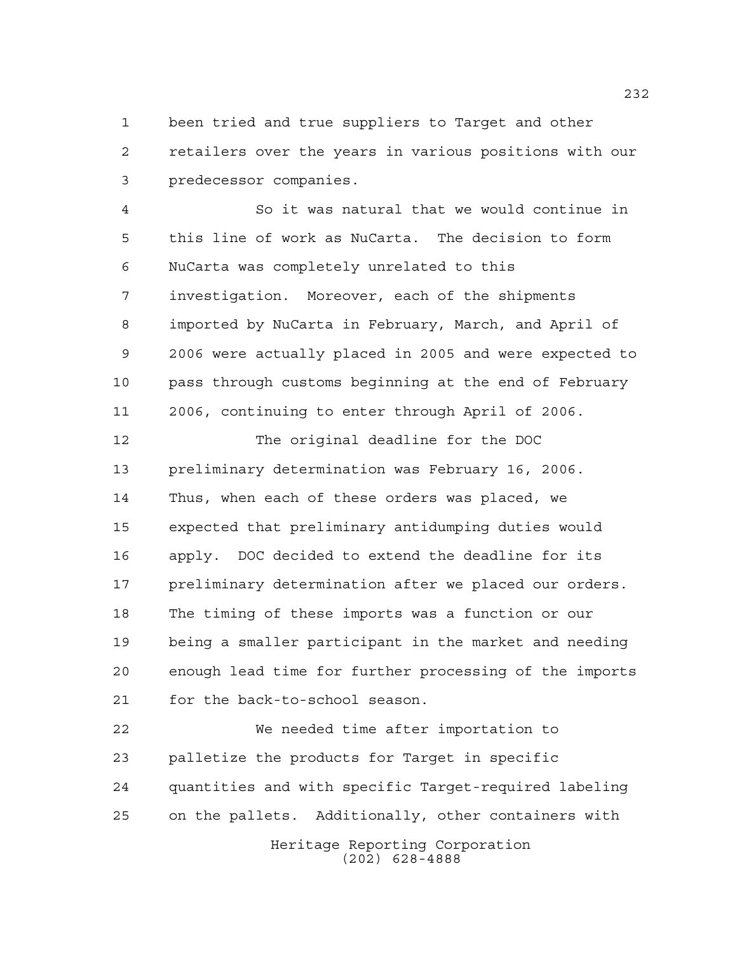been tried and true suppliers to Target and other retailers over the years in various positions with our predecessor companies.

 So it was natural that we would continue in this line of work as NuCarta. The decision to form NuCarta was completely unrelated to this investigation. Moreover, each of the shipments imported by NuCarta in February, March, and April of 2006 were actually placed in 2005 and were expected to pass through customs beginning at the end of February 2006, continuing to enter through April of 2006.

 The original deadline for the DOC preliminary determination was February 16, 2006. Thus, when each of these orders was placed, we expected that preliminary antidumping duties would apply. DOC decided to extend the deadline for its preliminary determination after we placed our orders. The timing of these imports was a function or our being a smaller participant in the market and needing enough lead time for further processing of the imports for the back-to-school season.

 We needed time after importation to palletize the products for Target in specific quantities and with specific Target-required labeling on the pallets. Additionally, other containers with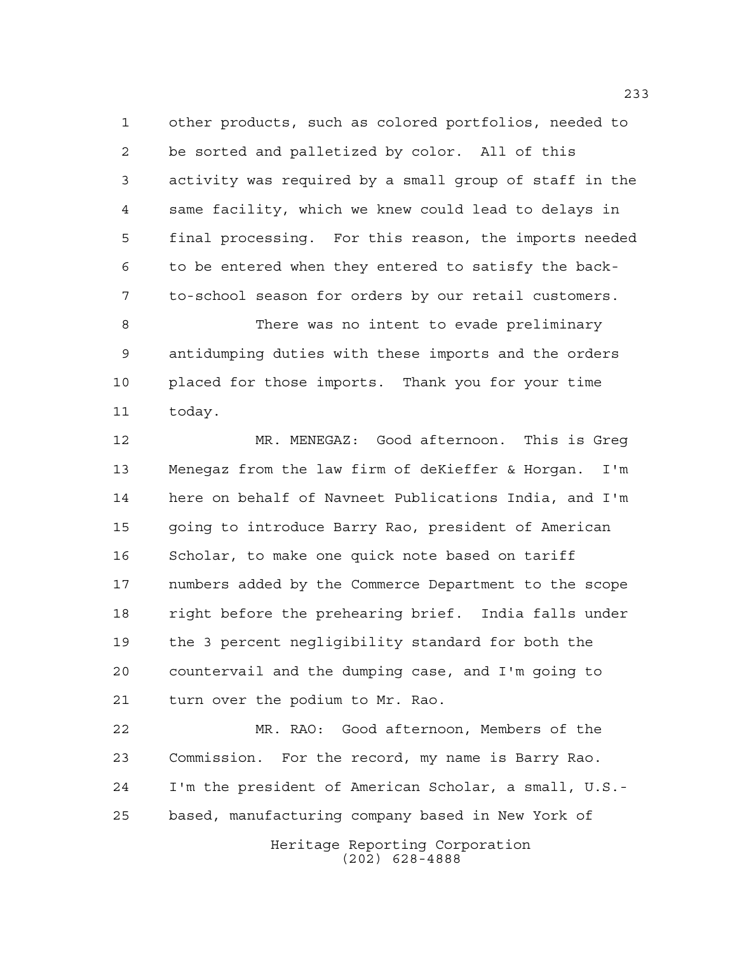other products, such as colored portfolios, needed to be sorted and palletized by color. All of this activity was required by a small group of staff in the same facility, which we knew could lead to delays in final processing. For this reason, the imports needed to be entered when they entered to satisfy the back-to-school season for orders by our retail customers.

 There was no intent to evade preliminary antidumping duties with these imports and the orders placed for those imports. Thank you for your time today.

 MR. MENEGAZ: Good afternoon. This is Greg Menegaz from the law firm of deKieffer & Horgan. I'm here on behalf of Navneet Publications India, and I'm going to introduce Barry Rao, president of American Scholar, to make one quick note based on tariff numbers added by the Commerce Department to the scope right before the prehearing brief. India falls under the 3 percent negligibility standard for both the countervail and the dumping case, and I'm going to turn over the podium to Mr. Rao.

 MR. RAO: Good afternoon, Members of the Commission. For the record, my name is Barry Rao. I'm the president of American Scholar, a small, U.S.- based, manufacturing company based in New York of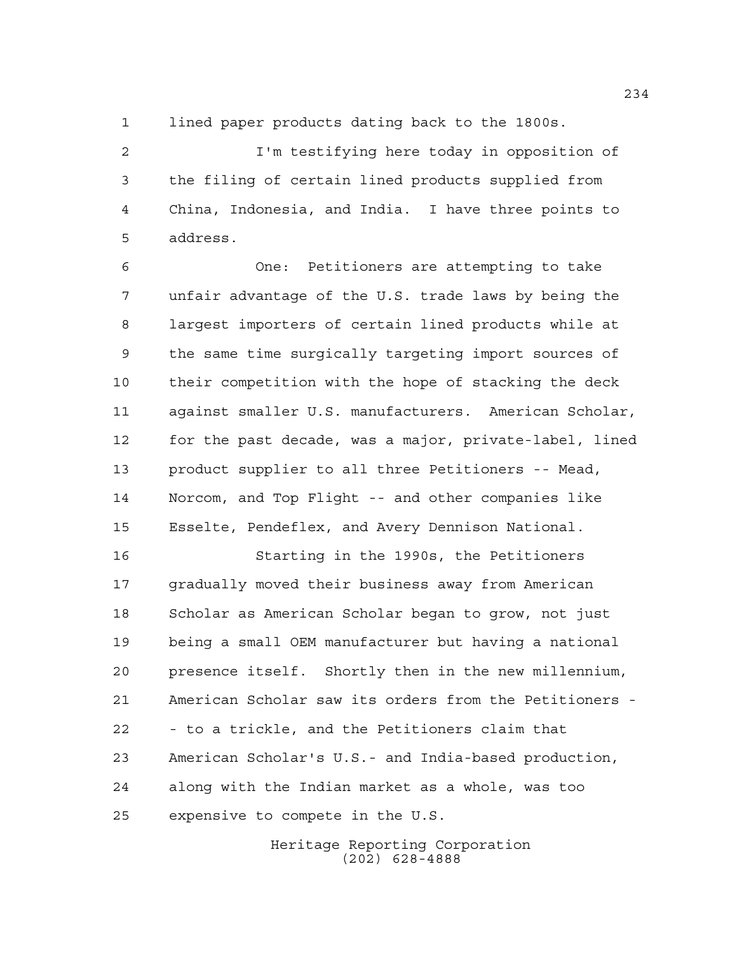lined paper products dating back to the 1800s.

 I'm testifying here today in opposition of the filing of certain lined products supplied from China, Indonesia, and India. I have three points to address.

 One: Petitioners are attempting to take unfair advantage of the U.S. trade laws by being the largest importers of certain lined products while at the same time surgically targeting import sources of their competition with the hope of stacking the deck against smaller U.S. manufacturers. American Scholar, for the past decade, was a major, private-label, lined product supplier to all three Petitioners -- Mead, Norcom, and Top Flight -- and other companies like Esselte, Pendeflex, and Avery Dennison National.

 Starting in the 1990s, the Petitioners gradually moved their business away from American Scholar as American Scholar began to grow, not just being a small OEM manufacturer but having a national presence itself. Shortly then in the new millennium, American Scholar saw its orders from the Petitioners - - to a trickle, and the Petitioners claim that American Scholar's U.S.- and India-based production, along with the Indian market as a whole, was too expensive to compete in the U.S.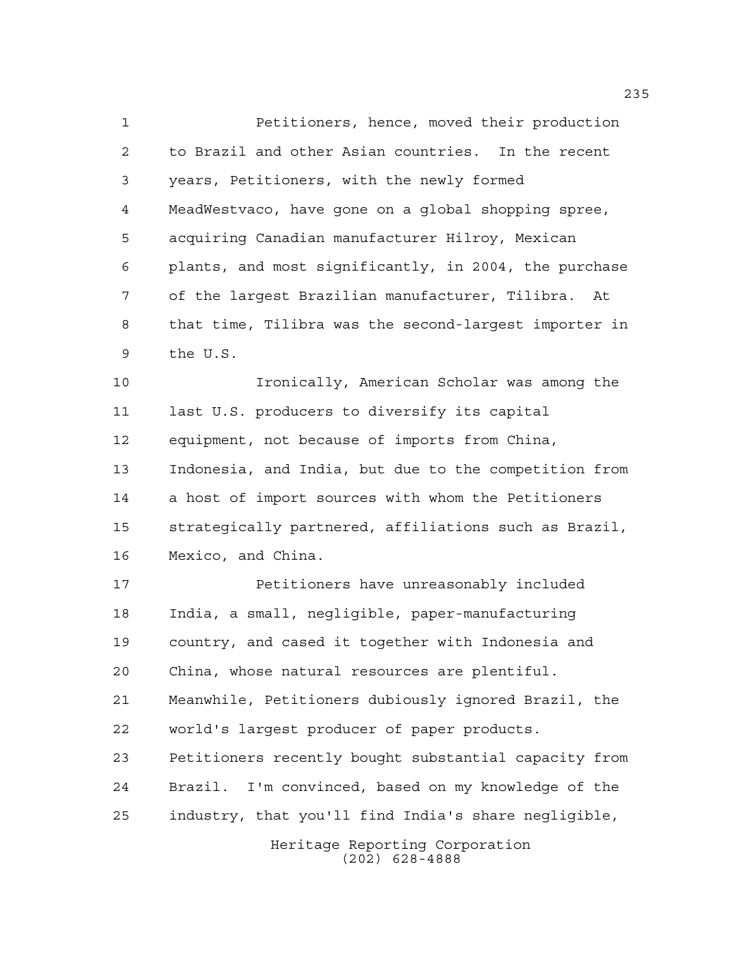Petitioners, hence, moved their production to Brazil and other Asian countries. In the recent years, Petitioners, with the newly formed MeadWestvaco, have gone on a global shopping spree, acquiring Canadian manufacturer Hilroy, Mexican plants, and most significantly, in 2004, the purchase of the largest Brazilian manufacturer, Tilibra. At that time, Tilibra was the second-largest importer in the U.S.

 Ironically, American Scholar was among the last U.S. producers to diversify its capital equipment, not because of imports from China, Indonesia, and India, but due to the competition from a host of import sources with whom the Petitioners strategically partnered, affiliations such as Brazil, Mexico, and China.

 Petitioners have unreasonably included India, a small, negligible, paper-manufacturing country, and cased it together with Indonesia and China, whose natural resources are plentiful. Meanwhile, Petitioners dubiously ignored Brazil, the world's largest producer of paper products. Petitioners recently bought substantial capacity from Brazil. I'm convinced, based on my knowledge of the industry, that you'll find India's share negligible,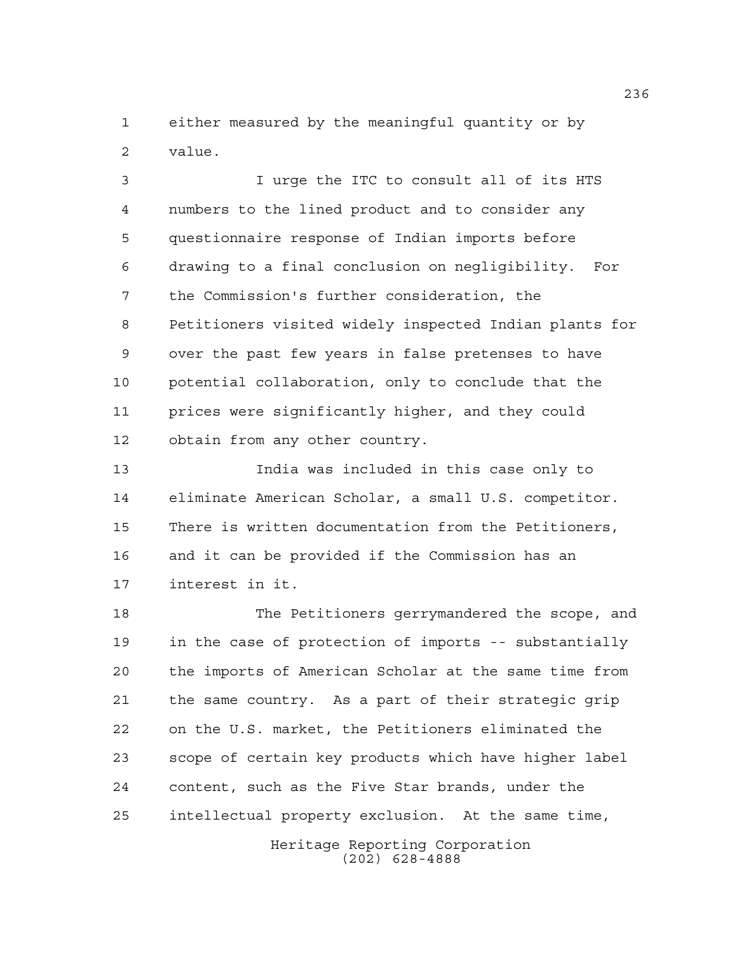either measured by the meaningful quantity or by value.

 I urge the ITC to consult all of its HTS numbers to the lined product and to consider any questionnaire response of Indian imports before drawing to a final conclusion on negligibility. For the Commission's further consideration, the Petitioners visited widely inspected Indian plants for over the past few years in false pretenses to have potential collaboration, only to conclude that the prices were significantly higher, and they could obtain from any other country.

 India was included in this case only to eliminate American Scholar, a small U.S. competitor. There is written documentation from the Petitioners, and it can be provided if the Commission has an interest in it.

 The Petitioners gerrymandered the scope, and in the case of protection of imports -- substantially the imports of American Scholar at the same time from the same country. As a part of their strategic grip on the U.S. market, the Petitioners eliminated the scope of certain key products which have higher label content, such as the Five Star brands, under the intellectual property exclusion. At the same time,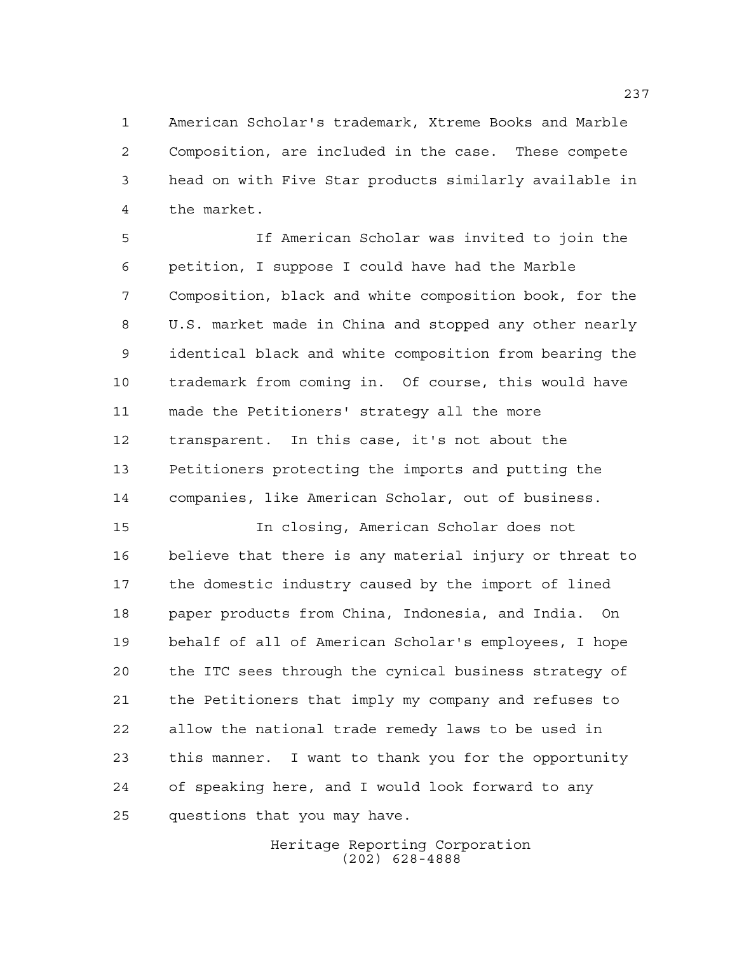American Scholar's trademark, Xtreme Books and Marble Composition, are included in the case. These compete head on with Five Star products similarly available in the market.

 If American Scholar was invited to join the petition, I suppose I could have had the Marble Composition, black and white composition book, for the U.S. market made in China and stopped any other nearly identical black and white composition from bearing the trademark from coming in. Of course, this would have made the Petitioners' strategy all the more transparent. In this case, it's not about the Petitioners protecting the imports and putting the companies, like American Scholar, out of business.

 In closing, American Scholar does not believe that there is any material injury or threat to the domestic industry caused by the import of lined paper products from China, Indonesia, and India. On behalf of all of American Scholar's employees, I hope the ITC sees through the cynical business strategy of the Petitioners that imply my company and refuses to allow the national trade remedy laws to be used in this manner. I want to thank you for the opportunity of speaking here, and I would look forward to any questions that you may have.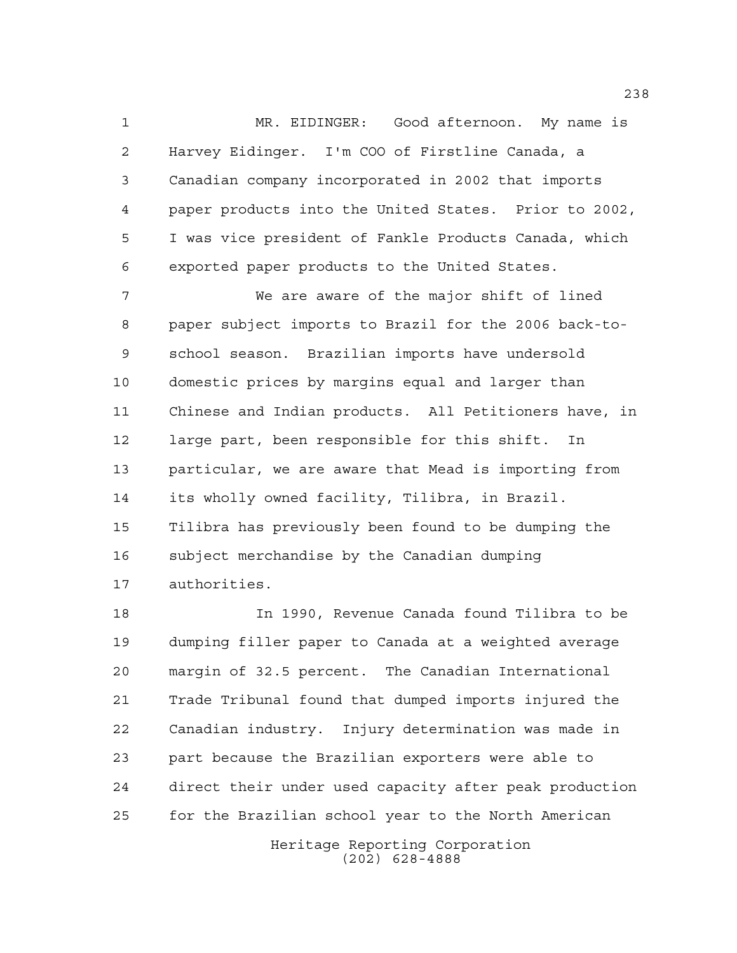MR. EIDINGER: Good afternoon. My name is Harvey Eidinger. I'm COO of Firstline Canada, a Canadian company incorporated in 2002 that imports paper products into the United States. Prior to 2002, I was vice president of Fankle Products Canada, which exported paper products to the United States.

 We are aware of the major shift of lined paper subject imports to Brazil for the 2006 back-to- school season. Brazilian imports have undersold domestic prices by margins equal and larger than Chinese and Indian products. All Petitioners have, in large part, been responsible for this shift. In particular, we are aware that Mead is importing from its wholly owned facility, Tilibra, in Brazil. Tilibra has previously been found to be dumping the subject merchandise by the Canadian dumping authorities.

 In 1990, Revenue Canada found Tilibra to be dumping filler paper to Canada at a weighted average margin of 32.5 percent. The Canadian International Trade Tribunal found that dumped imports injured the Canadian industry. Injury determination was made in part because the Brazilian exporters were able to direct their under used capacity after peak production for the Brazilian school year to the North American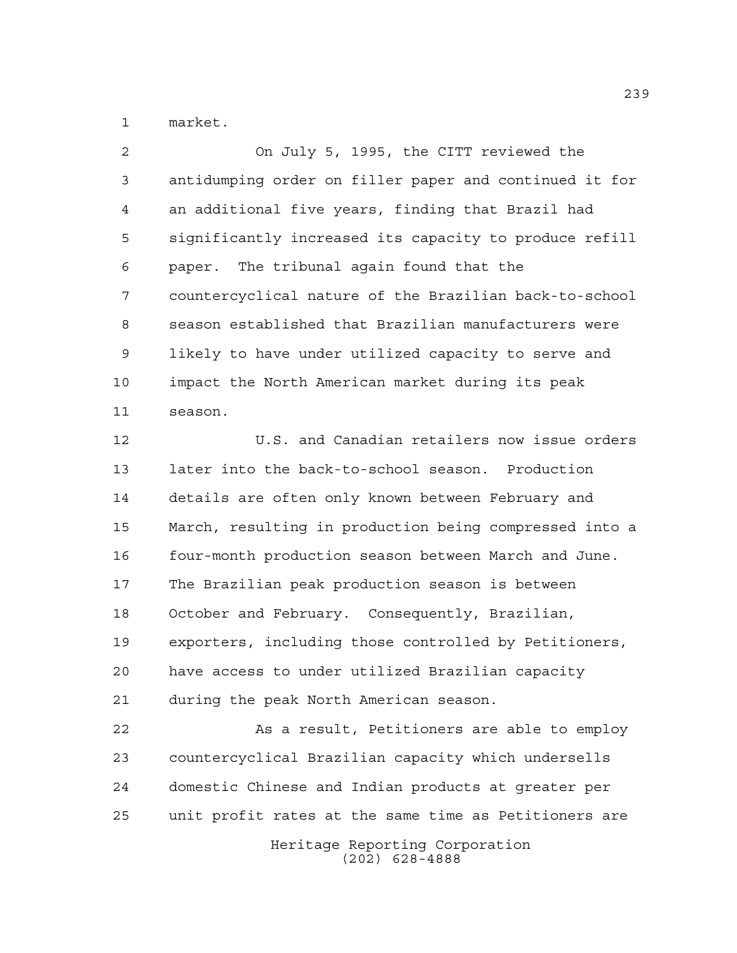market.

 On July 5, 1995, the CITT reviewed the antidumping order on filler paper and continued it for an additional five years, finding that Brazil had significantly increased its capacity to produce refill paper. The tribunal again found that the countercyclical nature of the Brazilian back-to-school season established that Brazilian manufacturers were likely to have under utilized capacity to serve and impact the North American market during its peak season.

 U.S. and Canadian retailers now issue orders later into the back-to-school season. Production details are often only known between February and March, resulting in production being compressed into a four-month production season between March and June. The Brazilian peak production season is between October and February. Consequently, Brazilian, exporters, including those controlled by Petitioners, have access to under utilized Brazilian capacity during the peak North American season.

Heritage Reporting Corporation 22 As a result, Petitioners are able to employ countercyclical Brazilian capacity which undersells domestic Chinese and Indian products at greater per unit profit rates at the same time as Petitioners are

(202) 628-4888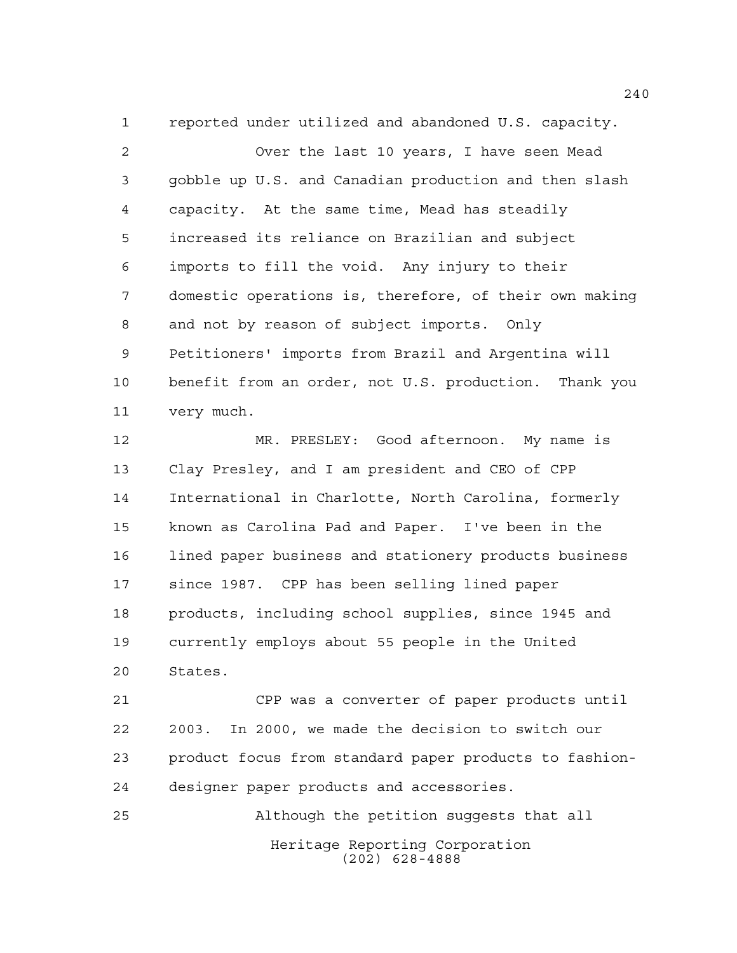reported under utilized and abandoned U.S. capacity.

 Over the last 10 years, I have seen Mead gobble up U.S. and Canadian production and then slash capacity. At the same time, Mead has steadily increased its reliance on Brazilian and subject imports to fill the void. Any injury to their domestic operations is, therefore, of their own making and not by reason of subject imports. Only Petitioners' imports from Brazil and Argentina will benefit from an order, not U.S. production. Thank you very much.

 MR. PRESLEY: Good afternoon. My name is Clay Presley, and I am president and CEO of CPP International in Charlotte, North Carolina, formerly known as Carolina Pad and Paper. I've been in the lined paper business and stationery products business since 1987. CPP has been selling lined paper products, including school supplies, since 1945 and currently employs about 55 people in the United States.

 CPP was a converter of paper products until 2003. In 2000, we made the decision to switch our product focus from standard paper products to fashion-designer paper products and accessories.

Heritage Reporting Corporation (202) 628-4888 Although the petition suggests that all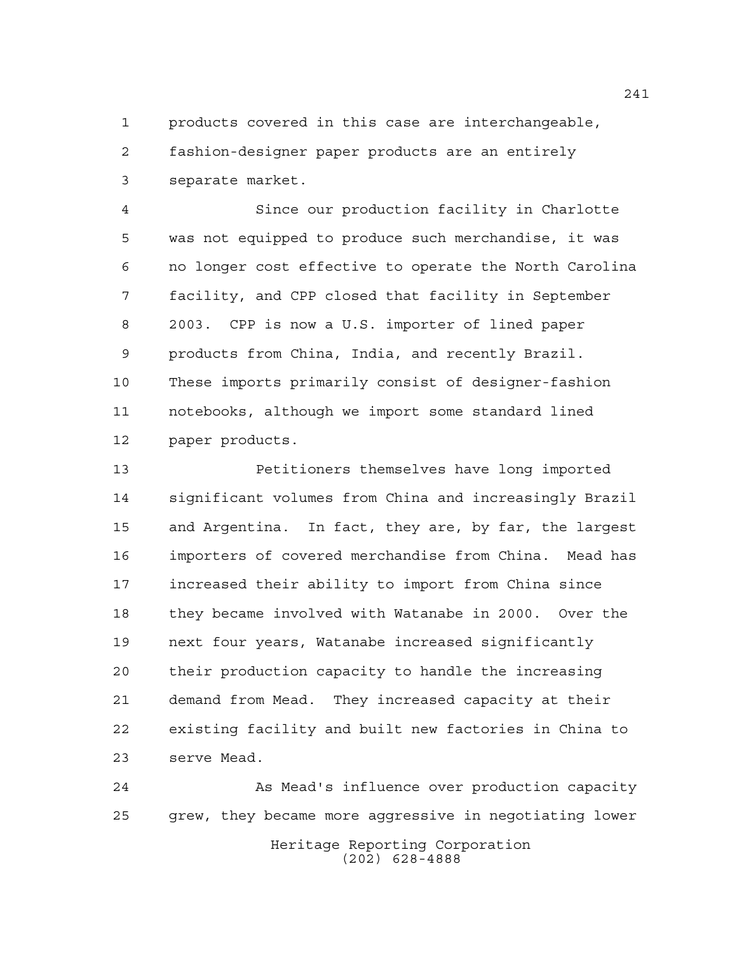products covered in this case are interchangeable, fashion-designer paper products are an entirely separate market.

 Since our production facility in Charlotte was not equipped to produce such merchandise, it was no longer cost effective to operate the North Carolina facility, and CPP closed that facility in September 2003. CPP is now a U.S. importer of lined paper products from China, India, and recently Brazil. These imports primarily consist of designer-fashion notebooks, although we import some standard lined paper products.

 Petitioners themselves have long imported significant volumes from China and increasingly Brazil and Argentina. In fact, they are, by far, the largest importers of covered merchandise from China. Mead has increased their ability to import from China since they became involved with Watanabe in 2000. Over the next four years, Watanabe increased significantly their production capacity to handle the increasing demand from Mead. They increased capacity at their existing facility and built new factories in China to serve Mead.

Heritage Reporting Corporation (202) 628-4888 As Mead's influence over production capacity grew, they became more aggressive in negotiating lower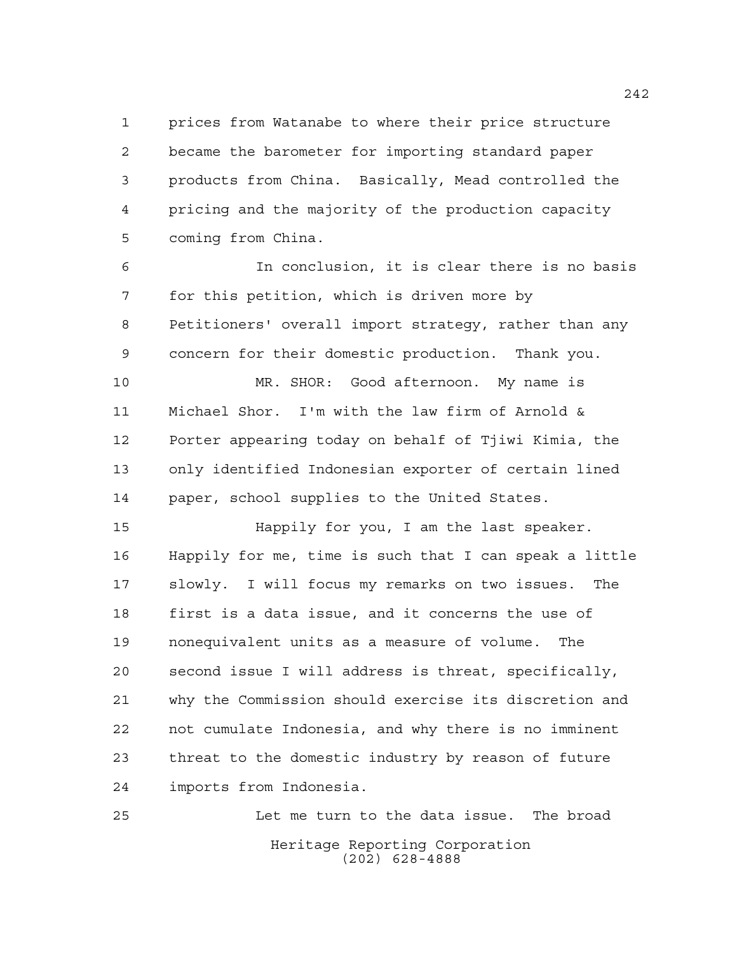prices from Watanabe to where their price structure became the barometer for importing standard paper products from China. Basically, Mead controlled the pricing and the majority of the production capacity coming from China.

 In conclusion, it is clear there is no basis for this petition, which is driven more by Petitioners' overall import strategy, rather than any concern for their domestic production. Thank you.

 MR. SHOR: Good afternoon. My name is Michael Shor. I'm with the law firm of Arnold & Porter appearing today on behalf of Tjiwi Kimia, the only identified Indonesian exporter of certain lined paper, school supplies to the United States.

 Happily for you, I am the last speaker. Happily for me, time is such that I can speak a little slowly. I will focus my remarks on two issues. The first is a data issue, and it concerns the use of nonequivalent units as a measure of volume. The second issue I will address is threat, specifically, why the Commission should exercise its discretion and not cumulate Indonesia, and why there is no imminent threat to the domestic industry by reason of future imports from Indonesia.

Heritage Reporting Corporation (202) 628-4888 Let me turn to the data issue. The broad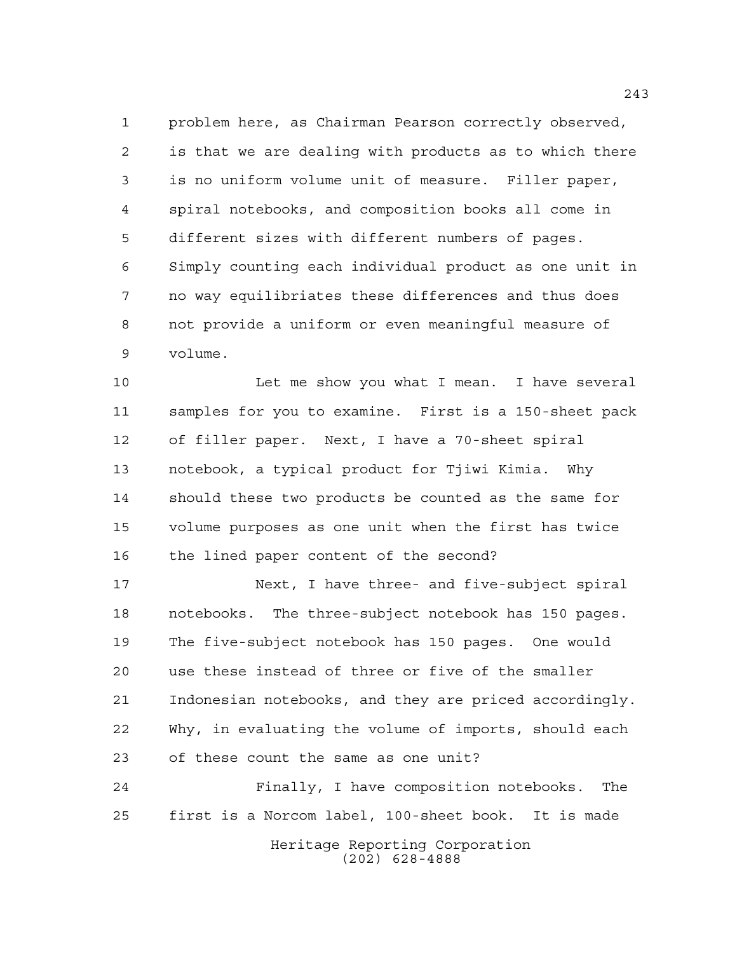problem here, as Chairman Pearson correctly observed, is that we are dealing with products as to which there is no uniform volume unit of measure. Filler paper, spiral notebooks, and composition books all come in different sizes with different numbers of pages. Simply counting each individual product as one unit in no way equilibriates these differences and thus does not provide a uniform or even meaningful measure of volume.

 Let me show you what I mean. I have several samples for you to examine. First is a 150-sheet pack of filler paper. Next, I have a 70-sheet spiral notebook, a typical product for Tjiwi Kimia. Why should these two products be counted as the same for volume purposes as one unit when the first has twice the lined paper content of the second?

 Next, I have three- and five-subject spiral notebooks. The three-subject notebook has 150 pages. The five-subject notebook has 150 pages. One would use these instead of three or five of the smaller Indonesian notebooks, and they are priced accordingly. Why, in evaluating the volume of imports, should each of these count the same as one unit?

Heritage Reporting Corporation Finally, I have composition notebooks. The first is a Norcom label, 100-sheet book. It is made

(202) 628-4888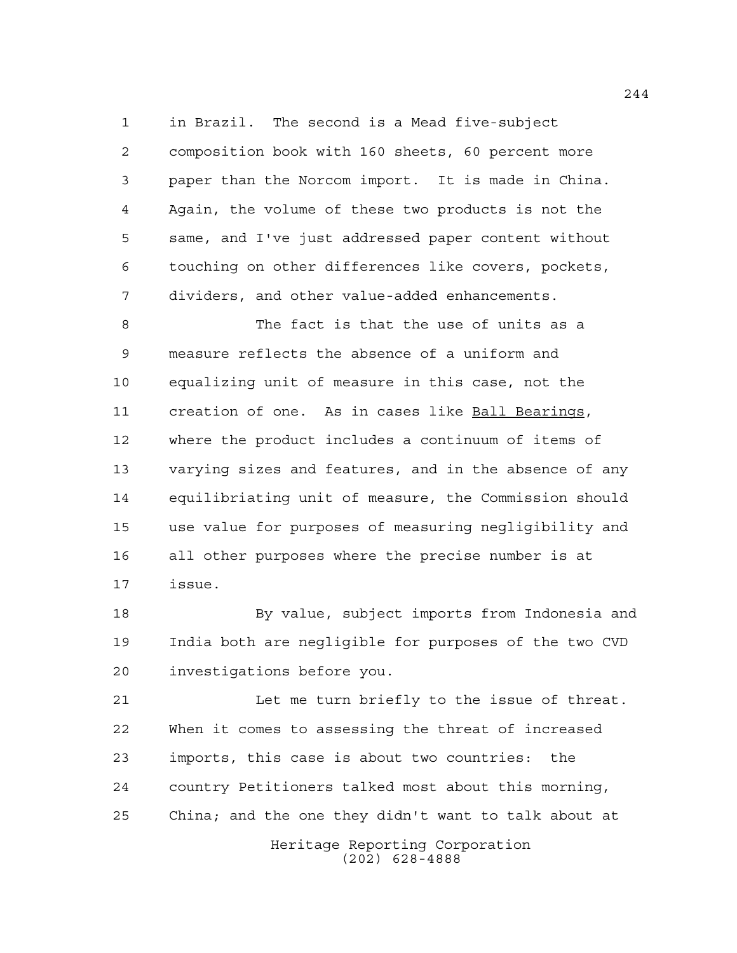in Brazil. The second is a Mead five-subject

 composition book with 160 sheets, 60 percent more paper than the Norcom import. It is made in China. Again, the volume of these two products is not the same, and I've just addressed paper content without touching on other differences like covers, pockets, dividers, and other value-added enhancements.

 The fact is that the use of units as a measure reflects the absence of a uniform and equalizing unit of measure in this case, not the creation of one. As in cases like Ball Bearings, where the product includes a continuum of items of varying sizes and features, and in the absence of any equilibriating unit of measure, the Commission should use value for purposes of measuring negligibility and all other purposes where the precise number is at issue.

 By value, subject imports from Indonesia and India both are negligible for purposes of the two CVD investigations before you.

 Let me turn briefly to the issue of threat. When it comes to assessing the threat of increased imports, this case is about two countries: the country Petitioners talked most about this morning, China; and the one they didn't want to talk about at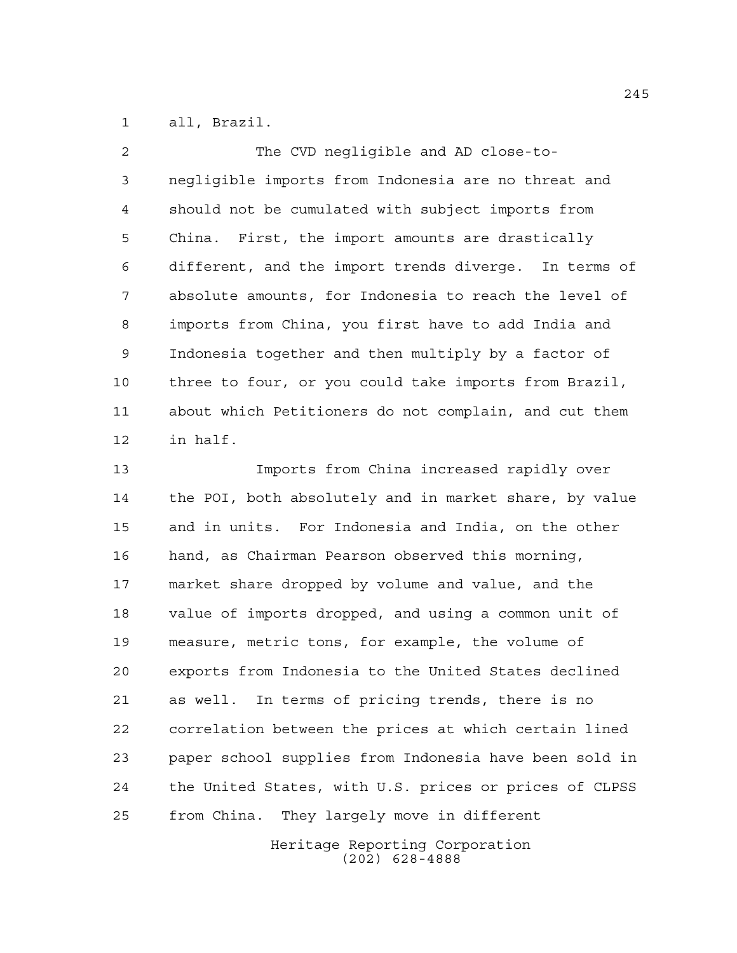all, Brazil.

| $\mathfrak{D}$  | The CVD negligible and AD close-to-                   |
|-----------------|-------------------------------------------------------|
| 3               | negligible imports from Indonesia are no threat and   |
| 4               | should not be cumulated with subject imports from     |
| 5               | China. First, the import amounts are drastically      |
| 6               | different, and the import trends diverge. In terms of |
| 7               | absolute amounts, for Indonesia to reach the level of |
| 8               | imports from China, you first have to add India and   |
| 9               | Indonesia together and then multiply by a factor of   |
| 10              | three to four, or you could take imports from Brazil, |
| 11              | about which Petitioners do not complain, and cut them |
| 12 <sup>2</sup> | in half.                                              |
| 13              | Imports from China increased rapidly over             |

 the POI, both absolutely and in market share, by value and in units. For Indonesia and India, on the other hand, as Chairman Pearson observed this morning, market share dropped by volume and value, and the value of imports dropped, and using a common unit of measure, metric tons, for example, the volume of exports from Indonesia to the United States declined as well. In terms of pricing trends, there is no correlation between the prices at which certain lined paper school supplies from Indonesia have been sold in the United States, with U.S. prices or prices of CLPSS from China. They largely move in different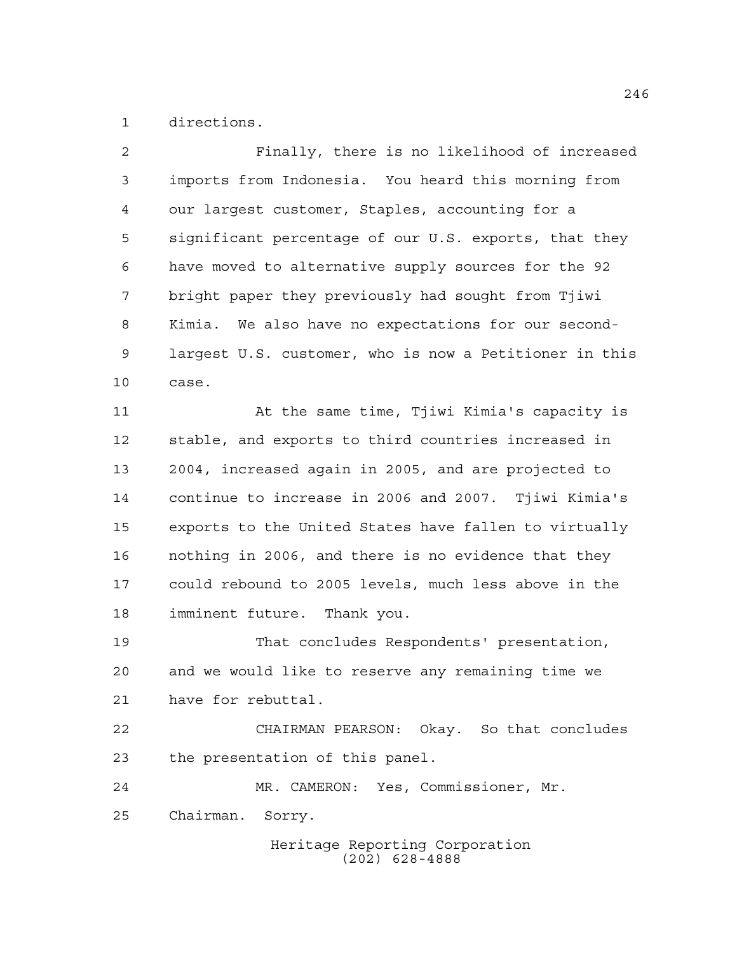directions.

| $\overline{a}$ | Finally, there is no likelihood of increased           |
|----------------|--------------------------------------------------------|
| 3              | imports from Indonesia. You heard this morning from    |
| 4              | our largest customer, Staples, accounting for a        |
| 5              | significant percentage of our U.S. exports, that they  |
| 6              | have moved to alternative supply sources for the 92    |
| 7              | bright paper they previously had sought from Tjiwi     |
| 8              | Kimia. We also have no expectations for our second-    |
| 9              | largest U.S. customer, who is now a Petitioner in this |
| 10             | case.                                                  |
| 11             | At the same time, Tjiwi Kimia's capacity is            |
| 12             | stable, and exports to third countries increased in    |
| 13             | 2004, increased again in 2005, and are projected to    |
| 14             | continue to increase in 2006 and 2007. Tjiwi Kimia's   |
| 15             | exports to the United States have fallen to virtually  |
| 16             | nothing in 2006, and there is no evidence that they    |
| 17             | could rebound to 2005 levels, much less above in the   |
| 18             | imminent future. Thank you.                            |
| 19             | That concludes Respondents' presentation,              |
| 20             | and we would like to reserve any remaining time we     |
| 21             | have for rebuttal.                                     |
| 22             | CHAIRMAN PEARSON: Okay. So that concludes              |
| 23             | the presentation of this panel.                        |
| 24             | MR. CAMERON: Yes, Commissioner, Mr.                    |
| 25             | Chairman. Sorry.                                       |
|                | Heritage Reporting Corporation<br>$(202)$ 628-4888     |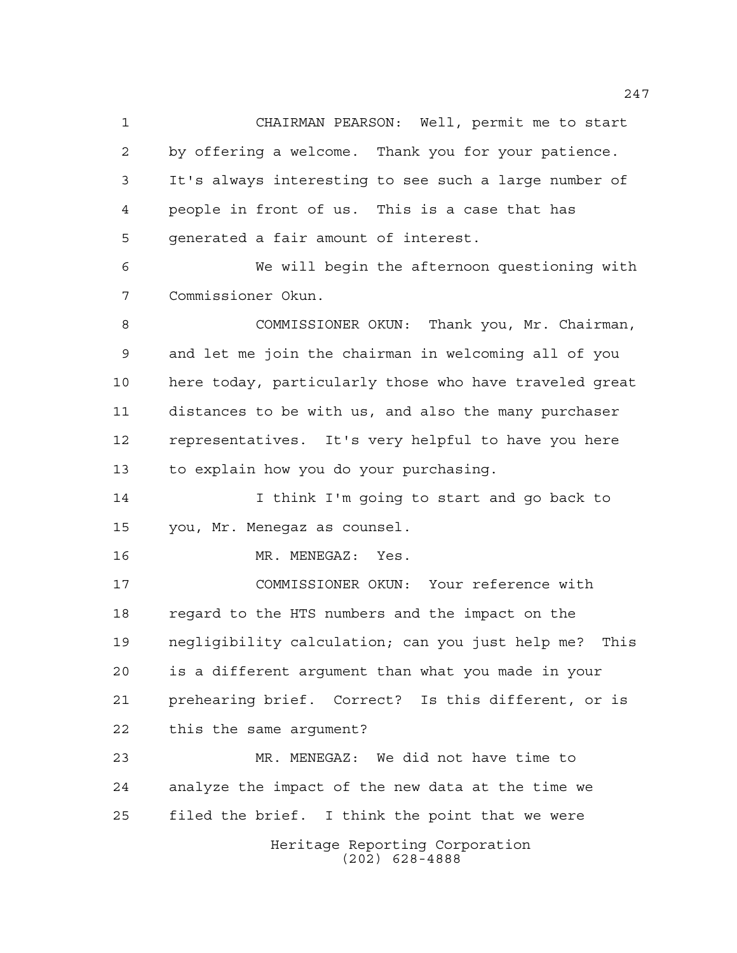CHAIRMAN PEARSON: Well, permit me to start by offering a welcome. Thank you for your patience. It's always interesting to see such a large number of people in front of us. This is a case that has generated a fair amount of interest.

 We will begin the afternoon questioning with Commissioner Okun.

 COMMISSIONER OKUN: Thank you, Mr. Chairman, and let me join the chairman in welcoming all of you here today, particularly those who have traveled great distances to be with us, and also the many purchaser representatives. It's very helpful to have you here to explain how you do your purchasing.

 I think I'm going to start and go back to you, Mr. Menegaz as counsel.

16 MR. MENEGAZ: Yes.

 COMMISSIONER OKUN: Your reference with regard to the HTS numbers and the impact on the negligibility calculation; can you just help me? This is a different argument than what you made in your prehearing brief. Correct? Is this different, or is this the same argument?

Heritage Reporting Corporation MR. MENEGAZ: We did not have time to analyze the impact of the new data at the time we filed the brief. I think the point that we were

(202) 628-4888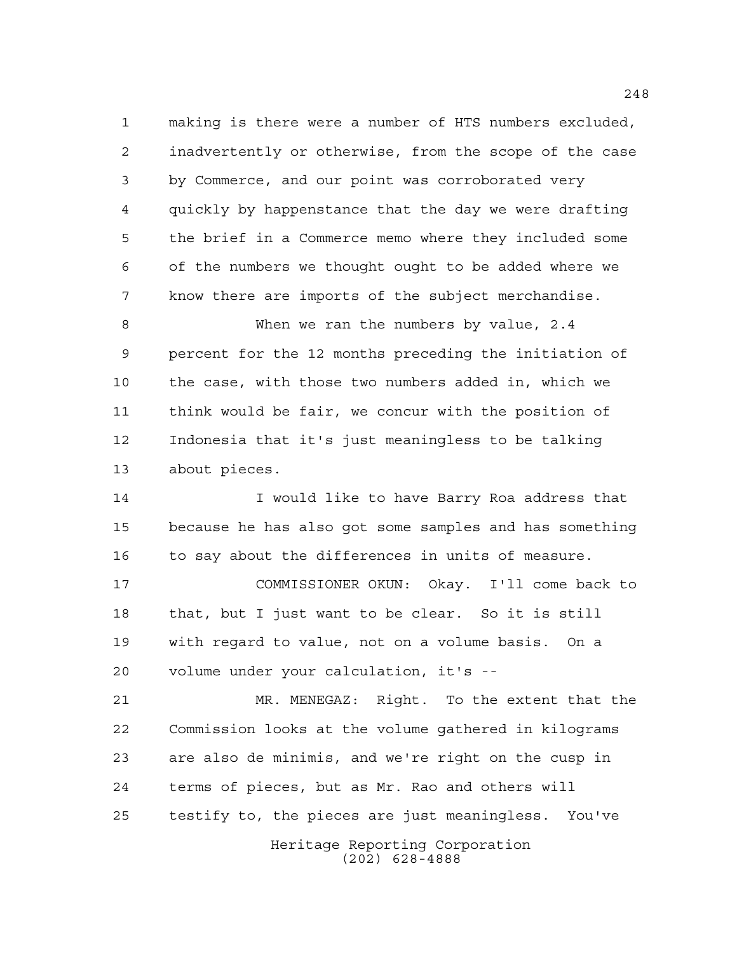making is there were a number of HTS numbers excluded, inadvertently or otherwise, from the scope of the case by Commerce, and our point was corroborated very quickly by happenstance that the day we were drafting the brief in a Commerce memo where they included some of the numbers we thought ought to be added where we know there are imports of the subject merchandise.

 When we ran the numbers by value, 2.4 percent for the 12 months preceding the initiation of the case, with those two numbers added in, which we think would be fair, we concur with the position of Indonesia that it's just meaningless to be talking about pieces.

 I would like to have Barry Roa address that because he has also got some samples and has something to say about the differences in units of measure.

 COMMISSIONER OKUN: Okay. I'll come back to that, but I just want to be clear. So it is still with regard to value, not on a volume basis. On a volume under your calculation, it's --

 MR. MENEGAZ: Right. To the extent that the Commission looks at the volume gathered in kilograms are also de minimis, and we're right on the cusp in terms of pieces, but as Mr. Rao and others will testify to, the pieces are just meaningless. You've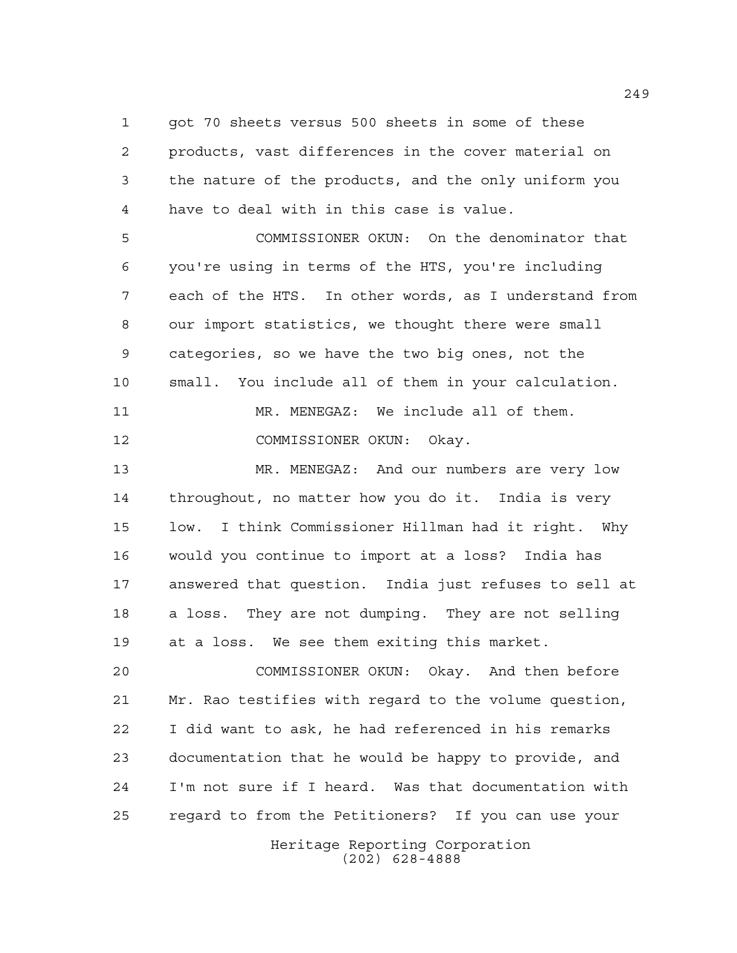got 70 sheets versus 500 sheets in some of these products, vast differences in the cover material on the nature of the products, and the only uniform you have to deal with in this case is value.

 COMMISSIONER OKUN: On the denominator that you're using in terms of the HTS, you're including each of the HTS. In other words, as I understand from our import statistics, we thought there were small categories, so we have the two big ones, not the small. You include all of them in your calculation. MR. MENEGAZ: We include all of them. COMMISSIONER OKUN: Okay.

 MR. MENEGAZ: And our numbers are very low throughout, no matter how you do it. India is very low. I think Commissioner Hillman had it right. Why would you continue to import at a loss? India has answered that question. India just refuses to sell at a loss. They are not dumping. They are not selling at a loss. We see them exiting this market.

 COMMISSIONER OKUN: Okay. And then before Mr. Rao testifies with regard to the volume question, I did want to ask, he had referenced in his remarks documentation that he would be happy to provide, and I'm not sure if I heard. Was that documentation with regard to from the Petitioners? If you can use your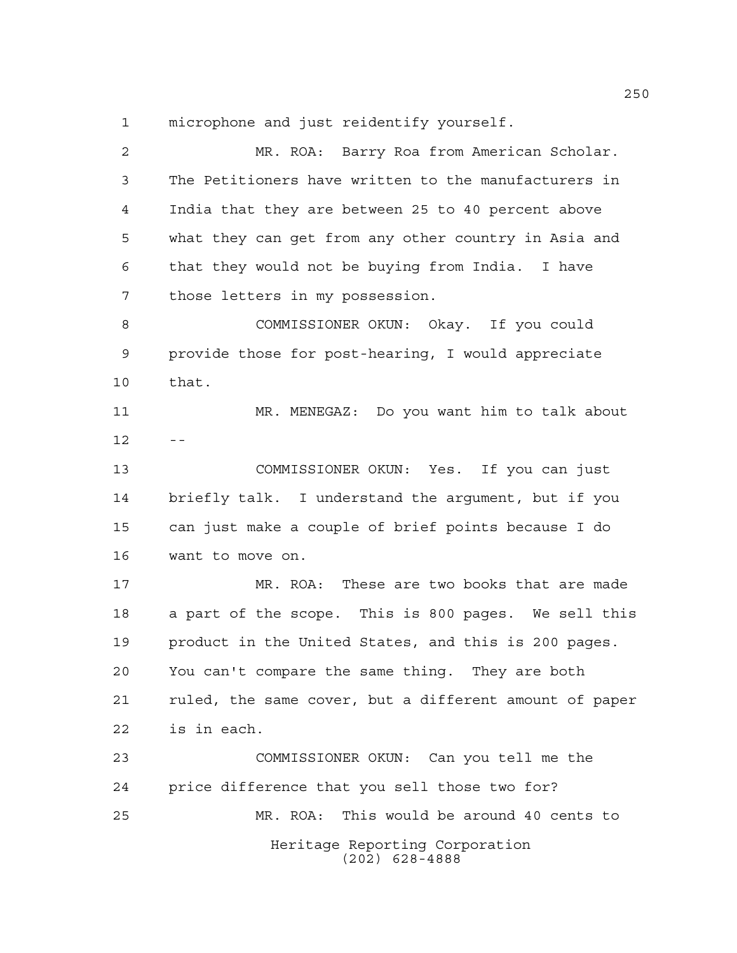microphone and just reidentify yourself.

| $\overline{2}$ | MR. ROA: Barry Roa from American Scholar.              |
|----------------|--------------------------------------------------------|
| 3              | The Petitioners have written to the manufacturers in   |
| 4              | India that they are between 25 to 40 percent above     |
| 5              | what they can get from any other country in Asia and   |
| 6              | that they would not be buying from India. I have       |
| 7              | those letters in my possession.                        |
| 8              | COMMISSIONER OKUN: Okay. If you could                  |
| 9              | provide those for post-hearing, I would appreciate     |
| 10             | that.                                                  |
| 11             | MR. MENEGAZ: Do you want him to talk about             |
| 12             |                                                        |
| 13             | COMMISSIONER OKUN: Yes. If you can just                |
| 14             | briefly talk. I understand the argument, but if you    |
| 15             | can just make a couple of brief points because I do    |
| 16             | want to move on.                                       |
| 17             | MR. ROA: These are two books that are made             |
| 18             | a part of the scope. This is 800 pages. We sell this   |
| 19             | product in the United States, and this is 200 pages.   |
| 20             | You can't compare the same thing. They are both        |
| 21             | ruled, the same cover, but a different amount of paper |
| 22             | is in each.                                            |
| 23             | COMMISSIONER OKUN: Can you tell me the                 |
| 24             | price difference that you sell those two for?          |
| 25             | This would be around 40 cents to<br>MR. ROA:           |
|                | Heritage Reporting Corporation<br>$(202)$ 628-4888     |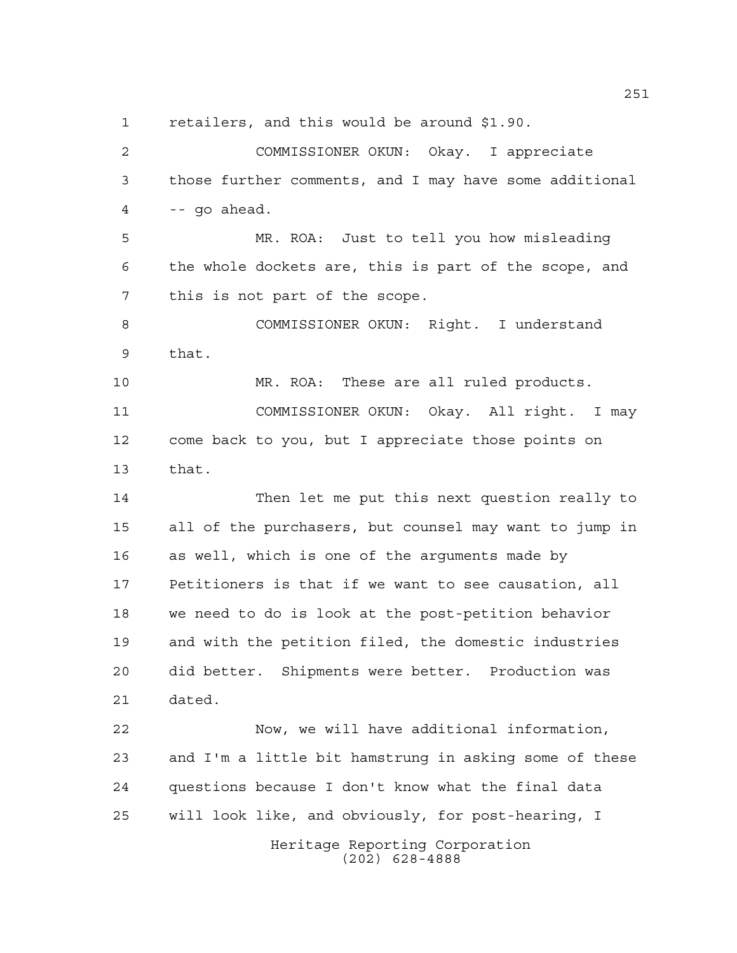retailers, and this would be around \$1.90.

Heritage Reporting Corporation (202) 628-4888 COMMISSIONER OKUN: Okay. I appreciate those further comments, and I may have some additional  $4 - - qo$  ahead. MR. ROA: Just to tell you how misleading the whole dockets are, this is part of the scope, and this is not part of the scope. COMMISSIONER OKUN: Right. I understand that. MR. ROA: These are all ruled products. COMMISSIONER OKUN: Okay. All right. I may come back to you, but I appreciate those points on that. Then let me put this next question really to all of the purchasers, but counsel may want to jump in as well, which is one of the arguments made by Petitioners is that if we want to see causation, all we need to do is look at the post-petition behavior and with the petition filed, the domestic industries did better. Shipments were better. Production was dated. Now, we will have additional information, and I'm a little bit hamstrung in asking some of these questions because I don't know what the final data will look like, and obviously, for post-hearing, I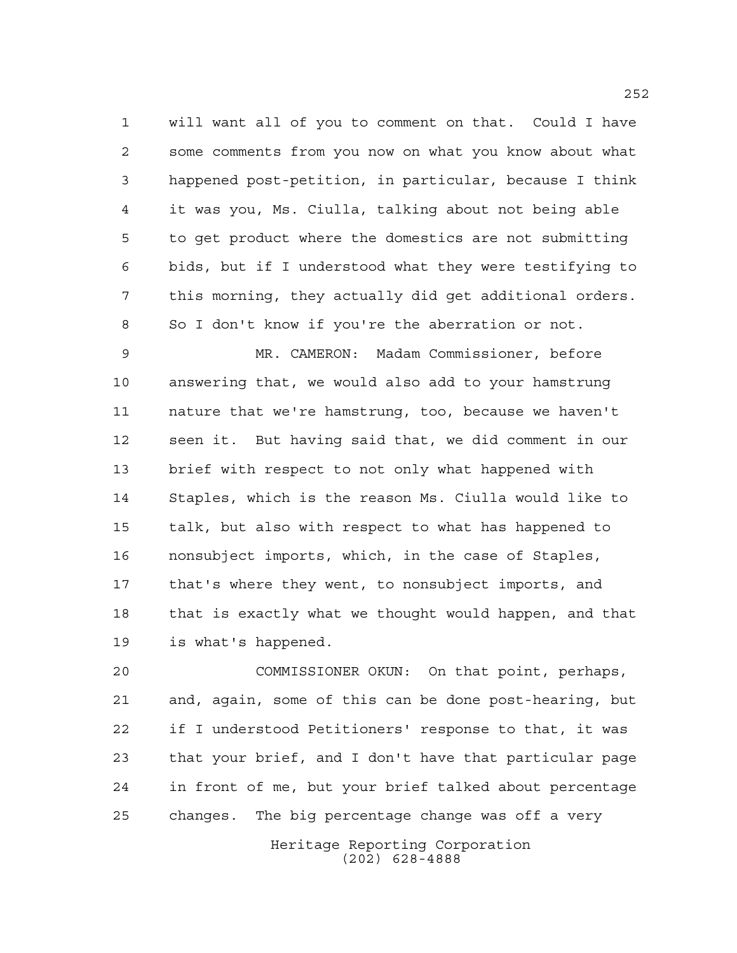will want all of you to comment on that. Could I have some comments from you now on what you know about what happened post-petition, in particular, because I think it was you, Ms. Ciulla, talking about not being able to get product where the domestics are not submitting bids, but if I understood what they were testifying to this morning, they actually did get additional orders. So I don't know if you're the aberration or not.

 MR. CAMERON: Madam Commissioner, before answering that, we would also add to your hamstrung nature that we're hamstrung, too, because we haven't seen it. But having said that, we did comment in our brief with respect to not only what happened with Staples, which is the reason Ms. Ciulla would like to talk, but also with respect to what has happened to nonsubject imports, which, in the case of Staples, that's where they went, to nonsubject imports, and that is exactly what we thought would happen, and that is what's happened.

 COMMISSIONER OKUN: On that point, perhaps, and, again, some of this can be done post-hearing, but if I understood Petitioners' response to that, it was that your brief, and I don't have that particular page in front of me, but your brief talked about percentage changes. The big percentage change was off a very

> Heritage Reporting Corporation (202) 628-4888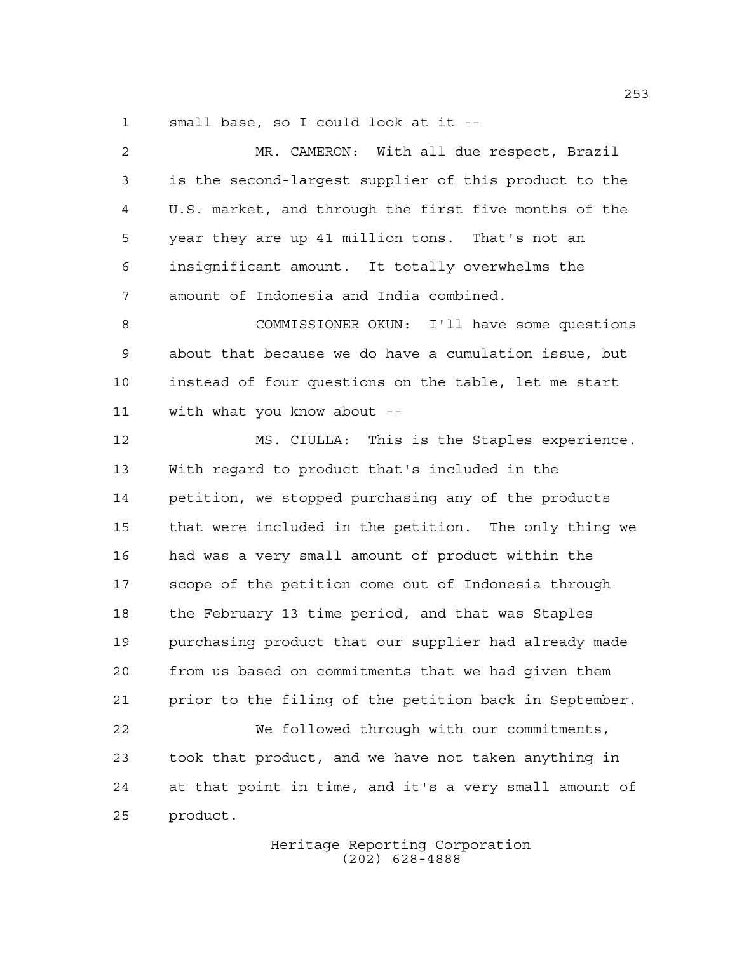small base, so I could look at it --

 MR. CAMERON: With all due respect, Brazil is the second-largest supplier of this product to the U.S. market, and through the first five months of the year they are up 41 million tons. That's not an insignificant amount. It totally overwhelms the amount of Indonesia and India combined. COMMISSIONER OKUN: I'll have some questions about that because we do have a cumulation issue, but instead of four questions on the table, let me start with what you know about -- MS. CIULLA: This is the Staples experience. With regard to product that's included in the petition, we stopped purchasing any of the products that were included in the petition. The only thing we had was a very small amount of product within the scope of the petition come out of Indonesia through the February 13 time period, and that was Staples purchasing product that our supplier had already made from us based on commitments that we had given them prior to the filing of the petition back in September. We followed through with our commitments, took that product, and we have not taken anything in at that point in time, and it's a very small amount of product.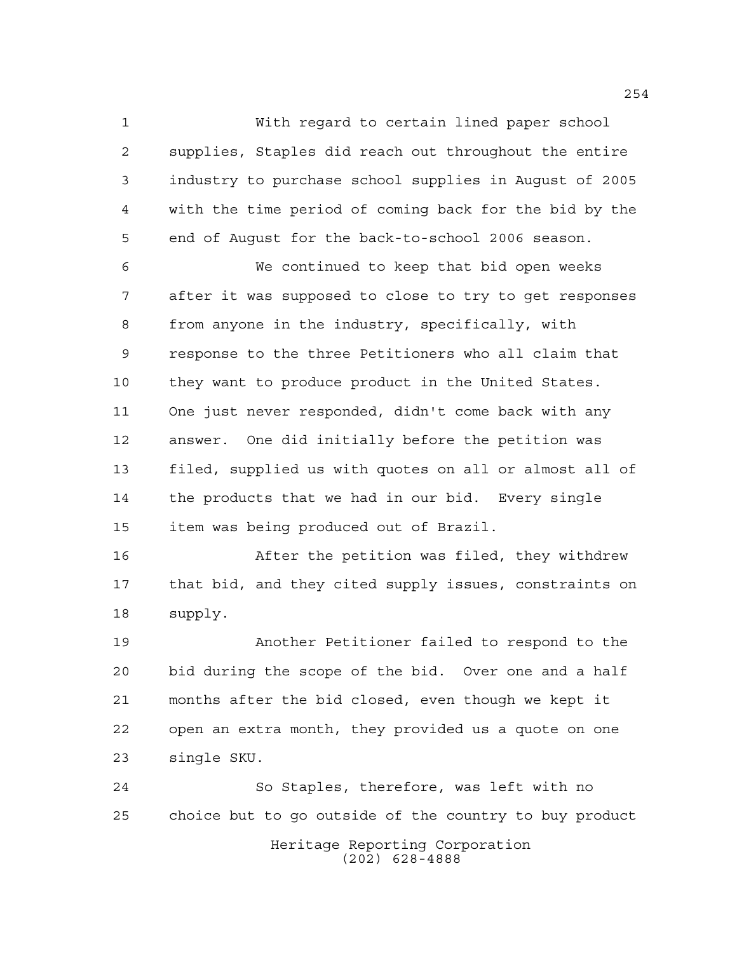With regard to certain lined paper school supplies, Staples did reach out throughout the entire industry to purchase school supplies in August of 2005 with the time period of coming back for the bid by the end of August for the back-to-school 2006 season.

 We continued to keep that bid open weeks after it was supposed to close to try to get responses from anyone in the industry, specifically, with response to the three Petitioners who all claim that they want to produce product in the United States. One just never responded, didn't come back with any answer. One did initially before the petition was filed, supplied us with quotes on all or almost all of the products that we had in our bid. Every single item was being produced out of Brazil.

 After the petition was filed, they withdrew that bid, and they cited supply issues, constraints on supply.

 Another Petitioner failed to respond to the bid during the scope of the bid. Over one and a half months after the bid closed, even though we kept it open an extra month, they provided us a quote on one single SKU.

Heritage Reporting Corporation (202) 628-4888 So Staples, therefore, was left with no choice but to go outside of the country to buy product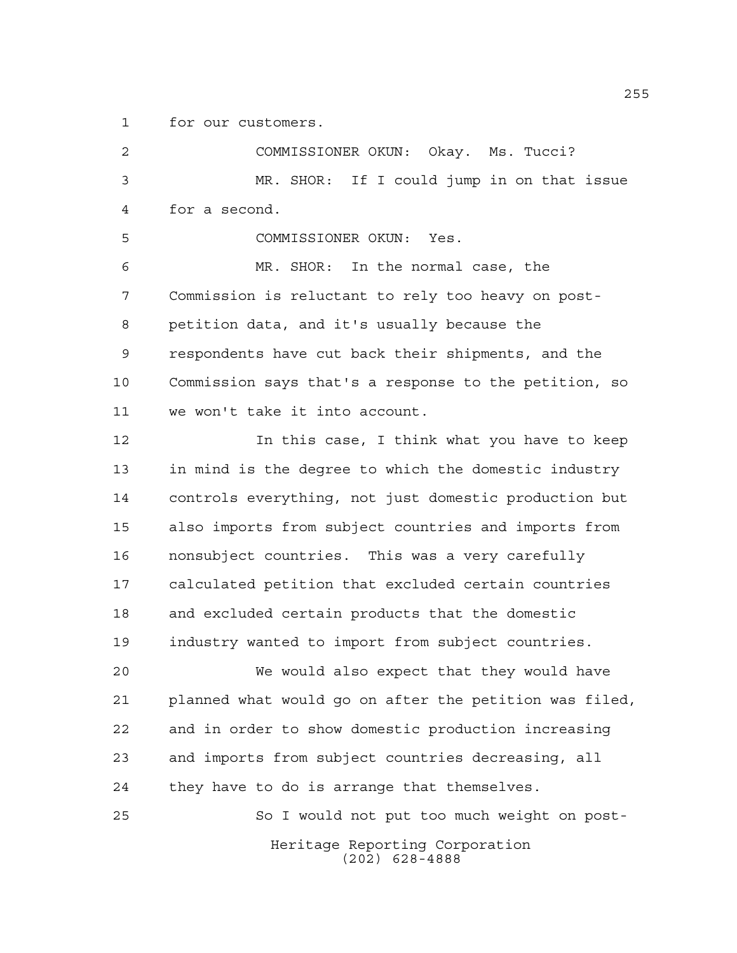for our customers.

Heritage Reporting Corporation (202) 628-4888 COMMISSIONER OKUN: Okay. Ms. Tucci? MR. SHOR: If I could jump in on that issue for a second. COMMISSIONER OKUN: Yes. MR. SHOR: In the normal case, the Commission is reluctant to rely too heavy on post- petition data, and it's usually because the respondents have cut back their shipments, and the Commission says that's a response to the petition, so we won't take it into account. In this case, I think what you have to keep in mind is the degree to which the domestic industry controls everything, not just domestic production but also imports from subject countries and imports from nonsubject countries. This was a very carefully calculated petition that excluded certain countries and excluded certain products that the domestic industry wanted to import from subject countries. We would also expect that they would have planned what would go on after the petition was filed, and in order to show domestic production increasing and imports from subject countries decreasing, all they have to do is arrange that themselves. So I would not put too much weight on post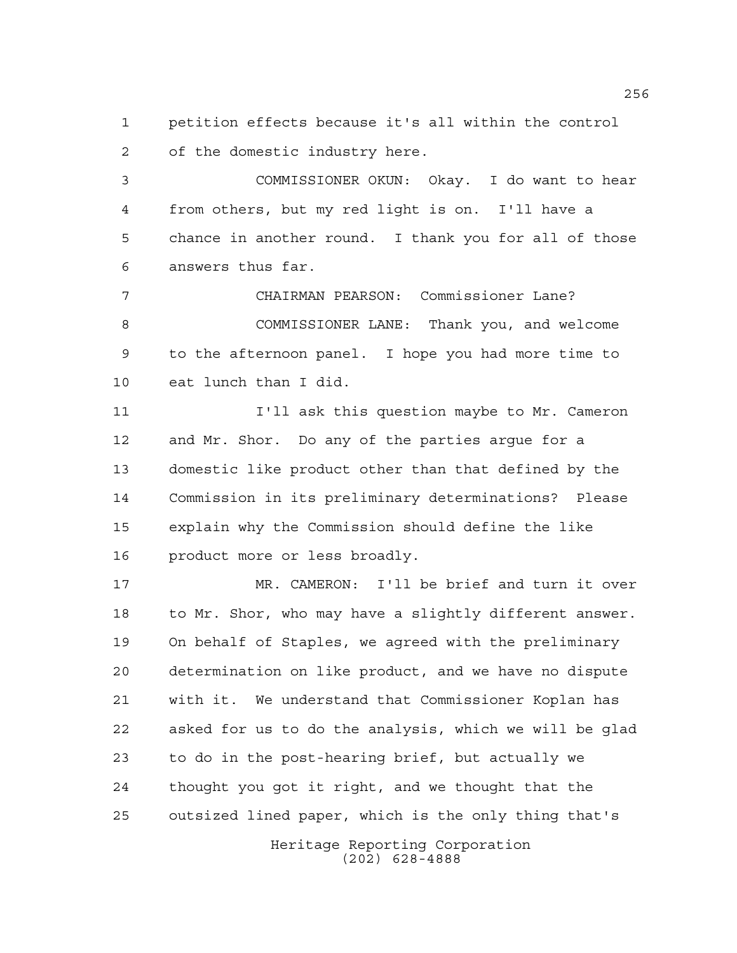petition effects because it's all within the control of the domestic industry here.

 COMMISSIONER OKUN: Okay. I do want to hear from others, but my red light is on. I'll have a chance in another round. I thank you for all of those answers thus far.

 CHAIRMAN PEARSON: Commissioner Lane? COMMISSIONER LANE: Thank you, and welcome to the afternoon panel. I hope you had more time to eat lunch than I did.

 I'll ask this question maybe to Mr. Cameron and Mr. Shor. Do any of the parties argue for a domestic like product other than that defined by the Commission in its preliminary determinations? Please explain why the Commission should define the like product more or less broadly.

 MR. CAMERON: I'll be brief and turn it over to Mr. Shor, who may have a slightly different answer. On behalf of Staples, we agreed with the preliminary determination on like product, and we have no dispute with it. We understand that Commissioner Koplan has asked for us to do the analysis, which we will be glad to do in the post-hearing brief, but actually we thought you got it right, and we thought that the outsized lined paper, which is the only thing that's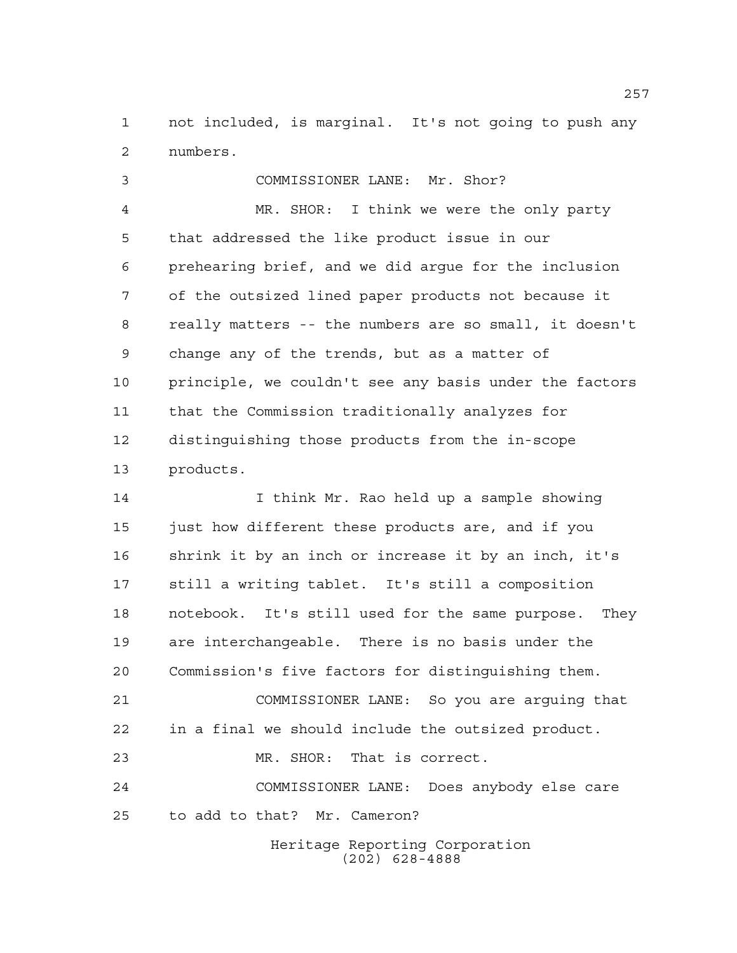not included, is marginal. It's not going to push any numbers.

 COMMISSIONER LANE: Mr. Shor? MR. SHOR: I think we were the only party that addressed the like product issue in our prehearing brief, and we did argue for the inclusion of the outsized lined paper products not because it really matters -- the numbers are so small, it doesn't change any of the trends, but as a matter of principle, we couldn't see any basis under the factors that the Commission traditionally analyzes for distinguishing those products from the in-scope products.

 I think Mr. Rao held up a sample showing just how different these products are, and if you shrink it by an inch or increase it by an inch, it's still a writing tablet. It's still a composition notebook. It's still used for the same purpose. They are interchangeable. There is no basis under the Commission's five factors for distinguishing them. COMMISSIONER LANE: So you are arguing that in a final we should include the outsized product. MR. SHOR: That is correct. COMMISSIONER LANE: Does anybody else care to add to that? Mr. Cameron?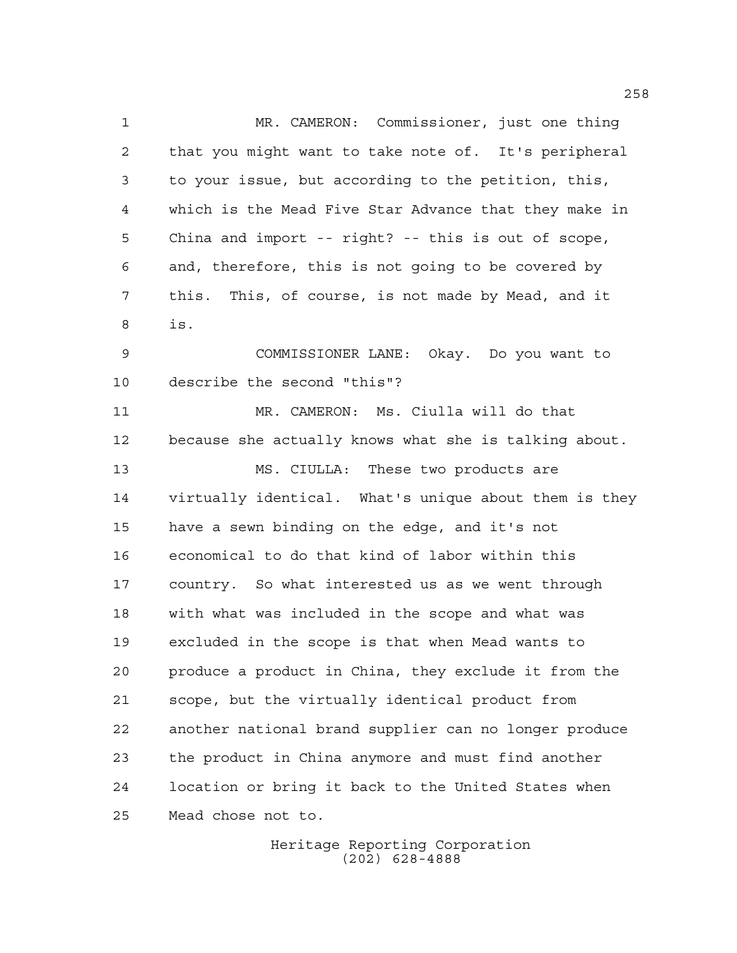MR. CAMERON: Commissioner, just one thing that you might want to take note of. It's peripheral to your issue, but according to the petition, this, which is the Mead Five Star Advance that they make in China and import -- right? -- this is out of scope, and, therefore, this is not going to be covered by this. This, of course, is not made by Mead, and it is. COMMISSIONER LANE: Okay. Do you want to describe the second "this"? MR. CAMERON: Ms. Ciulla will do that because she actually knows what she is talking about. MS. CIULLA: These two products are virtually identical. What's unique about them is they have a sewn binding on the edge, and it's not economical to do that kind of labor within this country. So what interested us as we went through with what was included in the scope and what was excluded in the scope is that when Mead wants to produce a product in China, they exclude it from the scope, but the virtually identical product from another national brand supplier can no longer produce the product in China anymore and must find another location or bring it back to the United States when Mead chose not to.

> Heritage Reporting Corporation (202) 628-4888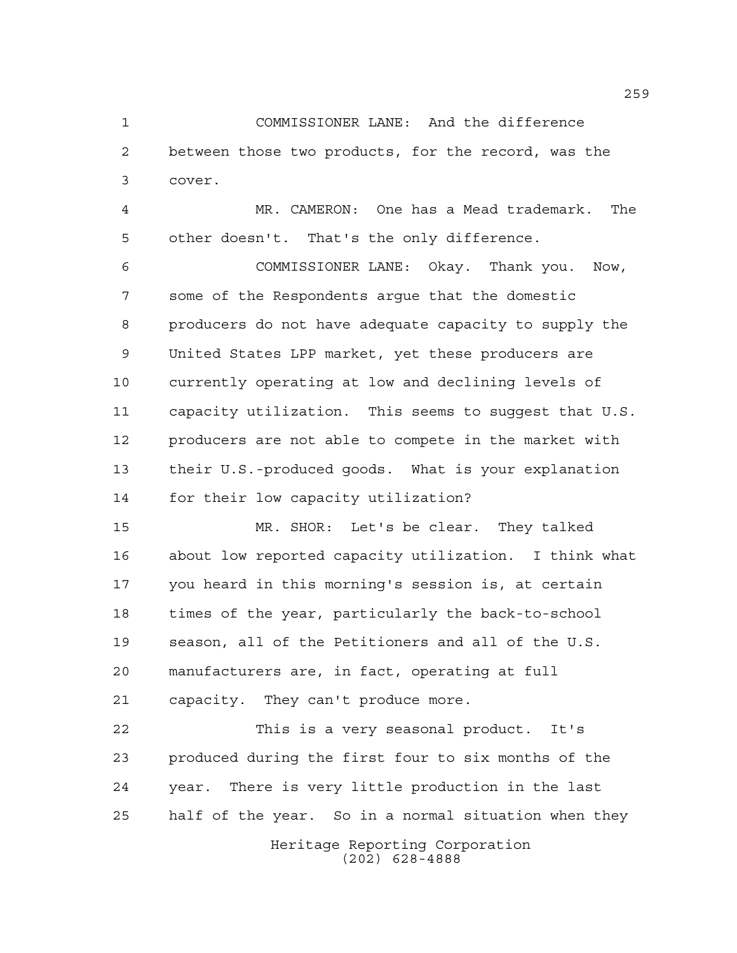COMMISSIONER LANE: And the difference between those two products, for the record, was the cover.

 MR. CAMERON: One has a Mead trademark. The other doesn't. That's the only difference.

 COMMISSIONER LANE: Okay. Thank you. Now, some of the Respondents argue that the domestic producers do not have adequate capacity to supply the United States LPP market, yet these producers are currently operating at low and declining levels of capacity utilization. This seems to suggest that U.S. producers are not able to compete in the market with their U.S.-produced goods. What is your explanation for their low capacity utilization?

 MR. SHOR: Let's be clear. They talked about low reported capacity utilization. I think what you heard in this morning's session is, at certain times of the year, particularly the back-to-school season, all of the Petitioners and all of the U.S. manufacturers are, in fact, operating at full capacity. They can't produce more.

 This is a very seasonal product. It's produced during the first four to six months of the year. There is very little production in the last half of the year. So in a normal situation when they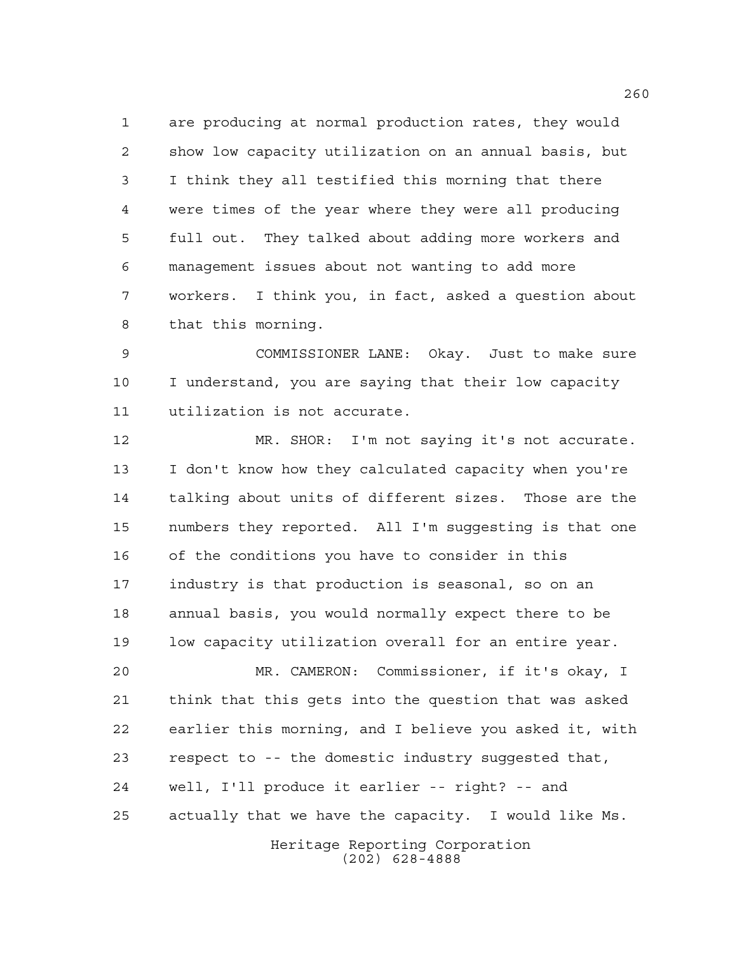are producing at normal production rates, they would show low capacity utilization on an annual basis, but I think they all testified this morning that there were times of the year where they were all producing full out. They talked about adding more workers and management issues about not wanting to add more workers. I think you, in fact, asked a question about that this morning.

 COMMISSIONER LANE: Okay. Just to make sure I understand, you are saying that their low capacity utilization is not accurate.

 MR. SHOR: I'm not saying it's not accurate. I don't know how they calculated capacity when you're talking about units of different sizes. Those are the numbers they reported. All I'm suggesting is that one of the conditions you have to consider in this industry is that production is seasonal, so on an annual basis, you would normally expect there to be low capacity utilization overall for an entire year.

 MR. CAMERON: Commissioner, if it's okay, I think that this gets into the question that was asked earlier this morning, and I believe you asked it, with respect to -- the domestic industry suggested that, well, I'll produce it earlier -- right? -- and actually that we have the capacity. I would like Ms.

> Heritage Reporting Corporation (202) 628-4888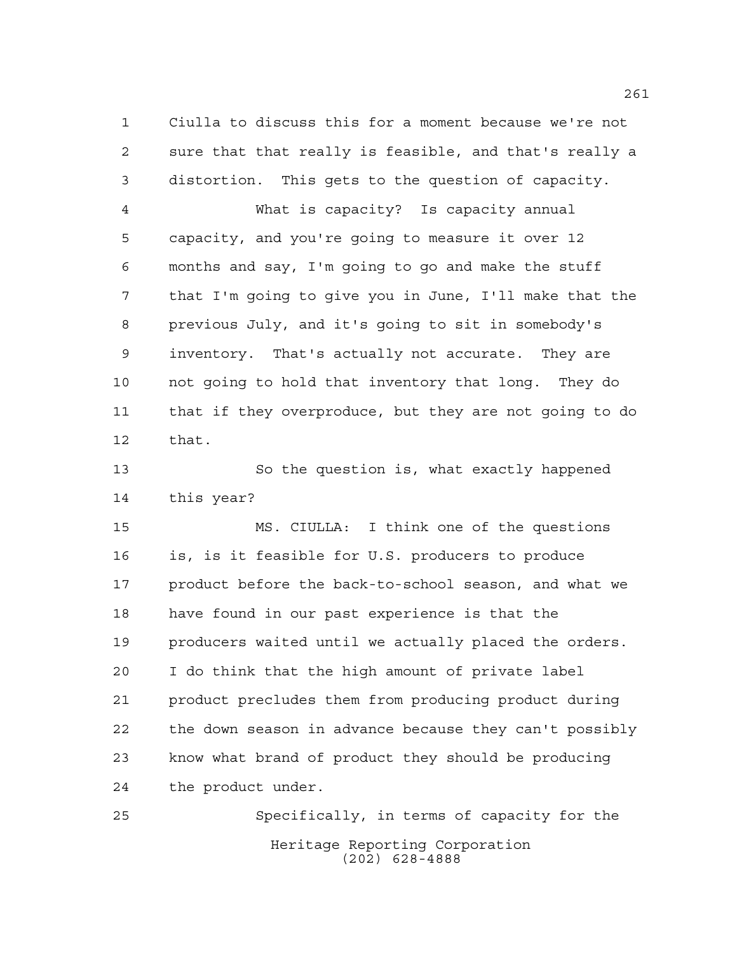Ciulla to discuss this for a moment because we're not sure that that really is feasible, and that's really a distortion. This gets to the question of capacity.

 What is capacity? Is capacity annual capacity, and you're going to measure it over 12 months and say, I'm going to go and make the stuff that I'm going to give you in June, I'll make that the previous July, and it's going to sit in somebody's inventory. That's actually not accurate. They are not going to hold that inventory that long. They do that if they overproduce, but they are not going to do that.

 So the question is, what exactly happened this year?

 MS. CIULLA: I think one of the questions is, is it feasible for U.S. producers to produce 17 product before the back-to-school season, and what we have found in our past experience is that the producers waited until we actually placed the orders. I do think that the high amount of private label product precludes them from producing product during the down season in advance because they can't possibly know what brand of product they should be producing the product under.

Heritage Reporting Corporation (202) 628-4888 Specifically, in terms of capacity for the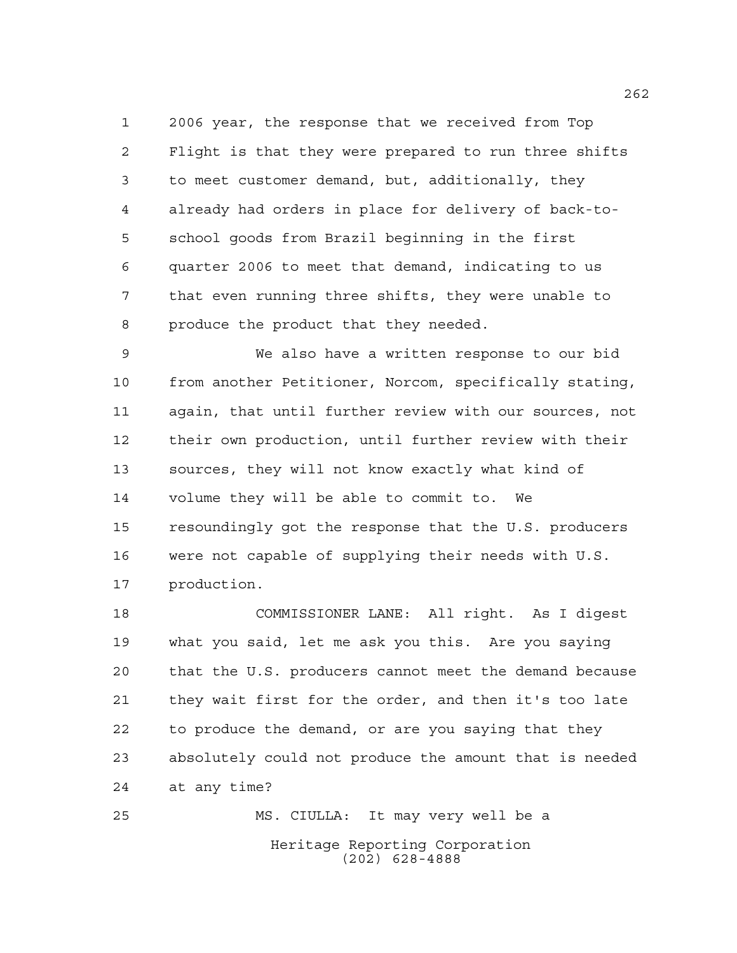2006 year, the response that we received from Top Flight is that they were prepared to run three shifts to meet customer demand, but, additionally, they already had orders in place for delivery of back-to- school goods from Brazil beginning in the first quarter 2006 to meet that demand, indicating to us that even running three shifts, they were unable to produce the product that they needed.

 We also have a written response to our bid from another Petitioner, Norcom, specifically stating, again, that until further review with our sources, not their own production, until further review with their sources, they will not know exactly what kind of volume they will be able to commit to. We resoundingly got the response that the U.S. producers were not capable of supplying their needs with U.S. production.

 COMMISSIONER LANE: All right. As I digest what you said, let me ask you this. Are you saying that the U.S. producers cannot meet the demand because they wait first for the order, and then it's too late to produce the demand, or are you saying that they absolutely could not produce the amount that is needed at any time?

Heritage Reporting Corporation (202) 628-4888 MS. CIULLA: It may very well be a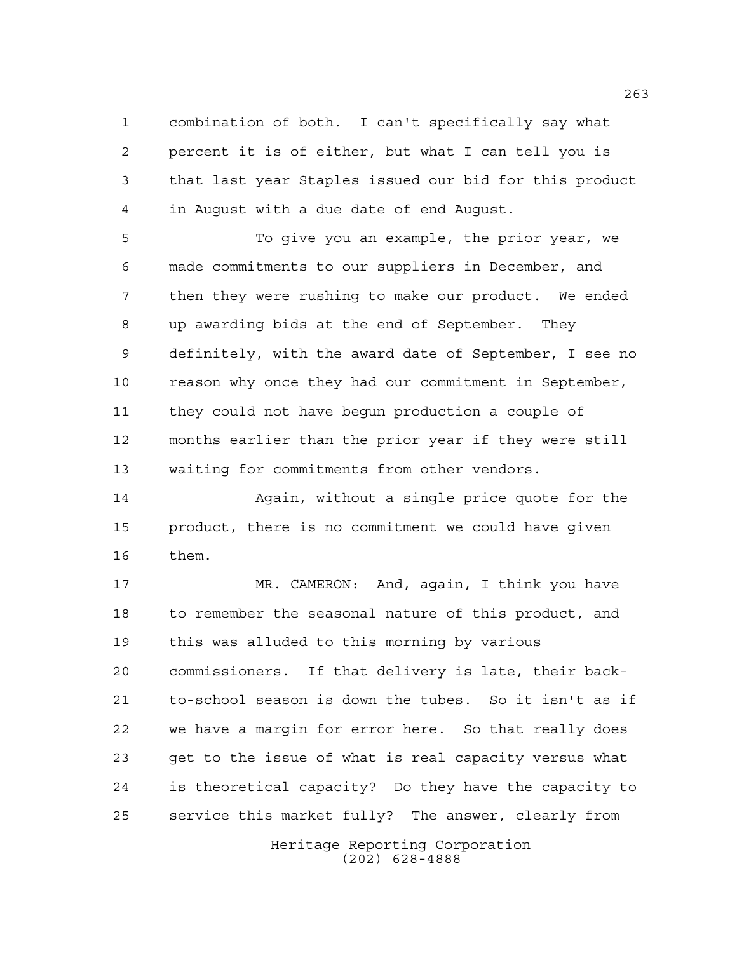combination of both. I can't specifically say what percent it is of either, but what I can tell you is that last year Staples issued our bid for this product in August with a due date of end August.

 To give you an example, the prior year, we made commitments to our suppliers in December, and then they were rushing to make our product. We ended up awarding bids at the end of September. They definitely, with the award date of September, I see no reason why once they had our commitment in September, they could not have begun production a couple of months earlier than the prior year if they were still waiting for commitments from other vendors.

 Again, without a single price quote for the product, there is no commitment we could have given them.

 MR. CAMERON: And, again, I think you have to remember the seasonal nature of this product, and this was alluded to this morning by various commissioners. If that delivery is late, their back- to-school season is down the tubes. So it isn't as if we have a margin for error here. So that really does get to the issue of what is real capacity versus what is theoretical capacity? Do they have the capacity to service this market fully? The answer, clearly from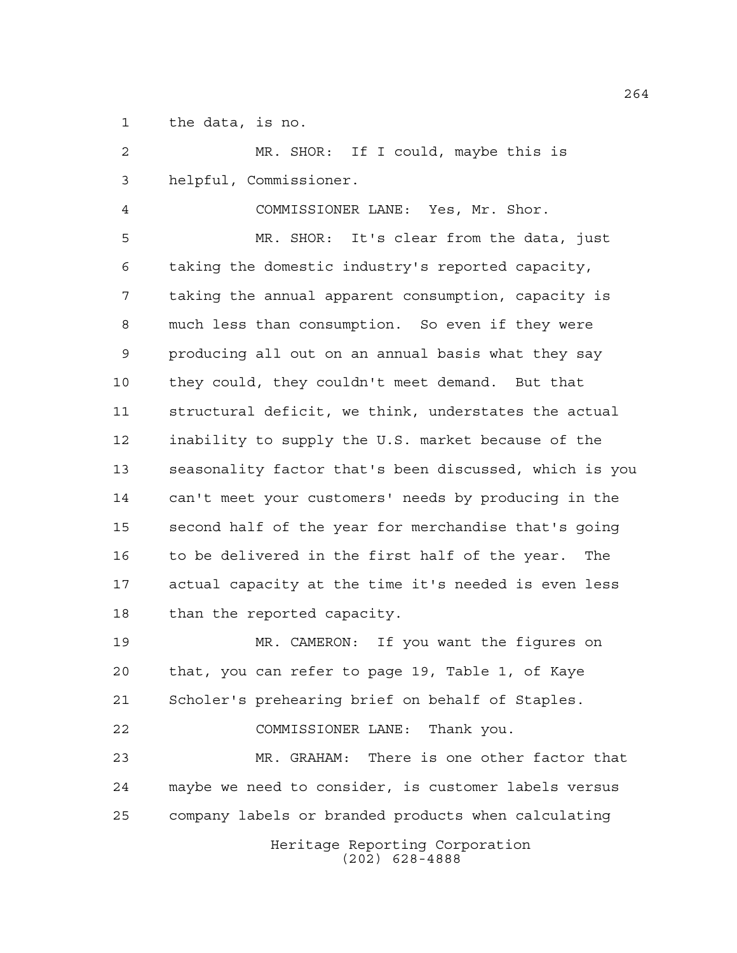the data, is no.

Heritage Reporting Corporation (202) 628-4888 MR. SHOR: If I could, maybe this is helpful, Commissioner. COMMISSIONER LANE: Yes, Mr. Shor. MR. SHOR: It's clear from the data, just taking the domestic industry's reported capacity, taking the annual apparent consumption, capacity is much less than consumption. So even if they were producing all out on an annual basis what they say they could, they couldn't meet demand. But that structural deficit, we think, understates the actual inability to supply the U.S. market because of the seasonality factor that's been discussed, which is you can't meet your customers' needs by producing in the second half of the year for merchandise that's going to be delivered in the first half of the year. The actual capacity at the time it's needed is even less than the reported capacity. MR. CAMERON: If you want the figures on that, you can refer to page 19, Table 1, of Kaye Scholer's prehearing brief on behalf of Staples. COMMISSIONER LANE: Thank you. MR. GRAHAM: There is one other factor that maybe we need to consider, is customer labels versus company labels or branded products when calculating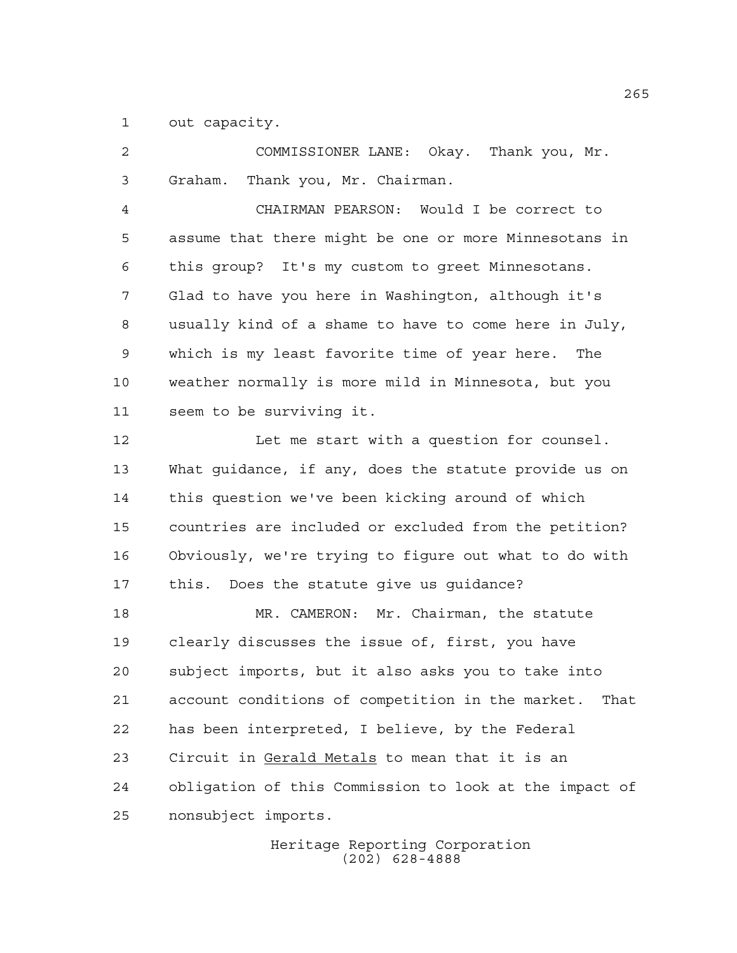out capacity.

 COMMISSIONER LANE: Okay. Thank you, Mr. Graham. Thank you, Mr. Chairman. CHAIRMAN PEARSON: Would I be correct to assume that there might be one or more Minnesotans in this group? It's my custom to greet Minnesotans. Glad to have you here in Washington, although it's usually kind of a shame to have to come here in July, which is my least favorite time of year here. The weather normally is more mild in Minnesota, but you seem to be surviving it. 12 Let me start with a question for counsel. What guidance, if any, does the statute provide us on this question we've been kicking around of which countries are included or excluded from the petition? Obviously, we're trying to figure out what to do with this. Does the statute give us guidance? MR. CAMERON: Mr. Chairman, the statute clearly discusses the issue of, first, you have subject imports, but it also asks you to take into account conditions of competition in the market. That has been interpreted, I believe, by the Federal Circuit in Gerald Metals to mean that it is an obligation of this Commission to look at the impact of nonsubject imports.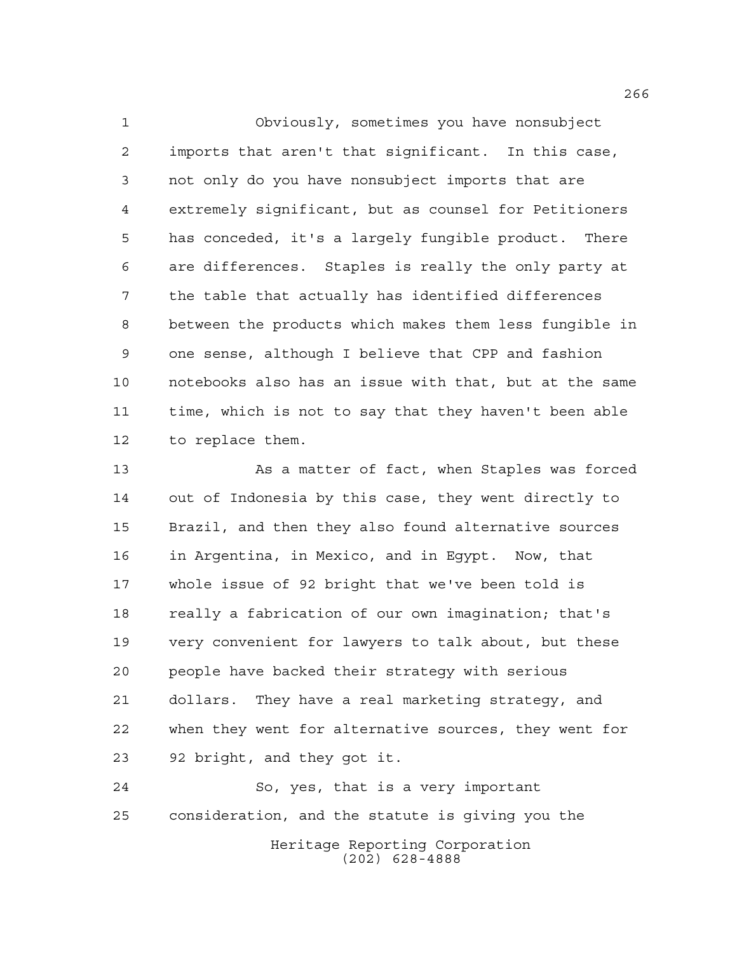Obviously, sometimes you have nonsubject imports that aren't that significant. In this case, not only do you have nonsubject imports that are extremely significant, but as counsel for Petitioners has conceded, it's a largely fungible product. There are differences. Staples is really the only party at the table that actually has identified differences between the products which makes them less fungible in one sense, although I believe that CPP and fashion notebooks also has an issue with that, but at the same time, which is not to say that they haven't been able to replace them.

 As a matter of fact, when Staples was forced out of Indonesia by this case, they went directly to Brazil, and then they also found alternative sources in Argentina, in Mexico, and in Egypt. Now, that whole issue of 92 bright that we've been told is really a fabrication of our own imagination; that's very convenient for lawyers to talk about, but these people have backed their strategy with serious dollars. They have a real marketing strategy, and when they went for alternative sources, they went for 92 bright, and they got it.

Heritage Reporting Corporation (202) 628-4888 So, yes, that is a very important consideration, and the statute is giving you the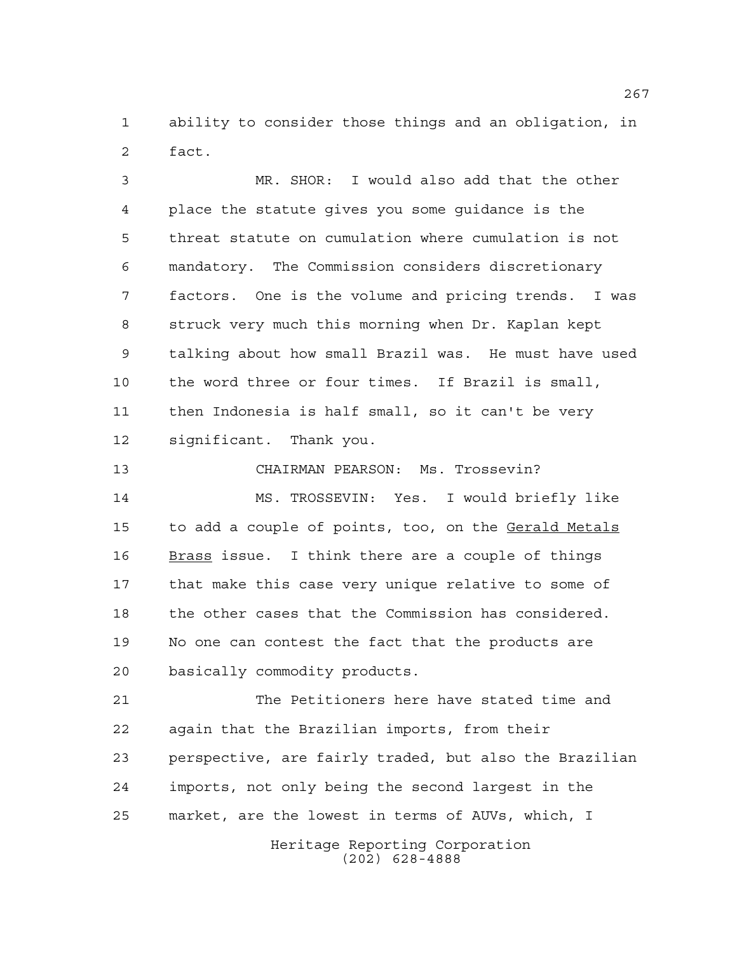ability to consider those things and an obligation, in fact.

 MR. SHOR: I would also add that the other place the statute gives you some guidance is the threat statute on cumulation where cumulation is not mandatory. The Commission considers discretionary factors. One is the volume and pricing trends. I was struck very much this morning when Dr. Kaplan kept talking about how small Brazil was. He must have used the word three or four times. If Brazil is small, then Indonesia is half small, so it can't be very significant. Thank you.

 CHAIRMAN PEARSON: Ms. Trossevin? MS. TROSSEVIN: Yes. I would briefly like 15 to add a couple of points, too, on the Gerald Metals 16 Brass issue. I think there are a couple of things that make this case very unique relative to some of the other cases that the Commission has considered. No one can contest the fact that the products are basically commodity products.

 The Petitioners here have stated time and again that the Brazilian imports, from their perspective, are fairly traded, but also the Brazilian imports, not only being the second largest in the market, are the lowest in terms of AUVs, which, I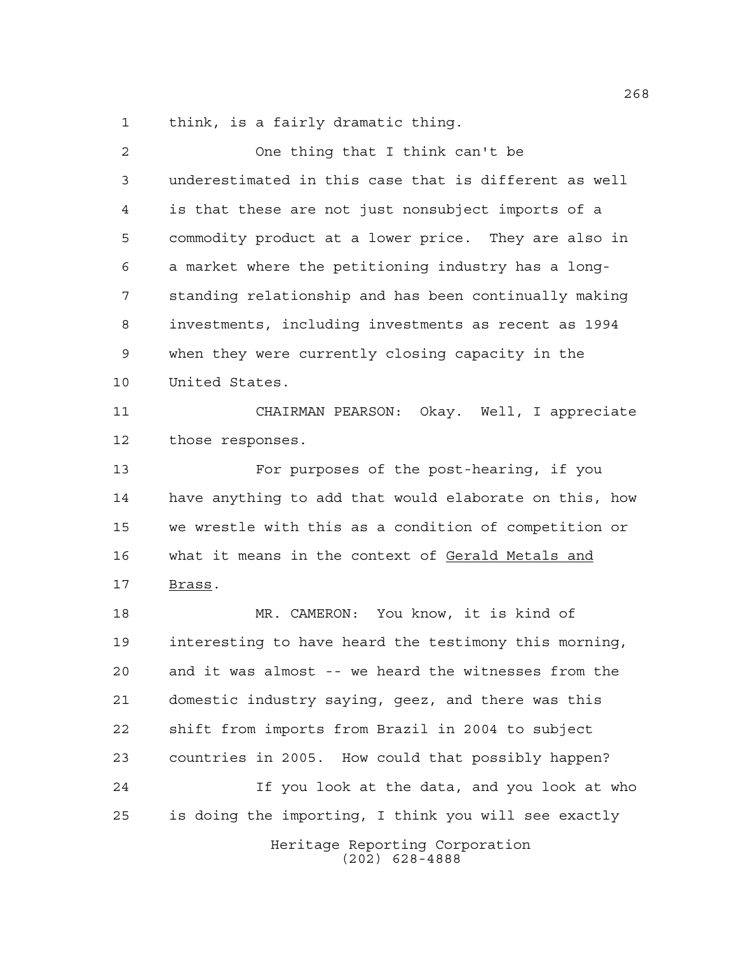think, is a fairly dramatic thing.

| 2  | One thing that I think can't be                        |
|----|--------------------------------------------------------|
| 3  | underestimated in this case that is different as well  |
| 4  | is that these are not just nonsubject imports of a     |
| 5  | commodity product at a lower price. They are also in   |
| 6  | a market where the petitioning industry has a long-    |
| 7  | standing relationship and has been continually making  |
| 8  | investments, including investments as recent as 1994   |
| 9  | when they were currently closing capacity in the       |
| 10 | United States.                                         |
| 11 | CHAIRMAN PEARSON: Okay. Well, I appreciate             |
| 12 | those responses.                                       |
| 13 | For purposes of the post-hearing, if you               |
| 14 | have anything to add that would elaborate on this, how |
| 15 | we wrestle with this as a condition of competition or  |
| 16 | what it means in the context of Gerald Metals and      |
| 17 | Brass.                                                 |
| 18 | MR. CAMERON: You know, it is kind of                   |
| 19 | interesting to have heard the testimony this morning,  |
| 20 | and it was almost -- we heard the witnesses from the   |
| 21 | domestic industry saying, geez, and there was this     |
| 22 | shift from imports from Brazil in 2004 to subject      |
| 23 | countries in 2005. How could that possibly happen?     |
| 24 | If you look at the data, and you look at who           |
| 25 | is doing the importing, I think you will see exactly   |
|    | Heritage Reporting Corporation<br>$(202)$ 628-4888     |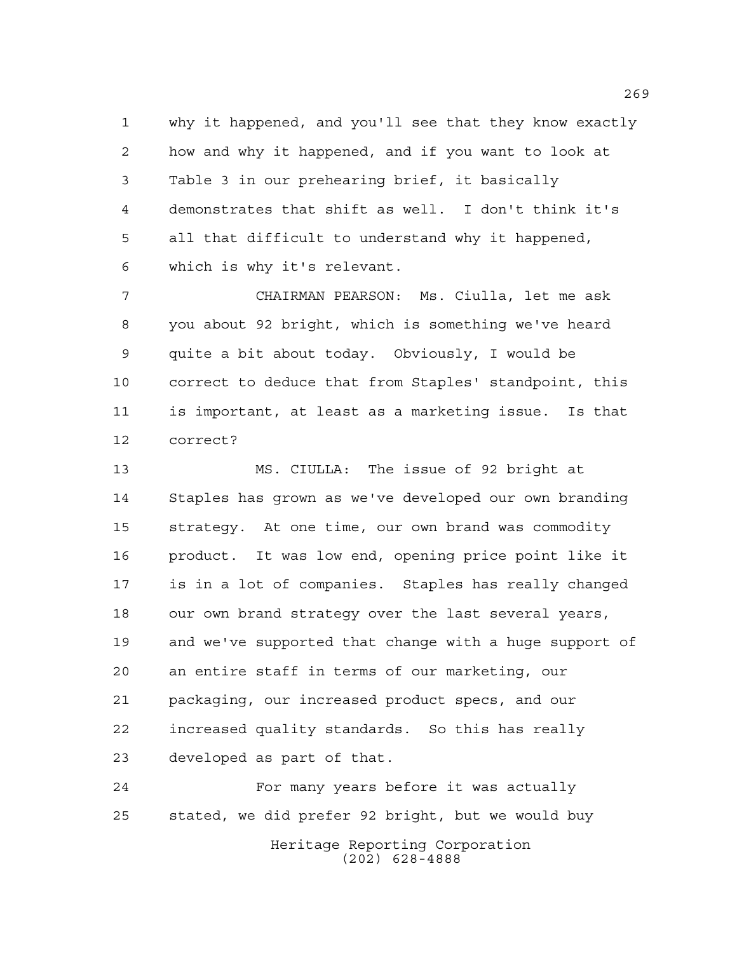why it happened, and you'll see that they know exactly how and why it happened, and if you want to look at Table 3 in our prehearing brief, it basically demonstrates that shift as well. I don't think it's all that difficult to understand why it happened, which is why it's relevant.

 CHAIRMAN PEARSON: Ms. Ciulla, let me ask you about 92 bright, which is something we've heard quite a bit about today. Obviously, I would be correct to deduce that from Staples' standpoint, this is important, at least as a marketing issue. Is that correct?

 MS. CIULLA: The issue of 92 bright at Staples has grown as we've developed our own branding strategy. At one time, our own brand was commodity product. It was low end, opening price point like it is in a lot of companies. Staples has really changed our own brand strategy over the last several years, and we've supported that change with a huge support of an entire staff in terms of our marketing, our packaging, our increased product specs, and our increased quality standards. So this has really developed as part of that.

Heritage Reporting Corporation (202) 628-4888 For many years before it was actually stated, we did prefer 92 bright, but we would buy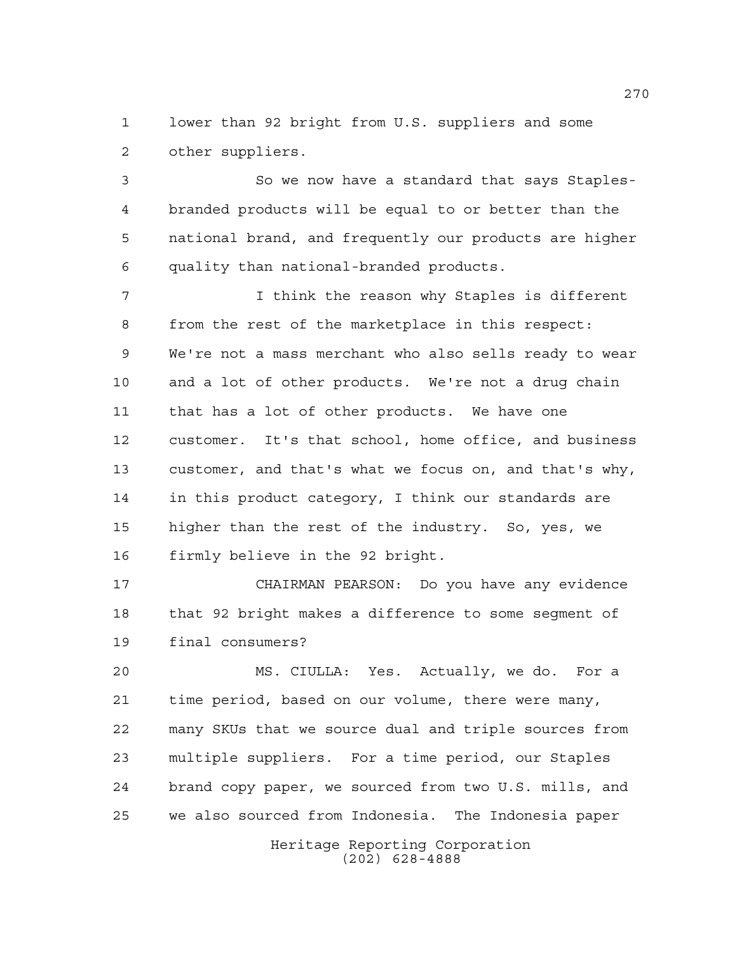lower than 92 bright from U.S. suppliers and some other suppliers.

 So we now have a standard that says Staples- branded products will be equal to or better than the national brand, and frequently our products are higher quality than national-branded products.

 I think the reason why Staples is different from the rest of the marketplace in this respect: We're not a mass merchant who also sells ready to wear and a lot of other products. We're not a drug chain that has a lot of other products. We have one customer. It's that school, home office, and business customer, and that's what we focus on, and that's why, in this product category, I think our standards are higher than the rest of the industry. So, yes, we firmly believe in the 92 bright.

 CHAIRMAN PEARSON: Do you have any evidence that 92 bright makes a difference to some segment of final consumers?

 MS. CIULLA: Yes. Actually, we do. For a time period, based on our volume, there were many, many SKUs that we source dual and triple sources from multiple suppliers. For a time period, our Staples brand copy paper, we sourced from two U.S. mills, and we also sourced from Indonesia. The Indonesia paper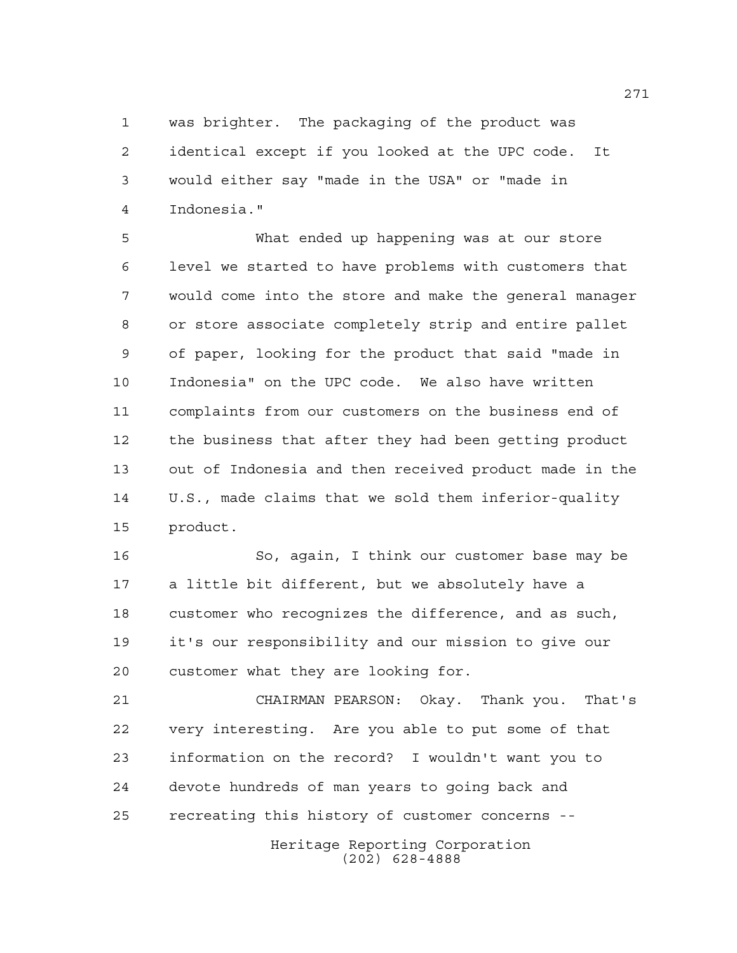was brighter. The packaging of the product was identical except if you looked at the UPC code. It would either say "made in the USA" or "made in Indonesia."

 What ended up happening was at our store level we started to have problems with customers that would come into the store and make the general manager or store associate completely strip and entire pallet of paper, looking for the product that said "made in Indonesia" on the UPC code. We also have written complaints from our customers on the business end of the business that after they had been getting product out of Indonesia and then received product made in the U.S., made claims that we sold them inferior-quality product.

 So, again, I think our customer base may be a little bit different, but we absolutely have a customer who recognizes the difference, and as such, it's our responsibility and our mission to give our customer what they are looking for.

 CHAIRMAN PEARSON: Okay. Thank you. That's very interesting. Are you able to put some of that information on the record? I wouldn't want you to devote hundreds of man years to going back and recreating this history of customer concerns --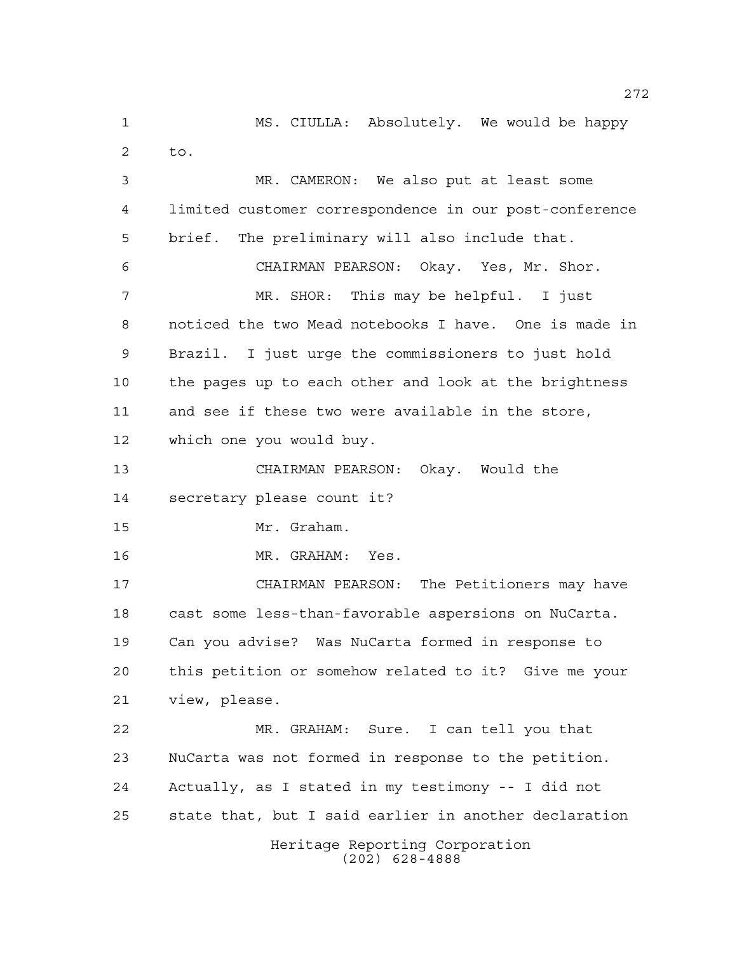Heritage Reporting Corporation (202) 628-4888 MS. CIULLA: Absolutely. We would be happy to. MR. CAMERON: We also put at least some limited customer correspondence in our post-conference brief. The preliminary will also include that. CHAIRMAN PEARSON: Okay. Yes, Mr. Shor. MR. SHOR: This may be helpful. I just noticed the two Mead notebooks I have. One is made in Brazil. I just urge the commissioners to just hold the pages up to each other and look at the brightness and see if these two were available in the store, which one you would buy. CHAIRMAN PEARSON: Okay. Would the secretary please count it? Mr. Graham. MR. GRAHAM: Yes. CHAIRMAN PEARSON: The Petitioners may have cast some less-than-favorable aspersions on NuCarta. Can you advise? Was NuCarta formed in response to this petition or somehow related to it? Give me your view, please. MR. GRAHAM: Sure. I can tell you that NuCarta was not formed in response to the petition. Actually, as I stated in my testimony -- I did not state that, but I said earlier in another declaration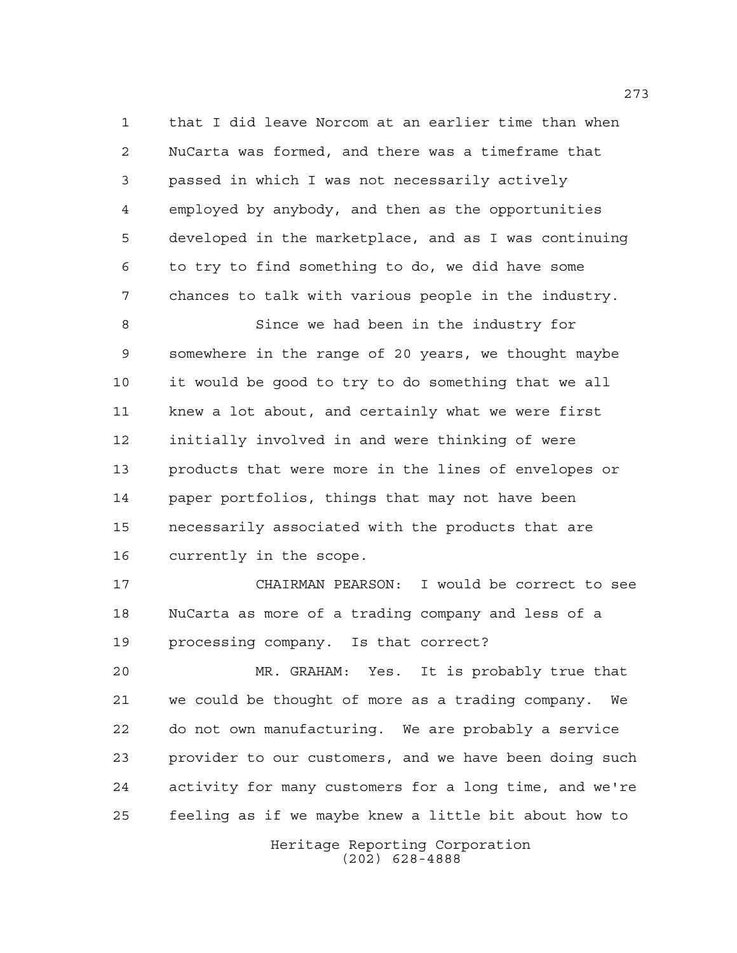that I did leave Norcom at an earlier time than when NuCarta was formed, and there was a timeframe that passed in which I was not necessarily actively employed by anybody, and then as the opportunities developed in the marketplace, and as I was continuing to try to find something to do, we did have some chances to talk with various people in the industry.

 Since we had been in the industry for somewhere in the range of 20 years, we thought maybe it would be good to try to do something that we all knew a lot about, and certainly what we were first initially involved in and were thinking of were products that were more in the lines of envelopes or paper portfolios, things that may not have been necessarily associated with the products that are currently in the scope.

 CHAIRMAN PEARSON: I would be correct to see NuCarta as more of a trading company and less of a processing company. Is that correct?

 MR. GRAHAM: Yes. It is probably true that we could be thought of more as a trading company. We do not own manufacturing. We are probably a service provider to our customers, and we have been doing such activity for many customers for a long time, and we're feeling as if we maybe knew a little bit about how to

> Heritage Reporting Corporation (202) 628-4888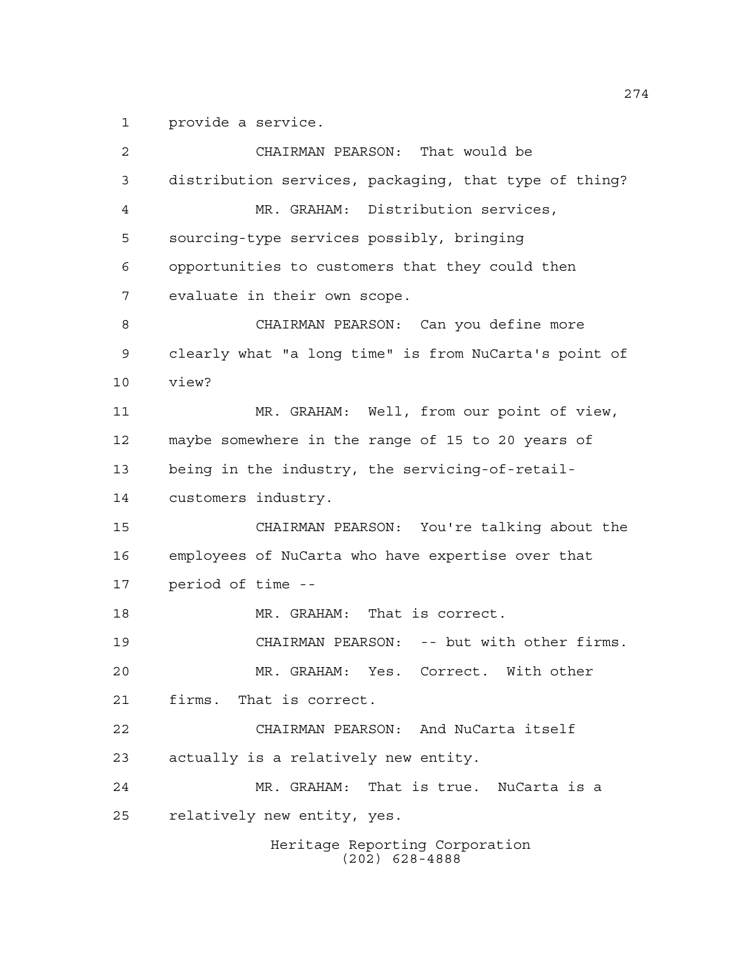provide a service.

 CHAIRMAN PEARSON: That would be distribution services, packaging, that type of thing? MR. GRAHAM: Distribution services, sourcing-type services possibly, bringing opportunities to customers that they could then evaluate in their own scope. CHAIRMAN PEARSON: Can you define more clearly what "a long time" is from NuCarta's point of view? MR. GRAHAM: Well, from our point of view, maybe somewhere in the range of 15 to 20 years of being in the industry, the servicing-of-retail- customers industry. CHAIRMAN PEARSON: You're talking about the employees of NuCarta who have expertise over that period of time -- MR. GRAHAM: That is correct. CHAIRMAN PEARSON: -- but with other firms. MR. GRAHAM: Yes. Correct. With other firms. That is correct. CHAIRMAN PEARSON: And NuCarta itself actually is a relatively new entity. MR. GRAHAM: That is true. NuCarta is a relatively new entity, yes.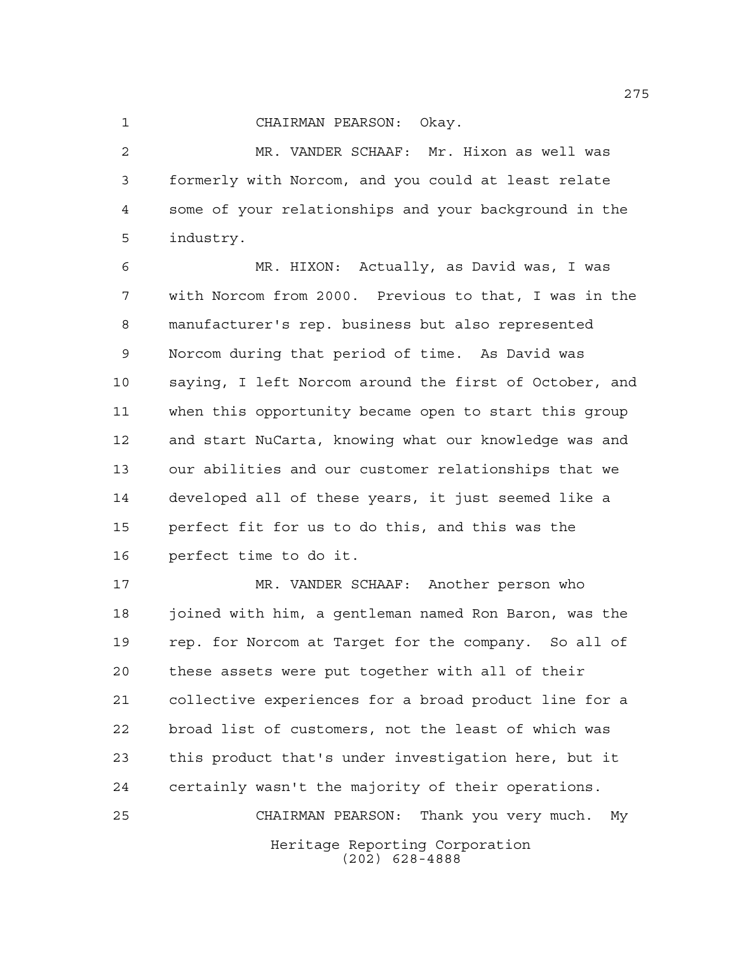## CHAIRMAN PEARSON: Okay.

 MR. VANDER SCHAAF: Mr. Hixon as well was formerly with Norcom, and you could at least relate some of your relationships and your background in the industry.

 MR. HIXON: Actually, as David was, I was with Norcom from 2000. Previous to that, I was in the manufacturer's rep. business but also represented Norcom during that period of time. As David was saying, I left Norcom around the first of October, and when this opportunity became open to start this group and start NuCarta, knowing what our knowledge was and our abilities and our customer relationships that we developed all of these years, it just seemed like a perfect fit for us to do this, and this was the perfect time to do it.

Heritage Reporting Corporation (202) 628-4888 MR. VANDER SCHAAF: Another person who joined with him, a gentleman named Ron Baron, was the rep. for Norcom at Target for the company. So all of these assets were put together with all of their collective experiences for a broad product line for a broad list of customers, not the least of which was this product that's under investigation here, but it certainly wasn't the majority of their operations. CHAIRMAN PEARSON: Thank you very much. My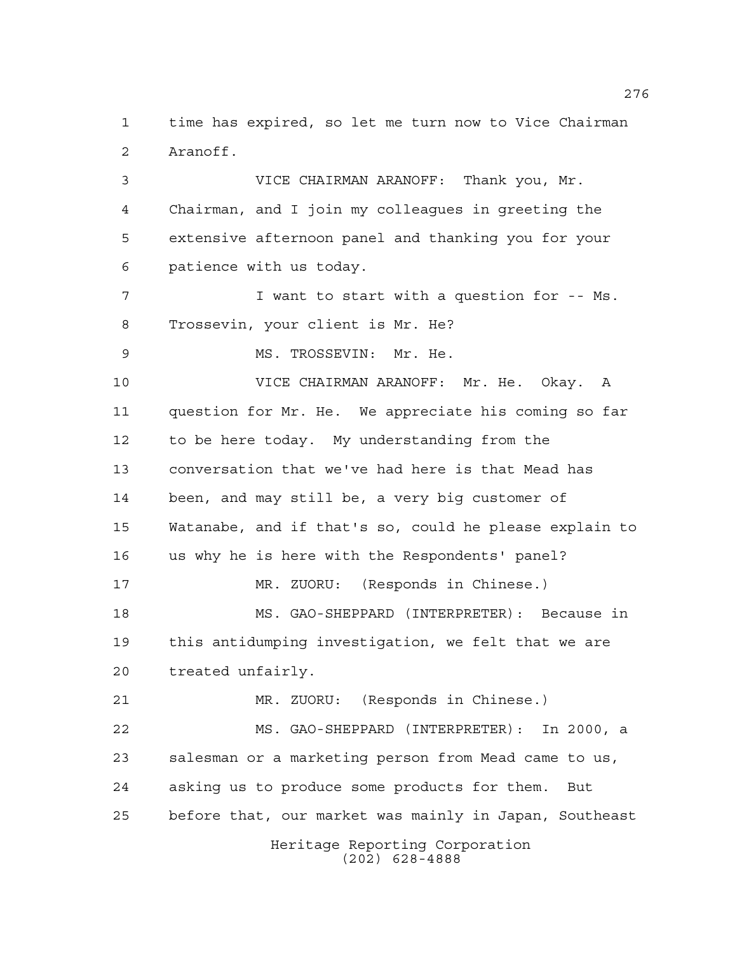time has expired, so let me turn now to Vice Chairman Aranoff.

 VICE CHAIRMAN ARANOFF: Thank you, Mr. Chairman, and I join my colleagues in greeting the extensive afternoon panel and thanking you for your patience with us today.

 I want to start with a question for -- Ms. Trossevin, your client is Mr. He?

MS. TROSSEVIN: Mr. He.

 VICE CHAIRMAN ARANOFF: Mr. He. Okay. A question for Mr. He. We appreciate his coming so far to be here today. My understanding from the conversation that we've had here is that Mead has been, and may still be, a very big customer of Watanabe, and if that's so, could he please explain to us why he is here with the Respondents' panel? MR. ZUORU: (Responds in Chinese.) MS. GAO-SHEPPARD (INTERPRETER): Because in this antidumping investigation, we felt that we are treated unfairly. MR. ZUORU: (Responds in Chinese.) MS. GAO-SHEPPARD (INTERPRETER): In 2000, a salesman or a marketing person from Mead came to us,

before that, our market was mainly in Japan, Southeast

asking us to produce some products for them. But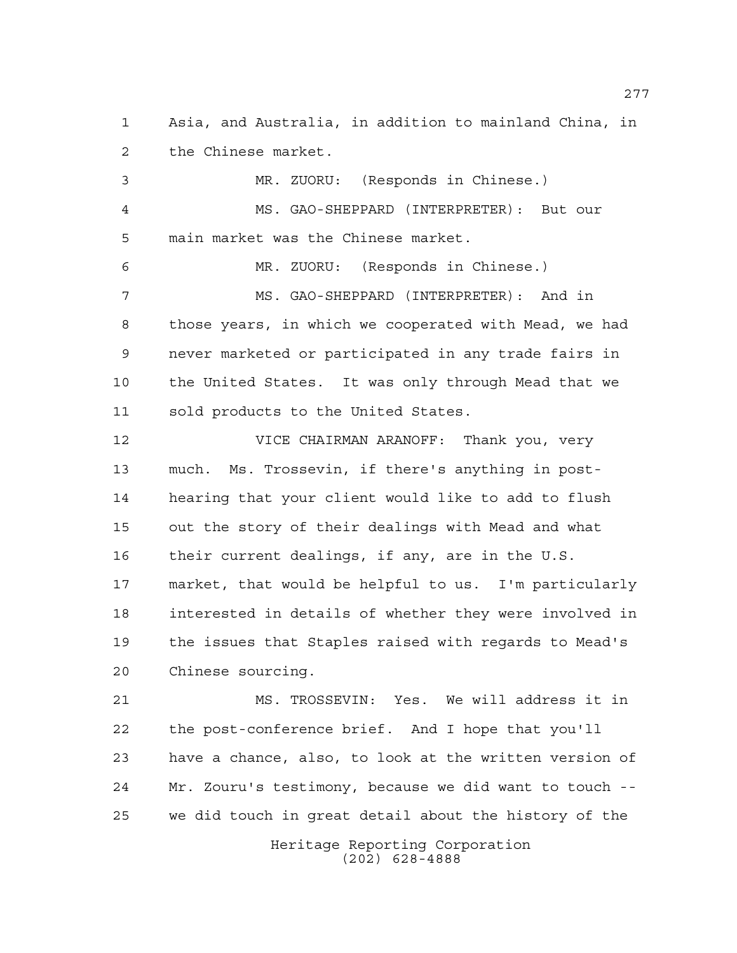Asia, and Australia, in addition to mainland China, in the Chinese market.

 MR. ZUORU: (Responds in Chinese.) MS. GAO-SHEPPARD (INTERPRETER): But our main market was the Chinese market.

 MR. ZUORU: (Responds in Chinese.) MS. GAO-SHEPPARD (INTERPRETER): And in those years, in which we cooperated with Mead, we had never marketed or participated in any trade fairs in the United States. It was only through Mead that we sold products to the United States.

 VICE CHAIRMAN ARANOFF: Thank you, very much. Ms. Trossevin, if there's anything in post- hearing that your client would like to add to flush out the story of their dealings with Mead and what their current dealings, if any, are in the U.S. market, that would be helpful to us. I'm particularly interested in details of whether they were involved in the issues that Staples raised with regards to Mead's Chinese sourcing.

 MS. TROSSEVIN: Yes. We will address it in the post-conference brief. And I hope that you'll have a chance, also, to look at the written version of Mr. Zouru's testimony, because we did want to touch -- we did touch in great detail about the history of the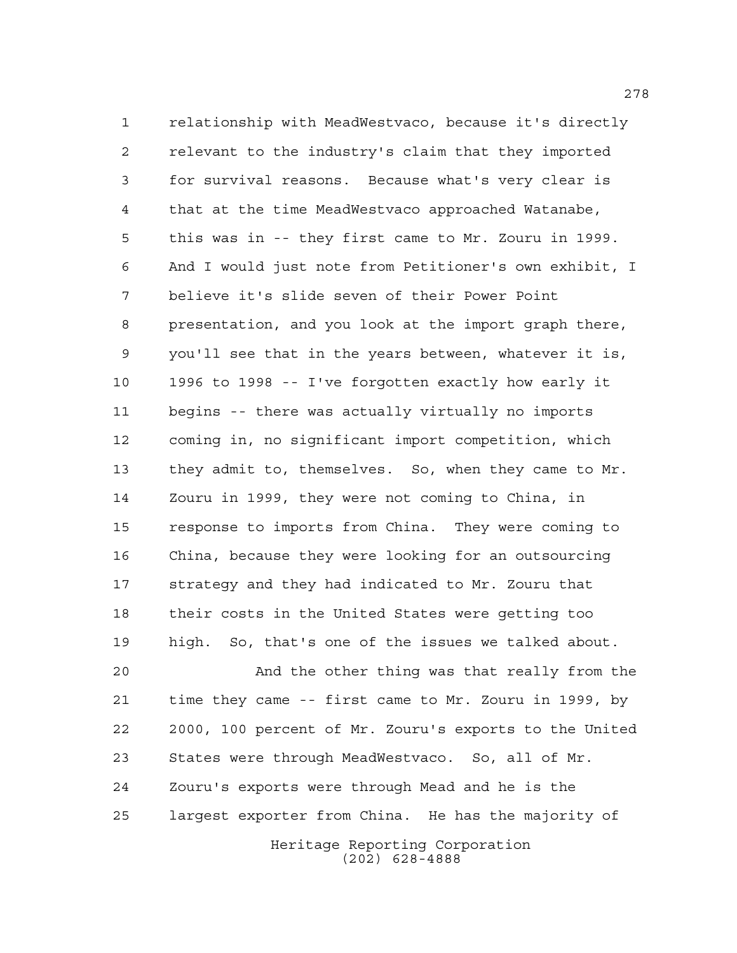relationship with MeadWestvaco, because it's directly relevant to the industry's claim that they imported for survival reasons. Because what's very clear is that at the time MeadWestvaco approached Watanabe, this was in -- they first came to Mr. Zouru in 1999. And I would just note from Petitioner's own exhibit, I believe it's slide seven of their Power Point presentation, and you look at the import graph there, you'll see that in the years between, whatever it is, 1996 to 1998 -- I've forgotten exactly how early it begins -- there was actually virtually no imports coming in, no significant import competition, which they admit to, themselves. So, when they came to Mr. Zouru in 1999, they were not coming to China, in response to imports from China. They were coming to China, because they were looking for an outsourcing strategy and they had indicated to Mr. Zouru that their costs in the United States were getting too high. So, that's one of the issues we talked about.

Heritage Reporting Corporation (202) 628-4888 And the other thing was that really from the time they came -- first came to Mr. Zouru in 1999, by 2000, 100 percent of Mr. Zouru's exports to the United States were through MeadWestvaco. So, all of Mr. Zouru's exports were through Mead and he is the largest exporter from China. He has the majority of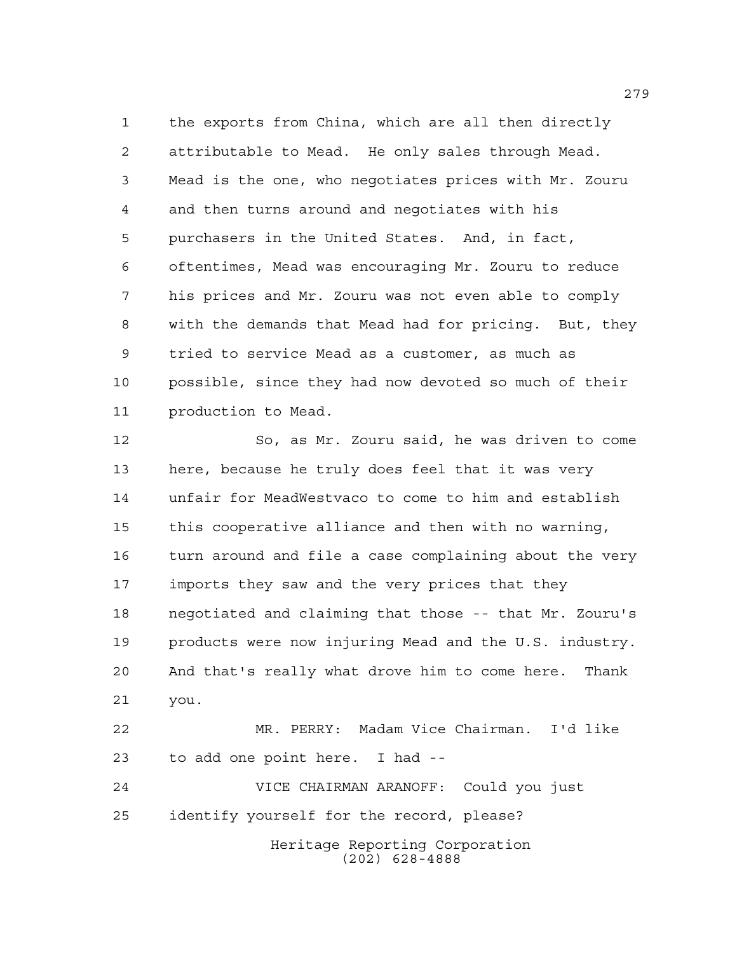the exports from China, which are all then directly attributable to Mead. He only sales through Mead. Mead is the one, who negotiates prices with Mr. Zouru and then turns around and negotiates with his purchasers in the United States. And, in fact, oftentimes, Mead was encouraging Mr. Zouru to reduce his prices and Mr. Zouru was not even able to comply with the demands that Mead had for pricing. But, they tried to service Mead as a customer, as much as possible, since they had now devoted so much of their production to Mead.

 So, as Mr. Zouru said, he was driven to come here, because he truly does feel that it was very unfair for MeadWestvaco to come to him and establish this cooperative alliance and then with no warning, turn around and file a case complaining about the very imports they saw and the very prices that they negotiated and claiming that those -- that Mr. Zouru's products were now injuring Mead and the U.S. industry. And that's really what drove him to come here. Thank you. MR. PERRY: Madam Vice Chairman. I'd like to add one point here. I had -- VICE CHAIRMAN ARANOFF: Could you just

identify yourself for the record, please?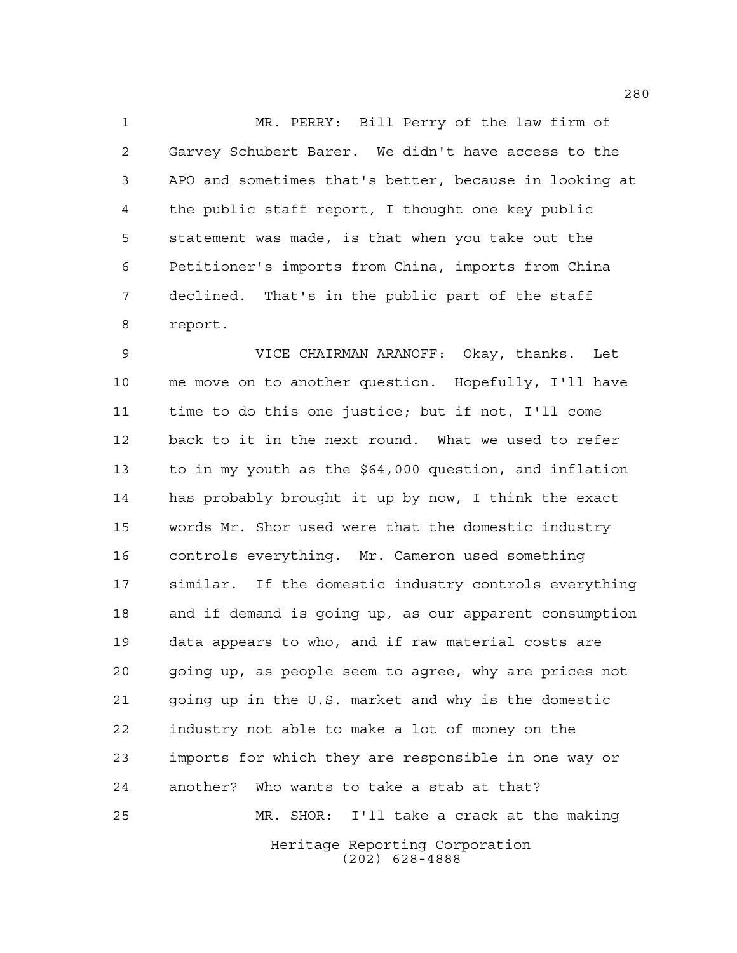MR. PERRY: Bill Perry of the law firm of Garvey Schubert Barer. We didn't have access to the APO and sometimes that's better, because in looking at the public staff report, I thought one key public statement was made, is that when you take out the Petitioner's imports from China, imports from China declined. That's in the public part of the staff report.

Heritage Reporting Corporation VICE CHAIRMAN ARANOFF: Okay, thanks. Let me move on to another question. Hopefully, I'll have time to do this one justice; but if not, I'll come back to it in the next round. What we used to refer to in my youth as the \$64,000 question, and inflation has probably brought it up by now, I think the exact words Mr. Shor used were that the domestic industry controls everything. Mr. Cameron used something similar. If the domestic industry controls everything and if demand is going up, as our apparent consumption data appears to who, and if raw material costs are going up, as people seem to agree, why are prices not going up in the U.S. market and why is the domestic industry not able to make a lot of money on the imports for which they are responsible in one way or another? Who wants to take a stab at that? MR. SHOR: I'll take a crack at the making

(202) 628-4888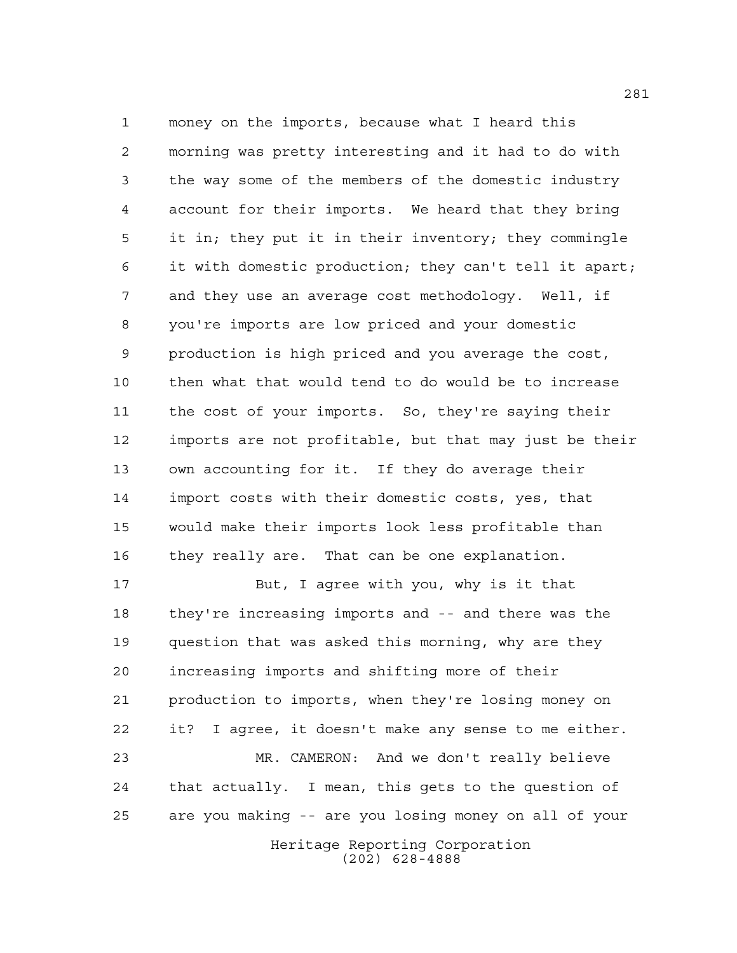money on the imports, because what I heard this morning was pretty interesting and it had to do with the way some of the members of the domestic industry account for their imports. We heard that they bring it in; they put it in their inventory; they commingle it with domestic production; they can't tell it apart; and they use an average cost methodology. Well, if you're imports are low priced and your domestic production is high priced and you average the cost, then what that would tend to do would be to increase the cost of your imports. So, they're saying their imports are not profitable, but that may just be their own accounting for it. If they do average their import costs with their domestic costs, yes, that would make their imports look less profitable than they really are. That can be one explanation.

Heritage Reporting Corporation But, I agree with you, why is it that they're increasing imports and -- and there was the question that was asked this morning, why are they increasing imports and shifting more of their production to imports, when they're losing money on it? I agree, it doesn't make any sense to me either. MR. CAMERON: And we don't really believe that actually. I mean, this gets to the question of are you making -- are you losing money on all of your

(202) 628-4888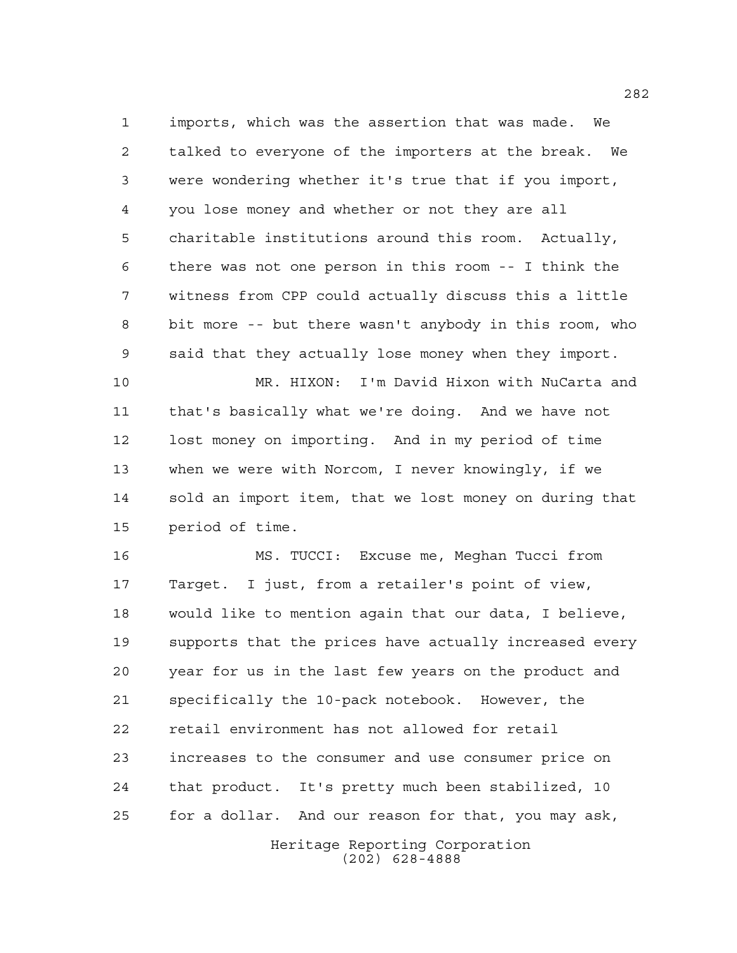imports, which was the assertion that was made. We talked to everyone of the importers at the break. We were wondering whether it's true that if you import, you lose money and whether or not they are all charitable institutions around this room. Actually, there was not one person in this room -- I think the witness from CPP could actually discuss this a little bit more -- but there wasn't anybody in this room, who said that they actually lose money when they import.

 MR. HIXON: I'm David Hixon with NuCarta and that's basically what we're doing. And we have not lost money on importing. And in my period of time when we were with Norcom, I never knowingly, if we sold an import item, that we lost money on during that period of time.

 MS. TUCCI: Excuse me, Meghan Tucci from Target. I just, from a retailer's point of view, would like to mention again that our data, I believe, supports that the prices have actually increased every year for us in the last few years on the product and specifically the 10-pack notebook. However, the retail environment has not allowed for retail increases to the consumer and use consumer price on that product. It's pretty much been stabilized, 10 for a dollar. And our reason for that, you may ask,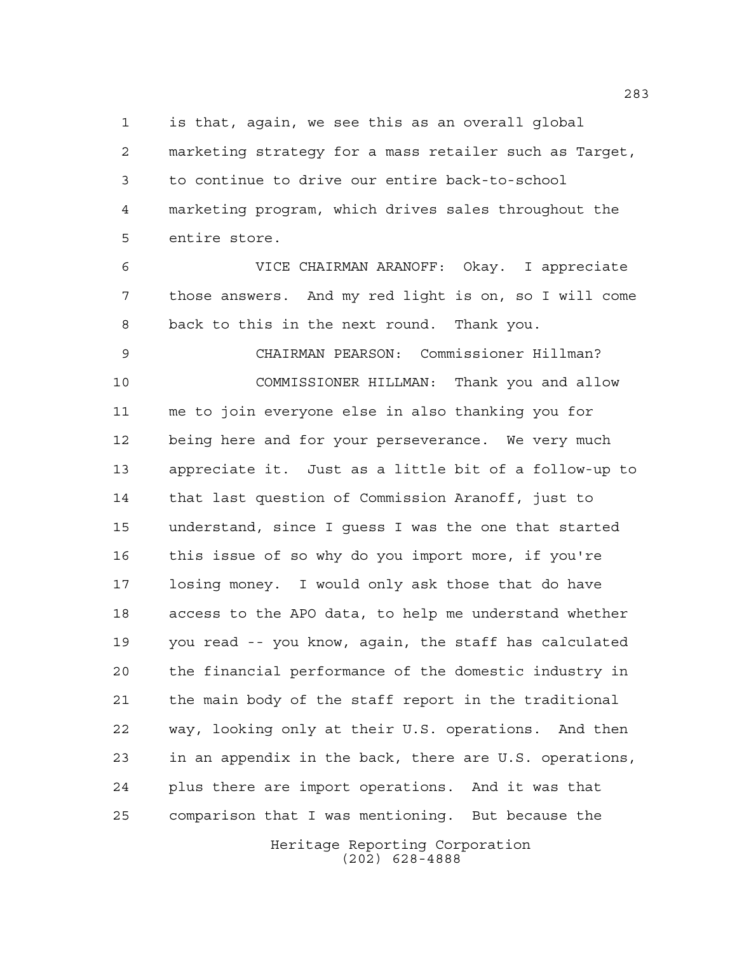is that, again, we see this as an overall global

 marketing strategy for a mass retailer such as Target, to continue to drive our entire back-to-school marketing program, which drives sales throughout the entire store.

 VICE CHAIRMAN ARANOFF: Okay. I appreciate those answers. And my red light is on, so I will come back to this in the next round. Thank you.

 CHAIRMAN PEARSON: Commissioner Hillman? COMMISSIONER HILLMAN: Thank you and allow me to join everyone else in also thanking you for being here and for your perseverance. We very much appreciate it. Just as a little bit of a follow-up to that last question of Commission Aranoff, just to understand, since I guess I was the one that started this issue of so why do you import more, if you're losing money. I would only ask those that do have access to the APO data, to help me understand whether you read -- you know, again, the staff has calculated the financial performance of the domestic industry in the main body of the staff report in the traditional way, looking only at their U.S. operations. And then in an appendix in the back, there are U.S. operations, plus there are import operations. And it was that comparison that I was mentioning. But because the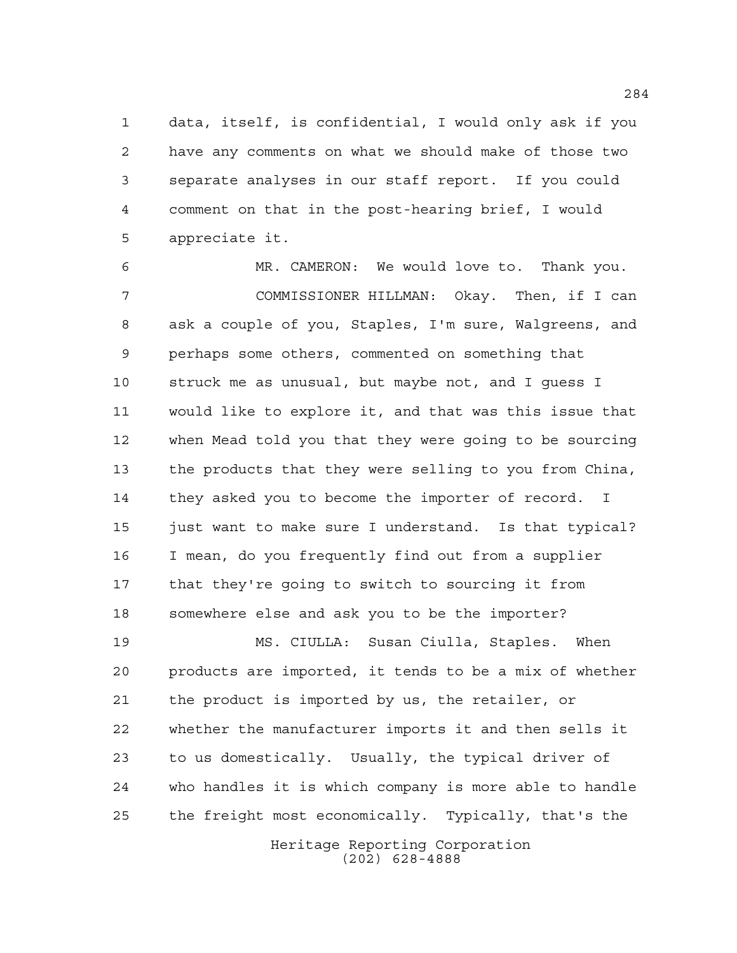data, itself, is confidential, I would only ask if you have any comments on what we should make of those two separate analyses in our staff report. If you could comment on that in the post-hearing brief, I would appreciate it.

 MR. CAMERON: We would love to. Thank you. COMMISSIONER HILLMAN: Okay. Then, if I can ask a couple of you, Staples, I'm sure, Walgreens, and perhaps some others, commented on something that struck me as unusual, but maybe not, and I guess I would like to explore it, and that was this issue that when Mead told you that they were going to be sourcing the products that they were selling to you from China, they asked you to become the importer of record. I 15 just want to make sure I understand. Is that typical? I mean, do you frequently find out from a supplier that they're going to switch to sourcing it from somewhere else and ask you to be the importer?

 MS. CIULLA: Susan Ciulla, Staples. When products are imported, it tends to be a mix of whether the product is imported by us, the retailer, or whether the manufacturer imports it and then sells it to us domestically. Usually, the typical driver of who handles it is which company is more able to handle the freight most economically. Typically, that's the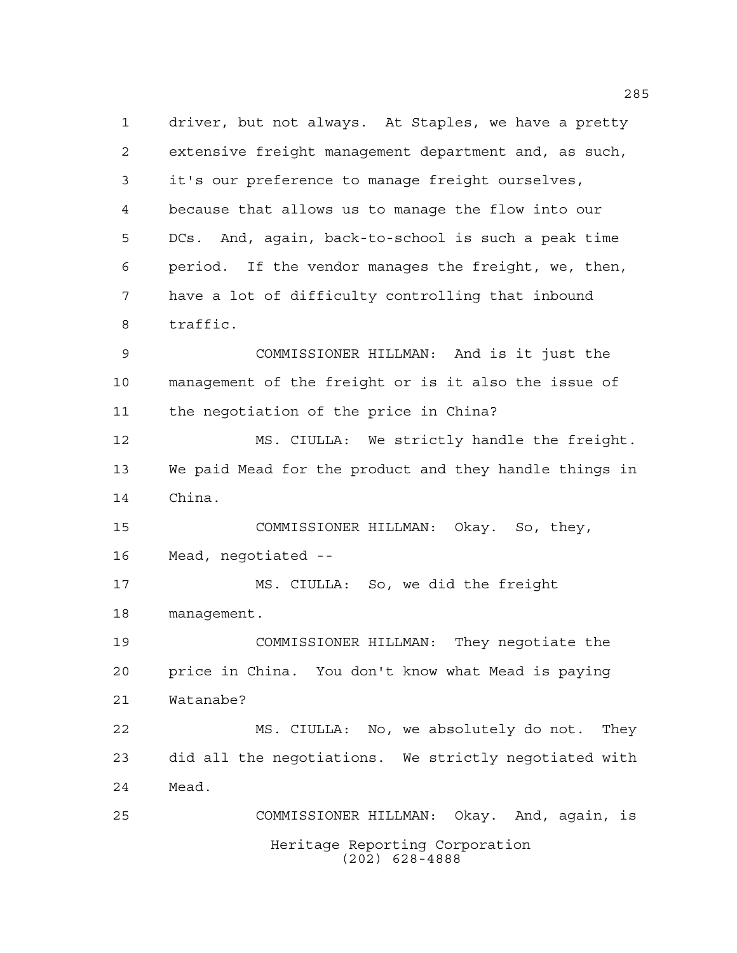Heritage Reporting Corporation (202) 628-4888 driver, but not always. At Staples, we have a pretty extensive freight management department and, as such, it's our preference to manage freight ourselves, because that allows us to manage the flow into our DCs. And, again, back-to-school is such a peak time period. If the vendor manages the freight, we, then, have a lot of difficulty controlling that inbound traffic. COMMISSIONER HILLMAN: And is it just the management of the freight or is it also the issue of the negotiation of the price in China? MS. CIULLA: We strictly handle the freight. We paid Mead for the product and they handle things in China. COMMISSIONER HILLMAN: Okay. So, they, Mead, negotiated -- MS. CIULLA: So, we did the freight management. COMMISSIONER HILLMAN: They negotiate the price in China. You don't know what Mead is paying Watanabe? MS. CIULLA: No, we absolutely do not. They did all the negotiations. We strictly negotiated with Mead. COMMISSIONER HILLMAN: Okay. And, again, is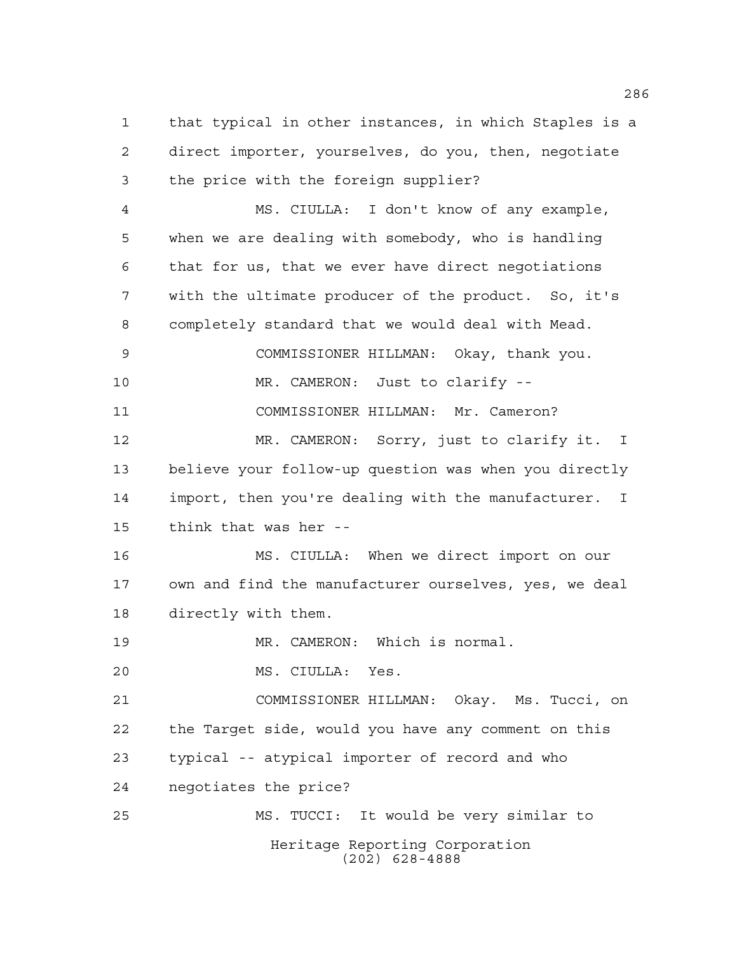that typical in other instances, in which Staples is a direct importer, yourselves, do you, then, negotiate the price with the foreign supplier?

 MS. CIULLA: I don't know of any example, when we are dealing with somebody, who is handling that for us, that we ever have direct negotiations with the ultimate producer of the product. So, it's completely standard that we would deal with Mead. COMMISSIONER HILLMAN: Okay, thank you. MR. CAMERON: Just to clarify -- COMMISSIONER HILLMAN: Mr. Cameron? 12 MR. CAMERON: Sorry, just to clarify it. I

 believe your follow-up question was when you directly import, then you're dealing with the manufacturer. I think that was her --

 MS. CIULLA: When we direct import on our own and find the manufacturer ourselves, yes, we deal directly with them.

19 MR. CAMERON: Which is normal.

MS. CIULLA: Yes.

 COMMISSIONER HILLMAN: Okay. Ms. Tucci, on the Target side, would you have any comment on this typical -- atypical importer of record and who negotiates the price?

Heritage Reporting Corporation (202) 628-4888 MS. TUCCI: It would be very similar to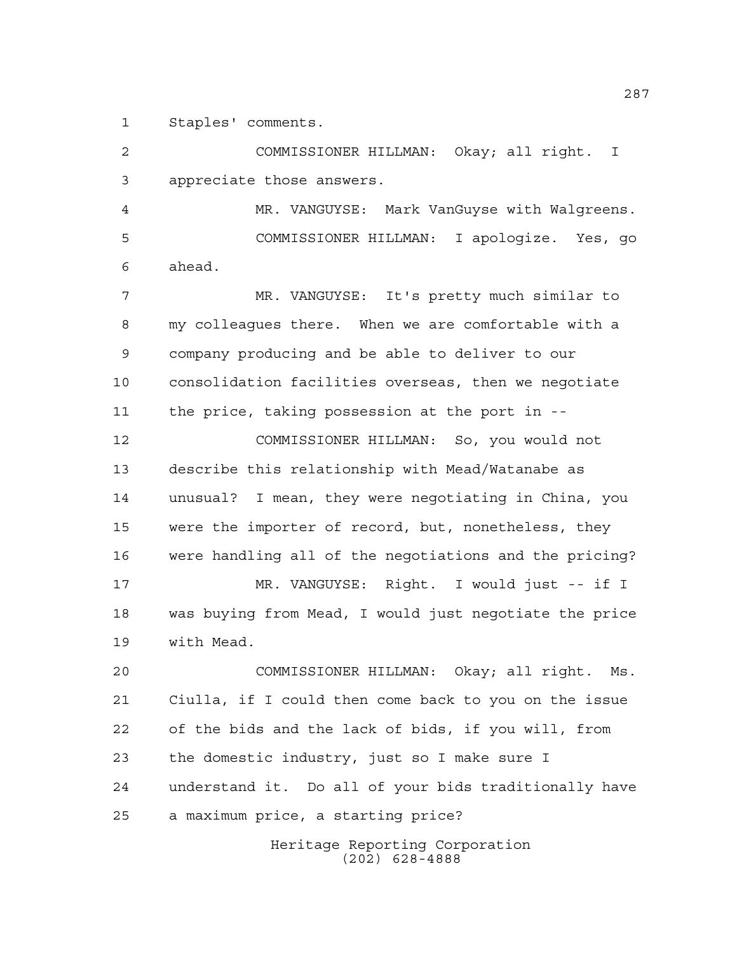Staples' comments.

 COMMISSIONER HILLMAN: Okay; all right. I appreciate those answers.

 MR. VANGUYSE: Mark VanGuyse with Walgreens. COMMISSIONER HILLMAN: I apologize. Yes, go ahead.

 MR. VANGUYSE: It's pretty much similar to my colleagues there. When we are comfortable with a company producing and be able to deliver to our consolidation facilities overseas, then we negotiate the price, taking possession at the port in --

 COMMISSIONER HILLMAN: So, you would not describe this relationship with Mead/Watanabe as unusual? I mean, they were negotiating in China, you were the importer of record, but, nonetheless, they were handling all of the negotiations and the pricing? MR. VANGUYSE: Right. I would just -- if I was buying from Mead, I would just negotiate the price with Mead.

 COMMISSIONER HILLMAN: Okay; all right. Ms. Ciulla, if I could then come back to you on the issue of the bids and the lack of bids, if you will, from the domestic industry, just so I make sure I understand it. Do all of your bids traditionally have a maximum price, a starting price?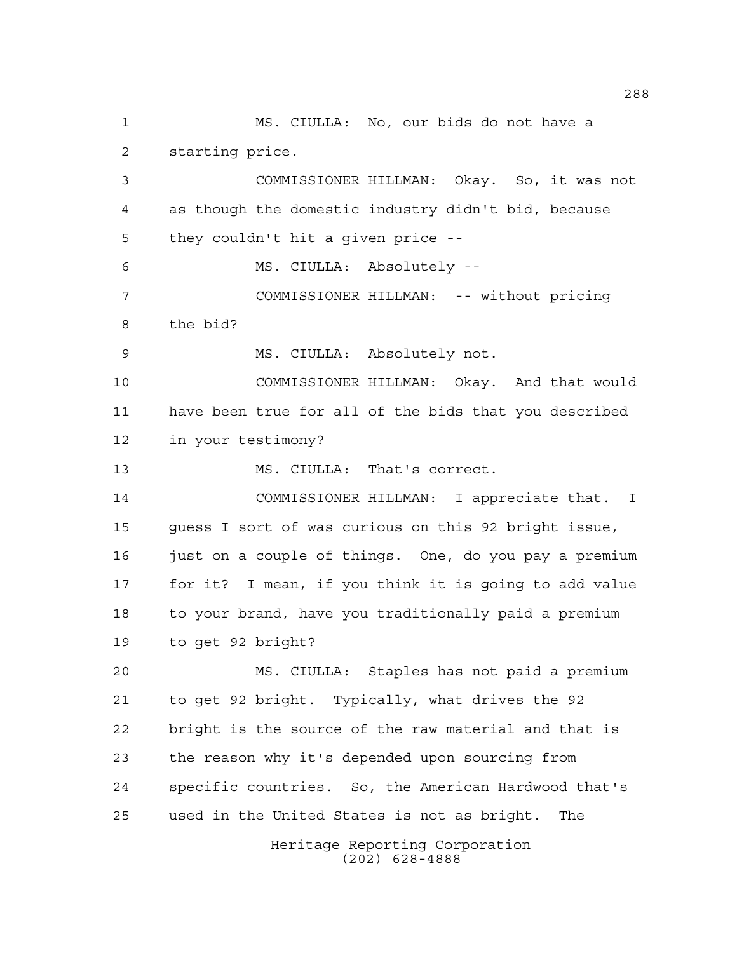Heritage Reporting Corporation (202) 628-4888 MS. CIULLA: No, our bids do not have a starting price. COMMISSIONER HILLMAN: Okay. So, it was not as though the domestic industry didn't bid, because they couldn't hit a given price -- MS. CIULLA: Absolutely -- COMMISSIONER HILLMAN: -- without pricing the bid? MS. CIULLA: Absolutely not. COMMISSIONER HILLMAN: Okay. And that would have been true for all of the bids that you described in your testimony? MS. CIULLA: That's correct. COMMISSIONER HILLMAN: I appreciate that. I guess I sort of was curious on this 92 bright issue, just on a couple of things. One, do you pay a premium for it? I mean, if you think it is going to add value to your brand, have you traditionally paid a premium to get 92 bright? MS. CIULLA: Staples has not paid a premium to get 92 bright. Typically, what drives the 92 bright is the source of the raw material and that is the reason why it's depended upon sourcing from specific countries. So, the American Hardwood that's used in the United States is not as bright. The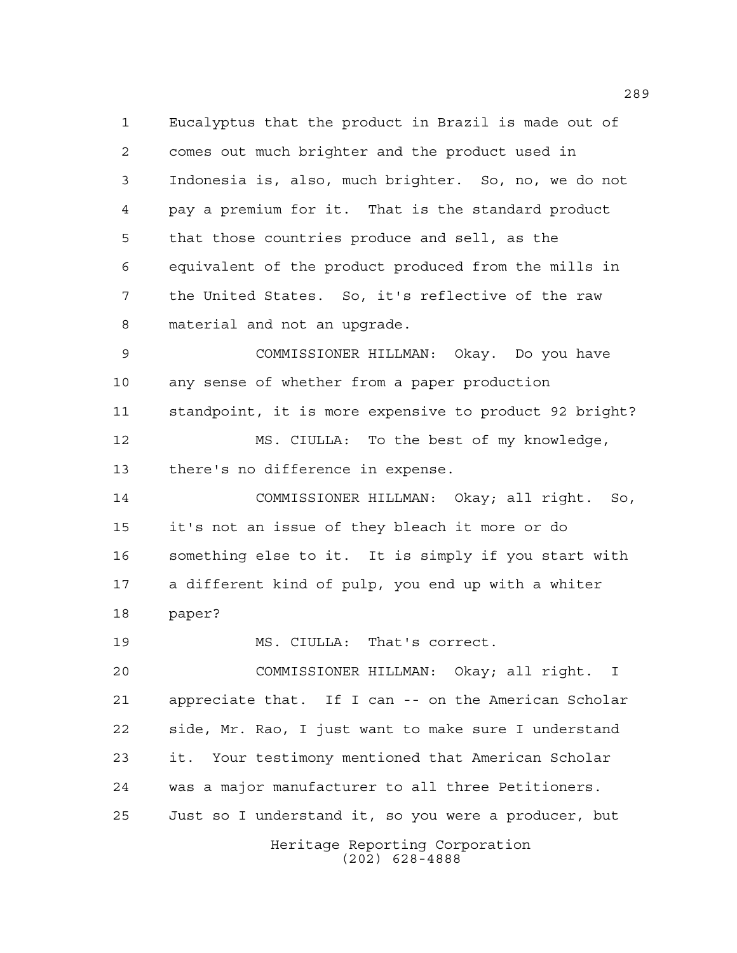Eucalyptus that the product in Brazil is made out of comes out much brighter and the product used in Indonesia is, also, much brighter. So, no, we do not pay a premium for it. That is the standard product that those countries produce and sell, as the equivalent of the product produced from the mills in the United States. So, it's reflective of the raw material and not an upgrade.

 COMMISSIONER HILLMAN: Okay. Do you have any sense of whether from a paper production standpoint, it is more expensive to product 92 bright?

 MS. CIULLA: To the best of my knowledge, there's no difference in expense.

 COMMISSIONER HILLMAN: Okay; all right. So, it's not an issue of they bleach it more or do something else to it. It is simply if you start with a different kind of pulp, you end up with a whiter paper?

MS. CIULLA: That's correct.

Heritage Reporting Corporation COMMISSIONER HILLMAN: Okay; all right. I appreciate that. If I can -- on the American Scholar side, Mr. Rao, I just want to make sure I understand it. Your testimony mentioned that American Scholar was a major manufacturer to all three Petitioners. Just so I understand it, so you were a producer, but

(202) 628-4888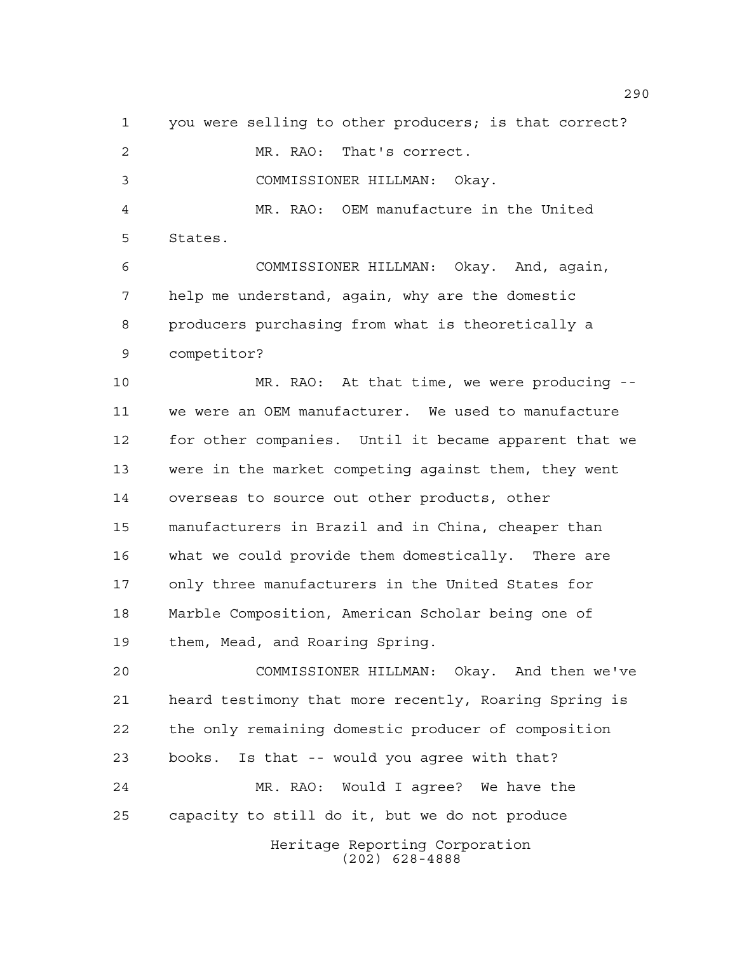Heritage Reporting Corporation you were selling to other producers; is that correct? MR. RAO: That's correct. COMMISSIONER HILLMAN: Okay. MR. RAO: OEM manufacture in the United States. COMMISSIONER HILLMAN: Okay. And, again, help me understand, again, why are the domestic producers purchasing from what is theoretically a competitor? MR. RAO: At that time, we were producing -- we were an OEM manufacturer. We used to manufacture for other companies. Until it became apparent that we were in the market competing against them, they went overseas to source out other products, other manufacturers in Brazil and in China, cheaper than what we could provide them domestically. There are only three manufacturers in the United States for Marble Composition, American Scholar being one of them, Mead, and Roaring Spring. COMMISSIONER HILLMAN: Okay. And then we've heard testimony that more recently, Roaring Spring is the only remaining domestic producer of composition books. Is that -- would you agree with that? MR. RAO: Would I agree? We have the capacity to still do it, but we do not produce

(202) 628-4888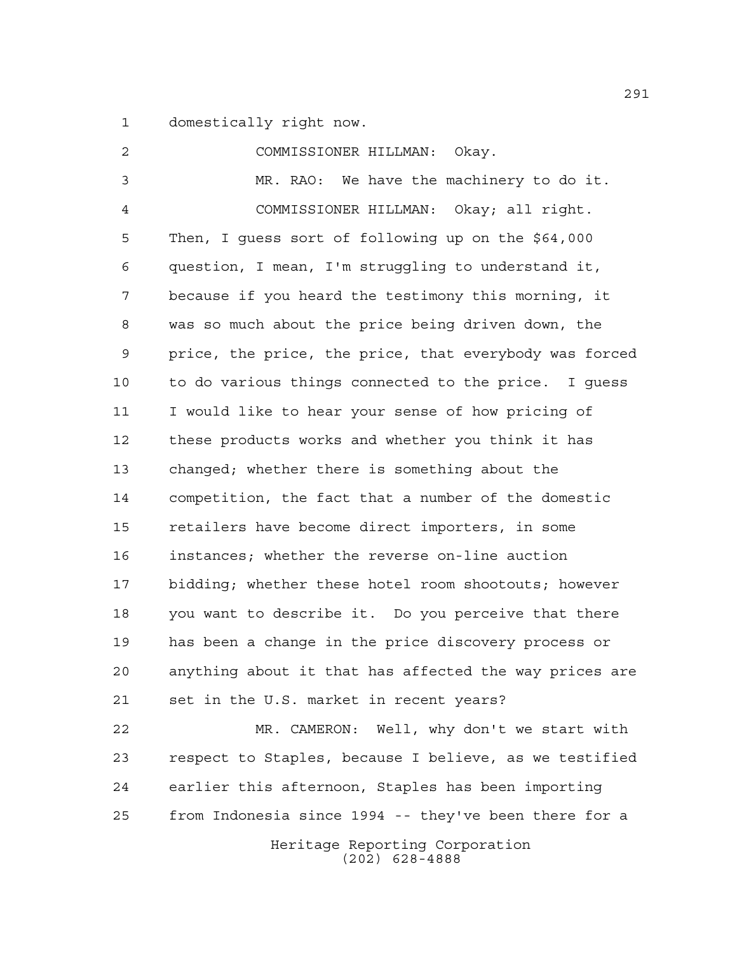domestically right now.

 COMMISSIONER HILLMAN: Okay. MR. RAO: We have the machinery to do it. COMMISSIONER HILLMAN: Okay; all right. Then, I guess sort of following up on the \$64,000 question, I mean, I'm struggling to understand it, because if you heard the testimony this morning, it was so much about the price being driven down, the price, the price, the price, that everybody was forced to do various things connected to the price. I guess I would like to hear your sense of how pricing of these products works and whether you think it has changed; whether there is something about the competition, the fact that a number of the domestic retailers have become direct importers, in some instances; whether the reverse on-line auction bidding; whether these hotel room shootouts; however you want to describe it. Do you perceive that there has been a change in the price discovery process or anything about it that has affected the way prices are set in the U.S. market in recent years? MR. CAMERON: Well, why don't we start with respect to Staples, because I believe, as we testified earlier this afternoon, Staples has been importing from Indonesia since 1994 -- they've been there for a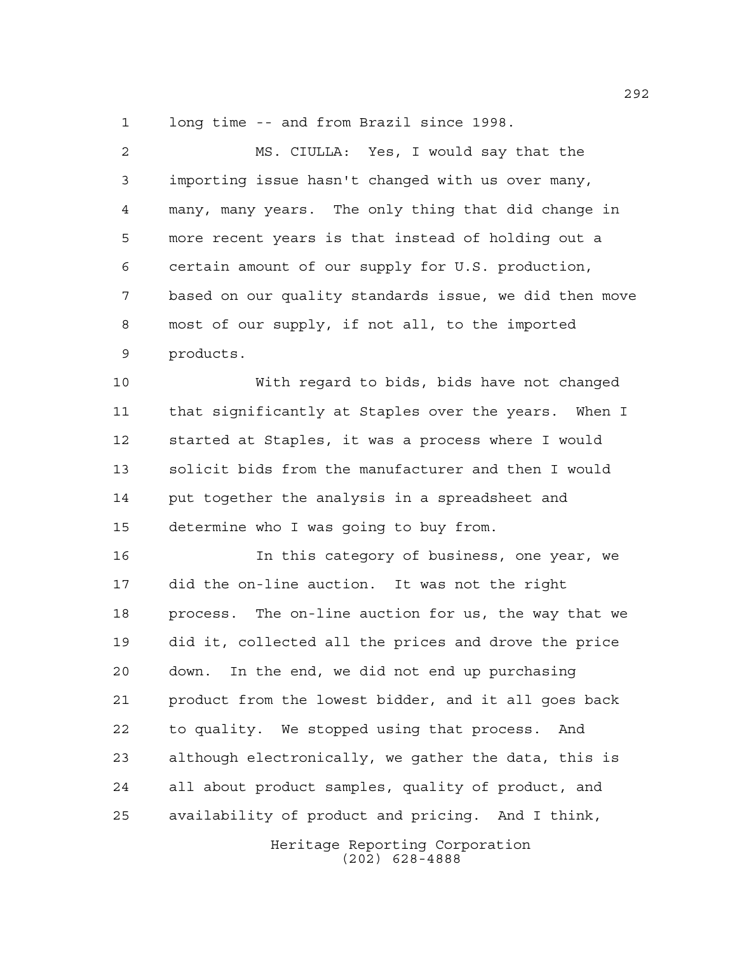long time -- and from Brazil since 1998.

| 2  | MS. CIULLA: Yes, I would say that the                  |
|----|--------------------------------------------------------|
| 3  | importing issue hasn't changed with us over many,      |
| 4  | many, many years. The only thing that did change in    |
| 5  | more recent years is that instead of holding out a     |
| 6  | certain amount of our supply for U.S. production,      |
| 7  | based on our quality standards issue, we did then move |
| 8  | most of our supply, if not all, to the imported        |
| 9  | products.                                              |
| 10 | With regard to bids, bids have not changed             |
| 11 | that significantly at Staples over the years. When I   |
| 12 | started at Staples, it was a process where I would     |
| 13 | solicit bids from the manufacturer and then I would    |
| 14 | put together the analysis in a spreadsheet and         |
| 15 | determine who I was going to buy from.                 |
| 16 | In this category of business, one year, we             |
| 17 | did the on-line auction. It was not the right          |
| 18 | process. The on-line auction for us, the way that we   |
| 19 | did it, collected all the prices and drove the price   |
| 20 | In the end, we did not end up purchasing<br>down.      |
| 21 | product from the lowest bidder, and it all goes back   |
| 22 | to quality. We stopped using that process.<br>And      |
| 23 | although electronically, we gather the data, this is   |
| 24 | all about product samples, quality of product, and     |
| 25 | availability of product and pricing. And I think,      |
|    | Heritage Reporting Corporation                         |

(202) 628-4888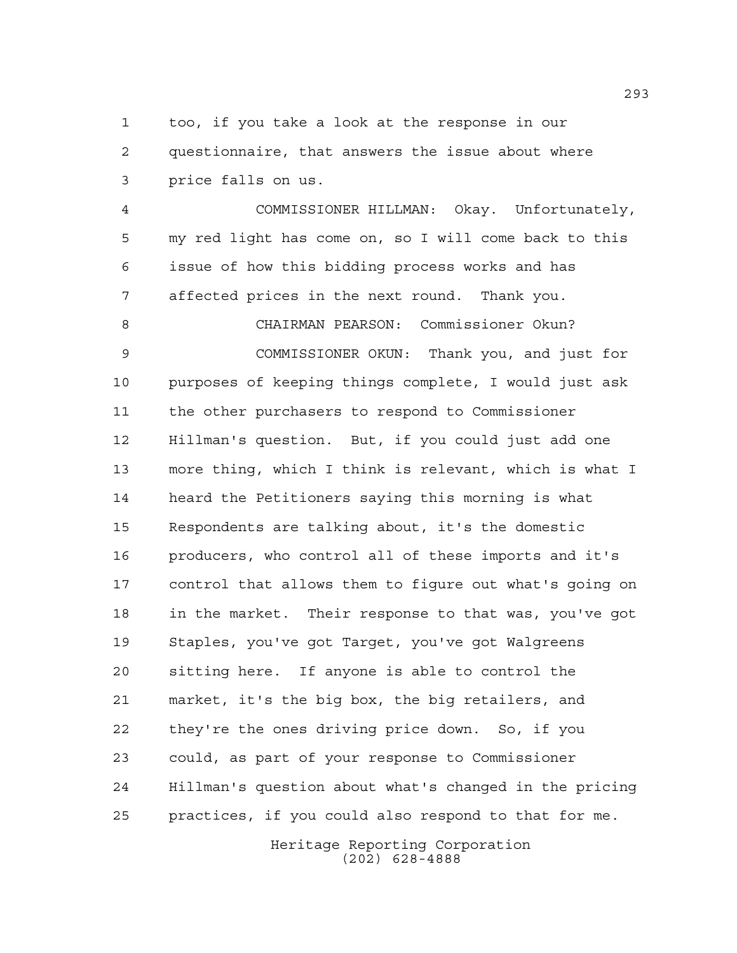too, if you take a look at the response in our questionnaire, that answers the issue about where price falls on us.

 COMMISSIONER HILLMAN: Okay. Unfortunately, my red light has come on, so I will come back to this issue of how this bidding process works and has affected prices in the next round. Thank you.

 CHAIRMAN PEARSON: Commissioner Okun? COMMISSIONER OKUN: Thank you, and just for purposes of keeping things complete, I would just ask the other purchasers to respond to Commissioner Hillman's question. But, if you could just add one more thing, which I think is relevant, which is what I heard the Petitioners saying this morning is what Respondents are talking about, it's the domestic producers, who control all of these imports and it's control that allows them to figure out what's going on in the market. Their response to that was, you've got Staples, you've got Target, you've got Walgreens sitting here. If anyone is able to control the market, it's the big box, the big retailers, and they're the ones driving price down. So, if you could, as part of your response to Commissioner Hillman's question about what's changed in the pricing practices, if you could also respond to that for me.

> Heritage Reporting Corporation (202) 628-4888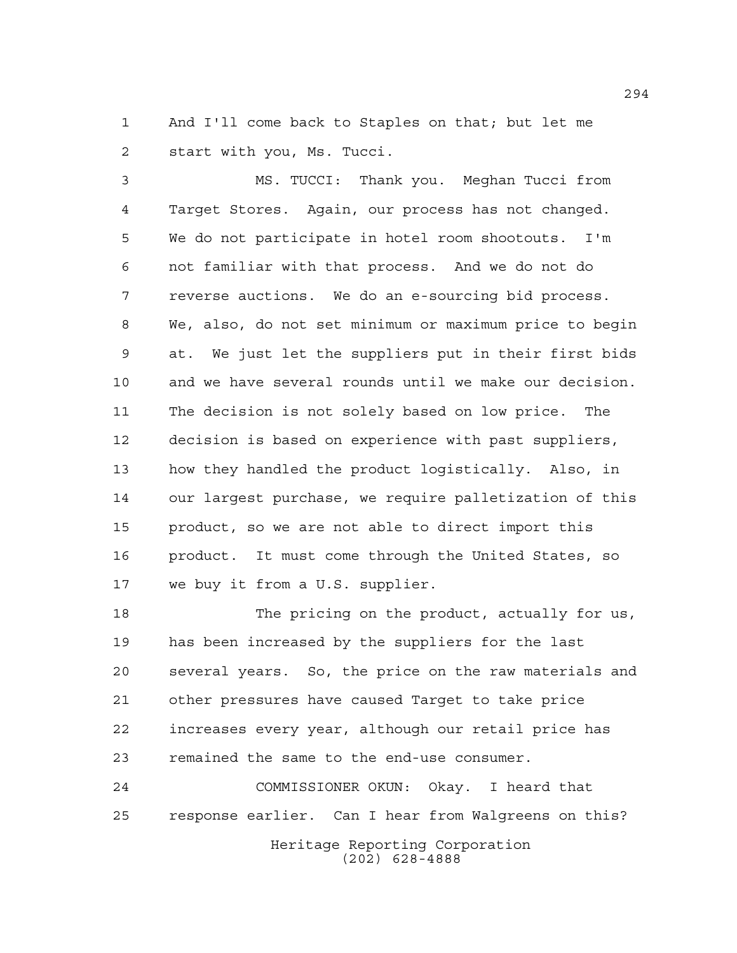And I'll come back to Staples on that; but let me start with you, Ms. Tucci.

 MS. TUCCI: Thank you. Meghan Tucci from Target Stores. Again, our process has not changed. We do not participate in hotel room shootouts. I'm not familiar with that process. And we do not do reverse auctions. We do an e-sourcing bid process. We, also, do not set minimum or maximum price to begin at. We just let the suppliers put in their first bids and we have several rounds until we make our decision. The decision is not solely based on low price. The decision is based on experience with past suppliers, how they handled the product logistically. Also, in our largest purchase, we require palletization of this product, so we are not able to direct import this product. It must come through the United States, so we buy it from a U.S. supplier.

 The pricing on the product, actually for us, has been increased by the suppliers for the last several years. So, the price on the raw materials and other pressures have caused Target to take price increases every year, although our retail price has remained the same to the end-use consumer.

Heritage Reporting Corporation (202) 628-4888 COMMISSIONER OKUN: Okay. I heard that response earlier. Can I hear from Walgreens on this?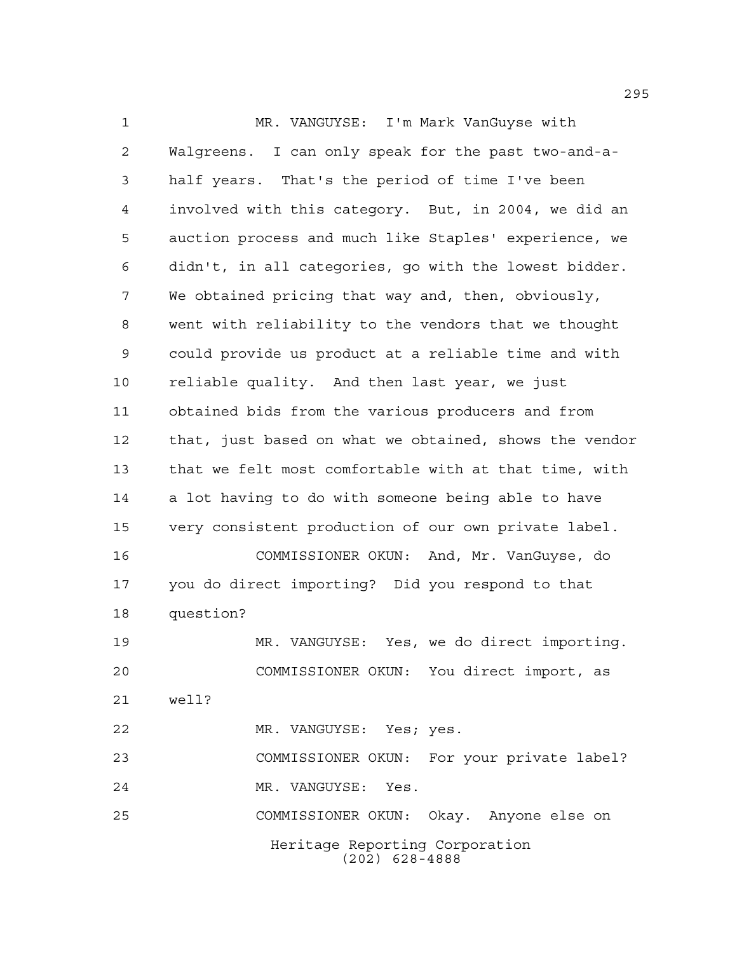Heritage Reporting Corporation (202) 628-4888 MR. VANGUYSE: I'm Mark VanGuyse with Walgreens. I can only speak for the past two-and-a- half years. That's the period of time I've been involved with this category. But, in 2004, we did an auction process and much like Staples' experience, we didn't, in all categories, go with the lowest bidder. We obtained pricing that way and, then, obviously, went with reliability to the vendors that we thought could provide us product at a reliable time and with reliable quality. And then last year, we just obtained bids from the various producers and from that, just based on what we obtained, shows the vendor that we felt most comfortable with at that time, with a lot having to do with someone being able to have very consistent production of our own private label. COMMISSIONER OKUN: And, Mr. VanGuyse, do you do direct importing? Did you respond to that question? MR. VANGUYSE: Yes, we do direct importing. COMMISSIONER OKUN: You direct import, as well? MR. VANGUYSE: Yes; yes. COMMISSIONER OKUN: For your private label? MR. VANGUYSE: Yes. COMMISSIONER OKUN: Okay. Anyone else on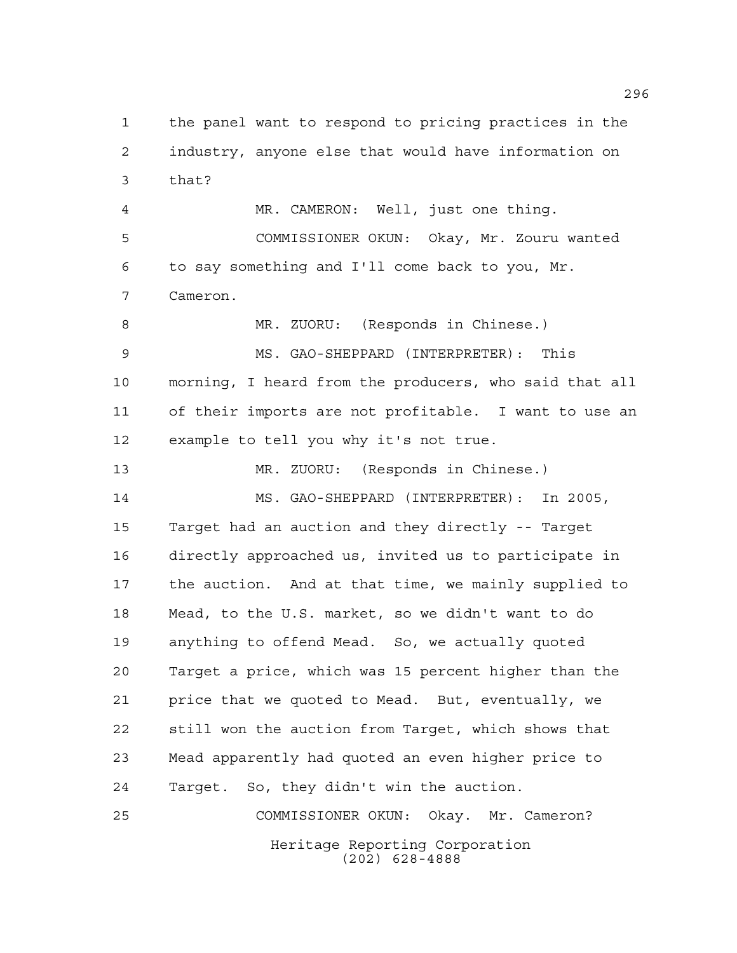Heritage Reporting Corporation the panel want to respond to pricing practices in the industry, anyone else that would have information on that? MR. CAMERON: Well, just one thing. COMMISSIONER OKUN: Okay, Mr. Zouru wanted to say something and I'll come back to you, Mr. Cameron. 8 MR. ZUORU: (Responds in Chinese.) MS. GAO-SHEPPARD (INTERPRETER): This morning, I heard from the producers, who said that all of their imports are not profitable. I want to use an example to tell you why it's not true. MR. ZUORU: (Responds in Chinese.) MS. GAO-SHEPPARD (INTERPRETER): In 2005, Target had an auction and they directly -- Target directly approached us, invited us to participate in the auction. And at that time, we mainly supplied to Mead, to the U.S. market, so we didn't want to do anything to offend Mead. So, we actually quoted Target a price, which was 15 percent higher than the price that we quoted to Mead. But, eventually, we still won the auction from Target, which shows that Mead apparently had quoted an even higher price to Target. So, they didn't win the auction. COMMISSIONER OKUN: Okay. Mr. Cameron?

(202) 628-4888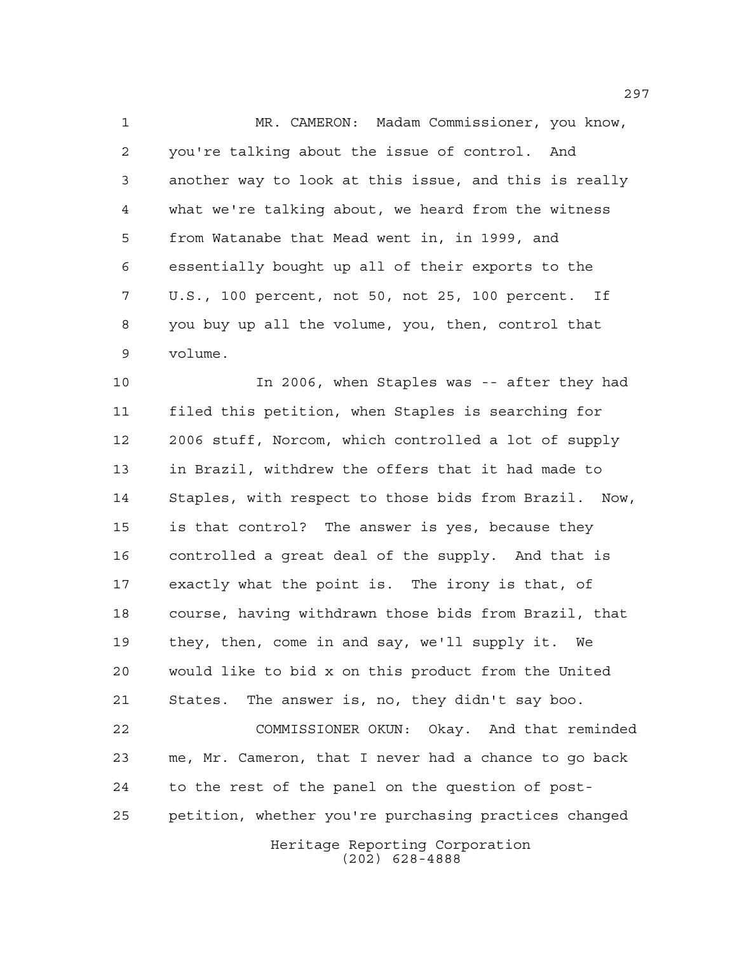MR. CAMERON: Madam Commissioner, you know, you're talking about the issue of control. And another way to look at this issue, and this is really what we're talking about, we heard from the witness from Watanabe that Mead went in, in 1999, and essentially bought up all of their exports to the U.S., 100 percent, not 50, not 25, 100 percent. If you buy up all the volume, you, then, control that volume.

 In 2006, when Staples was -- after they had filed this petition, when Staples is searching for 2006 stuff, Norcom, which controlled a lot of supply in Brazil, withdrew the offers that it had made to Staples, with respect to those bids from Brazil. Now, is that control? The answer is yes, because they controlled a great deal of the supply. And that is exactly what the point is. The irony is that, of course, having withdrawn those bids from Brazil, that they, then, come in and say, we'll supply it. We would like to bid x on this product from the United States. The answer is, no, they didn't say boo. COMMISSIONER OKUN: Okay. And that reminded

 me, Mr. Cameron, that I never had a chance to go back to the rest of the panel on the question of post-petition, whether you're purchasing practices changed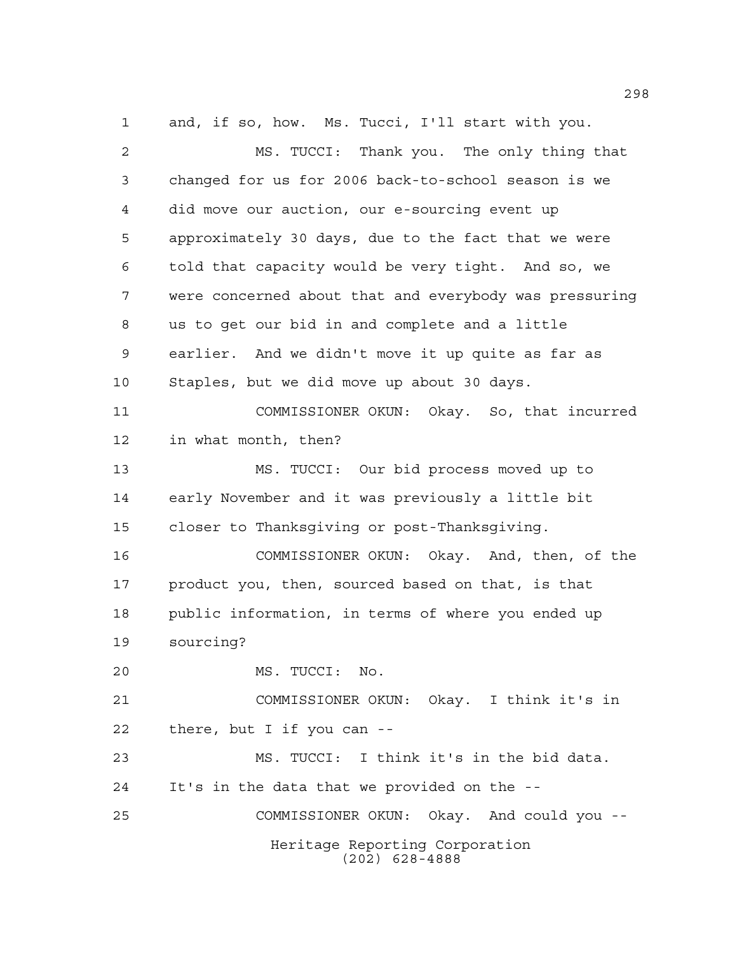MS. TUCCI: Thank you. The only thing that changed for us for 2006 back-to-school season is we did move our auction, our e-sourcing event up approximately 30 days, due to the fact that we were told that capacity would be very tight. And so, we were concerned about that and everybody was pressuring us to get our bid in and complete and a little earlier. And we didn't move it up quite as far as Staples, but we did move up about 30 days. COMMISSIONER OKUN: Okay. So, that incurred in what month, then? MS. TUCCI: Our bid process moved up to early November and it was previously a little bit closer to Thanksgiving or post-Thanksgiving. COMMISSIONER OKUN: Okay. And, then, of the product you, then, sourced based on that, is that public information, in terms of where you ended up sourcing? MS. TUCCI: No. COMMISSIONER OKUN: Okay. I think it's in there, but I if you can -- MS. TUCCI: I think it's in the bid data. It's in the data that we provided on the -- COMMISSIONER OKUN: Okay. And could you --

and, if so, how. Ms. Tucci, I'll start with you.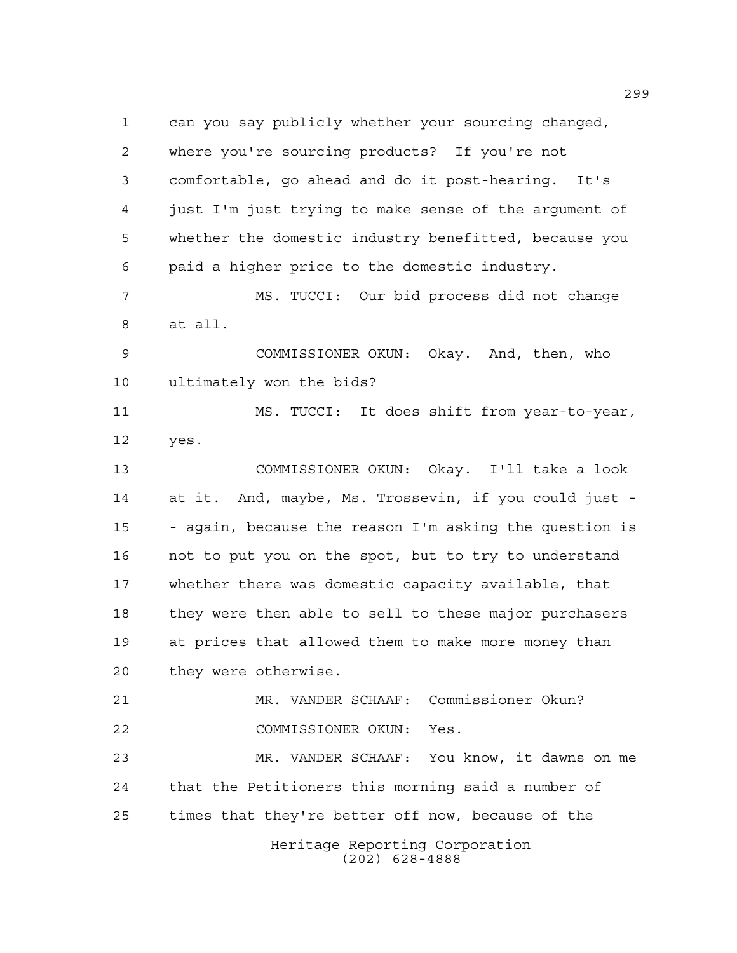Heritage Reporting Corporation (202) 628-4888 can you say publicly whether your sourcing changed, where you're sourcing products? If you're not comfortable, go ahead and do it post-hearing. It's just I'm just trying to make sense of the argument of whether the domestic industry benefitted, because you paid a higher price to the domestic industry. MS. TUCCI: Our bid process did not change at all. COMMISSIONER OKUN: Okay. And, then, who ultimately won the bids? MS. TUCCI: It does shift from year-to-year, yes. COMMISSIONER OKUN: Okay. I'll take a look at it. And, maybe, Ms. Trossevin, if you could just - - again, because the reason I'm asking the question is not to put you on the spot, but to try to understand whether there was domestic capacity available, that they were then able to sell to these major purchasers at prices that allowed them to make more money than they were otherwise. MR. VANDER SCHAAF: Commissioner Okun? COMMISSIONER OKUN: Yes. MR. VANDER SCHAAF: You know, it dawns on me that the Petitioners this morning said a number of times that they're better off now, because of the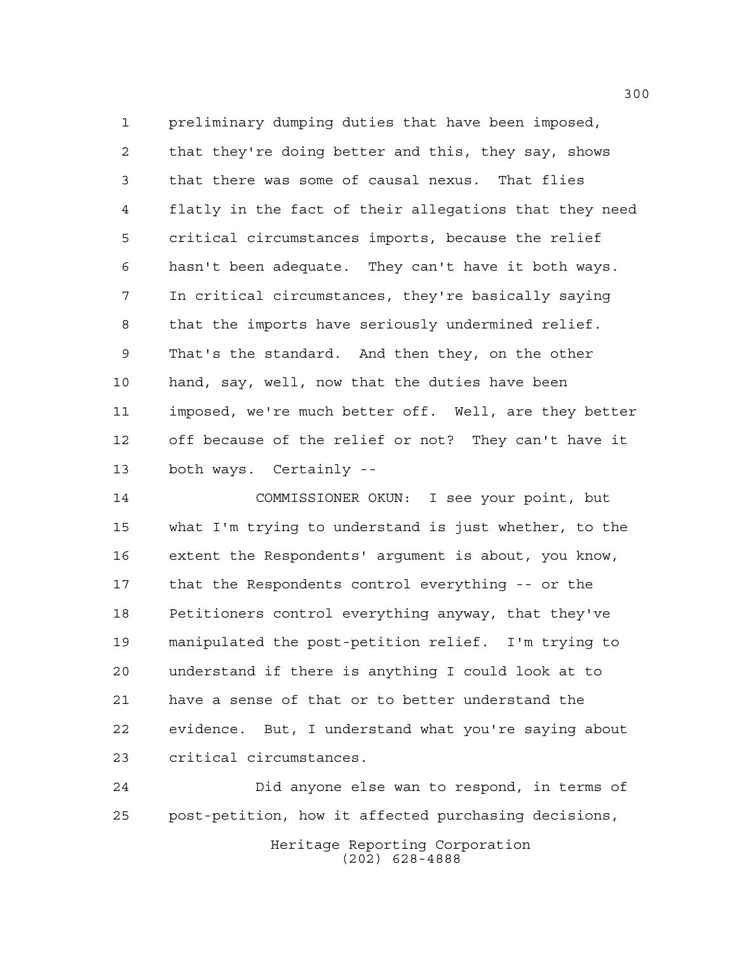preliminary dumping duties that have been imposed, that they're doing better and this, they say, shows that there was some of causal nexus. That flies flatly in the fact of their allegations that they need critical circumstances imports, because the relief hasn't been adequate. They can't have it both ways. In critical circumstances, they're basically saying that the imports have seriously undermined relief. That's the standard. And then they, on the other hand, say, well, now that the duties have been imposed, we're much better off. Well, are they better off because of the relief or not? They can't have it both ways. Certainly --

 COMMISSIONER OKUN: I see your point, but what I'm trying to understand is just whether, to the extent the Respondents' argument is about, you know, that the Respondents control everything -- or the Petitioners control everything anyway, that they've manipulated the post-petition relief. I'm trying to understand if there is anything I could look at to have a sense of that or to better understand the evidence. But, I understand what you're saying about critical circumstances.

Heritage Reporting Corporation (202) 628-4888 Did anyone else wan to respond, in terms of post-petition, how it affected purchasing decisions,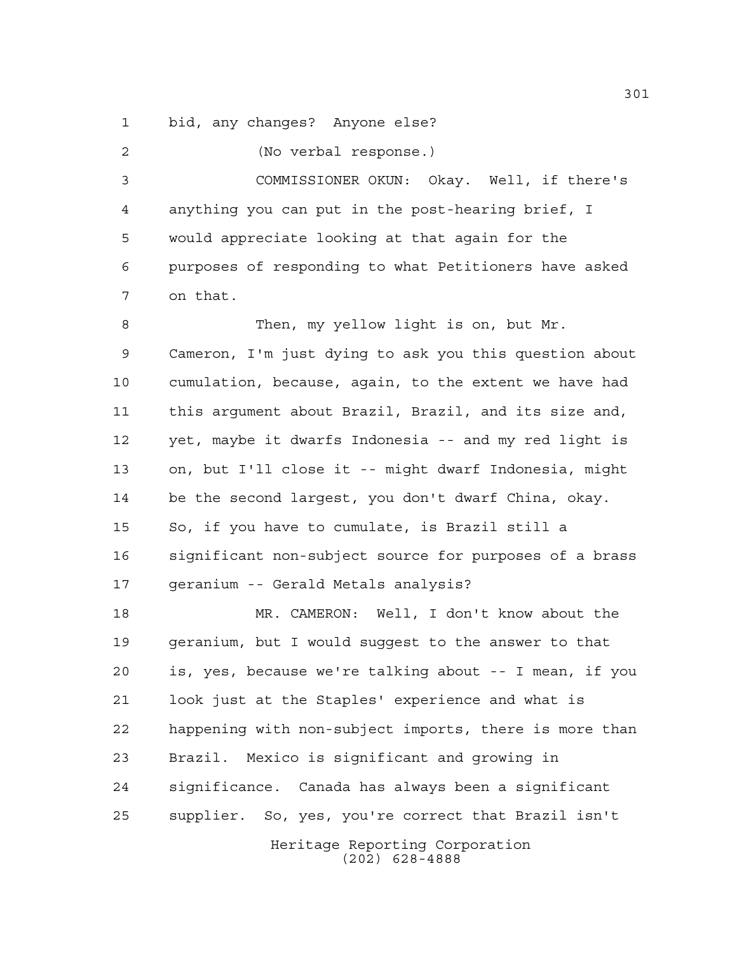bid, any changes? Anyone else?

(No verbal response.)

 COMMISSIONER OKUN: Okay. Well, if there's anything you can put in the post-hearing brief, I would appreciate looking at that again for the purposes of responding to what Petitioners have asked on that.

8 Then, my yellow light is on, but Mr. Cameron, I'm just dying to ask you this question about cumulation, because, again, to the extent we have had this argument about Brazil, Brazil, and its size and, yet, maybe it dwarfs Indonesia -- and my red light is on, but I'll close it -- might dwarf Indonesia, might be the second largest, you don't dwarf China, okay. So, if you have to cumulate, is Brazil still a significant non-subject source for purposes of a brass geranium -- Gerald Metals analysis?

 MR. CAMERON: Well, I don't know about the geranium, but I would suggest to the answer to that is, yes, because we're talking about -- I mean, if you look just at the Staples' experience and what is happening with non-subject imports, there is more than Brazil. Mexico is significant and growing in significance. Canada has always been a significant supplier. So, yes, you're correct that Brazil isn't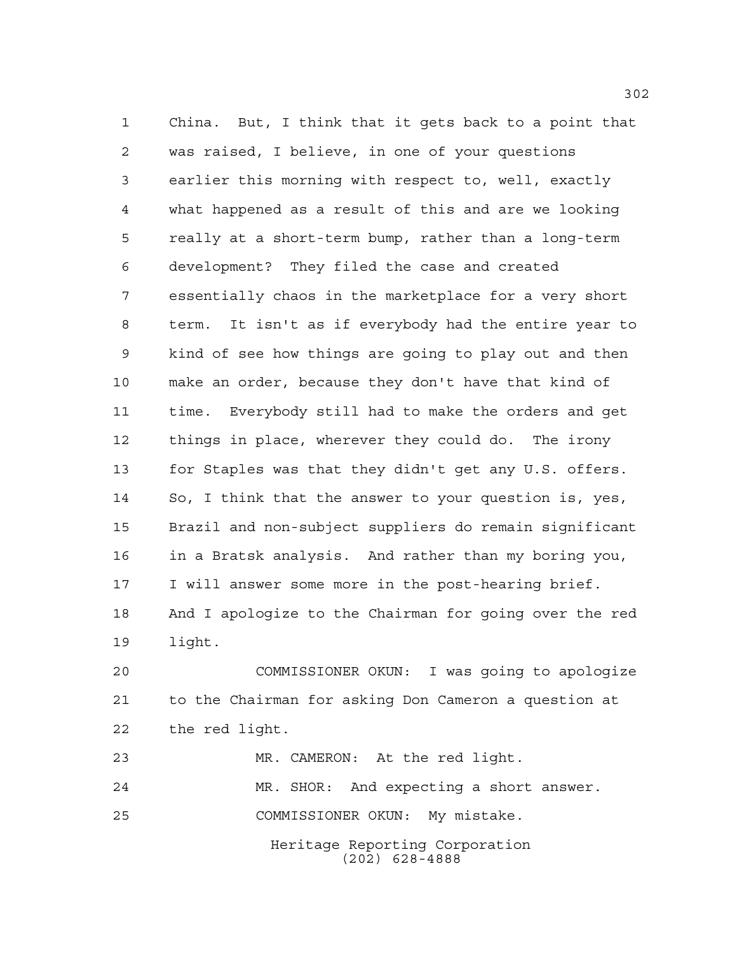China. But, I think that it gets back to a point that was raised, I believe, in one of your questions earlier this morning with respect to, well, exactly what happened as a result of this and are we looking really at a short-term bump, rather than a long-term development? They filed the case and created essentially chaos in the marketplace for a very short term. It isn't as if everybody had the entire year to kind of see how things are going to play out and then make an order, because they don't have that kind of time. Everybody still had to make the orders and get things in place, wherever they could do. The irony for Staples was that they didn't get any U.S. offers. So, I think that the answer to your question is, yes, Brazil and non-subject suppliers do remain significant in a Bratsk analysis. And rather than my boring you, I will answer some more in the post-hearing brief. And I apologize to the Chairman for going over the red light.

 COMMISSIONER OKUN: I was going to apologize to the Chairman for asking Don Cameron a question at the red light.

(202) 628-4888

Heritage Reporting Corporation MR. CAMERON: At the red light. MR. SHOR: And expecting a short answer. COMMISSIONER OKUN: My mistake.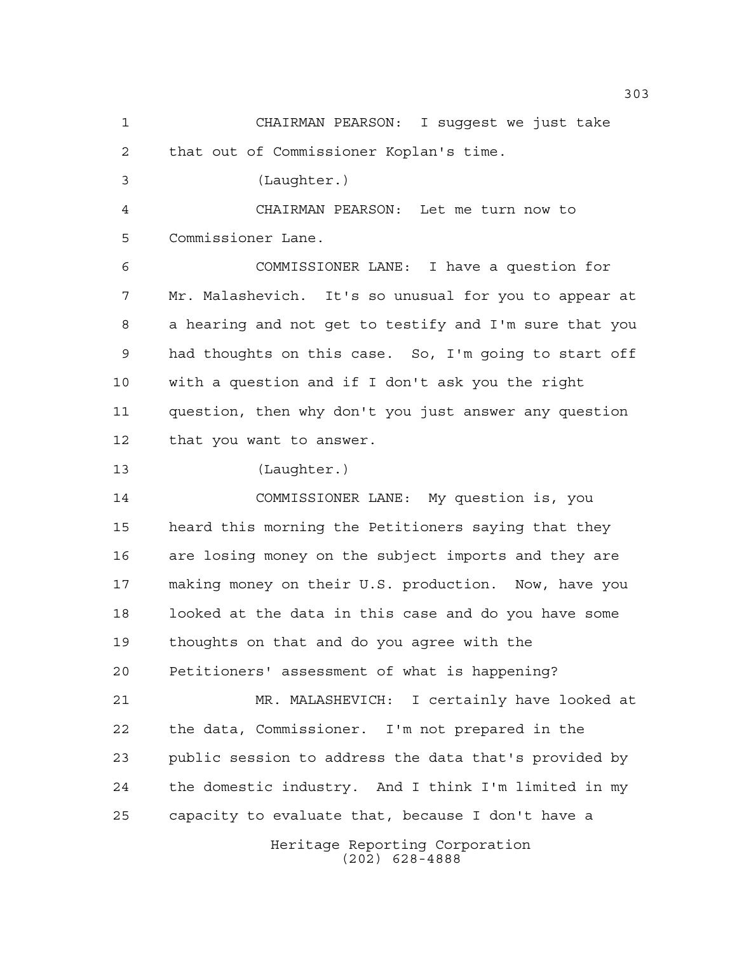Heritage Reporting Corporation (202) 628-4888 CHAIRMAN PEARSON: I suggest we just take that out of Commissioner Koplan's time. (Laughter.) CHAIRMAN PEARSON: Let me turn now to Commissioner Lane. COMMISSIONER LANE: I have a question for Mr. Malashevich. It's so unusual for you to appear at a hearing and not get to testify and I'm sure that you had thoughts on this case. So, I'm going to start off with a question and if I don't ask you the right question, then why don't you just answer any question that you want to answer. (Laughter.) COMMISSIONER LANE: My question is, you heard this morning the Petitioners saying that they are losing money on the subject imports and they are making money on their U.S. production. Now, have you looked at the data in this case and do you have some thoughts on that and do you agree with the Petitioners' assessment of what is happening? MR. MALASHEVICH: I certainly have looked at the data, Commissioner. I'm not prepared in the public session to address the data that's provided by the domestic industry. And I think I'm limited in my capacity to evaluate that, because I don't have a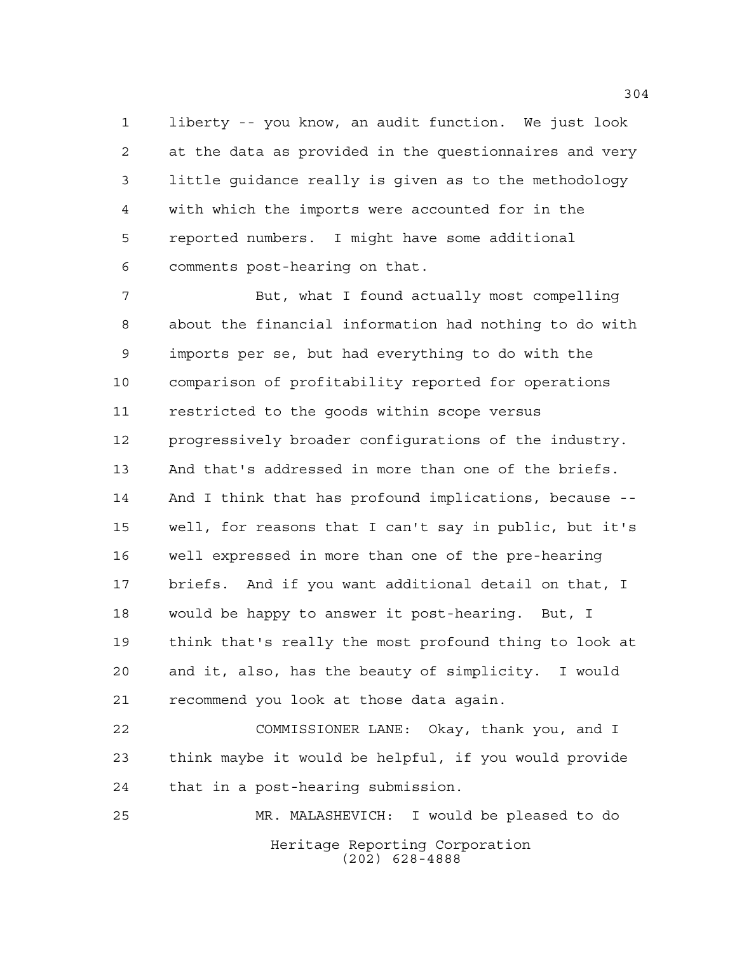liberty -- you know, an audit function. We just look at the data as provided in the questionnaires and very little guidance really is given as to the methodology with which the imports were accounted for in the reported numbers. I might have some additional comments post-hearing on that.

 But, what I found actually most compelling about the financial information had nothing to do with imports per se, but had everything to do with the comparison of profitability reported for operations restricted to the goods within scope versus progressively broader configurations of the industry. And that's addressed in more than one of the briefs. And I think that has profound implications, because -- well, for reasons that I can't say in public, but it's well expressed in more than one of the pre-hearing briefs. And if you want additional detail on that, I would be happy to answer it post-hearing. But, I think that's really the most profound thing to look at and it, also, has the beauty of simplicity. I would recommend you look at those data again.

 COMMISSIONER LANE: Okay, thank you, and I think maybe it would be helpful, if you would provide that in a post-hearing submission.

Heritage Reporting Corporation (202) 628-4888 MR. MALASHEVICH: I would be pleased to do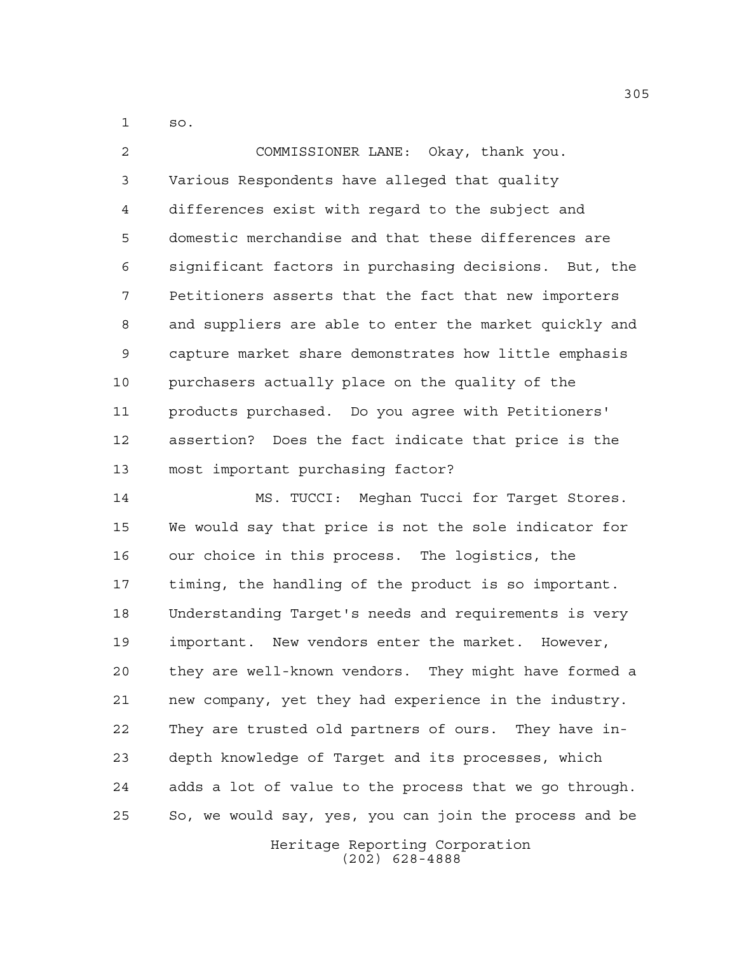so.

 COMMISSIONER LANE: Okay, thank you. Various Respondents have alleged that quality differences exist with regard to the subject and domestic merchandise and that these differences are significant factors in purchasing decisions. But, the Petitioners asserts that the fact that new importers and suppliers are able to enter the market quickly and capture market share demonstrates how little emphasis purchasers actually place on the quality of the products purchased. Do you agree with Petitioners' assertion? Does the fact indicate that price is the most important purchasing factor?

 MS. TUCCI: Meghan Tucci for Target Stores. We would say that price is not the sole indicator for our choice in this process. The logistics, the timing, the handling of the product is so important. Understanding Target's needs and requirements is very important. New vendors enter the market. However, they are well-known vendors. They might have formed a new company, yet they had experience in the industry. They are trusted old partners of ours. They have in- depth knowledge of Target and its processes, which adds a lot of value to the process that we go through. So, we would say, yes, you can join the process and be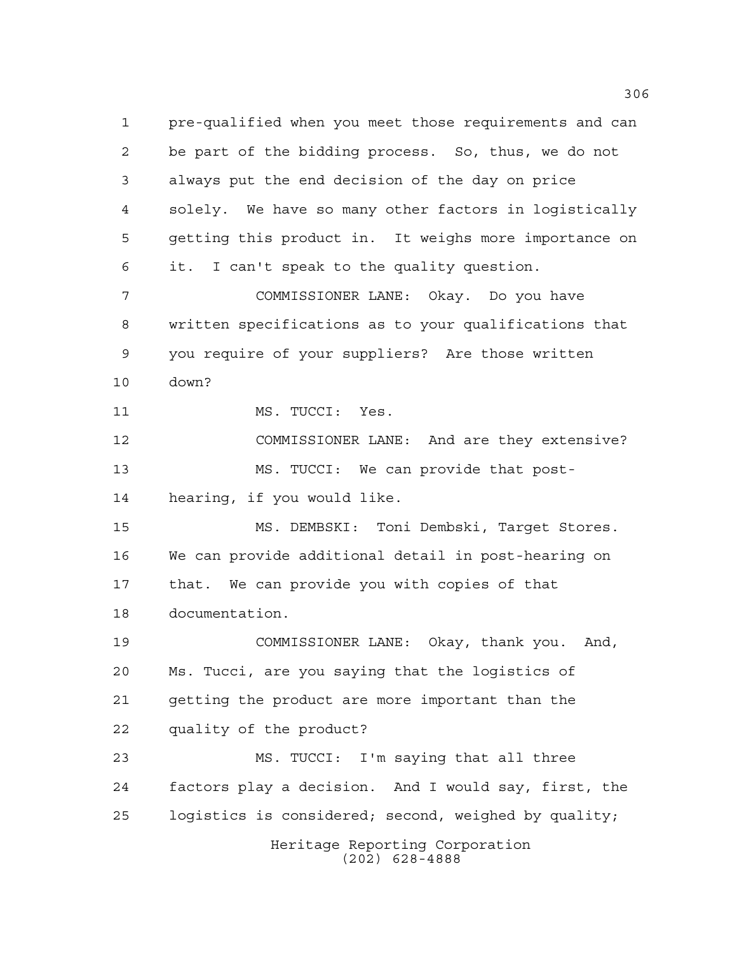Heritage Reporting Corporation (202) 628-4888 pre-qualified when you meet those requirements and can be part of the bidding process. So, thus, we do not always put the end decision of the day on price solely. We have so many other factors in logistically getting this product in. It weighs more importance on it. I can't speak to the quality question. COMMISSIONER LANE: Okay. Do you have written specifications as to your qualifications that you require of your suppliers? Are those written down? 11 MS. TUCCI: Yes. COMMISSIONER LANE: And are they extensive? MS. TUCCI: We can provide that post- hearing, if you would like. MS. DEMBSKI: Toni Dembski, Target Stores. We can provide additional detail in post-hearing on that. We can provide you with copies of that documentation. COMMISSIONER LANE: Okay, thank you. And, Ms. Tucci, are you saying that the logistics of getting the product are more important than the quality of the product? MS. TUCCI: I'm saying that all three factors play a decision. And I would say, first, the logistics is considered; second, weighed by quality;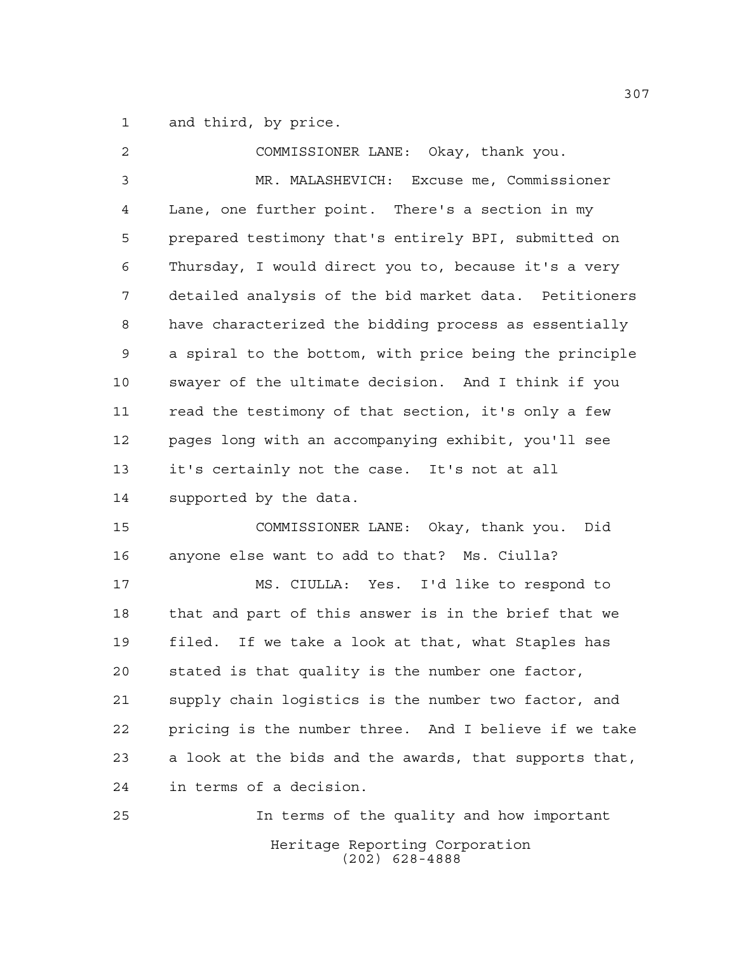and third, by price.

| 2  | COMMISSIONER LANE: Okay, thank you.                    |
|----|--------------------------------------------------------|
| 3  | MR. MALASHEVICH: Excuse me, Commissioner               |
| 4  | Lane, one further point. There's a section in my       |
| 5  | prepared testimony that's entirely BPI, submitted on   |
| 6  | Thursday, I would direct you to, because it's a very   |
| 7  | detailed analysis of the bid market data. Petitioners  |
| 8  | have characterized the bidding process as essentially  |
| 9  | a spiral to the bottom, with price being the principle |
| 10 | swayer of the ultimate decision. And I think if you    |
| 11 | read the testimony of that section, it's only a few    |
| 12 | pages long with an accompanying exhibit, you'll see    |
| 13 | it's certainly not the case. It's not at all           |
| 14 | supported by the data.                                 |
| 15 | COMMISSIONER LANE: Okay, thank you.<br>Did             |
| 16 | anyone else want to add to that? Ms. Ciulla?           |
| 17 | MS. CIULLA: Yes. I'd like to respond to                |
| 18 | that and part of this answer is in the brief that we   |
| 19 | filed.<br>If we take a look at that, what Staples has  |
| 20 | stated is that quality is the number one factor,       |
| 21 | supply chain logistics is the number two factor, and   |
| 22 | pricing is the number three. And I believe if we take  |
| 23 | a look at the bids and the awards, that supports that, |
| 24 | in terms of a decision.                                |
| 25 | In terms of the quality and how important              |
|    | Heritage Reporting Corporation<br>$(202)$ 628-4888     |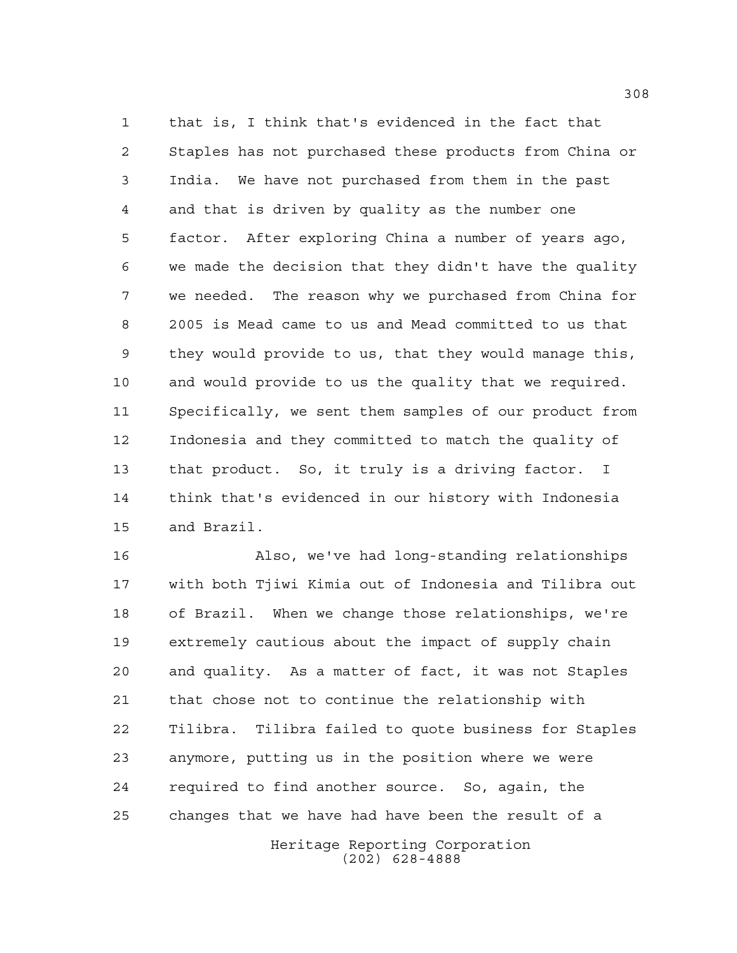that is, I think that's evidenced in the fact that Staples has not purchased these products from China or India. We have not purchased from them in the past and that is driven by quality as the number one factor. After exploring China a number of years ago, we made the decision that they didn't have the quality we needed. The reason why we purchased from China for 2005 is Mead came to us and Mead committed to us that they would provide to us, that they would manage this, and would provide to us the quality that we required. Specifically, we sent them samples of our product from Indonesia and they committed to match the quality of that product. So, it truly is a driving factor. I think that's evidenced in our history with Indonesia and Brazil.

 Also, we've had long-standing relationships with both Tjiwi Kimia out of Indonesia and Tilibra out of Brazil. When we change those relationships, we're extremely cautious about the impact of supply chain and quality. As a matter of fact, it was not Staples that chose not to continue the relationship with Tilibra. Tilibra failed to quote business for Staples anymore, putting us in the position where we were required to find another source. So, again, the changes that we have had have been the result of a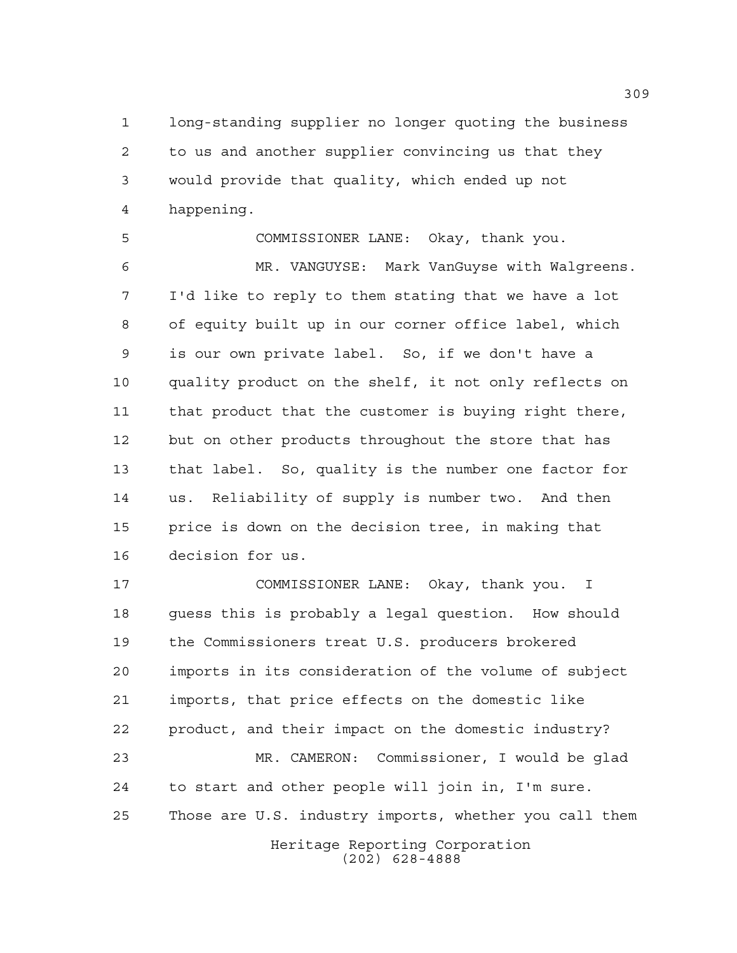long-standing supplier no longer quoting the business to us and another supplier convincing us that they would provide that quality, which ended up not happening.

 COMMISSIONER LANE: Okay, thank you. MR. VANGUYSE: Mark VanGuyse with Walgreens. I'd like to reply to them stating that we have a lot of equity built up in our corner office label, which is our own private label. So, if we don't have a quality product on the shelf, it not only reflects on that product that the customer is buying right there, but on other products throughout the store that has that label. So, quality is the number one factor for us. Reliability of supply is number two. And then price is down on the decision tree, in making that decision for us.

Heritage Reporting Corporation COMMISSIONER LANE: Okay, thank you. I guess this is probably a legal question. How should the Commissioners treat U.S. producers brokered imports in its consideration of the volume of subject imports, that price effects on the domestic like product, and their impact on the domestic industry? MR. CAMERON: Commissioner, I would be glad to start and other people will join in, I'm sure. Those are U.S. industry imports, whether you call them

(202) 628-4888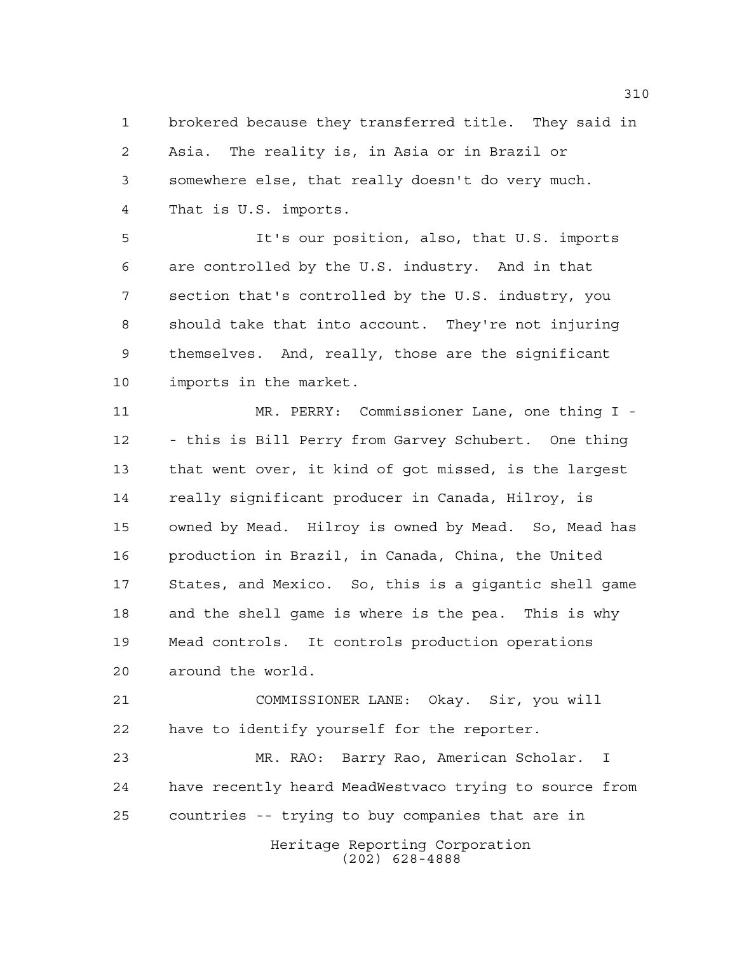brokered because they transferred title. They said in Asia. The reality is, in Asia or in Brazil or somewhere else, that really doesn't do very much. That is U.S. imports.

 It's our position, also, that U.S. imports are controlled by the U.S. industry. And in that section that's controlled by the U.S. industry, you should take that into account. They're not injuring themselves. And, really, those are the significant imports in the market.

 MR. PERRY: Commissioner Lane, one thing I - - this is Bill Perry from Garvey Schubert. One thing that went over, it kind of got missed, is the largest really significant producer in Canada, Hilroy, is owned by Mead. Hilroy is owned by Mead. So, Mead has production in Brazil, in Canada, China, the United States, and Mexico. So, this is a gigantic shell game and the shell game is where is the pea. This is why Mead controls. It controls production operations around the world.

 COMMISSIONER LANE: Okay. Sir, you will have to identify yourself for the reporter.

 MR. RAO: Barry Rao, American Scholar. I have recently heard MeadWestvaco trying to source from countries -- trying to buy companies that are in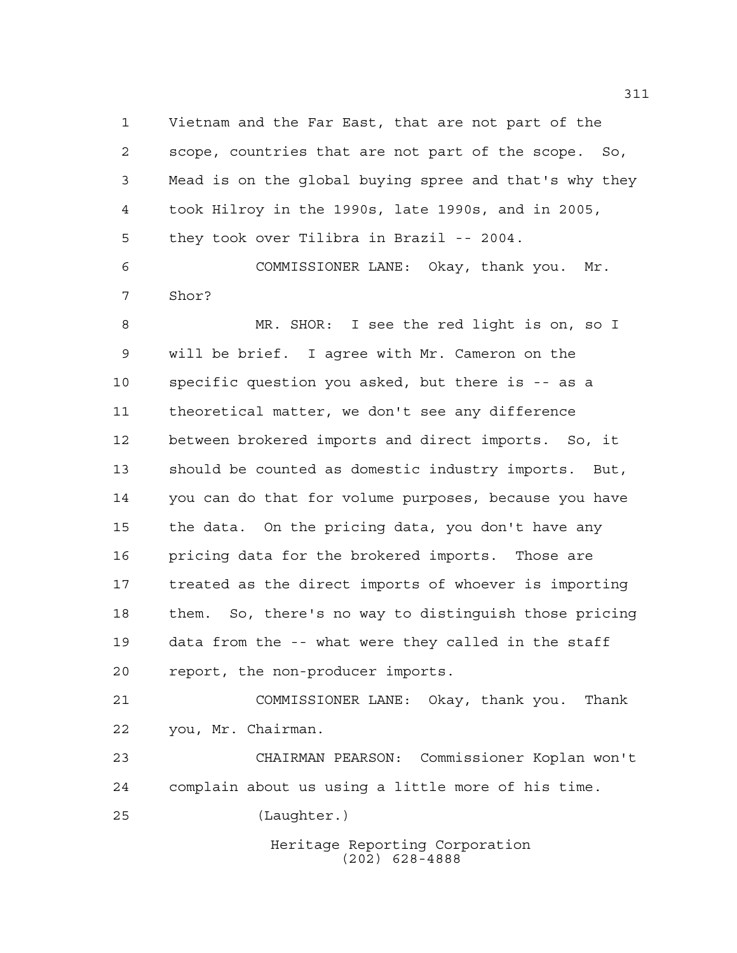Vietnam and the Far East, that are not part of the scope, countries that are not part of the scope. So, Mead is on the global buying spree and that's why they took Hilroy in the 1990s, late 1990s, and in 2005, they took over Tilibra in Brazil -- 2004. COMMISSIONER LANE: Okay, thank you. Mr.

Shor?

 MR. SHOR: I see the red light is on, so I will be brief. I agree with Mr. Cameron on the specific question you asked, but there is -- as a theoretical matter, we don't see any difference between brokered imports and direct imports. So, it should be counted as domestic industry imports. But, you can do that for volume purposes, because you have the data. On the pricing data, you don't have any pricing data for the brokered imports. Those are treated as the direct imports of whoever is importing them. So, there's no way to distinguish those pricing data from the -- what were they called in the staff report, the non-producer imports.

 COMMISSIONER LANE: Okay, thank you. Thank you, Mr. Chairman.

 CHAIRMAN PEARSON: Commissioner Koplan won't complain about us using a little more of his time.

(Laughter.)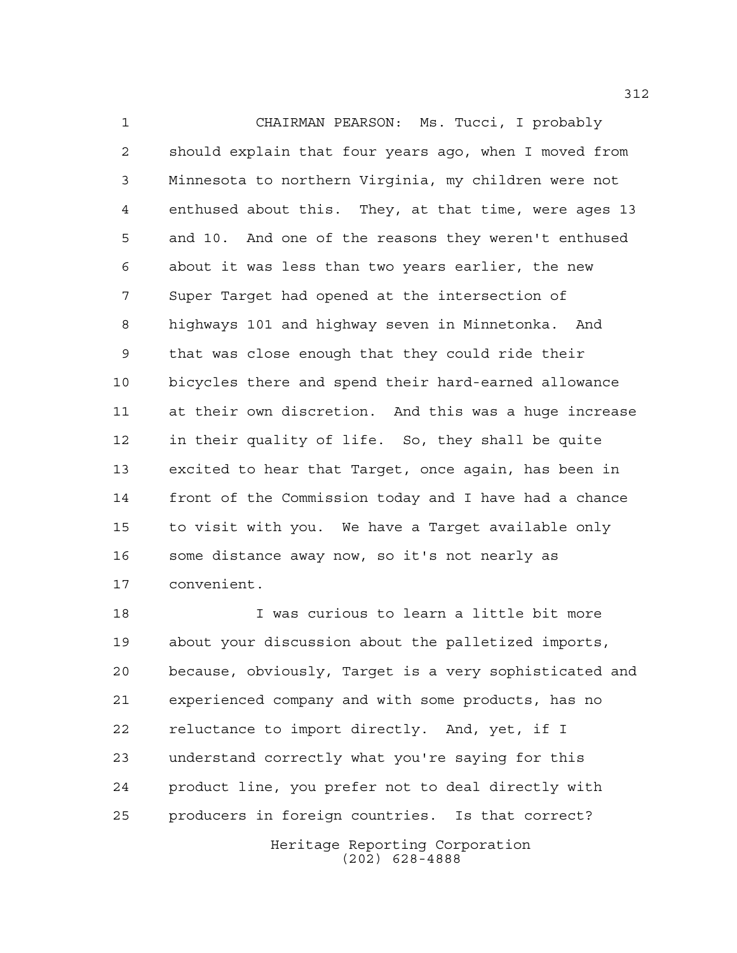CHAIRMAN PEARSON: Ms. Tucci, I probably should explain that four years ago, when I moved from Minnesota to northern Virginia, my children were not enthused about this. They, at that time, were ages 13 and 10. And one of the reasons they weren't enthused about it was less than two years earlier, the new Super Target had opened at the intersection of highways 101 and highway seven in Minnetonka. And that was close enough that they could ride their bicycles there and spend their hard-earned allowance at their own discretion. And this was a huge increase in their quality of life. So, they shall be quite excited to hear that Target, once again, has been in front of the Commission today and I have had a chance to visit with you. We have a Target available only some distance away now, so it's not nearly as convenient.

 I was curious to learn a little bit more about your discussion about the palletized imports, because, obviously, Target is a very sophisticated and experienced company and with some products, has no reluctance to import directly. And, yet, if I understand correctly what you're saying for this product line, you prefer not to deal directly with producers in foreign countries. Is that correct?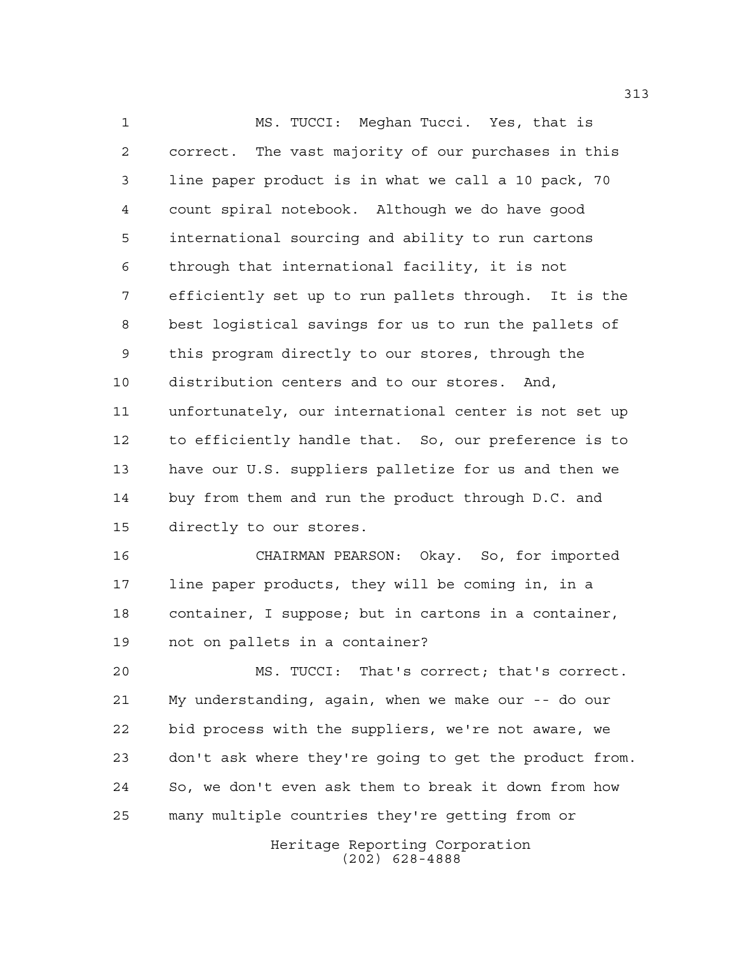MS. TUCCI: Meghan Tucci. Yes, that is correct. The vast majority of our purchases in this line paper product is in what we call a 10 pack, 70 count spiral notebook. Although we do have good international sourcing and ability to run cartons through that international facility, it is not efficiently set up to run pallets through. It is the best logistical savings for us to run the pallets of this program directly to our stores, through the distribution centers and to our stores. And, unfortunately, our international center is not set up to efficiently handle that. So, our preference is to have our U.S. suppliers palletize for us and then we buy from them and run the product through D.C. and directly to our stores.

 CHAIRMAN PEARSON: Okay. So, for imported line paper products, they will be coming in, in a container, I suppose; but in cartons in a container, not on pallets in a container?

 MS. TUCCI: That's correct; that's correct. My understanding, again, when we make our -- do our bid process with the suppliers, we're not aware, we don't ask where they're going to get the product from. So, we don't even ask them to break it down from how many multiple countries they're getting from or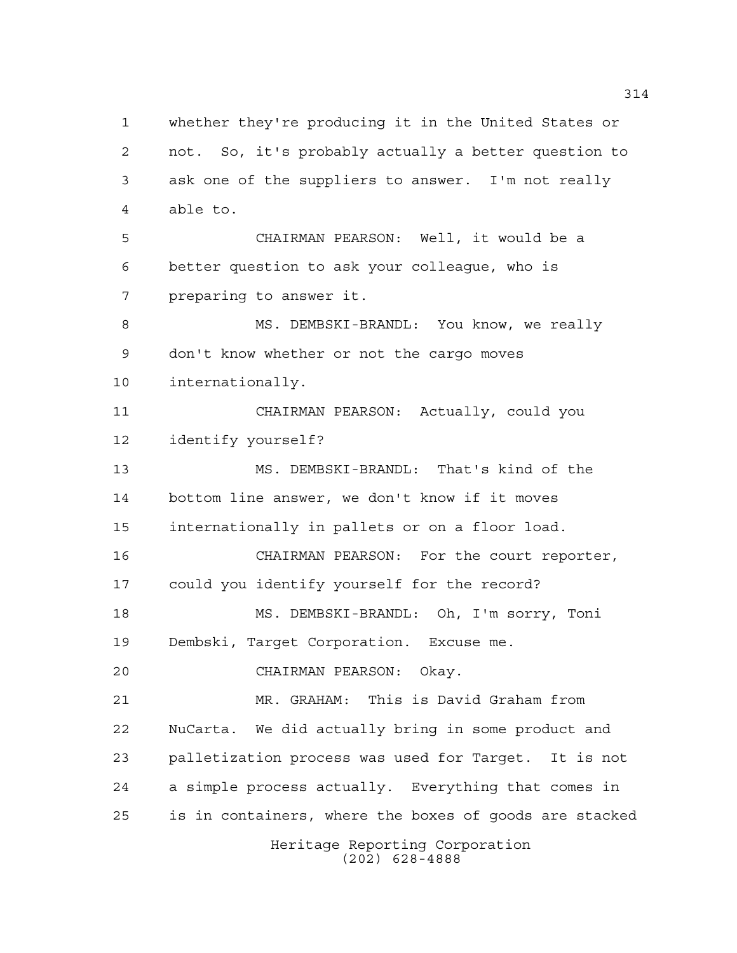Heritage Reporting Corporation whether they're producing it in the United States or not. So, it's probably actually a better question to ask one of the suppliers to answer. I'm not really able to. CHAIRMAN PEARSON: Well, it would be a better question to ask your colleague, who is preparing to answer it. 8 MS. DEMBSKI-BRANDL: You know, we really don't know whether or not the cargo moves internationally. CHAIRMAN PEARSON: Actually, could you identify yourself? MS. DEMBSKI-BRANDL: That's kind of the bottom line answer, we don't know if it moves internationally in pallets or on a floor load. CHAIRMAN PEARSON: For the court reporter, could you identify yourself for the record? MS. DEMBSKI-BRANDL: Oh, I'm sorry, Toni Dembski, Target Corporation. Excuse me. CHAIRMAN PEARSON: Okay. MR. GRAHAM: This is David Graham from NuCarta. We did actually bring in some product and palletization process was used for Target. It is not a simple process actually. Everything that comes in is in containers, where the boxes of goods are stacked

(202) 628-4888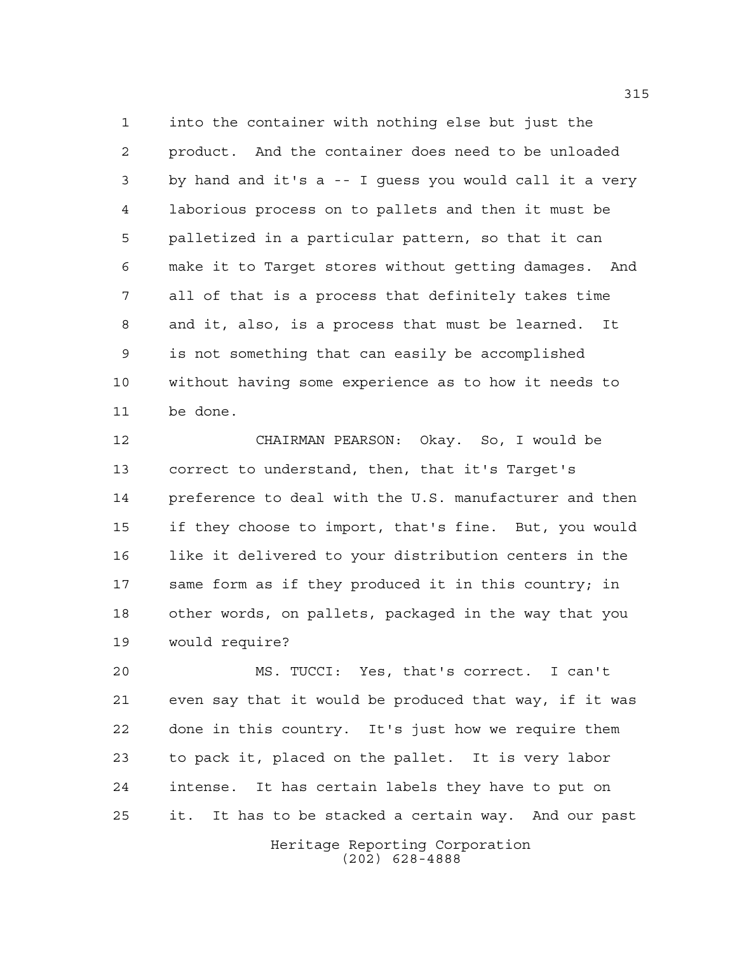into the container with nothing else but just the product. And the container does need to be unloaded by hand and it's a -- I guess you would call it a very laborious process on to pallets and then it must be palletized in a particular pattern, so that it can make it to Target stores without getting damages. And all of that is a process that definitely takes time and it, also, is a process that must be learned. It is not something that can easily be accomplished without having some experience as to how it needs to be done.

 CHAIRMAN PEARSON: Okay. So, I would be correct to understand, then, that it's Target's preference to deal with the U.S. manufacturer and then if they choose to import, that's fine. But, you would like it delivered to your distribution centers in the same form as if they produced it in this country; in other words, on pallets, packaged in the way that you would require?

 MS. TUCCI: Yes, that's correct. I can't even say that it would be produced that way, if it was done in this country. It's just how we require them to pack it, placed on the pallet. It is very labor intense. It has certain labels they have to put on it. It has to be stacked a certain way. And our past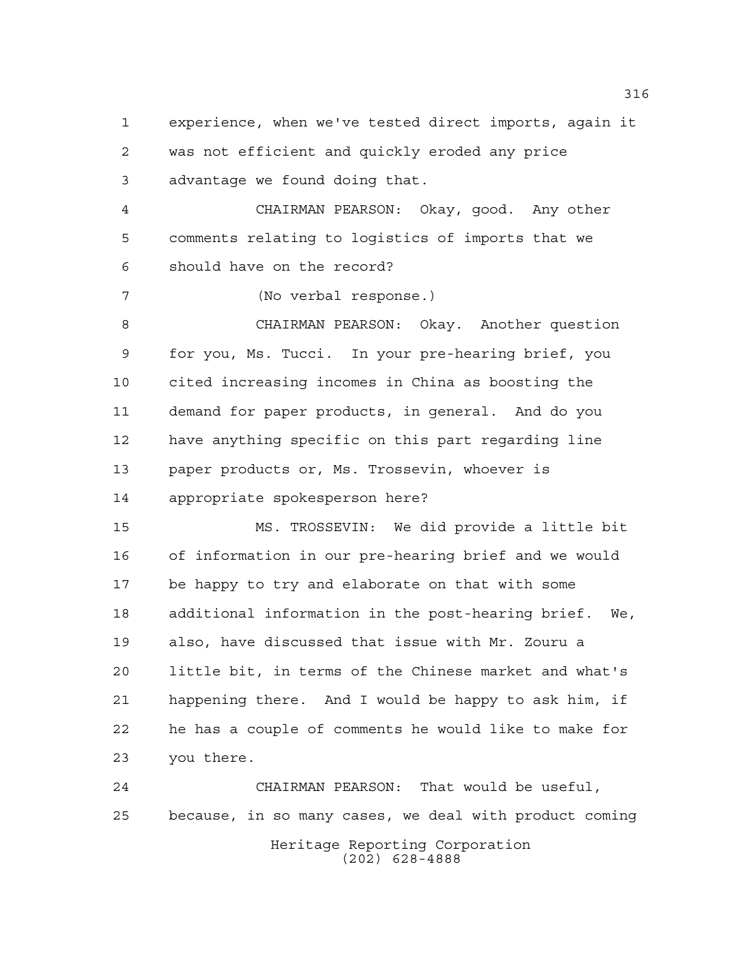experience, when we've tested direct imports, again it was not efficient and quickly eroded any price advantage we found doing that.

 CHAIRMAN PEARSON: Okay, good. Any other comments relating to logistics of imports that we should have on the record?

(No verbal response.)

 CHAIRMAN PEARSON: Okay. Another question for you, Ms. Tucci. In your pre-hearing brief, you cited increasing incomes in China as boosting the demand for paper products, in general. And do you have anything specific on this part regarding line paper products or, Ms. Trossevin, whoever is appropriate spokesperson here?

 MS. TROSSEVIN: We did provide a little bit of information in our pre-hearing brief and we would be happy to try and elaborate on that with some additional information in the post-hearing brief. We, also, have discussed that issue with Mr. Zouru a little bit, in terms of the Chinese market and what's happening there. And I would be happy to ask him, if he has a couple of comments he would like to make for you there.

Heritage Reporting Corporation (202) 628-4888 CHAIRMAN PEARSON: That would be useful, because, in so many cases, we deal with product coming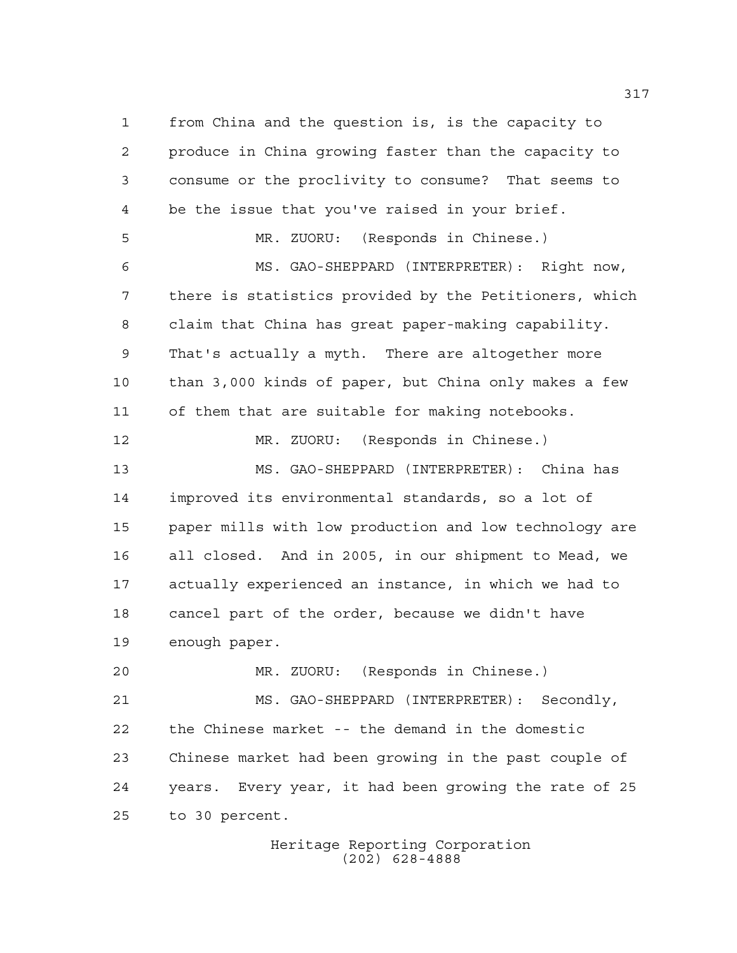from China and the question is, is the capacity to produce in China growing faster than the capacity to consume or the proclivity to consume? That seems to be the issue that you've raised in your brief. MR. ZUORU: (Responds in Chinese.) MS. GAO-SHEPPARD (INTERPRETER): Right now, there is statistics provided by the Petitioners, which claim that China has great paper-making capability. That's actually a myth. There are altogether more than 3,000 kinds of paper, but China only makes a few of them that are suitable for making notebooks. MR. ZUORU: (Responds in Chinese.) MS. GAO-SHEPPARD (INTERPRETER): China has improved its environmental standards, so a lot of paper mills with low production and low technology are all closed. And in 2005, in our shipment to Mead, we actually experienced an instance, in which we had to cancel part of the order, because we didn't have enough paper. MR. ZUORU: (Responds in Chinese.) MS. GAO-SHEPPARD (INTERPRETER): Secondly, the Chinese market -- the demand in the domestic Chinese market had been growing in the past couple of years. Every year, it had been growing the rate of 25 to 30 percent.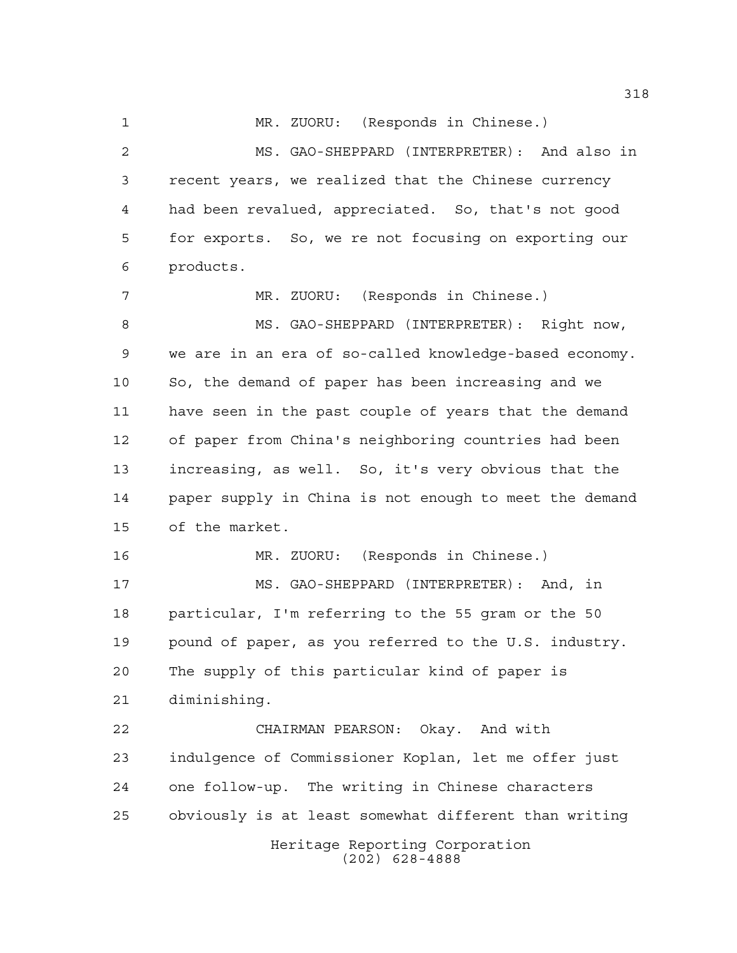MR. ZUORU: (Responds in Chinese.)

 MS. GAO-SHEPPARD (INTERPRETER): And also in recent years, we realized that the Chinese currency had been revalued, appreciated. So, that's not good for exports. So, we re not focusing on exporting our products.

 MR. ZUORU: (Responds in Chinese.) 8 MS. GAO-SHEPPARD (INTERPRETER): Right now, we are in an era of so-called knowledge-based economy. So, the demand of paper has been increasing and we have seen in the past couple of years that the demand of paper from China's neighboring countries had been increasing, as well. So, it's very obvious that the paper supply in China is not enough to meet the demand of the market.

 MR. ZUORU: (Responds in Chinese.) MS. GAO-SHEPPARD (INTERPRETER): And, in particular, I'm referring to the 55 gram or the 50 pound of paper, as you referred to the U.S. industry. The supply of this particular kind of paper is diminishing.

Heritage Reporting Corporation CHAIRMAN PEARSON: Okay. And with indulgence of Commissioner Koplan, let me offer just one follow-up. The writing in Chinese characters obviously is at least somewhat different than writing

(202) 628-4888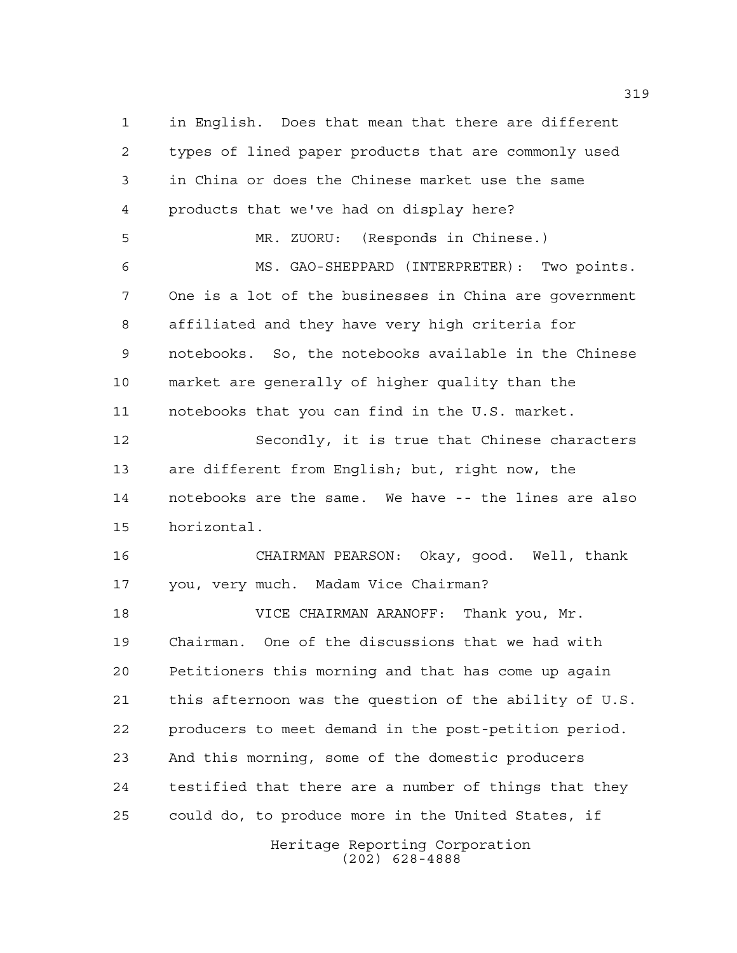in English. Does that mean that there are different types of lined paper products that are commonly used in China or does the Chinese market use the same products that we've had on display here? MR. ZUORU: (Responds in Chinese.) MS. GAO-SHEPPARD (INTERPRETER): Two points. One is a lot of the businesses in China are government affiliated and they have very high criteria for notebooks. So, the notebooks available in the Chinese market are generally of higher quality than the notebooks that you can find in the U.S. market. Secondly, it is true that Chinese characters are different from English; but, right now, the notebooks are the same. We have -- the lines are also horizontal. CHAIRMAN PEARSON: Okay, good. Well, thank you, very much. Madam Vice Chairman? VICE CHAIRMAN ARANOFF: Thank you, Mr. Chairman. One of the discussions that we had with Petitioners this morning and that has come up again this afternoon was the question of the ability of U.S. producers to meet demand in the post-petition period. And this morning, some of the domestic producers testified that there are a number of things that they could do, to produce more in the United States, if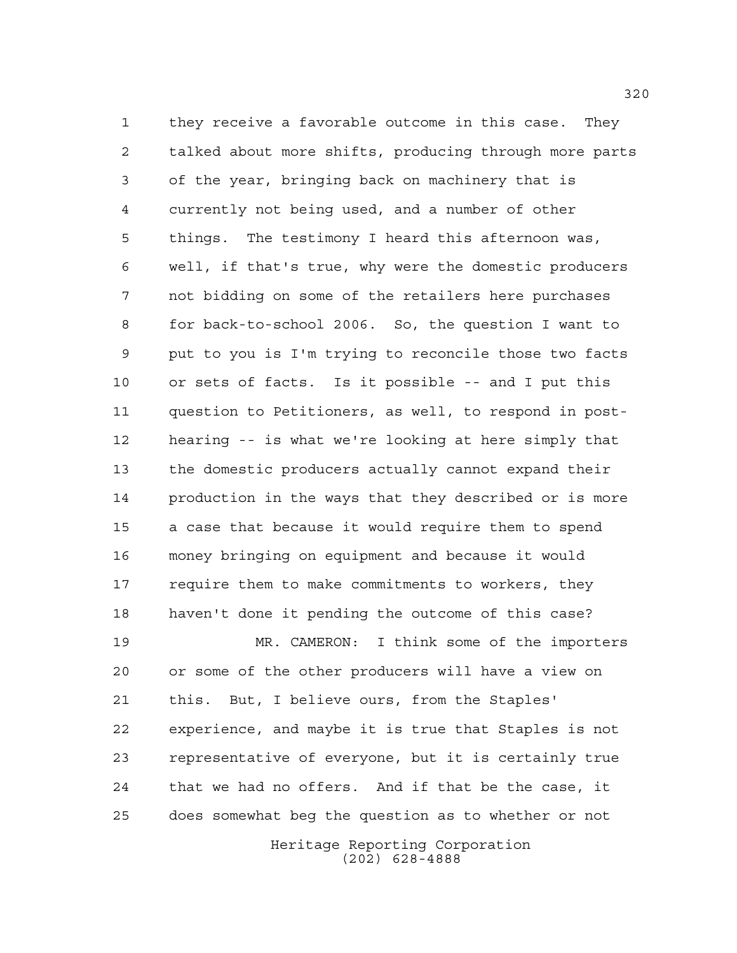they receive a favorable outcome in this case. They talked about more shifts, producing through more parts of the year, bringing back on machinery that is currently not being used, and a number of other things. The testimony I heard this afternoon was, well, if that's true, why were the domestic producers not bidding on some of the retailers here purchases for back-to-school 2006. So, the question I want to put to you is I'm trying to reconcile those two facts or sets of facts. Is it possible -- and I put this question to Petitioners, as well, to respond in post- hearing -- is what we're looking at here simply that the domestic producers actually cannot expand their production in the ways that they described or is more a case that because it would require them to spend money bringing on equipment and because it would require them to make commitments to workers, they haven't done it pending the outcome of this case?

Heritage Reporting Corporation MR. CAMERON: I think some of the importers or some of the other producers will have a view on this. But, I believe ours, from the Staples' experience, and maybe it is true that Staples is not representative of everyone, but it is certainly true that we had no offers. And if that be the case, it does somewhat beg the question as to whether or not

(202) 628-4888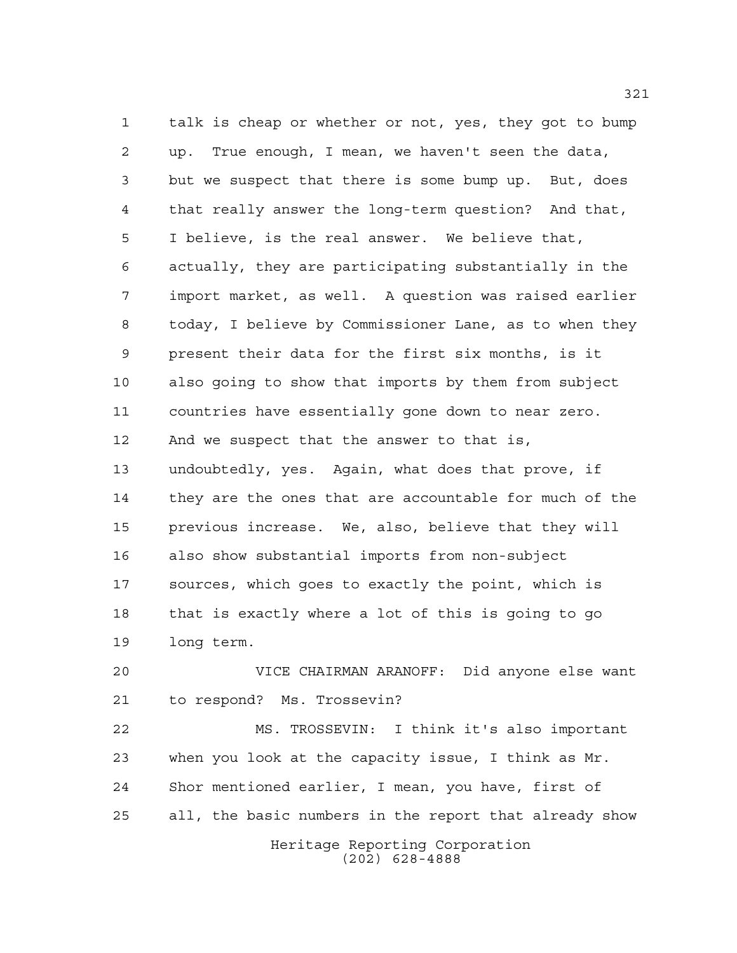talk is cheap or whether or not, yes, they got to bump up. True enough, I mean, we haven't seen the data, but we suspect that there is some bump up. But, does that really answer the long-term question? And that, I believe, is the real answer. We believe that, actually, they are participating substantially in the import market, as well. A question was raised earlier today, I believe by Commissioner Lane, as to when they present their data for the first six months, is it also going to show that imports by them from subject countries have essentially gone down to near zero. And we suspect that the answer to that is, undoubtedly, yes. Again, what does that prove, if they are the ones that are accountable for much of the previous increase. We, also, believe that they will also show substantial imports from non-subject sources, which goes to exactly the point, which is that is exactly where a lot of this is going to go long term.

 VICE CHAIRMAN ARANOFF: Did anyone else want to respond? Ms. Trossevin?

Heritage Reporting Corporation (202) 628-4888 MS. TROSSEVIN: I think it's also important when you look at the capacity issue, I think as Mr. Shor mentioned earlier, I mean, you have, first of all, the basic numbers in the report that already show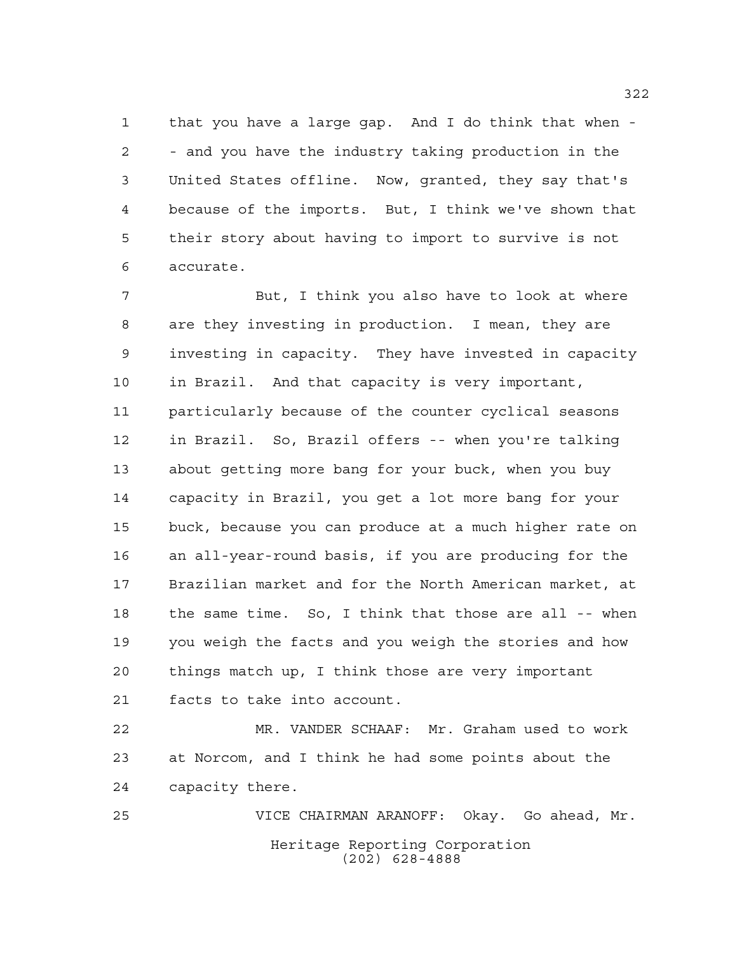that you have a large gap. And I do think that when - - and you have the industry taking production in the United States offline. Now, granted, they say that's because of the imports. But, I think we've shown that their story about having to import to survive is not accurate.

 But, I think you also have to look at where are they investing in production. I mean, they are investing in capacity. They have invested in capacity in Brazil. And that capacity is very important, particularly because of the counter cyclical seasons in Brazil. So, Brazil offers -- when you're talking about getting more bang for your buck, when you buy capacity in Brazil, you get a lot more bang for your buck, because you can produce at a much higher rate on an all-year-round basis, if you are producing for the Brazilian market and for the North American market, at the same time. So, I think that those are all -- when you weigh the facts and you weigh the stories and how things match up, I think those are very important facts to take into account.

 MR. VANDER SCHAAF: Mr. Graham used to work at Norcom, and I think he had some points about the capacity there.

Heritage Reporting Corporation (202) 628-4888 VICE CHAIRMAN ARANOFF: Okay. Go ahead, Mr.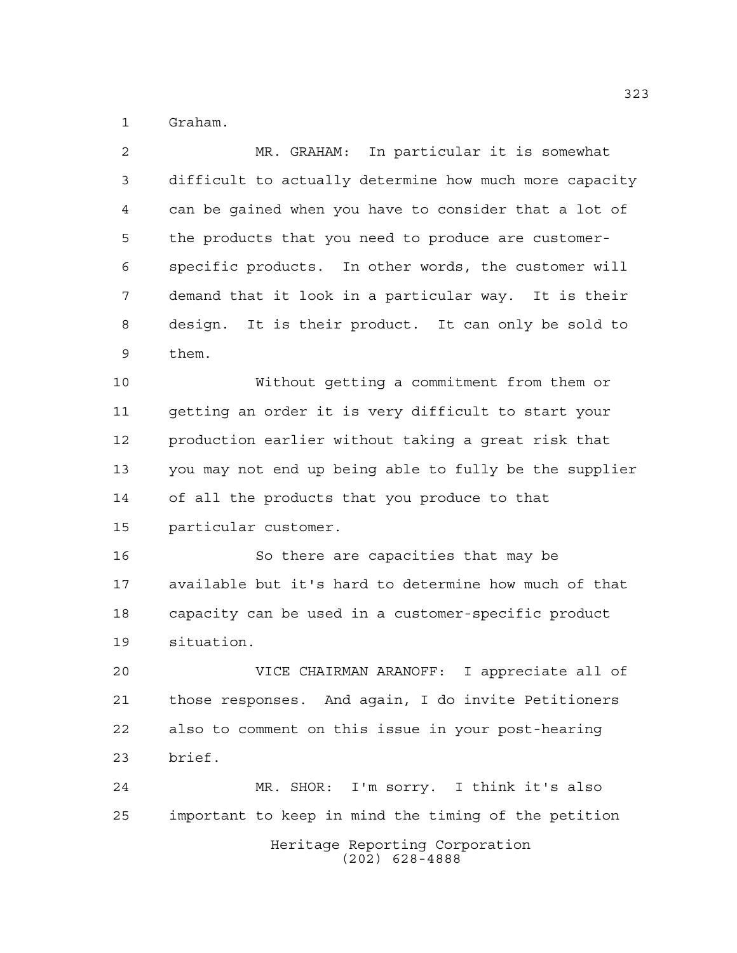Graham.

 MR. GRAHAM: In particular it is somewhat difficult to actually determine how much more capacity can be gained when you have to consider that a lot of the products that you need to produce are customer- specific products. In other words, the customer will demand that it look in a particular way. It is their design. It is their product. It can only be sold to them. Without getting a commitment from them or getting an order it is very difficult to start your production earlier without taking a great risk that you may not end up being able to fully be the supplier of all the products that you produce to that particular customer. So there are capacities that may be available but it's hard to determine how much of that capacity can be used in a customer-specific product situation. VICE CHAIRMAN ARANOFF: I appreciate all of those responses. And again, I do invite Petitioners

 also to comment on this issue in your post-hearing brief.

Heritage Reporting Corporation (202) 628-4888 MR. SHOR: I'm sorry. I think it's also important to keep in mind the timing of the petition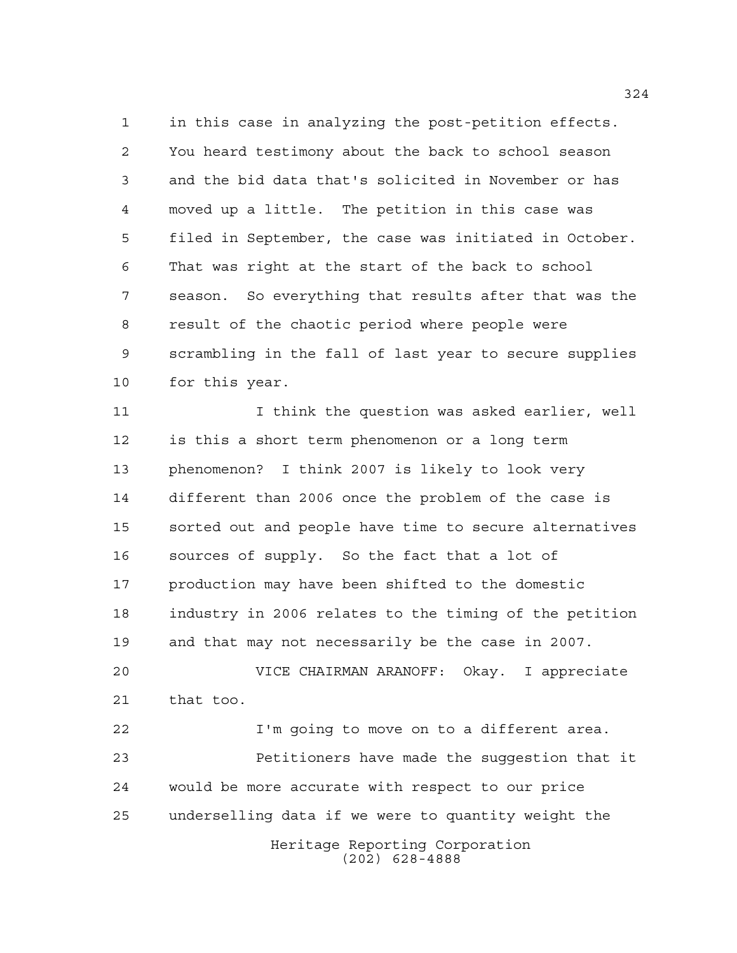in this case in analyzing the post-petition effects. You heard testimony about the back to school season and the bid data that's solicited in November or has moved up a little. The petition in this case was filed in September, the case was initiated in October. That was right at the start of the back to school season. So everything that results after that was the result of the chaotic period where people were scrambling in the fall of last year to secure supplies for this year.

 I think the question was asked earlier, well is this a short term phenomenon or a long term phenomenon? I think 2007 is likely to look very different than 2006 once the problem of the case is sorted out and people have time to secure alternatives sources of supply. So the fact that a lot of production may have been shifted to the domestic industry in 2006 relates to the timing of the petition and that may not necessarily be the case in 2007.

 VICE CHAIRMAN ARANOFF: Okay. I appreciate that too.

Heritage Reporting Corporation (202) 628-4888 I'm going to move on to a different area. Petitioners have made the suggestion that it would be more accurate with respect to our price underselling data if we were to quantity weight the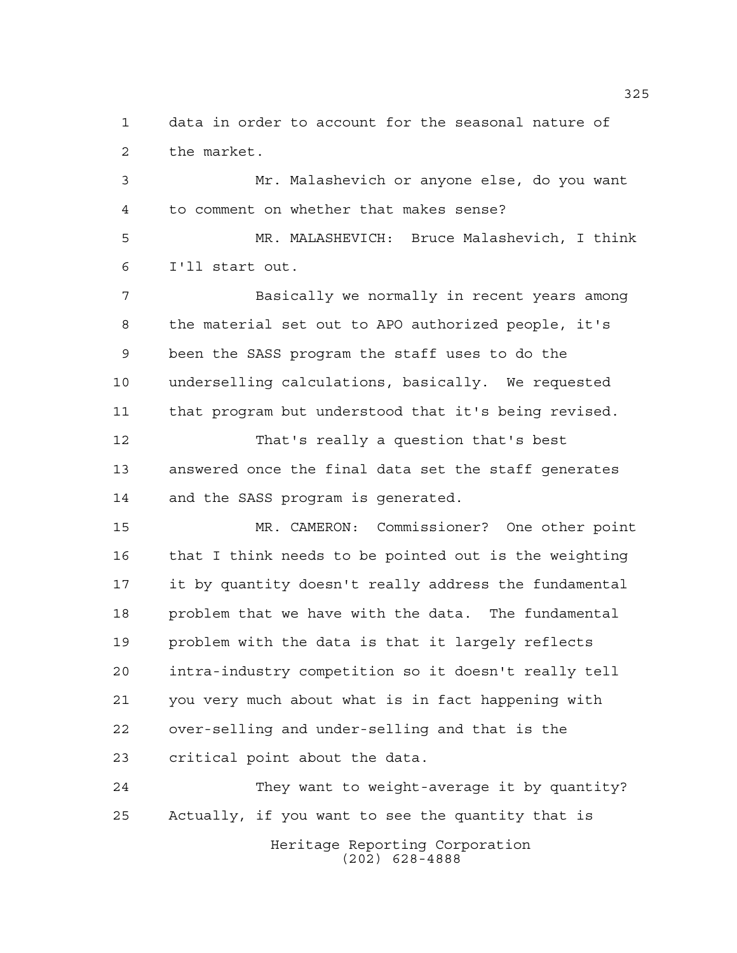data in order to account for the seasonal nature of the market.

 Mr. Malashevich or anyone else, do you want to comment on whether that makes sense?

 MR. MALASHEVICH: Bruce Malashevich, I think I'll start out.

 Basically we normally in recent years among the material set out to APO authorized people, it's been the SASS program the staff uses to do the underselling calculations, basically. We requested that program but understood that it's being revised.

 That's really a question that's best answered once the final data set the staff generates and the SASS program is generated.

 MR. CAMERON: Commissioner? One other point that I think needs to be pointed out is the weighting it by quantity doesn't really address the fundamental problem that we have with the data. The fundamental problem with the data is that it largely reflects intra-industry competition so it doesn't really tell you very much about what is in fact happening with over-selling and under-selling and that is the critical point about the data.

Heritage Reporting Corporation (202) 628-4888 They want to weight-average it by quantity? Actually, if you want to see the quantity that is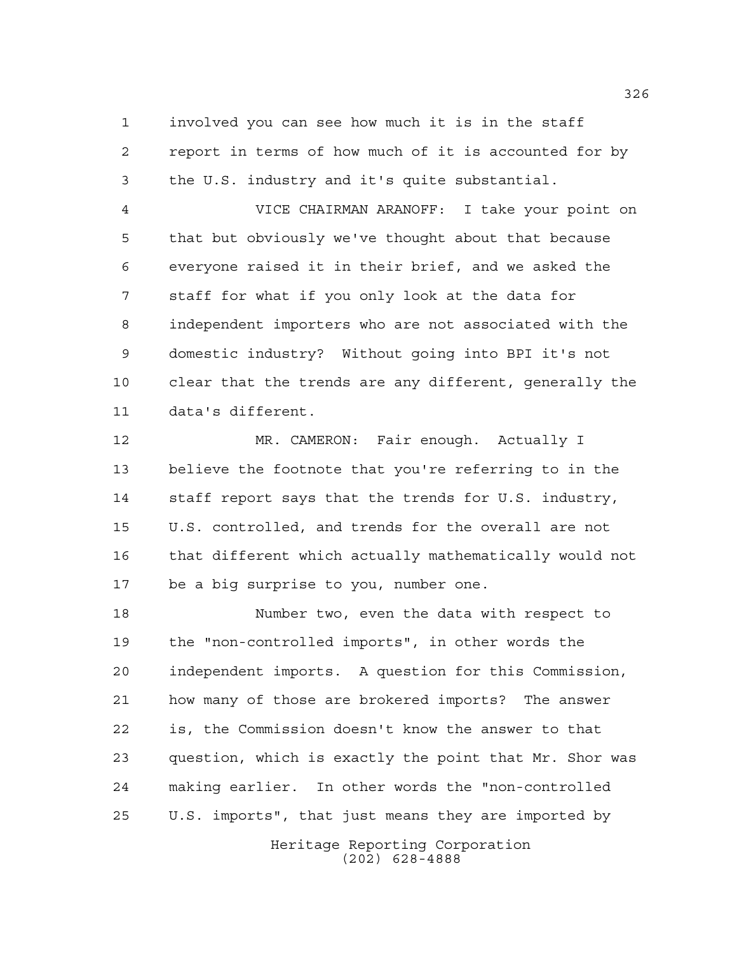involved you can see how much it is in the staff report in terms of how much of it is accounted for by the U.S. industry and it's quite substantial.

 VICE CHAIRMAN ARANOFF: I take your point on that but obviously we've thought about that because everyone raised it in their brief, and we asked the staff for what if you only look at the data for independent importers who are not associated with the domestic industry? Without going into BPI it's not clear that the trends are any different, generally the data's different.

 MR. CAMERON: Fair enough. Actually I believe the footnote that you're referring to in the staff report says that the trends for U.S. industry, U.S. controlled, and trends for the overall are not that different which actually mathematically would not be a big surprise to you, number one.

 Number two, even the data with respect to the "non-controlled imports", in other words the independent imports. A question for this Commission, how many of those are brokered imports? The answer is, the Commission doesn't know the answer to that question, which is exactly the point that Mr. Shor was making earlier. In other words the "non-controlled U.S. imports", that just means they are imported by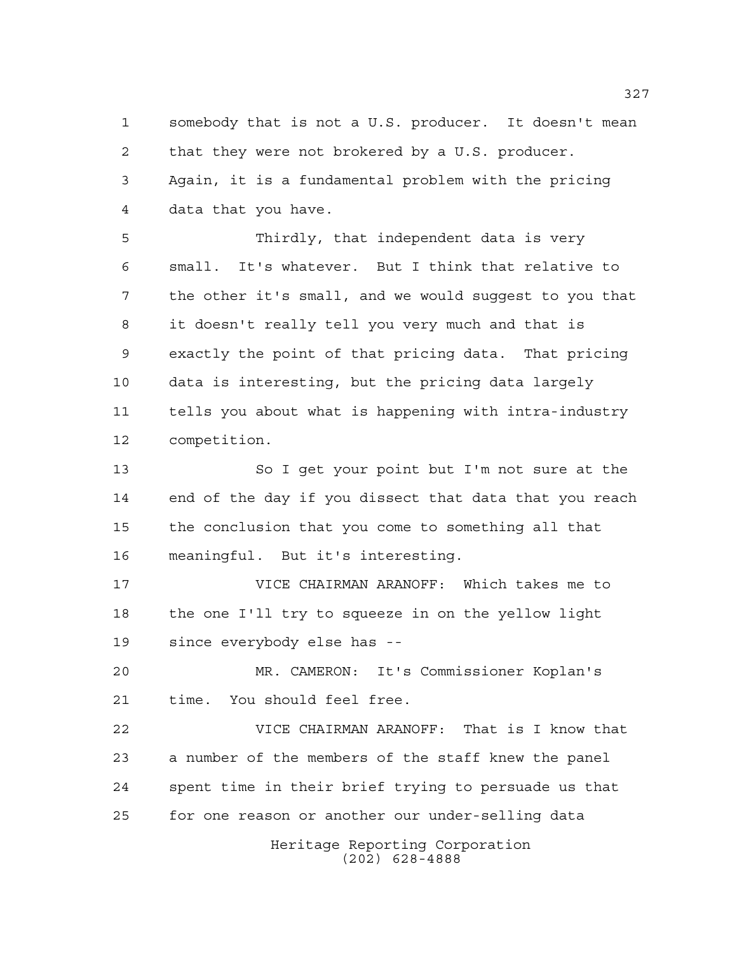somebody that is not a U.S. producer. It doesn't mean that they were not brokered by a U.S. producer. Again, it is a fundamental problem with the pricing data that you have.

 Thirdly, that independent data is very small. It's whatever. But I think that relative to the other it's small, and we would suggest to you that it doesn't really tell you very much and that is exactly the point of that pricing data. That pricing data is interesting, but the pricing data largely tells you about what is happening with intra-industry competition.

 So I get your point but I'm not sure at the end of the day if you dissect that data that you reach the conclusion that you come to something all that meaningful. But it's interesting.

 VICE CHAIRMAN ARANOFF: Which takes me to the one I'll try to squeeze in on the yellow light since everybody else has --

 MR. CAMERON: It's Commissioner Koplan's time. You should feel free.

 VICE CHAIRMAN ARANOFF: That is I know that a number of the members of the staff knew the panel spent time in their brief trying to persuade us that for one reason or another our under-selling data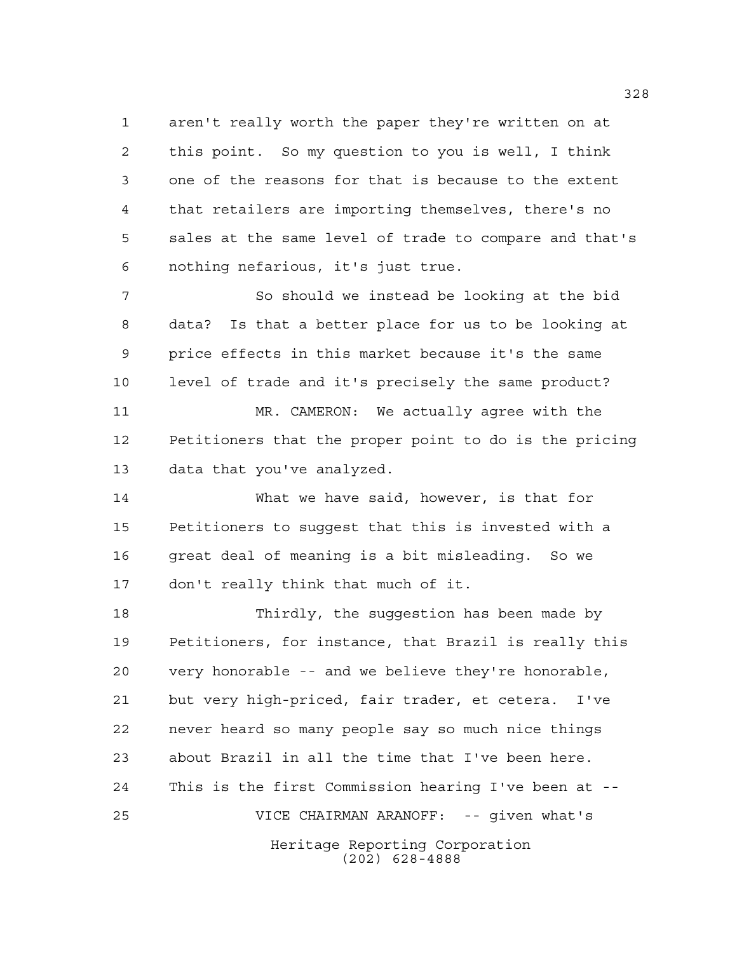aren't really worth the paper they're written on at this point. So my question to you is well, I think one of the reasons for that is because to the extent that retailers are importing themselves, there's no sales at the same level of trade to compare and that's nothing nefarious, it's just true.

7 So should we instead be looking at the bid data? Is that a better place for us to be looking at price effects in this market because it's the same level of trade and it's precisely the same product?

 MR. CAMERON: We actually agree with the Petitioners that the proper point to do is the pricing data that you've analyzed.

 What we have said, however, is that for Petitioners to suggest that this is invested with a great deal of meaning is a bit misleading. So we don't really think that much of it.

Heritage Reporting Corporation (202) 628-4888 Thirdly, the suggestion has been made by Petitioners, for instance, that Brazil is really this very honorable -- and we believe they're honorable, but very high-priced, fair trader, et cetera. I've never heard so many people say so much nice things about Brazil in all the time that I've been here. This is the first Commission hearing I've been at -- VICE CHAIRMAN ARANOFF: -- given what's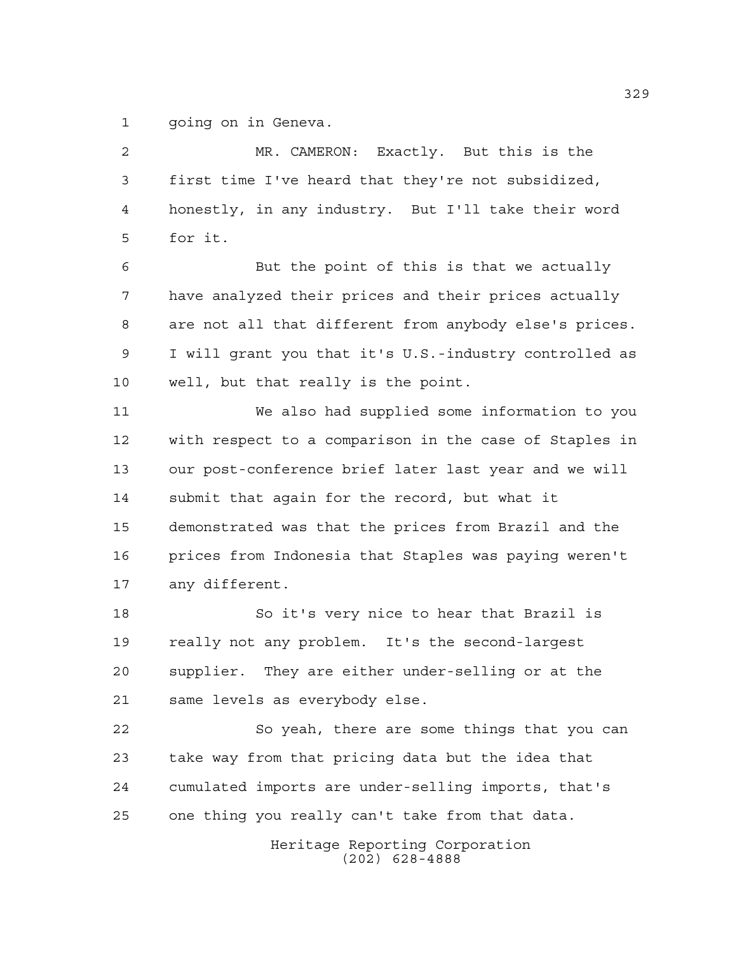going on in Geneva.

| $\overline{a}$ | MR. CAMERON: Exactly. But this is the                  |
|----------------|--------------------------------------------------------|
| 3              | first time I've heard that they're not subsidized,     |
| 4              | honestly, in any industry. But I'll take their word    |
| 5              | for it.                                                |
| 6              | But the point of this is that we actually              |
| 7              | have analyzed their prices and their prices actually   |
| 8              | are not all that different from anybody else's prices. |
| 9              | I will grant you that it's U.S.-industry controlled as |
| 10             | well, but that really is the point.                    |
| 11             | We also had supplied some information to you           |
| 12             | with respect to a comparison in the case of Staples in |
| 13             | our post-conference brief later last year and we will  |
| 14             | submit that again for the record, but what it          |
| 15             | demonstrated was that the prices from Brazil and the   |
| 16             | prices from Indonesia that Staples was paying weren't  |
| 17             | any different.                                         |
| 18             | So it's very nice to hear that Brazil is               |
| 19             | really not any problem. It's the second-largest        |
| 20             | supplier. They are either under-selling or at the      |
| 21             | same levels as everybody else.                         |
| 22             | So yeah, there are some things that you can            |
| 23             | take way from that pricing data but the idea that      |
| 24             | cumulated imports are under-selling imports, that's    |
| 25             | one thing you really can't take from that data.        |
|                | Heritage Reporting Corporation<br>$(202)$ 628-4888     |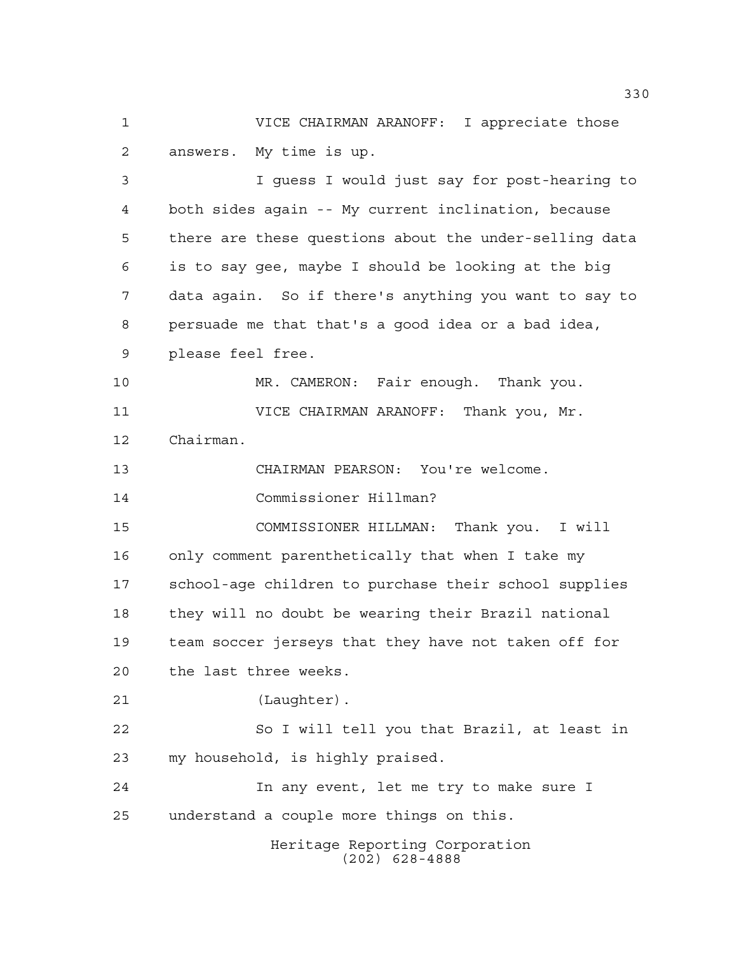VICE CHAIRMAN ARANOFF: I appreciate those answers. My time is up.

Heritage Reporting Corporation I guess I would just say for post-hearing to both sides again -- My current inclination, because there are these questions about the under-selling data is to say gee, maybe I should be looking at the big data again. So if there's anything you want to say to persuade me that that's a good idea or a bad idea, please feel free. MR. CAMERON: Fair enough. Thank you. VICE CHAIRMAN ARANOFF: Thank you, Mr. Chairman. CHAIRMAN PEARSON: You're welcome. Commissioner Hillman? COMMISSIONER HILLMAN: Thank you. I will only comment parenthetically that when I take my school-age children to purchase their school supplies they will no doubt be wearing their Brazil national team soccer jerseys that they have not taken off for the last three weeks. (Laughter). So I will tell you that Brazil, at least in my household, is highly praised. In any event, let me try to make sure I understand a couple more things on this.

(202) 628-4888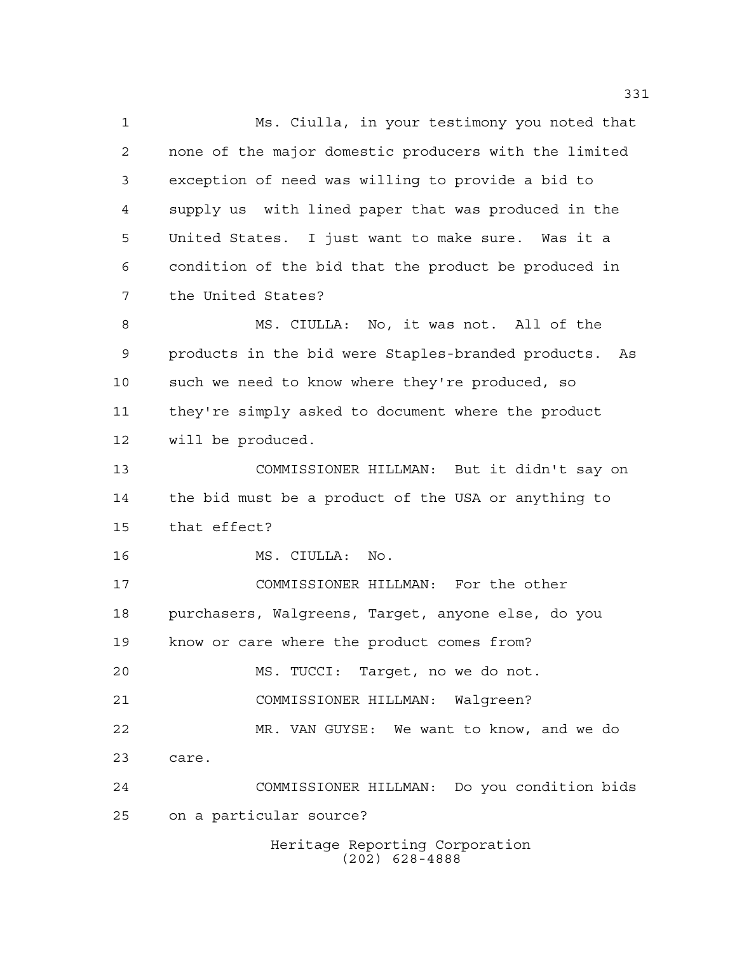Heritage Reporting Corporation (202) 628-4888 Ms. Ciulla, in your testimony you noted that none of the major domestic producers with the limited exception of need was willing to provide a bid to supply us with lined paper that was produced in the United States. I just want to make sure. Was it a condition of the bid that the product be produced in the United States? MS. CIULLA: No, it was not. All of the products in the bid were Staples-branded products. As such we need to know where they're produced, so they're simply asked to document where the product will be produced. COMMISSIONER HILLMAN: But it didn't say on the bid must be a product of the USA or anything to that effect? MS. CIULLA: No. COMMISSIONER HILLMAN: For the other purchasers, Walgreens, Target, anyone else, do you know or care where the product comes from? MS. TUCCI: Target, no we do not. COMMISSIONER HILLMAN: Walgreen? MR. VAN GUYSE: We want to know, and we do care. COMMISSIONER HILLMAN: Do you condition bids on a particular source?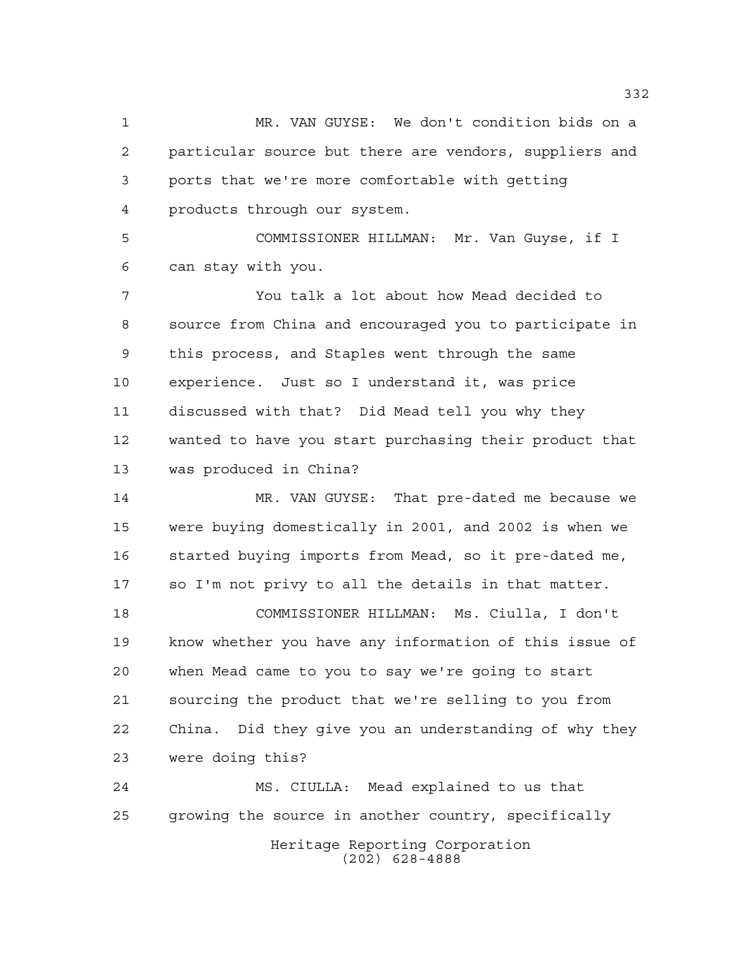MR. VAN GUYSE: We don't condition bids on a particular source but there are vendors, suppliers and ports that we're more comfortable with getting products through our system.

 COMMISSIONER HILLMAN: Mr. Van Guyse, if I can stay with you.

 You talk a lot about how Mead decided to source from China and encouraged you to participate in this process, and Staples went through the same experience. Just so I understand it, was price discussed with that? Did Mead tell you why they wanted to have you start purchasing their product that was produced in China?

 MR. VAN GUYSE: That pre-dated me because we were buying domestically in 2001, and 2002 is when we started buying imports from Mead, so it pre-dated me, so I'm not privy to all the details in that matter.

 COMMISSIONER HILLMAN: Ms. Ciulla, I don't know whether you have any information of this issue of when Mead came to you to say we're going to start sourcing the product that we're selling to you from China. Did they give you an understanding of why they were doing this?

Heritage Reporting Corporation (202) 628-4888 MS. CIULLA: Mead explained to us that growing the source in another country, specifically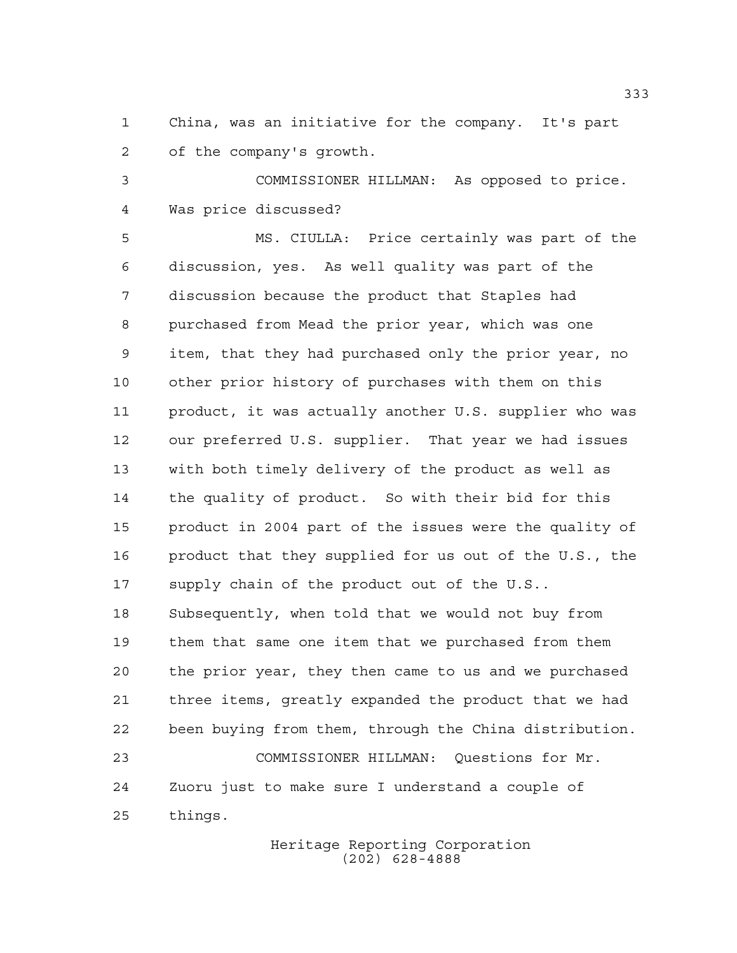China, was an initiative for the company. It's part of the company's growth.

 COMMISSIONER HILLMAN: As opposed to price. Was price discussed?

 MS. CIULLA: Price certainly was part of the discussion, yes. As well quality was part of the discussion because the product that Staples had purchased from Mead the prior year, which was one item, that they had purchased only the prior year, no other prior history of purchases with them on this product, it was actually another U.S. supplier who was our preferred U.S. supplier. That year we had issues with both timely delivery of the product as well as the quality of product. So with their bid for this product in 2004 part of the issues were the quality of product that they supplied for us out of the U.S., the supply chain of the product out of the U.S.. Subsequently, when told that we would not buy from them that same one item that we purchased from them the prior year, they then came to us and we purchased three items, greatly expanded the product that we had been buying from them, through the China distribution. COMMISSIONER HILLMAN: Questions for Mr. Zuoru just to make sure I understand a couple of things.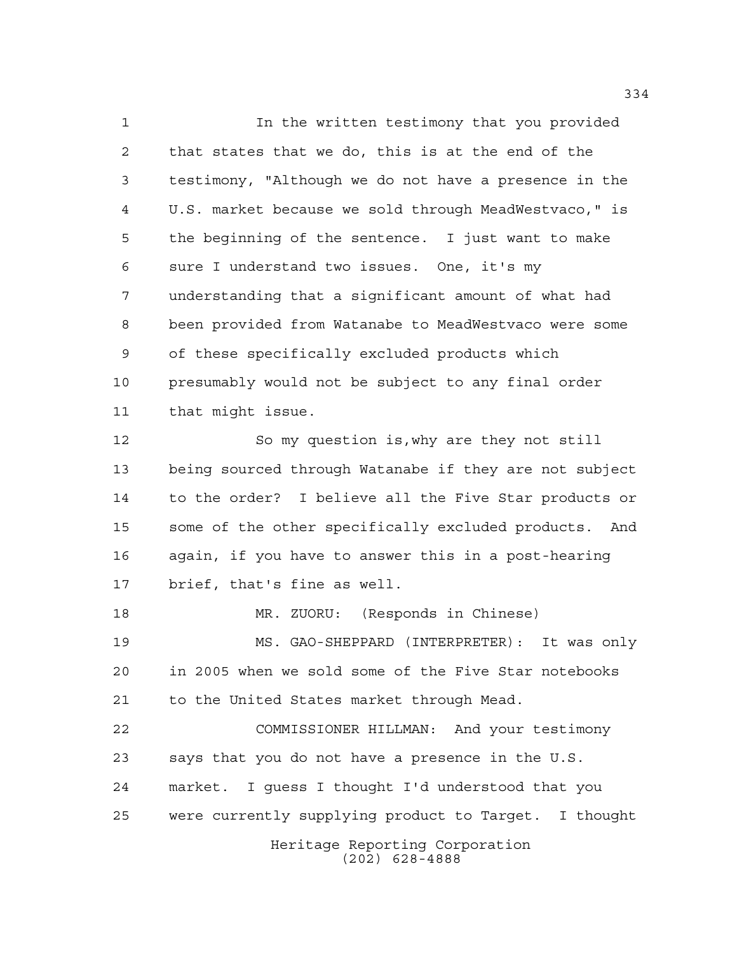Heritage Reporting Corporation (202) 628-4888 In the written testimony that you provided that states that we do, this is at the end of the testimony, "Although we do not have a presence in the U.S. market because we sold through MeadWestvaco," is the beginning of the sentence. I just want to make sure I understand two issues. One, it's my understanding that a significant amount of what had been provided from Watanabe to MeadWestvaco were some of these specifically excluded products which presumably would not be subject to any final order that might issue. So my question is,why are they not still being sourced through Watanabe if they are not subject to the order? I believe all the Five Star products or some of the other specifically excluded products. And again, if you have to answer this in a post-hearing brief, that's fine as well. MR. ZUORU: (Responds in Chinese) MS. GAO-SHEPPARD (INTERPRETER): It was only in 2005 when we sold some of the Five Star notebooks to the United States market through Mead. COMMISSIONER HILLMAN: And your testimony says that you do not have a presence in the U.S. market. I guess I thought I'd understood that you were currently supplying product to Target. I thought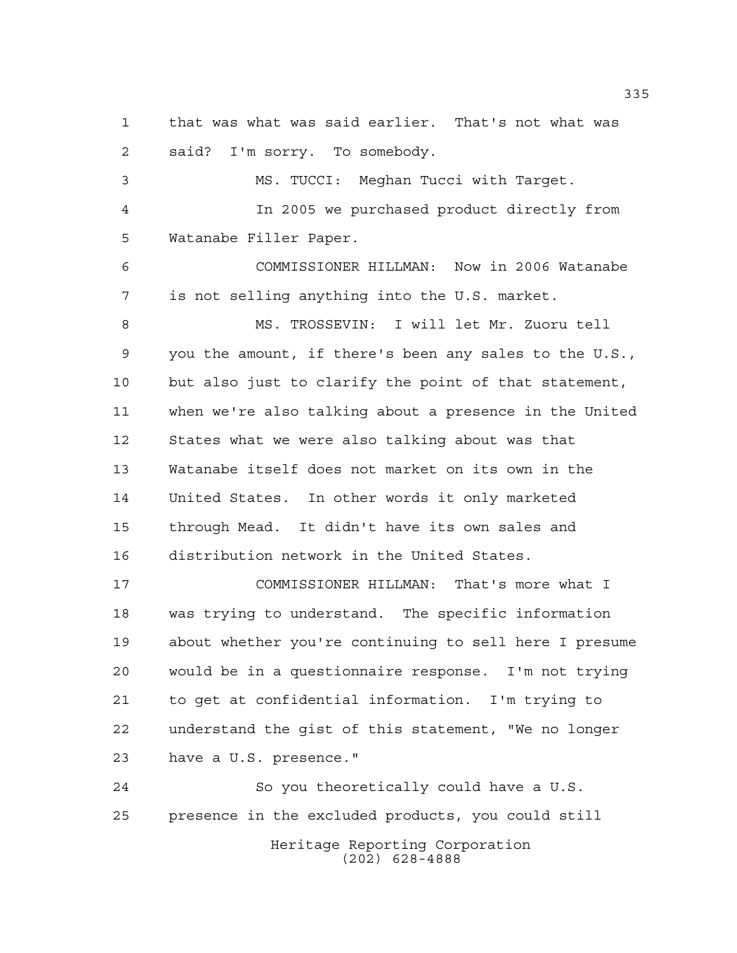that was what was said earlier. That's not what was said? I'm sorry. To somebody.

 MS. TUCCI: Meghan Tucci with Target. In 2005 we purchased product directly from Watanabe Filler Paper. COMMISSIONER HILLMAN: Now in 2006 Watanabe is not selling anything into the U.S. market. MS. TROSSEVIN: I will let Mr. Zuoru tell you the amount, if there's been any sales to the U.S., but also just to clarify the point of that statement, when we're also talking about a presence in the United States what we were also talking about was that Watanabe itself does not market on its own in the United States. In other words it only marketed through Mead. It didn't have its own sales and distribution network in the United States.

 COMMISSIONER HILLMAN: That's more what I was trying to understand. The specific information about whether you're continuing to sell here I presume would be in a questionnaire response. I'm not trying to get at confidential information. I'm trying to understand the gist of this statement, "We no longer have a U.S. presence."

Heritage Reporting Corporation (202) 628-4888 So you theoretically could have a U.S. presence in the excluded products, you could still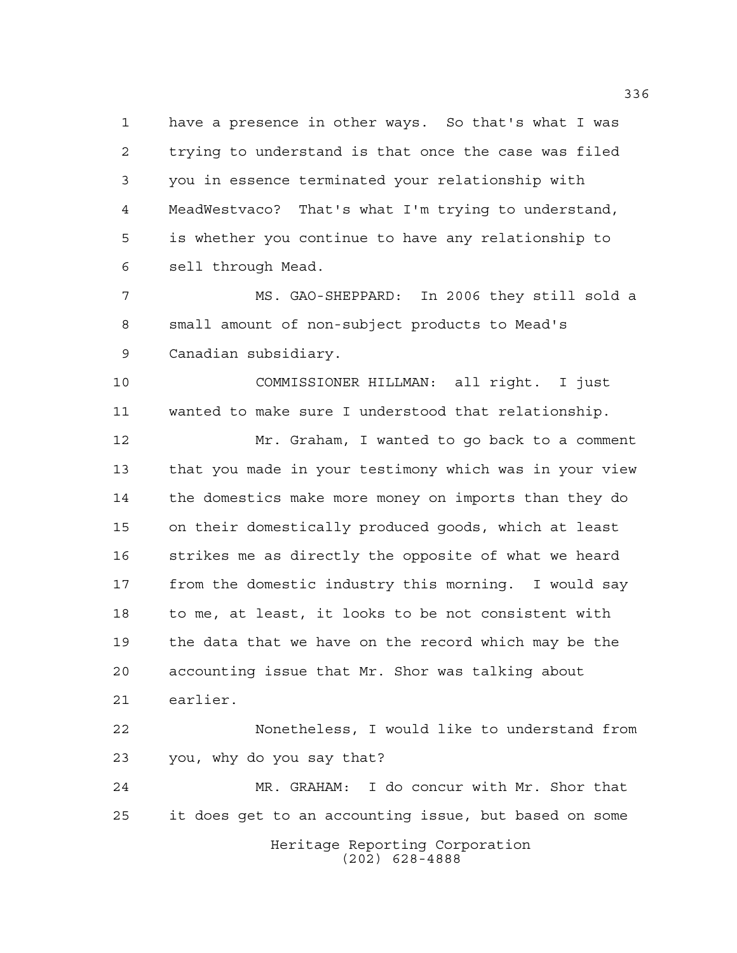have a presence in other ways. So that's what I was trying to understand is that once the case was filed you in essence terminated your relationship with MeadWestvaco? That's what I'm trying to understand, is whether you continue to have any relationship to sell through Mead.

 MS. GAO-SHEPPARD: In 2006 they still sold a small amount of non-subject products to Mead's Canadian subsidiary.

 COMMISSIONER HILLMAN: all right. I just wanted to make sure I understood that relationship.

 Mr. Graham, I wanted to go back to a comment that you made in your testimony which was in your view the domestics make more money on imports than they do on their domestically produced goods, which at least strikes me as directly the opposite of what we heard from the domestic industry this morning. I would say to me, at least, it looks to be not consistent with the data that we have on the record which may be the accounting issue that Mr. Shor was talking about earlier.

 Nonetheless, I would like to understand from you, why do you say that?

Heritage Reporting Corporation (202) 628-4888 MR. GRAHAM: I do concur with Mr. Shor that it does get to an accounting issue, but based on some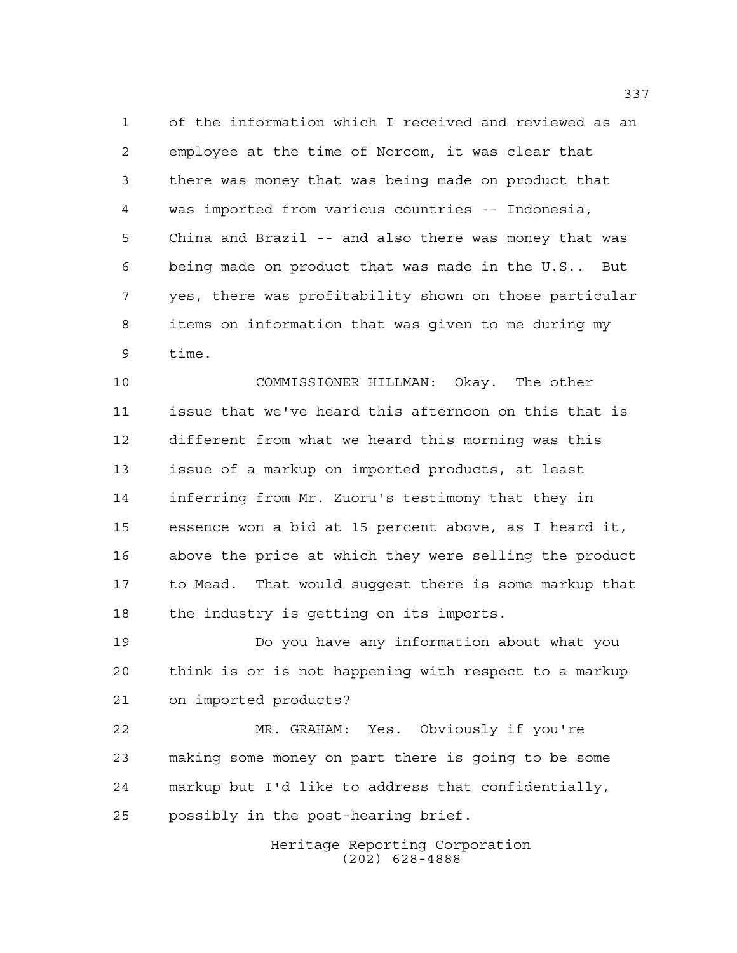of the information which I received and reviewed as an employee at the time of Norcom, it was clear that there was money that was being made on product that was imported from various countries -- Indonesia, China and Brazil -- and also there was money that was being made on product that was made in the U.S.. But yes, there was profitability shown on those particular items on information that was given to me during my time.

 COMMISSIONER HILLMAN: Okay. The other issue that we've heard this afternoon on this that is different from what we heard this morning was this issue of a markup on imported products, at least inferring from Mr. Zuoru's testimony that they in essence won a bid at 15 percent above, as I heard it, above the price at which they were selling the product to Mead. That would suggest there is some markup that the industry is getting on its imports.

 Do you have any information about what you think is or is not happening with respect to a markup on imported products?

 MR. GRAHAM: Yes. Obviously if you're making some money on part there is going to be some markup but I'd like to address that confidentially, possibly in the post-hearing brief.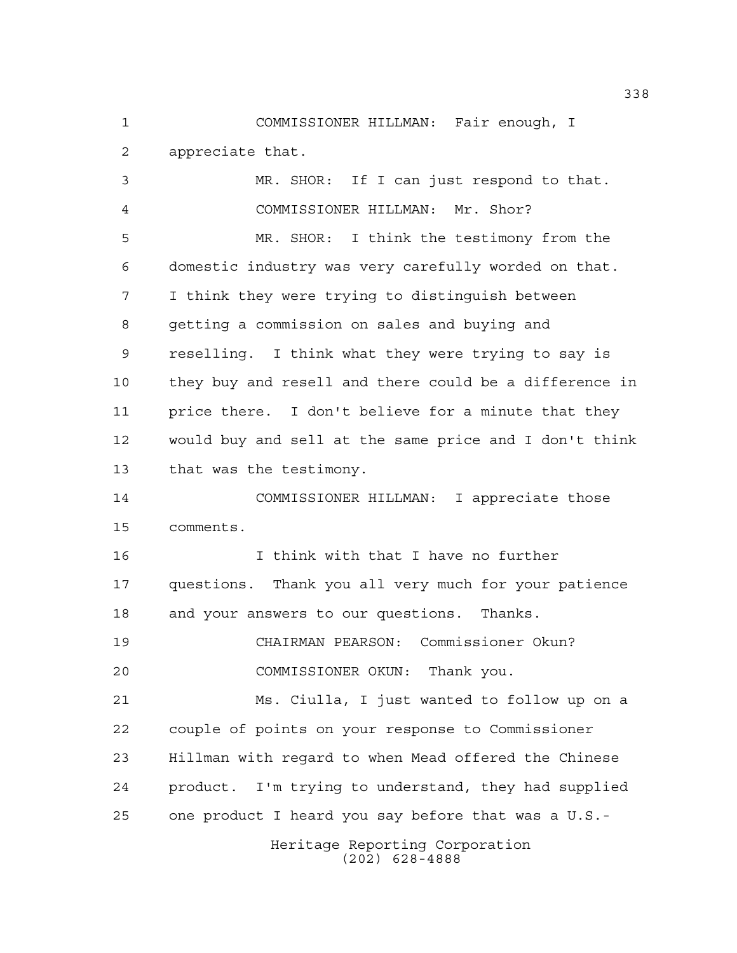COMMISSIONER HILLMAN: Fair enough, I appreciate that.

 MR. SHOR: If I can just respond to that. COMMISSIONER HILLMAN: Mr. Shor? MR. SHOR: I think the testimony from the domestic industry was very carefully worded on that. I think they were trying to distinguish between getting a commission on sales and buying and reselling. I think what they were trying to say is they buy and resell and there could be a difference in price there. I don't believe for a minute that they would buy and sell at the same price and I don't think that was the testimony. COMMISSIONER HILLMAN: I appreciate those comments. I think with that I have no further questions. Thank you all very much for your patience and your answers to our questions. Thanks. CHAIRMAN PEARSON: Commissioner Okun? COMMISSIONER OKUN: Thank you. Ms. Ciulla, I just wanted to follow up on a couple of points on your response to Commissioner Hillman with regard to when Mead offered the Chinese product. I'm trying to understand, they had supplied one product I heard you say before that was a U.S.-

Heritage Reporting Corporation (202) 628-4888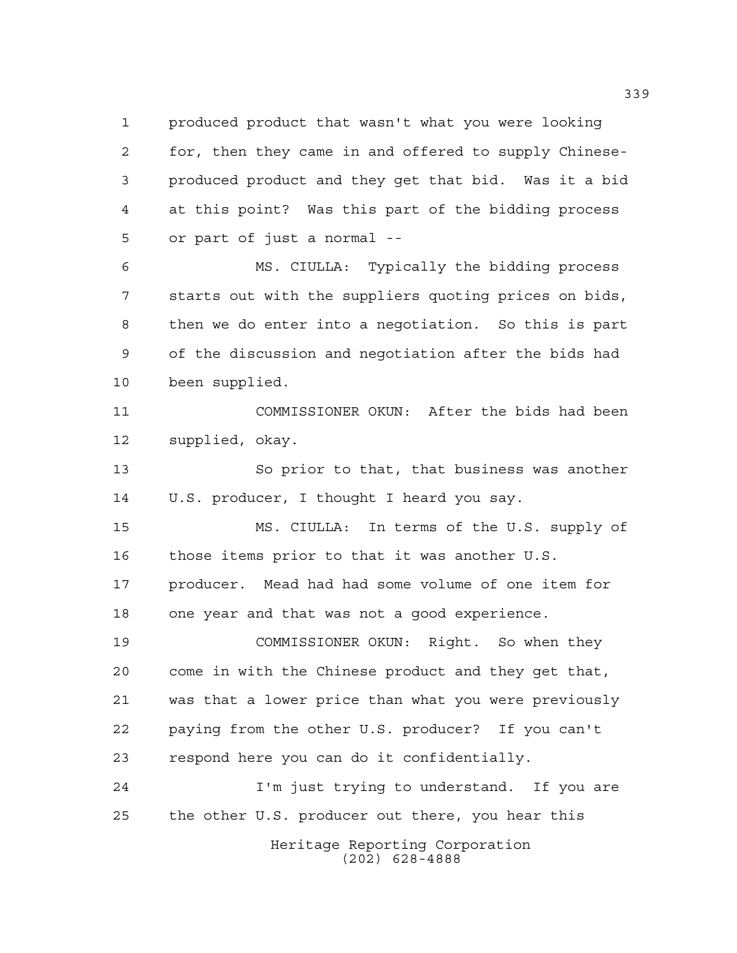produced product that wasn't what you were looking for, then they came in and offered to supply Chinese- produced product and they get that bid. Was it a bid at this point? Was this part of the bidding process or part of just a normal --

 MS. CIULLA: Typically the bidding process starts out with the suppliers quoting prices on bids, then we do enter into a negotiation. So this is part of the discussion and negotiation after the bids had been supplied.

 COMMISSIONER OKUN: After the bids had been supplied, okay.

 So prior to that, that business was another U.S. producer, I thought I heard you say.

 MS. CIULLA: In terms of the U.S. supply of those items prior to that it was another U.S. producer. Mead had had some volume of one item for one year and that was not a good experience.

 COMMISSIONER OKUN: Right. So when they come in with the Chinese product and they get that, was that a lower price than what you were previously paying from the other U.S. producer? If you can't respond here you can do it confidentially.

Heritage Reporting Corporation (202) 628-4888 I'm just trying to understand. If you are the other U.S. producer out there, you hear this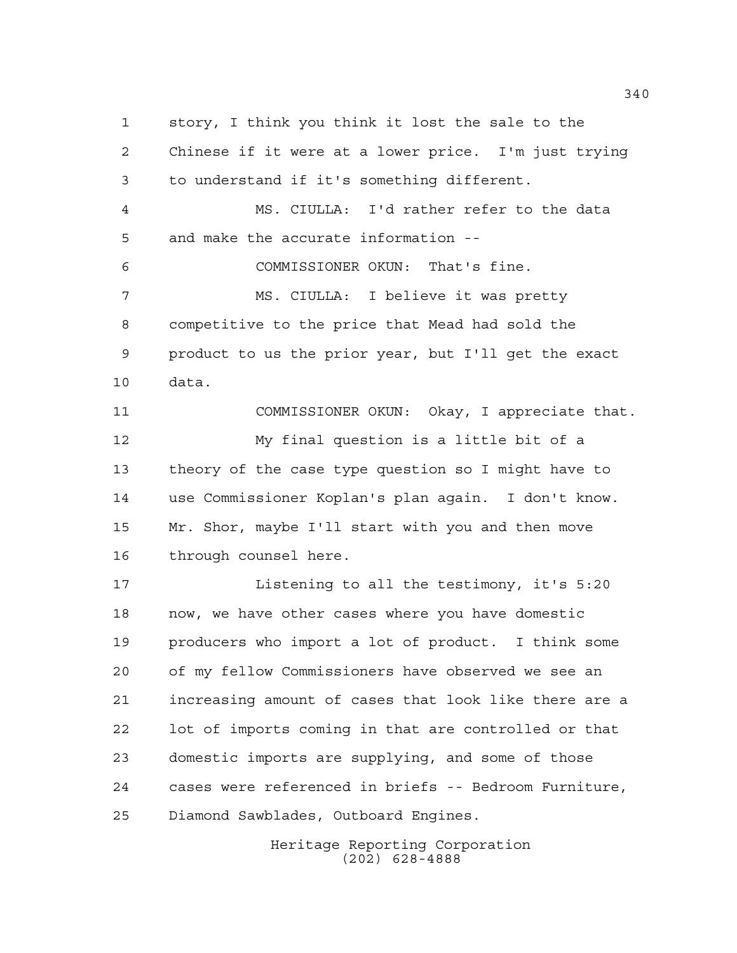story, I think you think it lost the sale to the Chinese if it were at a lower price. I'm just trying to understand if it's something different. MS. CIULLA: I'd rather refer to the data and make the accurate information -- COMMISSIONER OKUN: That's fine. MS. CIULLA: I believe it was pretty competitive to the price that Mead had sold the product to us the prior year, but I'll get the exact data. COMMISSIONER OKUN: Okay, I appreciate that. My final question is a little bit of a theory of the case type question so I might have to use Commissioner Koplan's plan again. I don't know. Mr. Shor, maybe I'll start with you and then move through counsel here. Listening to all the testimony, it's 5:20 now, we have other cases where you have domestic producers who import a lot of product. I think some of my fellow Commissioners have observed we see an increasing amount of cases that look like there are a lot of imports coming in that are controlled or that domestic imports are supplying, and some of those cases were referenced in briefs -- Bedroom Furniture, Diamond Sawblades, Outboard Engines.

> Heritage Reporting Corporation (202) 628-4888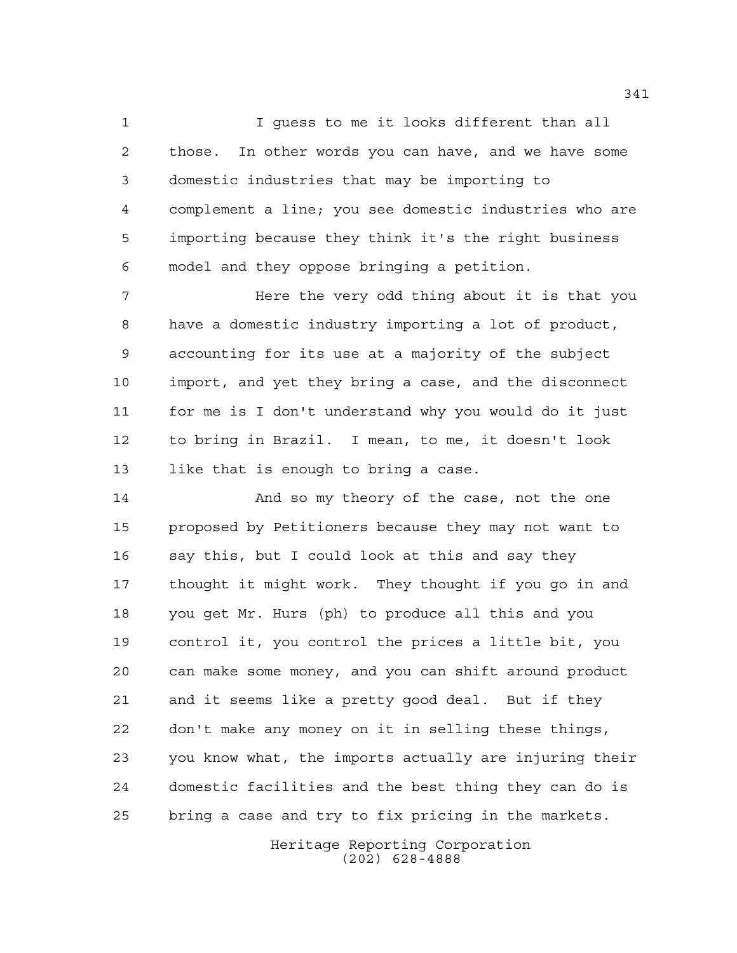I guess to me it looks different than all those. In other words you can have, and we have some domestic industries that may be importing to complement a line; you see domestic industries who are importing because they think it's the right business model and they oppose bringing a petition.

7 The Mere the very odd thing about it is that you have a domestic industry importing a lot of product, accounting for its use at a majority of the subject import, and yet they bring a case, and the disconnect for me is I don't understand why you would do it just to bring in Brazil. I mean, to me, it doesn't look like that is enough to bring a case.

14 And so my theory of the case, not the one proposed by Petitioners because they may not want to say this, but I could look at this and say they thought it might work. They thought if you go in and you get Mr. Hurs (ph) to produce all this and you control it, you control the prices a little bit, you can make some money, and you can shift around product and it seems like a pretty good deal. But if they don't make any money on it in selling these things, you know what, the imports actually are injuring their domestic facilities and the best thing they can do is bring a case and try to fix pricing in the markets.

> Heritage Reporting Corporation (202) 628-4888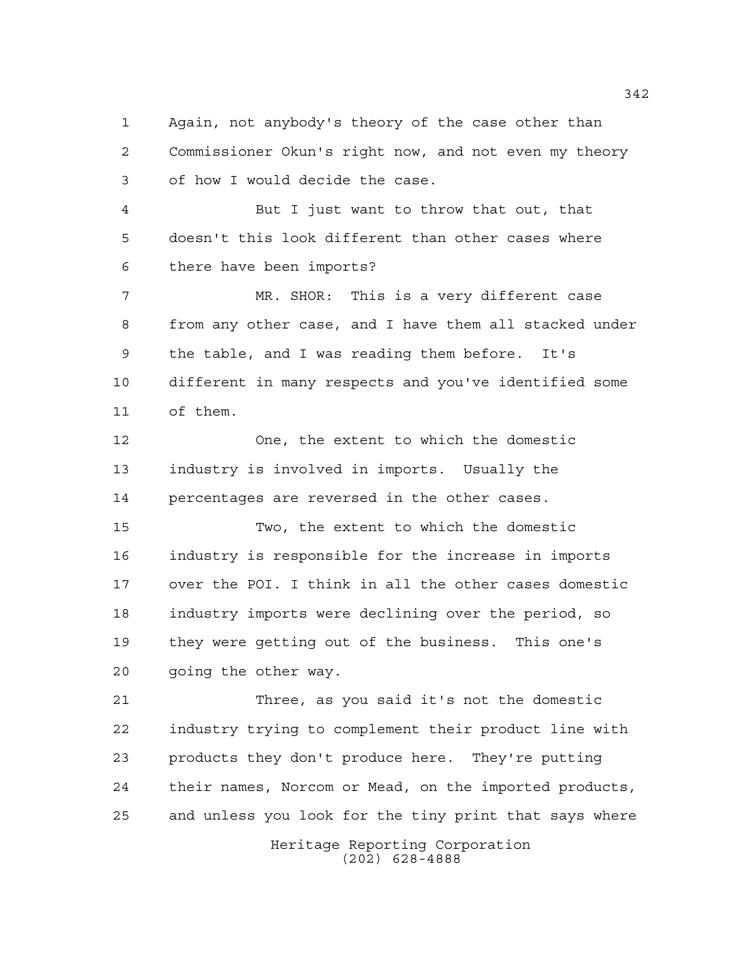Again, not anybody's theory of the case other than Commissioner Okun's right now, and not even my theory of how I would decide the case.

 But I just want to throw that out, that doesn't this look different than other cases where there have been imports?

 MR. SHOR: This is a very different case from any other case, and I have them all stacked under the table, and I was reading them before. It's different in many respects and you've identified some of them.

 One, the extent to which the domestic industry is involved in imports. Usually the percentages are reversed in the other cases.

 Two, the extent to which the domestic industry is responsible for the increase in imports over the POI. I think in all the other cases domestic industry imports were declining over the period, so they were getting out of the business. This one's going the other way.

 Three, as you said it's not the domestic industry trying to complement their product line with products they don't produce here. They're putting their names, Norcom or Mead, on the imported products, and unless you look for the tiny print that says where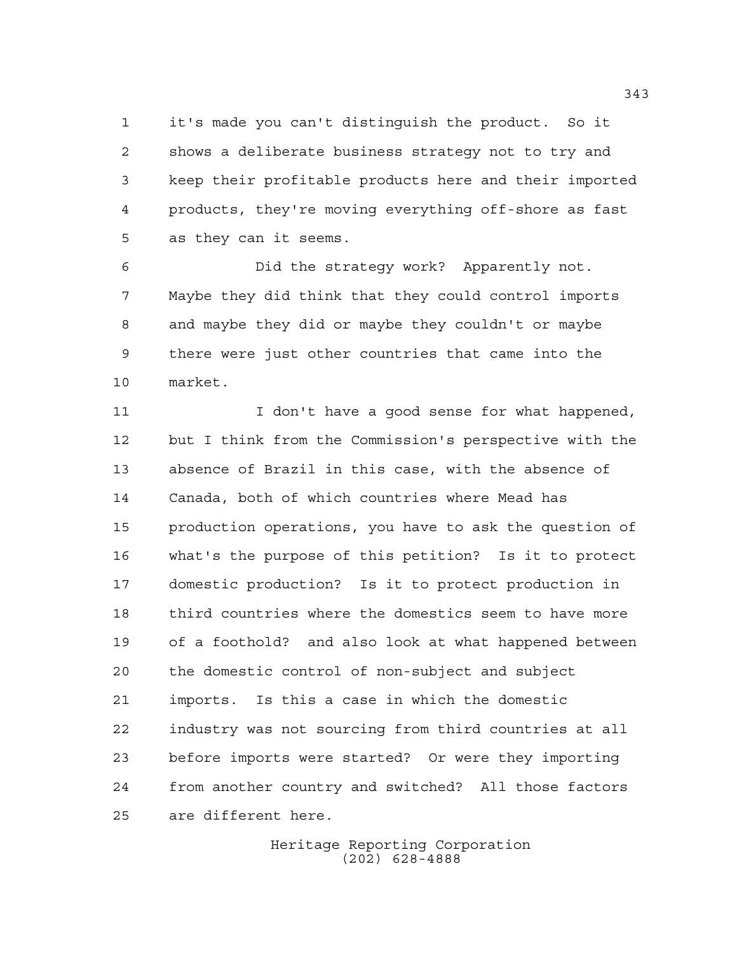it's made you can't distinguish the product. So it shows a deliberate business strategy not to try and keep their profitable products here and their imported products, they're moving everything off-shore as fast as they can it seems.

 Did the strategy work? Apparently not. Maybe they did think that they could control imports and maybe they did or maybe they couldn't or maybe there were just other countries that came into the market.

11 I don't have a good sense for what happened, but I think from the Commission's perspective with the absence of Brazil in this case, with the absence of Canada, both of which countries where Mead has production operations, you have to ask the question of what's the purpose of this petition? Is it to protect domestic production? Is it to protect production in third countries where the domestics seem to have more of a foothold? and also look at what happened between the domestic control of non-subject and subject imports. Is this a case in which the domestic industry was not sourcing from third countries at all before imports were started? Or were they importing from another country and switched? All those factors are different here.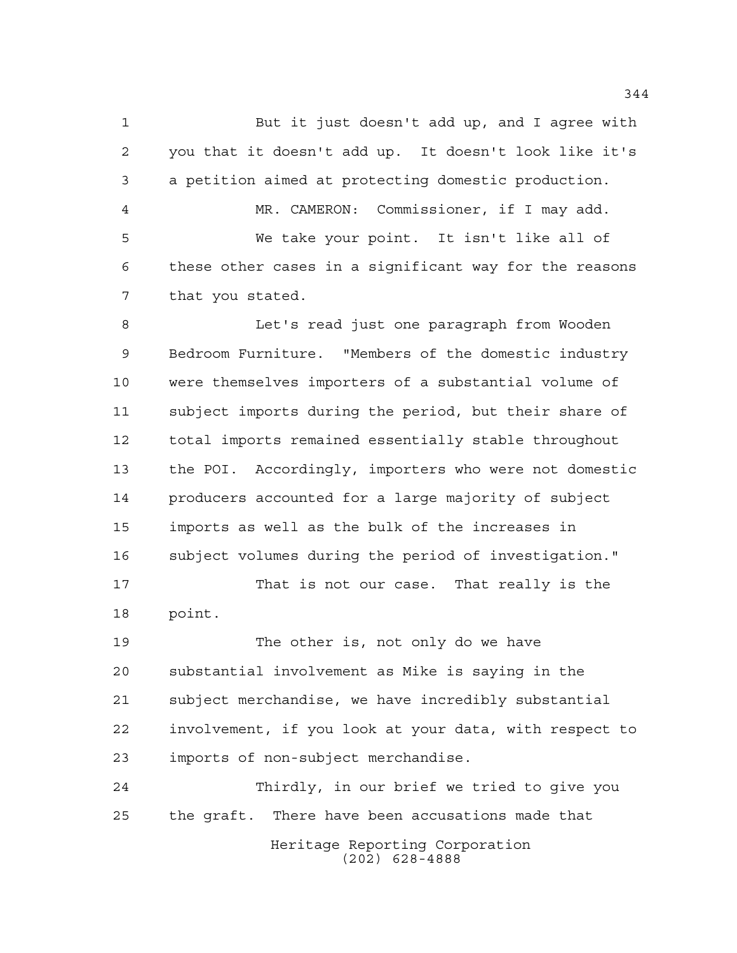But it just doesn't add up, and I agree with you that it doesn't add up. It doesn't look like it's a petition aimed at protecting domestic production. MR. CAMERON: Commissioner, if I may add. We take your point. It isn't like all of these other cases in a significant way for the reasons that you stated.

 Let's read just one paragraph from Wooden Bedroom Furniture. "Members of the domestic industry were themselves importers of a substantial volume of subject imports during the period, but their share of total imports remained essentially stable throughout the POI. Accordingly, importers who were not domestic producers accounted for a large majority of subject imports as well as the bulk of the increases in subject volumes during the period of investigation."

 That is not our case. That really is the point.

 The other is, not only do we have substantial involvement as Mike is saying in the subject merchandise, we have incredibly substantial involvement, if you look at your data, with respect to imports of non-subject merchandise.

Heritage Reporting Corporation Thirdly, in our brief we tried to give you the graft. There have been accusations made that

(202) 628-4888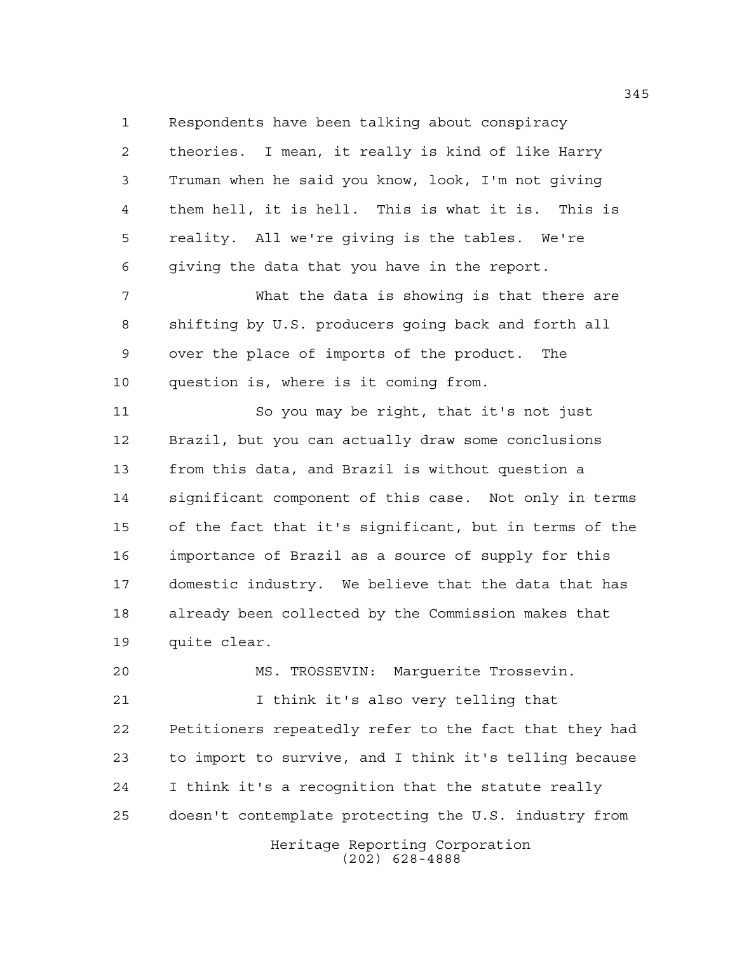Respondents have been talking about conspiracy theories. I mean, it really is kind of like Harry Truman when he said you know, look, I'm not giving them hell, it is hell. This is what it is. This is reality. All we're giving is the tables. We're giving the data that you have in the report.

 What the data is showing is that there are shifting by U.S. producers going back and forth all over the place of imports of the product. The question is, where is it coming from.

 So you may be right, that it's not just Brazil, but you can actually draw some conclusions from this data, and Brazil is without question a significant component of this case. Not only in terms of the fact that it's significant, but in terms of the importance of Brazil as a source of supply for this domestic industry. We believe that the data that has already been collected by the Commission makes that quite clear.

 MS. TROSSEVIN: Marguerite Trossevin. I think it's also very telling that Petitioners repeatedly refer to the fact that they had to import to survive, and I think it's telling because I think it's a recognition that the statute really doesn't contemplate protecting the U.S. industry from

> Heritage Reporting Corporation (202) 628-4888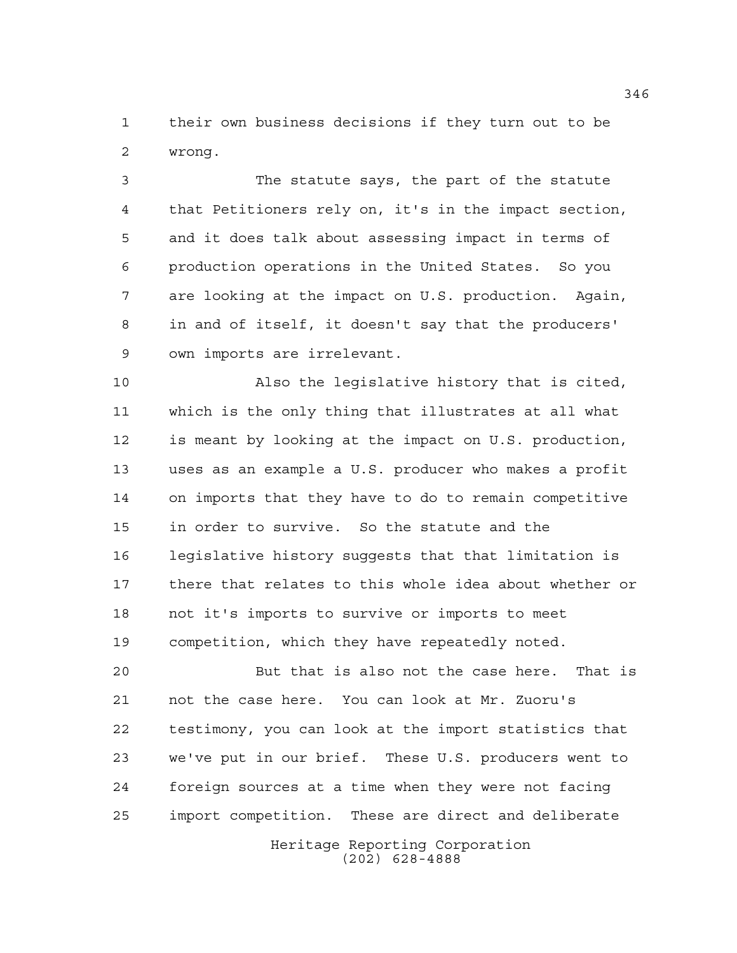their own business decisions if they turn out to be wrong.

 The statute says, the part of the statute that Petitioners rely on, it's in the impact section, and it does talk about assessing impact in terms of production operations in the United States. So you are looking at the impact on U.S. production. Again, in and of itself, it doesn't say that the producers' own imports are irrelevant.

 Also the legislative history that is cited, which is the only thing that illustrates at all what is meant by looking at the impact on U.S. production, uses as an example a U.S. producer who makes a profit on imports that they have to do to remain competitive in order to survive. So the statute and the legislative history suggests that that limitation is there that relates to this whole idea about whether or not it's imports to survive or imports to meet competition, which they have repeatedly noted.

Heritage Reporting Corporation But that is also not the case here. That is not the case here. You can look at Mr. Zuoru's testimony, you can look at the import statistics that we've put in our brief. These U.S. producers went to foreign sources at a time when they were not facing import competition. These are direct and deliberate

(202) 628-4888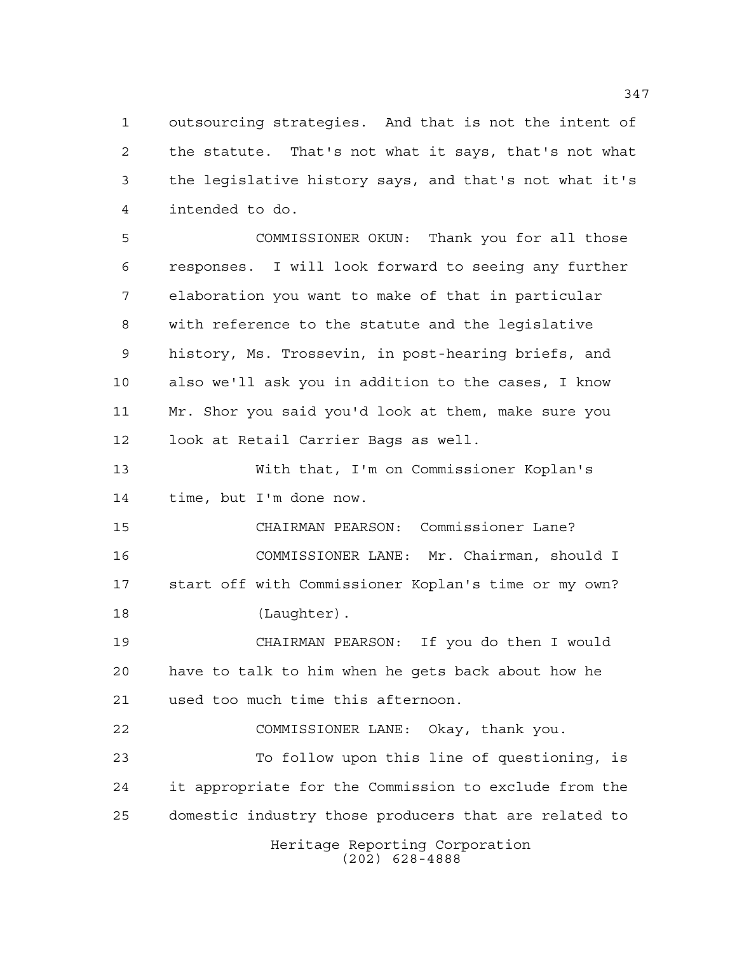outsourcing strategies. And that is not the intent of the statute. That's not what it says, that's not what the legislative history says, and that's not what it's intended to do.

 COMMISSIONER OKUN: Thank you for all those responses. I will look forward to seeing any further elaboration you want to make of that in particular with reference to the statute and the legislative history, Ms. Trossevin, in post-hearing briefs, and also we'll ask you in addition to the cases, I know Mr. Shor you said you'd look at them, make sure you look at Retail Carrier Bags as well.

 With that, I'm on Commissioner Koplan's time, but I'm done now.

 CHAIRMAN PEARSON: Commissioner Lane? COMMISSIONER LANE: Mr. Chairman, should I start off with Commissioner Koplan's time or my own? 18 (Laughter).

 CHAIRMAN PEARSON: If you do then I would have to talk to him when he gets back about how he used too much time this afternoon.

 COMMISSIONER LANE: Okay, thank you. To follow upon this line of questioning, is it appropriate for the Commission to exclude from the domestic industry those producers that are related to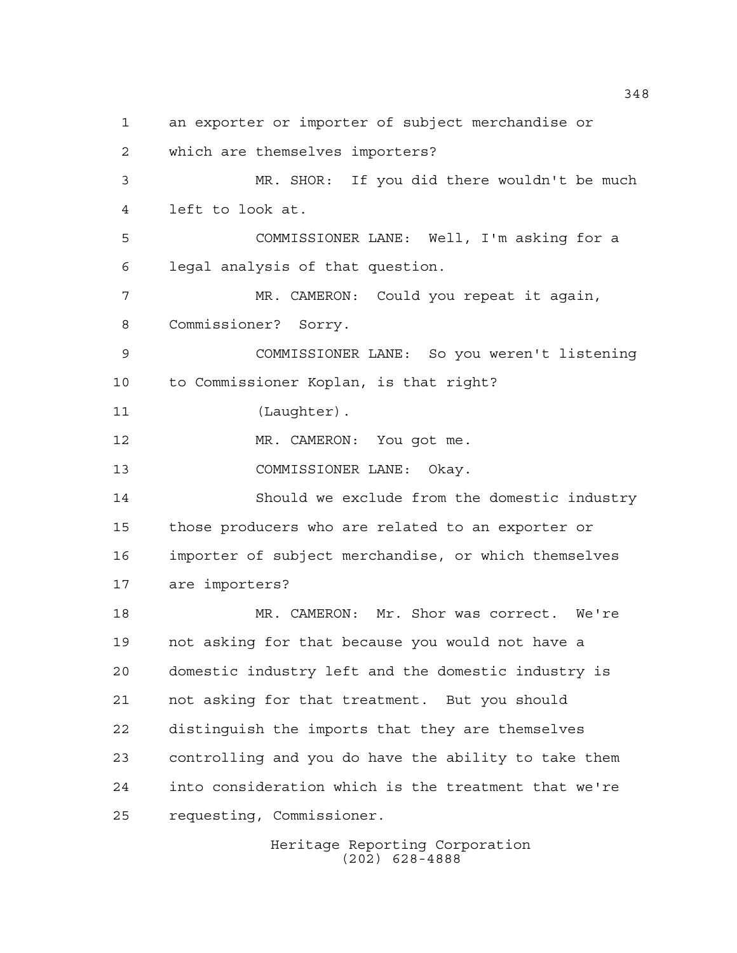an exporter or importer of subject merchandise or which are themselves importers? MR. SHOR: If you did there wouldn't be much left to look at. COMMISSIONER LANE: Well, I'm asking for a legal analysis of that question. MR. CAMERON: Could you repeat it again, Commissioner? Sorry. COMMISSIONER LANE: So you weren't listening to Commissioner Koplan, is that right? 11 (Laughter). MR. CAMERON: You got me. COMMISSIONER LANE: Okay. Should we exclude from the domestic industry those producers who are related to an exporter or importer of subject merchandise, or which themselves are importers? MR. CAMERON: Mr. Shor was correct. We're not asking for that because you would not have a domestic industry left and the domestic industry is not asking for that treatment. But you should distinguish the imports that they are themselves controlling and you do have the ability to take them into consideration which is the treatment that we're requesting, Commissioner.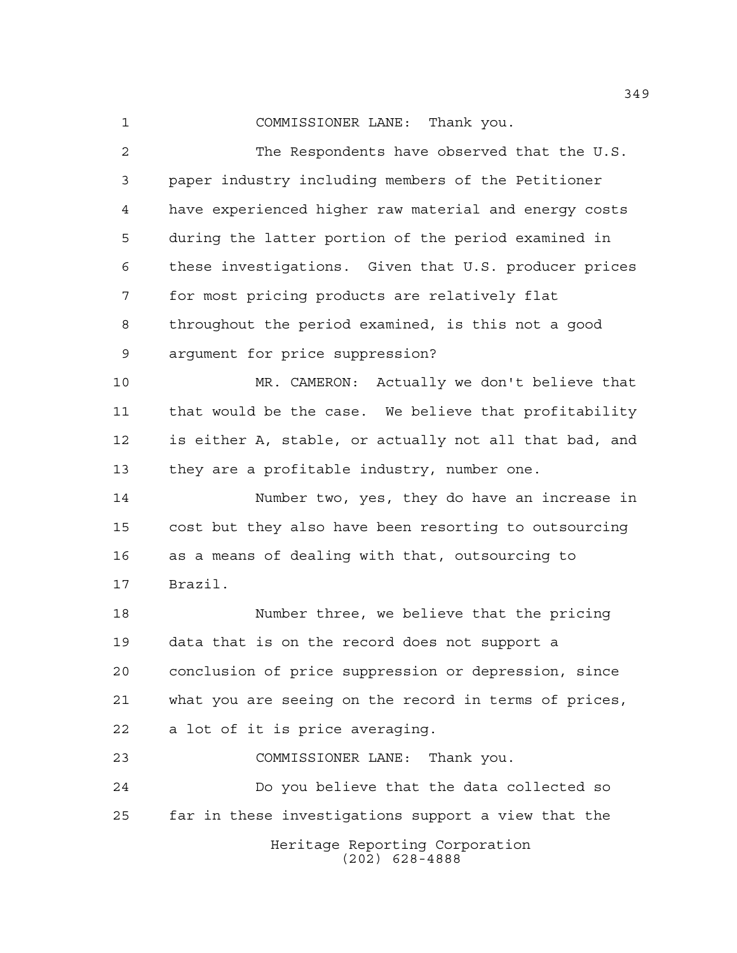COMMISSIONER LANE: Thank you.

Heritage Reporting Corporation (202) 628-4888 The Respondents have observed that the U.S. paper industry including members of the Petitioner have experienced higher raw material and energy costs during the latter portion of the period examined in these investigations. Given that U.S. producer prices for most pricing products are relatively flat throughout the period examined, is this not a good argument for price suppression? MR. CAMERON: Actually we don't believe that that would be the case. We believe that profitability is either A, stable, or actually not all that bad, and they are a profitable industry, number one. Number two, yes, they do have an increase in cost but they also have been resorting to outsourcing as a means of dealing with that, outsourcing to Brazil. Number three, we believe that the pricing data that is on the record does not support a conclusion of price suppression or depression, since what you are seeing on the record in terms of prices, a lot of it is price averaging. COMMISSIONER LANE: Thank you. Do you believe that the data collected so far in these investigations support a view that the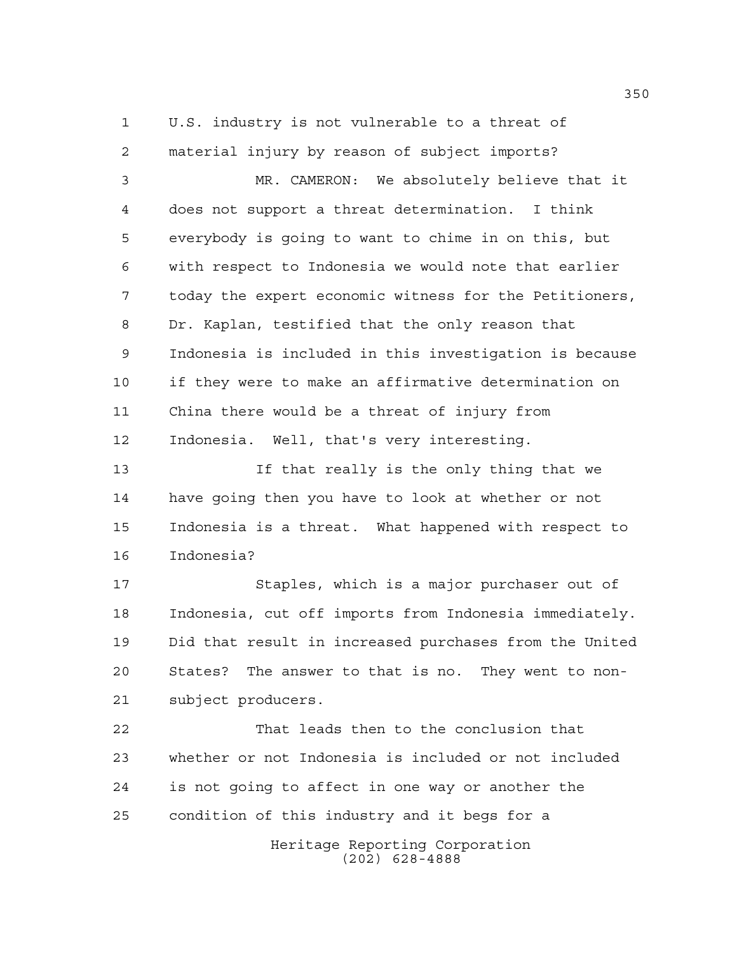U.S. industry is not vulnerable to a threat of material injury by reason of subject imports?

 MR. CAMERON: We absolutely believe that it does not support a threat determination. I think everybody is going to want to chime in on this, but with respect to Indonesia we would note that earlier today the expert economic witness for the Petitioners, Dr. Kaplan, testified that the only reason that Indonesia is included in this investigation is because if they were to make an affirmative determination on China there would be a threat of injury from Indonesia. Well, that's very interesting.

 If that really is the only thing that we have going then you have to look at whether or not Indonesia is a threat. What happened with respect to Indonesia?

 Staples, which is a major purchaser out of Indonesia, cut off imports from Indonesia immediately. Did that result in increased purchases from the United States? The answer to that is no. They went to non-subject producers.

 That leads then to the conclusion that whether or not Indonesia is included or not included is not going to affect in one way or another the condition of this industry and it begs for a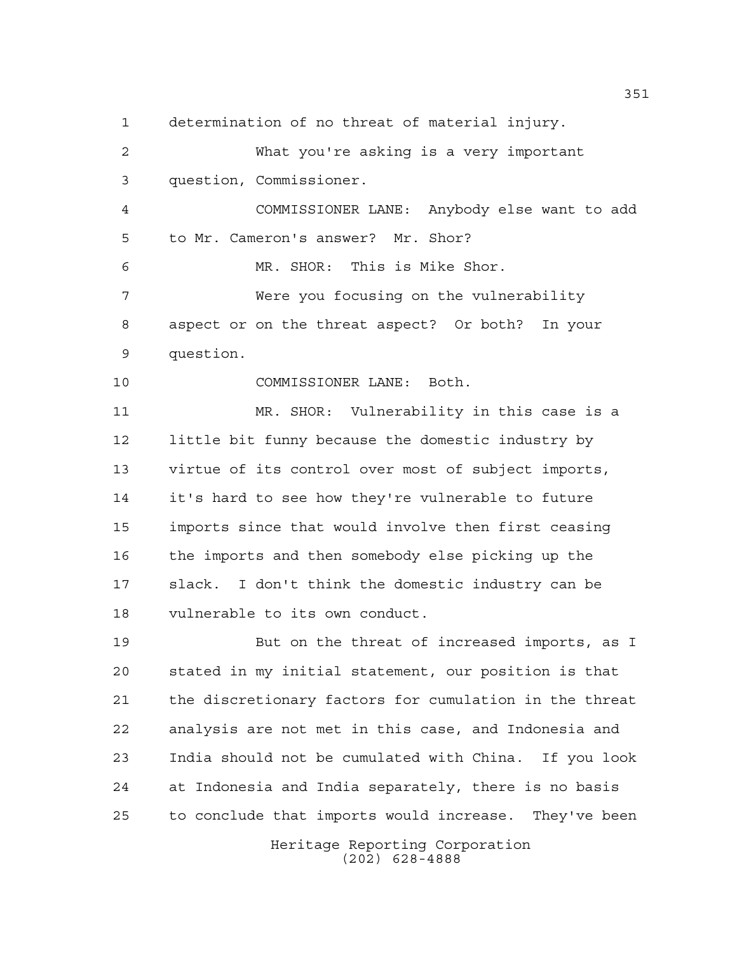determination of no threat of material injury.

Heritage Reporting Corporation What you're asking is a very important question, Commissioner. COMMISSIONER LANE: Anybody else want to add to Mr. Cameron's answer? Mr. Shor? MR. SHOR: This is Mike Shor. Were you focusing on the vulnerability aspect or on the threat aspect? Or both? In your question. COMMISSIONER LANE: Both. MR. SHOR: Vulnerability in this case is a little bit funny because the domestic industry by virtue of its control over most of subject imports, it's hard to see how they're vulnerable to future imports since that would involve then first ceasing the imports and then somebody else picking up the slack. I don't think the domestic industry can be vulnerable to its own conduct. But on the threat of increased imports, as I stated in my initial statement, our position is that the discretionary factors for cumulation in the threat analysis are not met in this case, and Indonesia and India should not be cumulated with China. If you look at Indonesia and India separately, there is no basis to conclude that imports would increase. They've been

(202) 628-4888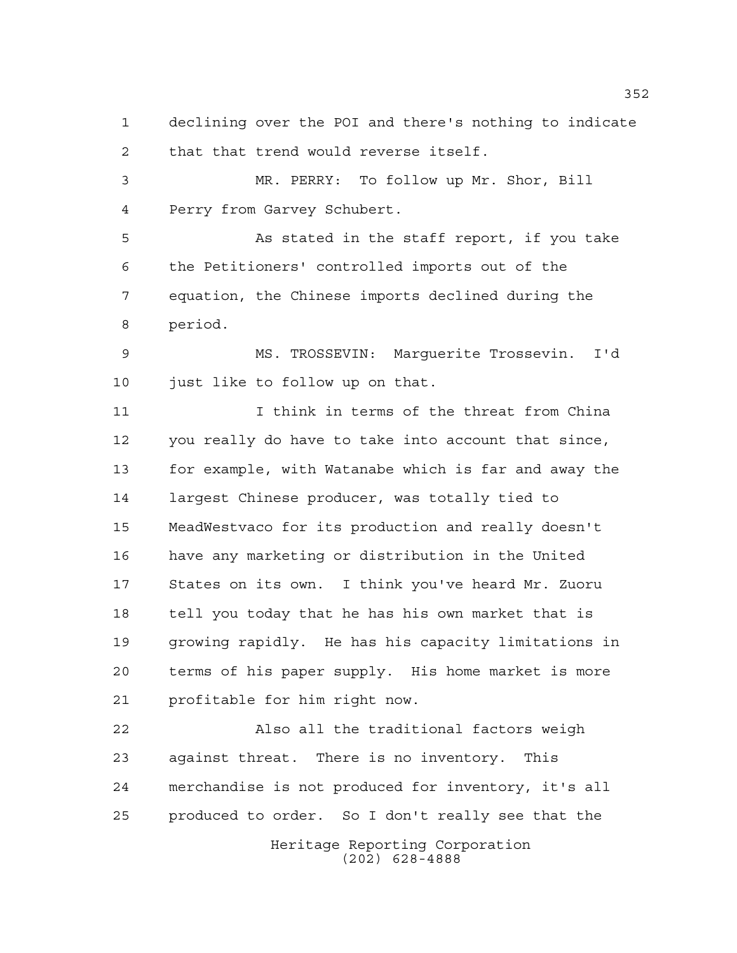declining over the POI and there's nothing to indicate that that trend would reverse itself.

 MR. PERRY: To follow up Mr. Shor, Bill Perry from Garvey Schubert.

 As stated in the staff report, if you take the Petitioners' controlled imports out of the equation, the Chinese imports declined during the period.

 MS. TROSSEVIN: Marguerite Trossevin. I'd just like to follow up on that.

11 I think in terms of the threat from China you really do have to take into account that since, for example, with Watanabe which is far and away the largest Chinese producer, was totally tied to MeadWestvaco for its production and really doesn't have any marketing or distribution in the United States on its own. I think you've heard Mr. Zuoru tell you today that he has his own market that is growing rapidly. He has his capacity limitations in terms of his paper supply. His home market is more profitable for him right now.

Heritage Reporting Corporation Also all the traditional factors weigh against threat. There is no inventory. This merchandise is not produced for inventory, it's all produced to order. So I don't really see that the

(202) 628-4888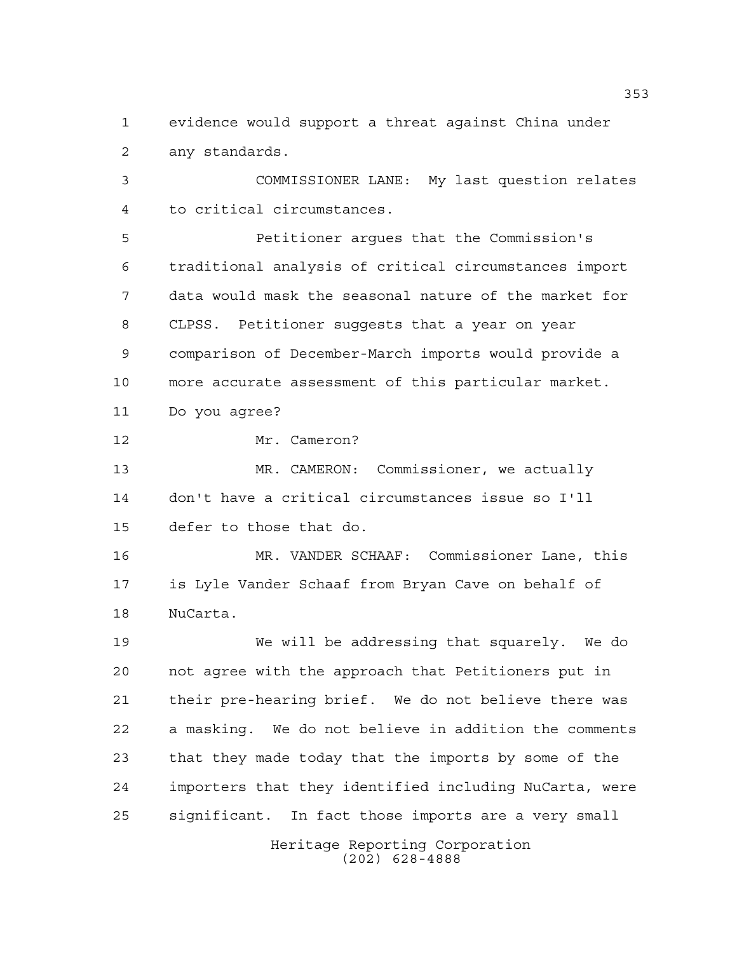evidence would support a threat against China under any standards.

 COMMISSIONER LANE: My last question relates to critical circumstances.

 Petitioner argues that the Commission's traditional analysis of critical circumstances import data would mask the seasonal nature of the market for CLPSS. Petitioner suggests that a year on year comparison of December-March imports would provide a more accurate assessment of this particular market. Do you agree?

Mr. Cameron?

 MR. CAMERON: Commissioner, we actually don't have a critical circumstances issue so I'll defer to those that do.

 MR. VANDER SCHAAF: Commissioner Lane, this is Lyle Vander Schaaf from Bryan Cave on behalf of NuCarta.

 We will be addressing that squarely. We do not agree with the approach that Petitioners put in their pre-hearing brief. We do not believe there was a masking. We do not believe in addition the comments that they made today that the imports by some of the importers that they identified including NuCarta, were significant. In fact those imports are a very small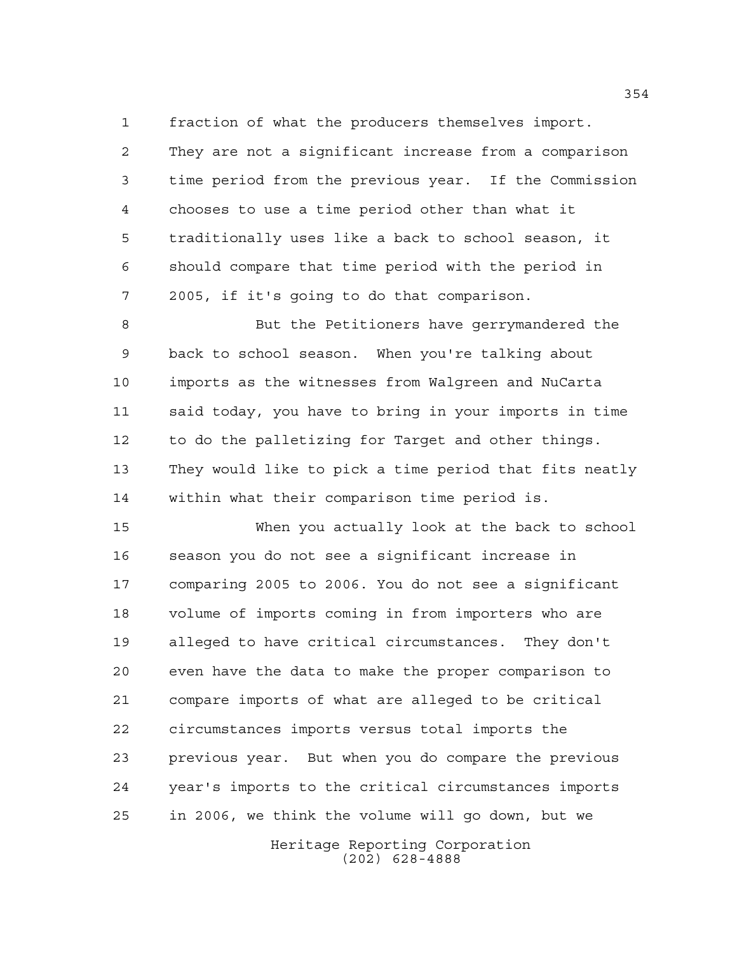fraction of what the producers themselves import. They are not a significant increase from a comparison

 time period from the previous year. If the Commission chooses to use a time period other than what it traditionally uses like a back to school season, it should compare that time period with the period in 2005, if it's going to do that comparison.

 But the Petitioners have gerrymandered the back to school season. When you're talking about imports as the witnesses from Walgreen and NuCarta said today, you have to bring in your imports in time to do the palletizing for Target and other things. They would like to pick a time period that fits neatly within what their comparison time period is.

 When you actually look at the back to school season you do not see a significant increase in comparing 2005 to 2006. You do not see a significant volume of imports coming in from importers who are alleged to have critical circumstances. They don't even have the data to make the proper comparison to compare imports of what are alleged to be critical circumstances imports versus total imports the previous year. But when you do compare the previous year's imports to the critical circumstances imports in 2006, we think the volume will go down, but we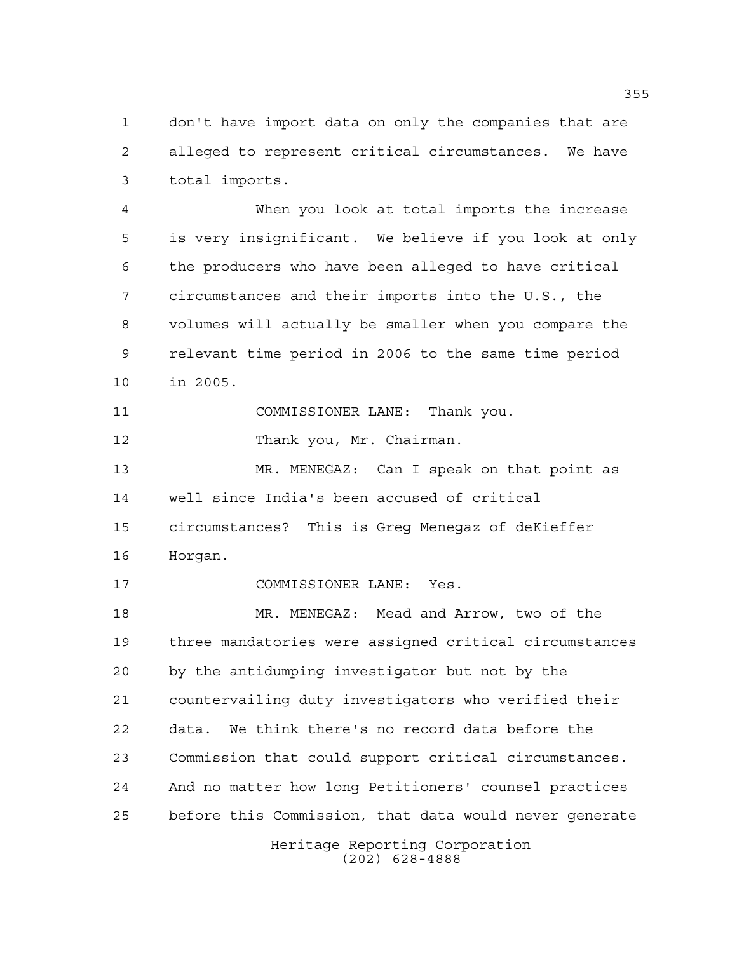don't have import data on only the companies that are alleged to represent critical circumstances. We have total imports.

 When you look at total imports the increase is very insignificant. We believe if you look at only the producers who have been alleged to have critical circumstances and their imports into the U.S., the volumes will actually be smaller when you compare the relevant time period in 2006 to the same time period in 2005.

COMMISSIONER LANE: Thank you.

12 Thank you, Mr. Chairman.

 MR. MENEGAZ: Can I speak on that point as well since India's been accused of critical circumstances? This is Greg Menegaz of deKieffer Horgan.

COMMISSIONER LANE: Yes.

 MR. MENEGAZ: Mead and Arrow, two of the three mandatories were assigned critical circumstances by the antidumping investigator but not by the countervailing duty investigators who verified their data. We think there's no record data before the Commission that could support critical circumstances. And no matter how long Petitioners' counsel practices before this Commission, that data would never generate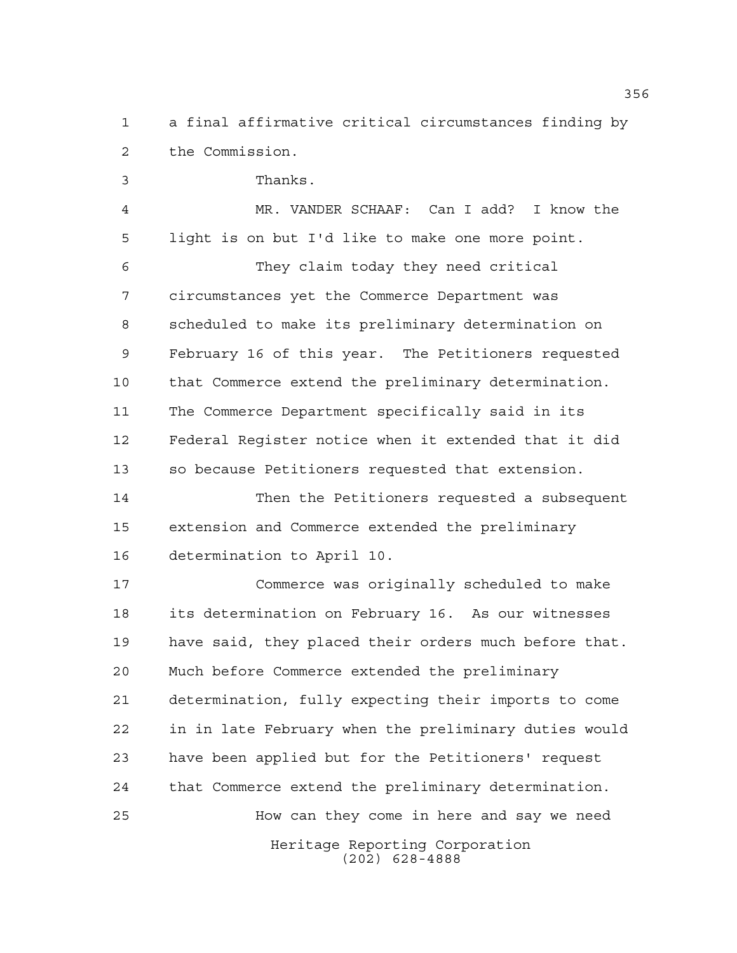a final affirmative critical circumstances finding by the Commission.

 Thanks. MR. VANDER SCHAAF: Can I add? I know the light is on but I'd like to make one more point. They claim today they need critical circumstances yet the Commerce Department was scheduled to make its preliminary determination on February 16 of this year. The Petitioners requested that Commerce extend the preliminary determination. The Commerce Department specifically said in its Federal Register notice when it extended that it did so because Petitioners requested that extension.

 Then the Petitioners requested a subsequent extension and Commerce extended the preliminary determination to April 10.

Heritage Reporting Corporation Commerce was originally scheduled to make its determination on February 16. As our witnesses have said, they placed their orders much before that. Much before Commerce extended the preliminary determination, fully expecting their imports to come in in late February when the preliminary duties would have been applied but for the Petitioners' request that Commerce extend the preliminary determination. How can they come in here and say we need

(202) 628-4888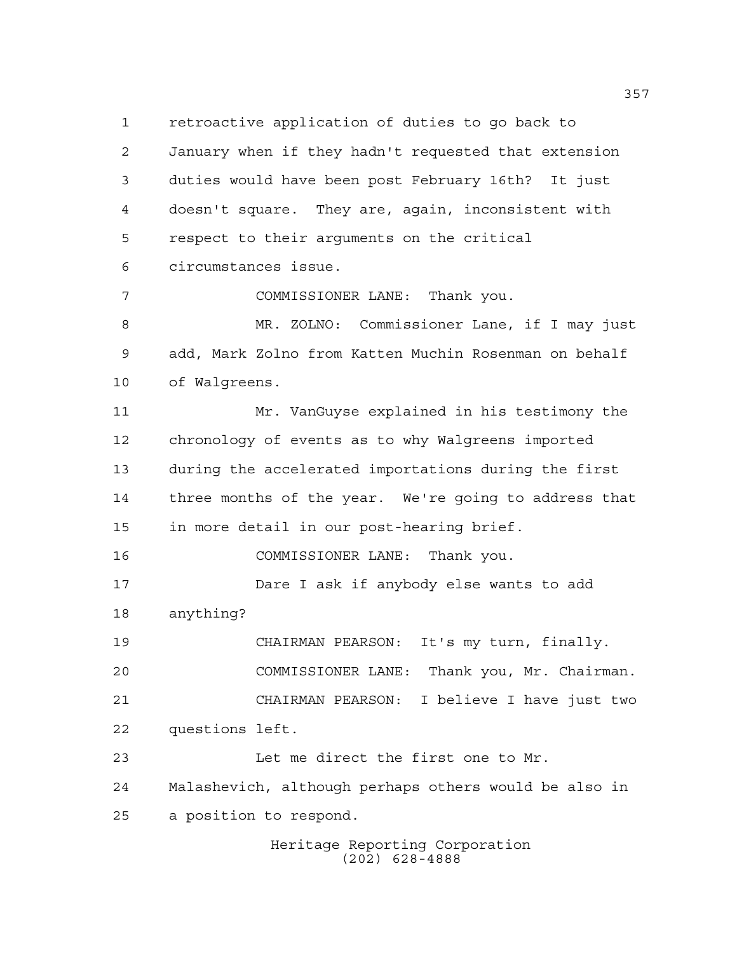retroactive application of duties to go back to January when if they hadn't requested that extension duties would have been post February 16th? It just doesn't square. They are, again, inconsistent with respect to their arguments on the critical circumstances issue. COMMISSIONER LANE: Thank you. MR. ZOLNO: Commissioner Lane, if I may just add, Mark Zolno from Katten Muchin Rosenman on behalf of Walgreens. Mr. VanGuyse explained in his testimony the chronology of events as to why Walgreens imported during the accelerated importations during the first three months of the year. We're going to address that in more detail in our post-hearing brief. COMMISSIONER LANE: Thank you. Dare I ask if anybody else wants to add anything? CHAIRMAN PEARSON: It's my turn, finally. COMMISSIONER LANE: Thank you, Mr. Chairman. CHAIRMAN PEARSON: I believe I have just two questions left. Let me direct the first one to Mr. Malashevich, although perhaps others would be also in a position to respond.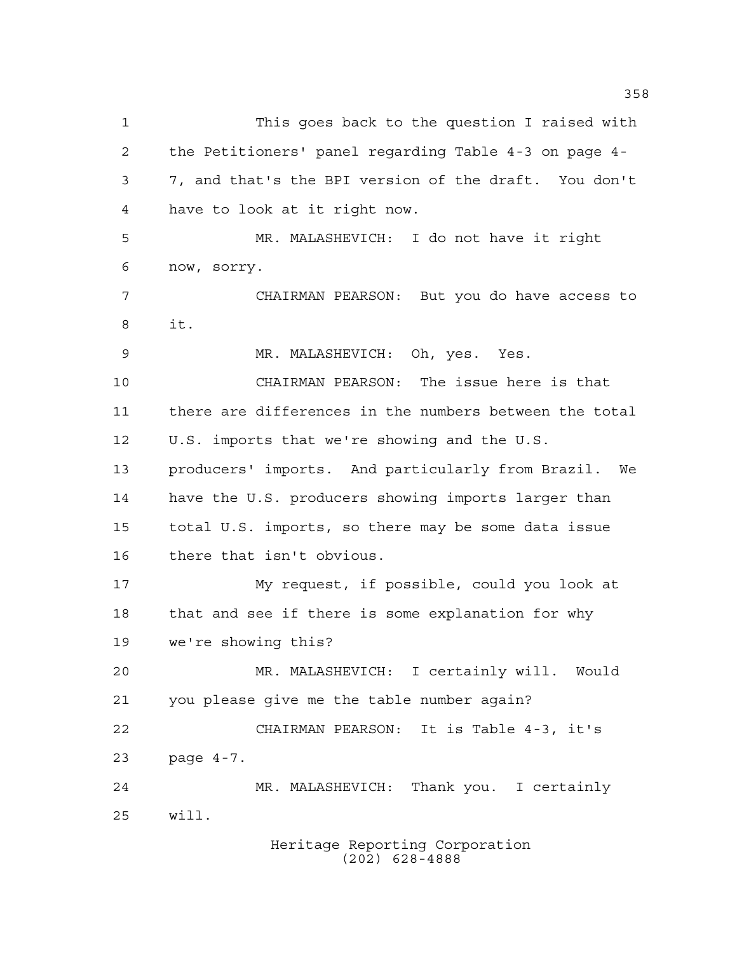This goes back to the question I raised with the Petitioners' panel regarding Table 4-3 on page 4- 7, and that's the BPI version of the draft. You don't have to look at it right now. MR. MALASHEVICH: I do not have it right now, sorry. CHAIRMAN PEARSON: But you do have access to it. MR. MALASHEVICH: Oh, yes. Yes. CHAIRMAN PEARSON: The issue here is that there are differences in the numbers between the total U.S. imports that we're showing and the U.S. producers' imports. And particularly from Brazil. We have the U.S. producers showing imports larger than total U.S. imports, so there may be some data issue there that isn't obvious. My request, if possible, could you look at that and see if there is some explanation for why we're showing this? MR. MALASHEVICH: I certainly will. Would you please give me the table number again? CHAIRMAN PEARSON: It is Table 4-3, it's page 4-7. MR. MALASHEVICH: Thank you. I certainly will.

Heritage Reporting Corporation (202) 628-4888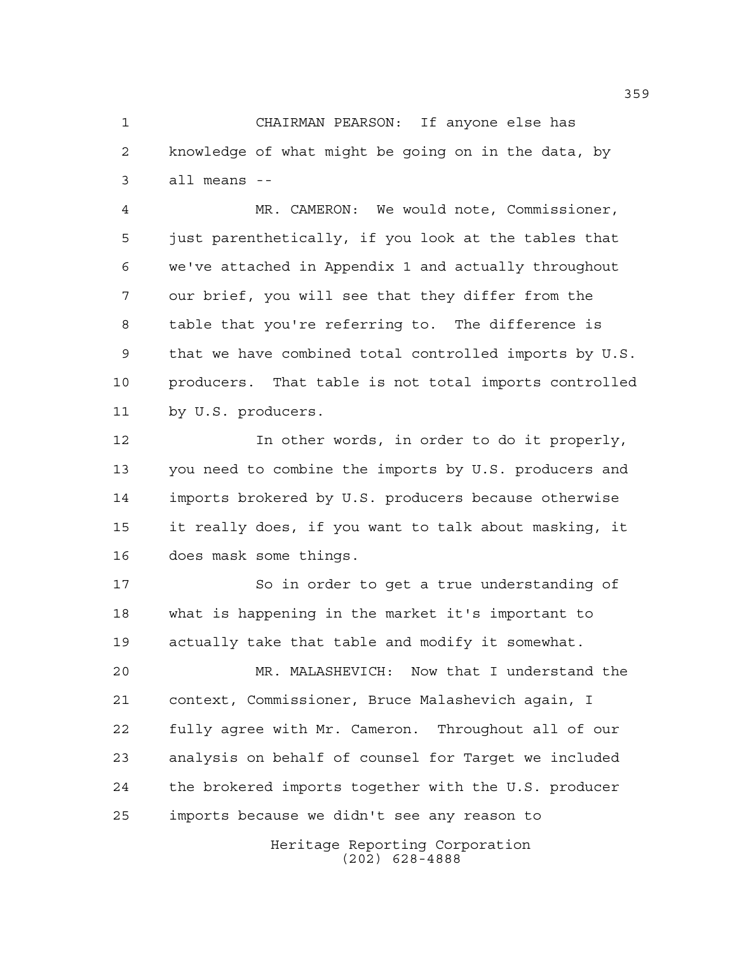CHAIRMAN PEARSON: If anyone else has knowledge of what might be going on in the data, by all means --

 MR. CAMERON: We would note, Commissioner, just parenthetically, if you look at the tables that we've attached in Appendix 1 and actually throughout our brief, you will see that they differ from the table that you're referring to. The difference is that we have combined total controlled imports by U.S. producers. That table is not total imports controlled by U.S. producers.

 In other words, in order to do it properly, you need to combine the imports by U.S. producers and imports brokered by U.S. producers because otherwise it really does, if you want to talk about masking, it does mask some things.

17 So in order to get a true understanding of what is happening in the market it's important to actually take that table and modify it somewhat.

 MR. MALASHEVICH: Now that I understand the context, Commissioner, Bruce Malashevich again, I fully agree with Mr. Cameron. Throughout all of our analysis on behalf of counsel for Target we included the brokered imports together with the U.S. producer imports because we didn't see any reason to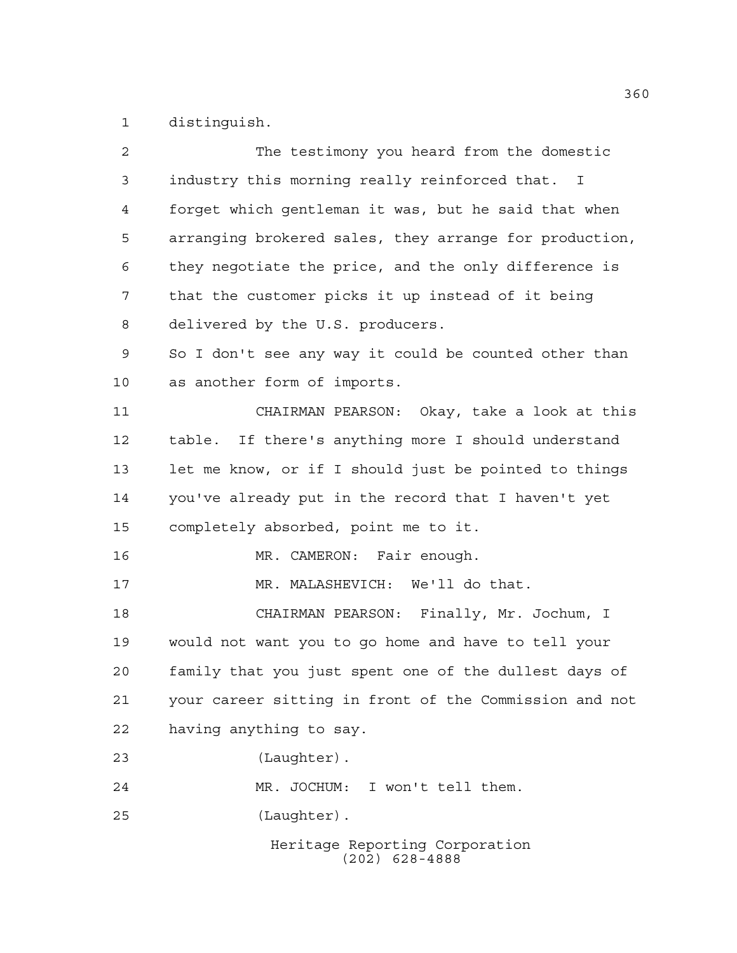distinguish.

| $\overline{a}$ | The testimony you heard from the domestic              |
|----------------|--------------------------------------------------------|
| 3              | industry this morning really reinforced that. I        |
| $\overline{4}$ | forget which gentleman it was, but he said that when   |
| 5              | arranging brokered sales, they arrange for production, |
| 6              | they negotiate the price, and the only difference is   |
| 7              | that the customer picks it up instead of it being      |
| 8              | delivered by the U.S. producers.                       |
| 9              | So I don't see any way it could be counted other than  |
| 10             | as another form of imports.                            |
| 11             | CHAIRMAN PEARSON: Okay, take a look at this            |
| 12             | table. If there's anything more I should understand    |
| 13             | let me know, or if I should just be pointed to things  |
| 14             | you've already put in the record that I haven't yet    |
| 15             | completely absorbed, point me to it.                   |
| 16             | MR. CAMERON: Fair enough.                              |
| 17             | MR. MALASHEVICH: We'll do that.                        |
| 18             | CHAIRMAN PEARSON: Finally, Mr. Jochum, I               |
| 19             | would not want you to go home and have to tell your    |
| 20             | family that you just spent one of the dullest days of  |
| 21             | your career sitting in front of the Commission and not |
| 22             | having anything to say.                                |
| 23             | (Laughter).                                            |
| 24             | MR. JOCHUM: I won't tell them.                         |
| 25             | (Laughter).                                            |
|                | Heritage Reporting Corporation<br>$(202)$ 628-4888     |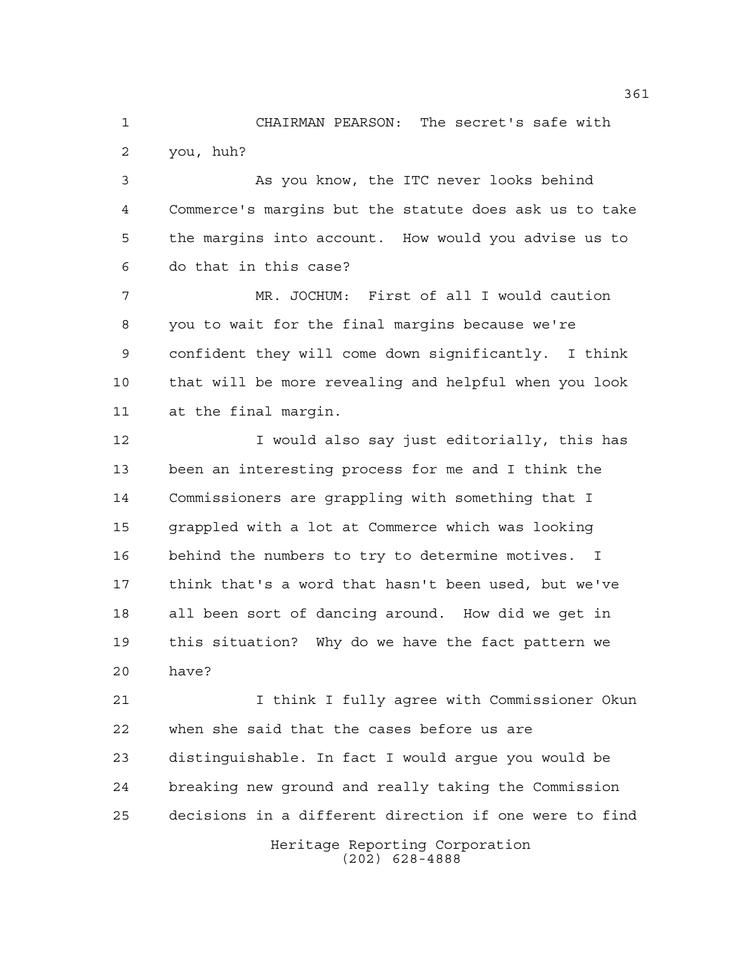CHAIRMAN PEARSON: The secret's safe with you, huh?

 As you know, the ITC never looks behind Commerce's margins but the statute does ask us to take the margins into account. How would you advise us to do that in this case?

 MR. JOCHUM: First of all I would caution you to wait for the final margins because we're confident they will come down significantly. I think that will be more revealing and helpful when you look at the final margin.

**I** would also say just editorially, this has been an interesting process for me and I think the Commissioners are grappling with something that I grappled with a lot at Commerce which was looking behind the numbers to try to determine motives. I think that's a word that hasn't been used, but we've all been sort of dancing around. How did we get in this situation? Why do we have the fact pattern we have?

 I think I fully agree with Commissioner Okun when she said that the cases before us are distinguishable. In fact I would argue you would be breaking new ground and really taking the Commission decisions in a different direction if one were to find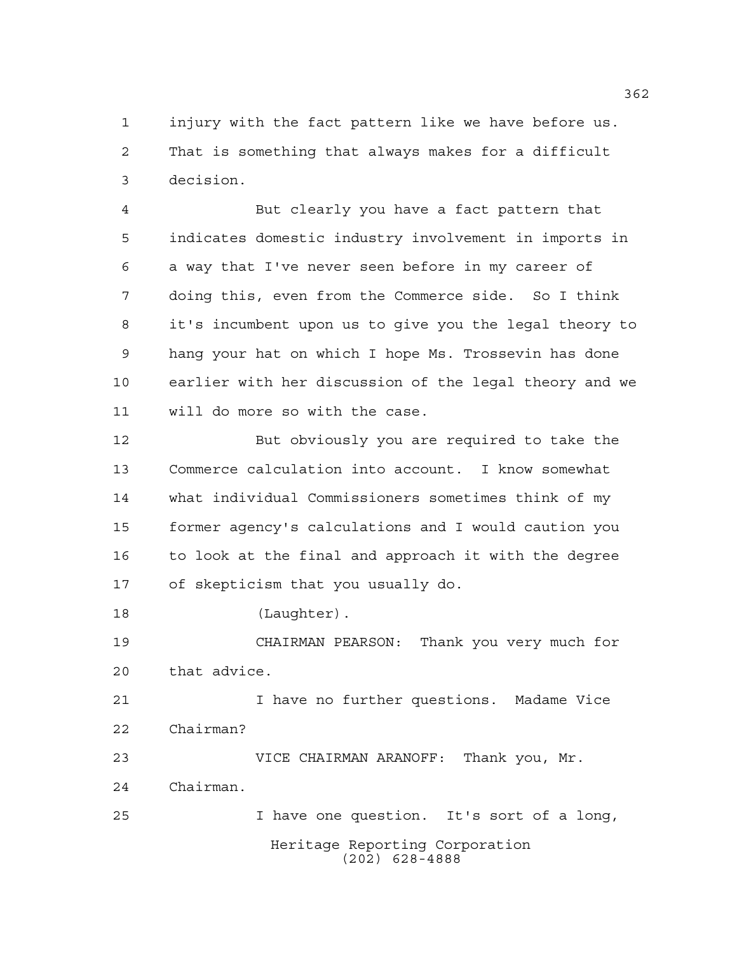injury with the fact pattern like we have before us. That is something that always makes for a difficult decision.

 But clearly you have a fact pattern that indicates domestic industry involvement in imports in a way that I've never seen before in my career of doing this, even from the Commerce side. So I think it's incumbent upon us to give you the legal theory to hang your hat on which I hope Ms. Trossevin has done earlier with her discussion of the legal theory and we will do more so with the case.

 But obviously you are required to take the Commerce calculation into account. I know somewhat what individual Commissioners sometimes think of my former agency's calculations and I would caution you to look at the final and approach it with the degree of skepticism that you usually do.

18 (Laughter).

 CHAIRMAN PEARSON: Thank you very much for that advice.

 I have no further questions. Madame Vice Chairman?

Heritage Reporting Corporation (202) 628-4888 VICE CHAIRMAN ARANOFF: Thank you, Mr. Chairman. I have one question. It's sort of a long,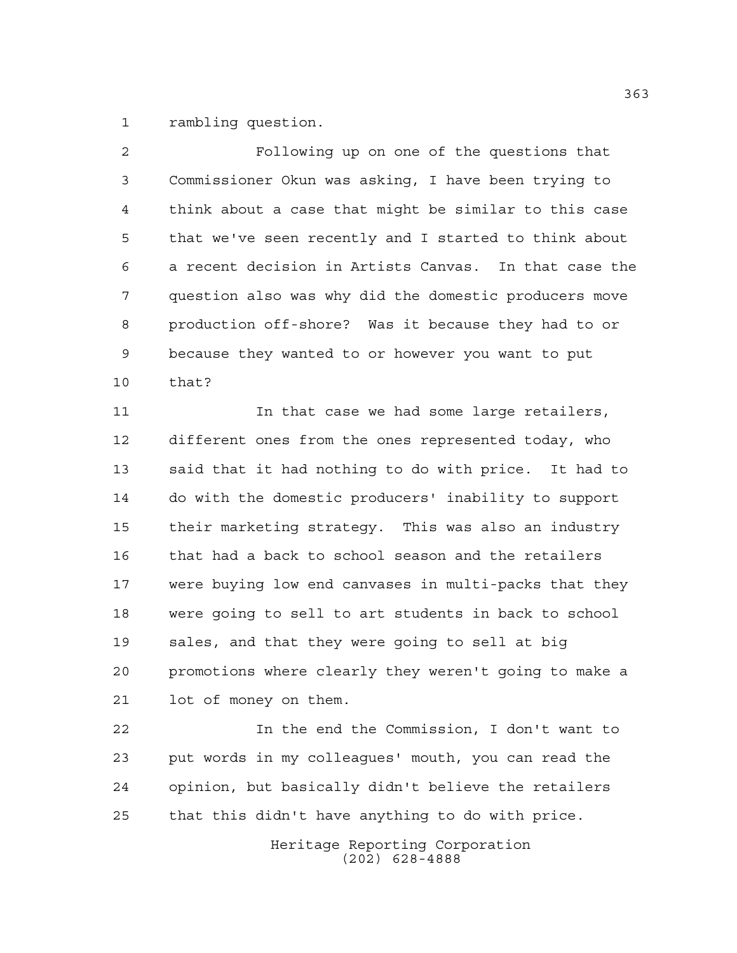rambling question.

 Following up on one of the questions that Commissioner Okun was asking, I have been trying to think about a case that might be similar to this case that we've seen recently and I started to think about a recent decision in Artists Canvas. In that case the question also was why did the domestic producers move production off-shore? Was it because they had to or because they wanted to or however you want to put that?

 In that case we had some large retailers, different ones from the ones represented today, who said that it had nothing to do with price. It had to do with the domestic producers' inability to support their marketing strategy. This was also an industry that had a back to school season and the retailers were buying low end canvases in multi-packs that they were going to sell to art students in back to school sales, and that they were going to sell at big promotions where clearly they weren't going to make a lot of money on them.

 In the end the Commission, I don't want to put words in my colleagues' mouth, you can read the opinion, but basically didn't believe the retailers that this didn't have anything to do with price.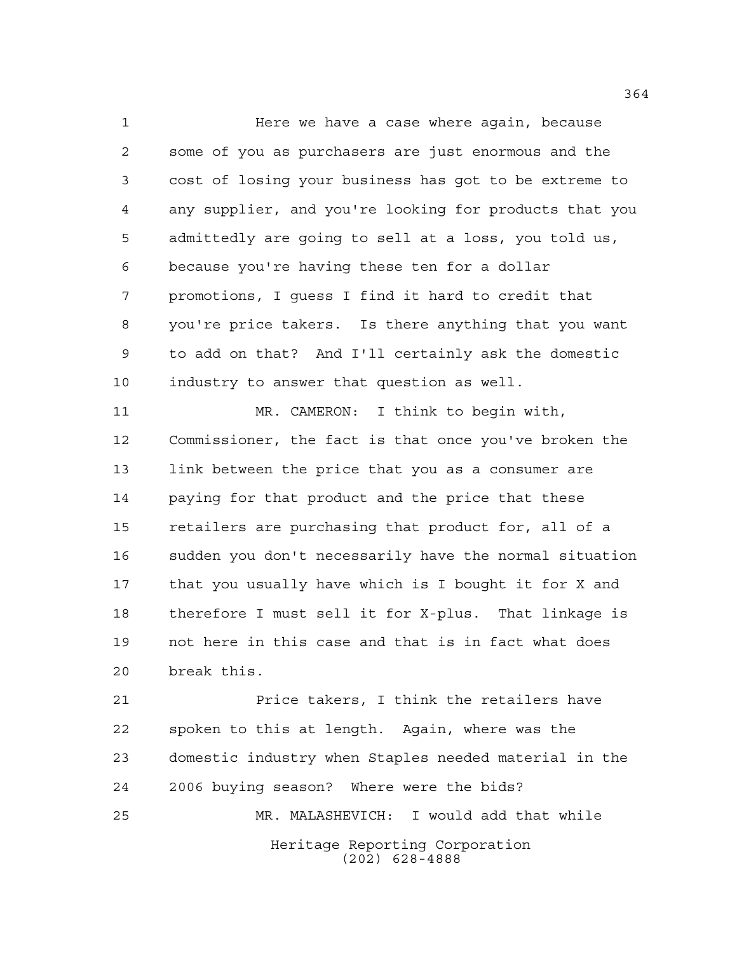Here we have a case where again, because some of you as purchasers are just enormous and the cost of losing your business has got to be extreme to any supplier, and you're looking for products that you admittedly are going to sell at a loss, you told us, because you're having these ten for a dollar promotions, I guess I find it hard to credit that you're price takers. Is there anything that you want to add on that? And I'll certainly ask the domestic industry to answer that question as well.

 MR. CAMERON: I think to begin with, Commissioner, the fact is that once you've broken the link between the price that you as a consumer are paying for that product and the price that these retailers are purchasing that product for, all of a sudden you don't necessarily have the normal situation that you usually have which is I bought it for X and therefore I must sell it for X-plus. That linkage is not here in this case and that is in fact what does break this.

Heritage Reporting Corporation (202) 628-4888 Price takers, I think the retailers have spoken to this at length. Again, where was the domestic industry when Staples needed material in the 2006 buying season? Where were the bids? MR. MALASHEVICH: I would add that while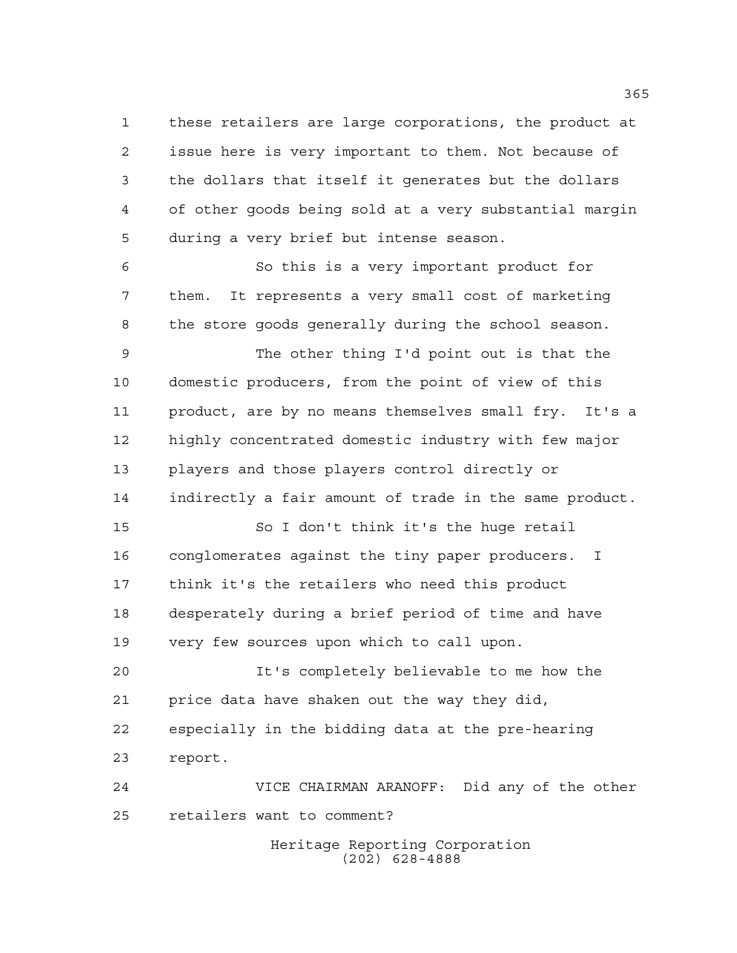these retailers are large corporations, the product at issue here is very important to them. Not because of the dollars that itself it generates but the dollars of other goods being sold at a very substantial margin during a very brief but intense season.

 So this is a very important product for them. It represents a very small cost of marketing the store goods generally during the school season.

 The other thing I'd point out is that the domestic producers, from the point of view of this product, are by no means themselves small fry. It's a highly concentrated domestic industry with few major players and those players control directly or indirectly a fair amount of trade in the same product.

 So I don't think it's the huge retail conglomerates against the tiny paper producers. I think it's the retailers who need this product desperately during a brief period of time and have very few sources upon which to call upon.

 It's completely believable to me how the price data have shaken out the way they did, especially in the bidding data at the pre-hearing report.

 VICE CHAIRMAN ARANOFF: Did any of the other retailers want to comment?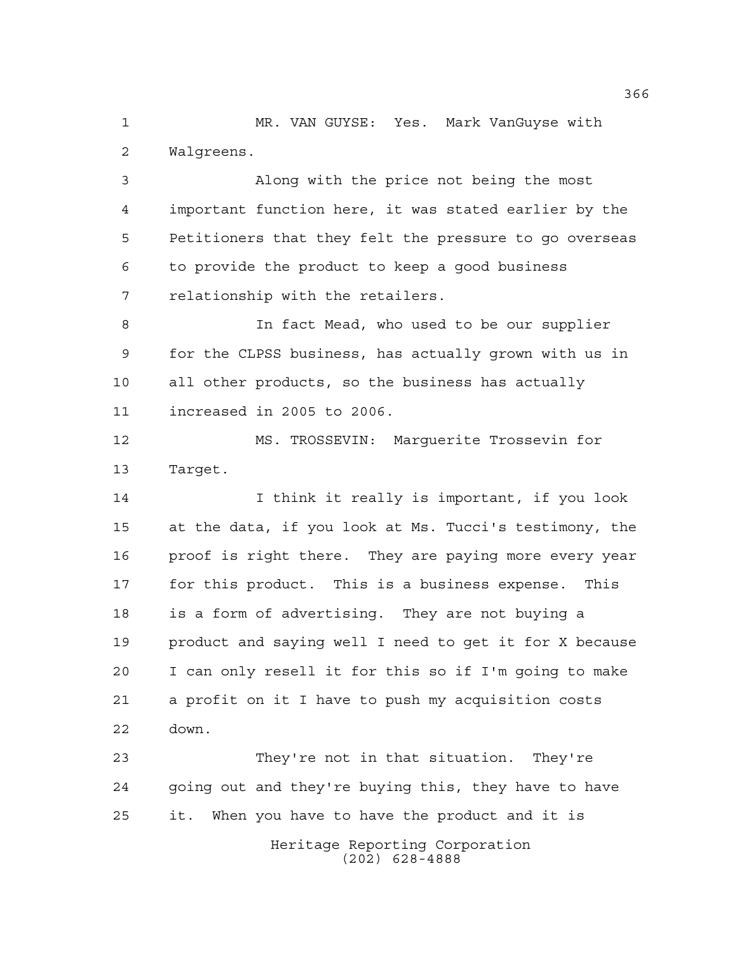MR. VAN GUYSE: Yes. Mark VanGuyse with Walgreens.

 Along with the price not being the most important function here, it was stated earlier by the Petitioners that they felt the pressure to go overseas to provide the product to keep a good business relationship with the retailers.

 In fact Mead, who used to be our supplier for the CLPSS business, has actually grown with us in all other products, so the business has actually increased in 2005 to 2006.

 MS. TROSSEVIN: Marguerite Trossevin for Target.

 I think it really is important, if you look at the data, if you look at Ms. Tucci's testimony, the proof is right there. They are paying more every year for this product. This is a business expense. This is a form of advertising. They are not buying a product and saying well I need to get it for X because I can only resell it for this so if I'm going to make a profit on it I have to push my acquisition costs down.

Heritage Reporting Corporation (202) 628-4888 They're not in that situation. They're going out and they're buying this, they have to have it. When you have to have the product and it is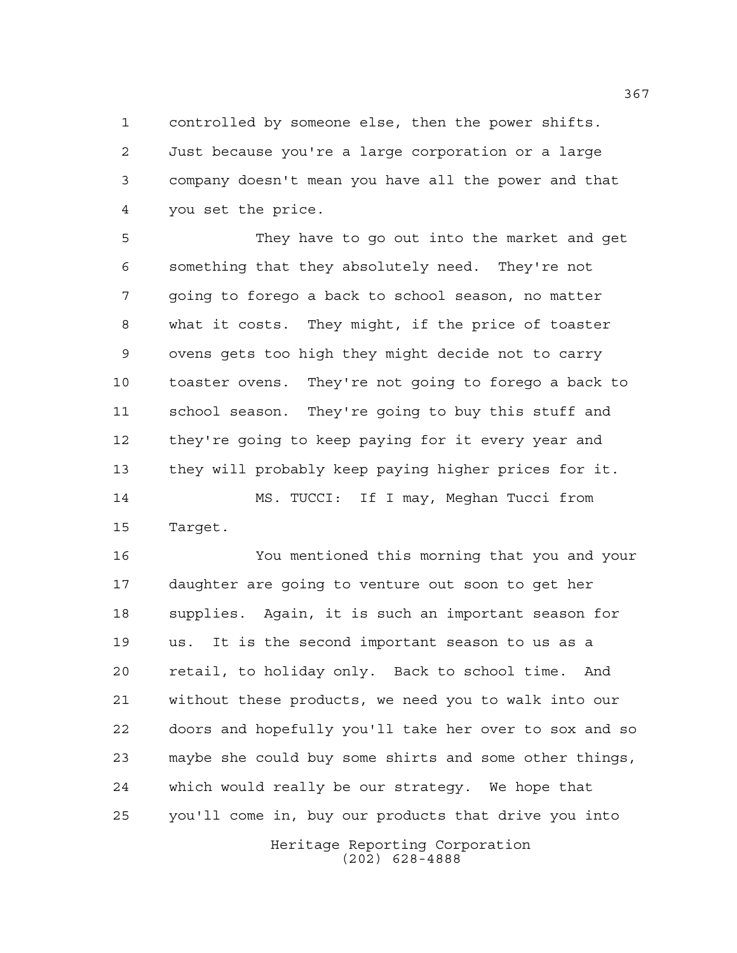controlled by someone else, then the power shifts. Just because you're a large corporation or a large company doesn't mean you have all the power and that you set the price.

 They have to go out into the market and get something that they absolutely need. They're not going to forego a back to school season, no matter what it costs. They might, if the price of toaster ovens gets too high they might decide not to carry toaster ovens. They're not going to forego a back to school season. They're going to buy this stuff and they're going to keep paying for it every year and they will probably keep paying higher prices for it. MS. TUCCI: If I may, Meghan Tucci from Target.

Heritage Reporting Corporation You mentioned this morning that you and your daughter are going to venture out soon to get her supplies. Again, it is such an important season for us. It is the second important season to us as a retail, to holiday only. Back to school time. And without these products, we need you to walk into our doors and hopefully you'll take her over to sox and so maybe she could buy some shirts and some other things, which would really be our strategy. We hope that you'll come in, buy our products that drive you into

(202) 628-4888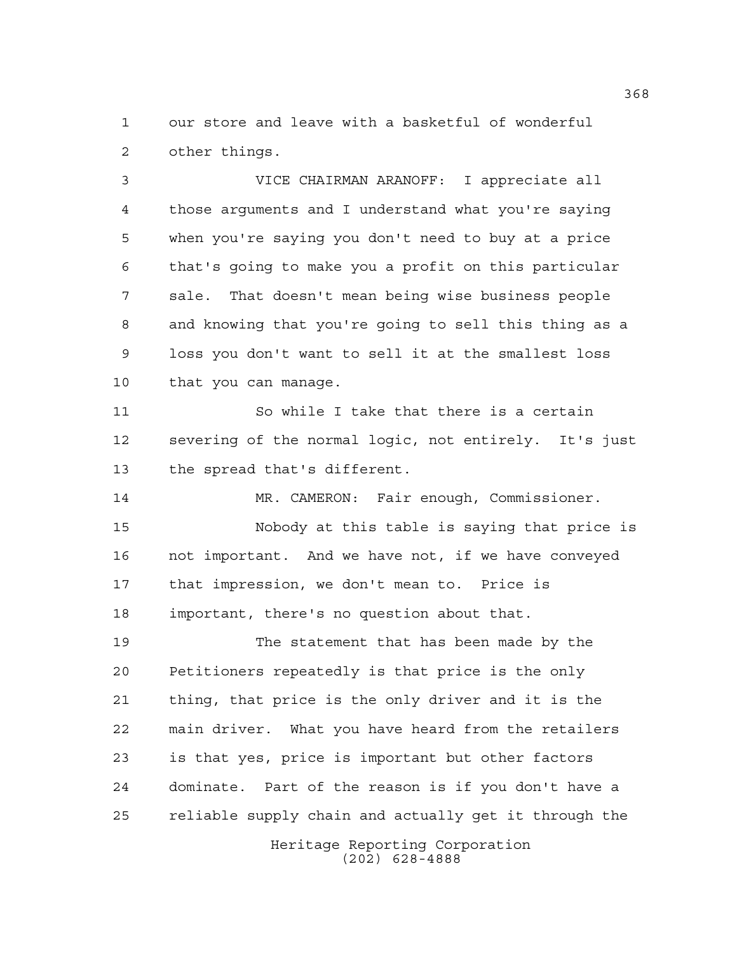our store and leave with a basketful of wonderful other things.

 VICE CHAIRMAN ARANOFF: I appreciate all those arguments and I understand what you're saying when you're saying you don't need to buy at a price that's going to make you a profit on this particular sale. That doesn't mean being wise business people and knowing that you're going to sell this thing as a loss you don't want to sell it at the smallest loss that you can manage.

 So while I take that there is a certain severing of the normal logic, not entirely. It's just the spread that's different.

 MR. CAMERON: Fair enough, Commissioner. Nobody at this table is saying that price is not important. And we have not, if we have conveyed that impression, we don't mean to. Price is important, there's no question about that.

 The statement that has been made by the Petitioners repeatedly is that price is the only thing, that price is the only driver and it is the main driver. What you have heard from the retailers is that yes, price is important but other factors dominate. Part of the reason is if you don't have a reliable supply chain and actually get it through the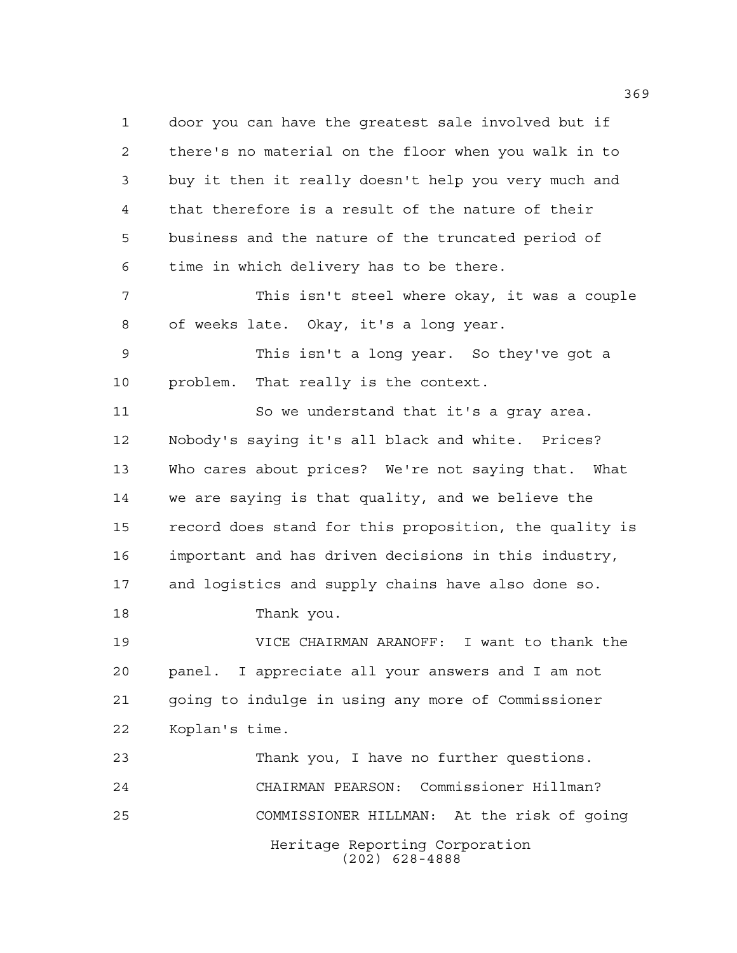Heritage Reporting Corporation (202) 628-4888 door you can have the greatest sale involved but if there's no material on the floor when you walk in to buy it then it really doesn't help you very much and that therefore is a result of the nature of their business and the nature of the truncated period of time in which delivery has to be there. This isn't steel where okay, it was a couple of weeks late. Okay, it's a long year. This isn't a long year. So they've got a problem. That really is the context. So we understand that it's a gray area. Nobody's saying it's all black and white. Prices? Who cares about prices? We're not saying that. What we are saying is that quality, and we believe the record does stand for this proposition, the quality is important and has driven decisions in this industry, and logistics and supply chains have also done so. Thank you. VICE CHAIRMAN ARANOFF: I want to thank the panel. I appreciate all your answers and I am not going to indulge in using any more of Commissioner Koplan's time. Thank you, I have no further questions. CHAIRMAN PEARSON: Commissioner Hillman? COMMISSIONER HILLMAN: At the risk of going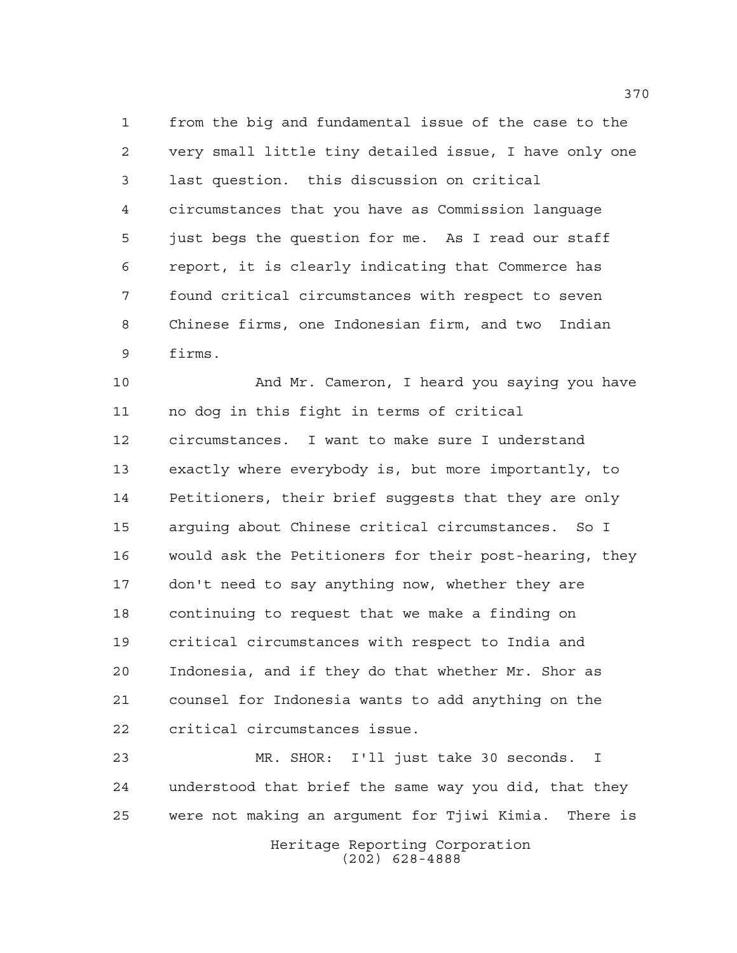from the big and fundamental issue of the case to the very small little tiny detailed issue, I have only one last question. this discussion on critical circumstances that you have as Commission language just begs the question for me. As I read our staff report, it is clearly indicating that Commerce has found critical circumstances with respect to seven Chinese firms, one Indonesian firm, and two Indian firms.

 And Mr. Cameron, I heard you saying you have no dog in this fight in terms of critical circumstances. I want to make sure I understand exactly where everybody is, but more importantly, to Petitioners, their brief suggests that they are only arguing about Chinese critical circumstances. So I would ask the Petitioners for their post-hearing, they don't need to say anything now, whether they are continuing to request that we make a finding on critical circumstances with respect to India and Indonesia, and if they do that whether Mr. Shor as counsel for Indonesia wants to add anything on the critical circumstances issue.

 MR. SHOR: I'll just take 30 seconds. I understood that brief the same way you did, that they were not making an argument for Tjiwi Kimia. There is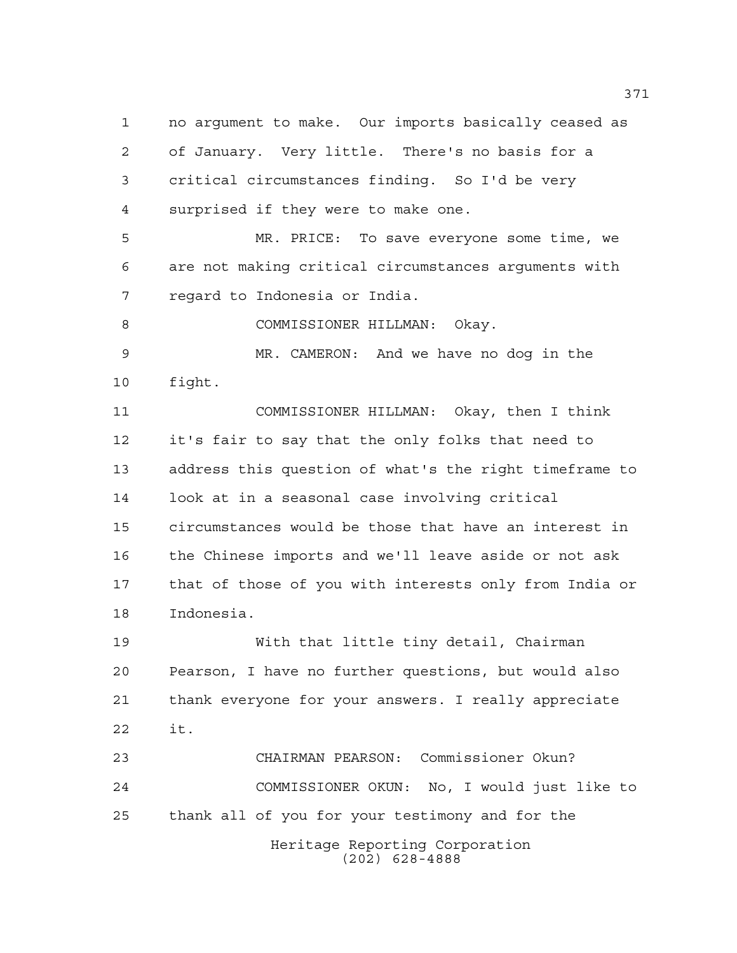Heritage Reporting Corporation (202) 628-4888 no argument to make. Our imports basically ceased as of January. Very little. There's no basis for a critical circumstances finding. So I'd be very surprised if they were to make one. MR. PRICE: To save everyone some time, we are not making critical circumstances arguments with regard to Indonesia or India. 8 COMMISSIONER HILLMAN: Okay. MR. CAMERON: And we have no dog in the fight. COMMISSIONER HILLMAN: Okay, then I think it's fair to say that the only folks that need to address this question of what's the right timeframe to look at in a seasonal case involving critical circumstances would be those that have an interest in the Chinese imports and we'll leave aside or not ask that of those of you with interests only from India or Indonesia. With that little tiny detail, Chairman Pearson, I have no further questions, but would also thank everyone for your answers. I really appreciate it. CHAIRMAN PEARSON: Commissioner Okun? COMMISSIONER OKUN: No, I would just like to thank all of you for your testimony and for the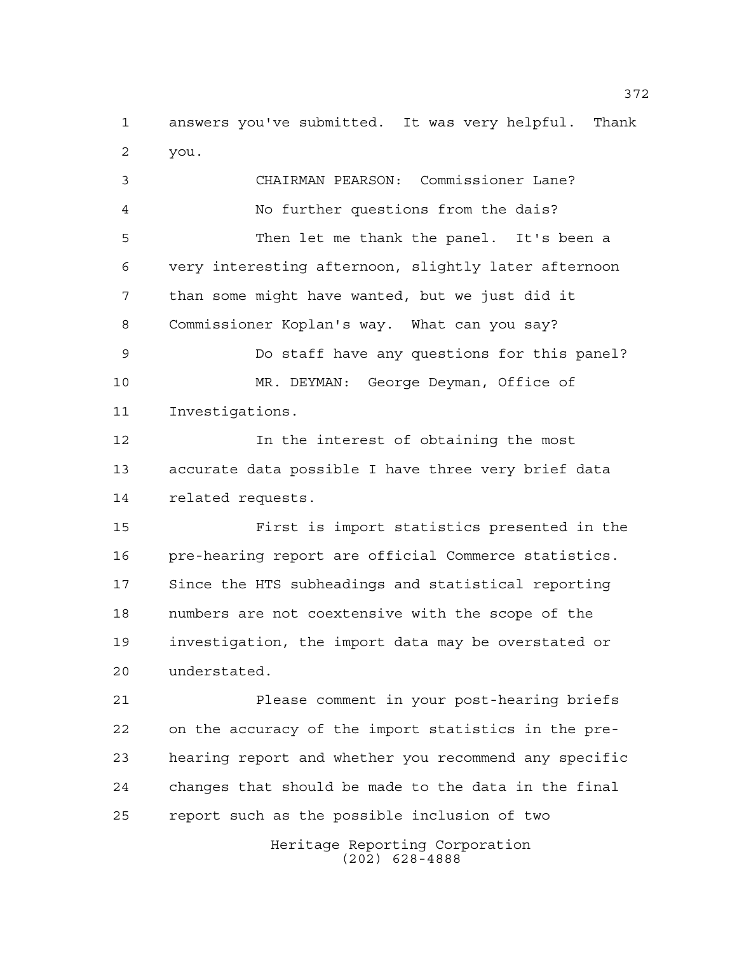answers you've submitted. It was very helpful. Thank you.

 CHAIRMAN PEARSON: Commissioner Lane? No further questions from the dais? Then let me thank the panel. It's been a very interesting afternoon, slightly later afternoon than some might have wanted, but we just did it Commissioner Koplan's way. What can you say? Do staff have any questions for this panel? MR. DEYMAN: George Deyman, Office of Investigations. In the interest of obtaining the most accurate data possible I have three very brief data related requests. First is import statistics presented in the pre-hearing report are official Commerce statistics. Since the HTS subheadings and statistical reporting numbers are not coextensive with the scope of the investigation, the import data may be overstated or understated. Please comment in your post-hearing briefs on the accuracy of the import statistics in the pre- hearing report and whether you recommend any specific changes that should be made to the data in the final report such as the possible inclusion of two

Heritage Reporting Corporation (202) 628-4888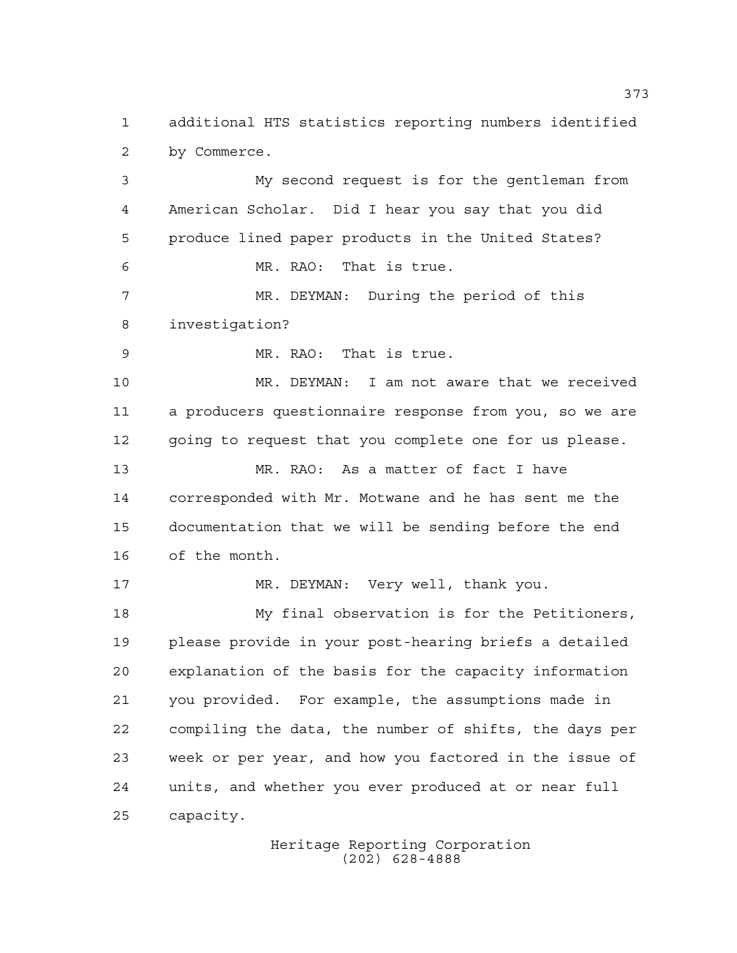additional HTS statistics reporting numbers identified by Commerce.

 My second request is for the gentleman from American Scholar. Did I hear you say that you did produce lined paper products in the United States? MR. RAO: That is true. MR. DEYMAN: During the period of this investigation? MR. RAO: That is true. MR. DEYMAN: I am not aware that we received a producers questionnaire response from you, so we are 12 going to request that you complete one for us please. MR. RAO: As a matter of fact I have corresponded with Mr. Motwane and he has sent me the documentation that we will be sending before the end of the month. MR. DEYMAN: Very well, thank you. My final observation is for the Petitioners, please provide in your post-hearing briefs a detailed explanation of the basis for the capacity information you provided. For example, the assumptions made in compiling the data, the number of shifts, the days per week or per year, and how you factored in the issue of units, and whether you ever produced at or near full

capacity.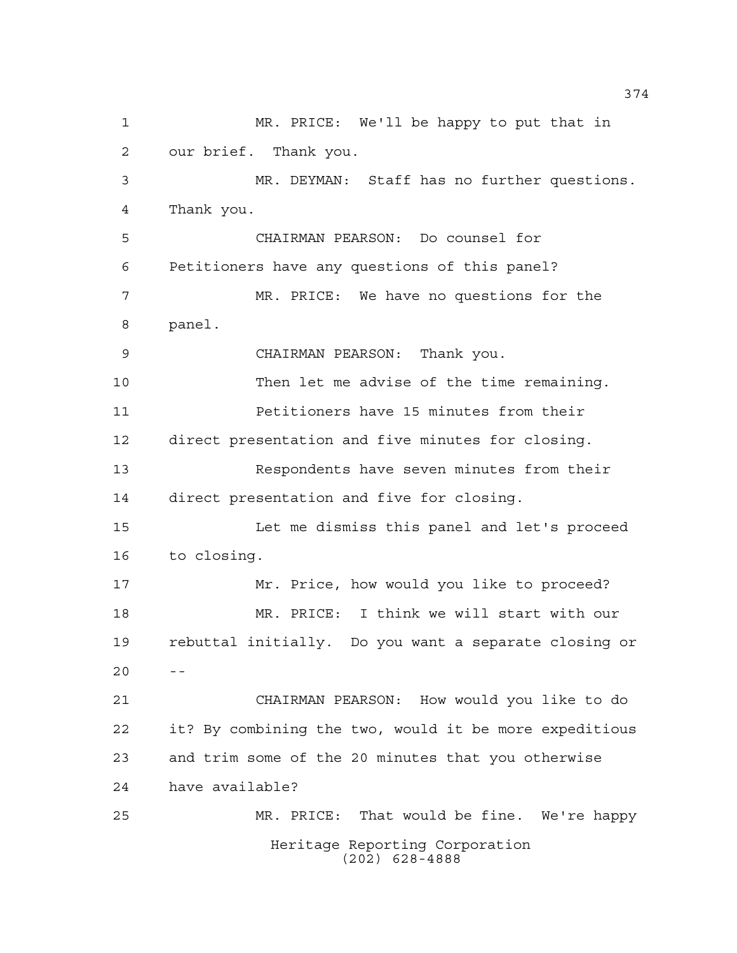Heritage Reporting Corporation (202) 628-4888 MR. PRICE: We'll be happy to put that in our brief. Thank you. MR. DEYMAN: Staff has no further questions. Thank you. CHAIRMAN PEARSON: Do counsel for Petitioners have any questions of this panel? MR. PRICE: We have no questions for the panel. CHAIRMAN PEARSON: Thank you. Then let me advise of the time remaining. Petitioners have 15 minutes from their direct presentation and five minutes for closing. Respondents have seven minutes from their direct presentation and five for closing. Let me dismiss this panel and let's proceed to closing. Mr. Price, how would you like to proceed? MR. PRICE: I think we will start with our rebuttal initially. Do you want a separate closing or CHAIRMAN PEARSON: How would you like to do it? By combining the two, would it be more expeditious and trim some of the 20 minutes that you otherwise have available? MR. PRICE: That would be fine. We're happy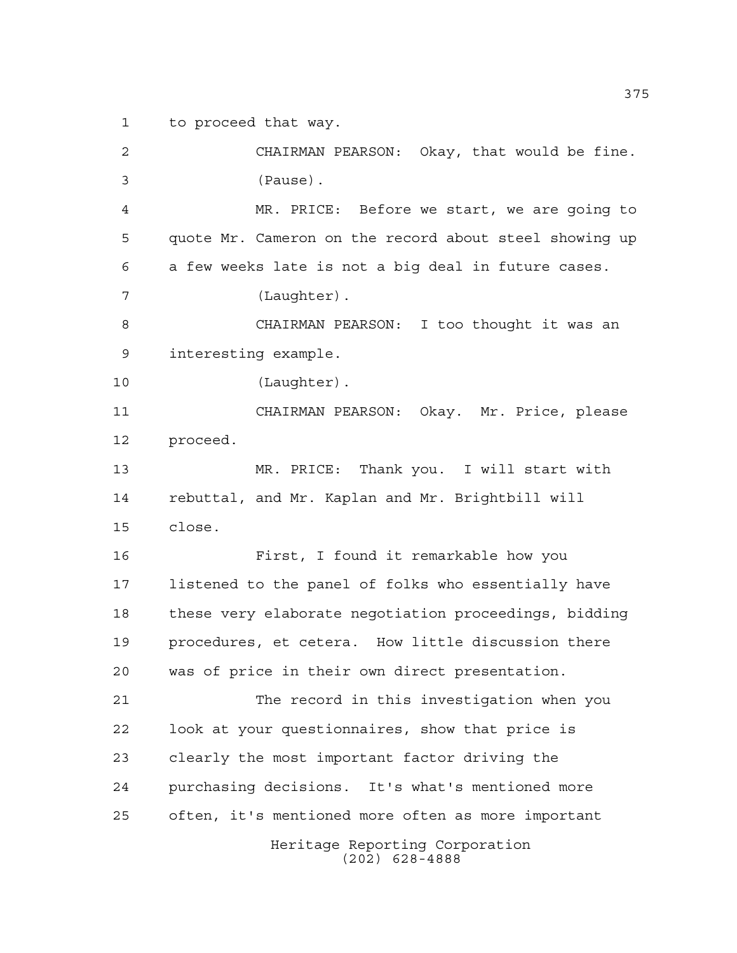to proceed that way.

Heritage Reporting Corporation (202) 628-4888 CHAIRMAN PEARSON: Okay, that would be fine. (Pause). MR. PRICE: Before we start, we are going to quote Mr. Cameron on the record about steel showing up a few weeks late is not a big deal in future cases. (Laughter). CHAIRMAN PEARSON: I too thought it was an interesting example. (Laughter). CHAIRMAN PEARSON: Okay. Mr. Price, please proceed. MR. PRICE: Thank you. I will start with rebuttal, and Mr. Kaplan and Mr. Brightbill will close. First, I found it remarkable how you listened to the panel of folks who essentially have these very elaborate negotiation proceedings, bidding procedures, et cetera. How little discussion there was of price in their own direct presentation. The record in this investigation when you look at your questionnaires, show that price is clearly the most important factor driving the purchasing decisions. It's what's mentioned more often, it's mentioned more often as more important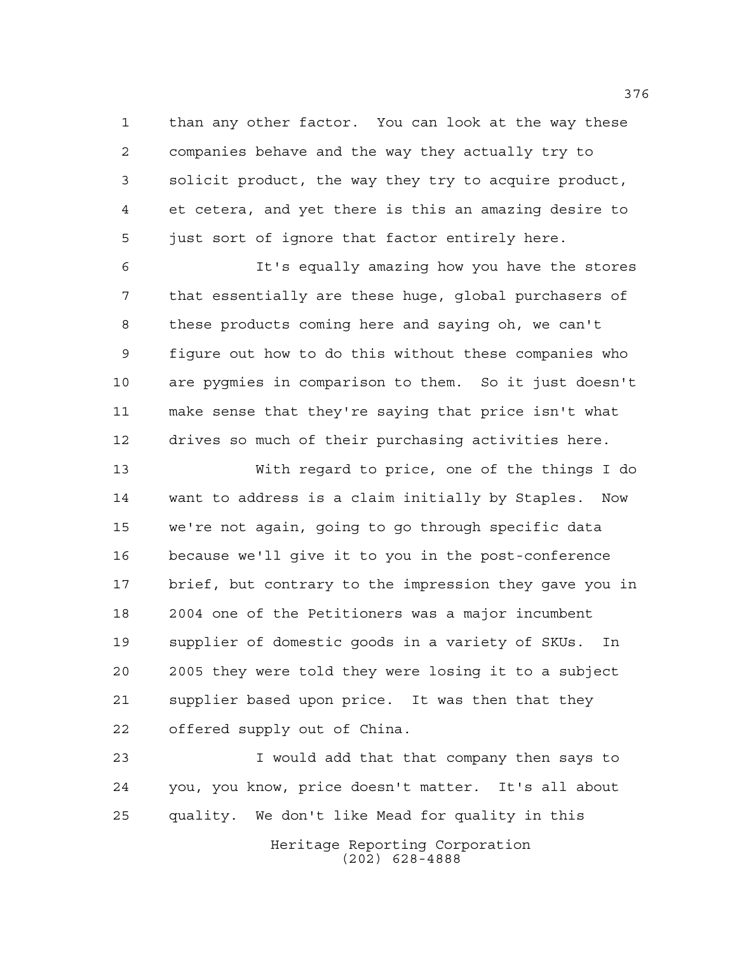than any other factor. You can look at the way these companies behave and the way they actually try to solicit product, the way they try to acquire product, et cetera, and yet there is this an amazing desire to just sort of ignore that factor entirely here.

 It's equally amazing how you have the stores that essentially are these huge, global purchasers of these products coming here and saying oh, we can't figure out how to do this without these companies who are pygmies in comparison to them. So it just doesn't make sense that they're saying that price isn't what drives so much of their purchasing activities here.

 With regard to price, one of the things I do want to address is a claim initially by Staples. Now we're not again, going to go through specific data because we'll give it to you in the post-conference brief, but contrary to the impression they gave you in 2004 one of the Petitioners was a major incumbent supplier of domestic goods in a variety of SKUs. In 2005 they were told they were losing it to a subject supplier based upon price. It was then that they offered supply out of China.

 I would add that that company then says to you, you know, price doesn't matter. It's all about quality. We don't like Mead for quality in this

> Heritage Reporting Corporation (202) 628-4888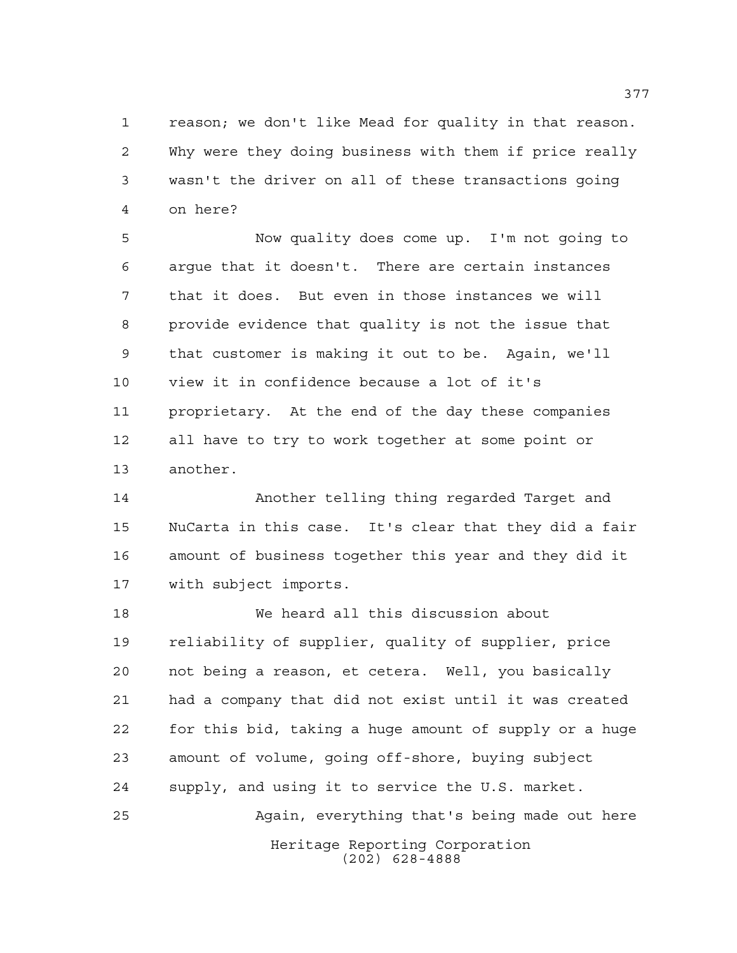reason; we don't like Mead for quality in that reason. Why were they doing business with them if price really wasn't the driver on all of these transactions going on here?

 Now quality does come up. I'm not going to argue that it doesn't. There are certain instances that it does. But even in those instances we will provide evidence that quality is not the issue that that customer is making it out to be. Again, we'll view it in confidence because a lot of it's proprietary. At the end of the day these companies all have to try to work together at some point or another.

 Another telling thing regarded Target and NuCarta in this case. It's clear that they did a fair amount of business together this year and they did it with subject imports.

Heritage Reporting Corporation We heard all this discussion about reliability of supplier, quality of supplier, price not being a reason, et cetera. Well, you basically had a company that did not exist until it was created for this bid, taking a huge amount of supply or a huge amount of volume, going off-shore, buying subject supply, and using it to service the U.S. market. Again, everything that's being made out here

(202) 628-4888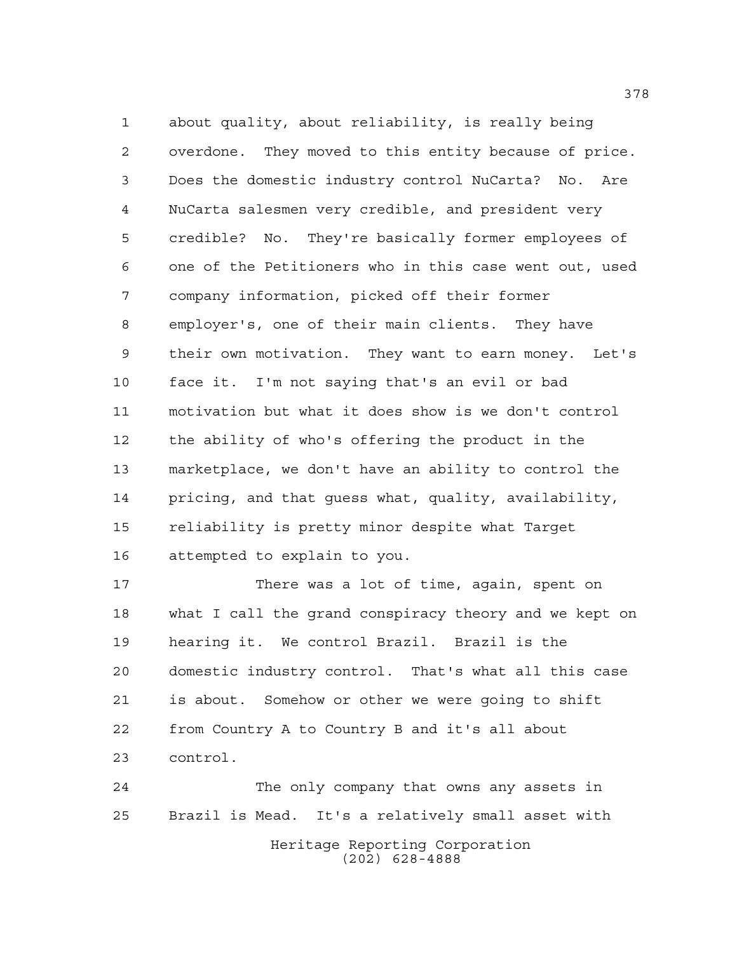about quality, about reliability, is really being overdone. They moved to this entity because of price. Does the domestic industry control NuCarta? No. Are NuCarta salesmen very credible, and president very credible? No. They're basically former employees of one of the Petitioners who in this case went out, used company information, picked off their former employer's, one of their main clients. They have their own motivation. They want to earn money. Let's face it. I'm not saying that's an evil or bad motivation but what it does show is we don't control the ability of who's offering the product in the marketplace, we don't have an ability to control the pricing, and that guess what, quality, availability, reliability is pretty minor despite what Target attempted to explain to you.

 There was a lot of time, again, spent on what I call the grand conspiracy theory and we kept on hearing it. We control Brazil. Brazil is the domestic industry control. That's what all this case is about. Somehow or other we were going to shift from Country A to Country B and it's all about control.

Heritage Reporting Corporation (202) 628-4888 The only company that owns any assets in Brazil is Mead. It's a relatively small asset with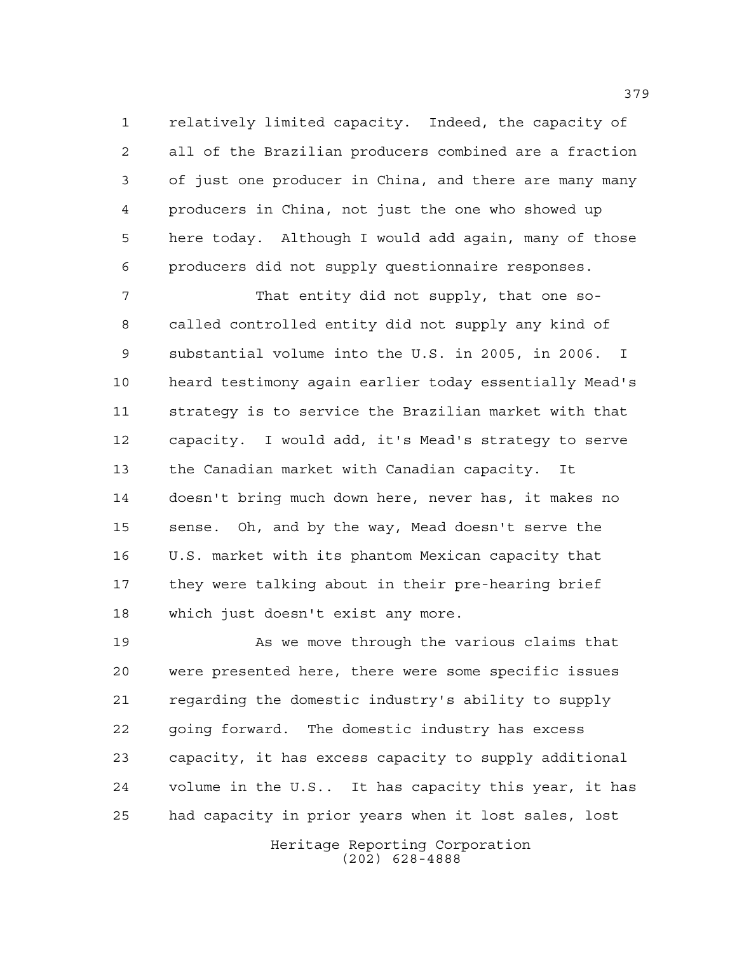relatively limited capacity. Indeed, the capacity of all of the Brazilian producers combined are a fraction of just one producer in China, and there are many many producers in China, not just the one who showed up here today. Although I would add again, many of those producers did not supply questionnaire responses.

 That entity did not supply, that one so- called controlled entity did not supply any kind of substantial volume into the U.S. in 2005, in 2006. I heard testimony again earlier today essentially Mead's strategy is to service the Brazilian market with that capacity. I would add, it's Mead's strategy to serve the Canadian market with Canadian capacity. It doesn't bring much down here, never has, it makes no sense. Oh, and by the way, Mead doesn't serve the U.S. market with its phantom Mexican capacity that they were talking about in their pre-hearing brief which just doesn't exist any more.

19 As we move through the various claims that were presented here, there were some specific issues regarding the domestic industry's ability to supply going forward. The domestic industry has excess capacity, it has excess capacity to supply additional volume in the U.S.. It has capacity this year, it has had capacity in prior years when it lost sales, lost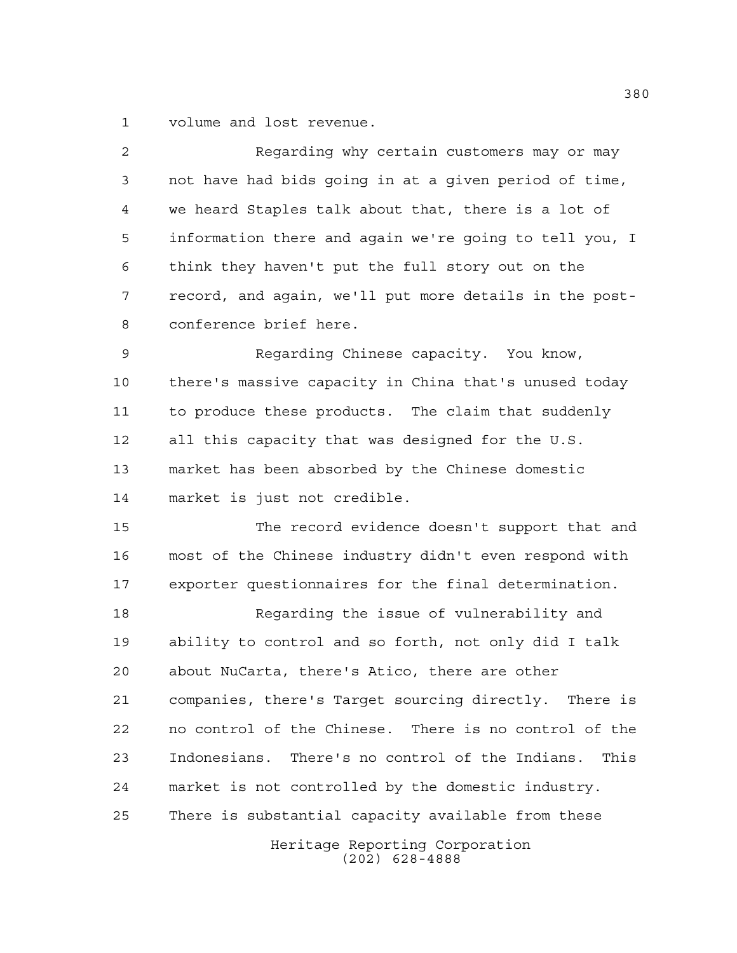volume and lost revenue.

| $\overline{a}$ | Regarding why certain customers may or may              |
|----------------|---------------------------------------------------------|
| 3              | not have had bids going in at a given period of time,   |
| 4              | we heard Staples talk about that, there is a lot of     |
| 5              | information there and again we're going to tell you, I  |
| 6              | think they haven't put the full story out on the        |
| 7              | record, and again, we'll put more details in the post-  |
| 8              | conference brief here.                                  |
| $\mathsf 9$    | Regarding Chinese capacity. You know,                   |
| 10             | there's massive capacity in China that's unused today   |
| 11             | to produce these products. The claim that suddenly      |
| 12             | all this capacity that was designed for the U.S.        |
| 13             | market has been absorbed by the Chinese domestic        |
| 14             | market is just not credible.                            |
| 15             | The record evidence doesn't support that and            |
| 16             | most of the Chinese industry didn't even respond with   |
| 17             | exporter questionnaires for the final determination.    |
| 18             | Regarding the issue of vulnerability and                |
| 19             | ability to control and so forth, not only did I talk    |
| 20             | about NuCarta, there's Atico, there are other           |
| 21             | companies, there's Target sourcing directly. There is   |
| 22             | no control of the Chinese. There is no control of the   |
| 23             | Indonesians. There's no control of the Indians.<br>This |
| 24             | market is not controlled by the domestic industry.      |
| 25             | There is substantial capacity available from these      |
|                | Heritage Reporting Corporation<br>$(202)$ 628-4888      |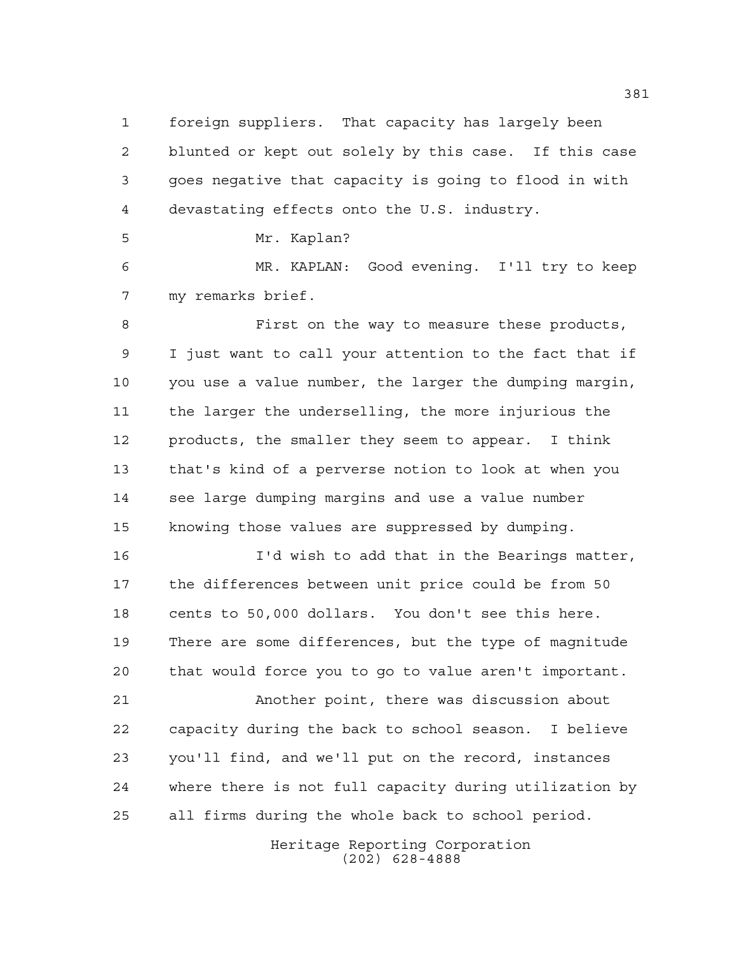foreign suppliers. That capacity has largely been blunted or kept out solely by this case. If this case goes negative that capacity is going to flood in with devastating effects onto the U.S. industry.

Mr. Kaplan?

 MR. KAPLAN: Good evening. I'll try to keep my remarks brief.

 First on the way to measure these products, I just want to call your attention to the fact that if you use a value number, the larger the dumping margin, the larger the underselling, the more injurious the products, the smaller they seem to appear. I think that's kind of a perverse notion to look at when you see large dumping margins and use a value number knowing those values are suppressed by dumping.

 I'd wish to add that in the Bearings matter, the differences between unit price could be from 50 cents to 50,000 dollars. You don't see this here. There are some differences, but the type of magnitude that would force you to go to value aren't important.

 Another point, there was discussion about capacity during the back to school season. I believe you'll find, and we'll put on the record, instances where there is not full capacity during utilization by all firms during the whole back to school period.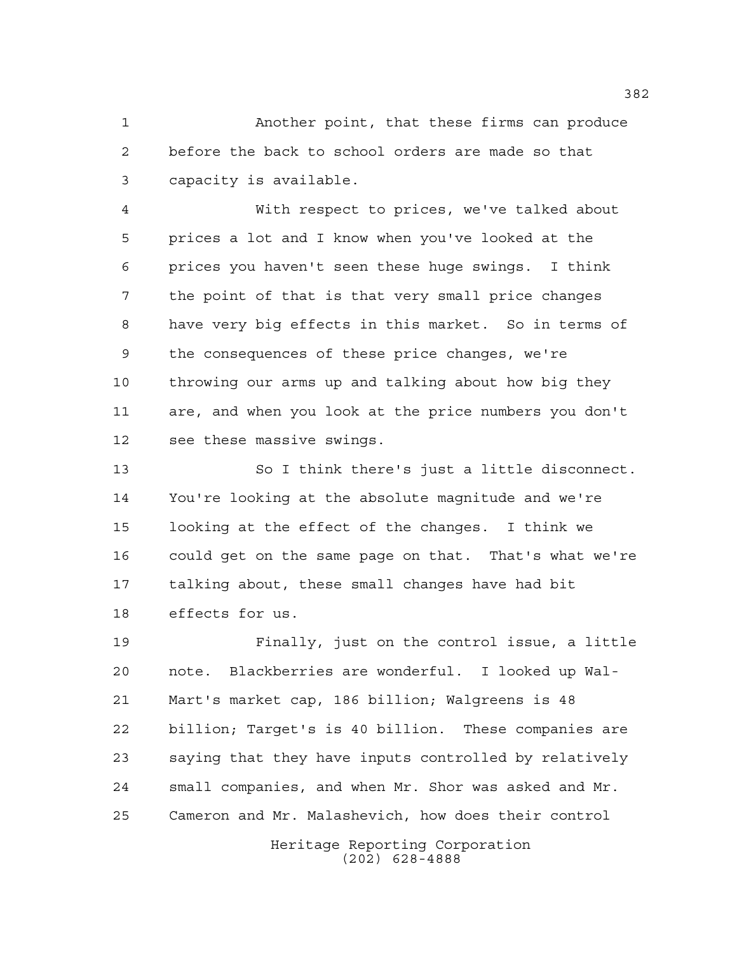Another point, that these firms can produce before the back to school orders are made so that capacity is available.

 With respect to prices, we've talked about prices a lot and I know when you've looked at the prices you haven't seen these huge swings. I think the point of that is that very small price changes have very big effects in this market. So in terms of the consequences of these price changes, we're throwing our arms up and talking about how big they are, and when you look at the price numbers you don't see these massive swings.

 So I think there's just a little disconnect. You're looking at the absolute magnitude and we're looking at the effect of the changes. I think we could get on the same page on that. That's what we're talking about, these small changes have had bit effects for us.

 Finally, just on the control issue, a little note. Blackberries are wonderful. I looked up Wal- Mart's market cap, 186 billion; Walgreens is 48 billion; Target's is 40 billion. These companies are saying that they have inputs controlled by relatively small companies, and when Mr. Shor was asked and Mr. Cameron and Mr. Malashevich, how does their control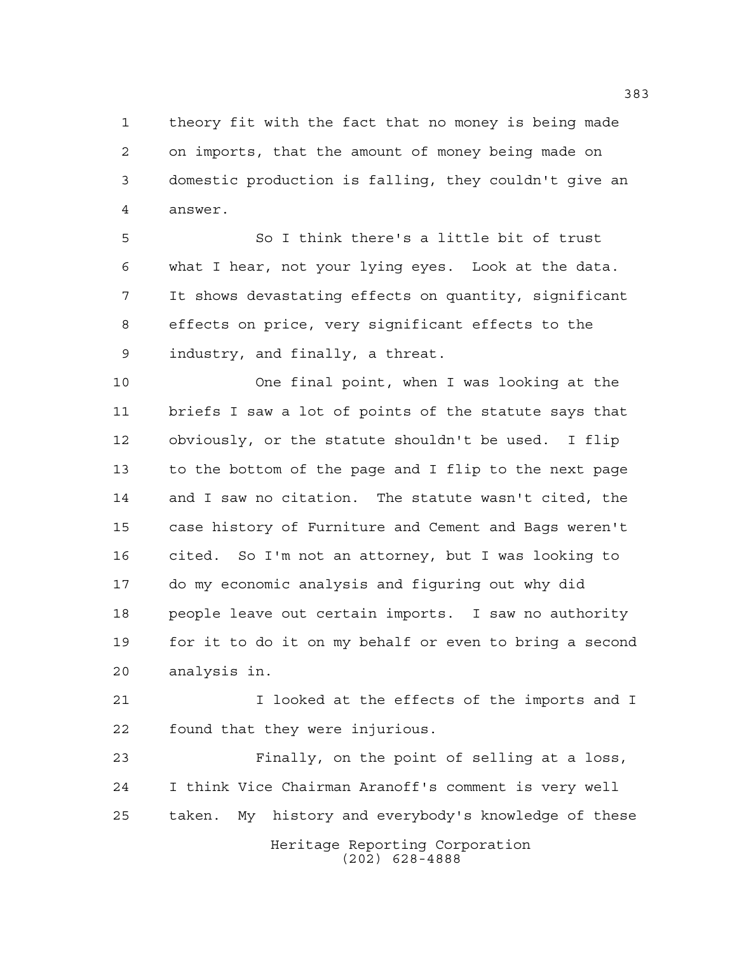theory fit with the fact that no money is being made on imports, that the amount of money being made on domestic production is falling, they couldn't give an answer.

 So I think there's a little bit of trust what I hear, not your lying eyes. Look at the data. It shows devastating effects on quantity, significant effects on price, very significant effects to the industry, and finally, a threat.

 One final point, when I was looking at the briefs I saw a lot of points of the statute says that obviously, or the statute shouldn't be used. I flip to the bottom of the page and I flip to the next page and I saw no citation. The statute wasn't cited, the case history of Furniture and Cement and Bags weren't cited. So I'm not an attorney, but I was looking to do my economic analysis and figuring out why did people leave out certain imports. I saw no authority for it to do it on my behalf or even to bring a second analysis in.

 I looked at the effects of the imports and I found that they were injurious.

Heritage Reporting Corporation (202) 628-4888 Finally, on the point of selling at a loss, I think Vice Chairman Aranoff's comment is very well taken. My history and everybody's knowledge of these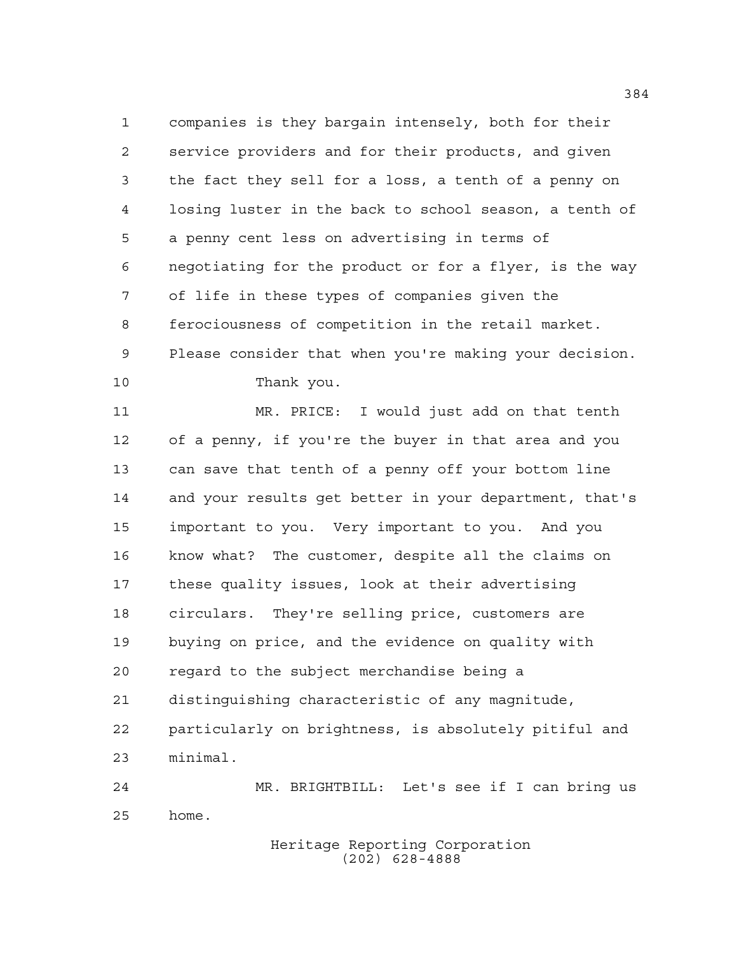companies is they bargain intensely, both for their service providers and for their products, and given the fact they sell for a loss, a tenth of a penny on losing luster in the back to school season, a tenth of a penny cent less on advertising in terms of negotiating for the product or for a flyer, is the way of life in these types of companies given the ferociousness of competition in the retail market. Please consider that when you're making your decision. Thank you.

 MR. PRICE: I would just add on that tenth of a penny, if you're the buyer in that area and you can save that tenth of a penny off your bottom line and your results get better in your department, that's important to you. Very important to you. And you know what? The customer, despite all the claims on these quality issues, look at their advertising circulars. They're selling price, customers are buying on price, and the evidence on quality with regard to the subject merchandise being a distinguishing characteristic of any magnitude, particularly on brightness, is absolutely pitiful and minimal. MR. BRIGHTBILL: Let's see if I can bring us

home.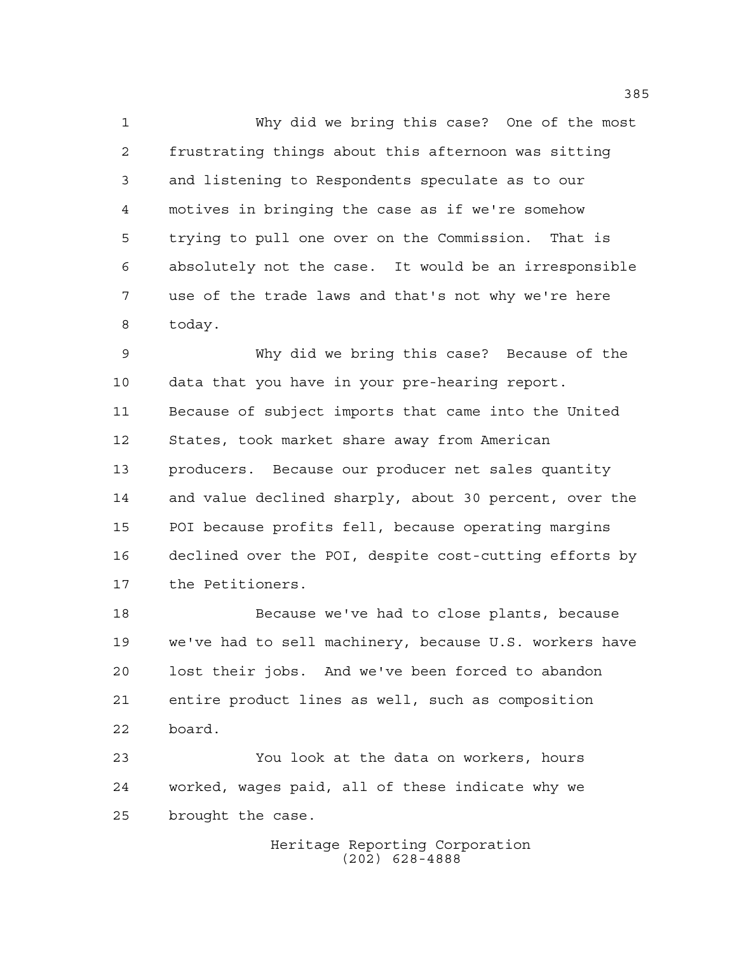Why did we bring this case? One of the most frustrating things about this afternoon was sitting and listening to Respondents speculate as to our motives in bringing the case as if we're somehow trying to pull one over on the Commission. That is absolutely not the case. It would be an irresponsible use of the trade laws and that's not why we're here today.

 Why did we bring this case? Because of the data that you have in your pre-hearing report. Because of subject imports that came into the United States, took market share away from American producers. Because our producer net sales quantity and value declined sharply, about 30 percent, over the POI because profits fell, because operating margins declined over the POI, despite cost-cutting efforts by the Petitioners.

 Because we've had to close plants, because we've had to sell machinery, because U.S. workers have lost their jobs. And we've been forced to abandon entire product lines as well, such as composition board.

 You look at the data on workers, hours worked, wages paid, all of these indicate why we brought the case.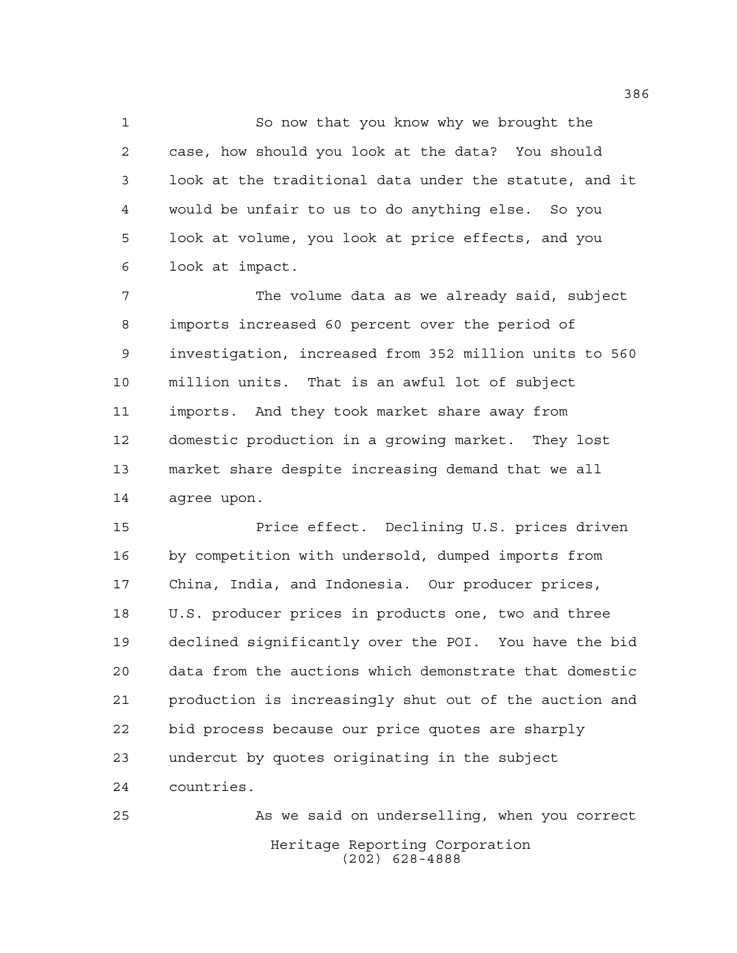So now that you know why we brought the case, how should you look at the data? You should look at the traditional data under the statute, and it would be unfair to us to do anything else. So you look at volume, you look at price effects, and you look at impact.

 The volume data as we already said, subject imports increased 60 percent over the period of investigation, increased from 352 million units to 560 million units. That is an awful lot of subject imports. And they took market share away from domestic production in a growing market. They lost market share despite increasing demand that we all agree upon.

 Price effect. Declining U.S. prices driven by competition with undersold, dumped imports from China, India, and Indonesia. Our producer prices, U.S. producer prices in products one, two and three declined significantly over the POI. You have the bid data from the auctions which demonstrate that domestic production is increasingly shut out of the auction and bid process because our price quotes are sharply undercut by quotes originating in the subject countries.

Heritage Reporting Corporation (202) 628-4888 As we said on underselling, when you correct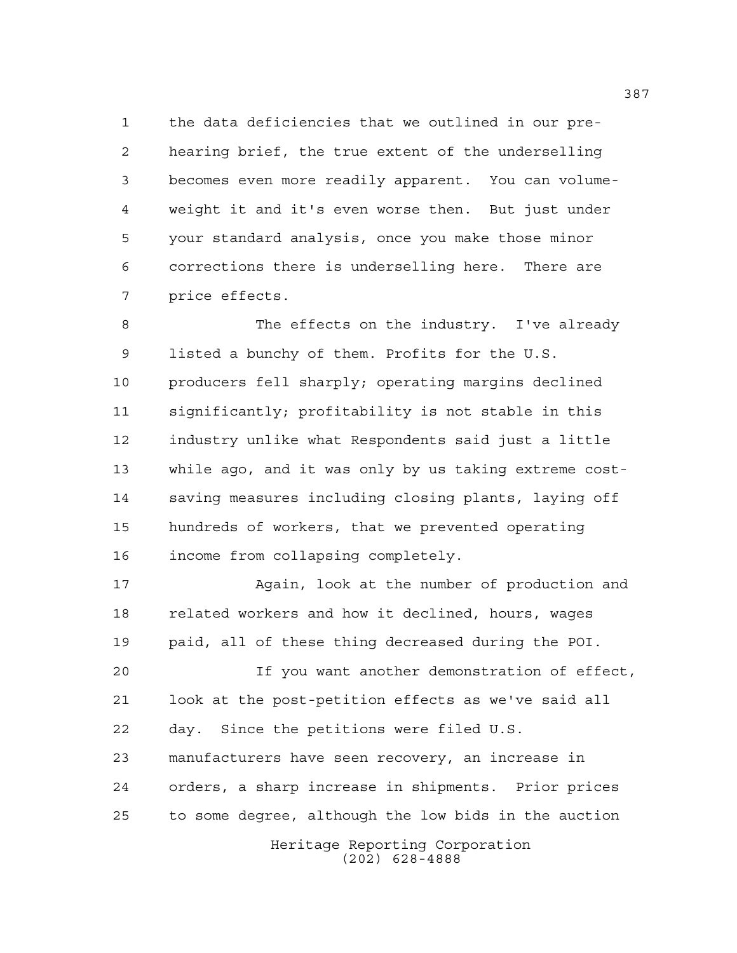the data deficiencies that we outlined in our pre- hearing brief, the true extent of the underselling becomes even more readily apparent. You can volume- weight it and it's even worse then. But just under your standard analysis, once you make those minor corrections there is underselling here. There are price effects.

 The effects on the industry. I've already listed a bunchy of them. Profits for the U.S. producers fell sharply; operating margins declined significantly; profitability is not stable in this industry unlike what Respondents said just a little while ago, and it was only by us taking extreme cost- saving measures including closing plants, laying off hundreds of workers, that we prevented operating income from collapsing completely.

 Again, look at the number of production and related workers and how it declined, hours, wages paid, all of these thing decreased during the POI.

 If you want another demonstration of effect, look at the post-petition effects as we've said all day. Since the petitions were filed U.S. manufacturers have seen recovery, an increase in orders, a sharp increase in shipments. Prior prices

to some degree, although the low bids in the auction

Heritage Reporting Corporation (202) 628-4888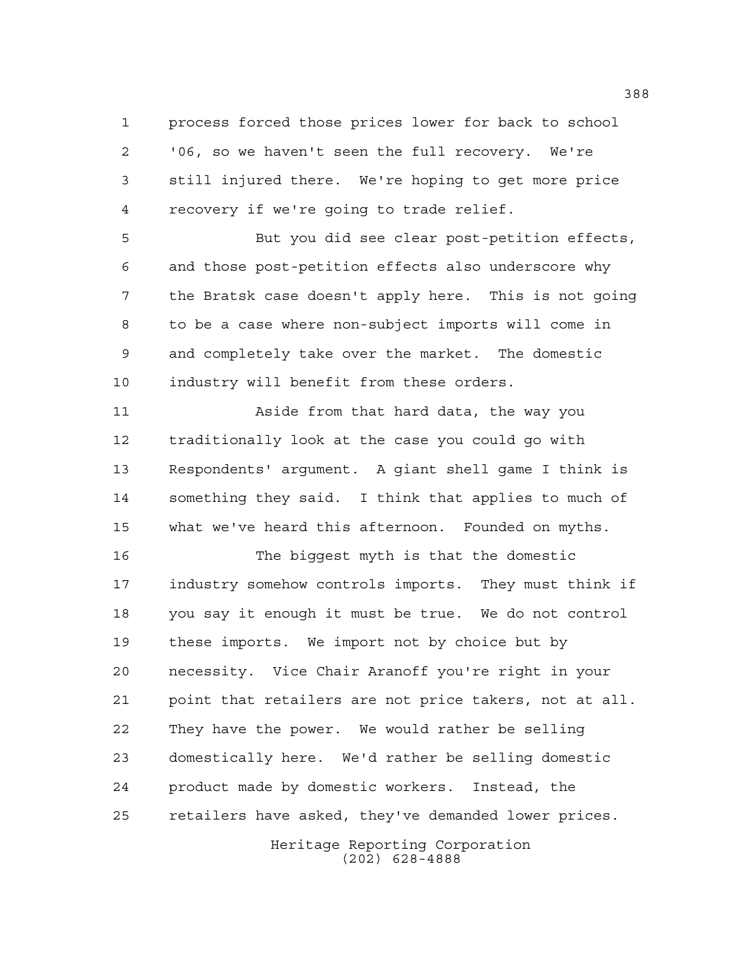process forced those prices lower for back to school '06, so we haven't seen the full recovery. We're still injured there. We're hoping to get more price recovery if we're going to trade relief.

 But you did see clear post-petition effects, and those post-petition effects also underscore why the Bratsk case doesn't apply here. This is not going to be a case where non-subject imports will come in and completely take over the market. The domestic industry will benefit from these orders.

 Aside from that hard data, the way you traditionally look at the case you could go with Respondents' argument. A giant shell game I think is something they said. I think that applies to much of what we've heard this afternoon. Founded on myths.

 The biggest myth is that the domestic industry somehow controls imports. They must think if you say it enough it must be true. We do not control these imports. We import not by choice but by necessity. Vice Chair Aranoff you're right in your point that retailers are not price takers, not at all. They have the power. We would rather be selling domestically here. We'd rather be selling domestic product made by domestic workers. Instead, the retailers have asked, they've demanded lower prices.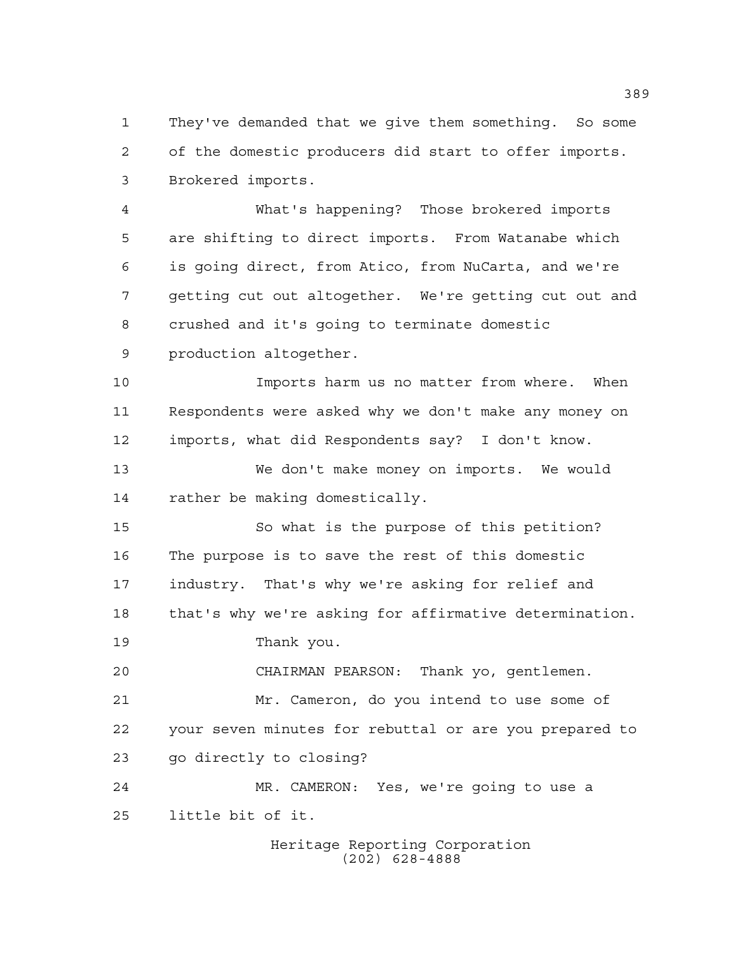They've demanded that we give them something. So some of the domestic producers did start to offer imports. Brokered imports.

 What's happening? Those brokered imports are shifting to direct imports. From Watanabe which is going direct, from Atico, from NuCarta, and we're getting cut out altogether. We're getting cut out and crushed and it's going to terminate domestic production altogether.

 Imports harm us no matter from where. When Respondents were asked why we don't make any money on imports, what did Respondents say? I don't know.

 We don't make money on imports. We would rather be making domestically.

 So what is the purpose of this petition? The purpose is to save the rest of this domestic industry. That's why we're asking for relief and that's why we're asking for affirmative determination.

Thank you.

 CHAIRMAN PEARSON: Thank yo, gentlemen. Mr. Cameron, do you intend to use some of your seven minutes for rebuttal or are you prepared to go directly to closing?

 MR. CAMERON: Yes, we're going to use a little bit of it.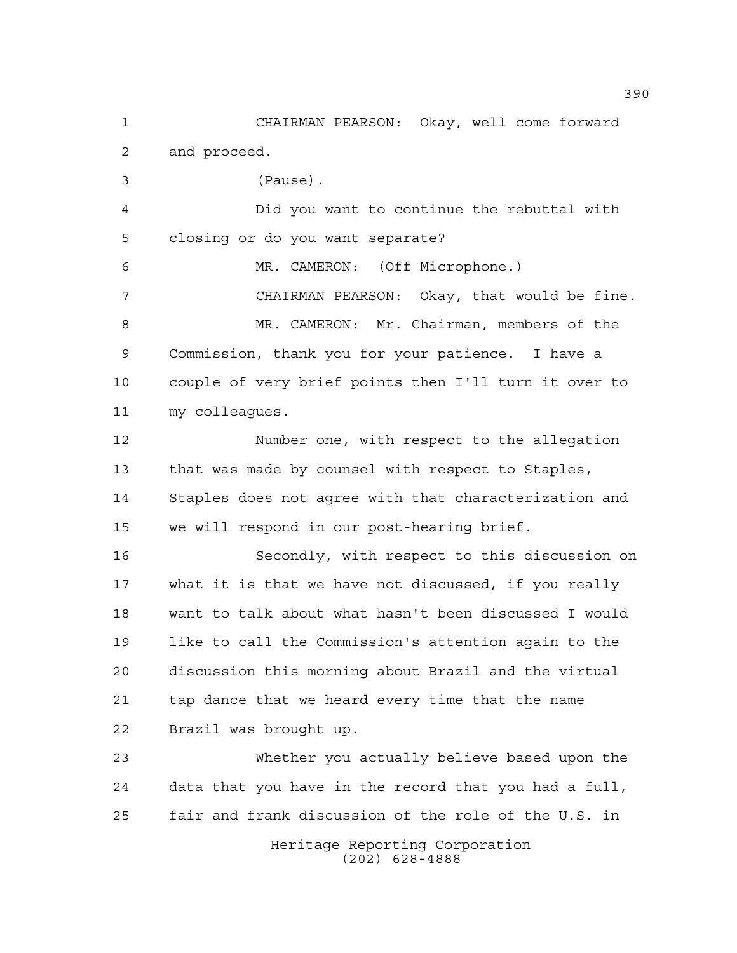CHAIRMAN PEARSON: Okay, well come forward and proceed.

(Pause).

 Did you want to continue the rebuttal with closing or do you want separate?

 MR. CAMERON: (Off Microphone.) CHAIRMAN PEARSON: Okay, that would be fine. MR. CAMERON: Mr. Chairman, members of the Commission, thank you for your patience. I have a couple of very brief points then I'll turn it over to my colleagues.

 Number one, with respect to the allegation that was made by counsel with respect to Staples, Staples does not agree with that characterization and we will respond in our post-hearing brief.

 Secondly, with respect to this discussion on what it is that we have not discussed, if you really want to talk about what hasn't been discussed I would like to call the Commission's attention again to the discussion this morning about Brazil and the virtual tap dance that we heard every time that the name Brazil was brought up.

 Whether you actually believe based upon the data that you have in the record that you had a full, fair and frank discussion of the role of the U.S. in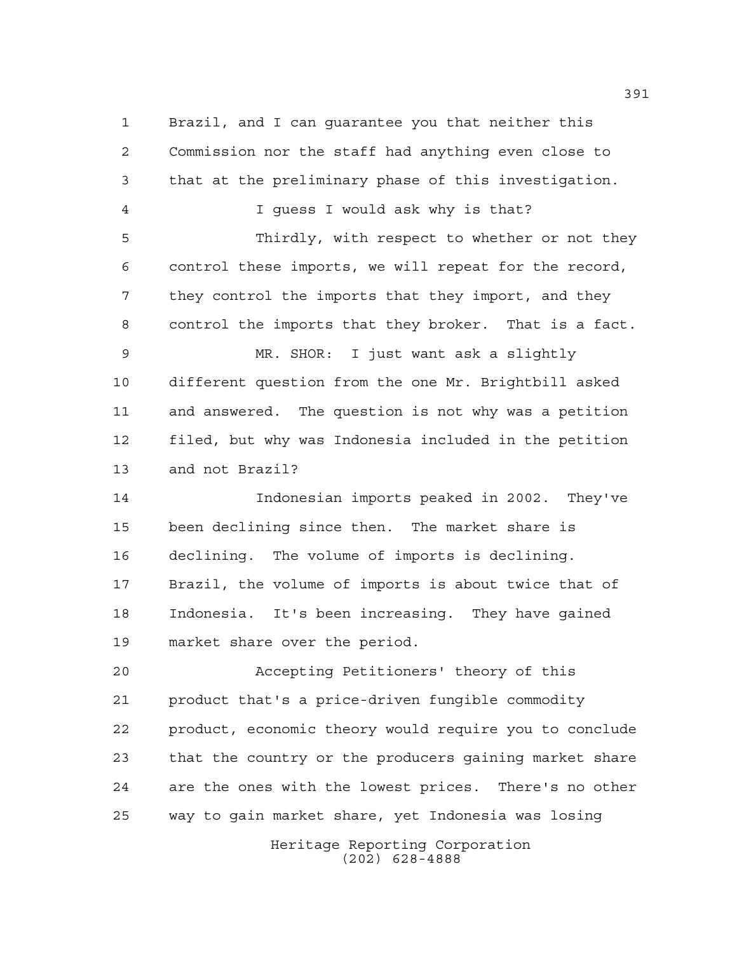Brazil, and I can guarantee you that neither this Commission nor the staff had anything even close to that at the preliminary phase of this investigation. I guess I would ask why is that? Thirdly, with respect to whether or not they control these imports, we will repeat for the record, they control the imports that they import, and they control the imports that they broker. That is a fact. MR. SHOR: I just want ask a slightly different question from the one Mr. Brightbill asked and answered. The question is not why was a petition filed, but why was Indonesia included in the petition and not Brazil? Indonesian imports peaked in 2002. They've been declining since then. The market share is declining. The volume of imports is declining. Brazil, the volume of imports is about twice that of Indonesia. It's been increasing. They have gained market share over the period. Accepting Petitioners' theory of this product that's a price-driven fungible commodity product, economic theory would require you to conclude that the country or the producers gaining market share are the ones with the lowest prices. There's no other way to gain market share, yet Indonesia was losing

Heritage Reporting Corporation (202) 628-4888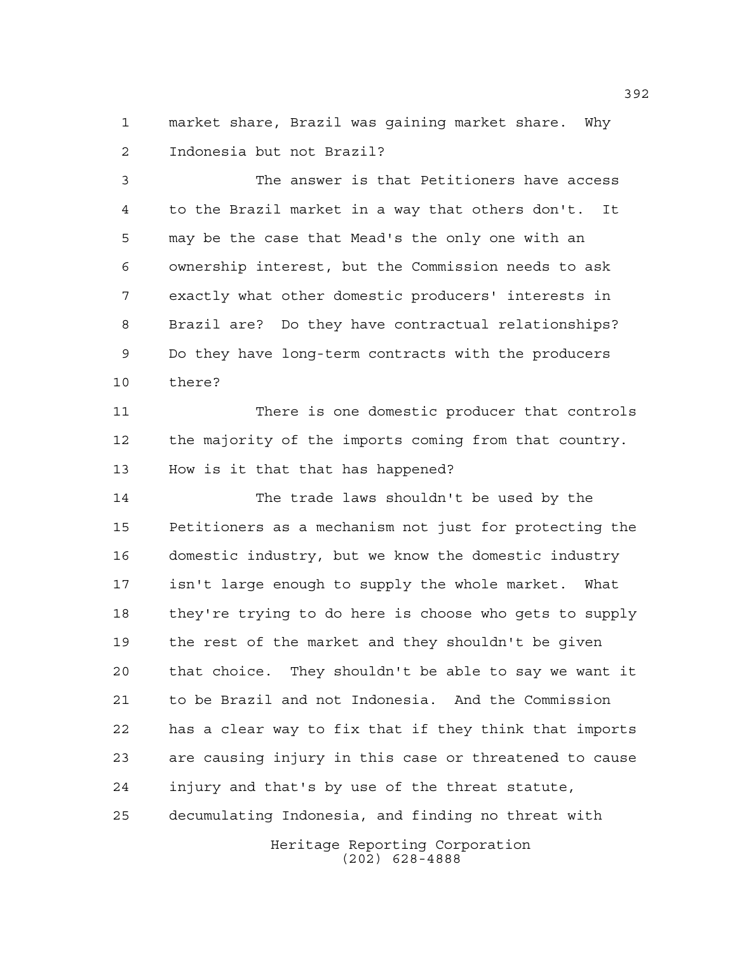market share, Brazil was gaining market share. Why Indonesia but not Brazil?

 The answer is that Petitioners have access to the Brazil market in a way that others don't. It may be the case that Mead's the only one with an ownership interest, but the Commission needs to ask exactly what other domestic producers' interests in Brazil are? Do they have contractual relationships? Do they have long-term contracts with the producers there?

 There is one domestic producer that controls the majority of the imports coming from that country. How is it that that has happened?

 The trade laws shouldn't be used by the Petitioners as a mechanism not just for protecting the domestic industry, but we know the domestic industry isn't large enough to supply the whole market. What they're trying to do here is choose who gets to supply the rest of the market and they shouldn't be given that choice. They shouldn't be able to say we want it to be Brazil and not Indonesia. And the Commission has a clear way to fix that if they think that imports are causing injury in this case or threatened to cause injury and that's by use of the threat statute, decumulating Indonesia, and finding no threat with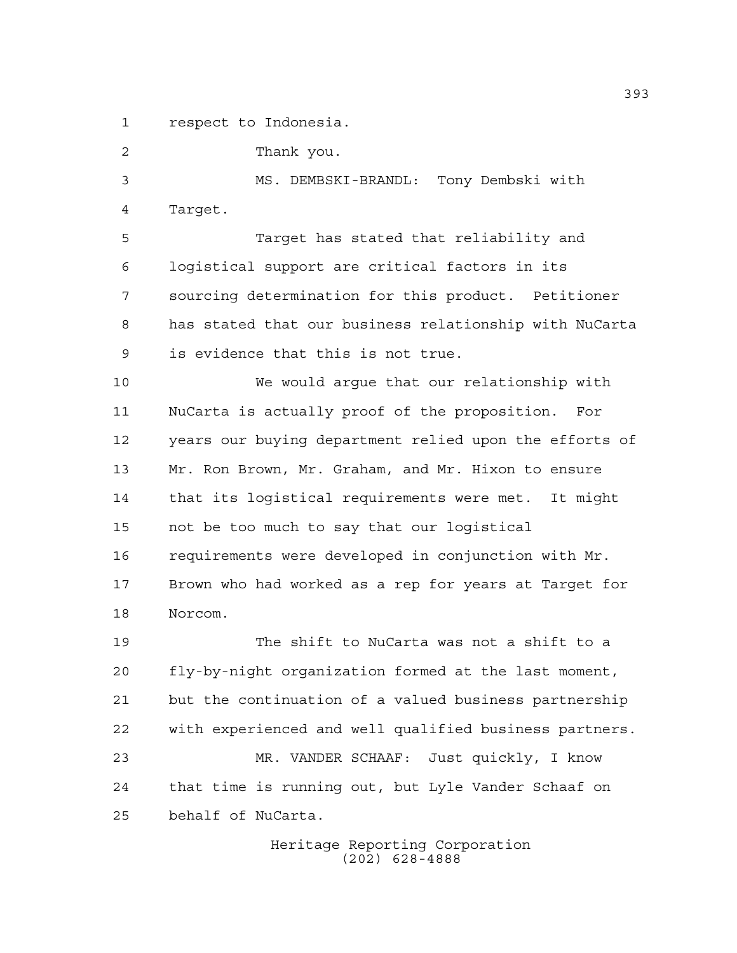respect to Indonesia.

Thank you.

 MS. DEMBSKI-BRANDL: Tony Dembski with Target.

 Target has stated that reliability and logistical support are critical factors in its sourcing determination for this product. Petitioner has stated that our business relationship with NuCarta is evidence that this is not true.

 We would argue that our relationship with NuCarta is actually proof of the proposition. For years our buying department relied upon the efforts of Mr. Ron Brown, Mr. Graham, and Mr. Hixon to ensure that its logistical requirements were met. It might not be too much to say that our logistical requirements were developed in conjunction with Mr. Brown who had worked as a rep for years at Target for Norcom.

 The shift to NuCarta was not a shift to a fly-by-night organization formed at the last moment, but the continuation of a valued business partnership with experienced and well qualified business partners. MR. VANDER SCHAAF: Just quickly, I know that time is running out, but Lyle Vander Schaaf on

behalf of NuCarta.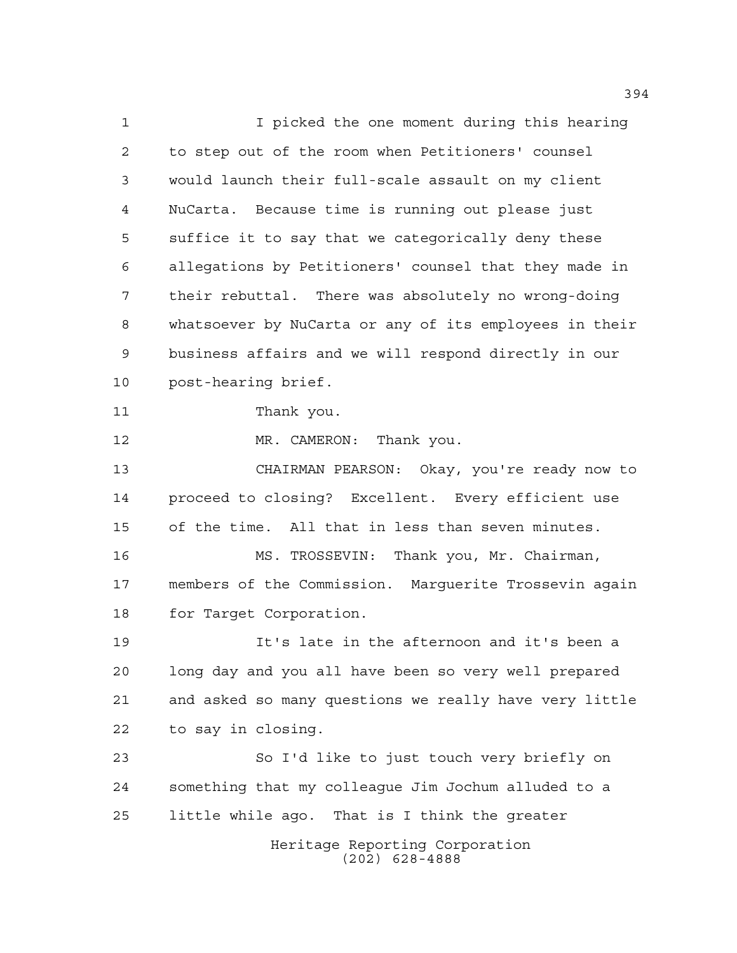Heritage Reporting Corporation (202) 628-4888 I picked the one moment during this hearing to step out of the room when Petitioners' counsel would launch their full-scale assault on my client NuCarta. Because time is running out please just suffice it to say that we categorically deny these allegations by Petitioners' counsel that they made in their rebuttal. There was absolutely no wrong-doing whatsoever by NuCarta or any of its employees in their business affairs and we will respond directly in our post-hearing brief. Thank you. 12 MR. CAMERON: Thank you. CHAIRMAN PEARSON: Okay, you're ready now to proceed to closing? Excellent. Every efficient use of the time. All that in less than seven minutes. MS. TROSSEVIN: Thank you, Mr. Chairman, members of the Commission. Marguerite Trossevin again for Target Corporation. It's late in the afternoon and it's been a long day and you all have been so very well prepared and asked so many questions we really have very little to say in closing. So I'd like to just touch very briefly on something that my colleague Jim Jochum alluded to a little while ago. That is I think the greater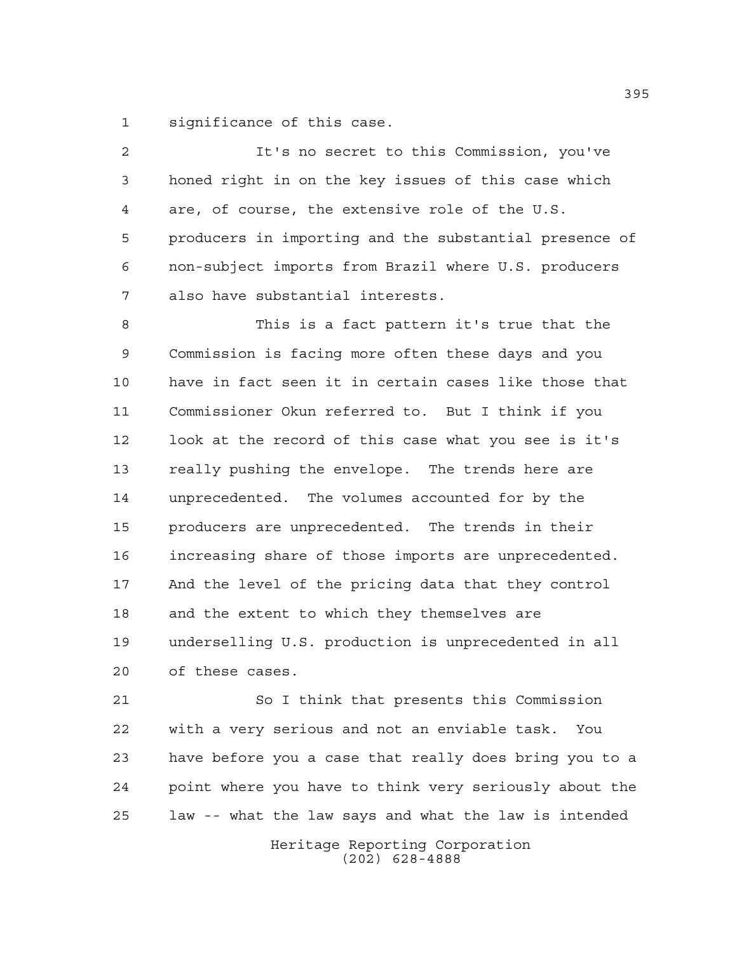significance of this case.

 It's no secret to this Commission, you've honed right in on the key issues of this case which are, of course, the extensive role of the U.S. producers in importing and the substantial presence of non-subject imports from Brazil where U.S. producers also have substantial interests. This is a fact pattern it's true that the Commission is facing more often these days and you have in fact seen it in certain cases like those that Commissioner Okun referred to. But I think if you look at the record of this case what you see is it's really pushing the envelope. The trends here are unprecedented. The volumes accounted for by the producers are unprecedented. The trends in their increasing share of those imports are unprecedented. And the level of the pricing data that they control and the extent to which they themselves are underselling U.S. production is unprecedented in all of these cases. So I think that presents this Commission

 with a very serious and not an enviable task. You have before you a case that really does bring you to a point where you have to think very seriously about the law -- what the law says and what the law is intended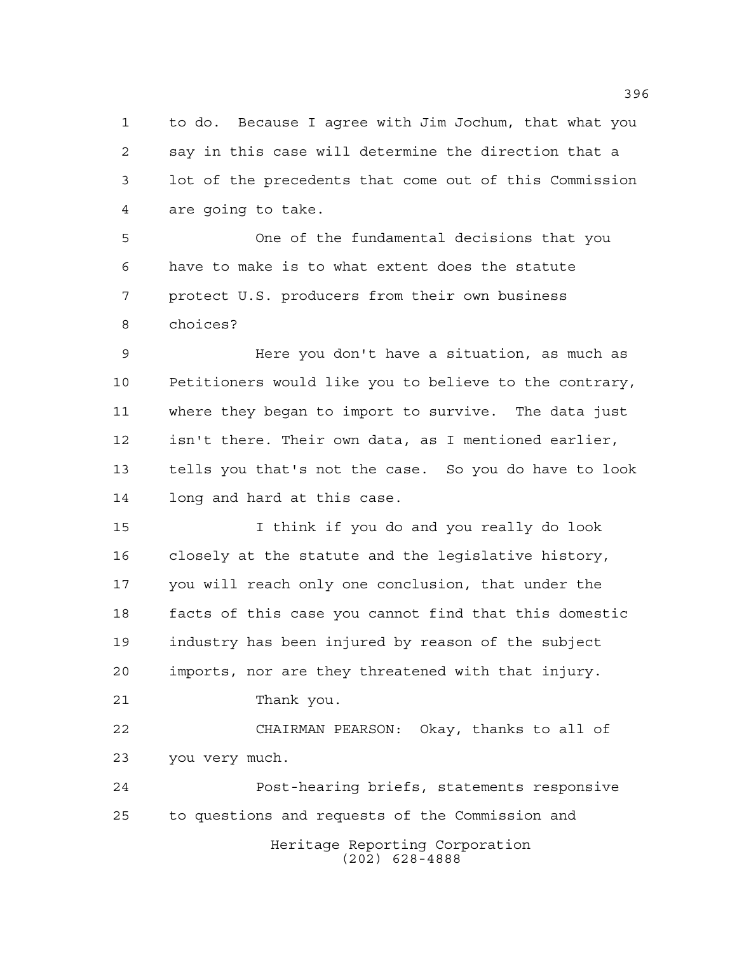to do. Because I agree with Jim Jochum, that what you say in this case will determine the direction that a lot of the precedents that come out of this Commission are going to take.

 One of the fundamental decisions that you have to make is to what extent does the statute protect U.S. producers from their own business choices?

 Here you don't have a situation, as much as Petitioners would like you to believe to the contrary, where they began to import to survive. The data just isn't there. Their own data, as I mentioned earlier, tells you that's not the case. So you do have to look long and hard at this case.

 I think if you do and you really do look closely at the statute and the legislative history, you will reach only one conclusion, that under the facts of this case you cannot find that this domestic industry has been injured by reason of the subject imports, nor are they threatened with that injury. Thank you.

 CHAIRMAN PEARSON: Okay, thanks to all of you very much.

Heritage Reporting Corporation (202) 628-4888 Post-hearing briefs, statements responsive to questions and requests of the Commission and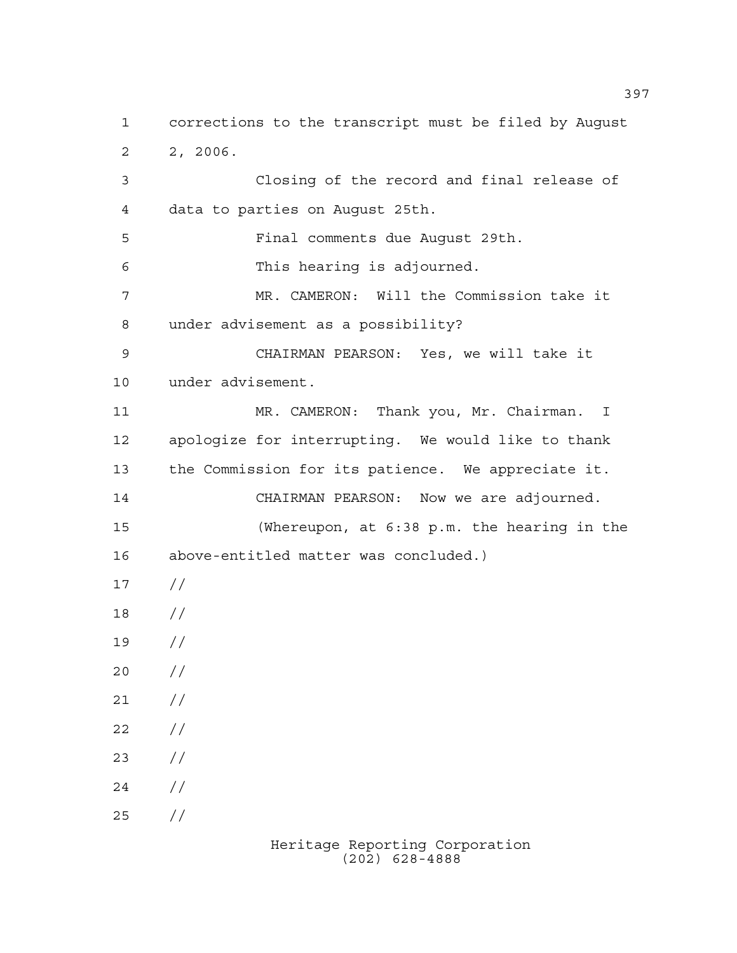corrections to the transcript must be filed by August 2, 2006. Closing of the record and final release of data to parties on August 25th. Final comments due August 29th. This hearing is adjourned. MR. CAMERON: Will the Commission take it under advisement as a possibility? CHAIRMAN PEARSON: Yes, we will take it under advisement. 11 MR. CAMERON: Thank you, Mr. Chairman. I apologize for interrupting. We would like to thank the Commission for its patience. We appreciate it. CHAIRMAN PEARSON: Now we are adjourned. (Whereupon, at 6:38 p.m. the hearing in the above-entitled matter was concluded.)  $17 /$  // //  $20 /$  $21 /$  $22 / /$  $23 / /$  $24 /$  $25 / /$ 

> Heritage Reporting Corporation (202) 628-4888